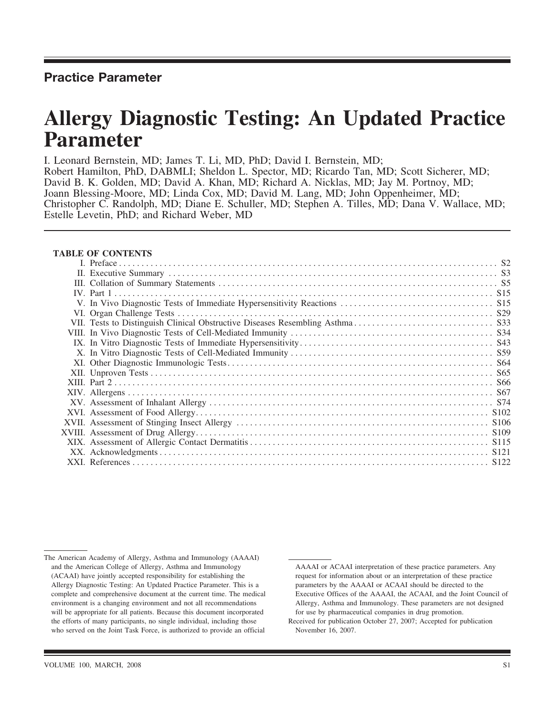# **Allergy Diagnostic Testing: An Updated Practice Parameter**

I. Leonard Bernstein, MD; James T. Li, MD, PhD; David I. Bernstein, MD; Robert Hamilton, PhD, DABMLI; Sheldon L. Spector, MD; Ricardo Tan, MD; Scott Sicherer, MD; David B. K. Golden, MD; David A. Khan, MD; Richard A. Nicklas, MD; Jay M. Portnoy, MD; Joann Blessing-Moore, MD; Linda Cox, MD; David M. Lang, MD; John Oppenheimer, MD; Christopher C. Randolph, MD; Diane E. Schuller, MD; Stephen A. Tilles, MD; Dana V. Wallace, MD; Estelle Levetin, PhD; and Richard Weber, MD

# **TABLE OF CONTENTS**

The American Academy of Allergy, Asthma and Immunology (AAAAI) and the American College of Allergy, Asthma and Immunology (ACAAI) have jointly accepted responsibility for establishing the Allergy Diagnostic Testing: An Updated Practice Parameter. This is a complete and comprehensive document at the current time. The medical environment is a changing environment and not all recommendations will be appropriate for all patients. Because this document incorporated the efforts of many participants, no single individual, including those who served on the Joint Task Force, is authorized to provide an official

AAAAI or ACAAI interpretation of these practice parameters. Any request for information about or an interpretation of these practice parameters by the AAAAI or ACAAI should be directed to the Executive Offices of the AAAAI, the ACAAI, and the Joint Council of Allergy, Asthma and Immunology. These parameters are not designed for use by pharmaceutical companies in drug promotion.

Received for publication October 27, 2007; Accepted for publication November 16, 2007.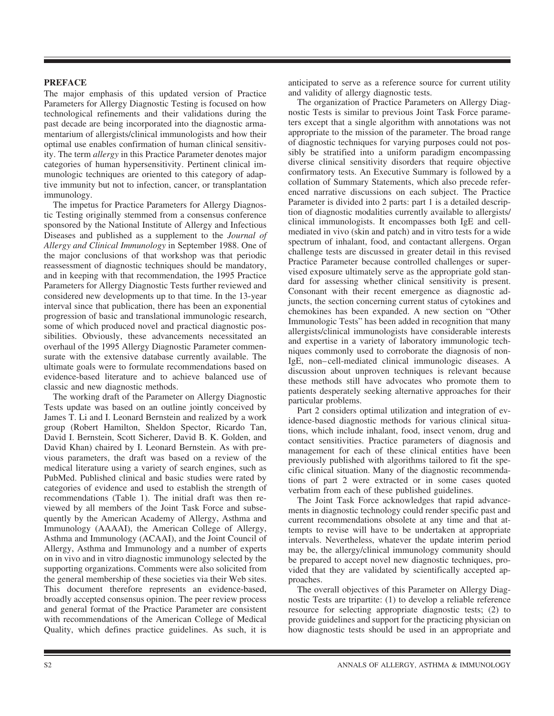# **PREFACE**

The major emphasis of this updated version of Practice Parameters for Allergy Diagnostic Testing is focused on how technological refinements and their validations during the past decade are being incorporated into the diagnostic armamentarium of allergists/clinical immunologists and how their optimal use enables confirmation of human clinical sensitivity. The term *allergy* in this Practice Parameter denotes major categories of human hypersensitivity. Pertinent clinical immunologic techniques are oriented to this category of adaptive immunity but not to infection, cancer, or transplantation immunology.

The impetus for Practice Parameters for Allergy Diagnostic Testing originally stemmed from a consensus conference sponsored by the National Institute of Allergy and Infectious Diseases and published as a supplement to the *Journal of Allergy and Clinical Immunology* in September 1988. One of the major conclusions of that workshop was that periodic reassessment of diagnostic techniques should be mandatory, and in keeping with that recommendation, the 1995 Practice Parameters for Allergy Diagnostic Tests further reviewed and considered new developments up to that time. In the 13-year interval since that publication, there has been an exponential progression of basic and translational immunologic research, some of which produced novel and practical diagnostic possibilities. Obviously, these advancements necessitated an overhaul of the 1995 Allergy Diagnostic Parameter commensurate with the extensive database currently available. The ultimate goals were to formulate recommendations based on evidence-based literature and to achieve balanced use of classic and new diagnostic methods.

The working draft of the Parameter on Allergy Diagnostic Tests update was based on an outline jointly conceived by James T. Li and I. Leonard Bernstein and realized by a work group (Robert Hamilton, Sheldon Spector, Ricardo Tan, David I. Bernstein, Scott Sicherer, David B. K. Golden, and David Khan) chaired by I. Leonard Bernstein. As with previous parameters, the draft was based on a review of the medical literature using a variety of search engines, such as PubMed. Published clinical and basic studies were rated by categories of evidence and used to establish the strength of recommendations (Table 1). The initial draft was then reviewed by all members of the Joint Task Force and subsequently by the American Academy of Allergy, Asthma and Immunology (AAAAI), the American College of Allergy, Asthma and Immunology (ACAAI), and the Joint Council of Allergy, Asthma and Immunology and a number of experts on in vivo and in vitro diagnostic immunology selected by the supporting organizations. Comments were also solicited from the general membership of these societies via their Web sites. This document therefore represents an evidence-based, broadly accepted consensus opinion. The peer review process and general format of the Practice Parameter are consistent with recommendations of the American College of Medical Quality, which defines practice guidelines. As such, it is anticipated to serve as a reference source for current utility and validity of allergy diagnostic tests.

The organization of Practice Parameters on Allergy Diagnostic Tests is similar to previous Joint Task Force parameters except that a single algorithm with annotations was not appropriate to the mission of the parameter. The broad range of diagnostic techniques for varying purposes could not possibly be stratified into a uniform paradigm encompassing diverse clinical sensitivity disorders that require objective confirmatory tests. An Executive Summary is followed by a collation of Summary Statements, which also precede referenced narrative discussions on each subject. The Practice Parameter is divided into 2 parts: part 1 is a detailed description of diagnostic modalities currently available to allergists/ clinical immunologists. It encompasses both IgE and cellmediated in vivo (skin and patch) and in vitro tests for a wide spectrum of inhalant, food, and contactant allergens. Organ challenge tests are discussed in greater detail in this revised Practice Parameter because controlled challenges or supervised exposure ultimately serve as the appropriate gold standard for assessing whether clinical sensitivity is present. Consonant with their recent emergence as diagnostic adjuncts, the section concerning current status of cytokines and chemokines has been expanded. A new section on "Other Immunologic Tests" has been added in recognition that many allergists/clinical immunologists have considerable interests and expertise in a variety of laboratory immunologic techniques commonly used to corroborate the diagnosis of non-IgE, non– cell-mediated clinical immunologic diseases. A discussion about unproven techniques is relevant because these methods still have advocates who promote them to patients desperately seeking alternative approaches for their particular problems.

Part 2 considers optimal utilization and integration of evidence-based diagnostic methods for various clinical situations, which include inhalant, food, insect venom, drug and contact sensitivities. Practice parameters of diagnosis and management for each of these clinical entities have been previously published with algorithms tailored to fit the specific clinical situation. Many of the diagnostic recommendations of part 2 were extracted or in some cases quoted verbatim from each of these published guidelines.

The Joint Task Force acknowledges that rapid advancements in diagnostic technology could render specific past and current recommendations obsolete at any time and that attempts to revise will have to be undertaken at appropriate intervals. Nevertheless, whatever the update interim period may be, the allergy/clinical immunology community should be prepared to accept novel new diagnostic techniques, provided that they are validated by scientifically accepted approaches.

The overall objectives of this Parameter on Allergy Diagnostic Tests are tripartite: (1) to develop a reliable reference resource for selecting appropriate diagnostic tests; (2) to provide guidelines and support for the practicing physician on how diagnostic tests should be used in an appropriate and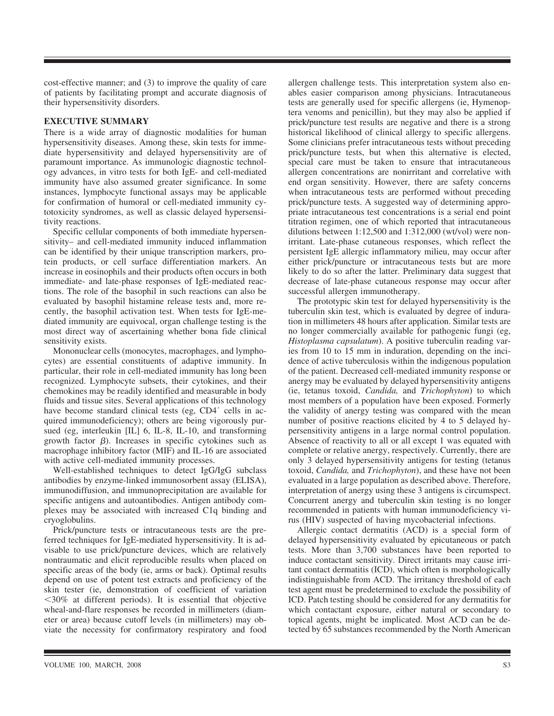cost-effective manner; and (3) to improve the quality of care of patients by facilitating prompt and accurate diagnosis of their hypersensitivity disorders.

## **EXECUTIVE SUMMARY**

There is a wide array of diagnostic modalities for human hypersensitivity diseases. Among these, skin tests for immediate hypersensitivity and delayed hypersensitivity are of paramount importance. As immunologic diagnostic technology advances, in vitro tests for both IgE- and cell-mediated immunity have also assumed greater significance. In some instances, lymphocyte functional assays may be applicable for confirmation of humoral or cell-mediated immunity cytotoxicity syndromes, as well as classic delayed hypersensitivity reactions.

Specific cellular components of both immediate hypersensitivity– and cell-mediated immunity induced inflammation can be identified by their unique transcription markers, protein products, or cell surface differentiation markers. An increase in eosinophils and their products often occurs in both immediate- and late-phase responses of IgE-mediated reactions. The role of the basophil in such reactions can also be evaluated by basophil histamine release tests and, more recently, the basophil activation test. When tests for IgE-mediated immunity are equivocal, organ challenge testing is the most direct way of ascertaining whether bona fide clinical sensitivity exists.

Mononuclear cells (monocytes, macrophages, and lymphocytes) are essential constituents of adaptive immunity. In particular, their role in cell-mediated immunity has long been recognized. Lymphocyte subsets, their cytokines, and their chemokines may be readily identified and measurable in body fluids and tissue sites. Several applications of this technology have become standard clinical tests (eg, CD4<sup>+</sup> cells in acquired immunodeficiency); others are being vigorously pursued (eg, interleukin [IL] 6, IL-8, IL-10, and transforming growth factor  $\beta$ ). Increases in specific cytokines such as macrophage inhibitory factor (MIF) and IL-16 are associated with active cell-mediated immunity processes.

Well-established techniques to detect IgG/IgG subclass antibodies by enzyme-linked immunosorbent assay (ELISA), immunodiffusion, and immunoprecipitation are available for specific antigens and autoantibodies. Antigen antibody complexes may be associated with increased C1q binding and cryoglobulins.

Prick/puncture tests or intracutaneous tests are the preferred techniques for IgE-mediated hypersensitivity. It is advisable to use prick/puncture devices, which are relatively nontraumatic and elicit reproducible results when placed on specific areas of the body (ie, arms or back). Optimal results depend on use of potent test extracts and proficiency of the skin tester (ie, demonstration of coefficient of variation -30% at different periods). It is essential that objective wheal-and-flare responses be recorded in millimeters (diameter or area) because cutoff levels (in millimeters) may obviate the necessity for confirmatory respiratory and food allergen challenge tests. This interpretation system also enables easier comparison among physicians. Intracutaneous tests are generally used for specific allergens (ie, Hymenoptera venoms and penicillin), but they may also be applied if prick/puncture test results are negative and there is a strong historical likelihood of clinical allergy to specific allergens. Some clinicians prefer intracutaneous tests without preceding prick/puncture tests, but when this alternative is elected, special care must be taken to ensure that intracutaneous allergen concentrations are nonirritant and correlative with end organ sensitivity. However, there are safety concerns when intracutaneous tests are performed without preceding prick/puncture tests. A suggested way of determining appropriate intracutaneous test concentrations is a serial end point titration regimen, one of which reported that intracutaneous dilutions between 1:12,500 and 1:312,000 (wt/vol) were nonirritant. Late-phase cutaneous responses, which reflect the persistent IgE allergic inflammatory milieu, may occur after either prick/puncture or intracutaneous tests but are more likely to do so after the latter. Preliminary data suggest that decrease of late-phase cutaneous response may occur after successful allergen immunotherapy.

The prototypic skin test for delayed hypersensitivity is the tuberculin skin test, which is evaluated by degree of induration in millimeters 48 hours after application. Similar tests are no longer commercially available for pathogenic fungi (eg, *Histoplasma capsulatum*). A positive tuberculin reading varies from 10 to 15 mm in induration, depending on the incidence of active tuberculosis within the indigenous population of the patient. Decreased cell-mediated immunity response or anergy may be evaluated by delayed hypersensitivity antigens (ie, tetanus toxoid, *Candida,* and *Trichophyton*) to which most members of a population have been exposed. Formerly the validity of anergy testing was compared with the mean number of positive reactions elicited by 4 to 5 delayed hypersensitivity antigens in a large normal control population. Absence of reactivity to all or all except 1 was equated with complete or relative anergy, respectively. Currently, there are only 3 delayed hypersensitivity antigens for testing (tetanus toxoid, *Candida,* and *Trichophyton*), and these have not been evaluated in a large population as described above. Therefore, interpretation of anergy using these 3 antigens is circumspect. Concurrent anergy and tuberculin skin testing is no longer recommended in patients with human immunodeficiency virus (HIV) suspected of having mycobacterial infections.

Allergic contact dermatitis (ACD) is a special form of delayed hypersensitivity evaluated by epicutaneous or patch tests. More than 3,700 substances have been reported to induce contactant sensitivity. Direct irritants may cause irritant contact dermatitis (ICD), which often is morphologically indistinguishable from ACD. The irritancy threshold of each test agent must be predetermined to exclude the possibility of ICD. Patch testing should be considered for any dermatitis for which contactant exposure, either natural or secondary to topical agents, might be implicated. Most ACD can be detected by 65 substances recommended by the North American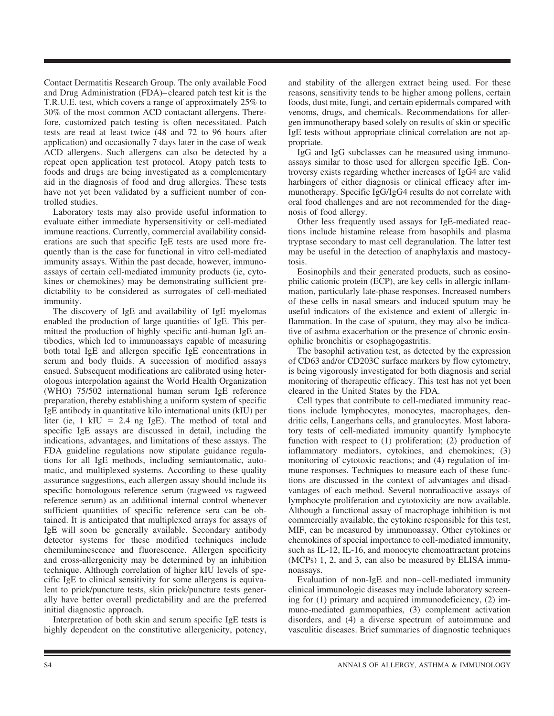Contact Dermatitis Research Group. The only available Food and Drug Administration (FDA)– cleared patch test kit is the T.R.U.E. test, which covers a range of approximately 25% to 30% of the most common ACD contactant allergens. Therefore, customized patch testing is often necessitated. Patch tests are read at least twice (48 and 72 to 96 hours after application) and occasionally 7 days later in the case of weak ACD allergens. Such allergens can also be detected by a repeat open application test protocol. Atopy patch tests to foods and drugs are being investigated as a complementary aid in the diagnosis of food and drug allergies. These tests have not yet been validated by a sufficient number of controlled studies.

Laboratory tests may also provide useful information to evaluate either immediate hypersensitivity or cell-mediated immune reactions. Currently, commercial availability considerations are such that specific IgE tests are used more frequently than is the case for functional in vitro cell-mediated immunity assays. Within the past decade, however, immunoassays of certain cell-mediated immunity products (ie, cytokines or chemokines) may be demonstrating sufficient predictability to be considered as surrogates of cell-mediated immunity.

The discovery of IgE and availability of IgE myelomas enabled the production of large quantities of IgE. This permitted the production of highly specific anti-human IgE antibodies, which led to immunoassays capable of measuring both total IgE and allergen specific IgE concentrations in serum and body fluids. A succession of modified assays ensued. Subsequent modifications are calibrated using heterologous interpolation against the World Health Organization (WHO) 75/502 international human serum IgE reference preparation, thereby establishing a uniform system of specific IgE antibody in quantitative kilo international units (kIU) per liter (ie, 1 kIU = 2.4 ng IgE). The method of total and specific IgE assays are discussed in detail, including the indications, advantages, and limitations of these assays. The FDA guideline regulations now stipulate guidance regulations for all IgE methods, including semiautomatic, automatic, and multiplexed systems. According to these quality assurance suggestions, each allergen assay should include its specific homologous reference serum (ragweed vs ragweed reference serum) as an additional internal control whenever sufficient quantities of specific reference sera can be obtained. It is anticipated that multiplexed arrays for assays of IgE will soon be generally available. Secondary antibody detector systems for these modified techniques include chemiluminescence and fluorescence. Allergen specificity and cross-allergenicity may be determined by an inhibition technique. Although correlation of higher kIU levels of specific IgE to clinical sensitivity for some allergens is equivalent to prick/puncture tests, skin prick/puncture tests generally have better overall predictability and are the preferred initial diagnostic approach.

Interpretation of both skin and serum specific IgE tests is highly dependent on the constitutive allergenicity, potency, and stability of the allergen extract being used. For these reasons, sensitivity tends to be higher among pollens, certain foods, dust mite, fungi, and certain epidermals compared with venoms, drugs, and chemicals. Recommendations for allergen immunotherapy based solely on results of skin or specific IgE tests without appropriate clinical correlation are not appropriate.

IgG and IgG subclasses can be measured using immunoassays similar to those used for allergen specific IgE. Controversy exists regarding whether increases of IgG4 are valid harbingers of either diagnosis or clinical efficacy after immunotherapy. Specific IgG/IgG4 results do not correlate with oral food challenges and are not recommended for the diagnosis of food allergy.

Other less frequently used assays for IgE-mediated reactions include histamine release from basophils and plasma tryptase secondary to mast cell degranulation. The latter test may be useful in the detection of anaphylaxis and mastocytosis.

Eosinophils and their generated products, such as eosinophilic cationic protein (ECP), are key cells in allergic inflammation, particularly late-phase responses. Increased numbers of these cells in nasal smears and induced sputum may be useful indicators of the existence and extent of allergic inflammation. In the case of sputum, they may also be indicative of asthma exacerbation or the presence of chronic eosinophilic bronchitis or esophagogastritis.

The basophil activation test, as detected by the expression of CD63 and/or CD203C surface markers by flow cytometry, is being vigorously investigated for both diagnosis and serial monitoring of therapeutic efficacy. This test has not yet been cleared in the United States by the FDA.

Cell types that contribute to cell-mediated immunity reactions include lymphocytes, monocytes, macrophages, dendritic cells, Langerhans cells, and granulocytes. Most laboratory tests of cell-mediated immunity quantify lymphocyte function with respect to (1) proliferation; (2) production of inflammatory mediators, cytokines, and chemokines; (3) monitoring of cytotoxic reactions; and (4) regulation of immune responses. Techniques to measure each of these functions are discussed in the context of advantages and disadvantages of each method. Several nonradioactive assays of lymphocyte proliferation and cytotoxicity are now available. Although a functional assay of macrophage inhibition is not commercially available, the cytokine responsible for this test, MIF, can be measured by immunoassay. Other cytokines or chemokines of special importance to cell-mediated immunity, such as IL-12, IL-16, and monocyte chemoattractant proteins (MCPs) 1, 2, and 3, can also be measured by ELISA immunoassays.

Evaluation of non-IgE and non– cell-mediated immunity clinical immunologic diseases may include laboratory screening for (1) primary and acquired immunodeficiency, (2) immune-mediated gammopathies, (3) complement activation disorders, and (4) a diverse spectrum of autoimmune and vasculitic diseases. Brief summaries of diagnostic techniques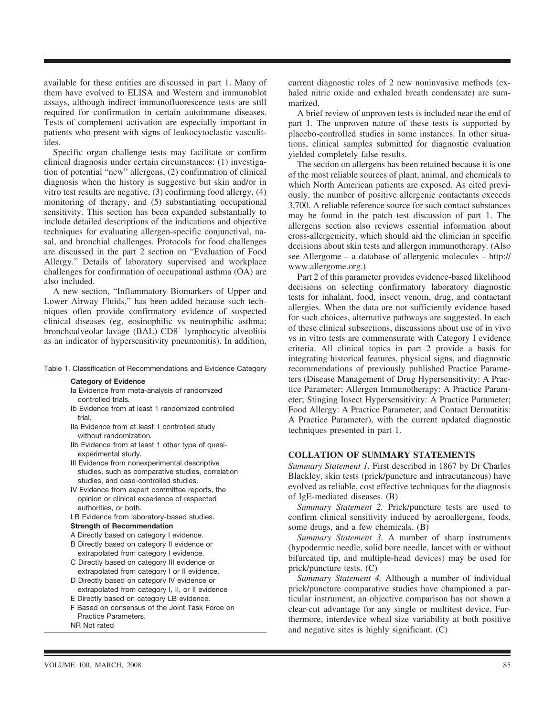available for these entities are discussed in part 1. Many of them have evolved to ELISA and Western and immunoblot assays, although indirect immunofluorescence tests are still required for confirmation in certain autoimmune diseases. Tests of complement activation are especially important in patients who present with signs of leukocytoclastic vasculitides.

Specific organ challenge tests may facilitate or confirm clinical diagnosis under certain circumstances: (1) investigation of potential "new" allergens, (2) confirmation of clinical diagnosis when the history is suggestive but skin and/or in vitro test results are negative, (3) confirming food allergy, (4) monitoring of therapy, and (5) substantiating occupational sensitivity. This section has been expanded substantially to include detailed descriptions of the indications and objective techniques for evaluating allergen-specific conjunctival, nasal, and bronchial challenges. Protocols for food challenges are discussed in the part 2 section on "Evaluation of Food Allergy." Details of laboratory supervised and workplace challenges for confirmation of occupational asthma (OA) are also included.

A new section, "Inflammatory Biomarkers of Upper and Lower Airway Fluids," has been added because such techniques often provide confirmatory evidence of suspected clinical diseases (eg, eosinophilic vs neutrophilic asthma; bronchoalveolar lavage (BAL) CD8 lymphocytic alveolitis as an indicator of hypersensitivity pneumonitis). In addition,

#### Table 1. Classification of Recommendations and Evidence Category

#### **Category of Evidence**

- Ia Evidence from meta-analysis of randomized controlled trials.
- Ib Evidence from at least 1 randomized controlled trial.
- IIa Evidence from at least 1 controlled study without randomization.
- IIb Evidence from at least 1 other type of quasiexperimental study.
- III Evidence from nonexperimental descriptive studies, such as comparative studies, correlation studies, and case-controlled studies.
- IV Evidence from expert committee reports, the opinion or clinical experience of respected authorities, or both.
- LB Evidence from laboratory-based studies.

#### **Strength of Recommendation**

- A Directly based on category I evidence.
- B Directly based on category II evidence or extrapolated from category I evidence.
- C Directly based on category III evidence or extrapolated from category I or II evidence.
- D Directly based on category IV evidence or extrapolated from category I, II, or II evidence
- E Directly based on category LB evidence.
- F Based on consensus of the Joint Task Force on Practice Parameters.
- NR Not rated

current diagnostic roles of 2 new noninvasive methods (exhaled nitric oxide and exhaled breath condensate) are summarized.

A brief review of unproven tests is included near the end of part 1. The unproven nature of these tests is supported by placebo-controlled studies in some instances. In other situations, clinical samples submitted for diagnostic evaluation yielded completely false results.

The section on allergens has been retained because it is one of the most reliable sources of plant, animal, and chemicals to which North American patients are exposed. As cited previously, the number of positive allergenic contactants exceeds 3,700. A reliable reference source for such contact substances may be found in the patch test discussion of part 1. The allergens section also reviews essential information about cross-allergenicity, which should aid the clinician in specific decisions about skin tests and allergen immunotherapy. (Also see Allergome – a database of allergenic molecules – http:// www.allergome.org.)

Part 2 of this parameter provides evidence-based likelihood decisions on selecting confirmatory laboratory diagnostic tests for inhalant, food, insect venom, drug, and contactant allergies. When the data are not sufficiently evidence based for such choices, alternative pathways are suggested. In each of these clinical subsections, discussions about use of in vivo vs in vitro tests are commensurate with Category I evidence criteria. All clinical topics in part 2 provide a basis for integrating historical features, physical signs, and diagnostic recommendations of previously published Practice Parameters (Disease Management of Drug Hypersensitivity: A Practice Parameter; Allergen Immunotherapy: A Practice Parameter; Stinging Insect Hypersensitivity: A Practice Parameter; Food Allergy: A Practice Parameter; and Contact Dermatitis: A Practice Parameter), with the current updated diagnostic techniques presented in part 1.

#### **COLLATION OF SUMMARY STATEMENTS**

*Summary Statement 1.* First described in 1867 by Dr Charles Blackley, skin tests (prick/puncture and intracutaneous) have evolved as reliable, cost effective techniques for the diagnosis of IgE-mediated diseases. (B)

*Summary Statement 2.* Prick/puncture tests are used to confirm clinical sensitivity induced by aeroallergens, foods, some drugs, and a few chemicals. (B)

*Summary Statement 3.* A number of sharp instruments (hypodermic needle, solid bore needle, lancet with or without bifurcated tip, and multiple-head devices) may be used for prick/puncture tests. (C)

*Summary Statement 4.* Although a number of individual prick/puncture comparative studies have championed a particular instrument, an objective comparison has not shown a clear-cut advantage for any single or multitest device. Furthermore, interdevice wheal size variability at both positive and negative sites is highly significant. (C)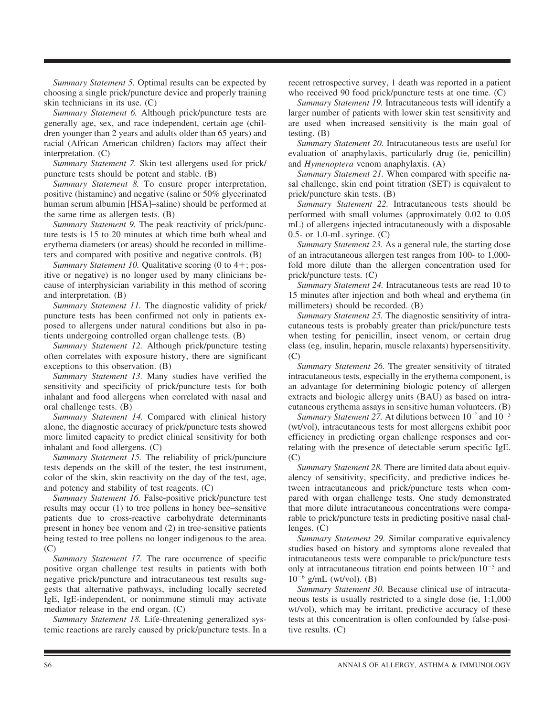*Summary Statement 5.* Optimal results can be expected by choosing a single prick/puncture device and properly training skin technicians in its use. (C)

*Summary Statement 6.* Although prick/puncture tests are generally age, sex, and race independent, certain age (children younger than 2 years and adults older than 65 years) and racial (African American children) factors may affect their interpretation. (C)

*Summary Statement 7.* Skin test allergens used for prick/ puncture tests should be potent and stable. (B)

*Summary Statement 8.* To ensure proper interpretation, positive (histamine) and negative (saline or 50% glycerinated human serum albumin [HSA]–saline) should be performed at the same time as allergen tests. (B)

*Summary Statement 9.* The peak reactivity of prick/puncture tests is 15 to 20 minutes at which time both wheal and erythema diameters (or areas) should be recorded in millimeters and compared with positive and negative controls. (B)

*Summary Statement 10.* Qualitative scoring (0 to  $4+$ ; positive or negative) is no longer used by many clinicians because of interphysician variability in this method of scoring and interpretation. (B)

*Summary Statement 11.* The diagnostic validity of prick/ puncture tests has been confirmed not only in patients exposed to allergens under natural conditions but also in patients undergoing controlled organ challenge tests. (B)

*Summary Statement 12.* Although prick/puncture testing often correlates with exposure history, there are significant exceptions to this observation. (B)

*Summary Statement 13.* Many studies have verified the sensitivity and specificity of prick/puncture tests for both inhalant and food allergens when correlated with nasal and oral challenge tests. (B)

*Summary Statement 14.* Compared with clinical history alone, the diagnostic accuracy of prick/puncture tests showed more limited capacity to predict clinical sensitivity for both inhalant and food allergens. (C)

*Summary Statement 15.* The reliability of prick/puncture tests depends on the skill of the tester, the test instrument, color of the skin, skin reactivity on the day of the test, age, and potency and stability of test reagents. (C)

*Summary Statement 16.* False-positive prick/puncture test results may occur (1) to tree pollens in honey bee–sensitive patients due to cross-reactive carbohydrate determinants present in honey bee venom and (2) in tree-sensitive patients being tested to tree pollens no longer indigenous to the area. (C)

*Summary Statement 17.* The rare occurrence of specific positive organ challenge test results in patients with both negative prick/puncture and intracutaneous test results suggests that alternative pathways, including locally secreted IgE, IgE-independent, or nonimmune stimuli may activate mediator release in the end organ. (C)

*Summary Statement 18.* Life-threatening generalized systemic reactions are rarely caused by prick/puncture tests. In a recent retrospective survey, 1 death was reported in a patient who received 90 food prick/puncture tests at one time. (C)

*Summary Statement 19.* Intracutaneous tests will identify a larger number of patients with lower skin test sensitivity and are used when increased sensitivity is the main goal of testing. (B)

*Summary Statement 20.* Intracutaneous tests are useful for evaluation of anaphylaxis, particularly drug (ie, penicillin) and *Hymenoptera* venom anaphylaxis. (A)

*Summary Statement 21.* When compared with specific nasal challenge, skin end point titration (SET) is equivalent to prick/puncture skin tests. (B)

*Summary Statement 22.* Intracutaneous tests should be performed with small volumes (approximately 0.02 to 0.05 mL) of allergens injected intracutaneously with a disposable 0.5- or 1.0-mL syringe. (C)

*Summary Statement 23.* As a general rule, the starting dose of an intracutaneous allergen test ranges from 100- to 1,000 fold more dilute than the allergen concentration used for prick/puncture tests. (C)

*Summary Statement 24.* Intracutaneous tests are read 10 to 15 minutes after injection and both wheal and erythema (in millimeters) should be recorded. (B)

*Summary Statement 25.* The diagnostic sensitivity of intracutaneous tests is probably greater than prick/puncture tests when testing for penicillin, insect venom, or certain drug class (eg, insulin, heparin, muscle relaxants) hypersensitivity.  $(C)$ 

*Summary Statement 26.* The greater sensitivity of titrated intracutaneous tests, especially in the erythema component, is an advantage for determining biologic potency of allergen extracts and biologic allergy units (BAU) as based on intracutaneous erythema assays in sensitive human volunteers. (B)

*Summary Statement 27.* At dilutions between  $10^{-2}$  and  $10^{-3}$ (wt/vol), intracutaneous tests for most allergens exhibit poor efficiency in predicting organ challenge responses and correlating with the presence of detectable serum specific IgE.  $(C)$ 

*Summary Statement 28.* There are limited data about equivalency of sensitivity, specificity, and predictive indices between intracutaneous and prick/puncture tests when compared with organ challenge tests. One study demonstrated that more dilute intracutaneous concentrations were comparable to prick/puncture tests in predicting positive nasal challenges. (C)

*Summary Statement 29.* Similar comparative equivalency studies based on history and symptoms alone revealed that intracutaneous tests were comparable to prick/puncture tests only at intracutaneous titration end points between  $10^{-5}$  and  $10^{-6}$  g/mL (wt/vol). (B)

*Summary Statement 30.* Because clinical use of intracutaneous tests is usually restricted to a single dose (ie, 1:1,000 wt/vol), which may be irritant, predictive accuracy of these tests at this concentration is often confounded by false-positive results. (C)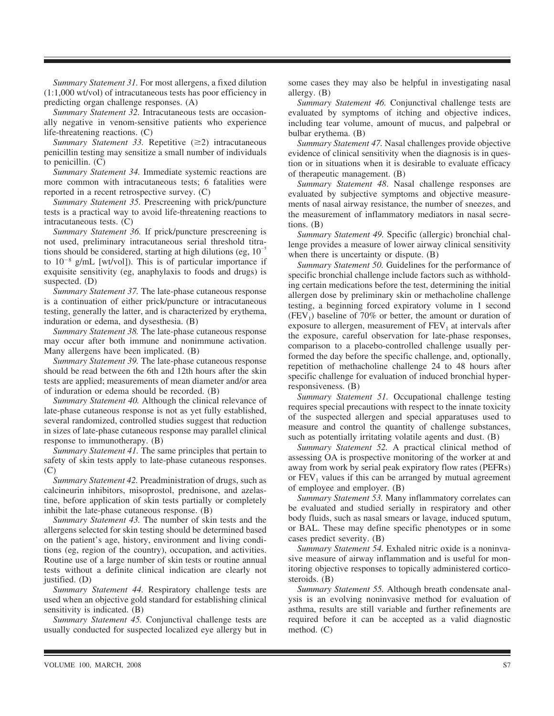*Summary Statement 31.* For most allergens, a fixed dilution (1:1,000 wt/vol) of intracutaneous tests has poor efficiency in predicting organ challenge responses. (A)

*Summary Statement 32.* Intracutaneous tests are occasionally negative in venom-sensitive patients who experience life-threatening reactions. (C)

*Summary Statement 33.* Repetitive  $(\geq 2)$  intracutaneous penicillin testing may sensitize a small number of individuals to penicillin. (C)

*Summary Statement 34.* Immediate systemic reactions are more common with intracutaneous tests; 6 fatalities were reported in a recent retrospective survey. (C)

*Summary Statement 35.* Prescreening with prick/puncture tests is a practical way to avoid life-threatening reactions to intracutaneous tests. (C)

*Summary Statement 36.* If prick/puncture prescreening is not used, preliminary intracutaneous serial threshold titrations should be considered, starting at high dilutions (eg,  $10^{-5}$ ) to  $10^{-8}$  g/mL [wt/vol]). This is of particular importance if exquisite sensitivity (eg, anaphylaxis to foods and drugs) is suspected. (D)

*Summary Statement 37.* The late-phase cutaneous response is a continuation of either prick/puncture or intracutaneous testing, generally the latter, and is characterized by erythema, induration or edema, and dysesthesia. (B)

*Summary Statement 38.* The late-phase cutaneous response may occur after both immune and nonimmune activation. Many allergens have been implicated. (B)

*Summary Statement 39.* The late-phase cutaneous response should be read between the 6th and 12th hours after the skin tests are applied; measurements of mean diameter and/or area of induration or edema should be recorded. (B)

*Summary Statement 40.* Although the clinical relevance of late-phase cutaneous response is not as yet fully established, several randomized, controlled studies suggest that reduction in sizes of late-phase cutaneous response may parallel clinical response to immunotherapy. (B)

*Summary Statement 41.* The same principles that pertain to safety of skin tests apply to late-phase cutaneous responses.  $(C)$ 

*Summary Statement 42.* Preadministration of drugs, such as calcineurin inhibitors, misoprostol, prednisone, and azelastine, before application of skin tests partially or completely inhibit the late-phase cutaneous response. (B)

*Summary Statement 43.* The number of skin tests and the allergens selected for skin testing should be determined based on the patient's age, history, environment and living conditions (eg, region of the country), occupation, and activities. Routine use of a large number of skin tests or routine annual tests without a definite clinical indication are clearly not justified. (D)

*Summary Statement 44.* Respiratory challenge tests are used when an objective gold standard for establishing clinical sensitivity is indicated. (B)

*Summary Statement 45.* Conjunctival challenge tests are usually conducted for suspected localized eye allergy but in some cases they may also be helpful in investigating nasal allergy. (B)

*Summary Statement 46.* Conjunctival challenge tests are evaluated by symptoms of itching and objective indices, including tear volume, amount of mucus, and palpebral or bulbar erythema. (B)

*Summary Statement 47.* Nasal challenges provide objective evidence of clinical sensitivity when the diagnosis is in question or in situations when it is desirable to evaluate efficacy of therapeutic management. (B)

*Summary Statement 48*. Nasal challenge responses are evaluated by subjective symptoms and objective measurements of nasal airway resistance, the number of sneezes, and the measurement of inflammatory mediators in nasal secretions. (B)

*Summary Statement 49.* Specific (allergic) bronchial challenge provides a measure of lower airway clinical sensitivity when there is uncertainty or dispute. (B)

*Summary Statement 50.* Guidelines for the performance of specific bronchial challenge include factors such as withholding certain medications before the test, determining the initial allergen dose by preliminary skin or methacholine challenge testing, a beginning forced expiratory volume in 1 second  $(FEV<sub>1</sub>)$  baseline of 70% or better, the amount or duration of exposure to allergen, measurement of  $FEV<sub>1</sub>$  at intervals after the exposure, careful observation for late-phase responses, comparison to a placebo-controlled challenge usually performed the day before the specific challenge, and, optionally, repetition of methacholine challenge 24 to 48 hours after specific challenge for evaluation of induced bronchial hyperresponsiveness. (B)

*Summary Statement 51.* Occupational challenge testing requires special precautions with respect to the innate toxicity of the suspected allergen and special apparatuses used to measure and control the quantity of challenge substances, such as potentially irritating volatile agents and dust. (B)

*Summary Statement 52.* A practical clinical method of assessing OA is prospective monitoring of the worker at and away from work by serial peak expiratory flow rates (PEFRs) or  $FEV<sub>1</sub>$  values if this can be arranged by mutual agreement of employee and employer. (B)

*Summary Statement 53.* Many inflammatory correlates can be evaluated and studied serially in respiratory and other body fluids, such as nasal smears or lavage, induced sputum, or BAL. These may define specific phenotypes or in some cases predict severity. (B)

*Summary Statement 54.* Exhaled nitric oxide is a noninvasive measure of airway inflammation and is useful for monitoring objective responses to topically administered corticosteroids. (B)

*Summary Statement 55.* Although breath condensate analysis is an evolving noninvasive method for evaluation of asthma, results are still variable and further refinements are required before it can be accepted as a valid diagnostic method. (C)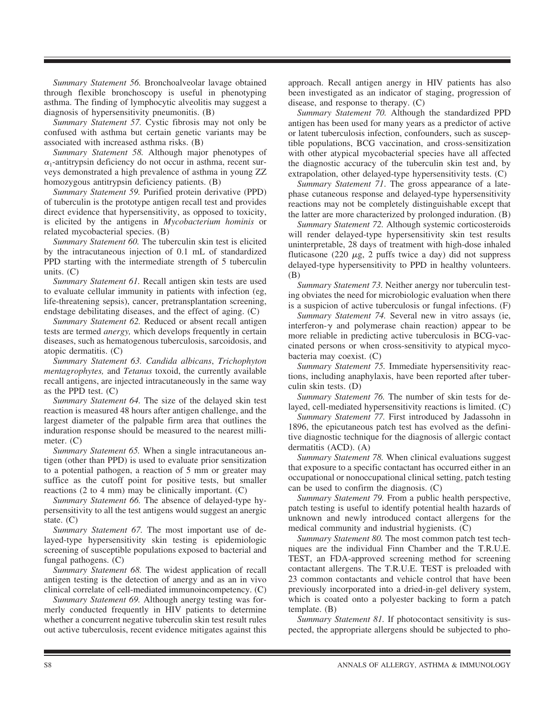*Summary Statement 56.* Bronchoalveolar lavage obtained through flexible bronchoscopy is useful in phenotyping asthma. The finding of lymphocytic alveolitis may suggest a diagnosis of hypersensitivity pneumonitis. (B)

*Summary Statement 57.* Cystic fibrosis may not only be confused with asthma but certain genetic variants may be associated with increased asthma risks. (B)

*Summary Statement 58.* Although major phenotypes of  $\alpha_1$ -antitrypsin deficiency do not occur in asthma, recent surveys demonstrated a high prevalence of asthma in young ZZ homozygous antitrypsin deficiency patients. (B)

*Summary Statement 59.* Purified protein derivative (PPD) of tuberculin is the prototype antigen recall test and provides direct evidence that hypersensitivity, as opposed to toxicity, is elicited by the antigens in *Mycobacterium hominis* or related mycobacterial species. (B)

*Summary Statement 60.* The tuberculin skin test is elicited by the intracutaneous injection of 0.1 mL of standardized PPD starting with the intermediate strength of 5 tuberculin units. (C)

*Summary Statement 61.* Recall antigen skin tests are used to evaluate cellular immunity in patients with infection (eg, life-threatening sepsis), cancer, pretransplantation screening, endstage debilitating diseases, and the effect of aging. (C)

*Summary Statement 62.* Reduced or absent recall antigen tests are termed *anergy,* which develops frequently in certain diseases, such as hematogenous tuberculosis, sarcoidosis, and atopic dermatitis. (C)

*Summary Statement 63. Candida albicans*, *Trichophyton mentagrophytes,* and *Tetanus* toxoid, the currently available recall antigens, are injected intracutaneously in the same way as the PPD test. (C)

*Summary Statement 64.* The size of the delayed skin test reaction is measured 48 hours after antigen challenge, and the largest diameter of the palpable firm area that outlines the induration response should be measured to the nearest millimeter. (C)

*Summary Statement 65.* When a single intracutaneous antigen (other than PPD) is used to evaluate prior sensitization to a potential pathogen, a reaction of 5 mm or greater may suffice as the cutoff point for positive tests, but smaller reactions (2 to 4 mm) may be clinically important. (C)

*Summary Statement 66.* The absence of delayed-type hypersensitivity to all the test antigens would suggest an anergic state. (C)

*Summary Statement 67.* The most important use of delayed-type hypersensitivity skin testing is epidemiologic screening of susceptible populations exposed to bacterial and fungal pathogens. (C)

*Summary Statement 68.* The widest application of recall antigen testing is the detection of anergy and as an in vivo clinical correlate of cell-mediated immunoincompetency. (C)

*Summary Statement 69.* Although anergy testing was formerly conducted frequently in HIV patients to determine whether a concurrent negative tuberculin skin test result rules out active tuberculosis, recent evidence mitigates against this approach. Recall antigen anergy in HIV patients has also been investigated as an indicator of staging, progression of disease, and response to therapy. (C)

*Summary Statement 70.* Although the standardized PPD antigen has been used for many years as a predictor of active or latent tuberculosis infection, confounders, such as susceptible populations, BCG vaccination, and cross-sensitization with other atypical mycobacterial species have all affected the diagnostic accuracy of the tuberculin skin test and, by extrapolation, other delayed-type hypersensitivity tests. (C)

*Summary Statement 71*. The gross appearance of a latephase cutaneous response and delayed-type hypersensitivity reactions may not be completely distinguishable except that the latter are more characterized by prolonged induration. (B)

*Summary Statement 72.* Although systemic corticosteroids will render delayed-type hypersensitivity skin test results uninterpretable, 28 days of treatment with high-dose inhaled fluticasone (220  $\mu$ g, 2 puffs twice a day) did not suppress delayed-type hypersensitivity to PPD in healthy volunteers. (B)

*Summary Statement 73.* Neither anergy nor tuberculin testing obviates the need for microbiologic evaluation when there is a suspicion of active tuberculosis or fungal infections. (F)

*Summary Statement 74.* Several new in vitro assays (ie, interferon- $\gamma$  and polymerase chain reaction) appear to be more reliable in predicting active tuberculosis in BCG-vaccinated persons or when cross-sensitivity to atypical mycobacteria may coexist. (C)

*Summary Statement 75.* Immediate hypersensitivity reactions, including anaphylaxis, have been reported after tuberculin skin tests. (D)

*Summary Statement 76.* The number of skin tests for delayed, cell-mediated hypersensitivity reactions is limited. (C)

*Summary Statement 77.* First introduced by Jadassohn in 1896, the epicutaneous patch test has evolved as the definitive diagnostic technique for the diagnosis of allergic contact dermatitis (ACD). (A)

*Summary Statement 78.* When clinical evaluations suggest that exposure to a specific contactant has occurred either in an occupational or nonoccupational clinical setting, patch testing can be used to confirm the diagnosis. (C)

*Summary Statement 79.* From a public health perspective, patch testing is useful to identify potential health hazards of unknown and newly introduced contact allergens for the medical community and industrial hygienists. (C)

*Summary Statement 80.* The most common patch test techniques are the individual Finn Chamber and the T.R.U.E. TEST, an FDA-approved screening method for screening contactant allergens. The T.R.U.E. TEST is preloaded with 23 common contactants and vehicle control that have been previously incorporated into a dried-in-gel delivery system, which is coated onto a polyester backing to form a patch template. (B)

*Summary Statement 81.* If photocontact sensitivity is suspected, the appropriate allergens should be subjected to pho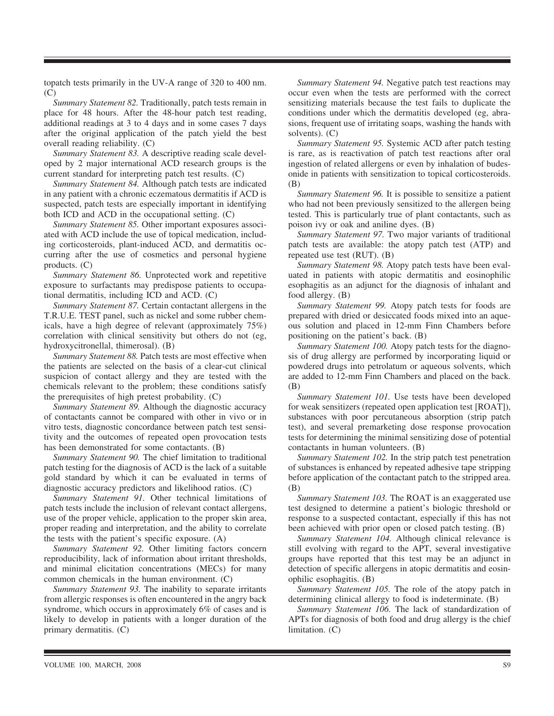topatch tests primarily in the UV-A range of 320 to 400 nm.  $(C)$ 

*Summary Statement 82.* Traditionally, patch tests remain in place for 48 hours. After the 48-hour patch test reading, additional readings at 3 to 4 days and in some cases 7 days after the original application of the patch yield the best overall reading reliability. (C)

*Summary Statement 83.* A descriptive reading scale developed by 2 major international ACD research groups is the current standard for interpreting patch test results. (C)

*Summary Statement 84.* Although patch tests are indicated in any patient with a chronic eczematous dermatitis if ACD is suspected, patch tests are especially important in identifying both ICD and ACD in the occupational setting. (C)

*Summary Statement 85.* Other important exposures associated with ACD include the use of topical medication, including corticosteroids, plant-induced ACD, and dermatitis occurring after the use of cosmetics and personal hygiene products. (C)

*Summary Statement 86.* Unprotected work and repetitive exposure to surfactants may predispose patients to occupational dermatitis, including ICD and ACD. (C)

*Summary Statement 87.* Certain contactant allergens in the T.R.U.E. TEST panel, such as nickel and some rubber chemicals, have a high degree of relevant (approximately 75%) correlation with clinical sensitivity but others do not (eg, hydroxycitronellal, thimerosal). (B)

*Summary Statement 88.* Patch tests are most effective when the patients are selected on the basis of a clear-cut clinical suspicion of contact allergy and they are tested with the chemicals relevant to the problem; these conditions satisfy the prerequisites of high pretest probability. (C)

*Summary Statement 89.* Although the diagnostic accuracy of contactants cannot be compared with other in vivo or in vitro tests, diagnostic concordance between patch test sensitivity and the outcomes of repeated open provocation tests has been demonstrated for some contactants. (B)

*Summary Statement 90.* The chief limitation to traditional patch testing for the diagnosis of ACD is the lack of a suitable gold standard by which it can be evaluated in terms of diagnostic accuracy predictors and likelihood ratios. (C)

*Summary Statement 91.* Other technical limitations of patch tests include the inclusion of relevant contact allergens, use of the proper vehicle, application to the proper skin area, proper reading and interpretation, and the ability to correlate the tests with the patient's specific exposure. (A)

*Summary Statement 92.* Other limiting factors concern reproducibility, lack of information about irritant thresholds, and minimal elicitation concentrations (MECs) for many common chemicals in the human environment. (C)

*Summary Statement 93.* The inability to separate irritants from allergic responses is often encountered in the angry back syndrome, which occurs in approximately 6% of cases and is likely to develop in patients with a longer duration of the primary dermatitis. (C)

*Summary Statement 94.* Negative patch test reactions may occur even when the tests are performed with the correct sensitizing materials because the test fails to duplicate the conditions under which the dermatitis developed (eg, abrasions, frequent use of irritating soaps, washing the hands with solvents). (C)

*Summary Statement 95.* Systemic ACD after patch testing is rare, as is reactivation of patch test reactions after oral ingestion of related allergens or even by inhalation of budesonide in patients with sensitization to topical corticosteroids. (B)

*Summary Statement 96.* It is possible to sensitize a patient who had not been previously sensitized to the allergen being tested. This is particularly true of plant contactants, such as poison ivy or oak and aniline dyes. (B)

*Summary Statement 97.* Two major variants of traditional patch tests are available: the atopy patch test (ATP) and repeated use test (RUT). (B)

*Summary Statement 98.* Atopy patch tests have been evaluated in patients with atopic dermatitis and eosinophilic esophagitis as an adjunct for the diagnosis of inhalant and food allergy. (B)

*Summary Statement 99.* Atopy patch tests for foods are prepared with dried or desiccated foods mixed into an aqueous solution and placed in 12-mm Finn Chambers before positioning on the patient's back. (B)

*Summary Statement 100.* Atopy patch tests for the diagnosis of drug allergy are performed by incorporating liquid or powdered drugs into petrolatum or aqueous solvents, which are added to 12-mm Finn Chambers and placed on the back. (B)

*Summary Statement 101.* Use tests have been developed for weak sensitizers (repeated open application test [ROAT]), substances with poor percutaneous absorption (strip patch test), and several premarketing dose response provocation tests for determining the minimal sensitizing dose of potential contactants in human volunteers. (B)

*Summary Statement 102.* In the strip patch test penetration of substances is enhanced by repeated adhesive tape stripping before application of the contactant patch to the stripped area. (B)

*Summary Statement 103.* The ROAT is an exaggerated use test designed to determine a patient's biologic threshold or response to a suspected contactant, especially if this has not been achieved with prior open or closed patch testing. (B)

*Summary Statement 104.* Although clinical relevance is still evolving with regard to the APT, several investigative groups have reported that this test may be an adjunct in detection of specific allergens in atopic dermatitis and eosinophilic esophagitis. (B)

*Summary Statement 105.* The role of the atopy patch in determining clinical allergy to food is indeterminate. (B)

*Summary Statement 106.* The lack of standardization of APTs for diagnosis of both food and drug allergy is the chief limitation. (C)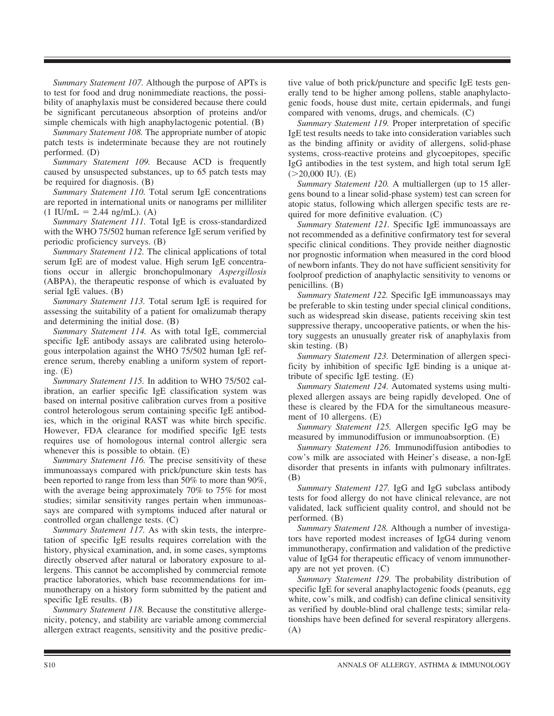*Summary Statement 107.* Although the purpose of APTs is to test for food and drug nonimmediate reactions, the possibility of anaphylaxis must be considered because there could be significant percutaneous absorption of proteins and/or simple chemicals with high anaphylactogenic potential. (B)

*Summary Statement 108.* The appropriate number of atopic patch tests is indeterminate because they are not routinely performed. (D)

*Summary Statement 109.* Because ACD is frequently caused by unsuspected substances, up to 65 patch tests may be required for diagnosis. (B)

*Summary Statement 110.* Total serum IgE concentrations are reported in international units or nanograms per milliliter  $(1 \text{ IU/mL} = 2.44 \text{ ng/mL}).$  (A)

*Summary Statement 111.* Total IgE is cross-standardized with the WHO 75/502 human reference IgE serum verified by periodic proficiency surveys. (B)

*Summary Statement 112.* The clinical applications of total serum IgE are of modest value. High serum IgE concentrations occur in allergic bronchopulmonary *Aspergillosis* (ABPA), the therapeutic response of which is evaluated by serial IgE values. (B)

*Summary Statement 113.* Total serum IgE is required for assessing the suitability of a patient for omalizumab therapy and determining the initial dose. (B)

*Summary Statement 114.* As with total IgE, commercial specific IgE antibody assays are calibrated using heterologous interpolation against the WHO 75/502 human IgE reference serum, thereby enabling a uniform system of reporting. (E)

*Summary Statement 115.* In addition to WHO 75/502 calibration, an earlier specific IgE classification system was based on internal positive calibration curves from a positive control heterologous serum containing specific IgE antibodies, which in the original RAST was white birch specific. However, FDA clearance for modified specific IgE tests requires use of homologous internal control allergic sera whenever this is possible to obtain. (E)

*Summary Statement 116.* The precise sensitivity of these immunoassays compared with prick/puncture skin tests has been reported to range from less than 50% to more than 90%, with the average being approximately 70% to 75% for most studies; similar sensitivity ranges pertain when immunoassays are compared with symptoms induced after natural or controlled organ challenge tests. (C)

*Summary Statement 117.* As with skin tests, the interpretation of specific IgE results requires correlation with the history, physical examination, and, in some cases, symptoms directly observed after natural or laboratory exposure to allergens. This cannot be accomplished by commercial remote practice laboratories, which base recommendations for immunotherapy on a history form submitted by the patient and specific IgE results. (B)

*Summary Statement 118.* Because the constitutive allergenicity, potency, and stability are variable among commercial allergen extract reagents, sensitivity and the positive predictive value of both prick/puncture and specific IgE tests generally tend to be higher among pollens, stable anaphylactogenic foods, house dust mite, certain epidermals, and fungi compared with venoms, drugs, and chemicals. (C)

*Summary Statement 119.* Proper interpretation of specific IgE test results needs to take into consideration variables such as the binding affinity or avidity of allergens, solid-phase systems, cross-reactive proteins and glycoepitopes, specific IgG antibodies in the test system, and high total serum IgE  $(>20,000 \text{ IU})$ . (E)

*Summary Statement 120.* A multiallergen (up to 15 allergens bound to a linear solid-phase system) test can screen for atopic status, following which allergen specific tests are required for more definitive evaluation. (C)

*Summary Statement 121.* Specific IgE immunoassays are not recommended as a definitive confirmatory test for several specific clinical conditions. They provide neither diagnostic nor prognostic information when measured in the cord blood of newborn infants. They do not have sufficient sensitivity for foolproof prediction of anaphylactic sensitivity to venoms or penicillins. (B)

*Summary Statement 122.* Specific IgE immunoassays may be preferable to skin testing under special clinical conditions, such as widespread skin disease, patients receiving skin test suppressive therapy, uncooperative patients, or when the history suggests an unusually greater risk of anaphylaxis from skin testing. (B)

*Summary Statement 123.* Determination of allergen specificity by inhibition of specific IgE binding is a unique attribute of specific IgE testing. (E)

*Summary Statement 124.* Automated systems using multiplexed allergen assays are being rapidly developed. One of these is cleared by the FDA for the simultaneous measurement of 10 allergens. (E)

*Summary Statement 125.* Allergen specific IgG may be measured by immunodiffusion or immunoabsorption. (E)

*Summary Statement 126.* Immunodiffusion antibodies to cow's milk are associated with Heiner's disease, a non-IgE disorder that presents in infants with pulmonary infiltrates. (B)

*Summary Statement 127.* IgG and IgG subclass antibody tests for food allergy do not have clinical relevance, are not validated, lack sufficient quality control, and should not be performed. (B)

*Summary Statement 128.* Although a number of investigators have reported modest increases of IgG4 during venom immunotherapy, confirmation and validation of the predictive value of IgG4 for therapeutic efficacy of venom immunotherapy are not yet proven. (C)

*Summary Statement 129.* The probability distribution of specific IgE for several anaphylactogenic foods (peanuts, egg white, cow's milk, and codfish) can define clinical sensitivity as verified by double-blind oral challenge tests; similar relationships have been defined for several respiratory allergens. (A)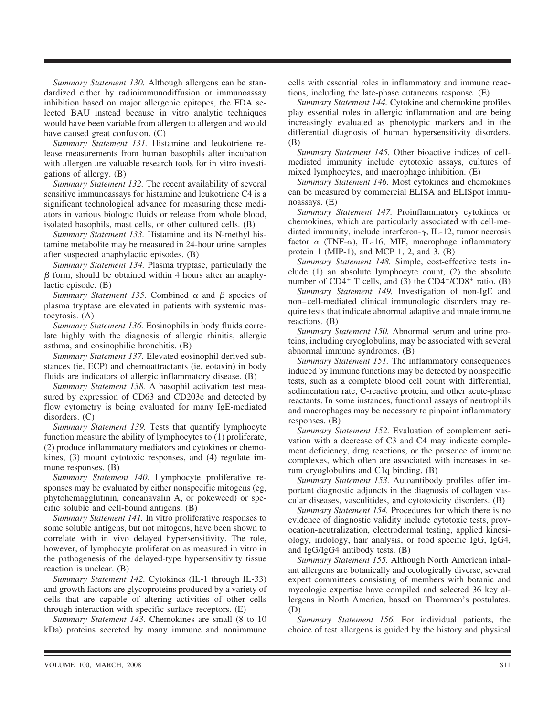*Summary Statement 130.* Although allergens can be standardized either by radioimmunodiffusion or immunoassay inhibition based on major allergenic epitopes, the FDA selected BAU instead because in vitro analytic techniques would have been variable from allergen to allergen and would have caused great confusion. (C)

*Summary Statement 131.* Histamine and leukotriene release measurements from human basophils after incubation with allergen are valuable research tools for in vitro investigations of allergy. (B)

*Summary Statement 132.* The recent availability of several sensitive immunoassays for histamine and leukotriene C4 is a significant technological advance for measuring these mediators in various biologic fluids or release from whole blood, isolated basophils, mast cells, or other cultured cells. (B)

*Summary Statement 133.* Histamine and its N-methyl histamine metabolite may be measured in 24-hour urine samples after suspected anaphylactic episodes. (B)

*Summary Statement 134.* Plasma tryptase, particularly the  $\beta$  form, should be obtained within 4 hours after an anaphylactic episode. (B)

*Summary Statement 135.* Combined  $\alpha$  and  $\beta$  species of plasma tryptase are elevated in patients with systemic mastocytosis. (A)

*Summary Statement 136.* Eosinophils in body fluids correlate highly with the diagnosis of allergic rhinitis, allergic asthma, and eosinophilic bronchitis. (B)

*Summary Statement 137.* Elevated eosinophil derived substances (ie, ECP) and chemoattractants (ie, eotaxin) in body fluids are indicators of allergic inflammatory disease. (B)

*Summary Statement 138.* A basophil activation test measured by expression of CD63 and CD203c and detected by flow cytometry is being evaluated for many IgE-mediated disorders. (C)

*Summary Statement 139.* Tests that quantify lymphocyte function measure the ability of lymphocytes to (1) proliferate, (2) produce inflammatory mediators and cytokines or chemokines, (3) mount cytotoxic responses, and (4) regulate immune responses. (B)

*Summary Statement 140.* Lymphocyte proliferative responses may be evaluated by either nonspecific mitogens (eg, phytohemagglutinin, concanavalin A, or pokeweed) or specific soluble and cell-bound antigens. (B)

*Summary Statement 141.* In vitro proliferative responses to some soluble antigens, but not mitogens, have been shown to correlate with in vivo delayed hypersensitivity. The role, however, of lymphocyte proliferation as measured in vitro in the pathogenesis of the delayed-type hypersensitivity tissue reaction is unclear. (B)

*Summary Statement 142.* Cytokines (IL-1 through IL-33) and growth factors are glycoproteins produced by a variety of cells that are capable of altering activities of other cells through interaction with specific surface receptors. (E)

*Summary Statement 143.* Chemokines are small (8 to 10 kDa) proteins secreted by many immune and nonimmune

cells with essential roles in inflammatory and immune reactions, including the late-phase cutaneous response. (E)

*Summary Statement 144.* Cytokine and chemokine profiles play essential roles in allergic inflammation and are being increasingly evaluated as phenotypic markers and in the differential diagnosis of human hypersensitivity disorders. (B)

*Summary Statement 145.* Other bioactive indices of cellmediated immunity include cytotoxic assays, cultures of mixed lymphocytes, and macrophage inhibition. (E)

*Summary Statement 146.* Most cytokines and chemokines can be measured by commercial ELISA and ELISpot immunoassays. (E)

*Summary Statement 147.* Proinflammatory cytokines or chemokines, which are particularly associated with cell-mediated immunity, include interferon- $\gamma$ , IL-12, tumor necrosis factor  $\alpha$  (TNF- $\alpha$ ), IL-16, MIF, macrophage inflammatory protein 1 (MIP-1), and MCP 1, 2, and 3. (B)

*Summary Statement 148.* Simple, cost-effective tests include (1) an absolute lymphocyte count, (2) the absolute number of  $CD4^+$  T cells, and (3) the  $CD4^+/CD8^+$  ratio. (B)

*Summary Statement 149.* Investigation of non-IgE and non– cell-mediated clinical immunologic disorders may require tests that indicate abnormal adaptive and innate immune reactions. (B)

*Summary Statement 150.* Abnormal serum and urine proteins, including cryoglobulins, may be associated with several abnormal immune syndromes. (B)

*Summary Statement 151.* The inflammatory consequences induced by immune functions may be detected by nonspecific tests, such as a complete blood cell count with differential, sedimentation rate, C-reactive protein, and other acute-phase reactants. In some instances, functional assays of neutrophils and macrophages may be necessary to pinpoint inflammatory responses. (B)

*Summary Statement 152.* Evaluation of complement activation with a decrease of C3 and C4 may indicate complement deficiency, drug reactions, or the presence of immune complexes, which often are associated with increases in serum cryoglobulins and C1q binding. (B)

*Summary Statement 153.* Autoantibody profiles offer important diagnostic adjuncts in the diagnosis of collagen vascular diseases, vasculitides, and cytotoxicity disorders. (B)

*Summary Statement 154.* Procedures for which there is no evidence of diagnostic validity include cytotoxic tests, provocation-neutralization, electrodermal testing, applied kinesiology, iridology, hair analysis, or food specific IgG, IgG4, and IgG/IgG4 antibody tests. (B)

*Summary Statement 155.* Although North American inhalant allergens are botanically and ecologically diverse, several expert committees consisting of members with botanic and mycologic expertise have compiled and selected 36 key allergens in North America, based on Thommen's postulates. (D)

*Summary Statement 156.* For individual patients, the choice of test allergens is guided by the history and physical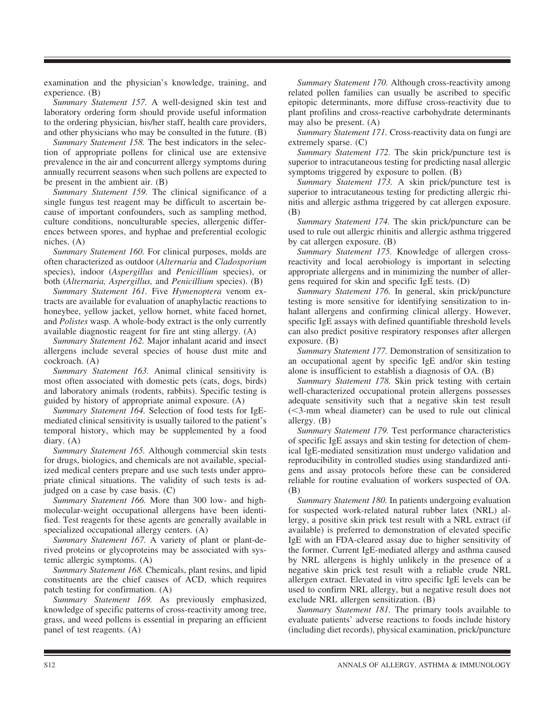examination and the physician's knowledge, training, and experience. (B)

*Summary Statement 157.* A well-designed skin test and laboratory ordering form should provide useful information to the ordering physician, his/her staff, health care providers, and other physicians who may be consulted in the future. (B)

*Summary Statement 158.* The best indicators in the selection of appropriate pollens for clinical use are extensive prevalence in the air and concurrent allergy symptoms during annually recurrent seasons when such pollens are expected to be present in the ambient air. (B)

*Summary Statement 159.* The clinical significance of a single fungus test reagent may be difficult to ascertain because of important confounders, such as sampling method, culture conditions, nonculturable species, allergenic differences between spores, and hyphae and preferential ecologic niches. (A)

*Summary Statement 160.* For clinical purposes, molds are often characterized as outdoor (*Alternaria* and *Cladosporium* species), indoor (*Aspergillus* and *Penicillium* species), or both (*Alternaria, Aspergillus,* and *Penicillium* species). (B)

*Summary Statement 161.* Five *Hymenoptera* venom extracts are available for evaluation of anaphylactic reactions to honeybee, yellow jacket, yellow hornet, white faced hornet, and *Polistes* wasp. A whole-body extract is the only currently available diagnostic reagent for fire ant sting allergy. (A)

*Summary Statement 162.* Major inhalant acarid and insect allergens include several species of house dust mite and cockroach. (A)

*Summary Statement 163.* Animal clinical sensitivity is most often associated with domestic pets (cats, dogs, birds) and laboratory animals (rodents, rabbits). Specific testing is guided by history of appropriate animal exposure. (A)

*Summary Statement 164.* Selection of food tests for IgEmediated clinical sensitivity is usually tailored to the patient's temporal history, which may be supplemented by a food diary. (A)

*Summary Statement 165.* Although commercial skin tests for drugs, biologics, and chemicals are not available, specialized medical centers prepare and use such tests under appropriate clinical situations. The validity of such tests is adjudged on a case by case basis. (C)

*Summary Statement 166.* More than 300 low- and highmolecular-weight occupational allergens have been identified. Test reagents for these agents are generally available in specialized occupational allergy centers. (A)

*Summary Statement 167.* A variety of plant or plant-derived proteins or glycoproteins may be associated with systemic allergic symptoms. (A)

*Summary Statement 168.* Chemicals, plant resins, and lipid constituents are the chief causes of ACD, which requires patch testing for confirmation. (A)

*Summary Statement 169.* As previously emphasized, knowledge of specific patterns of cross-reactivity among tree, grass, and weed pollens is essential in preparing an efficient panel of test reagents. (A)

*Summary Statement 170.* Although cross-reactivity among related pollen families can usually be ascribed to specific epitopic determinants, more diffuse cross-reactivity due to plant profilins and cross-reactive carbohydrate determinants may also be present. (A)

*Summary Statement 171.* Cross-reactivity data on fungi are extremely sparse. (C)

*Summary Statement 172.* The skin prick/puncture test is superior to intracutaneous testing for predicting nasal allergic symptoms triggered by exposure to pollen. (B)

*Summary Statement 173.* A skin prick/puncture test is superior to intracutaneous testing for predicting allergic rhinitis and allergic asthma triggered by cat allergen exposure. (B)

*Summary Statement 174.* The skin prick/puncture can be used to rule out allergic rhinitis and allergic asthma triggered by cat allergen exposure. (B)

*Summary Statement 175.* Knowledge of allergen crossreactivity and local aerobiology is important in selecting appropriate allergens and in minimizing the number of allergens required for skin and specific IgE tests. (D)

*Summary Statement 176.* In general, skin prick/puncture testing is more sensitive for identifying sensitization to inhalant allergens and confirming clinical allergy. However, specific IgE assays with defined quantifiable threshold levels can also predict positive respiratory responses after allergen exposure. (B)

*Summary Statement 177.* Demonstration of sensitization to an occupational agent by specific IgE and/or skin testing alone is insufficient to establish a diagnosis of OA. (B)

*Summary Statement 178.* Skin prick testing with certain well-characterized occupational protein allergens possesses adequate sensitivity such that a negative skin test result (<3-mm wheal diameter) can be used to rule out clinical allergy. (B)

*Summary Statement 179.* Test performance characteristics of specific IgE assays and skin testing for detection of chemical IgE-mediated sensitization must undergo validation and reproducibility in controlled studies using standardized antigens and assay protocols before these can be considered reliable for routine evaluation of workers suspected of OA. (B)

*Summary Statement 180.* In patients undergoing evaluation for suspected work-related natural rubber latex (NRL) allergy, a positive skin prick test result with a NRL extract (if available) is preferred to demonstration of elevated specific IgE with an FDA-cleared assay due to higher sensitivity of the former. Current IgE-mediated allergy and asthma caused by NRL allergens is highly unlikely in the presence of a negative skin prick test result with a reliable crude NRL allergen extract. Elevated in vitro specific IgE levels can be used to confirm NRL allergy, but a negative result does not exclude NRL allergen sensitization. (B)

*Summary Statement 181.* The primary tools available to evaluate patients' adverse reactions to foods include history (including diet records), physical examination, prick/puncture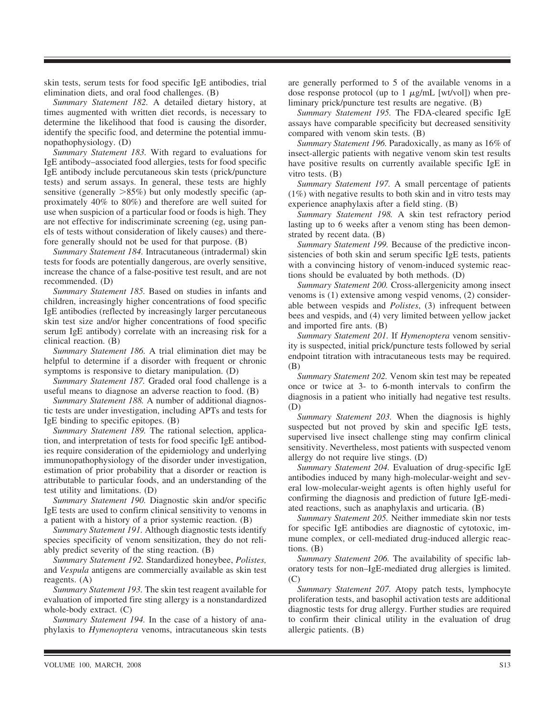skin tests, serum tests for food specific IgE antibodies, trial elimination diets, and oral food challenges. (B)

*Summary Statement 182.* A detailed dietary history, at times augmented with written diet records, is necessary to determine the likelihood that food is causing the disorder, identify the specific food, and determine the potential immunopathophysiology. (D)

*Summary Statement 183.* With regard to evaluations for IgE antibody–associated food allergies, tests for food specific IgE antibody include percutaneous skin tests (prick/puncture tests) and serum assays. In general, these tests are highly sensitive (generally  $>85\%$ ) but only modestly specific (approximately 40% to 80%) and therefore are well suited for use when suspicion of a particular food or foods is high. They are not effective for indiscriminate screening (eg, using panels of tests without consideration of likely causes) and therefore generally should not be used for that purpose. (B)

*Summary Statement 184.* Intracutaneous (intradermal) skin tests for foods are potentially dangerous, are overly sensitive, increase the chance of a false-positive test result, and are not recommended. (D)

*Summary Statement 185.* Based on studies in infants and children, increasingly higher concentrations of food specific IgE antibodies (reflected by increasingly larger percutaneous skin test size and/or higher concentrations of food specific serum IgE antibody) correlate with an increasing risk for a clinical reaction. (B)

*Summary Statement 186.* A trial elimination diet may be helpful to determine if a disorder with frequent or chronic symptoms is responsive to dietary manipulation. (D)

*Summary Statement 187.* Graded oral food challenge is a useful means to diagnose an adverse reaction to food. (B)

*Summary Statement 188.* A number of additional diagnostic tests are under investigation, including APTs and tests for IgE binding to specific epitopes. (B)

*Summary Statement 189.* The rational selection, application, and interpretation of tests for food specific IgE antibodies require consideration of the epidemiology and underlying immunopathophysiology of the disorder under investigation, estimation of prior probability that a disorder or reaction is attributable to particular foods, and an understanding of the test utility and limitations. (D)

*Summary Statement 190.* Diagnostic skin and/or specific IgE tests are used to confirm clinical sensitivity to venoms in a patient with a history of a prior systemic reaction. (B)

*Summary Statement 191.* Although diagnostic tests identify species specificity of venom sensitization, they do not reliably predict severity of the sting reaction. (B)

*Summary Statement 192.* Standardized honeybee, *Polistes,* and *Vespula* antigens are commercially available as skin test reagents. (A)

*Summary Statement 193.* The skin test reagent available for evaluation of imported fire sting allergy is a nonstandardized whole-body extract. (C)

*Summary Statement 194.* In the case of a history of anaphylaxis to *Hymenoptera* venoms, intracutaneous skin tests are generally performed to 5 of the available venoms in a dose response protocol (up to 1  $\mu$ g/mL [wt/vol]) when preliminary prick/puncture test results are negative. (B)

*Summary Statement 195.* The FDA-cleared specific IgE assays have comparable specificity but decreased sensitivity compared with venom skin tests. (B)

*Summary Statement 196.* Paradoxically, as many as 16% of insect-allergic patients with negative venom skin test results have positive results on currently available specific IgE in vitro tests. (B)

*Summary Statement 197.* A small percentage of patients (1%) with negative results to both skin and in vitro tests may experience anaphylaxis after a field sting. (B)

*Summary Statement 198.* A skin test refractory period lasting up to 6 weeks after a venom sting has been demonstrated by recent data. (B)

*Summary Statement 199.* Because of the predictive inconsistencies of both skin and serum specific IgE tests, patients with a convincing history of venom-induced systemic reactions should be evaluated by both methods. (D)

*Summary Statement 200.* Cross-allergenicity among insect venoms is (1) extensive among vespid venoms, (2) considerable between vespids and *Polistes*, (3) infrequent between bees and vespids, and (4) very limited between yellow jacket and imported fire ants. (B)

*Summary Statement 201.* If *Hymenoptera* venom sensitivity is suspected, initial prick/puncture tests followed by serial endpoint titration with intracutaneous tests may be required. (B)

*Summary Statement 202.* Venom skin test may be repeated once or twice at 3- to 6-month intervals to confirm the diagnosis in a patient who initially had negative test results. (D)

*Summary Statement 203.* When the diagnosis is highly suspected but not proved by skin and specific IgE tests, supervised live insect challenge sting may confirm clinical sensitivity. Nevertheless, most patients with suspected venom allergy do not require live stings. (D)

*Summary Statement 204.* Evaluation of drug-specific IgE antibodies induced by many high-molecular-weight and several low-molecular-weight agents is often highly useful for confirming the diagnosis and prediction of future IgE-mediated reactions, such as anaphylaxis and urticaria. (B)

*Summary Statement 205.* Neither immediate skin nor tests for specific IgE antibodies are diagnostic of cytotoxic, immune complex, or cell-mediated drug-induced allergic reactions. (B)

*Summary Statement 206.* The availability of specific laboratory tests for non–IgE-mediated drug allergies is limited. (C)

*Summary Statement 207.* Atopy patch tests, lymphocyte proliferation tests, and basophil activation tests are additional diagnostic tests for drug allergy. Further studies are required to confirm their clinical utility in the evaluation of drug allergic patients. (B)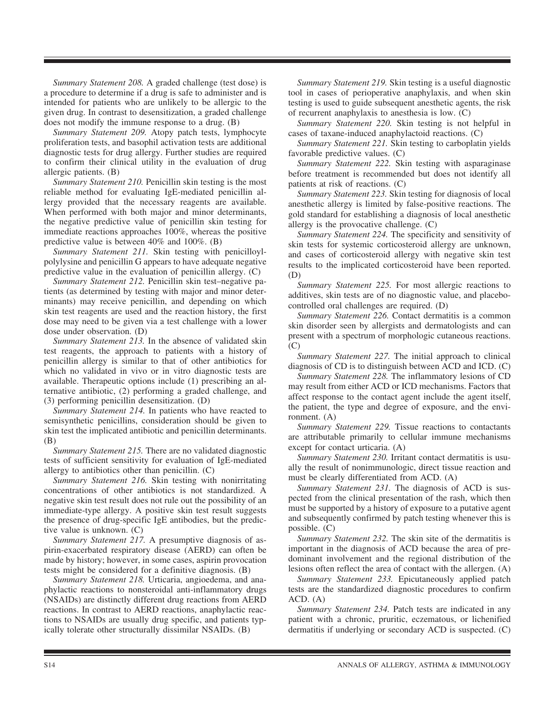*Summary Statement 208.* A graded challenge (test dose) is a procedure to determine if a drug is safe to administer and is intended for patients who are unlikely to be allergic to the given drug. In contrast to desensitization, a graded challenge does not modify the immune response to a drug. (B)

*Summary Statement 209.* Atopy patch tests, lymphocyte proliferation tests, and basophil activation tests are additional diagnostic tests for drug allergy. Further studies are required to confirm their clinical utility in the evaluation of drug allergic patients. (B)

*Summary Statement 210.* Penicillin skin testing is the most reliable method for evaluating IgE-mediated penicillin allergy provided that the necessary reagents are available. When performed with both major and minor determinants, the negative predictive value of penicillin skin testing for immediate reactions approaches 100%, whereas the positive predictive value is between 40% and 100%. (B)

*Summary Statement 211.* Skin testing with penicilloylpolylysine and penicillin G appears to have adequate negative predictive value in the evaluation of penicillin allergy. (C)

*Summary Statement 212.* Penicillin skin test–negative patients (as determined by testing with major and minor determinants) may receive penicillin, and depending on which skin test reagents are used and the reaction history, the first dose may need to be given via a test challenge with a lower dose under observation. (D)

*Summary Statement 213.* In the absence of validated skin test reagents, the approach to patients with a history of penicillin allergy is similar to that of other antibiotics for which no validated in vivo or in vitro diagnostic tests are available. Therapeutic options include (1) prescribing an alternative antibiotic, (2) performing a graded challenge, and (3) performing penicillin desensitization. (D)

*Summary Statement 214.* In patients who have reacted to semisynthetic penicillins, consideration should be given to skin test the implicated antibiotic and penicillin determinants. (B)

*Summary Statement 215.* There are no validated diagnostic tests of sufficient sensitivity for evaluation of IgE-mediated allergy to antibiotics other than penicillin. (C)

*Summary Statement 216.* Skin testing with nonirritating concentrations of other antibiotics is not standardized. A negative skin test result does not rule out the possibility of an immediate-type allergy. A positive skin test result suggests the presence of drug-specific IgE antibodies, but the predictive value is unknown. (C)

*Summary Statement 217.* A presumptive diagnosis of aspirin-exacerbated respiratory disease (AERD) can often be made by history; however, in some cases, aspirin provocation tests might be considered for a definitive diagnosis. (B)

*Summary Statement 218.* Urticaria, angioedema, and anaphylactic reactions to nonsteroidal anti-inflammatory drugs (NSAIDs) are distinctly different drug reactions from AERD reactions. In contrast to AERD reactions, anaphylactic reactions to NSAIDs are usually drug specific, and patients typically tolerate other structurally dissimilar NSAIDs. (B)

*Summary Statement 219.* Skin testing is a useful diagnostic tool in cases of perioperative anaphylaxis, and when skin testing is used to guide subsequent anesthetic agents, the risk of recurrent anaphylaxis to anesthesia is low. (C)

*Summary Statement 220.* Skin testing is not helpful in cases of taxane-induced anaphylactoid reactions. (C)

*Summary Statement 221.* Skin testing to carboplatin yields favorable predictive values. (C)

*Summary Statement 222.* Skin testing with asparaginase before treatment is recommended but does not identify all patients at risk of reactions. (C)

*Summary Statement 223.* Skin testing for diagnosis of local anesthetic allergy is limited by false-positive reactions. The gold standard for establishing a diagnosis of local anesthetic allergy is the provocative challenge. (C)

*Summary Statement 224.* The specificity and sensitivity of skin tests for systemic corticosteroid allergy are unknown, and cases of corticosteroid allergy with negative skin test results to the implicated corticosteroid have been reported. (D)

*Summary Statement 225.* For most allergic reactions to additives, skin tests are of no diagnostic value, and placebocontrolled oral challenges are required. (D)

*Summary Statement 226.* Contact dermatitis is a common skin disorder seen by allergists and dermatologists and can present with a spectrum of morphologic cutaneous reactions. (C)

*Summary Statement 227.* The initial approach to clinical diagnosis of CD is to distinguish between ACD and ICD. (C)

*Summary Statement 228.* The inflammatory lesions of CD may result from either ACD or ICD mechanisms. Factors that affect response to the contact agent include the agent itself, the patient, the type and degree of exposure, and the environment. (A)

*Summary Statement 229.* Tissue reactions to contactants are attributable primarily to cellular immune mechanisms except for contact urticaria. (A)

*Summary Statement 230.* Irritant contact dermatitis is usually the result of nonimmunologic, direct tissue reaction and must be clearly differentiated from ACD. (A)

*Summary Statement 231.* The diagnosis of ACD is suspected from the clinical presentation of the rash, which then must be supported by a history of exposure to a putative agent and subsequently confirmed by patch testing whenever this is possible. (C)

*Summary Statement 232.* The skin site of the dermatitis is important in the diagnosis of ACD because the area of predominant involvement and the regional distribution of the lesions often reflect the area of contact with the allergen. (A)

*Summary Statement 233.* Epicutaneously applied patch tests are the standardized diagnostic procedures to confirm  $ACD. (A)$ 

*Summary Statement 234.* Patch tests are indicated in any patient with a chronic, pruritic, eczematous, or lichenified dermatitis if underlying or secondary ACD is suspected. (C)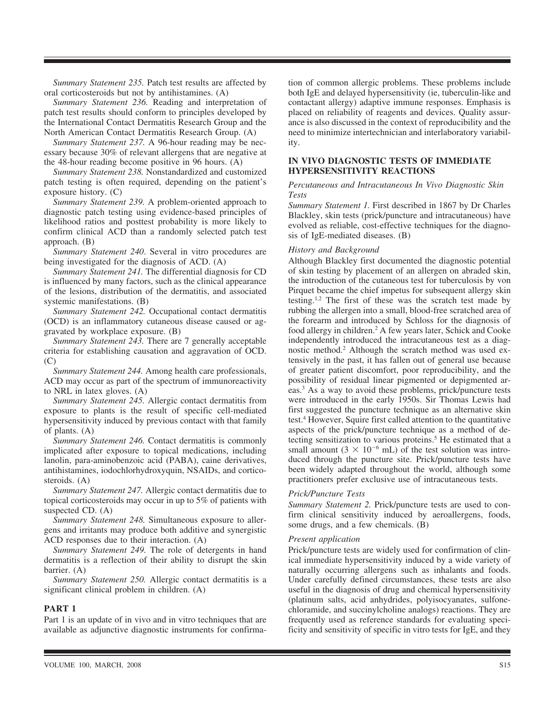*Summary Statement 235.* Patch test results are affected by oral corticosteroids but not by antihistamines. (A)

*Summary Statement 236.* Reading and interpretation of patch test results should conform to principles developed by the International Contact Dermatitis Research Group and the North American Contact Dermatitis Research Group. (A)

*Summary Statement 237.* A 96-hour reading may be necessary because 30% of relevant allergens that are negative at the 48-hour reading become positive in 96 hours. (A)

*Summary Statement 238.* Nonstandardized and customized patch testing is often required, depending on the patient's exposure history. (C)

*Summary Statement 239.* A problem-oriented approach to diagnostic patch testing using evidence-based principles of likelihood ratios and posttest probability is more likely to confirm clinical ACD than a randomly selected patch test approach. (B)

*Summary Statement 240*. Several in vitro procedures are being investigated for the diagnosis of ACD. (A)

*Summary Statement 241.* The differential diagnosis for CD is influenced by many factors, such as the clinical appearance of the lesions, distribution of the dermatitis, and associated systemic manifestations. (B)

*Summary Statement 242.* Occupational contact dermatitis (OCD) is an inflammatory cutaneous disease caused or aggravated by workplace exposure. (B)

*Summary Statement 243.* There are 7 generally acceptable criteria for establishing causation and aggravation of OCD.  $(C)$ 

*Summary Statement 244.* Among health care professionals, ACD may occur as part of the spectrum of immunoreactivity to NRL in latex gloves. (A)

*Summary Statement 245.* Allergic contact dermatitis from exposure to plants is the result of specific cell-mediated hypersensitivity induced by previous contact with that family of plants. (A)

*Summary Statement 246.* Contact dermatitis is commonly implicated after exposure to topical medications, including lanolin, para-aminobenzoic acid (PABA), caine derivatives, antihistamines, iodochlorhydroxyquin, NSAIDs, and corticosteroids. (A)

*Summary Statement 247.* Allergic contact dermatitis due to topical corticosteroids may occur in up to 5% of patients with suspected CD. (A)

*Summary Statement 248.* Simultaneous exposure to allergens and irritants may produce both additive and synergistic ACD responses due to their interaction. (A)

*Summary Statement 249.* The role of detergents in hand dermatitis is a reflection of their ability to disrupt the skin barrier. (A)

*Summary Statement 250.* Allergic contact dermatitis is a significant clinical problem in children. (A)

#### **PART 1**

Part 1 is an update of in vivo and in vitro techniques that are available as adjunctive diagnostic instruments for confirmation of common allergic problems. These problems include both IgE and delayed hypersensitivity (ie, tuberculin-like and contactant allergy) adaptive immune responses. Emphasis is placed on reliability of reagents and devices. Quality assurance is also discussed in the context of reproducibility and the need to minimize intertechnician and interlaboratory variability.

# **IN VIVO DIAGNOSTIC TESTS OF IMMEDIATE HYPERSENSITIVITY REACTIONS**

#### *Percutaneous and Intracutaneous In Vivo Diagnostic Skin Tests*

*Summary Statement 1.* First described in 1867 by Dr Charles Blackley, skin tests (prick/puncture and intracutaneous) have evolved as reliable, cost-effective techniques for the diagnosis of IgE-mediated diseases. (B)

#### *History and Background*

Although Blackley first documented the diagnostic potential of skin testing by placement of an allergen on abraded skin, the introduction of the cutaneous test for tuberculosis by von Pirquet became the chief impetus for subsequent allergy skin testing.1,2 The first of these was the scratch test made by rubbing the allergen into a small, blood-free scratched area of the forearm and introduced by Schloss for the diagnosis of food allergy in children.2 A few years later, Schick and Cooke independently introduced the intracutaneous test as a diagnostic method.2 Although the scratch method was used extensively in the past, it has fallen out of general use because of greater patient discomfort, poor reproducibility, and the possibility of residual linear pigmented or depigmented areas.3 As a way to avoid these problems, prick/puncture tests were introduced in the early 1950s. Sir Thomas Lewis had first suggested the puncture technique as an alternative skin test.4 However, Squire first called attention to the quantitative aspects of the prick/puncture technique as a method of detecting sensitization to various proteins.<sup>5</sup> He estimated that a small amount  $(3 \times 10^{-6} \text{ mL})$  of the test solution was introduced through the puncture site. Prick/puncture tests have been widely adapted throughout the world, although some practitioners prefer exclusive use of intracutaneous tests.

#### *Prick/Puncture Tests*

*Summary Statement 2.* Prick/puncture tests are used to confirm clinical sensitivity induced by aeroallergens, foods, some drugs, and a few chemicals. (B)

#### *Present application*

Prick/puncture tests are widely used for confirmation of clinical immediate hypersensitivity induced by a wide variety of naturally occurring allergens such as inhalants and foods. Under carefully defined circumstances, these tests are also useful in the diagnosis of drug and chemical hypersensitivity (platinum salts, acid anhydrides, polyisocyanates, sulfonechloramide, and succinylcholine analogs) reactions. They are frequently used as reference standards for evaluating specificity and sensitivity of specific in vitro tests for IgE, and they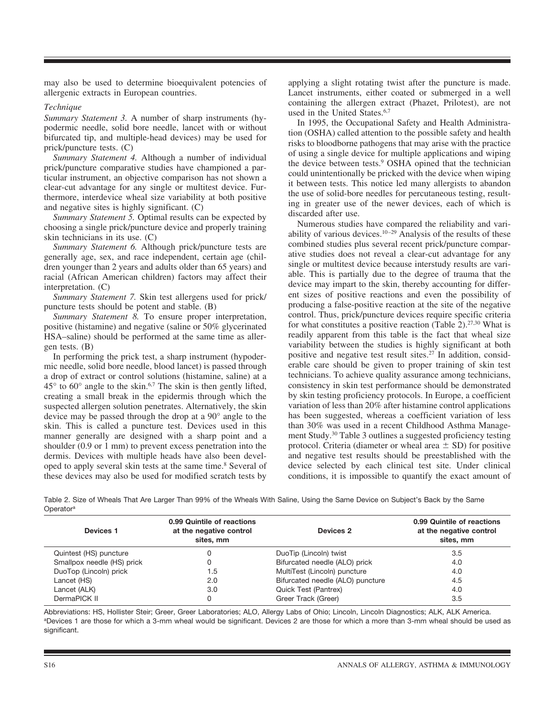may also be used to determine bioequivalent potencies of allergenic extracts in European countries.

#### *Technique*

*Summary Statement 3.* A number of sharp instruments (hypodermic needle, solid bore needle, lancet with or without bifurcated tip, and multiple-head devices) may be used for prick/puncture tests. (C)

*Summary Statement 4.* Although a number of individual prick/puncture comparative studies have championed a particular instrument, an objective comparison has not shown a clear-cut advantage for any single or multitest device. Furthermore, interdevice wheal size variability at both positive and negative sites is highly significant. (C)

*Summary Statement 5.* Optimal results can be expected by choosing a single prick/puncture device and properly training skin technicians in its use. (C)

*Summary Statement 6.* Although prick/puncture tests are generally age, sex, and race independent, certain age (children younger than 2 years and adults older than 65 years) and racial (African American children) factors may affect their interpretation. (C)

*Summary Statement 7.* Skin test allergens used for prick/ puncture tests should be potent and stable. (B)

*Summary Statement 8.* To ensure proper interpretation, positive (histamine) and negative (saline or 50% glycerinated HSA–saline) should be performed at the same time as allergen tests. (B)

In performing the prick test, a sharp instrument (hypodermic needle, solid bore needle, blood lancet) is passed through a drop of extract or control solutions (histamine, saline) at a  $45^{\circ}$  to  $60^{\circ}$  angle to the skin.<sup>6,7</sup> The skin is then gently lifted, creating a small break in the epidermis through which the suspected allergen solution penetrates. Alternatively, the skin device may be passed through the drop at a 90° angle to the skin. This is called a puncture test. Devices used in this manner generally are designed with a sharp point and a shoulder (0.9 or 1 mm) to prevent excess penetration into the dermis. Devices with multiple heads have also been developed to apply several skin tests at the same time.<sup>8</sup> Several of these devices may also be used for modified scratch tests by

applying a slight rotating twist after the puncture is made. Lancet instruments, either coated or submerged in a well containing the allergen extract (Phazet, Prilotest), are not used in the United States.<sup>6,7</sup>

In 1995, the Occupational Safety and Health Administration (OSHA) called attention to the possible safety and health risks to bloodborne pathogens that may arise with the practice of using a single device for multiple applications and wiping the device between tests.<sup>9</sup> OSHA opined that the technician could unintentionally be pricked with the device when wiping it between tests. This notice led many allergists to abandon the use of solid-bore needles for percutaneous testing, resulting in greater use of the newer devices, each of which is discarded after use.

Numerous studies have compared the reliability and variability of various devices.<sup>10-29</sup> Analysis of the results of these combined studies plus several recent prick/puncture comparative studies does not reveal a clear-cut advantage for any single or multitest device because interstudy results are variable. This is partially due to the degree of trauma that the device may impart to the skin, thereby accounting for different sizes of positive reactions and even the possibility of producing a false-positive reaction at the site of the negative control. Thus, prick/puncture devices require specific criteria for what constitutes a positive reaction (Table 2).<sup>27,30</sup> What is readily apparent from this table is the fact that wheal size variability between the studies is highly significant at both positive and negative test result sites.27 In addition, considerable care should be given to proper training of skin test technicians. To achieve quality assurance among technicians, consistency in skin test performance should be demonstrated by skin testing proficiency protocols. In Europe, a coefficient variation of less than 20% after histamine control applications has been suggested, whereas a coefficient variation of less than 30% was used in a recent Childhood Asthma Management Study.30 Table 3 outlines a suggested proficiency testing protocol. Criteria (diameter or wheal area  $\pm$  SD) for positive and negative test results should be preestablished with the device selected by each clinical test site. Under clinical conditions, it is impossible to quantify the exact amount of

Table 2. Size of Wheals That Are Larger Than 99% of the Wheals With Saline, Using the Same Device on Subject's Back by the Same Operatora

| Devices 1                  | 0.99 Quintile of reactions<br>at the negative control<br>sites, mm | <b>Devices 2</b>                 | 0.99 Quintile of reactions<br>at the negative control<br>sites, mm |
|----------------------------|--------------------------------------------------------------------|----------------------------------|--------------------------------------------------------------------|
| Quintest (HS) puncture     | U                                                                  | DuoTip (Lincoln) twist           | 3.5                                                                |
| Smallpox needle (HS) prick | 0                                                                  | Bifurcated needle (ALO) prick    | 4.0                                                                |
| DuoTop (Lincoln) prick     | 1.5                                                                | MultiTest (Lincoln) puncture     | 4.0                                                                |
| Lancet (HS)                | 2.0                                                                | Bifurcated needle (ALO) puncture | 4.5                                                                |
| Lancet (ALK)               | 3.0                                                                | Quick Test (Pantrex)             | 4.0                                                                |
| DermaPICK II               | 0                                                                  | Greer Track (Greer)              | 3.5                                                                |

Abbreviations: HS, Hollister Steir; Greer, Greer Laboratories; ALO, Allergy Labs of Ohio; Lincoln, Lincoln Diagnostics; ALK, ALK America. aDevices 1 are those for which a 3-mm wheal would be significant. Devices 2 are those for which a more than 3-mm wheal should be used as significant.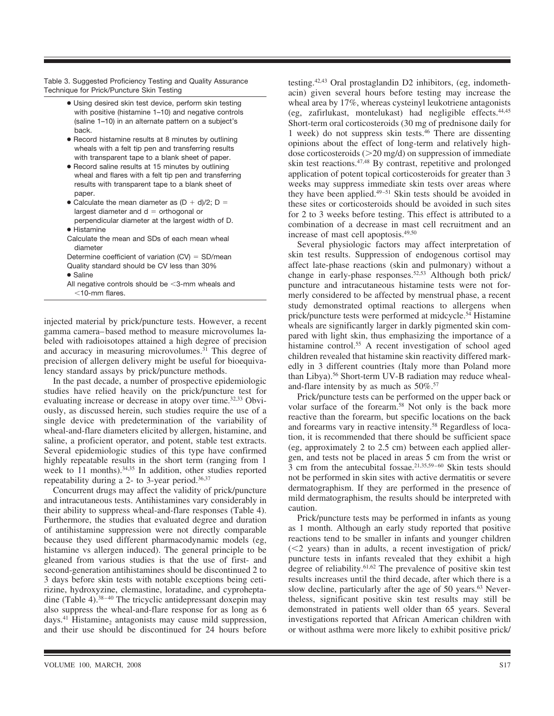Table 3. Suggested Proficiency Testing and Quality Assurance Technique for Prick/Puncture Skin Testing

- Using desired skin test device, perform skin testing with positive (histamine 1–10) and negative controls (saline 1–10) in an alternate pattern on a subject's back.
- Record histamine results at 8 minutes by outlining wheals with a felt tip pen and transferring results with transparent tape to a blank sheet of paper.
- Record saline results at 15 minutes by outlining wheal and flares with a felt tip pen and transferring results with transparent tape to a blank sheet of paper.
- Calculate the mean diameter as  $(D + d)/2$ ; D = largest diameter and  $d =$  orthogonal or perpendicular diameter at the largest width of D.
- Histamine
- Calculate the mean and SDs of each mean wheal diameter

Determine coefficient of variation  $(CV) = SD/mean$ Quality standard should be CV less than 30% ● Saline

All negative controls should be  $<$ 3-mm wheals and -10-mm flares.

injected material by prick/puncture tests. However, a recent gamma camera– based method to measure microvolumes labeled with radioisotopes attained a high degree of precision and accuracy in measuring microvolumes.<sup>31</sup> This degree of precision of allergen delivery might be useful for bioequivalency standard assays by prick/puncture methods.

In the past decade, a number of prospective epidemiologic studies have relied heavily on the prick/puncture test for evaluating increase or decrease in atopy over time.<sup>32,33</sup> Obviously, as discussed herein, such studies require the use of a single device with predetermination of the variability of wheal-and-flare diameters elicited by allergen, histamine, and saline, a proficient operator, and potent, stable test extracts. Several epidemiologic studies of this type have confirmed highly repeatable results in the short term (ranging from 1) week to 11 months).34,35 In addition, other studies reported repeatability during a 2- to 3-year period.36,37

Concurrent drugs may affect the validity of prick/puncture and intracutaneous tests. Antihistamines vary considerably in their ability to suppress wheal-and-flare responses (Table 4). Furthermore, the studies that evaluated degree and duration of antihistamine suppression were not directly comparable because they used different pharmacodynamic models (eg, histamine vs allergen induced). The general principle to be gleaned from various studies is that the use of first- and second-generation antihistamines should be discontinued 2 to 3 days before skin tests with notable exceptions being cetirizine, hydroxyzine, clemastine, loratadine, and cyproheptadine (Table 4). $38-40$  The tricyclic antidepressant doxepin may also suppress the wheal-and-flare response for as long as 6 days.<sup>41</sup> Histamine, antagonists may cause mild suppression, and their use should be discontinued for 24 hours before testing.42,43 Oral prostaglandin D2 inhibitors, (eg, indomethacin) given several hours before testing may increase the wheal area by 17%, whereas cysteinyl leukotriene antagonists (eg, zafirlukast, montelukast) had negligible effects.44,45 Short-term oral corticosteroids (30 mg of prednisone daily for 1 week) do not suppress skin tests.46 There are dissenting opinions about the effect of long-term and relatively highdose corticosteroids  $(>20 \text{ mg/d})$  on suppression of immediate skin test reactions.47,48 By contrast, repetitive and prolonged application of potent topical corticosteroids for greater than 3 weeks may suppress immediate skin tests over areas where they have been applied. $49-51$  Skin tests should be avoided in these sites or corticosteroids should be avoided in such sites for 2 to 3 weeks before testing. This effect is attributed to a combination of a decrease in mast cell recruitment and an increase of mast cell apoptosis.49,50

Several physiologic factors may affect interpretation of skin test results. Suppression of endogenous cortisol may affect late-phase reactions (skin and pulmonary) without a change in early-phase responses.52,53 Although both prick/ puncture and intracutaneous histamine tests were not formerly considered to be affected by menstrual phase, a recent study demonstrated optimal reactions to allergens when prick/puncture tests were performed at midcycle.54 Histamine wheals are significantly larger in darkly pigmented skin compared with light skin, thus emphasizing the importance of a histamine control.<sup>55</sup> A recent investigation of school aged children revealed that histamine skin reactivity differed markedly in 3 different countries (Italy more than Poland more than Libya).56 Short-term UV-B radiation may reduce whealand-flare intensity by as much as  $50\%$ .<sup>57</sup>

Prick/puncture tests can be performed on the upper back or volar surface of the forearm.<sup>58</sup> Not only is the back more reactive than the forearm, but specific locations on the back and forearms vary in reactive intensity.58 Regardless of location, it is recommended that there should be sufficient space (eg, approximately 2 to 2.5 cm) between each applied allergen, and tests not be placed in areas 5 cm from the wrist or  $\overline{3}$  cm from the antecubital fossae.<sup>21,35,59-60</sup> Skin tests should not be performed in skin sites with active dermatitis or severe dermatographism. If they are performed in the presence of mild dermatographism, the results should be interpreted with caution.

Prick/puncture tests may be performed in infants as young as 1 month. Although an early study reported that positive reactions tend to be smaller in infants and younger children (-2 years) than in adults, a recent investigation of prick/ puncture tests in infants revealed that they exhibit a high degree of reliability.<sup>61,62</sup> The prevalence of positive skin test results increases until the third decade, after which there is a slow decline, particularly after the age of 50 years.<sup>63</sup> Nevertheless, significant positive skin test results may still be demonstrated in patients well older than 65 years. Several investigations reported that African American children with or without asthma were more likely to exhibit positive prick/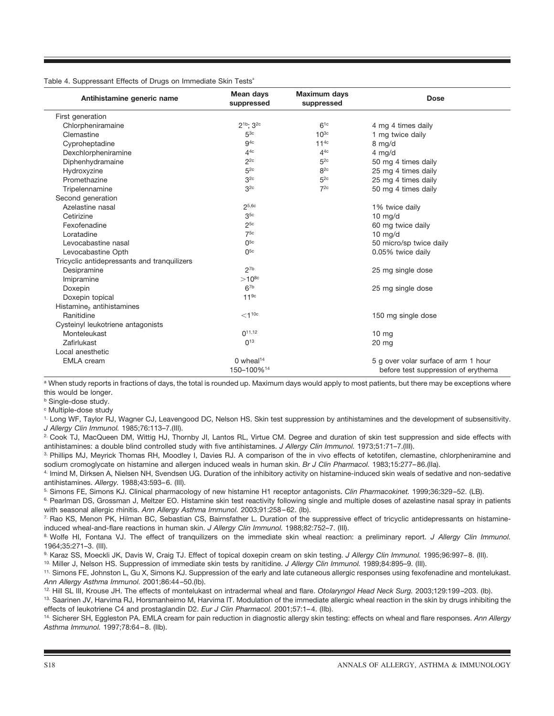Table 4. Suppressant Effects of Drugs on Immediate Skin Tests<sup>a</sup>

| Antihistamine generic name                  | Mean days<br>suppressed           | Maximum days<br>suppressed | <b>Dose</b>                          |  |
|---------------------------------------------|-----------------------------------|----------------------------|--------------------------------------|--|
| First generation                            |                                   |                            |                                      |  |
| Chlorpheniramaine                           | 2 <sup>1b</sup> : 3 <sup>2c</sup> | $6^{1c}$                   | 4 mg 4 times daily                   |  |
| Clemastine                                  | $5^{3c}$                          | $10^{3c}$                  | 1 mg twice daily                     |  |
| Cyproheptadine                              | 94c                               | $11^{4c}$                  | 8 mg/d                               |  |
| Dexchlorpheniramine                         | 44c                               | 44c                        | $4$ mg/d                             |  |
| Diphenhydramaine                            | 22c                               | 5 <sup>2</sup> c           | 50 mg 4 times daily                  |  |
| Hydroxyzine                                 | 52c                               | $82$ c                     | 25 mg 4 times daily                  |  |
| Promethazine                                | 3 <sup>2c</sup>                   | 52c                        | 25 mg 4 times daily                  |  |
| Tripelennamine                              | 3 <sup>2c</sup>                   | 72c                        | 50 mg 4 times daily                  |  |
| Second generation                           |                                   |                            |                                      |  |
| Azelastine nasal                            | 25,6c                             |                            | 1% twice daily                       |  |
| Cetirizine                                  | 3 <sup>5c</sup>                   |                            | $10$ mg/d                            |  |
| Fexofenadine                                | 25c                               |                            | 60 mg twice daily                    |  |
| Loratadine                                  | 75c                               |                            | $10 \text{ mg/d}$                    |  |
| Levocabastine nasal                         | $0^{5c}$                          |                            | 50 micro/sp twice daily              |  |
| Levocabastine Opth                          | $0^{5c}$                          |                            | 0.05% twice daily                    |  |
| Tricyclic antidepressants and tranquilizers |                                   |                            |                                      |  |
| Desipramine                                 | $2^{7b}$                          |                            | 25 mg single dose                    |  |
| Imipramine                                  | $>10^{8c}$                        |                            |                                      |  |
| Doxepin                                     | 67 <sub>b</sub>                   |                            | 25 mg single dose                    |  |
| Doxepin topical                             | $11^{9c}$                         |                            |                                      |  |
| Histamine, antihistamines                   |                                   |                            |                                      |  |
| Ranitidine                                  | $<$ 110c                          |                            | 150 mg single dose                   |  |
| Cysteinyl leukotriene antagonists           |                                   |                            |                                      |  |
| Monteleukast                                | $0^{11,12}$                       |                            | $10 \text{ mg}$                      |  |
| Zafirlukast                                 | 0 <sup>13</sup>                   |                            | 20 <sub>mg</sub>                     |  |
| Local anesthetic                            |                                   |                            |                                      |  |
| <b>EMLA</b> cream                           | $0$ wheal <sup>14</sup>           |                            | 5 g over volar surface of arm 1 hour |  |
|                                             | 150-100%14                        |                            | before test suppression of erythema  |  |

a When study reports in fractions of days, the total is rounded up. Maximum days would apply to most patients, but there may be exceptions where this would be longer.

**b** Single-dose study.

<sup>c</sup> Multiple-dose study

1. Long WF, Taylor RJ, Wagner CJ, Leavengood DC, Nelson HS. Skin test suppression by antihistamines and the development of subsensitivity. *J Allergy Clin Immunol.* 1985;76:113–7.(III).

2. Cook TJ, MacQueen DM, Wittig HJ, Thornby JI, Lantos RL, Virtue CM. Degree and duration of skin test suppression and side effects with antihistamines: a double blind controlled study with five antihistamines. *J Allergy Clin Immunol.* 1973;51:71–7.(III).

3. Phillips MJ, Meyrick Thomas RH, Moodley I, Davies RJ. A comparison of the in vivo effects of ketotifen, clemastine, chlorpheniramine and sodium cromoglycate on histamine and allergen induced weals in human skin. *Br J Clin Pharmacol.* 1983;15:277– 86.(IIa).

4. lmind M, Dirksen A, Nielsen NH, Svendsen UG. Duration of the inhibitory activity on histamine-induced skin weals of sedative and non-sedative antihistamines. *Allergy.* 1988;43:593– 6. (III).

5. Simons FE, Simons KJ. Clinical pharmacology of new histamine H1 receptor antagonists. *Clin Pharmacokinet.* 1999;36:329 –52. (LB).

<sup>6.</sup> Pearlman DS, Grossman J, Meltzer EO. Histamine skin test reactivity following single and multiple doses of azelastine nasal spray in patients with seasonal allergic rhinitis. Ann Allergy Asthma Immunol. 2003;91:258-62. (Ib).

7. Rao KS, Menon PK, Hilman BC, Sebastian CS, Bairnsfather L. Duration of the suppressive effect of tricyclic antidepressants on histamineinduced wheal-and-flare reactions in human skin. *J Allergy Clin Immunol.* 1988;82:752–7. (III).

8. Wolfe HI, Fontana VJ. The effect of tranquilizers on the immediate skin wheal reaction: a preliminary report. *J Allergy Clin Immunol.* 1964;35:271–3. (III).

9. Karaz SS, Moeckli JK, Davis W, Craig TJ. Effect of topical doxepin cream on skin testing. *J Allergy Clin Immunol.* 1995;96:997-8. (III).

10. Miller J, Nelson HS. Suppression of immediate skin tests by ranitidine. *J Allergy Clin Immunol.* 1989;84:895–9. (III).

<sup>11.</sup> Simons FE, Johnston L, Gu X, Simons KJ. Suppression of the early and late cutaneous allergic responses using fexofenadine and montelukast. *Ann Allergy Asthma Immunol.* 2001;86:44 –50.(Ib).

12. Hill SL III, Krouse JH. The effects of montelukast on intradermal wheal and flare. *Otolaryngol Head Neck Surg.* 2003;129:199 –203. (Ib).

<sup>13.</sup> Saarinen JV, Harvima RJ, Horsmanheimo M, Harvima IT. Modulation of the immediate allergic wheal reaction in the skin by drugs inhibiting the effects of leukotriene C4 and prostaglandin D2. *Eur J Clin Pharmacol.* 2001:57:1-4. (IIb).

14. Sicherer SH, Eggleston PA. EMLA cream for pain reduction in diagnostic allergy skin testing: effects on wheal and flare responses. *Ann Allergy Asthma Immunol.* 1997;78:64 – 8. (IIb).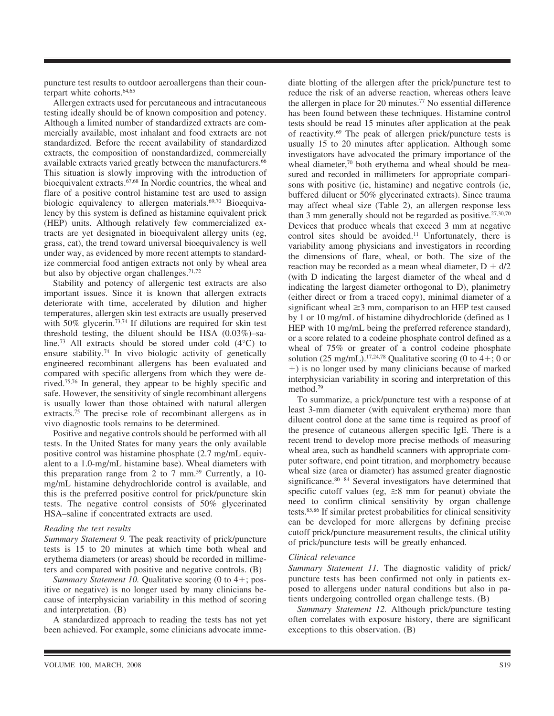puncture test results to outdoor aeroallergens than their counterpart white cohorts.<sup>64,65</sup>

Allergen extracts used for percutaneous and intracutaneous testing ideally should be of known composition and potency. Although a limited number of standardized extracts are commercially available, most inhalant and food extracts are not standardized. Before the recent availability of standardized extracts, the composition of nonstandardized, commercially available extracts varied greatly between the manufacturers.<sup>66</sup> This situation is slowly improving with the introduction of bioequivalent extracts.<sup>67,68</sup> In Nordic countries, the wheal and flare of a positive control histamine test are used to assign biologic equivalency to allergen materials.<sup>69,70</sup> Bioequivalency by this system is defined as histamine equivalent prick (HEP) units. Although relatively few commercialized extracts are yet designated in bioequivalent allergy units (eg, grass, cat), the trend toward universal bioequivalency is well under way, as evidenced by more recent attempts to standardize commercial food antigen extracts not only by wheal area but also by objective organ challenges.<sup>71,72</sup>

Stability and potency of allergenic test extracts are also important issues. Since it is known that allergen extracts deteriorate with time, accelerated by dilution and higher temperatures, allergen skin test extracts are usually preserved with 50% glycerin.73,74 If dilutions are required for skin test threshold testing, the diluent should be HSA (0.03%)–saline.<sup>73</sup> All extracts should be stored under cold  $(4^{\circ}C)$  to ensure stability.74 In vivo biologic activity of genetically engineered recombinant allergens has been evaluated and compared with specific allergens from which they were derived.75,76 In general, they appear to be highly specific and safe. However, the sensitivity of single recombinant allergens is usually lower than those obtained with natural allergen extracts.<sup> $75$ </sup> The precise role of recombinant allergens as in vivo diagnostic tools remains to be determined.

Positive and negative controls should be performed with all tests. In the United States for many years the only available positive control was histamine phosphate (2.7 mg/mL equivalent to a 1.0-mg/mL histamine base). Wheal diameters with this preparation range from 2 to 7 mm.<sup>59</sup> Currently, a 10mg/mL histamine dehydrochloride control is available, and this is the preferred positive control for prick/puncture skin tests. The negative control consists of 50% glycerinated HSA–saline if concentrated extracts are used.

#### *Reading the test results*

*Summary Statement 9.* The peak reactivity of prick/puncture tests is 15 to 20 minutes at which time both wheal and erythema diameters (or areas) should be recorded in millimeters and compared with positive and negative controls. (B)

*Summary Statement 10.* Qualitative scoring (0 to  $4+$ ; positive or negative) is no longer used by many clinicians because of interphysician variability in this method of scoring and interpretation. (B)

A standardized approach to reading the tests has not yet been achieved. For example, some clinicians advocate immediate blotting of the allergen after the prick/puncture test to reduce the risk of an adverse reaction, whereas others leave the allergen in place for 20 minutes.77 No essential difference has been found between these techniques. Histamine control tests should be read 15 minutes after application at the peak of reactivity.69 The peak of allergen prick/puncture tests is usually 15 to 20 minutes after application. Although some investigators have advocated the primary importance of the wheal diameter,<sup>70</sup> both erythema and wheal should be measured and recorded in millimeters for appropriate comparisons with positive (ie, histamine) and negative controls (ie, buffered diluent or 50% glycerinated extracts). Since trauma may affect wheal size (Table 2), an allergen response less than 3 mm generally should not be regarded as positive.  $27,30,70$ Devices that produce wheals that exceed 3 mm at negative control sites should be avoided.<sup>11</sup> Unfortunately, there is variability among physicians and investigators in recording the dimensions of flare, wheal, or both. The size of the reaction may be recorded as a mean wheal diameter,  $D + d/2$ (with D indicating the largest diameter of the wheal and d indicating the largest diameter orthogonal to D), planimetry (either direct or from a traced copy), minimal diameter of a significant wheal  $\geq$ 3 mm, comparison to an HEP test caused by 1 or 10 mg/mL of histamine dihydrochloride (defined as 1 HEP with 10 mg/mL being the preferred reference standard), or a score related to a codeine phosphate control defined as a wheal of 75% or greater of a control codeine phosphate solution (25 mg/mL).<sup>17,24,78</sup> Qualitative scoring (0 to  $4+$ ; 0 or ) is no longer used by many clinicians because of marked interphysician variability in scoring and interpretation of this method.79

To summarize, a prick/puncture test with a response of at least 3-mm diameter (with equivalent erythema) more than diluent control done at the same time is required as proof of the presence of cutaneous allergen specific IgE. There is a recent trend to develop more precise methods of measuring wheal area, such as handheld scanners with appropriate computer software, end point titration, and morphometry because wheal size (area or diameter) has assumed greater diagnostic significance.<sup>80-84</sup> Several investigators have determined that specific cutoff values (eg,  $\geq 8$  mm for peanut) obviate the need to confirm clinical sensitivity by organ challenge tests.85,86 If similar pretest probabilities for clinical sensitivity can be developed for more allergens by defining precise cutoff prick/puncture measurement results, the clinical utility of prick/puncture tests will be greatly enhanced.

#### *Clinical relevance*

*Summary Statement 11.* The diagnostic validity of prick/ puncture tests has been confirmed not only in patients exposed to allergens under natural conditions but also in patients undergoing controlled organ challenge tests. (B)

*Summary Statement 12.* Although prick/puncture testing often correlates with exposure history, there are significant exceptions to this observation. (B)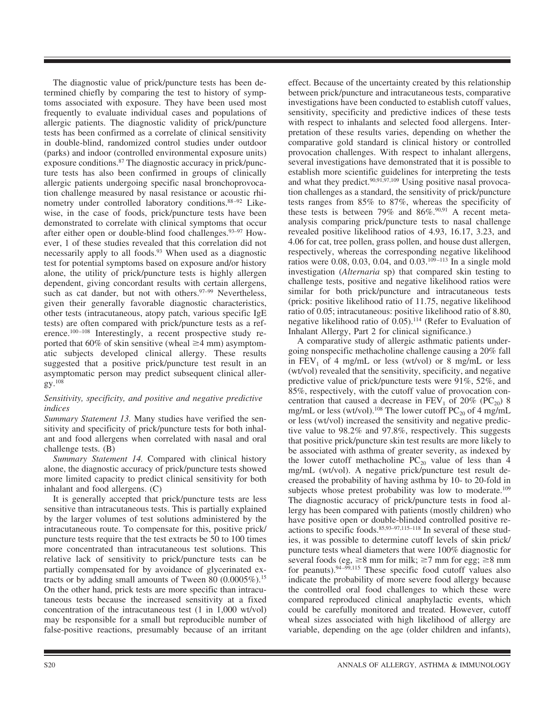The diagnostic value of prick/puncture tests has been determined chiefly by comparing the test to history of symptoms associated with exposure. They have been used most frequently to evaluate individual cases and populations of allergic patients. The diagnostic validity of prick/puncture tests has been confirmed as a correlate of clinical sensitivity in double-blind, randomized control studies under outdoor (parks) and indoor (controlled environmental exposure units) exposure conditions.87 The diagnostic accuracy in prick/puncture tests has also been confirmed in groups of clinically allergic patients undergoing specific nasal bronchoprovocation challenge measured by nasal resistance or acoustic rhinometry under controlled laboratory conditions.<sup>88-92</sup> Likewise, in the case of foods, prick/puncture tests have been demonstrated to correlate with clinical symptoms that occur after either open or double-blind food challenges.<sup>93-97</sup> However, 1 of these studies revealed that this correlation did not necessarily apply to all foods.<sup>93</sup> When used as a diagnostic test for potential symptoms based on exposure and/or history alone, the utility of prick/puncture tests is highly allergen dependent, giving concordant results with certain allergens, such as cat dander, but not with others.<sup>97-99</sup> Nevertheless, given their generally favorable diagnostic characteristics, other tests (intracutaneous, atopy patch, various specific IgE tests) are often compared with prick/puncture tests as a reference.<sup>100-108</sup> Interestingly, a recent prospective study reported that 60% of skin sensitive (wheal  $\geq$ 4 mm) asymptomatic subjects developed clinical allergy. These results suggested that a positive prick/puncture test result in an asymptomatic person may predict subsequent clinical allergy.108

# *Sensitivity, specificity, and positive and negative predictive indices*

*Summary Statement 13.* Many studies have verified the sensitivity and specificity of prick/puncture tests for both inhalant and food allergens when correlated with nasal and oral challenge tests. (B)

*Summary Statement 14.* Compared with clinical history alone, the diagnostic accuracy of prick/puncture tests showed more limited capacity to predict clinical sensitivity for both inhalant and food allergens. (C)

It is generally accepted that prick/puncture tests are less sensitive than intracutaneous tests. This is partially explained by the larger volumes of test solutions administered by the intracutaneous route. To compensate for this, positive prick/ puncture tests require that the test extracts be 50 to 100 times more concentrated than intracutaneous test solutions. This relative lack of sensitivity to prick/puncture tests can be partially compensated for by avoidance of glycerinated extracts or by adding small amounts of Tween 80  $(0.0005\%)$ .<sup>15</sup> On the other hand, prick tests are more specific than intracutaneous tests because the increased sensitivity at a fixed concentration of the intracutaneous test (1 in 1,000 wt/vol) may be responsible for a small but reproducible number of false-positive reactions, presumably because of an irritant effect. Because of the uncertainty created by this relationship between prick/puncture and intracutaneous tests, comparative investigations have been conducted to establish cutoff values, sensitivity, specificity and predictive indices of these tests with respect to inhalants and selected food allergens. Interpretation of these results varies, depending on whether the comparative gold standard is clinical history or controlled provocation challenges. With respect to inhalant allergens, several investigations have demonstrated that it is possible to establish more scientific guidelines for interpreting the tests and what they predict.<sup>90,91,97,109</sup> Using positive nasal provocation challenges as a standard, the sensitivity of prick/puncture tests ranges from 85% to 87%, whereas the specificity of these tests is between  $79\%$  and  $86\%$ .<sup>90,91</sup> A recent metaanalysis comparing prick/puncture tests to nasal challenge revealed positive likelihood ratios of 4.93, 16.17, 3.23, and 4.06 for cat, tree pollen, grass pollen, and house dust allergen, respectively, whereas the corresponding negative likelihood ratios were 0.08, 0.03, 0.04, and  $0.03$ .<sup>109-113</sup> In a single mold investigation (*Alternaria* sp) that compared skin testing to challenge tests, positive and negative likelihood ratios were similar for both prick/puncture and intracutaneous tests (prick: positive likelihood ratio of 11.75, negative likelihood ratio of 0.05; intracutaneous: positive likelihood ratio of 8.80, negative likelihood ratio of 0.05).114 (Refer to Evaluation of Inhalant Allergy, Part 2 for clinical significance.)

A comparative study of allergic asthmatic patients undergoing nonspecific methacholine challenge causing a 20% fall in  $FEV_1$  of 4 mg/mL or less (wt/vol) or 8 mg/mL or less (wt/vol) revealed that the sensitivity, specificity, and negative predictive value of prick/puncture tests were 91%, 52%, and 85%, respectively, with the cutoff value of provocation concentration that caused a decrease in  $FEV_1$  of 20% (PC<sub>20</sub>) 8 mg/mL or less (wt/vol).<sup>108</sup> The lower cutoff  $PC_{20}$  of 4 mg/mL or less (wt/vol) increased the sensitivity and negative predictive value to 98.2% and 97.8%, respectively. This suggests that positive prick/puncture skin test results are more likely to be associated with asthma of greater severity, as indexed by the lower cutoff methacholine  $PC_{20}$  value of less than 4 mg/mL (wt/vol). A negative prick/puncture test result decreased the probability of having asthma by 10- to 20-fold in subjects whose pretest probability was low to moderate.<sup>109</sup> The diagnostic accuracy of prick/puncture tests in food allergy has been compared with patients (mostly children) who have positive open or double-blinded controlled positive reactions to specific foods.85,93–97,115–118 In several of these studies, it was possible to determine cutoff levels of skin prick/ puncture tests wheal diameters that were 100% diagnostic for several foods (eg,  $\geq 8$  mm for milk;  $\geq 7$  mm for egg;  $\geq 8$  mm for peanuts). $94-99,115$  These specific food cutoff values also indicate the probability of more severe food allergy because the controlled oral food challenges to which these were compared reproduced clinical anaphylactic events, which could be carefully monitored and treated. However, cutoff wheal sizes associated with high likelihood of allergy are variable, depending on the age (older children and infants),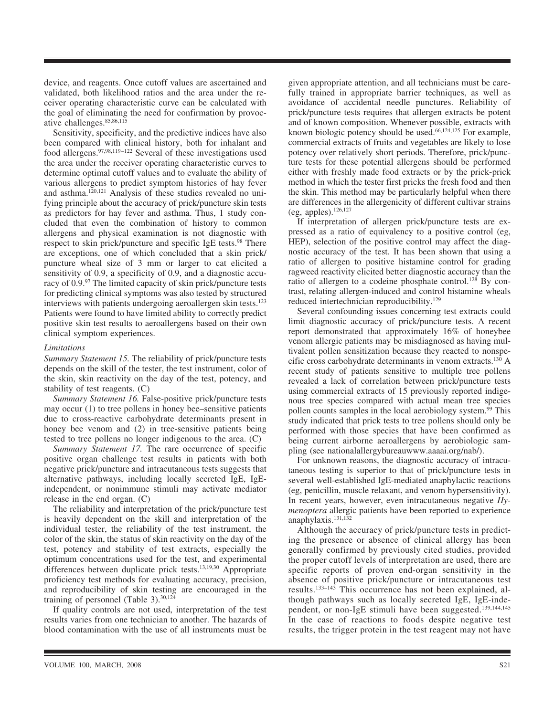device, and reagents. Once cutoff values are ascertained and validated, both likelihood ratios and the area under the receiver operating characteristic curve can be calculated with the goal of eliminating the need for confirmation by provocative challenges.85,86,115

Sensitivity, specificity, and the predictive indices have also been compared with clinical history, both for inhalant and food allergens.<sup>97,98,119-122</sup> Several of these investigations used the area under the receiver operating characteristic curves to determine optimal cutoff values and to evaluate the ability of various allergens to predict symptom histories of hay fever and asthma.120,121 Analysis of these studies revealed no unifying principle about the accuracy of prick/puncture skin tests as predictors for hay fever and asthma. Thus, 1 study concluded that even the combination of history to common allergens and physical examination is not diagnostic with respect to skin prick/puncture and specific IgE tests.<sup>98</sup> There are exceptions, one of which concluded that a skin prick/ puncture wheal size of 3 mm or larger to cat elicited a sensitivity of 0.9, a specificity of 0.9, and a diagnostic accuracy of 0.9.97 The limited capacity of skin prick/puncture tests for predicting clinical symptoms was also tested by structured interviews with patients undergoing aeroallergen skin tests.123 Patients were found to have limited ability to correctly predict positive skin test results to aeroallergens based on their own clinical symptom experiences.

#### *Limitations*

*Summary Statement 15.* The reliability of prick/puncture tests depends on the skill of the tester, the test instrument, color of the skin, skin reactivity on the day of the test, potency, and stability of test reagents. (C)

*Summary Statement 16.* False-positive prick/puncture tests may occur (1) to tree pollens in honey bee–sensitive patients due to cross-reactive carbohydrate determinants present in honey bee venom and (2) in tree-sensitive patients being tested to tree pollens no longer indigenous to the area. (C)

*Summary Statement 17.* The rare occurrence of specific positive organ challenge test results in patients with both negative prick/puncture and intracutaneous tests suggests that alternative pathways, including locally secreted IgE, IgEindependent, or nonimmune stimuli may activate mediator release in the end organ. (C)

The reliability and interpretation of the prick/puncture test is heavily dependent on the skill and interpretation of the individual tester, the reliability of the test instrument, the color of the skin, the status of skin reactivity on the day of the test, potency and stability of test extracts, especially the optimum concentrations used for the test, and experimental differences between duplicate prick tests.13,19,30 Appropriate proficiency test methods for evaluating accuracy, precision, and reproducibility of skin testing are encouraged in the training of personnel (Table 3). $30,124$ 

If quality controls are not used, interpretation of the test results varies from one technician to another. The hazards of blood contamination with the use of all instruments must be given appropriate attention, and all technicians must be carefully trained in appropriate barrier techniques, as well as avoidance of accidental needle punctures. Reliability of prick/puncture tests requires that allergen extracts be potent and of known composition. Whenever possible, extracts with known biologic potency should be used.<sup>66,124,125</sup> For example, commercial extracts of fruits and vegetables are likely to lose potency over relatively short periods. Therefore, prick/puncture tests for these potential allergens should be performed either with freshly made food extracts or by the prick-prick method in which the tester first pricks the fresh food and then the skin. This method may be particularly helpful when there are differences in the allergenicity of different cultivar strains (eg, apples).126,127

If interpretation of allergen prick/puncture tests are expressed as a ratio of equivalency to a positive control (eg, HEP), selection of the positive control may affect the diagnostic accuracy of the test. It has been shown that using a ratio of allergen to positive histamine control for grading ragweed reactivity elicited better diagnostic accuracy than the ratio of allergen to a codeine phosphate control.<sup>128</sup> By contrast, relating allergen-induced and control histamine wheals reduced intertechnician reproducibility.129

Several confounding issues concerning test extracts could limit diagnostic accuracy of prick/puncture tests. A recent report demonstrated that approximately 16% of honeybee venom allergic patients may be misdiagnosed as having multivalent pollen sensitization because they reacted to nonspecific cross carbohydrate determinants in venom extracts.130 A recent study of patients sensitive to multiple tree pollens revealed a lack of correlation between prick/puncture tests using commercial extracts of 15 previously reported indigenous tree species compared with actual mean tree species pollen counts samples in the local aerobiology system.<sup>99</sup> This study indicated that prick tests to tree pollens should only be performed with those species that have been confirmed as being current airborne aeroallergens by aerobiologic sampling (see nationalallergybureauwww.aaaai.org/nab/).

For unknown reasons, the diagnostic accuracy of intracutaneous testing is superior to that of prick/puncture tests in several well-established IgE-mediated anaphylactic reactions (eg, penicillin, muscle relaxant, and venom hypersensitivity). In recent years, however, even intracutaneous negative *Hymenoptera* allergic patients have been reported to experience anaphylaxis.131,132

Although the accuracy of prick/puncture tests in predicting the presence or absence of clinical allergy has been generally confirmed by previously cited studies, provided the proper cutoff levels of interpretation are used, there are specific reports of proven end-organ sensitivity in the absence of positive prick/puncture or intracutaneous test results.133–143 This occurrence has not been explained, although pathways such as locally secreted IgE, IgE-independent, or non-IgE stimuli have been suggested.<sup>139,144,145</sup> In the case of reactions to foods despite negative test results, the trigger protein in the test reagent may not have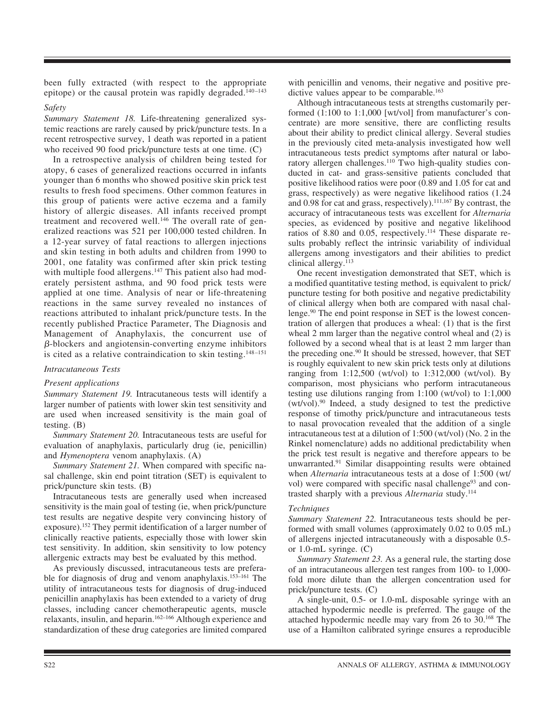been fully extracted (with respect to the appropriate epitope) or the causal protein was rapidly degraded.<sup>140-143</sup>

#### *Safety*

*Summary Statement 18.* Life-threatening generalized systemic reactions are rarely caused by prick/puncture tests. In a recent retrospective survey, 1 death was reported in a patient who received 90 food prick/puncture tests at one time. (C)

In a retrospective analysis of children being tested for atopy, 6 cases of generalized reactions occurred in infants younger than 6 months who showed positive skin prick test results to fresh food specimens. Other common features in this group of patients were active eczema and a family history of allergic diseases. All infants received prompt treatment and recovered well.<sup>146</sup> The overall rate of generalized reactions was 521 per 100,000 tested children. In a 12-year survey of fatal reactions to allergen injections and skin testing in both adults and children from 1990 to 2001, one fatality was confirmed after skin prick testing with multiple food allergens.<sup>147</sup> This patient also had moderately persistent asthma, and 90 food prick tests were applied at one time. Analysis of near or life-threatening reactions in the same survey revealed no instances of reactions attributed to inhalant prick/puncture tests. In the recently published Practice Parameter, The Diagnosis and Management of Anaphylaxis, the concurrent use of  $\beta$ -blockers and angiotensin-converting enzyme inhibitors is cited as a relative contraindication to skin testing.<sup>148-151</sup>

## *Intracutaneous Tests*

## *Present applications*

*Summary Statement 19.* Intracutaneous tests will identify a larger number of patients with lower skin test sensitivity and are used when increased sensitivity is the main goal of testing. (B)

*Summary Statement 20.* Intracutaneous tests are useful for evaluation of anaphylaxis, particularly drug (ie, penicillin) and *Hymenoptera* venom anaphylaxis. (A)

*Summary Statement 21.* When compared with specific nasal challenge, skin end point titration (SET) is equivalent to prick/puncture skin tests. (B)

Intracutaneous tests are generally used when increased sensitivity is the main goal of testing (ie, when prick/puncture test results are negative despite very convincing history of exposure).<sup>152</sup> They permit identification of a larger number of clinically reactive patients, especially those with lower skin test sensitivity. In addition, skin sensitivity to low potency allergenic extracts may best be evaluated by this method.

As previously discussed, intracutaneous tests are preferable for diagnosis of drug and venom anaphylaxis.<sup>153–161</sup> The utility of intracutaneous tests for diagnosis of drug-induced penicillin anaphylaxis has been extended to a variety of drug classes, including cancer chemotherapeutic agents, muscle relaxants, insulin, and heparin.162–166 Although experience and standardization of these drug categories are limited compared with penicillin and venoms, their negative and positive predictive values appear to be comparable.<sup>163</sup>

Although intracutaneous tests at strengths customarily performed (1:100 to 1:1,000 [wt/vol] from manufacturer's concentrate) are more sensitive, there are conflicting results about their ability to predict clinical allergy. Several studies in the previously cited meta-analysis investigated how well intracutaneous tests predict symptoms after natural or laboratory allergen challenges.<sup>110</sup> Two high-quality studies conducted in cat- and grass-sensitive patients concluded that positive likelihood ratios were poor (0.89 and 1.05 for cat and grass, respectively) as were negative likelihood ratios (1.24 and 0.98 for cat and grass, respectively).<sup>111,167</sup> By contrast, the accuracy of intracutaneous tests was excellent for *Alternaria* species, as evidenced by positive and negative likelihood ratios of 8.80 and 0.05, respectively.114 These disparate results probably reflect the intrinsic variability of individual allergens among investigators and their abilities to predict clinical allergy.<sup>113</sup>

One recent investigation demonstrated that SET, which is a modified quantitative testing method, is equivalent to prick/ puncture testing for both positive and negative predictability of clinical allergy when both are compared with nasal challenge.<sup>90</sup> The end point response in SET is the lowest concentration of allergen that produces a wheal: (1) that is the first wheal 2 mm larger than the negative control wheal and  $(2)$  is followed by a second wheal that is at least 2 mm larger than the preceding one.<sup>90</sup> It should be stressed, however, that SET is roughly equivalent to new skin prick tests only at dilutions ranging from 1:12,500 (wt/vol) to 1:312,000 (wt/vol). By comparison, most physicians who perform intracutaneous testing use dilutions ranging from 1:100 (wt/vol) to 1:1,000  $(wt/vol).<sup>90</sup>$  Indeed, a study designed to test the predictive response of timothy prick/puncture and intracutaneous tests to nasal provocation revealed that the addition of a single intracutaneous test at a dilution of 1:500 (wt/vol) (No. 2 in the Rinkel nomenclature) adds no additional predictability when the prick test result is negative and therefore appears to be unwarranted.91 Similar disappointing results were obtained when *Alternaria* intracutaneous tests at a dose of 1:500 (wt/ vol) were compared with specific nasal challenge<sup>93</sup> and contrasted sharply with a previous *Alternaria* study.<sup>114</sup>

#### *Techniques*

*Summary Statement 22.* Intracutaneous tests should be performed with small volumes (approximately 0.02 to 0.05 mL) of allergens injected intracutaneously with a disposable 0.5 or 1.0-mL syringe. (C)

*Summary Statement 23.* As a general rule, the starting dose of an intracutaneous allergen test ranges from 100- to 1,000 fold more dilute than the allergen concentration used for prick/puncture tests. (C)

A single-unit, 0.5- or 1.0-mL disposable syringe with an attached hypodermic needle is preferred. The gauge of the attached hypodermic needle may vary from 26 to 30.168 The use of a Hamilton calibrated syringe ensures a reproducible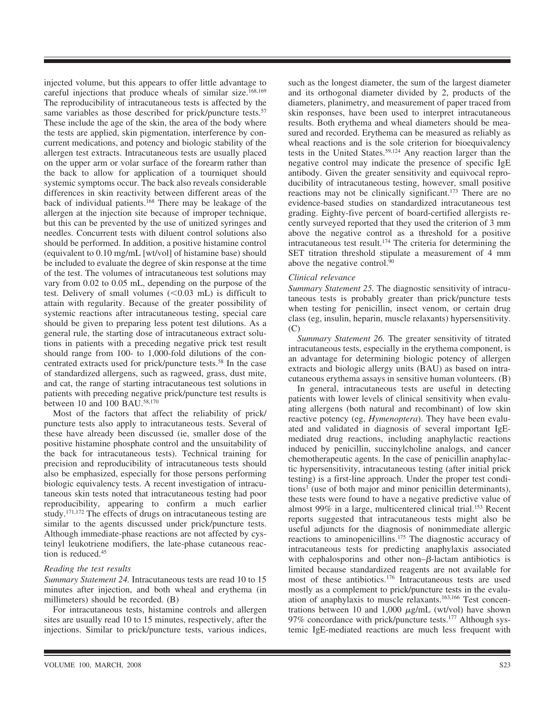injected volume, but this appears to offer little advantage to careful injections that produce wheals of similar size.<sup>168,169</sup> The reproducibility of intracutaneous tests is affected by the same variables as those described for prick/puncture tests.<sup>57</sup> These include the age of the skin, the area of the body where the tests are applied, skin pigmentation, interference by concurrent medications, and potency and biologic stability of the allergen test extracts. Intracutaneous tests are usually placed on the upper arm or volar surface of the forearm rather than the back to allow for application of a tourniquet should systemic symptoms occur. The back also reveals considerable differences in skin reactivity between different areas of the back of individual patients.<sup>168</sup> There may be leakage of the allergen at the injection site because of improper technique, but this can be prevented by the use of unitized syringes and needles. Concurrent tests with diluent control solutions also should be performed. In addition, a positive histamine control (equivalent to 0.10 mg/mL [wt/vol] of histamine base) should be included to evaluate the degree of skin response at the time of the test. The volumes of intracutaneous test solutions may vary from 0.02 to 0.05 mL, depending on the purpose of the test. Delivery of small volumes  $(<0.03$  mL) is difficult to attain with regularity. Because of the greater possibility of systemic reactions after intracutaneous testing, special care should be given to preparing less potent test dilutions. As a general rule, the starting dose of intracutaneous extract solutions in patients with a preceding negative prick test result should range from 100- to 1,000-fold dilutions of the concentrated extracts used for prick/puncture tests.58 In the case of standardized allergens, such as ragweed, grass, dust mite, and cat, the range of starting intracutaneous test solutions in patients with preceding negative prick/puncture test results is between 10 and 100 BAU.<sup>58,170</sup>

Most of the factors that affect the reliability of prick/ puncture tests also apply to intracutaneous tests. Several of these have already been discussed (ie, smaller dose of the positive histamine phosphate control and the unsuitability of the back for intracutaneous tests). Technical training for precision and reproducibility of intracutaneous tests should also be emphasized, especially for those persons performing biologic equivalency tests. A recent investigation of intracutaneous skin tests noted that intracutaneous testing had poor reproducibility, appearing to confirm a much earlier study.171,172 The effects of drugs on intracutaneous testing are similar to the agents discussed under prick/puncture tests. Although immediate-phase reactions are not affected by cysteinyl leukotriene modifiers, the late-phase cutaneous reaction is reduced.45

# *Reading the test results*

*Summary Statement 24.* Intracutaneous tests are read 10 to 15 minutes after injection, and both wheal and erythema (in millimeters) should be recorded. (B)

For intracutaneous tests, histamine controls and allergen sites are usually read 10 to 15 minutes, respectively, after the injections. Similar to prick/puncture tests, various indices,

such as the longest diameter, the sum of the largest diameter and its orthogonal diameter divided by 2, products of the diameters, planimetry, and measurement of paper traced from skin responses, have been used to interpret intracutaneous results. Both erythema and wheal diameters should be measured and recorded. Erythema can be measured as reliably as wheal reactions and is the sole criterion for bioequivalency tests in the United States.59,124 Any reaction larger than the negative control may indicate the presence of specific IgE antibody. Given the greater sensitivity and equivocal reproducibility of intracutaneous testing, however, small positive reactions may not be clinically significant.<sup>173</sup> There are no evidence-based studies on standardized intracutaneous test grading. Eighty-five percent of board-certified allergists recently surveyed reported that they used the criterion of 3 mm above the negative control as a threshold for a positive intracutaneous test result. $174$  The criteria for determining the SET titration threshold stipulate a measurement of 4 mm above the negative control.<sup>90</sup>

# *Clinical relevance*

*Summary Statement 25.* The diagnostic sensitivity of intracutaneous tests is probably greater than prick/puncture tests when testing for penicillin, insect venom, or certain drug class (eg, insulin, heparin, muscle relaxants) hypersensitivity. (C)

*Summary Statement 26.* The greater sensitivity of titrated intracutaneous tests, especially in the erythema component, is an advantage for determining biologic potency of allergen extracts and biologic allergy units (BAU) as based on intracutaneous erythema assays in sensitive human volunteers. (B)

In general, intracutaneous tests are useful in detecting patients with lower levels of clinical sensitivity when evaluating allergens (both natural and recombinant) of low skin reactive potency (eg, *Hymenoptera*). They have been evaluated and validated in diagnosis of several important IgEmediated drug reactions, including anaphylactic reactions induced by penicillin, succinylcholine analogs, and cancer chemotherapeutic agents. In the case of penicillin anaphylactic hypersensitivity, intracutaneous testing (after initial prick testing) is a first-line approach. Under the proper test conditions<sup>1</sup> (use of both major and minor penicillin determinants), these tests were found to have a negative predictive value of almost 99% in a large, multicentered clinical trial.<sup>153</sup> Recent reports suggested that intracutaneous tests might also be useful adjuncts for the diagnosis of nonimmediate allergic reactions to aminopenicillins.<sup>175</sup> The diagnostic accuracy of intracutaneous tests for predicting anaphylaxis associated with cephalosporins and other non– $\beta$ -lactam antibiotics is limited because standardized reagents are not available for most of these antibiotics.176 Intracutaneous tests are used mostly as a complement to prick/puncture tests in the evaluation of anaphylaxis to muscle relaxants.163,166 Test concentrations between 10 and 1,000  $\mu$ g/mL (wt/vol) have shown 97% concordance with prick/puncture tests.<sup>177</sup> Although systemic IgE-mediated reactions are much less frequent with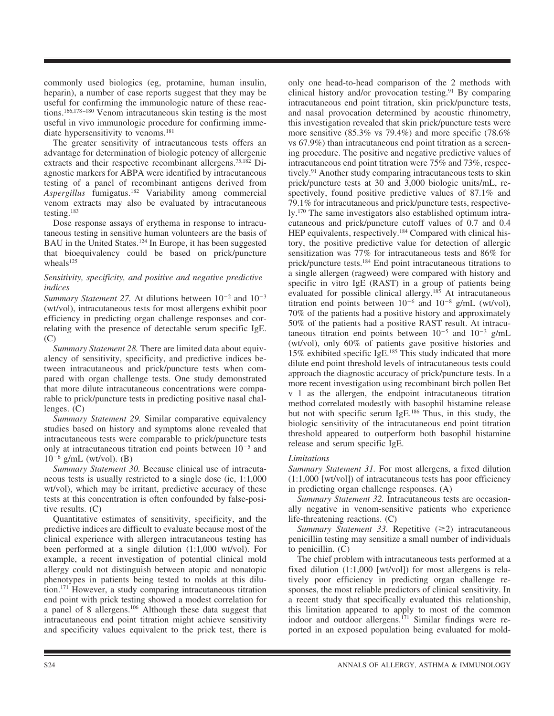commonly used biologics (eg, protamine, human insulin, heparin), a number of case reports suggest that they may be useful for confirming the immunologic nature of these reactions.<sup>166,178-180</sup> Venom intracutaneous skin testing is the most useful in vivo immunologic procedure for confirming immediate hypersensitivity to venoms.181

The greater sensitivity of intracutaneous tests offers an advantage for determination of biologic potency of allergenic extracts and their respective recombinant allergens.75,182 Diagnostic markers for ABPA were identified by intracutaneous testing of a panel of recombinant antigens derived from *Aspergillus* fumigatus.182 Variability among commercial venom extracts may also be evaluated by intracutaneous testing.183

Dose response assays of erythema in response to intracutaneous testing in sensitive human volunteers are the basis of BAU in the United States.<sup>124</sup> In Europe, it has been suggested that bioequivalency could be based on prick/puncture wheals $125$ 

## *Sensitivity, specificity, and positive and negative predictive indices*

*Summary Statement 27.* At dilutions between  $10^{-2}$  and  $10^{-3}$ (wt/vol), intracutaneous tests for most allergens exhibit poor efficiency in predicting organ challenge responses and correlating with the presence of detectable serum specific IgE. (C)

*Summary Statement 28.* There are limited data about equivalency of sensitivity, specificity, and predictive indices between intracutaneous and prick/puncture tests when compared with organ challenge tests. One study demonstrated that more dilute intracutaneous concentrations were comparable to prick/puncture tests in predicting positive nasal challenges. (C)

*Summary Statement 29.* Similar comparative equivalency studies based on history and symptoms alone revealed that intracutaneous tests were comparable to prick/puncture tests only at intracutaneous titration end points between  $10^{-5}$  and  $10^{-6}$  g/mL (wt/vol). (B)

*Summary Statement 30.* Because clinical use of intracutaneous tests is usually restricted to a single dose (ie, 1:1,000 wt/vol), which may be irritant, predictive accuracy of these tests at this concentration is often confounded by false-positive results. (C)

Quantitative estimates of sensitivity, specificity, and the predictive indices are difficult to evaluate because most of the clinical experience with allergen intracutaneous testing has been performed at a single dilution (1:1,000 wt/vol). For example, a recent investigation of potential clinical mold allergy could not distinguish between atopic and nonatopic phenotypes in patients being tested to molds at this dilution.171 However, a study comparing intracutaneous titration end point with prick testing showed a modest correlation for a panel of 8 allergens.106 Although these data suggest that intracutaneous end point titration might achieve sensitivity and specificity values equivalent to the prick test, there is only one head-to-head comparison of the 2 methods with clinical history and/or provocation testing.<sup>91</sup> By comparing intracutaneous end point titration, skin prick/puncture tests, and nasal provocation determined by acoustic rhinometry, this investigation revealed that skin prick/puncture tests were more sensitive (85.3% vs 79.4%) and more specific (78.6% vs 67.9%) than intracutaneous end point titration as a screening procedure. The positive and negative predictive values of intracutaneous end point titration were 75% and 73%, respectively.<sup>91</sup> Another study comparing intracutaneous tests to skin prick/puncture tests at 30 and 3,000 biologic units/mL, respectively, found positive predictive values of 87.1% and 79.1% for intracutaneous and prick/puncture tests, respectively.170 The same investigators also established optimum intracutaneous and prick/puncture cutoff values of 0.7 and 0.4 HEP equivalents, respectively.<sup>184</sup> Compared with clinical history, the positive predictive value for detection of allergic sensitization was 77% for intracutaneous tests and 86% for prick/puncture tests.184 End point intracutaneous titrations to a single allergen (ragweed) were compared with history and specific in vitro IgE (RAST) in a group of patients being evaluated for possible clinical allergy.<sup>185</sup> At intracutaneous titration end points between  $10^{-6}$  and  $10^{-8}$  g/mL (wt/vol), 70% of the patients had a positive history and approximately 50% of the patients had a positive RAST result. At intracutaneous titration end points between  $10^{-5}$  and  $10^{-3}$  g/mL (wt/vol), only 60% of patients gave positive histories and 15% exhibited specific IgE.185 This study indicated that more dilute end point threshold levels of intracutaneous tests could approach the diagnostic accuracy of prick/puncture tests. In a more recent investigation using recombinant birch pollen Bet v 1 as the allergen, the endpoint intracutaneous titration method correlated modestly with basophil histamine release but not with specific serum IgE.186 Thus, in this study, the biologic sensitivity of the intracutaneous end point titration threshold appeared to outperform both basophil histamine release and serum specific IgE.

#### *Limitations*

*Summary Statement 31.* For most allergens, a fixed dilution (1:1,000 [wt/vol]) of intracutaneous tests has poor efficiency in predicting organ challenge responses. (A)

*Summary Statement 32.* Intracutaneous tests are occasionally negative in venom-sensitive patients who experience life-threatening reactions. (C)

*Summary Statement 33.* Repetitive  $(\geq 2)$  intracutaneous penicillin testing may sensitize a small number of individuals to penicillin. (C)

The chief problem with intracutaneous tests performed at a fixed dilution (1:1,000 [wt/vol]) for most allergens is relatively poor efficiency in predicting organ challenge responses, the most reliable predictors of clinical sensitivity. In a recent study that specifically evaluated this relationship, this limitation appeared to apply to most of the common indoor and outdoor allergens.171 Similar findings were reported in an exposed population being evaluated for mold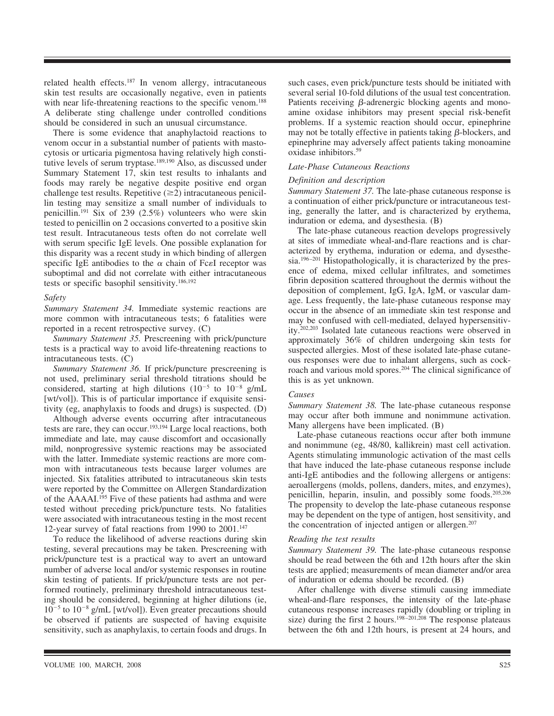related health effects.187 In venom allergy, intracutaneous skin test results are occasionally negative, even in patients with near life-threatening reactions to the specific venom.<sup>188</sup> A deliberate sting challenge under controlled conditions should be considered in such an unusual circumstance.

There is some evidence that anaphylactoid reactions to venom occur in a substantial number of patients with mastocytosis or urticaria pigmentosa having relatively high constitutive levels of serum tryptase.<sup>189,190</sup> Also, as discussed under Summary Statement 17, skin test results to inhalants and foods may rarely be negative despite positive end organ challenge test results. Repetitive  $(\geq 2)$  intracutaneous penicillin testing may sensitize a small number of individuals to penicillin.191 Six of 239 (2.5%) volunteers who were skin tested to penicillin on 2 occasions converted to a positive skin test result. Intracutaneous tests often do not correlate well with serum specific IgE levels. One possible explanation for this disparity was a recent study in which binding of allergen specific IgE antibodies to the  $\alpha$  chain of Fc $\epsilon$ I receptor was suboptimal and did not correlate with either intracutaneous tests or specific basophil sensitivity.186,192

#### *Safety*

*Summary Statement 34.* Immediate systemic reactions are more common with intracutaneous tests; 6 fatalities were reported in a recent retrospective survey. (C)

*Summary Statement 35.* Prescreening with prick/puncture tests is a practical way to avoid life-threatening reactions to intracutaneous tests. (C)

*Summary Statement 36.* If prick/puncture prescreening is not used, preliminary serial threshold titrations should be considered, starting at high dilutions  $(10^{-5}$  to  $10^{-8}$  g/mL [wt/vol]). This is of particular importance if exquisite sensitivity (eg, anaphylaxis to foods and drugs) is suspected. (D)

Although adverse events occurring after intracutaneous tests are rare, they can occur.<sup>193,194</sup> Large local reactions, both immediate and late, may cause discomfort and occasionally mild, nonprogressive systemic reactions may be associated with the latter. Immediate systemic reactions are more common with intracutaneous tests because larger volumes are injected. Six fatalities attributed to intracutaneous skin tests were reported by the Committee on Allergen Standardization of the AAAAI.195 Five of these patients had asthma and were tested without preceding prick/puncture tests. No fatalities were associated with intracutaneous testing in the most recent 12-year survey of fatal reactions from 1990 to  $2001$ .<sup>147</sup>

To reduce the likelihood of adverse reactions during skin testing, several precautions may be taken. Prescreening with prick/puncture test is a practical way to avert an untoward number of adverse local and/or systemic responses in routine skin testing of patients. If prick/puncture tests are not performed routinely, preliminary threshold intracutaneous testing should be considered, beginning at higher dilutions (ie,  $10^{-5}$  to  $10^{-8}$  g/mL [wt/vol]). Even greater precautions should be observed if patients are suspected of having exquisite sensitivity, such as anaphylaxis, to certain foods and drugs. In such cases, even prick/puncture tests should be initiated with several serial 10-fold dilutions of the usual test concentration. Patients receiving  $\beta$ -adrenergic blocking agents and monoamine oxidase inhibitors may present special risk-benefit problems. If a systemic reaction should occur, epinephrine may not be totally effective in patients taking  $\beta$ -blockers, and epinephrine may adversely affect patients taking monoamine oxidase inhibitors.59

## *Late-Phase Cutaneous Reactions*

#### *Definition and description*

*Summary Statement 37.* The late-phase cutaneous response is a continuation of either prick/puncture or intracutaneous testing, generally the latter, and is characterized by erythema, induration or edema, and dysesthesia. (B)

The late-phase cutaneous reaction develops progressively at sites of immediate wheal-and-flare reactions and is characterized by erythema, induration or edema, and dysesthe $sia.<sup>196-201</sup> Histopathologically, it is characterized by the pres$ ence of edema, mixed cellular infiltrates, and sometimes fibrin deposition scattered throughout the dermis without the deposition of complement, IgG, IgA, IgM, or vascular damage. Less frequently, the late-phase cutaneous response may occur in the absence of an immediate skin test response and may be confused with cell-mediated, delayed hypersensitivity.202,203 Isolated late cutaneous reactions were observed in approximately 36% of children undergoing skin tests for suspected allergies. Most of these isolated late-phase cutaneous responses were due to inhalant allergens, such as cockroach and various mold spores.204 The clinical significance of this is as yet unknown.

#### *Causes*

*Summary Statement 38.* The late-phase cutaneous response may occur after both immune and nonimmune activation. Many allergens have been implicated. (B)

Late-phase cutaneous reactions occur after both immune and nonimmune (eg, 48/80, kallikrein) mast cell activation. Agents stimulating immunologic activation of the mast cells that have induced the late-phase cutaneous response include anti-IgE antibodies and the following allergens or antigens: aeroallergens (molds, pollens, danders, mites, and enzymes), penicillin, heparin, insulin, and possibly some foods.205,206 The propensity to develop the late-phase cutaneous response may be dependent on the type of antigen, host sensitivity, and the concentration of injected antigen or allergen.<sup>207</sup>

#### *Reading the test results*

*Summary Statement 39.* The late-phase cutaneous response should be read between the 6th and 12th hours after the skin tests are applied; measurements of mean diameter and/or area of induration or edema should be recorded. (B)

After challenge with diverse stimuli causing immediate wheal-and-flare responses, the intensity of the late-phase cutaneous response increases rapidly (doubling or tripling in size) during the first 2 hours.<sup>198-201,208</sup> The response plateaus between the 6th and 12th hours, is present at 24 hours, and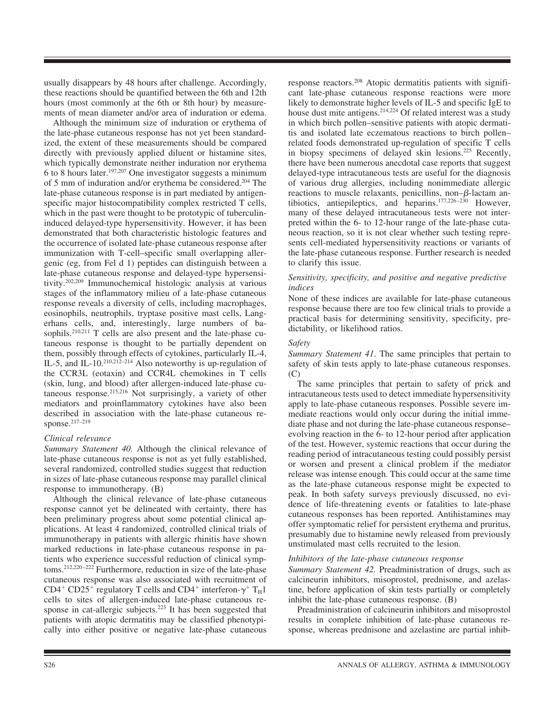usually disappears by 48 hours after challenge. Accordingly, these reactions should be quantified between the 6th and 12th hours (most commonly at the 6th or 8th hour) by measurements of mean diameter and/or area of induration or edema.

Although the minimum size of induration or erythema of the late-phase cutaneous response has not yet been standardized, the extent of these measurements should be compared directly with previously applied diluent or histamine sites, which typically demonstrate neither induration nor erythema 6 to 8 hours later.197,207 One investigator suggests a minimum of 5 mm of induration and/or erythema be considered.204 The late-phase cutaneous response is in part mediated by antigenspecific major histocompatibility complex restricted T cells, which in the past were thought to be prototypic of tuberculininduced delayed-type hypersensitivity. However, it has been demonstrated that both characteristic histologic features and the occurrence of isolated late-phase cutaneous response after immunization with T-cell–specific small overlapping allergenic (eg, from Fel d 1) peptides can distinguish between a late-phase cutaneous response and delayed-type hypersensitivity.202,209 Immunochemical histologic analysis at various stages of the inflammatory milieu of a late-phase cutaneous response reveals a diversity of cells, including macrophages, eosinophils, neutrophils, tryptase positive mast cells, Langerhans cells, and, interestingly, large numbers of basophils.<sup>210,211</sup> T cells are also present and the late-phase cutaneous response is thought to be partially dependent on them, possibly through effects of cytokines, particularly IL-4, IL-5, and IL-10.210,212–214 Also noteworthy is up-regulation of the CCR3L (eotaxin) and CCR4L chemokines in T cells (skin, lung, and blood) after allergen-induced late-phase cutaneous response.215,216 Not surprisingly, a variety of other mediators and proinflammatory cytokines have also been described in association with the late-phase cutaneous response.217–219

# *Clinical relevance*

*Summary Statement 40.* Although the clinical relevance of late-phase cutaneous response is not as yet fully established, several randomized, controlled studies suggest that reduction in sizes of late-phase cutaneous response may parallel clinical response to immunotherapy. (B)

Although the clinical relevance of late-phase cutaneous response cannot yet be delineated with certainty, there has been preliminary progress about some potential clinical applications. At least 4 randomized, controlled clinical trials of immunotherapy in patients with allergic rhinitis have shown marked reductions in late-phase cutaneous response in patients who experience successful reduction of clinical symptoms.212,220 –222 Furthermore, reduction in size of the late-phase cutaneous response was also associated with recruitment of CD4<sup>+</sup> CD25<sup>+</sup> regulatory T cells and CD4<sup>+</sup> interferon- $\gamma$ <sup>+</sup> T<sub>H</sub>1 cells to sites of allergen-induced late-phase cutaneous response in cat-allergic subjects.<sup>223</sup> It has been suggested that patients with atopic dermatitis may be classified phenotypically into either positive or negative late-phase cutaneous response reactors.208 Atopic dermatitis patients with significant late-phase cutaneous response reactions were more likely to demonstrate higher levels of IL-5 and specific IgE to house dust mite antigens.<sup>214,224</sup> Of related interest was a study in which birch pollen–sensitive patients with atopic dermatitis and isolated late eczematous reactions to birch pollen– related foods demonstrated up-regulation of specific T cells in biopsy specimens of delayed skin lesions.225 Recently, there have been numerous anecdotal case reports that suggest delayed-type intracutaneous tests are useful for the diagnosis of various drug allergies, including nonimmediate allergic reactions to muscle relaxants, penicillins, non- $\beta$ -lactam antibiotics, antiepileptics, and heparins. $177,226-230$  However, many of these delayed intracutaneous tests were not interpreted within the 6- to 12-hour range of the late-phase cutaneous reaction, so it is not clear whether such testing represents cell-mediated hypersensitivity reactions or variants of the late-phase cutaneous response. Further research is needed to clarify this issue.

## *Sensitivity, specificity, and positive and negative predictive indices*

None of these indices are available for late-phase cutaneous response because there are too few clinical trials to provide a practical basis for determining sensitivity, specificity, predictability, or likelihood ratios.

#### *Safety*

*Summary Statement 41*. The same principles that pertain to safety of skin tests apply to late-phase cutaneous responses.  $(C)$ 

The same principles that pertain to safety of prick and intracutaneous tests used to detect immediate hypersensitivity apply to late-phase cutaneous responses. Possible severe immediate reactions would only occur during the initial immediate phase and not during the late-phase cutaneous response– evolving reaction in the 6- to 12-hour period after application of the test. However, systemic reactions that occur during the reading period of intracutaneous testing could possibly persist or worsen and present a clinical problem if the mediator release was intense enough. This could occur at the same time as the late-phase cutaneous response might be expected to peak. In both safety surveys previously discussed, no evidence of life-threatening events or fatalities to late-phase cutaneous responses has been reported. Antihistamines may offer symptomatic relief for persistent erythema and pruritus, presumably due to histamine newly released from previously unstimulated mast cells recruited to the lesion.

#### *Inhibitors of the late-phase cutaneous response*

*Summary Statement 42.* Preadministration of drugs, such as calcineurin inhibitors, misoprostol, prednisone, and azelastine, before application of skin tests partially or completely inhibit the late-phase cutaneous response. (B)

Preadministration of calcineurin inhibitors and misoprostol results in complete inhibition of late-phase cutaneous response, whereas prednisone and azelastine are partial inhib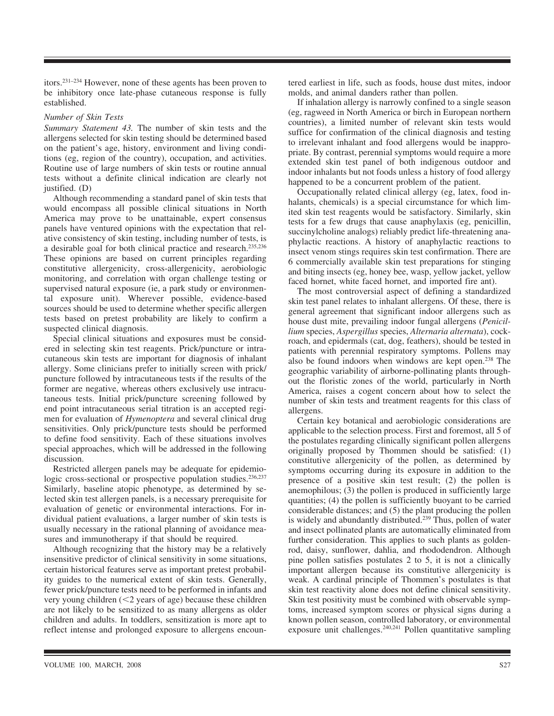itors.231–234 However, none of these agents has been proven to be inhibitory once late-phase cutaneous response is fully established.

#### *Number of Skin Tests*

*Summary Statement 43.* The number of skin tests and the allergens selected for skin testing should be determined based on the patient's age, history, environment and living conditions (eg, region of the country), occupation, and activities. Routine use of large numbers of skin tests or routine annual tests without a definite clinical indication are clearly not justified. (D)

Although recommending a standard panel of skin tests that would encompass all possible clinical situations in North America may prove to be unattainable, expert consensus panels have ventured opinions with the expectation that relative consistency of skin testing, including number of tests, is a desirable goal for both clinical practice and research.235,236 These opinions are based on current principles regarding constitutive allergenicity, cross-allergenicity, aerobiologic monitoring, and correlation with organ challenge testing or supervised natural exposure (ie, a park study or environmental exposure unit). Wherever possible, evidence-based sources should be used to determine whether specific allergen tests based on pretest probability are likely to confirm a suspected clinical diagnosis.

Special clinical situations and exposures must be considered in selecting skin test reagents. Prick/puncture or intracutaneous skin tests are important for diagnosis of inhalant allergy. Some clinicians prefer to initially screen with prick/ puncture followed by intracutaneous tests if the results of the former are negative, whereas others exclusively use intracutaneous tests. Initial prick/puncture screening followed by end point intracutaneous serial titration is an accepted regimen for evaluation of *Hymenoptera* and several clinical drug sensitivities. Only prick/puncture tests should be performed to define food sensitivity. Each of these situations involves special approaches, which will be addressed in the following discussion.

Restricted allergen panels may be adequate for epidemiologic cross-sectional or prospective population studies.<sup>236,237</sup> Similarly, baseline atopic phenotype, as determined by selected skin test allergen panels, is a necessary prerequisite for evaluation of genetic or environmental interactions. For individual patient evaluations, a larger number of skin tests is usually necessary in the rational planning of avoidance measures and immunotherapy if that should be required.

Although recognizing that the history may be a relatively insensitive predictor of clinical sensitivity in some situations, certain historical features serve as important pretest probability guides to the numerical extent of skin tests. Generally, fewer prick/puncture tests need to be performed in infants and very young children  $(<$ 2 years of age) because these children are not likely to be sensitized to as many allergens as older children and adults. In toddlers, sensitization is more apt to reflect intense and prolonged exposure to allergens encountered earliest in life, such as foods, house dust mites, indoor molds, and animal danders rather than pollen.

If inhalation allergy is narrowly confined to a single season (eg, ragweed in North America or birch in European northern countries), a limited number of relevant skin tests would suffice for confirmation of the clinical diagnosis and testing to irrelevant inhalant and food allergens would be inappropriate. By contrast, perennial symptoms would require a more extended skin test panel of both indigenous outdoor and indoor inhalants but not foods unless a history of food allergy happened to be a concurrent problem of the patient.

Occupationally related clinical allergy (eg, latex, food inhalants, chemicals) is a special circumstance for which limited skin test reagents would be satisfactory. Similarly, skin tests for a few drugs that cause anaphylaxis (eg, penicillin, succinylcholine analogs) reliably predict life-threatening anaphylactic reactions. A history of anaphylactic reactions to insect venom stings requires skin test confirmation. There are 6 commercially available skin test preparations for stinging and biting insects (eg, honey bee, wasp, yellow jacket, yellow faced hornet, white faced hornet, and imported fire ant).

The most controversial aspect of defining a standardized skin test panel relates to inhalant allergens. Of these, there is general agreement that significant indoor allergens such as house dust mite, prevailing indoor fungal allergens (*Penicillium* species, *Aspergillus* species, *Alternaria alternata*), cockroach, and epidermals (cat, dog, feathers), should be tested in patients with perennial respiratory symptoms. Pollens may also be found indoors when windows are kept open.238 The geographic variability of airborne-pollinating plants throughout the floristic zones of the world, particularly in North America, raises a cogent concern about how to select the number of skin tests and treatment reagents for this class of allergens.

Certain key botanical and aerobiologic considerations are applicable to the selection process. First and foremost, all 5 of the postulates regarding clinically significant pollen allergens originally proposed by Thommen should be satisfied: (1) constitutive allergenicity of the pollen, as determined by symptoms occurring during its exposure in addition to the presence of a positive skin test result; (2) the pollen is anemophilous; (3) the pollen is produced in sufficiently large quantities; (4) the pollen is sufficiently buoyant to be carried considerable distances; and (5) the plant producing the pollen is widely and abundantly distributed.<sup>239</sup> Thus, pollen of water and insect pollinated plants are automatically eliminated from further consideration. This applies to such plants as goldenrod, daisy, sunflower, dahlia, and rhododendron. Although pine pollen satisfies postulates 2 to 5, it is not a clinically important allergen because its constitutive allergenicity is weak. A cardinal principle of Thommen's postulates is that skin test reactivity alone does not define clinical sensitivity. Skin test positivity must be combined with observable symptoms, increased symptom scores or physical signs during a known pollen season, controlled laboratory, or environmental exposure unit challenges.240,241 Pollen quantitative sampling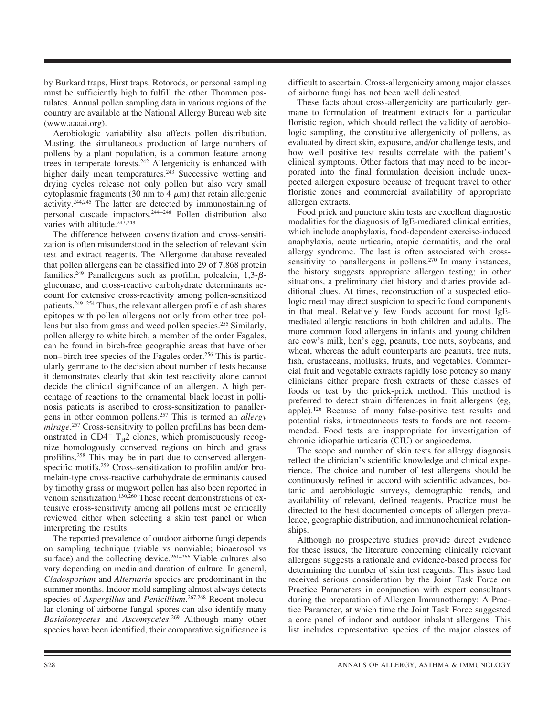by Burkard traps, Hirst traps, Rotorods, or personal sampling must be sufficiently high to fulfill the other Thommen postulates. Annual pollen sampling data in various regions of the country are available at the National Allergy Bureau web site (www.aaaai.org).

Aerobiologic variability also affects pollen distribution. Masting, the simultaneous production of large numbers of pollens by a plant population, is a common feature among trees in temperate forests.242 Allergenicity is enhanced with higher daily mean temperatures.<sup>243</sup> Successive wetting and drying cycles release not only pollen but also very small cytoplasmic fragments (30 nm to 4  $\mu$ m) that retain allergenic activity.244,245 The latter are detected by immunostaining of personal cascade impactors.244 –246 Pollen distribution also varies with altitude.<sup>247,248</sup>

The difference between cosensitization and cross-sensitization is often misunderstood in the selection of relevant skin test and extract reagents. The Allergome database revealed that pollen allergens can be classified into 29 of 7,868 protein families.<sup>249</sup> Panallergens such as profilin, polcalcin,  $1,3-\beta$ gluconase, and cross-reactive carbohydrate determinants account for extensive cross-reactivity among pollen-sensitized patients.249 –254 Thus, the relevant allergen profile of ash shares epitopes with pollen allergens not only from other tree pollens but also from grass and weed pollen species.255 Similarly, pollen allergy to white birch, a member of the order Fagales, can be found in birch-free geographic areas that have other non–birch tree species of the Fagales order.<sup>256</sup> This is particularly germane to the decision about number of tests because it demonstrates clearly that skin test reactivity alone cannot decide the clinical significance of an allergen. A high percentage of reactions to the ornamental black locust in pollinosis patients is ascribed to cross-sensitization to panallergens in other common pollens.257 This is termed an *allergy mirage*. <sup>257</sup> Cross-sensitivity to pollen profilins has been demonstrated in CD4<sup>+</sup> T<sub>H</sub>2 clones, which promiscuously recognize homologously conserved regions on birch and grass profilins.258 This may be in part due to conserved allergenspecific motifs.<sup>259</sup> Cross-sensitization to profilin and/or bromelain-type cross-reactive carbohydrate determinants caused by timothy grass or mugwort pollen has also been reported in venom sensitization.<sup>130,260</sup> These recent demonstrations of extensive cross-sensitivity among all pollens must be critically reviewed either when selecting a skin test panel or when interpreting the results.

The reported prevalence of outdoor airborne fungi depends on sampling technique (viable vs nonviable; bioaerosol vs surface) and the collecting device.<sup>261–266</sup> Viable cultures also vary depending on media and duration of culture. In general, *Cladosporium* and *Alternaria* species are predominant in the summer months. Indoor mold sampling almost always detects species of *Aspergillus* and *Penicillium*. 267,268 Recent molecular cloning of airborne fungal spores can also identify many *Basidiomycetes* and *Ascomycetes*. <sup>269</sup> Although many other species have been identified, their comparative significance is difficult to ascertain. Cross-allergenicity among major classes of airborne fungi has not been well delineated.

These facts about cross-allergenicity are particularly germane to formulation of treatment extracts for a particular floristic region, which should reflect the validity of aerobiologic sampling, the constitutive allergenicity of pollens, as evaluated by direct skin, exposure, and/or challenge tests, and how well positive test results correlate with the patient's clinical symptoms. Other factors that may need to be incorporated into the final formulation decision include unexpected allergen exposure because of frequent travel to other floristic zones and commercial availability of appropriate allergen extracts.

Food prick and puncture skin tests are excellent diagnostic modalities for the diagnosis of IgE-mediated clinical entities, which include anaphylaxis, food-dependent exercise-induced anaphylaxis, acute urticaria, atopic dermatitis, and the oral allergy syndrome. The last is often associated with crosssensitivity to panallergens in pollens.<sup>270</sup> In many instances, the history suggests appropriate allergen testing; in other situations, a preliminary diet history and diaries provide additional clues. At times, reconstruction of a suspected etiologic meal may direct suspicion to specific food components in that meal. Relatively few foods account for most IgEmediated allergic reactions in both children and adults. The more common food allergens in infants and young children are cow's milk, hen's egg, peanuts, tree nuts, soybeans, and wheat, whereas the adult counterparts are peanuts, tree nuts, fish, crustaceans, mollusks, fruits, and vegetables. Commercial fruit and vegetable extracts rapidly lose potency so many clinicians either prepare fresh extracts of these classes of foods or test by the prick-prick method. This method is preferred to detect strain differences in fruit allergens (eg, apple).126 Because of many false-positive test results and potential risks, intracutaneous tests to foods are not recommended. Food tests are inappropriate for investigation of chronic idiopathic urticaria (CIU) or angioedema.

The scope and number of skin tests for allergy diagnosis reflect the clinician's scientific knowledge and clinical experience. The choice and number of test allergens should be continuously refined in accord with scientific advances, botanic and aerobiologic surveys, demographic trends, and availability of relevant, defined reagents. Practice must be directed to the best documented concepts of allergen prevalence, geographic distribution, and immunochemical relationships.

Although no prospective studies provide direct evidence for these issues, the literature concerning clinically relevant allergens suggests a rationale and evidence-based process for determining the number of skin test reagents. This issue had received serious consideration by the Joint Task Force on Practice Parameters in conjunction with expert consultants during the preparation of Allergen Immunotherapy: A Practice Parameter, at which time the Joint Task Force suggested a core panel of indoor and outdoor inhalant allergens. This list includes representative species of the major classes of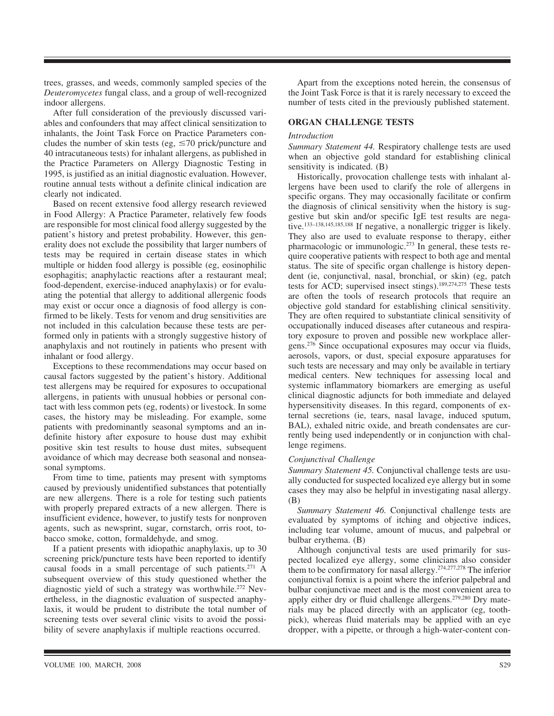trees, grasses, and weeds, commonly sampled species of the *Deuteromycetes* fungal class, and a group of well-recognized indoor allergens.

After full consideration of the previously discussed variables and confounders that may affect clinical sensitization to inhalants, the Joint Task Force on Practice Parameters concludes the number of skin tests (eg,  $\leq$ 70 prick/puncture and 40 intracutaneous tests) for inhalant allergens, as published in the Practice Parameters on Allergy Diagnostic Testing in 1995, is justified as an initial diagnostic evaluation. However, routine annual tests without a definite clinical indication are clearly not indicated.

Based on recent extensive food allergy research reviewed in Food Allergy: A Practice Parameter, relatively few foods are responsible for most clinical food allergy suggested by the patient's history and pretest probability. However, this generality does not exclude the possibility that larger numbers of tests may be required in certain disease states in which multiple or hidden food allergy is possible (eg, eosinophilic esophagitis; anaphylactic reactions after a restaurant meal; food-dependent, exercise-induced anaphylaxis) or for evaluating the potential that allergy to additional allergenic foods may exist or occur once a diagnosis of food allergy is confirmed to be likely. Tests for venom and drug sensitivities are not included in this calculation because these tests are performed only in patients with a strongly suggestive history of anaphylaxis and not routinely in patients who present with inhalant or food allergy.

Exceptions to these recommendations may occur based on causal factors suggested by the patient's history. Additional test allergens may be required for exposures to occupational allergens, in patients with unusual hobbies or personal contact with less common pets (eg, rodents) or livestock. In some cases, the history may be misleading. For example, some patients with predominantly seasonal symptoms and an indefinite history after exposure to house dust may exhibit positive skin test results to house dust mites, subsequent avoidance of which may decrease both seasonal and nonseasonal symptoms.

From time to time, patients may present with symptoms caused by previously unidentified substances that potentially are new allergens. There is a role for testing such patients with properly prepared extracts of a new allergen. There is insufficient evidence, however, to justify tests for nonproven agents, such as newsprint, sugar, cornstarch, orris root, tobacco smoke, cotton, formaldehyde, and smog.

If a patient presents with idiopathic anaphylaxis, up to 30 screening prick/puncture tests have been reported to identify causal foods in a small percentage of such patients.271 A subsequent overview of this study questioned whether the diagnostic yield of such a strategy was worthwhile.272 Nevertheless, in the diagnostic evaluation of suspected anaphylaxis, it would be prudent to distribute the total number of screening tests over several clinic visits to avoid the possibility of severe anaphylaxis if multiple reactions occurred.

Apart from the exceptions noted herein, the consensus of the Joint Task Force is that it is rarely necessary to exceed the number of tests cited in the previously published statement.

## **ORGAN CHALLENGE TESTS**

#### *Introduction*

*Summary Statement 44.* Respiratory challenge tests are used when an objective gold standard for establishing clinical sensitivity is indicated. (B)

Historically, provocation challenge tests with inhalant allergens have been used to clarify the role of allergens in specific organs. They may occasionally facilitate or confirm the diagnosis of clinical sensitivity when the history is suggestive but skin and/or specific IgE test results are negative.133–138,145,185,188 If negative, a nonallergic trigger is likely. They also are used to evaluate response to therapy, either pharmacologic or immunologic.273 In general, these tests require cooperative patients with respect to both age and mental status. The site of specific organ challenge is history dependent (ie, conjunctival, nasal, bronchial, or skin) (eg, patch tests for ACD; supervised insect stings).189,274,275 These tests are often the tools of research protocols that require an objective gold standard for establishing clinical sensitivity. They are often required to substantiate clinical sensitivity of occupationally induced diseases after cutaneous and respiratory exposure to proven and possible new workplace allergens.276 Since occupational exposures may occur via fluids, aerosols, vapors, or dust, special exposure apparatuses for such tests are necessary and may only be available in tertiary medical centers. New techniques for assessing local and systemic inflammatory biomarkers are emerging as useful clinical diagnostic adjuncts for both immediate and delayed hypersensitivity diseases. In this regard, components of external secretions (ie, tears, nasal lavage, induced sputum, BAL), exhaled nitric oxide, and breath condensates are currently being used independently or in conjunction with challenge regimens.

#### *Conjunctival Challenge*

*Summary Statement 45.* Conjunctival challenge tests are usually conducted for suspected localized eye allergy but in some cases they may also be helpful in investigating nasal allergy. (B)

*Summary Statement 46.* Conjunctival challenge tests are evaluated by symptoms of itching and objective indices, including tear volume, amount of mucus, and palpebral or bulbar erythema. (B)

Although conjunctival tests are used primarily for suspected localized eye allergy, some clinicians also consider them to be confirmatory for nasal allergy.274,277,278 The inferior conjunctival fornix is a point where the inferior palpebral and bulbar conjunctivae meet and is the most convenient area to apply either dry or fluid challenge allergens.<sup>279,280</sup> Dry materials may be placed directly with an applicator (eg, toothpick), whereas fluid materials may be applied with an eye dropper, with a pipette, or through a high-water-content con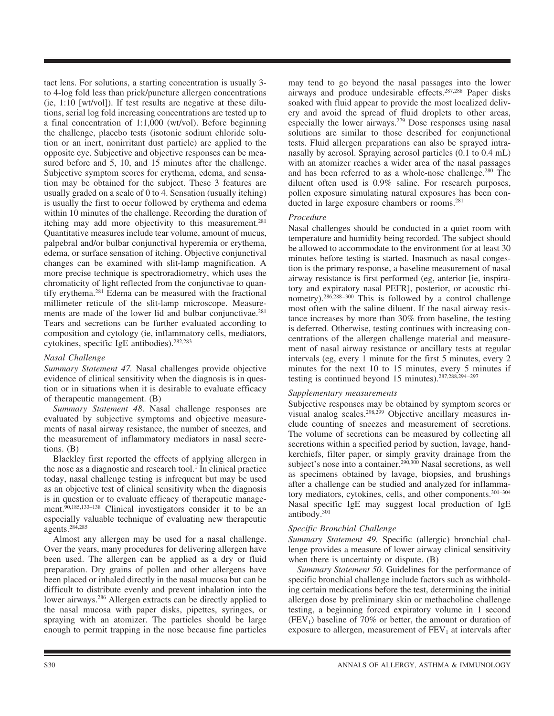tact lens. For solutions, a starting concentration is usually 3 to 4-log fold less than prick/puncture allergen concentrations (ie, 1:10 [wt/vol]). If test results are negative at these dilutions, serial log fold increasing concentrations are tested up to a final concentration of 1:1,000 (wt/vol). Before beginning the challenge, placebo tests (isotonic sodium chloride solution or an inert, nonirritant dust particle) are applied to the opposite eye. Subjective and objective responses can be measured before and 5, 10, and 15 minutes after the challenge. Subjective symptom scores for erythema, edema, and sensation may be obtained for the subject. These 3 features are usually graded on a scale of 0 to 4. Sensation (usually itching) is usually the first to occur followed by erythema and edema within 10 minutes of the challenge. Recording the duration of itching may add more objectivity to this measurement.<sup>281</sup> Quantitative measures include tear volume, amount of mucus, palpebral and/or bulbar conjunctival hyperemia or erythema, edema, or surface sensation of itching. Objective conjunctival changes can be examined with slit-lamp magnification. A more precise technique is spectroradiometry, which uses the chromaticity of light reflected from the conjunctivae to quantify erythema.281 Edema can be measured with the fractional millimeter reticule of the slit-lamp microscope. Measurements are made of the lower lid and bulbar conjunctivae.<sup>281</sup> Tears and secretions can be further evaluated according to composition and cytology (ie, inflammatory cells, mediators, cytokines, specific IgE antibodies).282,283

# *Nasal Challenge*

*Summary Statement 47.* Nasal challenges provide objective evidence of clinical sensitivity when the diagnosis is in question or in situations when it is desirable to evaluate efficacy of therapeutic management. (B)

*Summary Statement 48*. Nasal challenge responses are evaluated by subjective symptoms and objective measurements of nasal airway resistance, the number of sneezes, and the measurement of inflammatory mediators in nasal secretions. (B)

Blackley first reported the effects of applying allergen in the nose as a diagnostic and research tool.<sup>1</sup> In clinical practice today, nasal challenge testing is infrequent but may be used as an objective test of clinical sensitivity when the diagnosis is in question or to evaluate efficacy of therapeutic management.<sup>90,185,133–138</sup> Clinical investigators consider it to be an especially valuable technique of evaluating new therapeutic agents.284,285

Almost any allergen may be used for a nasal challenge. Over the years, many procedures for delivering allergen have been used. The allergen can be applied as a dry or fluid preparation. Dry grains of pollen and other allergens have been placed or inhaled directly in the nasal mucosa but can be difficult to distribute evenly and prevent inhalation into the lower airways.<sup>286</sup> Allergen extracts can be directly applied to the nasal mucosa with paper disks, pipettes, syringes, or spraying with an atomizer. The particles should be large enough to permit trapping in the nose because fine particles may tend to go beyond the nasal passages into the lower airways and produce undesirable effects.287,288 Paper disks soaked with fluid appear to provide the most localized delivery and avoid the spread of fluid droplets to other areas, especially the lower airways.279 Dose responses using nasal solutions are similar to those described for conjunctional tests. Fluid allergen preparations can also be sprayed intranasally by aerosol. Spraying aerosol particles (0.1 to 0.4 mL) with an atomizer reaches a wider area of the nasal passages and has been referred to as a whole-nose challenge.<sup>280</sup> The diluent often used is 0.9% saline. For research purposes, pollen exposure simulating natural exposures has been conducted in large exposure chambers or rooms.<sup>281</sup>

## *Procedure*

Nasal challenges should be conducted in a quiet room with temperature and humidity being recorded. The subject should be allowed to accommodate to the environment for at least 30 minutes before testing is started. Inasmuch as nasal congestion is the primary response, a baseline measurement of nasal airway resistance is first performed (eg, anterior [ie, inspiratory and expiratory nasal PEFR], posterior, or acoustic rhinometry).<sup>286,288-300</sup> This is followed by a control challenge most often with the saline diluent. If the nasal airway resistance increases by more than 30% from baseline, the testing is deferred. Otherwise, testing continues with increasing concentrations of the allergen challenge material and measurement of nasal airway resistance or ancillary tests at regular intervals (eg, every 1 minute for the first 5 minutes, every 2 minutes for the next 10 to 15 minutes, every 5 minutes if testing is continued beyond 15 minutes).287,288,294 –297

# *Supplementary measurements*

Subjective responses may be obtained by symptom scores or visual analog scales.298,299 Objective ancillary measures include counting of sneezes and measurement of secretions. The volume of secretions can be measured by collecting all secretions within a specified period by suction, lavage, handkerchiefs, filter paper, or simply gravity drainage from the subject's nose into a container.<sup>290,300</sup> Nasal secretions, as well as specimens obtained by lavage, biopsies, and brushings after a challenge can be studied and analyzed for inflammatory mediators, cytokines, cells, and other components.<sup>301–304</sup> Nasal specific IgE may suggest local production of IgE antibody.301

# *Specific Bronchial Challenge*

*Summary Statement 49.* Specific (allergic) bronchial challenge provides a measure of lower airway clinical sensitivity when there is uncertainty or dispute. (B)

*Summary Statement 50.* Guidelines for the performance of specific bronchial challenge include factors such as withholding certain medications before the test, determining the initial allergen dose by preliminary skin or methacholine challenge testing, a beginning forced expiratory volume in 1 second  $(FEV_1)$  baseline of 70% or better, the amount or duration of exposure to allergen, measurement of  $FEV<sub>1</sub>$  at intervals after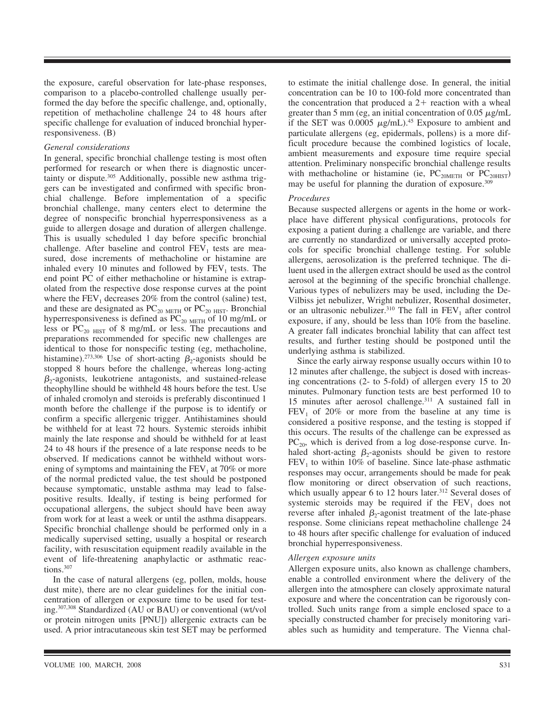the exposure, careful observation for late-phase responses, comparison to a placebo-controlled challenge usually performed the day before the specific challenge, and, optionally, repetition of methacholine challenge 24 to 48 hours after specific challenge for evaluation of induced bronchial hyperresponsiveness. (B)

#### *General considerations*

In general, specific bronchial challenge testing is most often performed for research or when there is diagnostic uncertainty or dispute.<sup>305</sup> Additionally, possible new asthma triggers can be investigated and confirmed with specific bronchial challenge. Before implementation of a specific bronchial challenge, many centers elect to determine the degree of nonspecific bronchial hyperresponsiveness as a guide to allergen dosage and duration of allergen challenge. This is usually scheduled 1 day before specific bronchial challenge. After baseline and control  $FEV<sub>1</sub>$  tests are measured, dose increments of methacholine or histamine are inhaled every 10 minutes and followed by  $FEV<sub>1</sub>$  tests. The end point PC of either methacholine or histamine is extrapolated from the respective dose response curves at the point where the  $FEV_1$  decreases 20% from the control (saline) test, and these are designated as  $PC_{20 \text{ METH}}$  or  $PC_{20 \text{ HIST}}$ . Bronchial hyperresponsiveness is defined as  $PC_{20 \text{ METH}}$  of 10 mg/mL or less or  $PC_{20 HIST}$  of 8 mg/mL or less. The precautions and preparations recommended for specific new challenges are identical to those for nonspecific testing (eg, methacholine, histamine).<sup>273,306</sup> Use of short-acting  $\beta_2$ -agonists should be stopped 8 hours before the challenge, whereas long-acting  $\beta_2$ -agonists, leukotriene antagonists, and sustained-release theophylline should be withheld 48 hours before the test. Use of inhaled cromolyn and steroids is preferably discontinued 1 month before the challenge if the purpose is to identify or confirm a specific allergenic trigger. Antihistamines should be withheld for at least 72 hours. Systemic steroids inhibit mainly the late response and should be withheld for at least 24 to 48 hours if the presence of a late response needs to be observed. If medications cannot be withheld without worsening of symptoms and maintaining the  $FEV_1$  at 70% or more of the normal predicted value, the test should be postponed because symptomatic, unstable asthma may lead to falsepositive results. Ideally, if testing is being performed for occupational allergens, the subject should have been away from work for at least a week or until the asthma disappears. Specific bronchial challenge should be performed only in a medically supervised setting, usually a hospital or research facility, with resuscitation equipment readily available in the event of life-threatening anaphylactic or asthmatic reactions.307

In the case of natural allergens (eg, pollen, molds, house dust mite), there are no clear guidelines for the initial concentration of allergen or exposure time to be used for testing.307,308 Standardized (AU or BAU) or conventional (wt/vol or protein nitrogen units [PNU]) allergenic extracts can be used. A prior intracutaneous skin test SET may be performed to estimate the initial challenge dose. In general, the initial concentration can be 10 to 100-fold more concentrated than the concentration that produced a  $2+$  reaction with a wheal greater than 5 mm (eg, an initial concentration of 0.05  $\mu$ g/mL if the SET was 0.0005  $\mu$ g/mL).<sup>45</sup> Exposure to ambient and particulate allergens (eg, epidermals, pollens) is a more difficult procedure because the combined logistics of locale, ambient measurements and exposure time require special attention. Preliminary nonspecific bronchial challenge results with methacholine or histamine (ie,  $PC_{20METH}$  or  $PC_{20HIST}$ ) may be useful for planning the duration of exposure.309

#### *Procedures*

Because suspected allergens or agents in the home or workplace have different physical configurations, protocols for exposing a patient during a challenge are variable, and there are currently no standardized or universally accepted protocols for specific bronchial challenge testing. For soluble allergens, aerosolization is the preferred technique. The diluent used in the allergen extract should be used as the control aerosol at the beginning of the specific bronchial challenge. Various types of nebulizers may be used, including the De-Vilbiss jet nebulizer, Wright nebulizer, Rosenthal dosimeter, or an ultrasonic nebulizer.<sup>310</sup> The fall in  $FEV<sub>1</sub>$  after control exposure, if any, should be less than 10% from the baseline. A greater fall indicates bronchial lability that can affect test results, and further testing should be postponed until the underlying asthma is stabilized.

Since the early airway response usually occurs within 10 to 12 minutes after challenge, the subject is dosed with increasing concentrations (2- to 5-fold) of allergen every 15 to 20 minutes. Pulmonary function tests are best performed 10 to 15 minutes after aerosol challenge.311 A sustained fall in  $FEV<sub>1</sub>$  of 20% or more from the baseline at any time is considered a positive response, and the testing is stopped if this occurs. The results of the challenge can be expressed as  $PC_{20}$ , which is derived from a log dose-response curve. Inhaled short-acting  $\beta_2$ -agonists should be given to restore  $FEV<sub>1</sub>$  to within 10% of baseline. Since late-phase asthmatic responses may occur, arrangements should be made for peak flow monitoring or direct observation of such reactions, which usually appear 6 to 12 hours later.<sup>312</sup> Several doses of systemic steroids may be required if the  $FEV<sub>1</sub>$  does not reverse after inhaled  $\beta_2$ -agonist treatment of the late-phase response. Some clinicians repeat methacholine challenge 24 to 48 hours after specific challenge for evaluation of induced bronchial hyperresponsiveness.

#### *Allergen exposure units*

Allergen exposure units, also known as challenge chambers, enable a controlled environment where the delivery of the allergen into the atmosphere can closely approximate natural exposure and where the concentration can be rigorously controlled. Such units range from a simple enclosed space to a specially constructed chamber for precisely monitoring variables such as humidity and temperature. The Vienna chal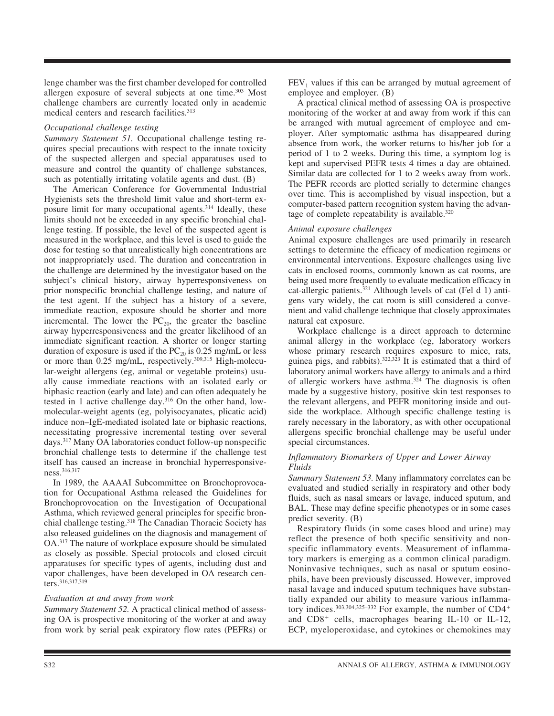lenge chamber was the first chamber developed for controlled allergen exposure of several subjects at one time. $303$  Most challenge chambers are currently located only in academic medical centers and research facilities.<sup>313</sup>

## *Occupational challenge testing*

*Summary Statement 51.* Occupational challenge testing requires special precautions with respect to the innate toxicity of the suspected allergen and special apparatuses used to measure and control the quantity of challenge substances, such as potentially irritating volatile agents and dust. (B)

The American Conference for Governmental Industrial Hygienists sets the threshold limit value and short-term exposure limit for many occupational agents.314 Ideally, these limits should not be exceeded in any specific bronchial challenge testing. If possible, the level of the suspected agent is measured in the workplace, and this level is used to guide the dose for testing so that unrealistically high concentrations are not inappropriately used. The duration and concentration in the challenge are determined by the investigator based on the subject's clinical history, airway hyperresponsiveness on prior nonspecific bronchial challenge testing, and nature of the test agent. If the subject has a history of a severe, immediate reaction, exposure should be shorter and more incremental. The lower the  $PC_{20}$ , the greater the baseline airway hyperresponsiveness and the greater likelihood of an immediate significant reaction. A shorter or longer starting duration of exposure is used if the  $PC_{20}$  is 0.25 mg/mL or less or more than 0.25 mg/mL, respectively.309,315 High-molecular-weight allergens (eg, animal or vegetable proteins) usually cause immediate reactions with an isolated early or biphasic reaction (early and late) and can often adequately be tested in 1 active challenge day.316 On the other hand, lowmolecular-weight agents (eg, polyisocyanates, plicatic acid) induce non–IgE-mediated isolated late or biphasic reactions, necessitating progressive incremental testing over several days.317 Many OA laboratories conduct follow-up nonspecific bronchial challenge tests to determine if the challenge test itself has caused an increase in bronchial hyperresponsiveness.316,317

In 1989, the AAAAI Subcommittee on Bronchoprovocation for Occupational Asthma released the Guidelines for Bronchoprovocation on the Investigation of Occupational Asthma, which reviewed general principles for specific bronchial challenge testing.318 The Canadian Thoracic Society has also released guidelines on the diagnosis and management of OA.317 The nature of workplace exposure should be simulated as closely as possible. Special protocols and closed circuit apparatuses for specific types of agents, including dust and vapor challenges, have been developed in OA research centers.316,317,319

#### *Evaluation at and away from work*

*Summary Statement 52.* A practical clinical method of assessing OA is prospective monitoring of the worker at and away from work by serial peak expiratory flow rates (PEFRs) or  $FEV<sub>1</sub>$  values if this can be arranged by mutual agreement of employee and employer. (B)

A practical clinical method of assessing OA is prospective monitoring of the worker at and away from work if this can be arranged with mutual agreement of employee and employer. After symptomatic asthma has disappeared during absence from work, the worker returns to his/her job for a period of 1 to 2 weeks. During this time, a symptom log is kept and supervised PEFR tests 4 times a day are obtained. Similar data are collected for 1 to 2 weeks away from work. The PEFR records are plotted serially to determine changes over time. This is accomplished by visual inspection, but a computer-based pattern recognition system having the advantage of complete repeatability is available.<sup>320</sup>

## *Animal exposure challenges*

Animal exposure challenges are used primarily in research settings to determine the efficacy of medication regimens or environmental interventions. Exposure challenges using live cats in enclosed rooms, commonly known as cat rooms, are being used more frequently to evaluate medication efficacy in cat-allergic patients.<sup>321</sup> Although levels of cat (Fel d 1) antigens vary widely, the cat room is still considered a convenient and valid challenge technique that closely approximates natural cat exposure.

Workplace challenge is a direct approach to determine animal allergy in the workplace (eg, laboratory workers whose primary research requires exposure to mice, rats, guinea pigs, and rabbits).322,323 It is estimated that a third of laboratory animal workers have allergy to animals and a third of allergic workers have asthma.324 The diagnosis is often made by a suggestive history, positive skin test responses to the relevant allergens, and PEFR monitoring inside and outside the workplace. Although specific challenge testing is rarely necessary in the laboratory, as with other occupational allergens specific bronchial challenge may be useful under special circumstances.

## *Inflammatory Biomarkers of Upper and Lower Airway Fluids*

*Summary Statement 53.* Many inflammatory correlates can be evaluated and studied serially in respiratory and other body fluids, such as nasal smears or lavage, induced sputum, and BAL. These may define specific phenotypes or in some cases predict severity. (B)

Respiratory fluids (in some cases blood and urine) may reflect the presence of both specific sensitivity and nonspecific inflammatory events. Measurement of inflammatory markers is emerging as a common clinical paradigm. Noninvasive techniques, such as nasal or sputum eosinophils, have been previously discussed. However, improved nasal lavage and induced sputum techniques have substantially expanded our ability to measure various inflammatory indices.<sup>303,304,325–332</sup> For example, the number of  $CD4^+$ and  $CD8<sup>+</sup>$  cells, macrophages bearing IL-10 or IL-12, ECP, myeloperoxidase, and cytokines or chemokines may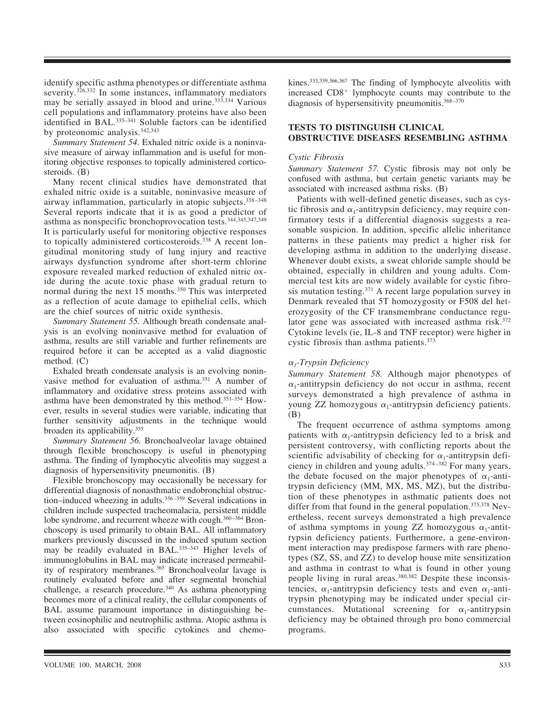identify specific asthma phenotypes or differentiate asthma severity.<sup>326,332</sup> In some instances, inflammatory mediators may be serially assayed in blood and urine.<sup>333,334</sup> Various cell populations and inflammatory proteins have also been identified in BAL.335–341 Soluble factors can be identified by proteonomic analysis.342,343

*Summary Statement 54.* Exhaled nitric oxide is a noninvasive measure of airway inflammation and is useful for monitoring objective responses to topically administered corticosteroids. (B)

Many recent clinical studies have demonstrated that exhaled nitric oxide is a suitable, noninvasive measure of airway inflammation, particularly in atopic subjects.<sup>338-348</sup> Several reports indicate that it is as good a predictor of asthma as nonspecific bronchoprovocation tests.344,345,347,349 It is particularly useful for monitoring objective responses to topically administered corticosteroids.<sup>338</sup> A recent longitudinal monitoring study of lung injury and reactive airways dysfunction syndrome after short-term chlorine exposure revealed marked reduction of exhaled nitric oxide during the acute toxic phase with gradual return to normal during the next 15 months.<sup>350</sup> This was interpreted as a reflection of acute damage to epithelial cells, which are the chief sources of nitric oxide synthesis.

*Summary Statement 55.* Although breath condensate analysis is an evolving noninvasive method for evaluation of asthma, results are still variable and further refinements are required before it can be accepted as a valid diagnostic method. (C)

Exhaled breath condensate analysis is an evolving noninvasive method for evaluation of asthma.351 A number of inflammatory and oxidative stress proteins associated with asthma have been demonstrated by this method.351–354 However, results in several studies were variable, indicating that further sensitivity adjustments in the technique would broaden its applicability.355

*Summary Statement 56.* Bronchoalveolar lavage obtained through flexible bronchoscopy is useful in phenotyping asthma. The finding of lymphocytic alveolitis may suggest a diagnosis of hypersensitivity pneumonitis. (B)

Flexible bronchoscopy may occasionally be necessary for differential diagnosis of nonasthmatic endobronchial obstruction–induced wheezing in adults.<sup>356–359</sup> Several indications in children include suspected tracheomalacia, persistent middle lobe syndrome, and recurrent wheeze with cough.<sup>360–364</sup> Bronchoscopy is used primarily to obtain BAL. All inflammatory markers previously discussed in the induced sputum section may be readily evaluated in BAL.<sup>335-343</sup> Higher levels of immunoglobulins in BAL may indicate increased permeability of respiratory membranes.<sup>365</sup> Bronchoalveolar lavage is routinely evaluated before and after segmental bronchial challenge, a research procedure.<sup>340</sup> As asthma phenotyping becomes more of a clinical reality, the cellular components of BAL assume paramount importance in distinguishing between eosinophilic and neutrophilic asthma. Atopic asthma is also associated with specific cytokines and chemo-

## **TESTS TO DISTINGUISH CLINICAL OBSTRUCTIVE DISEASES RESEMBLING ASTHMA**

# *Cystic Fibrosis*

*Summary Statement 57.* Cystic fibrosis may not only be confused with asthma, but certain genetic variants may be associated with increased asthma risks. (B)

Patients with well-defined genetic diseases, such as cystic fibrosis and  $\alpha_1$ -antitrypsin deficiency, may require confirmatory tests if a differential diagnosis suggests a reasonable suspicion. In addition, specific allelic inheritance patterns in these patients may predict a higher risk for developing asthma in addition to the underlying disease. Whenever doubt exists, a sweat chloride sample should be obtained, especially in children and young adults. Commercial test kits are now widely available for cystic fibrosis mutation testing.371 A recent large population survey in Denmark revealed that 5T homozygosity or F508 del heterozygosity of the CF transmembrane conductance regulator gene was associated with increased asthma risk.<sup>372</sup> Cytokine levels (ie, IL-8 and TNF receptor) were higher in cystic fibrosis than asthma patients.373

# *1-Trypsin Deficiency*

*Summary Statement 58.* Although major phenotypes of  $\alpha_1$ -antitrypsin deficiency do not occur in asthma, recent surveys demonstrated a high prevalence of asthma in young ZZ homozygous  $\alpha_1$ -antitrypsin deficiency patients. (B)

The frequent occurrence of asthma symptoms among patients with  $\alpha_1$ -antitrypsin deficiency led to a brisk and persistent controversy, with conflicting reports about the scientific advisability of checking for  $\alpha_1$ -antitrypsin deficiency in children and young adults.374 –382 For many years, the debate focused on the major phenotypes of  $\alpha_1$ -antitrypsin deficiency (MM, MX, MS, MZ), but the distribution of these phenotypes in asthmatic patients does not differ from that found in the general population.<sup>375,378</sup> Nevertheless, recent surveys demonstrated a high prevalence of asthma symptoms in young ZZ homozygous  $\alpha_1$ -antitrypsin deficiency patients. Furthermore, a gene-environment interaction may predispose farmers with rare phenotypes (SZ, SS, and ZZ) to develop house mite sensitization and asthma in contrast to what is found in other young people living in rural areas. $380,382$  Despite these inconsistencies,  $\alpha_1$ -antitrypsin deficiency tests and even  $\alpha_1$ -antitrypsin phenotyping may be indicated under special circumstances. Mutational screening for  $\alpha_1$ -antitrypsin deficiency may be obtained through pro bono commercial programs.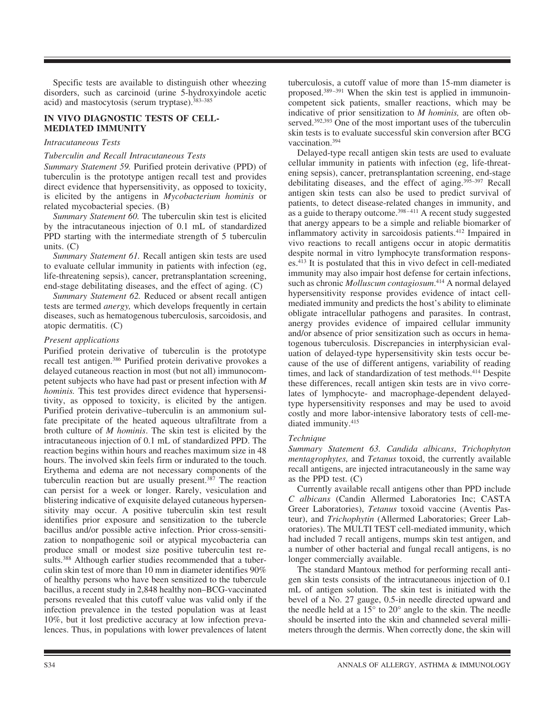Specific tests are available to distinguish other wheezing disorders, such as carcinoid (urine 5-hydroxyindole acetic acid) and mastocytosis (serum tryptase).383–385

# **IN VIVO DIAGNOSTIC TESTS OF CELL-MEDIATED IMMUNITY**

#### *Intracutaneous Tests*

#### *Tuberculin and Recall Intracutaneous Tests*

*Summary Statement 59.* Purified protein derivative (PPD) of tuberculin is the prototype antigen recall test and provides direct evidence that hypersensitivity, as opposed to toxicity, is elicited by the antigens in *Mycobacterium hominis* or related mycobacterial species. (B)

*Summary Statement 60.* The tuberculin skin test is elicited by the intracutaneous injection of 0.1 mL of standardized PPD starting with the intermediate strength of 5 tuberculin units.  $(C)$ 

*Summary Statement 61.* Recall antigen skin tests are used to evaluate cellular immunity in patients with infection (eg, life-threatening sepsis), cancer, pretransplantation screening, end-stage debilitating diseases, and the effect of aging. (C)

*Summary Statement 62.* Reduced or absent recall antigen tests are termed *anergy,* which develops frequently in certain diseases, such as hematogenous tuberculosis, sarcoidosis, and atopic dermatitis. (C)

#### *Present applications*

Purified protein derivative of tuberculin is the prototype recall test antigen.386 Purified protein derivative provokes a delayed cutaneous reaction in most (but not all) immunocompetent subjects who have had past or present infection with *M hominis.* This test provides direct evidence that hypersensitivity, as opposed to toxicity, is elicited by the antigen. Purified protein derivative–tuberculin is an ammonium sulfate precipitate of the heated aqueous ultrafiltrate from a broth culture of *M hominis*. The skin test is elicited by the intracutaneous injection of 0.1 mL of standardized PPD. The reaction begins within hours and reaches maximum size in 48 hours. The involved skin feels firm or indurated to the touch. Erythema and edema are not necessary components of the tuberculin reaction but are usually present.387 The reaction can persist for a week or longer. Rarely, vesiculation and blistering indicative of exquisite delayed cutaneous hypersensitivity may occur. A positive tuberculin skin test result identifies prior exposure and sensitization to the tubercle bacillus and/or possible active infection. Prior cross-sensitization to nonpathogenic soil or atypical mycobacteria can produce small or modest size positive tuberculin test results.<sup>388</sup> Although earlier studies recommended that a tuberculin skin test of more than 10 mm in diameter identifies 90% of healthy persons who have been sensitized to the tubercule bacillus, a recent study in 2,848 healthy non–BCG-vaccinated persons revealed that this cutoff value was valid only if the infection prevalence in the tested population was at least 10%, but it lost predictive accuracy at low infection prevalences. Thus, in populations with lower prevalences of latent tuberculosis, a cutoff value of more than 15-mm diameter is proposed.<sup>389-391</sup> When the skin test is applied in immunoincompetent sick patients, smaller reactions, which may be indicative of prior sensitization to *M hominis,* are often observed.<sup>392,393</sup> One of the most important uses of the tuberculin skin tests is to evaluate successful skin conversion after BCG vaccination.394

Delayed-type recall antigen skin tests are used to evaluate cellular immunity in patients with infection (eg, life-threatening sepsis), cancer, pretransplantation screening, end-stage debilitating diseases, and the effect of aging.395–397 Recall antigen skin tests can also be used to predict survival of patients, to detect disease-related changes in immunity, and as a guide to therapy outcome.<sup>398-411</sup> A recent study suggested that anergy appears to be a simple and reliable biomarker of inflammatory activity in sarcoidosis patients.412 Impaired in vivo reactions to recall antigens occur in atopic dermatitis despite normal in vitro lymphocyte transformation responses.413 It is postulated that this in vivo defect in cell-mediated immunity may also impair host defense for certain infections, such as chronic *Molluscum contagiosum*. <sup>414</sup> A normal delayed hypersensitivity response provides evidence of intact cellmediated immunity and predicts the host's ability to eliminate obligate intracellular pathogens and parasites. In contrast, anergy provides evidence of impaired cellular immunity and/or absence of prior sensitization such as occurs in hematogenous tuberculosis. Discrepancies in interphysician evaluation of delayed-type hypersensitivity skin tests occur because of the use of different antigens, variability of reading times, and lack of standardization of test methods.<sup>414</sup> Despite these differences, recall antigen skin tests are in vivo correlates of lymphocyte- and macrophage-dependent delayedtype hypersensitivity responses and may be used to avoid costly and more labor-intensive laboratory tests of cell-mediated immunity.415

#### *Technique*

*Summary Statement 63. Candida albicans*, *Trichophyton mentagrophytes,* and *Tetanus* toxoid, the currently available recall antigens, are injected intracutaneously in the same way as the PPD test. (C)

Currently available recall antigens other than PPD include *C albicans* (Candin Allermed Laboratories Inc; CASTA Greer Laboratories), *Tetanus* toxoid vaccine (Aventis Pasteur), and *Trichophytin* (Allermed Laboratories; Greer Laboratories). The MULTI TEST cell-mediated immunity, which had included 7 recall antigens, mumps skin test antigen, and a number of other bacterial and fungal recall antigens, is no longer commercially available.

The standard Mantoux method for performing recall antigen skin tests consists of the intracutaneous injection of 0.1 mL of antigen solution. The skin test is initiated with the bevel of a No. 27 gauge, 0.5-in needle directed upward and the needle held at a 15° to 20° angle to the skin. The needle should be inserted into the skin and channeled several millimeters through the dermis. When correctly done, the skin will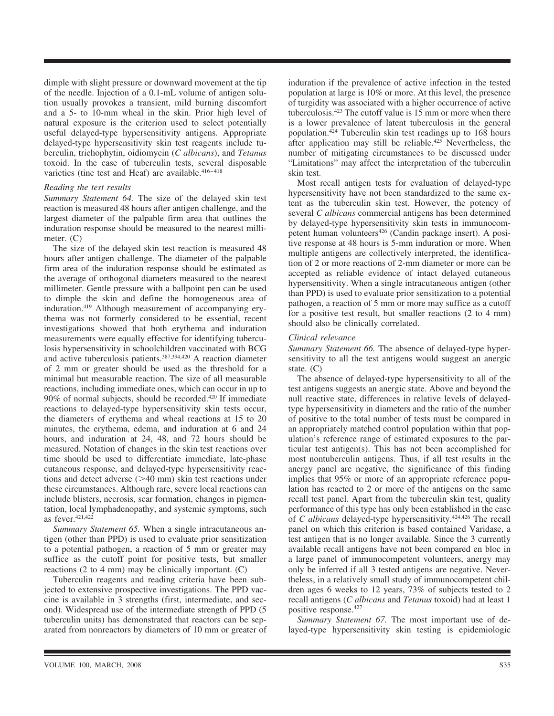dimple with slight pressure or downward movement at the tip of the needle. Injection of a 0.1-mL volume of antigen solution usually provokes a transient, mild burning discomfort and a 5- to 10-mm wheal in the skin. Prior high level of natural exposure is the criterion used to select potentially useful delayed-type hypersensitivity antigens. Appropriate delayed-type hypersensitivity skin test reagents include tuberculin, trichophytin, oidiomycin (*C albicans*), and *Tetanus* toxoid. In the case of tuberculin tests, several disposable varieties (tine test and Heaf) are available.<sup>416-418</sup>

#### *Reading the test results*

*Summary Statement 64.* The size of the delayed skin test reaction is measured 48 hours after antigen challenge, and the largest diameter of the palpable firm area that outlines the induration response should be measured to the nearest millimeter. (C)

The size of the delayed skin test reaction is measured 48 hours after antigen challenge. The diameter of the palpable firm area of the induration response should be estimated as the average of orthogonal diameters measured to the nearest millimeter. Gentle pressure with a ballpoint pen can be used to dimple the skin and define the homogeneous area of induration.419 Although measurement of accompanying erythema was not formerly considered to be essential, recent investigations showed that both erythema and induration measurements were equally effective for identifying tuberculosis hypersensitivity in schoolchildren vaccinated with BCG and active tuberculosis patients.387,394,420 A reaction diameter of 2 mm or greater should be used as the threshold for a minimal but measurable reaction. The size of all measurable reactions, including immediate ones, which can occur in up to 90% of normal subjects, should be recorded.420 If immediate reactions to delayed-type hypersensitivity skin tests occur, the diameters of erythema and wheal reactions at 15 to 20 minutes, the erythema, edema, and induration at 6 and 24 hours, and induration at 24, 48, and 72 hours should be measured. Notation of changes in the skin test reactions over time should be used to differentiate immediate, late-phase cutaneous response, and delayed-type hypersensitivity reactions and detect adverse  $(>40 \text{ mm})$  skin test reactions under these circumstances. Although rare, severe local reactions can include blisters, necrosis, scar formation, changes in pigmentation, local lymphadenopathy, and systemic symptoms, such as fever.421,422

*Summary Statement 65.* When a single intracutaneous antigen (other than PPD) is used to evaluate prior sensitization to a potential pathogen, a reaction of 5 mm or greater may suffice as the cutoff point for positive tests, but smaller reactions (2 to 4 mm) may be clinically important. (C)

Tuberculin reagents and reading criteria have been subjected to extensive prospective investigations. The PPD vaccine is available in 3 strengths (first, intermediate, and second). Widespread use of the intermediate strength of PPD (5 tuberculin units) has demonstrated that reactors can be separated from nonreactors by diameters of 10 mm or greater of induration if the prevalence of active infection in the tested population at large is 10% or more. At this level, the presence of turgidity was associated with a higher occurrence of active tuberculosis.423 The cutoff value is 15 mm or more when there is a lower prevalence of latent tuberculosis in the general population.424 Tuberculin skin test readings up to 168 hours after application may still be reliable.<sup>425</sup> Nevertheless, the number of mitigating circumstances to be discussed under "Limitations" may affect the interpretation of the tuberculin skin test.

Most recall antigen tests for evaluation of delayed-type hypersensitivity have not been standardized to the same extent as the tuberculin skin test. However, the potency of several *C albicans* commercial antigens has been determined by delayed-type hypersensitivity skin tests in immunocompetent human volunteers<sup>426</sup> (Candin package insert). A positive response at 48 hours is 5-mm induration or more. When multiple antigens are collectively interpreted, the identification of 2 or more reactions of 2-mm diameter or more can be accepted as reliable evidence of intact delayed cutaneous hypersensitivity. When a single intracutaneous antigen (other than PPD) is used to evaluate prior sensitization to a potential pathogen, a reaction of 5 mm or more may suffice as a cutoff for a positive test result, but smaller reactions (2 to 4 mm) should also be clinically correlated.

#### *Clinical relevance*

*Summary Statement 66.* The absence of delayed-type hypersensitivity to all the test antigens would suggest an anergic state. (C)

The absence of delayed-type hypersensitivity to all of the test antigens suggests an anergic state. Above and beyond the null reactive state, differences in relative levels of delayedtype hypersensitivity in diameters and the ratio of the number of positive to the total number of tests must be compared in an appropriately matched control population within that population's reference range of estimated exposures to the particular test antigen(s). This has not been accomplished for most nontuberculin antigens. Thus, if all test results in the anergy panel are negative, the significance of this finding implies that 95% or more of an appropriate reference population has reacted to 2 or more of the antigens on the same recall test panel. Apart from the tuberculin skin test, quality performance of this type has only been established in the case of *C albicans* delayed-type hypersensitivity.424,426 The recall panel on which this criterion is based contained Varidase, a test antigen that is no longer available. Since the 3 currently available recall antigens have not been compared en bloc in a large panel of immunocompetent volunteers, anergy may only be inferred if all 3 tested antigens are negative. Nevertheless, in a relatively small study of immunocompetent children ages 6 weeks to 12 years, 73% of subjects tested to 2 recall antigens (*C albicans* and *Tetanus* toxoid) had at least 1 positive response.427

*Summary Statement 67.* The most important use of delayed-type hypersensitivity skin testing is epidemiologic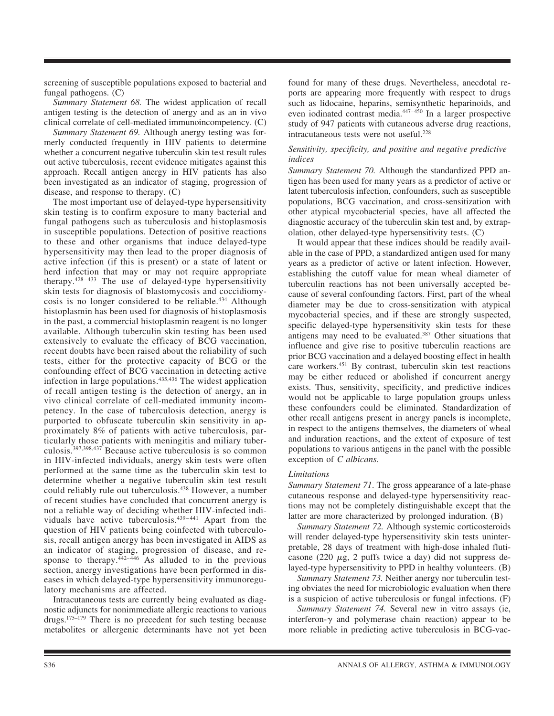screening of susceptible populations exposed to bacterial and fungal pathogens. (C)

*Summary Statement 68.* The widest application of recall antigen testing is the detection of anergy and as an in vivo clinical correlate of cell-mediated immunoincompetency. (C)

*Summary Statement 69.* Although anergy testing was formerly conducted frequently in HIV patients to determine whether a concurrent negative tuberculin skin test result rules out active tuberculosis, recent evidence mitigates against this approach. Recall antigen anergy in HIV patients has also been investigated as an indicator of staging, progression of disease, and response to therapy. (C)

The most important use of delayed-type hypersensitivity skin testing is to confirm exposure to many bacterial and fungal pathogens such as tuberculosis and histoplasmosis in susceptible populations. Detection of positive reactions to these and other organisms that induce delayed-type hypersensitivity may then lead to the proper diagnosis of active infection (if this is present) or a state of latent or herd infection that may or may not require appropriate therapy.<sup>428-433</sup> The use of delayed-type hypersensitivity skin tests for diagnosis of blastomycosis and coccidiomycosis is no longer considered to be reliable.<sup>434</sup> Although histoplasmin has been used for diagnosis of histoplasmosis in the past, a commercial histoplasmin reagent is no longer available. Although tuberculin skin testing has been used extensively to evaluate the efficacy of BCG vaccination, recent doubts have been raised about the reliability of such tests, either for the protective capacity of BCG or the confounding effect of BCG vaccination in detecting active infection in large populations.435,436 The widest application of recall antigen testing is the detection of anergy, an in vivo clinical correlate of cell-mediated immunity incompetency. In the case of tuberculosis detection, anergy is purported to obfuscate tuberculin skin sensitivity in approximately 8% of patients with active tuberculosis, particularly those patients with meningitis and miliary tuberculosis.397,398,437 Because active tuberculosis is so common in HIV-infected individuals, anergy skin tests were often performed at the same time as the tuberculin skin test to determine whether a negative tuberculin skin test result could reliably rule out tuberculosis.438 However, a number of recent studies have concluded that concurrent anergy is not a reliable way of deciding whether HIV-infected individuals have active tuberculosis. $439-441$  Apart from the question of HIV patients being coinfected with tuberculosis, recall antigen anergy has been investigated in AIDS as an indicator of staging, progression of disease, and response to therapy. $442-446$  As alluded to in the previous section, anergy investigations have been performed in diseases in which delayed-type hypersensitivity immunoregulatory mechanisms are affected.

Intracutaneous tests are currently being evaluated as diagnostic adjuncts for nonimmediate allergic reactions to various drugs.175–179 There is no precedent for such testing because metabolites or allergenic determinants have not yet been found for many of these drugs. Nevertheless, anecdotal reports are appearing more frequently with respect to drugs such as lidocaine, heparins, semisynthetic heparinoids, and even iodinated contrast media. $447-450$  In a larger prospective study of 947 patients with cutaneous adverse drug reactions, intracutaneous tests were not useful.228

## *Sensitivity, specificity, and positive and negative predictive indices*

*Summary Statement 70.* Although the standardized PPD antigen has been used for many years as a predictor of active or latent tuberculosis infection, confounders, such as susceptible populations, BCG vaccination, and cross-sensitization with other atypical mycobacterial species, have all affected the diagnostic accuracy of the tuberculin skin test and, by extrapolation, other delayed-type hypersensitivity tests. (C)

It would appear that these indices should be readily available in the case of PPD, a standardized antigen used for many years as a predictor of active or latent infection. However, establishing the cutoff value for mean wheal diameter of tuberculin reactions has not been universally accepted because of several confounding factors. First, part of the wheal diameter may be due to cross-sensitization with atypical mycobacterial species, and if these are strongly suspected, specific delayed-type hypersensitivity skin tests for these antigens may need to be evaluated.387 Other situations that influence and give rise to positive tuberculin reactions are prior BCG vaccination and a delayed boosting effect in health care workers.451 By contrast, tuberculin skin test reactions may be either reduced or abolished if concurrent anergy exists. Thus, sensitivity, specificity, and predictive indices would not be applicable to large population groups unless these confounders could be eliminated. Standardization of other recall antigens present in anergy panels is incomplete, in respect to the antigens themselves, the diameters of wheal and induration reactions, and the extent of exposure of test populations to various antigens in the panel with the possible exception of *C albicans*.

#### *Limitations*

*Summary Statement 71*. The gross appearance of a late-phase cutaneous response and delayed-type hypersensitivity reactions may not be completely distinguishable except that the latter are more characterized by prolonged induration. (B)

*Summary Statement 72.* Although systemic corticosteroids will render delayed-type hypersensitivity skin tests uninterpretable, 28 days of treatment with high-dose inhaled fluticasone (220  $\mu$ g, 2 puffs twice a day) did not suppress delayed-type hypersensitivity to PPD in healthy volunteers. (B)

*Summary Statement 73.* Neither anergy nor tuberculin testing obviates the need for microbiologic evaluation when there is a suspicion of active tuberculosis or fungal infections. (F)

*Summary Statement 74.* Several new in vitro assays (ie, interferon- $\gamma$  and polymerase chain reaction) appear to be more reliable in predicting active tuberculosis in BCG-vac-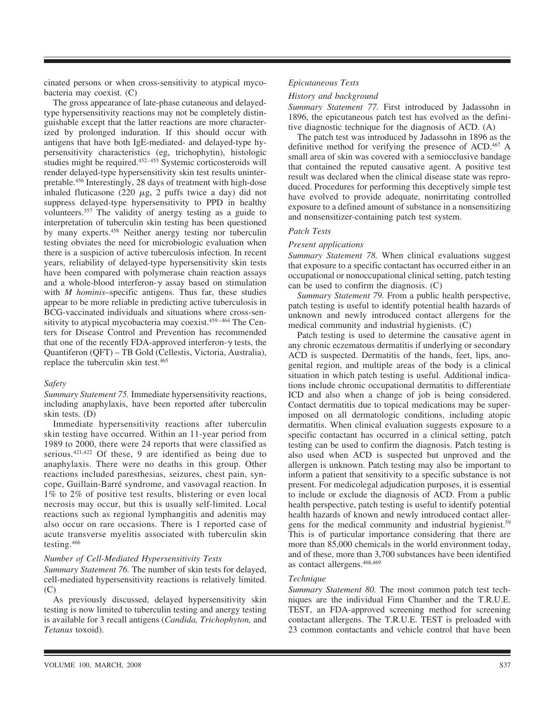cinated persons or when cross-sensitivity to atypical mycobacteria may coexist. (C)

The gross appearance of late-phase cutaneous and delayedtype hypersensitivity reactions may not be completely distinguishable except that the latter reactions are more characterized by prolonged induration. If this should occur with antigens that have both IgE-mediated- and delayed-type hypersensitivity characteristics (eg, trichophytin), histologic studies might be required.<sup>452-455</sup> Systemic corticosteroids will render delayed-type hypersensitivity skin test results uninterpretable.456 Interestingly, 28 days of treatment with high-dose inhaled fluticasone (220  $\mu$ g, 2 puffs twice a day) did not suppress delayed-type hypersensitivity to PPD in healthy volunteers.557 The validity of anergy testing as a guide to interpretation of tuberculin skin testing has been questioned by many experts.458 Neither anergy testing nor tuberculin testing obviates the need for microbiologic evaluation when there is a suspicion of active tuberculosis infection. In recent years, reliability of delayed-type hypersensitivity skin tests have been compared with polymerase chain reaction assays and a whole-blood interferon- $\gamma$  assay based on stimulation with *M hominis*–specific antigens. Thus far, these studies appear to be more reliable in predicting active tuberculosis in BCG-vaccinated individuals and situations where cross-sensitivity to atypical mycobacteria may coexist.<sup>459-464</sup> The Centers for Disease Control and Prevention has recommended that one of the recently FDA-approved interferon- $\gamma$  tests, the Quantiferon (QFT) – TB Gold (Cellestis, Victoria, Australia), replace the tuberculin skin test.465

## *Safety*

*Summary Statement 75.* Immediate hypersensitivity reactions, including anaphylaxis, have been reported after tuberculin skin tests. (D)

Immediate hypersensitivity reactions after tuberculin skin testing have occurred. Within an 11-year period from 1989 to 2000, there were 24 reports that were classified as serious.421,422 Of these, 9 are identified as being due to anaphylaxis. There were no deaths in this group. Other reactions included paresthesias, seizures, chest pain, syncope, Guillain-Barré syndrome, and vasovagal reaction. In 1% to 2% of positive test results, blistering or even local necrosis may occur, but this is usually self-limited. Local reactions such as regional lymphangitis and adenitis may also occur on rare occasions. There is 1 reported case of acute transverse myelitis associated with tuberculin skin testing.466

## *Number of Cell-Mediated Hypersensitivity Tests*

*Summary Statement 76.* The number of skin tests for delayed, cell-mediated hypersensitivity reactions is relatively limited.  $(C)$ 

As previously discussed, delayed hypersensitivity skin testing is now limited to tuberculin testing and anergy testing is available for 3 recall antigens (*Candida, Trichophyton,* and *Tetanus* toxoid).

#### *Epicutaneous Tests*

#### *History and background*

*Summary Statement 77.* First introduced by Jadassohn in 1896, the epicutaneous patch test has evolved as the definitive diagnostic technique for the diagnosis of ACD. (A)

The patch test was introduced by Jadassohn in 1896 as the definitive method for verifying the presence of ACD.<sup>467</sup> A small area of skin was covered with a semiocclusive bandage that contained the reputed causative agent. A positive test result was declared when the clinical disease state was reproduced. Procedures for performing this deceptively simple test have evolved to provide adequate, nonirritating controlled exposure to a defined amount of substance in a nonsensitizing and nonsensitizer-containing patch test system.

#### *Patch Tests*

#### *Present applications*

*Summary Statement 78.* When clinical evaluations suggest that exposure to a specific contactant has occurred either in an occupational or nonoccupational clinical setting, patch testing can be used to confirm the diagnosis. (C)

*Summary Statement 79.* From a public health perspective, patch testing is useful to identify potential health hazards of unknown and newly introduced contact allergens for the medical community and industrial hygienists. (C)

Patch testing is used to determine the causative agent in any chronic eczematous dermatitis if underlying or secondary ACD is suspected. Dermatitis of the hands, feet, lips, anogenital region, and multiple areas of the body is a clinical situation in which patch testing is useful. Additional indications include chronic occupational dermatitis to differentiate ICD and also when a change of job is being considered. Contact dermatitis due to topical medications may be superimposed on all dermatologic conditions, including atopic dermatitis. When clinical evaluation suggests exposure to a specific contactant has occurred in a clinical setting, patch testing can be used to confirm the diagnosis. Patch testing is also used when ACD is suspected but unproved and the allergen is unknown. Patch testing may also be important to inform a patient that sensitivity to a specific substance is not present. For medicolegal adjudication purposes, it is essential to include or exclude the diagnosis of ACD. From a public health perspective, patch testing is useful to identify potential health hazards of known and newly introduced contact allergens for the medical community and industrial hygienist.<sup>59</sup> This is of particular importance considering that there are more than 85,000 chemicals in the world environment today, and of these, more than 3,700 substances have been identified as contact allergens.468,469

#### *Technique*

*Summary Statement 80.* The most common patch test techniques are the individual Finn Chamber and the T.R.U.E. TEST, an FDA-approved screening method for screening contactant allergens. The T.R.U.E. TEST is preloaded with 23 common contactants and vehicle control that have been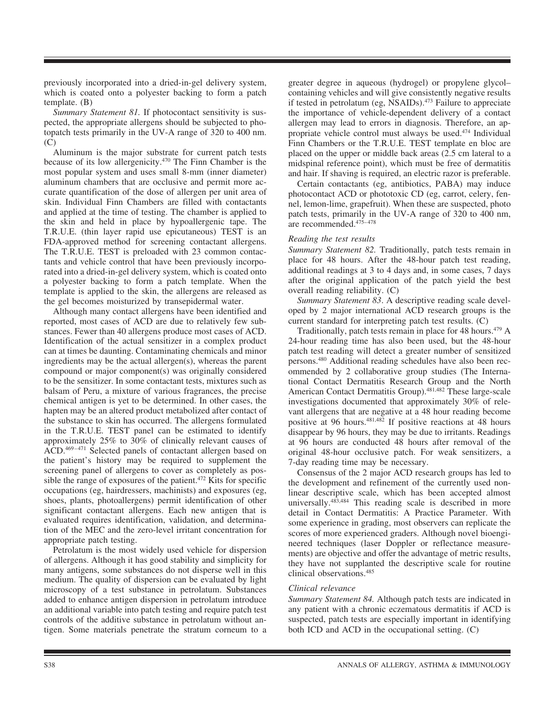previously incorporated into a dried-in-gel delivery system, which is coated onto a polyester backing to form a patch template. (B)

*Summary Statement 81.* If photocontact sensitivity is suspected, the appropriate allergens should be subjected to photopatch tests primarily in the UV-A range of 320 to 400 nm. (C)

Aluminum is the major substrate for current patch tests because of its low allergenicity.470 The Finn Chamber is the most popular system and uses small 8-mm (inner diameter) aluminum chambers that are occlusive and permit more accurate quantification of the dose of allergen per unit area of skin. Individual Finn Chambers are filled with contactants and applied at the time of testing. The chamber is applied to the skin and held in place by hypoallergenic tape. The T.R.U.E. (thin layer rapid use epicutaneous) TEST is an FDA-approved method for screening contactant allergens. The T.R.U.E. TEST is preloaded with 23 common contactants and vehicle control that have been previously incorporated into a dried-in-gel delivery system, which is coated onto a polyester backing to form a patch template. When the template is applied to the skin, the allergens are released as the gel becomes moisturized by transepidermal water.

Although many contact allergens have been identified and reported, most cases of ACD are due to relatively few substances. Fewer than 40 allergens produce most cases of ACD. Identification of the actual sensitizer in a complex product can at times be daunting. Contaminating chemicals and minor ingredients may be the actual allergen(s), whereas the parent compound or major component(s) was originally considered to be the sensitizer. In some contactant tests, mixtures such as balsam of Peru, a mixture of various fragrances, the precise chemical antigen is yet to be determined. In other cases, the hapten may be an altered product metabolized after contact of the substance to skin has occurred. The allergens formulated in the T.R.U.E. TEST panel can be estimated to identify approximately 25% to 30% of clinically relevant causes of ACD.<sup>469-471</sup> Selected panels of contactant allergen based on the patient's history may be required to supplement the screening panel of allergens to cover as completely as possible the range of exposures of the patient.472 Kits for specific occupations (eg, hairdressers, machinists) and exposures (eg, shoes, plants, photoallergens) permit identification of other significant contactant allergens. Each new antigen that is evaluated requires identification, validation, and determination of the MEC and the zero-level irritant concentration for appropriate patch testing.

Petrolatum is the most widely used vehicle for dispersion of allergens. Although it has good stability and simplicity for many antigens, some substances do not disperse well in this medium. The quality of dispersion can be evaluated by light microscopy of a test substance in petrolatum. Substances added to enhance antigen dispersion in petrolatum introduce an additional variable into patch testing and require patch test controls of the additive substance in petrolatum without antigen. Some materials penetrate the stratum corneum to a greater degree in aqueous (hydrogel) or propylene glycol– containing vehicles and will give consistently negative results if tested in petrolatum (eg, NSAIDs).<sup>473</sup> Failure to appreciate the importance of vehicle-dependent delivery of a contact allergen may lead to errors in diagnosis. Therefore, an appropriate vehicle control must always be used.474 Individual Finn Chambers or the T.R.U.E. TEST template en bloc are placed on the upper or middle back areas (2.5 cm lateral to a midspinal reference point), which must be free of dermatitis and hair. If shaving is required, an electric razor is preferable.

Certain contactants (eg, antibiotics, PABA) may induce photocontact ACD or phototoxic CD (eg, carrot, celery, fennel, lemon-lime, grapefruit). When these are suspected, photo patch tests, primarily in the UV-A range of 320 to 400 nm, are recommended.<sup>475-478</sup>

## *Reading the test results*

*Summary Statement 82.* Traditionally, patch tests remain in place for 48 hours. After the 48-hour patch test reading, additional readings at 3 to 4 days and, in some cases, 7 days after the original application of the patch yield the best overall reading reliability. (C)

*Summary Statement 83*. A descriptive reading scale developed by 2 major international ACD research groups is the current standard for interpreting patch test results. (C)

Traditionally, patch tests remain in place for 48 hours.<sup>479</sup> A 24-hour reading time has also been used, but the 48-hour patch test reading will detect a greater number of sensitized persons.480 Additional reading schedules have also been recommended by 2 collaborative group studies (The International Contact Dermatitis Research Group and the North American Contact Dermatitis Group).481,482 These large-scale investigations documented that approximately 30% of relevant allergens that are negative at a 48 hour reading become positive at 96 hours.481,482 If positive reactions at 48 hours disappear by 96 hours, they may be due to irritants. Readings at 96 hours are conducted 48 hours after removal of the original 48-hour occlusive patch. For weak sensitizers, a 7-day reading time may be necessary.

Consensus of the 2 major ACD research groups has led to the development and refinement of the currently used nonlinear descriptive scale, which has been accepted almost universally.483,484 This reading scale is described in more detail in Contact Dermatitis: A Practice Parameter. With some experience in grading, most observers can replicate the scores of more experienced graders. Although novel bioengineered techniques (laser Doppler or reflectance measurements) are objective and offer the advantage of metric results, they have not supplanted the descriptive scale for routine clinical observations.485

## *Clinical relevance*

*Summary Statement 84.* Although patch tests are indicated in any patient with a chronic eczematous dermatitis if ACD is suspected, patch tests are especially important in identifying both ICD and ACD in the occupational setting. (C)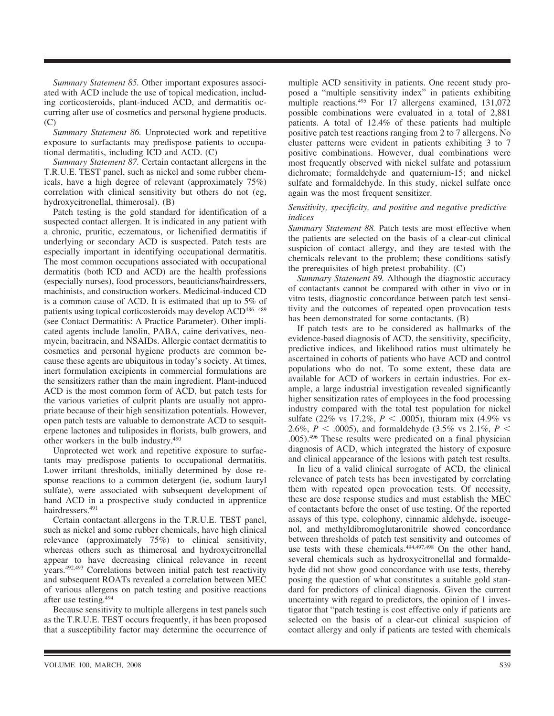*Summary Statement 85.* Other important exposures associated with ACD include the use of topical medication, including corticosteroids, plant-induced ACD, and dermatitis occurring after use of cosmetics and personal hygiene products. (C)

*Summary Statement 86.* Unprotected work and repetitive exposure to surfactants may predispose patients to occupational dermatitis, including ICD and ACD. (C)

*Summary Statement 87.* Certain contactant allergens in the T.R.U.E. TEST panel, such as nickel and some rubber chemicals, have a high degree of relevant (approximately 75%) correlation with clinical sensitivity but others do not (eg, hydroxycitronellal, thimerosal). (B)

Patch testing is the gold standard for identification of a suspected contact allergen. It is indicated in any patient with a chronic, pruritic, eczematous, or lichenified dermatitis if underlying or secondary ACD is suspected. Patch tests are especially important in identifying occupational dermatitis. The most common occupations associated with occupational dermatitis (both ICD and ACD) are the health professions (especially nurses), food processors, beauticians/hairdressers, machinists, and construction workers. Medicinal-induced CD is a common cause of ACD. It is estimated that up to 5% of patients using topical corticosteroids may develop ACD<sup>486-489</sup> (see Contact Dermatitis: A Practice Parameter). Other implicated agents include lanolin, PABA, caine derivatives, neomycin, bacitracin, and NSAIDs. Allergic contact dermatitis to cosmetics and personal hygiene products are common because these agents are ubiquitous in today's society. At times, inert formulation excipients in commercial formulations are the sensitizers rather than the main ingredient. Plant-induced ACD is the most common form of ACD, but patch tests for the various varieties of culprit plants are usually not appropriate because of their high sensitization potentials. However, open patch tests are valuable to demonstrate ACD to sesquiterpene lactones and tuliposides in florists, bulb growers, and other workers in the bulb industry.490

Unprotected wet work and repetitive exposure to surfactants may predispose patients to occupational dermatitis. Lower irritant thresholds, initially determined by dose response reactions to a common detergent (ie, sodium lauryl sulfate), were associated with subsequent development of hand ACD in a prospective study conducted in apprentice hairdressers.<sup>491</sup>

Certain contactant allergens in the T.R.U.E. TEST panel, such as nickel and some rubber chemicals, have high clinical relevance (approximately 75%) to clinical sensitivity, whereas others such as thimerosal and hydroxycitronellal appear to have decreasing clinical relevance in recent years.492,493 Correlations between initial patch test reactivity and subsequent ROATs revealed a correlation between MEC of various allergens on patch testing and positive reactions after use testing.494

Because sensitivity to multiple allergens in test panels such as the T.R.U.E. TEST occurs frequently, it has been proposed that a susceptibility factor may determine the occurrence of multiple ACD sensitivity in patients. One recent study proposed a "multiple sensitivity index" in patients exhibiting multiple reactions.<sup>495</sup> For 17 allergens examined, 131,072 possible combinations were evaluated in a total of 2,881 patients. A total of 12.4% of these patients had multiple positive patch test reactions ranging from 2 to 7 allergens. No cluster patterns were evident in patients exhibiting 3 to 7 positive combinations. However, dual combinations were most frequently observed with nickel sulfate and potassium dichromate; formaldehyde and quaternium-15; and nickel sulfate and formaldehyde. In this study, nickel sulfate once again was the most frequent sensitizer.

#### *Sensitivity, specificity, and positive and negative predictive indices*

*Summary Statement 88.* Patch tests are most effective when the patients are selected on the basis of a clear-cut clinical suspicion of contact allergy, and they are tested with the chemicals relevant to the problem; these conditions satisfy the prerequisites of high pretest probability. (C)

*Summary Statement 89.* Although the diagnostic accuracy of contactants cannot be compared with other in vivo or in vitro tests, diagnostic concordance between patch test sensitivity and the outcomes of repeated open provocation tests has been demonstrated for some contactants. (B)

If patch tests are to be considered as hallmarks of the evidence-based diagnosis of ACD, the sensitivity, specificity, predictive indices, and likelihood ratios must ultimately be ascertained in cohorts of patients who have ACD and control populations who do not. To some extent, these data are available for ACD of workers in certain industries. For example, a large industrial investigation revealed significantly higher sensitization rates of employees in the food processing industry compared with the total test population for nickel sulfate  $(22\% \text{ vs } 17.2\%, P < .0005)$ , thiuram mix  $(4.9\% \text{ vs } 17.2\%)$ 2.6%,  $P < .0005$ ), and formaldehyde (3.5% vs 2.1%,  $P <$ .005).496 These results were predicated on a final physician diagnosis of ACD, which integrated the history of exposure and clinical appearance of the lesions with patch test results.

In lieu of a valid clinical surrogate of ACD, the clinical relevance of patch tests has been investigated by correlating them with repeated open provocation tests. Of necessity, these are dose response studies and must establish the MEC of contactants before the onset of use testing. Of the reported assays of this type, colophony, cinnamic aldehyde, isoeugenol, and methyldibromoglutaronitrile showed concordance between thresholds of patch test sensitivity and outcomes of use tests with these chemicals.<sup>494,497,498</sup> On the other hand, several chemicals such as hydroxycitronellal and formaldehyde did not show good concordance with use tests, thereby posing the question of what constitutes a suitable gold standard for predictors of clinical diagnosis. Given the current uncertainty with regard to predictors, the opinion of 1 investigator that "patch testing is cost effective only if patients are selected on the basis of a clear-cut clinical suspicion of contact allergy and only if patients are tested with chemicals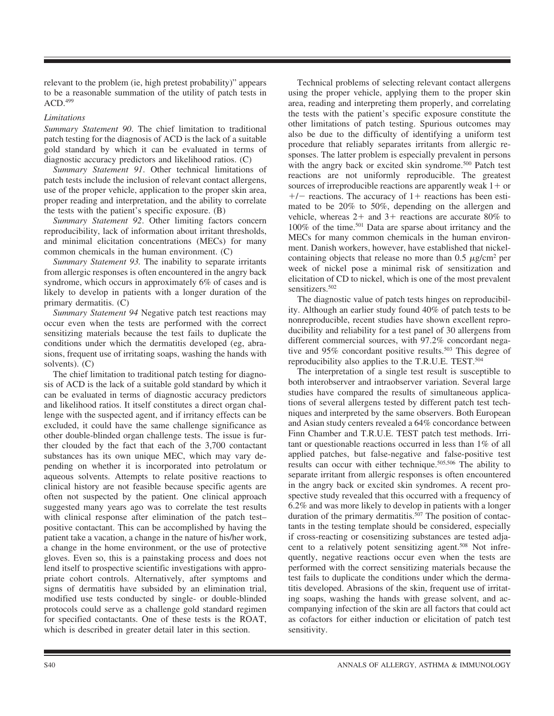relevant to the problem (ie, high pretest probability)" appears to be a reasonable summation of the utility of patch tests in  $ACD<sup>499</sup>$ 

## *Limitations*

*Summary Statement 90*. The chief limitation to traditional patch testing for the diagnosis of ACD is the lack of a suitable gold standard by which it can be evaluated in terms of diagnostic accuracy predictors and likelihood ratios. (C)

*Summary Statement 91*. Other technical limitations of patch tests include the inclusion of relevant contact allergens, use of the proper vehicle, application to the proper skin area, proper reading and interpretation, and the ability to correlate the tests with the patient's specific exposure. (B)

*Summary Statement 92*. Other limiting factors concern reproducibility, lack of information about irritant thresholds, and minimal elicitation concentrations (MECs) for many common chemicals in the human environment. (C)

*Summary Statement 93.* The inability to separate irritants from allergic responses is often encountered in the angry back syndrome, which occurs in approximately 6% of cases and is likely to develop in patients with a longer duration of the primary dermatitis. (C)

*Summary Statement 94* Negative patch test reactions may occur even when the tests are performed with the correct sensitizing materials because the test fails to duplicate the conditions under which the dermatitis developed (eg, abrasions, frequent use of irritating soaps, washing the hands with solvents). (C)

The chief limitation to traditional patch testing for diagnosis of ACD is the lack of a suitable gold standard by which it can be evaluated in terms of diagnostic accuracy predictors and likelihood ratios. It itself constitutes a direct organ challenge with the suspected agent, and if irritancy effects can be excluded, it could have the same challenge significance as other double-blinded organ challenge tests. The issue is further clouded by the fact that each of the 3,700 contactant substances has its own unique MEC, which may vary depending on whether it is incorporated into petrolatum or aqueous solvents. Attempts to relate positive reactions to clinical history are not feasible because specific agents are often not suspected by the patient. One clinical approach suggested many years ago was to correlate the test results with clinical response after elimination of the patch test– positive contactant. This can be accomplished by having the patient take a vacation, a change in the nature of his/her work, a change in the home environment, or the use of protective gloves. Even so, this is a painstaking process and does not lend itself to prospective scientific investigations with appropriate cohort controls. Alternatively, after symptoms and signs of dermatitis have subsided by an elimination trial, modified use tests conducted by single- or double-blinded protocols could serve as a challenge gold standard regimen for specified contactants. One of these tests is the ROAT, which is described in greater detail later in this section.

Technical problems of selecting relevant contact allergens using the proper vehicle, applying them to the proper skin area, reading and interpreting them properly, and correlating the tests with the patient's specific exposure constitute the other limitations of patch testing. Spurious outcomes may also be due to the difficulty of identifying a uniform test procedure that reliably separates irritants from allergic responses. The latter problem is especially prevalent in persons with the angry back or excited skin syndrome.<sup>500</sup> Patch test reactions are not uniformly reproducible. The greatest sources of irreproducible reactions are apparently weak  $1+$  or  $+/-$  reactions. The accuracy of  $1+$  reactions has been estimated to be 20% to 50%, depending on the allergen and vehicle, whereas  $2+$  and  $3+$  reactions are accurate 80% to 100% of the time.501 Data are sparse about irritancy and the MECs for many common chemicals in the human environment. Danish workers, however, have established that nickelcontaining objects that release no more than  $0.5 \mu$ g/cm<sup>2</sup> per week of nickel pose a minimal risk of sensitization and elicitation of CD to nickel, which is one of the most prevalent sensitizers.<sup>502</sup>

The diagnostic value of patch tests hinges on reproducibility. Although an earlier study found 40% of patch tests to be nonreproducible, recent studies have shown excellent reproducibility and reliability for a test panel of 30 allergens from different commercial sources, with 97.2% concordant negative and 95% concordant positive results.<sup>503</sup> This degree of reproducibility also applies to the T.R.U.E. TEST.504

The interpretation of a single test result is susceptible to both interobserver and intraobserver variation. Several large studies have compared the results of simultaneous applications of several allergens tested by different patch test techniques and interpreted by the same observers. Both European and Asian study centers revealed a 64% concordance between Finn Chamber and T.R.U.E. TEST patch test methods. Irritant or questionable reactions occurred in less than 1% of all applied patches, but false-negative and false-positive test results can occur with either technique.505,506 The ability to separate irritant from allergic responses is often encountered in the angry back or excited skin syndromes. A recent prospective study revealed that this occurred with a frequency of 6.2% and was more likely to develop in patients with a longer duration of the primary dermatitis.<sup>507</sup> The position of contactants in the testing template should be considered, especially if cross-reacting or cosensitizing substances are tested adjacent to a relatively potent sensitizing agent.<sup>508</sup> Not infrequently, negative reactions occur even when the tests are performed with the correct sensitizing materials because the test fails to duplicate the conditions under which the dermatitis developed. Abrasions of the skin, frequent use of irritating soaps, washing the hands with grease solvent, and accompanying infection of the skin are all factors that could act as cofactors for either induction or elicitation of patch test sensitivity.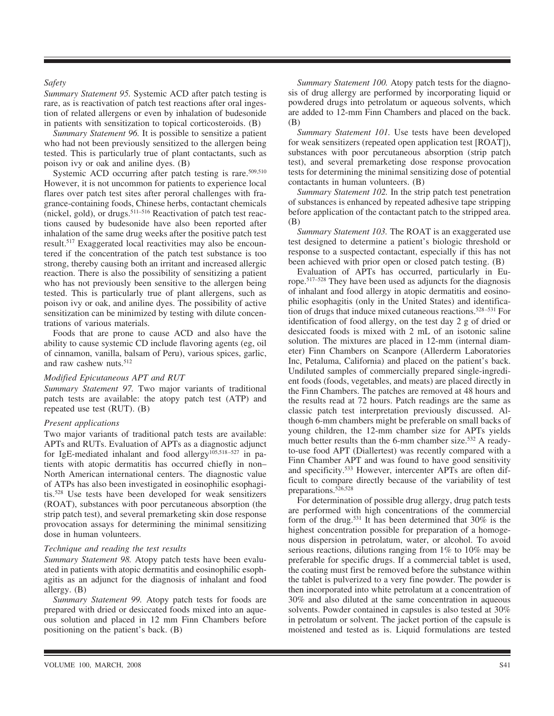#### *Safety*

*Summary Statement 95.* Systemic ACD after patch testing is rare, as is reactivation of patch test reactions after oral ingestion of related allergens or even by inhalation of budesonide in patients with sensitization to topical corticosteroids. (B)

*Summary Statement 96.* It is possible to sensitize a patient who had not been previously sensitized to the allergen being tested. This is particularly true of plant contactants, such as poison ivy or oak and aniline dyes. (B)

Systemic ACD occurring after patch testing is rare.509,510 However, it is not uncommon for patients to experience local flares over patch test sites after peroral challenges with fragrance-containing foods, Chinese herbs, contactant chemicals (nickel, gold), or drugs.511–516 Reactivation of patch test reactions caused by budesonide have also been reported after inhalation of the same drug weeks after the positive patch test result.517 Exaggerated local reactivities may also be encountered if the concentration of the patch test substance is too strong, thereby causing both an irritant and increased allergic reaction. There is also the possibility of sensitizing a patient who has not previously been sensitive to the allergen being tested. This is particularly true of plant allergens, such as poison ivy or oak, and aniline dyes. The possibility of active sensitization can be minimized by testing with dilute concentrations of various materials.

Foods that are prone to cause ACD and also have the ability to cause systemic CD include flavoring agents (eg, oil of cinnamon, vanilla, balsam of Peru), various spices, garlic, and raw cashew nuts.512

#### *Modified Epicutaneous APT and RUT*

*Summary Statement 97.* Two major variants of traditional patch tests are available: the atopy patch test (ATP) and repeated use test (RUT). (B)

#### *Present applications*

Two major variants of traditional patch tests are available: APTs and RUTs. Evaluation of APTs as a diagnostic adjunct for IgE-mediated inhalant and food allergy<sup>105,518-527</sup> in patients with atopic dermatitis has occurred chiefly in non– North American international centers. The diagnostic value of ATPs has also been investigated in eosinophilic esophagitis.528 Use tests have been developed for weak sensitizers (ROAT), substances with poor percutaneous absorption (the strip patch test), and several premarketing skin dose response provocation assays for determining the minimal sensitizing dose in human volunteers.

#### *Technique and reading the test results*

*Summary Statement 98.* Atopy patch tests have been evaluated in patients with atopic dermatitis and eosinophilic esophagitis as an adjunct for the diagnosis of inhalant and food allergy. (B)

*Summary Statement 99.* Atopy patch tests for foods are prepared with dried or desiccated foods mixed into an aqueous solution and placed in 12 mm Finn Chambers before positioning on the patient's back. (B)

*Summary Statement 100.* Atopy patch tests for the diagnosis of drug allergy are performed by incorporating liquid or powdered drugs into petrolatum or aqueous solvents, which are added to 12-mm Finn Chambers and placed on the back. (B)

*Summary Statement 101.* Use tests have been developed for weak sensitizers (repeated open application test [ROAT]), substances with poor percutaneous absorption (strip patch test), and several premarketing dose response provocation tests for determining the minimal sensitizing dose of potential contactants in human volunteers. (B)

*Summary Statement 102.* In the strip patch test penetration of substances is enhanced by repeated adhesive tape stripping before application of the contactant patch to the stripped area. (B)

*Summary Statement 103.* The ROAT is an exaggerated use test designed to determine a patient's biologic threshold or response to a suspected contactant, especially if this has not been achieved with prior open or closed patch testing. (B)

Evaluation of APTs has occurred, particularly in Europe.517–528 They have been used as adjuncts for the diagnosis of inhalant and food allergy in atopic dermatitis and eosinophilic esophagitis (only in the United States) and identification of drugs that induce mixed cutaneous reactions.<sup>528-531</sup> For identification of food allergy, on the test day 2 g of dried or desiccated foods is mixed with 2 mL of an isotonic saline solution. The mixtures are placed in 12-mm (internal diameter) Finn Chambers on Scanpore (Allerderm Laboratories Inc, Petaluma, California) and placed on the patient's back. Undiluted samples of commercially prepared single-ingredient foods (foods, vegetables, and meats) are placed directly in the Finn Chambers. The patches are removed at 48 hours and the results read at 72 hours. Patch readings are the same as classic patch test interpretation previously discussed. Although 6-mm chambers might be preferable on small backs of young children, the 12-mm chamber size for APTs yields much better results than the 6-mm chamber size.<sup>532</sup> A readyto-use food APT (Diallertest) was recently compared with a Finn Chamber APT and was found to have good sensitivity and specificity.533 However, intercenter APTs are often difficult to compare directly because of the variability of test preparations.526,528

For determination of possible drug allergy, drug patch tests are performed with high concentrations of the commercial form of the drug.<sup>531</sup> It has been determined that  $30\%$  is the highest concentration possible for preparation of a homogenous dispersion in petrolatum, water, or alcohol. To avoid serious reactions, dilutions ranging from 1% to 10% may be preferable for specific drugs. If a commercial tablet is used, the coating must first be removed before the substance within the tablet is pulverized to a very fine powder. The powder is then incorporated into white petrolatum at a concentration of 30% and also diluted at the same concentration in aqueous solvents. Powder contained in capsules is also tested at 30% in petrolatum or solvent. The jacket portion of the capsule is moistened and tested as is. Liquid formulations are tested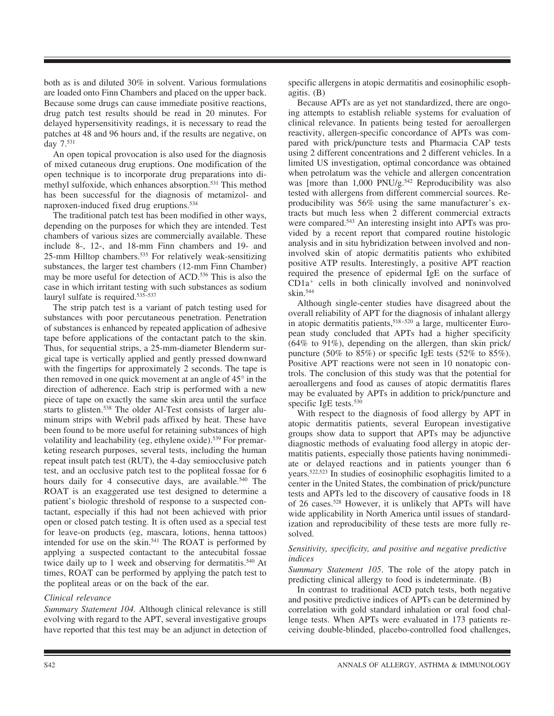both as is and diluted 30% in solvent. Various formulations are loaded onto Finn Chambers and placed on the upper back. Because some drugs can cause immediate positive reactions, drug patch test results should be read in 20 minutes. For delayed hypersensitivity readings, it is necessary to read the patches at 48 and 96 hours and, if the results are negative, on day 7.531

An open topical provocation is also used for the diagnosis of mixed cutaneous drug eruptions. One modification of the open technique is to incorporate drug preparations into dimethyl sulfoxide, which enhances absorption.531 This method has been successful for the diagnosis of metamizol- and naproxen-induced fixed drug eruptions.534

The traditional patch test has been modified in other ways, depending on the purposes for which they are intended. Test chambers of various sizes are commercially available. These include 8-, 12-, and 18-mm Finn chambers and 19- and 25-mm Hilltop chambers.<sup>535</sup> For relatively weak-sensitizing substances, the larger test chambers (12-mm Finn Chamber) may be more useful for detection of ACD.536 This is also the case in which irritant testing with such substances as sodium lauryl sulfate is required.<sup>535-537</sup>

The strip patch test is a variant of patch testing used for substances with poor percutaneous penetration. Penetration of substances is enhanced by repeated application of adhesive tape before applications of the contactant patch to the skin. Thus, for sequential strips, a 25-mm-diameter Blenderm surgical tape is vertically applied and gently pressed downward with the fingertips for approximately 2 seconds. The tape is then removed in one quick movement at an angle of 45° in the direction of adherence. Each strip is performed with a new piece of tape on exactly the same skin area until the surface starts to glisten.<sup>538</sup> The older Al-Test consists of larger aluminum strips with Webril pads affixed by heat. These have been found to be more useful for retaining substances of high volatility and leachability (eg, ethylene oxide).<sup>539</sup> For premarketing research purposes, several tests, including the human repeat insult patch test (RUT), the 4-day semiocclusive patch test, and an occlusive patch test to the popliteal fossae for 6 hours daily for 4 consecutive days, are available.<sup>540</sup> The ROAT is an exaggerated use test designed to determine a patient's biologic threshold of response to a suspected contactant, especially if this had not been achieved with prior open or closed patch testing. It is often used as a special test for leave-on products (eg, mascara, lotions, henna tattoos) intended for use on the skin.541 The ROAT is performed by applying a suspected contactant to the antecubital fossae twice daily up to 1 week and observing for dermatitis.<sup>540</sup> At times, ROAT can be performed by applying the patch test to the popliteal areas or on the back of the ear.

## *Clinical relevance*

*Summary Statement 104.* Although clinical relevance is still evolving with regard to the APT, several investigative groups have reported that this test may be an adjunct in detection of specific allergens in atopic dermatitis and eosinophilic esophagitis. (B)

Because APTs are as yet not standardized, there are ongoing attempts to establish reliable systems for evaluation of clinical relevance. In patients being tested for aeroallergen reactivity, allergen-specific concordance of APTs was compared with prick/puncture tests and Pharmacia CAP tests using 2 different concentrations and 2 different vehicles. In a limited US investigation, optimal concordance was obtained when petrolatum was the vehicle and allergen concentration was [more than 1,000 PNU/g.<sup>542</sup> Reproducibility was also tested with allergens from different commercial sources. Reproducibility was 56% using the same manufacturer's extracts but much less when 2 different commercial extracts were compared.543 An interesting insight into APTs was provided by a recent report that compared routine histologic analysis and in situ hybridization between involved and noninvolved skin of atopic dermatitis patients who exhibited positive ATP results. Interestingly, a positive APT reaction required the presence of epidermal IgE on the surface of  $CD1a<sup>+</sup>$  cells in both clinically involved and noninvolved skin.544

Although single-center studies have disagreed about the overall reliability of APT for the diagnosis of inhalant allergy in atopic dermatitis patients,<sup>518-520</sup> a large, multicenter European study concluded that APTs had a higher specificity (64% to 91%), depending on the allergen, than skin prick/ puncture (50% to 85%) or specific IgE tests (52% to 85%). Positive APT reactions were not seen in 10 nonatopic controls. The conclusion of this study was that the potential for aeroallergens and food as causes of atopic dermatitis flares may be evaluated by APTs in addition to prick/puncture and specific IgE tests.<sup>530</sup>

With respect to the diagnosis of food allergy by APT in atopic dermatitis patients, several European investigative groups show data to support that APTs may be adjunctive diagnostic methods of evaluating food allergy in atopic dermatitis patients, especially those patients having nonimmediate or delayed reactions and in patients younger than 6 years.522,523 In studies of eosinophilic esophagitis limited to a center in the United States, the combination of prick/puncture tests and APTs led to the discovery of causative foods in 18 of 26 cases.528 However, it is unlikely that APTs will have wide applicability in North America until issues of standardization and reproducibility of these tests are more fully resolved.

## *Sensitivity, specificity, and positive and negative predictive indices*

*Summary Statement 105*. The role of the atopy patch in predicting clinical allergy to food is indeterminate. (B)

In contrast to traditional ACD patch tests, both negative and positive predictive indices of APTs can be determined by correlation with gold standard inhalation or oral food challenge tests. When APTs were evaluated in 173 patients receiving double-blinded, placebo-controlled food challenges,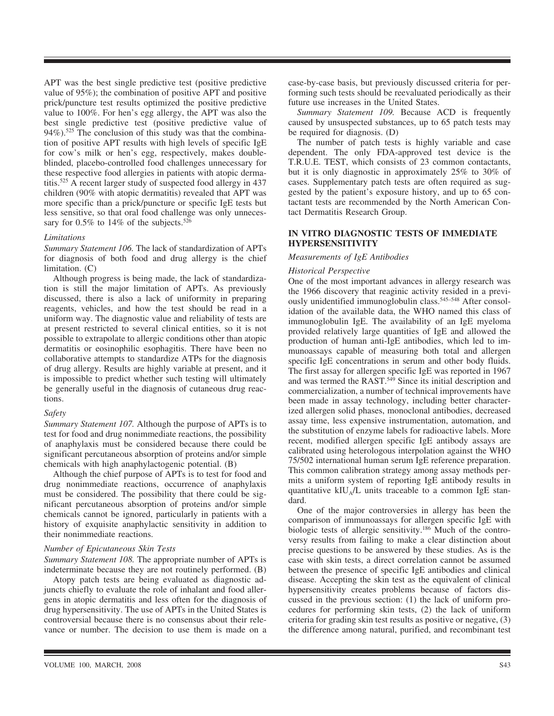APT was the best single predictive test (positive predictive value of 95%); the combination of positive APT and positive prick/puncture test results optimized the positive predictive value to 100%. For hen's egg allergy, the APT was also the best single predictive test (positive predictive value of  $94\%$ ).<sup>525</sup> The conclusion of this study was that the combination of positive APT results with high levels of specific IgE for cow's milk or hen's egg, respectively, makes doubleblinded, placebo-controlled food challenges unnecessary for these respective food allergies in patients with atopic dermatitis.525 A recent larger study of suspected food allergy in 437 children (90% with atopic dermatitis) revealed that APT was more specific than a prick/puncture or specific IgE tests but less sensitive, so that oral food challenge was only unnecessary for  $0.5\%$  to 14% of the subjects.<sup>526</sup>

#### *Limitations*

*Summary Statement 106.* The lack of standardization of APTs for diagnosis of both food and drug allergy is the chief limitation. (C)

Although progress is being made, the lack of standardization is still the major limitation of APTs. As previously discussed, there is also a lack of uniformity in preparing reagents, vehicles, and how the test should be read in a uniform way. The diagnostic value and reliability of tests are at present restricted to several clinical entities, so it is not possible to extrapolate to allergic conditions other than atopic dermatitis or eosinophilic esophagitis. There have been no collaborative attempts to standardize ATPs for the diagnosis of drug allergy. Results are highly variable at present, and it is impossible to predict whether such testing will ultimately be generally useful in the diagnosis of cutaneous drug reactions.

#### *Safety*

*Summary Statement 107.* Although the purpose of APTs is to test for food and drug nonimmediate reactions, the possibility of anaphylaxis must be considered because there could be significant percutaneous absorption of proteins and/or simple chemicals with high anaphylactogenic potential. (B)

Although the chief purpose of APTs is to test for food and drug nonimmediate reactions, occurrence of anaphylaxis must be considered. The possibility that there could be significant percutaneous absorption of proteins and/or simple chemicals cannot be ignored, particularly in patients with a history of exquisite anaphylactic sensitivity in addition to their nonimmediate reactions.

#### *Number of Epicutaneous Skin Tests*

*Summary Statement 108.* The appropriate number of APTs is indeterminate because they are not routinely performed. (B)

Atopy patch tests are being evaluated as diagnostic adjuncts chiefly to evaluate the role of inhalant and food allergens in atopic dermatitis and less often for the diagnosis of drug hypersensitivity. The use of APTs in the United States is controversial because there is no consensus about their relevance or number. The decision to use them is made on a

case-by-case basis, but previously discussed criteria for performing such tests should be reevaluated periodically as their future use increases in the United States.

*Summary Statement 109.* Because ACD is frequently caused by unsuspected substances, up to 65 patch tests may be required for diagnosis. (D)

The number of patch tests is highly variable and case dependent. The only FDA-approved test device is the T.R.U.E. TEST, which consists of 23 common contactants, but it is only diagnostic in approximately 25% to 30% of cases. Supplementary patch tests are often required as suggested by the patient's exposure history, and up to 65 contactant tests are recommended by the North American Contact Dermatitis Research Group.

## **IN VITRO DIAGNOSTIC TESTS OF IMMEDIATE HYPERSENSITIVITY**

#### *Measurements of IgE Antibodies*

#### *Historical Perspective*

One of the most important advances in allergy research was the 1966 discovery that reaginic activity resided in a previously unidentified immunoglobulin class.<sup>545–548</sup> After consolidation of the available data, the WHO named this class of immunoglobulin IgE. The availability of an IgE myeloma provided relatively large quantities of IgE and allowed the production of human anti-IgE antibodies, which led to immunoassays capable of measuring both total and allergen specific IgE concentrations in serum and other body fluids. The first assay for allergen specific IgE was reported in 1967 and was termed the RAST.549 Since its initial description and commercialization, a number of technical improvements have been made in assay technology, including better characterized allergen solid phases, monoclonal antibodies, decreased assay time, less expensive instrumentation, automation, and the substitution of enzyme labels for radioactive labels. More recent, modified allergen specific IgE antibody assays are calibrated using heterologous interpolation against the WHO 75/502 international human serum IgE reference preparation. This common calibration strategy among assay methods permits a uniform system of reporting IgE antibody results in quantitative kIU<sub>A</sub>/L units traceable to a common IgE standard.

One of the major controversies in allergy has been the comparison of immunoassays for allergen specific IgE with biologic tests of allergic sensitivity.<sup>186</sup> Much of the controversy results from failing to make a clear distinction about precise questions to be answered by these studies. As is the case with skin tests, a direct correlation cannot be assumed between the presence of specific IgE antibodies and clinical disease. Accepting the skin test as the equivalent of clinical hypersensitivity creates problems because of factors discussed in the previous section: (1) the lack of uniform procedures for performing skin tests, (2) the lack of uniform criteria for grading skin test results as positive or negative, (3) the difference among natural, purified, and recombinant test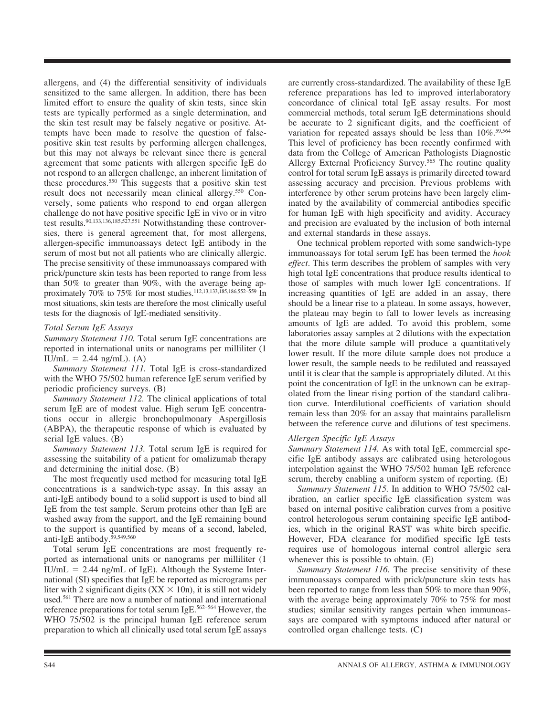allergens, and (4) the differential sensitivity of individuals sensitized to the same allergen. In addition, there has been limited effort to ensure the quality of skin tests, since skin tests are typically performed as a single determination, and the skin test result may be falsely negative or positive. Attempts have been made to resolve the question of falsepositive skin test results by performing allergen challenges, but this may not always be relevant since there is general agreement that some patients with allergen specific IgE do not respond to an allergen challenge, an inherent limitation of these procedures.550 This suggests that a positive skin test result does not necessarily mean clinical allergy.550 Conversely, some patients who respond to end organ allergen challenge do not have positive specific IgE in vivo or in vitro test results.90,133,136,185,527,551 Notwithstanding these controversies, there is general agreement that, for most allergens, allergen-specific immunoassays detect IgE antibody in the serum of most but not all patients who are clinically allergic. The precise sensitivity of these immunoassays compared with prick/puncture skin tests has been reported to range from less than 50% to greater than 90%, with the average being approximately 70% to 75% for most studies.112,13,133,185,186,552–559 In most situations, skin tests are therefore the most clinically useful tests for the diagnosis of IgE-mediated sensitivity.

## *Total Serum IgE Assays*

*Summary Statement 110.* Total serum IgE concentrations are reported in international units or nanograms per milliliter (1  $IU/mL = 2.44$  ng/mL). (A)

*Summary Statement 111.* Total IgE is cross-standardized with the WHO 75/502 human reference IgE serum verified by periodic proficiency surveys. (B)

*Summary Statement 112.* The clinical applications of total serum IgE are of modest value. High serum IgE concentrations occur in allergic bronchopulmonary Aspergillosis (ABPA), the therapeutic response of which is evaluated by serial IgE values. (B)

*Summary Statement 113.* Total serum IgE is required for assessing the suitability of a patient for omalizumab therapy and determining the initial dose. (B)

The most frequently used method for measuring total IgE concentrations is a sandwich-type assay. In this assay an anti-IgE antibody bound to a solid support is used to bind all IgE from the test sample. Serum proteins other than IgE are washed away from the support, and the IgE remaining bound to the support is quantified by means of a second, labeled, anti-IgE antibody.59,549,560

Total serum IgE concentrations are most frequently reported as international units or nanograms per milliliter (1  $IU/mL = 2.44$  ng/mL of IgE). Although the Systeme International (SI) specifies that IgE be reported as micrograms per liter with 2 significant digits  $(XX \times 10n)$ , it is still not widely used.561 There are now a number of national and international reference preparations for total serum IgE.562–564 However, the WHO 75/502 is the principal human IgE reference serum preparation to which all clinically used total serum IgE assays are currently cross-standardized. The availability of these IgE reference preparations has led to improved interlaboratory concordance of clinical total IgE assay results. For most commercial methods, total serum IgE determinations should be accurate to 2 significant digits, and the coefficient of variation for repeated assays should be less than 10%.<sup>59,564</sup> This level of proficiency has been recently confirmed with data from the College of American Pathologists Diagnostic Allergy External Proficiency Survey.<sup>565</sup> The routine quality control for total serum IgE assays is primarily directed toward assessing accuracy and precision. Previous problems with interference by other serum proteins have been largely eliminated by the availability of commercial antibodies specific for human IgE with high specificity and avidity. Accuracy and precision are evaluated by the inclusion of both internal and external standards in these assays.

One technical problem reported with some sandwich-type immunoassays for total serum IgE has been termed the *hook effect*. This term describes the problem of samples with very high total IgE concentrations that produce results identical to those of samples with much lower IgE concentrations. If increasing quantities of IgE are added in an assay, there should be a linear rise to a plateau. In some assays, however, the plateau may begin to fall to lower levels as increasing amounts of IgE are added. To avoid this problem, some laboratories assay samples at 2 dilutions with the expectation that the more dilute sample will produce a quantitatively lower result. If the more dilute sample does not produce a lower result, the sample needs to be rediluted and reassayed until it is clear that the sample is appropriately diluted. At this point the concentration of IgE in the unknown can be extrapolated from the linear rising portion of the standard calibration curve. Interdilutional coefficients of variation should remain less than 20% for an assay that maintains parallelism between the reference curve and dilutions of test specimens.

## *Allergen Specific IgE Assays*

*Summary Statement 114.* As with total IgE, commercial specific IgE antibody assays are calibrated using heterologous interpolation against the WHO 75/502 human IgE reference serum, thereby enabling a uniform system of reporting. (E)

*Summary Statement 115.* In addition to WHO 75/502 calibration, an earlier specific IgE classification system was based on internal positive calibration curves from a positive control heterologous serum containing specific IgE antibodies, which in the original RAST was white birch specific. However, FDA clearance for modified specific IgE tests requires use of homologous internal control allergic sera whenever this is possible to obtain. (E)

*Summary Statement 116.* The precise sensitivity of these immunoassays compared with prick/puncture skin tests has been reported to range from less than 50% to more than 90%, with the average being approximately 70% to 75% for most studies; similar sensitivity ranges pertain when immunoassays are compared with symptoms induced after natural or controlled organ challenge tests. (C)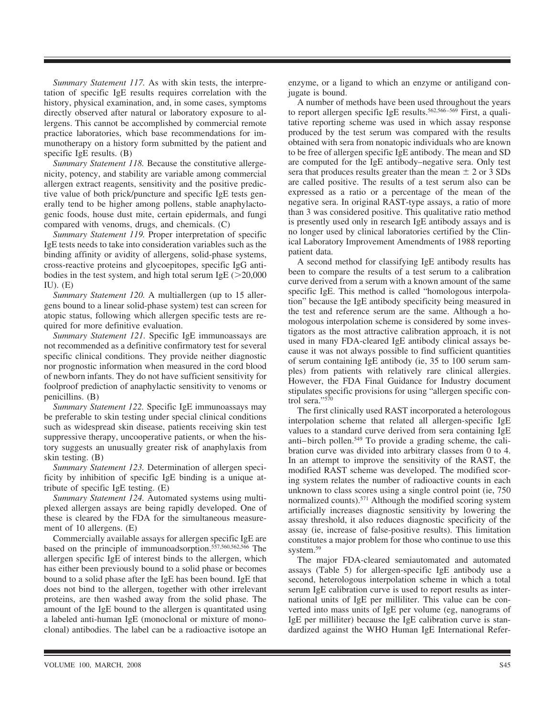*Summary Statement 117.* As with skin tests, the interpretation of specific IgE results requires correlation with the history, physical examination, and, in some cases, symptoms directly observed after natural or laboratory exposure to allergens. This cannot be accomplished by commercial remote practice laboratories, which base recommendations for immunotherapy on a history form submitted by the patient and specific IgE results. (B)

*Summary Statement 118.* Because the constitutive allergenicity, potency, and stability are variable among commercial allergen extract reagents, sensitivity and the positive predictive value of both prick/puncture and specific IgE tests generally tend to be higher among pollens, stable anaphylactogenic foods, house dust mite, certain epidermals, and fungi compared with venoms, drugs, and chemicals. (C)

*Summary Statement 119.* Proper interpretation of specific IgE tests needs to take into consideration variables such as the binding affinity or avidity of allergens, solid-phase systems, cross-reactive proteins and glycoepitopes, specific IgG antibodies in the test system, and high total serum IgE ( $>20,000$ )  $IU$ ).  $(E)$ 

*Summary Statement 120.* A multiallergen (up to 15 allergens bound to a linear solid-phase system) test can screen for atopic status, following which allergen specific tests are required for more definitive evaluation.

*Summary Statement 121.* Specific IgE immunoassays are not recommended as a definitive confirmatory test for several specific clinical conditions. They provide neither diagnostic nor prognostic information when measured in the cord blood of newborn infants. They do not have sufficient sensitivity for foolproof prediction of anaphylactic sensitivity to venoms or penicillins. (B)

*Summary Statement 122.* Specific IgE immunoassays may be preferable to skin testing under special clinical conditions such as widespread skin disease, patients receiving skin test suppressive therapy, uncooperative patients, or when the history suggests an unusually greater risk of anaphylaxis from skin testing. (B)

*Summary Statement 123.* Determination of allergen specificity by inhibition of specific IgE binding is a unique attribute of specific IgE testing. (E)

*Summary Statement 124.* Automated systems using multiplexed allergen assays are being rapidly developed. One of these is cleared by the FDA for the simultaneous measurement of 10 allergens. (E)

Commercially available assays for allergen specific IgE are based on the principle of immunoadsorption.557,560,562,566 The allergen specific IgE of interest binds to the allergen, which has either been previously bound to a solid phase or becomes bound to a solid phase after the IgE has been bound. IgE that does not bind to the allergen, together with other irrelevant proteins, are then washed away from the solid phase. The amount of the IgE bound to the allergen is quantitated using a labeled anti-human IgE (monoclonal or mixture of monoclonal) antibodies. The label can be a radioactive isotope an enzyme, or a ligand to which an enzyme or antiligand conjugate is bound.

A number of methods have been used throughout the years to report allergen specific IgE results.562,566 –569 First, a qualitative reporting scheme was used in which assay response produced by the test serum was compared with the results obtained with sera from nonatopic individuals who are known to be free of allergen specific IgE antibody. The mean and SD are computed for the IgE antibody–negative sera. Only test sera that produces results greater than the mean  $\pm$  2 or 3 SDs are called positive. The results of a test serum also can be expressed as a ratio or a percentage of the mean of the negative sera. In original RAST-type assays, a ratio of more than 3 was considered positive. This qualitative ratio method is presently used only in research IgE antibody assays and is no longer used by clinical laboratories certified by the Clinical Laboratory Improvement Amendments of 1988 reporting patient data.

A second method for classifying IgE antibody results has been to compare the results of a test serum to a calibration curve derived from a serum with a known amount of the same specific IgE. This method is called "homologous interpolation" because the IgE antibody specificity being measured in the test and reference serum are the same. Although a homologous interpolation scheme is considered by some investigators as the most attractive calibration approach, it is not used in many FDA-cleared IgE antibody clinical assays because it was not always possible to find sufficient quantities of serum containing IgE antibody (ie, 35 to 100 serum samples) from patients with relatively rare clinical allergies. However, the FDA Final Guidance for Industry document stipulates specific provisions for using "allergen specific control sera."570

The first clinically used RAST incorporated a heterologous interpolation scheme that related all allergen-specific IgE values to a standard curve derived from sera containing IgE anti– birch pollen.549 To provide a grading scheme, the calibration curve was divided into arbitrary classes from 0 to 4. In an attempt to improve the sensitivity of the RAST, the modified RAST scheme was developed. The modified scoring system relates the number of radioactive counts in each unknown to class scores using a single control point (ie, 750 normalized counts).571 Although the modified scoring system artificially increases diagnostic sensitivity by lowering the assay threshold, it also reduces diagnostic specificity of the assay (ie, increase of false-positive results). This limitation constitutes a major problem for those who continue to use this system.<sup>59</sup>

The major FDA-cleared semiautomated and automated assays (Table 5) for allergen-specific IgE antibody use a second, heterologous interpolation scheme in which a total serum IgE calibration curve is used to report results as international units of IgE per milliliter. This value can be converted into mass units of IgE per volume (eg, nanograms of IgE per milliliter) because the IgE calibration curve is standardized against the WHO Human IgE International Refer-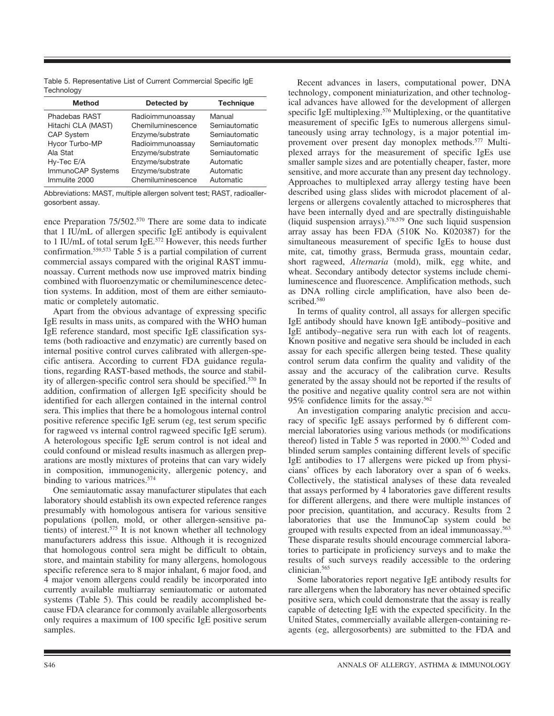Table 5. Representative List of Current Commercial Specific IgE **Technology** 

| <b>Method</b>        | Detected by       | <b>Technique</b> |
|----------------------|-------------------|------------------|
| <b>Phadebas RAST</b> | Radioimmunoassay  | Manual           |
| Hitachi CLA (MAST)   | Chemiluminescence | Semiautomatic    |
| <b>CAP System</b>    | Enzyme/substrate  | Semiautomatic    |
| Hycor Turbo-MP       | Radioimmunoassay  | Semiautomatic    |
| Ala Stat             | Enzyme/substrate  | Semiautomatic    |
| Hy-Tec E/A           | Enzyme/substrate  | Automatic        |
| ImmunoCAP Systems    | Enzyme/substrate  | Automatic        |
| Immulite 2000        | Chemiluminescence | Automatic        |

Abbreviations: MAST, multiple allergen solvent test; RAST, radioallergosorbent assay.

ence Preparation 75/502.<sup>570</sup> There are some data to indicate that 1 IU/mL of allergen specific IgE antibody is equivalent to 1 IU/mL of total serum IgE.<sup>572</sup> However, this needs further confirmation.559,573 Table 5 is a partial compilation of current commercial assays compared with the original RAST immunoassay. Current methods now use improved matrix binding combined with fluoroenzymatic or chemiluminescence detection systems. In addition, most of them are either semiautomatic or completely automatic.

Apart from the obvious advantage of expressing specific IgE results in mass units, as compared with the WHO human IgE reference standard, most specific IgE classification systems (both radioactive and enzymatic) are currently based on internal positive control curves calibrated with allergen-specific antisera. According to current FDA guidance regulations, regarding RAST-based methods, the source and stability of allergen-specific control sera should be specified.570 In addition, confirmation of allergen IgE specificity should be identified for each allergen contained in the internal control sera. This implies that there be a homologous internal control positive reference specific IgE serum (eg, test serum specific for ragweed vs internal control ragweed specific IgE serum). A heterologous specific IgE serum control is not ideal and could confound or mislead results inasmuch as allergen preparations are mostly mixtures of proteins that can vary widely in composition, immunogenicity, allergenic potency, and binding to various matrices.<sup>574</sup>

One semiautomatic assay manufacturer stipulates that each laboratory should establish its own expected reference ranges presumably with homologous antisera for various sensitive populations (pollen, mold, or other allergen-sensitive patients) of interest.575 It is not known whether all technology manufacturers address this issue. Although it is recognized that homologous control sera might be difficult to obtain, store, and maintain stability for many allergens, homologous specific reference sera to 8 major inhalant, 6 major food, and 4 major venom allergens could readily be incorporated into currently available multiarray semiautomatic or automated systems (Table 5). This could be readily accomplished because FDA clearance for commonly available allergosorbents only requires a maximum of 100 specific IgE positive serum samples.

Recent advances in lasers, computational power, DNA technology, component miniaturization, and other technological advances have allowed for the development of allergen specific IgE multiplexing.<sup>576</sup> Multiplexing, or the quantitative measurement of specific IgEs to numerous allergens simultaneously using array technology, is a major potential improvement over present day monoplex methods.577 Multiplexed arrays for the measurement of specific IgEs use smaller sample sizes and are potentially cheaper, faster, more sensitive, and more accurate than any present day technology. Approaches to multiplexed array allergy testing have been described using glass slides with microdot placement of allergens or allergens covalently attached to microspheres that have been internally dyed and are spectrally distinguishable (liquid suspension arrays).578,579 One such liquid suspension array assay has been FDA (510K No. K020387) for the simultaneous measurement of specific IgEs to house dust mite, cat, timothy grass, Bermuda grass, mountain cedar, short ragweed, *Alternaria* (mold), milk, egg white, and wheat. Secondary antibody detector systems include chemiluminescence and fluorescence. Amplification methods, such as DNA rolling circle amplification, have also been described.<sup>580</sup>

In terms of quality control, all assays for allergen specific IgE antibody should have known IgE antibody–positive and IgE antibody–negative sera run with each lot of reagents. Known positive and negative sera should be included in each assay for each specific allergen being tested. These quality control serum data confirm the quality and validity of the assay and the accuracy of the calibration curve. Results generated by the assay should not be reported if the results of the positive and negative quality control sera are not within 95% confidence limits for the assay.562

An investigation comparing analytic precision and accuracy of specific IgE assays performed by 6 different commercial laboratories using various methods (or modifications thereof) listed in Table 5 was reported in 2000.<sup>563</sup> Coded and blinded serum samples containing different levels of specific IgE antibodies to 17 allergens were picked up from physicians' offices by each laboratory over a span of 6 weeks. Collectively, the statistical analyses of these data revealed that assays performed by 4 laboratories gave different results for different allergens, and there were multiple instances of poor precision, quantitation, and accuracy. Results from 2 laboratories that use the ImmunoCap system could be grouped with results expected from an ideal immunoassay.563 These disparate results should encourage commercial laboratories to participate in proficiency surveys and to make the results of such surveys readily accessible to the ordering clinician.565

Some laboratories report negative IgE antibody results for rare allergens when the laboratory has never obtained specific positive sera, which could demonstrate that the assay is really capable of detecting IgE with the expected specificity. In the United States, commercially available allergen-containing reagents (eg, allergosorbents) are submitted to the FDA and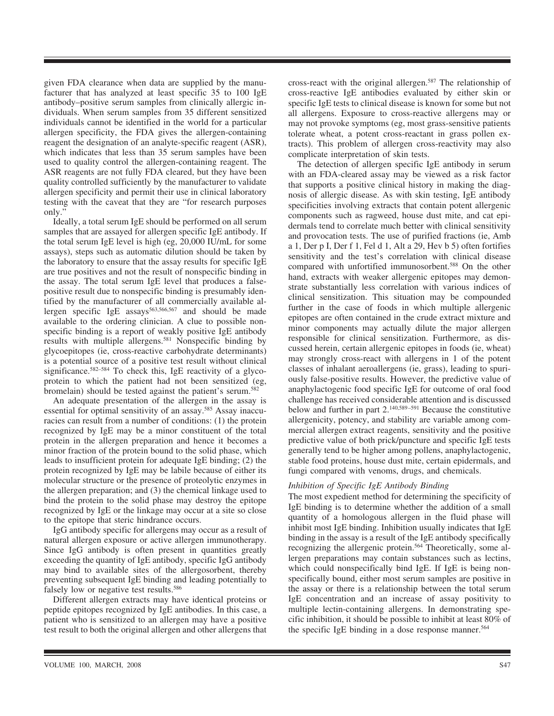given FDA clearance when data are supplied by the manufacturer that has analyzed at least specific 35 to 100 IgE antibody–positive serum samples from clinically allergic individuals. When serum samples from 35 different sensitized individuals cannot be identified in the world for a particular allergen specificity, the FDA gives the allergen-containing reagent the designation of an analyte-specific reagent (ASR), which indicates that less than 35 serum samples have been used to quality control the allergen-containing reagent. The ASR reagents are not fully FDA cleared, but they have been quality controlled sufficiently by the manufacturer to validate allergen specificity and permit their use in clinical laboratory testing with the caveat that they are "for research purposes only."

Ideally, a total serum IgE should be performed on all serum samples that are assayed for allergen specific IgE antibody. If the total serum IgE level is high (eg, 20,000 IU/mL for some assays), steps such as automatic dilution should be taken by the laboratory to ensure that the assay results for specific IgE are true positives and not the result of nonspecific binding in the assay. The total serum IgE level that produces a falsepositive result due to nonspecific binding is presumably identified by the manufacturer of all commercially available allergen specific IgE  $assays^{563,566,567}$  and should be made available to the ordering clinician. A clue to possible nonspecific binding is a report of weakly positive IgE antibody results with multiple allergens.581 Nonspecific binding by glycoepitopes (ie, cross-reactive carbohydrate determinants) is a potential source of a positive test result without clinical significance.<sup>582-584</sup> To check this, IgE reactivity of a glycoprotein to which the patient had not been sensitized (eg, bromelain) should be tested against the patient's serum.<sup>582</sup>

An adequate presentation of the allergen in the assay is essential for optimal sensitivity of an assay.585 Assay inaccuracies can result from a number of conditions: (1) the protein recognized by IgE may be a minor constituent of the total protein in the allergen preparation and hence it becomes a minor fraction of the protein bound to the solid phase, which leads to insufficient protein for adequate IgE binding; (2) the protein recognized by IgE may be labile because of either its molecular structure or the presence of proteolytic enzymes in the allergen preparation; and (3) the chemical linkage used to bind the protein to the solid phase may destroy the epitope recognized by IgE or the linkage may occur at a site so close to the epitope that steric hindrance occurs.

IgG antibody specific for allergens may occur as a result of natural allergen exposure or active allergen immunotherapy. Since IgG antibody is often present in quantities greatly exceeding the quantity of IgE antibody, specific IgG antibody may bind to available sites of the allergosorbent, thereby preventing subsequent IgE binding and leading potentially to falsely low or negative test results.<sup>586</sup>

Different allergen extracts may have identical proteins or peptide epitopes recognized by IgE antibodies. In this case, a patient who is sensitized to an allergen may have a positive test result to both the original allergen and other allergens that cross-react with the original allergen.587 The relationship of cross-reactive IgE antibodies evaluated by either skin or specific IgE tests to clinical disease is known for some but not all allergens. Exposure to cross-reactive allergens may or may not provoke symptoms (eg, most grass-sensitive patients tolerate wheat, a potent cross-reactant in grass pollen extracts). This problem of allergen cross-reactivity may also complicate interpretation of skin tests.

The detection of allergen specific IgE antibody in serum with an FDA-cleared assay may be viewed as a risk factor that supports a positive clinical history in making the diagnosis of allergic disease. As with skin testing, IgE antibody specificities involving extracts that contain potent allergenic components such as ragweed, house dust mite, and cat epidermals tend to correlate much better with clinical sensitivity and provocation tests. The use of purified fractions (ie, Amb a 1, Der p I, Der f 1, Fel d 1, Alt a 29, Hev b 5) often fortifies sensitivity and the test's correlation with clinical disease compared with unfortified immunosorbent.588 On the other hand, extracts with weaker allergenic epitopes may demonstrate substantially less correlation with various indices of clinical sensitization. This situation may be compounded further in the case of foods in which multiple allergenic epitopes are often contained in the crude extract mixture and minor components may actually dilute the major allergen responsible for clinical sensitization. Furthermore, as discussed herein, certain allergenic epitopes in foods (ie, wheat) may strongly cross-react with allergens in 1 of the potent classes of inhalant aeroallergens (ie, grass), leading to spuriously false-positive results. However, the predictive value of anaphylactogenic food specific IgE for outcome of oral food challenge has received considerable attention and is discussed below and further in part 2.140,589 –591 Because the constitutive allergenicity, potency, and stability are variable among commercial allergen extract reagents, sensitivity and the positive predictive value of both prick/puncture and specific IgE tests generally tend to be higher among pollens, anaphylactogenic, stable food proteins, house dust mite, certain epidermals, and fungi compared with venoms, drugs, and chemicals.

## *Inhibition of Specific IgE Antibody Binding*

The most expedient method for determining the specificity of IgE binding is to determine whether the addition of a small quantity of a homologous allergen in the fluid phase will inhibit most IgE binding. Inhibition usually indicates that IgE binding in the assay is a result of the IgE antibody specifically recognizing the allergenic protein.564 Theoretically, some allergen preparations may contain substances such as lectins, which could nonspecifically bind IgE. If IgE is being nonspecifically bound, either most serum samples are positive in the assay or there is a relationship between the total serum IgE concentration and an increase of assay positivity to multiple lectin-containing allergens. In demonstrating specific inhibition, it should be possible to inhibit at least 80% of the specific IgE binding in a dose response manner.<sup>564</sup>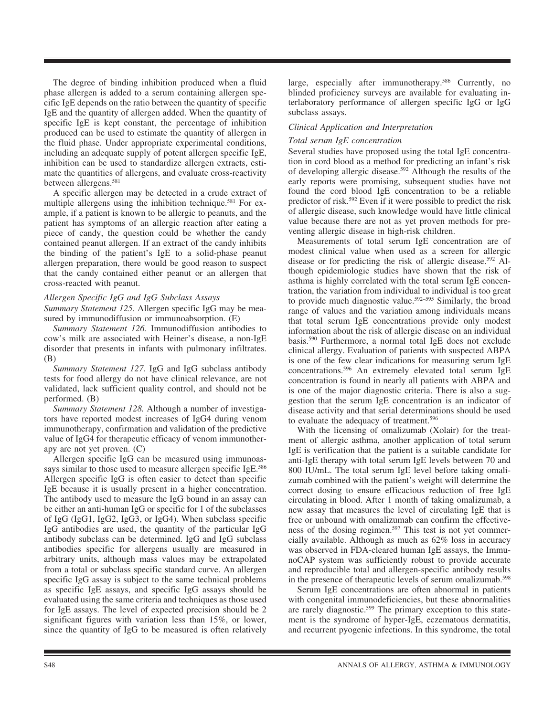The degree of binding inhibition produced when a fluid phase allergen is added to a serum containing allergen specific IgE depends on the ratio between the quantity of specific IgE and the quantity of allergen added. When the quantity of specific IgE is kept constant, the percentage of inhibition produced can be used to estimate the quantity of allergen in the fluid phase. Under appropriate experimental conditions, including an adequate supply of potent allergen specific IgE, inhibition can be used to standardize allergen extracts, estimate the quantities of allergens, and evaluate cross-reactivity between allergens.581

A specific allergen may be detected in a crude extract of multiple allergens using the inhibition technique.<sup>581</sup> For example, if a patient is known to be allergic to peanuts, and the patient has symptoms of an allergic reaction after eating a piece of candy, the question could be whether the candy contained peanut allergen. If an extract of the candy inhibits the binding of the patient's IgE to a solid-phase peanut allergen preparation, there would be good reason to suspect that the candy contained either peanut or an allergen that cross-reacted with peanut.

#### *Allergen Specific IgG and IgG Subclass Assays*

*Summary Statement 125.* Allergen specific IgG may be measured by immunodiffusion or immunoabsorption. (E)

*Summary Statement 126.* Immunodiffusion antibodies to cow's milk are associated with Heiner's disease, a non-IgE disorder that presents in infants with pulmonary infiltrates. (B)

*Summary Statement 127.* IgG and IgG subclass antibody tests for food allergy do not have clinical relevance, are not validated, lack sufficient quality control, and should not be performed. (B)

*Summary Statement 128.* Although a number of investigators have reported modest increases of IgG4 during venom immunotherapy, confirmation and validation of the predictive value of IgG4 for therapeutic efficacy of venom immunotherapy are not yet proven. (C)

Allergen specific IgG can be measured using immunoassays similar to those used to measure allergen specific IgE.<sup>586</sup> Allergen specific IgG is often easier to detect than specific IgE because it is usually present in a higher concentration. The antibody used to measure the IgG bound in an assay can be either an anti-human IgG or specific for 1 of the subclasses of IgG (IgG1, IgG2, IgG3, or IgG4). When subclass specific IgG antibodies are used, the quantity of the particular IgG antibody subclass can be determined. IgG and IgG subclass antibodies specific for allergens usually are measured in arbitrary units, although mass values may be extrapolated from a total or subclass specific standard curve. An allergen specific IgG assay is subject to the same technical problems as specific IgE assays, and specific IgG assays should be evaluated using the same criteria and techniques as those used for IgE assays. The level of expected precision should be 2 significant figures with variation less than 15%, or lower, since the quantity of IgG to be measured is often relatively

large, especially after immunotherapy.586 Currently, no blinded proficiency surveys are available for evaluating interlaboratory performance of allergen specific IgG or IgG subclass assays.

#### *Clinical Application and Interpretation*

#### *Total serum IgE concentration*

Several studies have proposed using the total IgE concentration in cord blood as a method for predicting an infant's risk of developing allergic disease.592 Although the results of the early reports were promising, subsequent studies have not found the cord blood IgE concentration to be a reliable predictor of risk.592 Even if it were possible to predict the risk of allergic disease, such knowledge would have little clinical value because there are not as yet proven methods for preventing allergic disease in high-risk children.

Measurements of total serum IgE concentration are of modest clinical value when used as a screen for allergic disease or for predicting the risk of allergic disease.592 Although epidemiologic studies have shown that the risk of asthma is highly correlated with the total serum IgE concentration, the variation from individual to individual is too great to provide much diagnostic value.592–595 Similarly, the broad range of values and the variation among individuals means that total serum IgE concentrations provide only modest information about the risk of allergic disease on an individual basis.590 Furthermore, a normal total IgE does not exclude clinical allergy. Evaluation of patients with suspected ABPA is one of the few clear indications for measuring serum IgE concentrations.596 An extremely elevated total serum IgE concentration is found in nearly all patients with ABPA and is one of the major diagnostic criteria. There is also a suggestion that the serum IgE concentration is an indicator of disease activity and that serial determinations should be used to evaluate the adequacy of treatment.<sup>596</sup>

With the licensing of omalizumab (Xolair) for the treatment of allergic asthma, another application of total serum IgE is verification that the patient is a suitable candidate for anti-IgE therapy with total serum IgE levels between 70 and 800 IU/mL. The total serum IgE level before taking omalizumab combined with the patient's weight will determine the correct dosing to ensure efficacious reduction of free IgE circulating in blood. After 1 month of taking omalizumab, a new assay that measures the level of circulating IgE that is free or unbound with omalizumab can confirm the effectiveness of the dosing regimen.<sup>597</sup> This test is not yet commercially available. Although as much as 62% loss in accuracy was observed in FDA-cleared human IgE assays, the ImmunoCAP system was sufficiently robust to provide accurate and reproducible total and allergen-specific antibody results in the presence of therapeutic levels of serum omalizumab.<sup>598</sup>

Serum IgE concentrations are often abnormal in patients with congenital immunodeficiencies, but these abnormalities are rarely diagnostic.<sup>599</sup> The primary exception to this statement is the syndrome of hyper-IgE, eczematous dermatitis, and recurrent pyogenic infections. In this syndrome, the total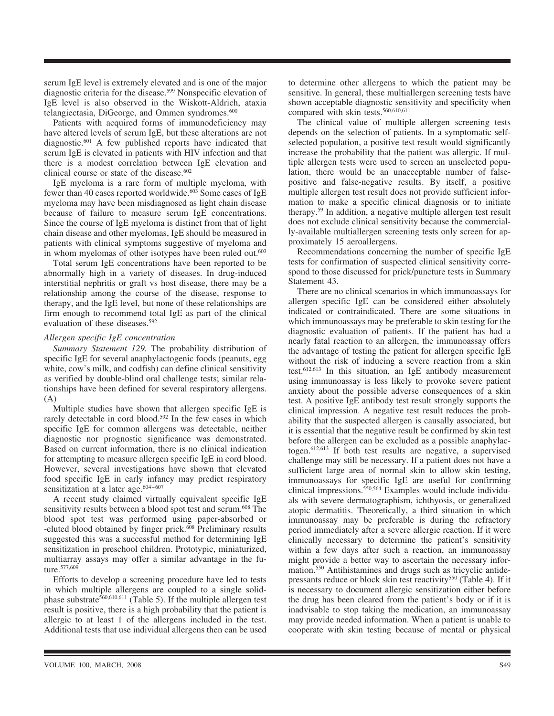serum IgE level is extremely elevated and is one of the major diagnostic criteria for the disease.599 Nonspecific elevation of IgE level is also observed in the Wiskott-Aldrich, ataxia telangiectasia, DiGeorge, and Ommen syndromes.<sup>600</sup>

Patients with acquired forms of immunodeficiency may have altered levels of serum IgE, but these alterations are not diagnostic.601 A few published reports have indicated that serum IgE is elevated in patients with HIV infection and that there is a modest correlation between IgE elevation and clinical course or state of the disease.<sup>602</sup>

IgE myeloma is a rare form of multiple myeloma, with fewer than 40 cases reported worldwide.<sup>603</sup> Some cases of IgE myeloma may have been misdiagnosed as light chain disease because of failure to measure serum IgE concentrations. Since the course of IgE myeloma is distinct from that of light chain disease and other myelomas, IgE should be measured in patients with clinical symptoms suggestive of myeloma and in whom myelomas of other isotypes have been ruled out.<sup>603</sup>

Total serum IgE concentrations have been reported to be abnormally high in a variety of diseases. In drug-induced interstitial nephritis or graft vs host disease, there may be a relationship among the course of the disease, response to therapy, and the IgE level, but none of these relationships are firm enough to recommend total IgE as part of the clinical evaluation of these diseases.592

#### *Allergen specific IgE concentration*

*Summary Statement 129.* The probability distribution of specific IgE for several anaphylactogenic foods (peanuts, egg white, cow's milk, and codfish) can define clinical sensitivity as verified by double-blind oral challenge tests; similar relationships have been defined for several respiratory allergens. (A)

Multiple studies have shown that allergen specific IgE is rarely detectable in cord blood.<sup>592</sup> In the few cases in which specific IgE for common allergens was detectable, neither diagnostic nor prognostic significance was demonstrated. Based on current information, there is no clinical indication for attempting to measure allergen specific IgE in cord blood. However, several investigations have shown that elevated food specific IgE in early infancy may predict respiratory sensitization at a later age.<sup>604-607</sup>

A recent study claimed virtually equivalent specific IgE sensitivity results between a blood spot test and serum.<sup>608</sup> The blood spot test was performed using paper-absorbed or -eluted blood obtained by finger prick.<sup>608</sup> Preliminary results suggested this was a successful method for determining IgE sensitization in preschool children. Prototypic, miniaturized, multiarray assays may offer a similar advantage in the future.577,609

Efforts to develop a screening procedure have led to tests in which multiple allergens are coupled to a single solidphase substrate<sup>560,610,611</sup> (Table 5). If the multiple allergen test result is positive, there is a high probability that the patient is allergic to at least 1 of the allergens included in the test. Additional tests that use individual allergens then can be used to determine other allergens to which the patient may be sensitive. In general, these multiallergen screening tests have shown acceptable diagnostic sensitivity and specificity when compared with skin tests.560,610,611

The clinical value of multiple allergen screening tests depends on the selection of patients. In a symptomatic selfselected population, a positive test result would significantly increase the probability that the patient was allergic. If multiple allergen tests were used to screen an unselected population, there would be an unacceptable number of falsepositive and false-negative results. By itself, a positive multiple allergen test result does not provide sufficient information to make a specific clinical diagnosis or to initiate therapy.59 In addition, a negative multiple allergen test result does not exclude clinical sensitivity because the commercially-available multiallergen screening tests only screen for approximately 15 aeroallergens.

Recommendations concerning the number of specific IgE tests for confirmation of suspected clinical sensitivity correspond to those discussed for prick/puncture tests in Summary Statement 43.

There are no clinical scenarios in which immunoassays for allergen specific IgE can be considered either absolutely indicated or contraindicated. There are some situations in which immunoassays may be preferable to skin testing for the diagnostic evaluation of patients. If the patient has had a nearly fatal reaction to an allergen, the immunoassay offers the advantage of testing the patient for allergen specific IgE without the risk of inducing a severe reaction from a skin test.612,613 In this situation, an IgE antibody measurement using immunoassay is less likely to provoke severe patient anxiety about the possible adverse consequences of a skin test. A positive IgE antibody test result strongly supports the clinical impression. A negative test result reduces the probability that the suspected allergen is causally associated, but it is essential that the negative result be confirmed by skin test before the allergen can be excluded as a possible anaphylactogen.612,613 If both test results are negative, a supervised challenge may still be necessary. If a patient does not have a sufficient large area of normal skin to allow skin testing, immunoassays for specific IgE are useful for confirming clinical impressions.<sup>550,564</sup> Examples would include individuals with severe dermatographism, ichthyosis, or generalized atopic dermatitis. Theoretically, a third situation in which immunoassay may be preferable is during the refractory period immediately after a severe allergic reaction. If it were clinically necessary to determine the patient's sensitivity within a few days after such a reaction, an immunoassay might provide a better way to ascertain the necessary information.550 Antihistamines and drugs such as tricyclic antidepressants reduce or block skin test reactivity<sup>550</sup> (Table 4). If it is necessary to document allergic sensitization either before the drug has been cleared from the patient's body or if it is inadvisable to stop taking the medication, an immunoassay may provide needed information. When a patient is unable to cooperate with skin testing because of mental or physical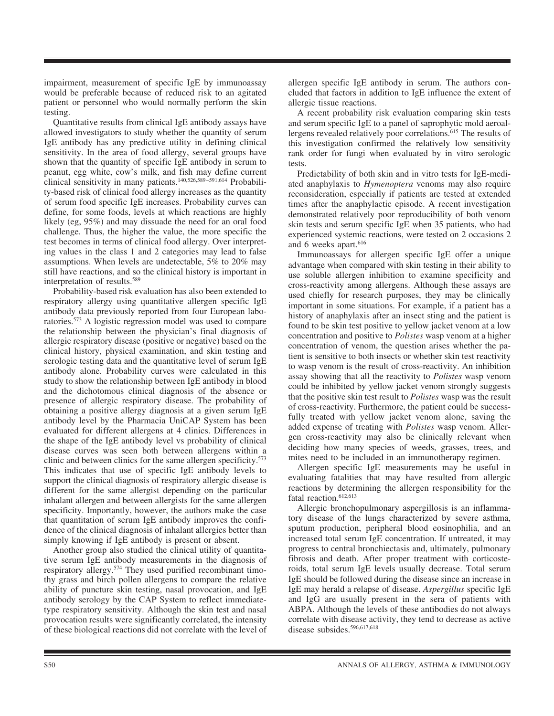impairment, measurement of specific IgE by immunoassay would be preferable because of reduced risk to an agitated patient or personnel who would normally perform the skin testing.

Quantitative results from clinical IgE antibody assays have allowed investigators to study whether the quantity of serum IgE antibody has any predictive utility in defining clinical sensitivity. In the area of food allergy, several groups have shown that the quantity of specific IgE antibody in serum to peanut, egg white, cow's milk, and fish may define current clinical sensitivity in many patients.140,526,589 –591,614 Probability-based risk of clinical food allergy increases as the quantity of serum food specific IgE increases. Probability curves can define, for some foods, levels at which reactions are highly likely (eg, 95%) and may dissuade the need for an oral food challenge. Thus, the higher the value, the more specific the test becomes in terms of clinical food allergy. Over interpreting values in the class 1 and 2 categories may lead to false assumptions. When levels are undetectable, 5% to 20% may still have reactions, and so the clinical history is important in interpretation of results.589

Probability-based risk evaluation has also been extended to respiratory allergy using quantitative allergen specific IgE antibody data previously reported from four European laboratories.573 A logistic regression model was used to compare the relationship between the physician's final diagnosis of allergic respiratory disease (positive or negative) based on the clinical history, physical examination, and skin testing and serologic testing data and the quantitative level of serum IgE antibody alone. Probability curves were calculated in this study to show the relationship between IgE antibody in blood and the dichotomous clinical diagnosis of the absence or presence of allergic respiratory disease. The probability of obtaining a positive allergy diagnosis at a given serum IgE antibody level by the Pharmacia UniCAP System has been evaluated for different allergens at 4 clinics. Differences in the shape of the IgE antibody level vs probability of clinical disease curves was seen both between allergens within a clinic and between clinics for the same allergen specificity.<sup>573</sup> This indicates that use of specific IgE antibody levels to support the clinical diagnosis of respiratory allergic disease is different for the same allergist depending on the particular inhalant allergen and between allergists for the same allergen specificity. Importantly, however, the authors make the case that quantitation of serum IgE antibody improves the confidence of the clinical diagnosis of inhalant allergies better than simply knowing if IgE antibody is present or absent.

Another group also studied the clinical utility of quantitative serum IgE antibody measurements in the diagnosis of respiratory allergy.574 They used purified recombinant timothy grass and birch pollen allergens to compare the relative ability of puncture skin testing, nasal provocation, and IgE antibody serology by the CAP System to reflect immediatetype respiratory sensitivity. Although the skin test and nasal provocation results were significantly correlated, the intensity of these biological reactions did not correlate with the level of allergen specific IgE antibody in serum. The authors concluded that factors in addition to IgE influence the extent of allergic tissue reactions.

A recent probability risk evaluation comparing skin tests and serum specific IgE to a panel of saprophytic mold aeroallergens revealed relatively poor correlations.615 The results of this investigation confirmed the relatively low sensitivity rank order for fungi when evaluated by in vitro serologic tests.

Predictability of both skin and in vitro tests for IgE-mediated anaphylaxis to *Hymenoptera* venoms may also require reconsideration, especially if patients are tested at extended times after the anaphylactic episode. A recent investigation demonstrated relatively poor reproducibility of both venom skin tests and serum specific IgE when 35 patients, who had experienced systemic reactions, were tested on 2 occasions 2 and 6 weeks apart.<sup>616</sup>

Immunoassays for allergen specific IgE offer a unique advantage when compared with skin testing in their ability to use soluble allergen inhibition to examine specificity and cross-reactivity among allergens. Although these assays are used chiefly for research purposes, they may be clinically important in some situations. For example, if a patient has a history of anaphylaxis after an insect sting and the patient is found to be skin test positive to yellow jacket venom at a low concentration and positive to *Polistes* wasp venom at a higher concentration of venom, the question arises whether the patient is sensitive to both insects or whether skin test reactivity to wasp venom is the result of cross-reactivity. An inhibition assay showing that all the reactivity to *Polistes* wasp venom could be inhibited by yellow jacket venom strongly suggests that the positive skin test result to *Polistes* wasp was the result of cross-reactivity. Furthermore, the patient could be successfully treated with yellow jacket venom alone, saving the added expense of treating with *Polistes* wasp venom. Allergen cross-reactivity may also be clinically relevant when deciding how many species of weeds, grasses, trees, and mites need to be included in an immunotherapy regimen.

Allergen specific IgE measurements may be useful in evaluating fatalities that may have resulted from allergic reactions by determining the allergen responsibility for the fatal reaction.<sup>612,613</sup>

Allergic bronchopulmonary aspergillosis is an inflammatory disease of the lungs characterized by severe asthma, sputum production, peripheral blood eosinophilia, and an increased total serum IgE concentration. If untreated, it may progress to central bronchiectasis and, ultimately, pulmonary fibrosis and death. After proper treatment with corticosteroids, total serum IgE levels usually decrease. Total serum IgE should be followed during the disease since an increase in IgE may herald a relapse of disease. *Aspergillus* specific IgE and IgG are usually present in the sera of patients with ABPA. Although the levels of these antibodies do not always correlate with disease activity, they tend to decrease as active disease subsides.<sup>596,617,618</sup>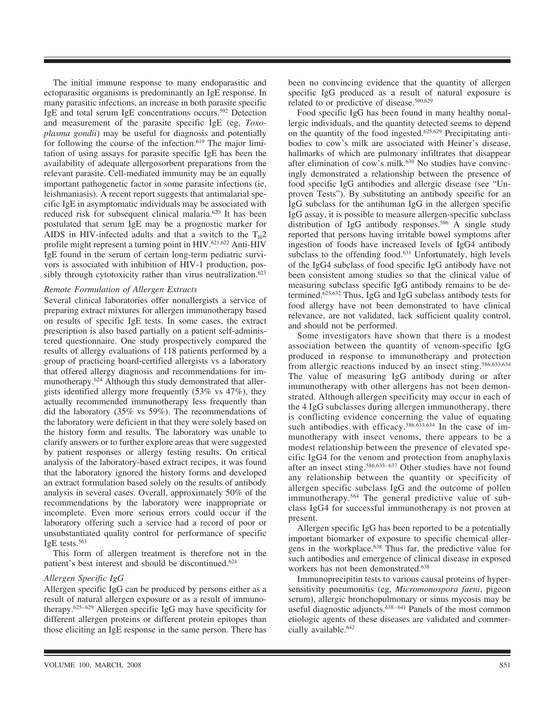The initial immune response to many endoparasitic and ectoparasitic organisms is predominantly an IgE response. In many parasitic infections, an increase in both parasite specific IgE and total serum IgE concentrations occurs.<sup>592</sup> Detection and measurement of the parasite specific IgE (eg, *Toxoplasma gondii*) may be useful for diagnosis and potentially for following the course of the infection.619 The major limitation of using assays for parasite specific IgE has been the availability of adequate allergosorbent preparations from the relevant parasite. Cell-mediated immunity may be an equally important pathogenetic factor in some parasite infections (ie, leishmaniasis). A recent report suggests that antimalarial specific IgE in asymptomatic individuals may be associated with reduced risk for subsequent clinical malaria.620 It has been postulated that serum IgE may be a prognostic marker for AIDS in HIV-infected adults and that a switch to the  $T_H2$ profile might represent a turning point in HIV.<sup>621,622</sup> Anti-HIV IgE found in the serum of certain long-term pediatric survivors is associated with inhibition of HIV-1 production, possibly through cytotoxicity rather than virus neutralization.<sup>623</sup>

## *Remote Formulation of Allergen Extracts*

Several clinical laboratories offer nonallergists a service of preparing extract mixtures for allergen immunotherapy based on results of specific IgE tests. In some cases, the extract prescription is also based partially on a patient self-administered questionnaire. One study prospectively compared the results of allergy evaluations of 118 patients performed by a group of practicing board-certified allergists vs a laboratory that offered allergy diagnosis and recommendations for immunotherapy.<sup>624</sup> Although this study demonstrated that allergists identified allergy more frequently (53% vs 47%), they actually recommended immunotherapy less frequently than did the laboratory (35% vs 59%). The recommendations of the laboratory were deficient in that they were solely based on the history form and results. The laboratory was unable to clarify answers or to further explore areas that were suggested by patient responses or allergy testing results. On critical analysis of the laboratory-based extract recipes, it was found that the laboratory ignored the history forms and developed an extract formulation based solely on the results of antibody analysis in several cases. Overall, approximately 50% of the recommendations by the laboratory were inappropriate or incomplete. Even more serious errors could occur if the laboratory offering such a service had a record of poor or unsubstantiated quality control for performance of specific IgE tests. $563$ 

This form of allergen treatment is therefore not in the patient's best interest and should be discontinued.<sup>624</sup>

#### *Allergen Specific IgG*

Allergen specific IgG can be produced by persons either as a result of natural allergen exposure or as a result of immunotherapy.<sup>625–629</sup> Allergen specific IgG may have specificity for different allergen proteins or different protein epitopes than those eliciting an IgE response in the same person. There has been no convincing evidence that the quantity of allergen specific IgG produced as a result of natural exposure is related to or predictive of disease.590,629

Food specific IgG has been found in many healthy nonallergic individuals, and the quantity detected seems to depend on the quantity of the food ingested.625,629 Precipitating antibodies to cow's milk are associated with Heiner's disease, hallmarks of which are pulmonary infiltrates that disappear after elimination of cow's milk.630 No studies have convincingly demonstrated a relationship between the presence of food specific IgG antibodies and allergic disease (see "Unproven Tests"). By substituting an antibody specific for an IgG subclass for the antihuman IgG in the allergen specific IgG assay, it is possible to measure allergen-specific subclass distribution of IgG antibody responses.<sup>586</sup> A single study reported that persons having irritable bowel symptoms after ingestion of foods have increased levels of IgG4 antibody subclass to the offending food.<sup>631</sup> Unfortunately, high levels of the IgG4 subclass of food specific IgG antibody have not been consistent among studies so that the clinical value of measuring subclass specific IgG antibody remains to be determined.625,632 Thus, IgG and IgG subclass antibody tests for food allergy have not been demonstrated to have clinical relevance, are not validated, lack sufficient quality control, and should not be performed.

Some investigators have shown that there is a modest association between the quantity of venom-specific IgG produced in response to immunotherapy and protection from allergic reactions induced by an insect sting.<sup>586,633,634</sup> The value of measuring IgG antibody during or after immunotherapy with other allergens has not been demonstrated. Although allergen specificity may occur in each of the 4 IgG subclasses during allergen immunotherapy, there is conflicting evidence concerning the value of equating such antibodies with efficacy.<sup>586,633,634</sup> In the case of immunotherapy with insect venoms, there appears to be a modest relationship between the presence of elevated specific IgG4 for the venom and protection from anaphylaxis after an insect sting.<sup>586,633–637</sup> Other studies have not found any relationship between the quantity or specificity of allergen specific subclass IgG and the outcome of pollen immunotherapy.564 The general predictive value of subclass IgG4 for successful immunotherapy is not proven at present.

Allergen specific IgG has been reported to be a potentially important biomarker of exposure to specific chemical allergens in the workplace.638 Thus far, the predictive value for such antibodies and emergence of clinical disease in exposed workers has not been demonstrated.638

Immunoprecipitin tests to various causal proteins of hypersensitivity pneumonitis (eg, *Micromonospora faeni*, pigeon serum), allergic bronchopulmonary or sinus mycosis may be useful diagnostic adjuncts.<sup>638-641</sup> Panels of the most common etiologic agents of these diseases are validated and commercially available.<sup>642</sup>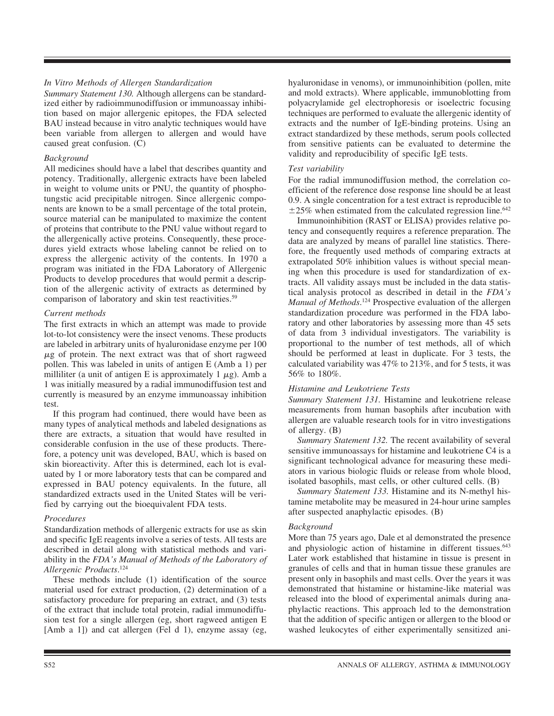## *In Vitro Methods of Allergen Standardization*

*Summary Statement 130.* Although allergens can be standardized either by radioimmunodiffusion or immunoassay inhibition based on major allergenic epitopes, the FDA selected BAU instead because in vitro analytic techniques would have been variable from allergen to allergen and would have caused great confusion. (C)

## *Background*

All medicines should have a label that describes quantity and potency. Traditionally, allergenic extracts have been labeled in weight to volume units or PNU, the quantity of phosphotungstic acid precipitable nitrogen. Since allergenic components are known to be a small percentage of the total protein, source material can be manipulated to maximize the content of proteins that contribute to the PNU value without regard to the allergenically active proteins. Consequently, these procedures yield extracts whose labeling cannot be relied on to express the allergenic activity of the contents. In 1970 a program was initiated in the FDA Laboratory of Allergenic Products to develop procedures that would permit a description of the allergenic activity of extracts as determined by comparison of laboratory and skin test reactivities.<sup>59</sup>

## *Current methods*

The first extracts in which an attempt was made to provide lot-to-lot consistency were the insect venoms. These products are labeled in arbitrary units of hyaluronidase enzyme per 100  $\mu$ g of protein. The next extract was that of short ragweed pollen. This was labeled in units of antigen E (Amb a 1) per milliliter (a unit of antigen E is approximately  $1 \mu$ g). Amb a 1 was initially measured by a radial immunodiffusion test and currently is measured by an enzyme immunoassay inhibition test.

If this program had continued, there would have been as many types of analytical methods and labeled designations as there are extracts, a situation that would have resulted in considerable confusion in the use of these products. Therefore, a potency unit was developed, BAU, which is based on skin bioreactivity. After this is determined, each lot is evaluated by 1 or more laboratory tests that can be compared and expressed in BAU potency equivalents. In the future, all standardized extracts used in the United States will be verified by carrying out the bioequivalent FDA tests.

## *Procedures*

Standardization methods of allergenic extracts for use as skin and specific IgE reagents involve a series of tests. All tests are described in detail along with statistical methods and variability in the *FDA's Manual of Methods of the Laboratory of Allergenic Products*. 124

These methods include (1) identification of the source material used for extract production, (2) determination of a satisfactory procedure for preparing an extract, and (3) tests of the extract that include total protein, radial immunodiffusion test for a single allergen (eg, short ragweed antigen E [Amb a 1]) and cat allergen (Fel d 1), enzyme assay (eg,

hyaluronidase in venoms), or immunoinhibition (pollen, mite and mold extracts). Where applicable, immunoblotting from polyacrylamide gel electrophoresis or isoelectric focusing techniques are performed to evaluate the allergenic identity of extracts and the number of IgE-binding proteins. Using an extract standardized by these methods, serum pools collected from sensitive patients can be evaluated to determine the validity and reproducibility of specific IgE tests.

# *Test variability*

For the radial immunodiffusion method, the correlation coefficient of the reference dose response line should be at least 0.9. A single concentration for a test extract is reproducible to  $\pm 25\%$  when estimated from the calculated regression line.<sup>642</sup>

Immunoinhibition (RAST or ELISA) provides relative potency and consequently requires a reference preparation. The data are analyzed by means of parallel line statistics. Therefore, the frequently used methods of comparing extracts at extrapolated 50% inhibition values is without special meaning when this procedure is used for standardization of extracts. All validity assays must be included in the data statistical analysis protocol as described in detail in the *FDA's Manual of Methods*. <sup>124</sup> Prospective evaluation of the allergen standardization procedure was performed in the FDA laboratory and other laboratories by assessing more than 45 sets of data from 3 individual investigators. The variability is proportional to the number of test methods, all of which should be performed at least in duplicate. For 3 tests, the calculated variability was 47% to 213%, and for 5 tests, it was 56% to 180%.

## *Histamine and Leukotriene Tests*

*Summary Statement 131.* Histamine and leukotriene release measurements from human basophils after incubation with allergen are valuable research tools for in vitro investigations of allergy. (B)

*Summary Statement 132.* The recent availability of several sensitive immunoassays for histamine and leukotriene C4 is a significant technological advance for measuring these mediators in various biologic fluids or release from whole blood, isolated basophils, mast cells, or other cultured cells. (B)

*Summary Statement 133.* Histamine and its N-methyl histamine metabolite may be measured in 24-hour urine samples after suspected anaphylactic episodes. (B)

## *Background*

More than 75 years ago, Dale et al demonstrated the presence and physiologic action of histamine in different tissues.<sup>643</sup> Later work established that histamine in tissue is present in granules of cells and that in human tissue these granules are present only in basophils and mast cells. Over the years it was demonstrated that histamine or histamine-like material was released into the blood of experimental animals during anaphylactic reactions. This approach led to the demonstration that the addition of specific antigen or allergen to the blood or washed leukocytes of either experimentally sensitized ani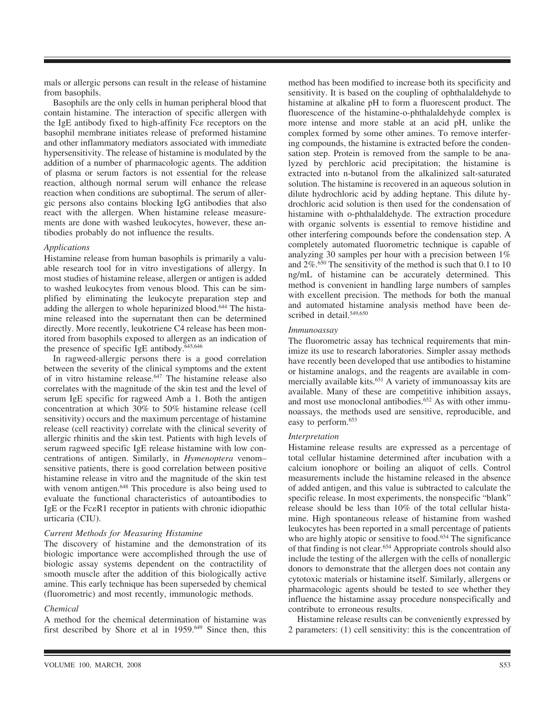mals or allergic persons can result in the release of histamine from basophils.

Basophils are the only cells in human peripheral blood that contain histamine. The interaction of specific allergen with the IgE antibody fixed to high-affinity Fc receptors on the basophil membrane initiates release of preformed histamine and other inflammatory mediators associated with immediate hypersensitivity. The release of histamine is modulated by the addition of a number of pharmacologic agents. The addition of plasma or serum factors is not essential for the release reaction, although normal serum will enhance the release reaction when conditions are suboptimal. The serum of allergic persons also contains blocking IgG antibodies that also react with the allergen. When histamine release measurements are done with washed leukocytes, however, these antibodies probably do not influence the results.

#### *Applications*

Histamine release from human basophils is primarily a valuable research tool for in vitro investigations of allergy. In most studies of histamine release, allergen or antigen is added to washed leukocytes from venous blood. This can be simplified by eliminating the leukocyte preparation step and adding the allergen to whole heparinized blood.644 The histamine released into the supernatant then can be determined directly. More recently, leukotriene C4 release has been monitored from basophils exposed to allergen as an indication of the presence of specific IgE antibody.<sup>645,646</sup>

In ragweed-allergic persons there is a good correlation between the severity of the clinical symptoms and the extent of in vitro histamine release.647 The histamine release also correlates with the magnitude of the skin test and the level of serum IgE specific for ragweed Amb a 1. Both the antigen concentration at which 30% to 50% histamine release (cell sensitivity) occurs and the maximum percentage of histamine release (cell reactivity) correlate with the clinical severity of allergic rhinitis and the skin test. Patients with high levels of serum ragweed specific IgE release histamine with low concentrations of antigen. Similarly, in *Hymenoptera* venom– sensitive patients, there is good correlation between positive histamine release in vitro and the magnitude of the skin test with venom antigen.<sup>648</sup> This procedure is also being used to evaluate the functional characteristics of autoantibodies to IgE or the Fc $\epsilon$ R1 receptor in patients with chronic idiopathic urticaria (CIU).

## *Current Methods for Measuring Histamine*

The discovery of histamine and the demonstration of its biologic importance were accomplished through the use of biologic assay systems dependent on the contractility of smooth muscle after the addition of this biologically active amine. This early technique has been superseded by chemical (fluorometric) and most recently, immunologic methods.

#### *Chemical*

A method for the chemical determination of histamine was first described by Shore et al in 1959.<sup>649</sup> Since then, this method has been modified to increase both its specificity and sensitivity. It is based on the coupling of ophthalaldehyde to histamine at alkaline pH to form a fluorescent product. The fluorescence of the histamine-o-phthalaldehyde complex is more intense and more stable at an acid pH, unlike the complex formed by some other amines. To remove interfering compounds, the histamine is extracted before the condensation step. Protein is removed from the sample to be analyzed by perchloric acid precipitation; the histamine is extracted into n-butanol from the alkalinized salt-saturated solution. The histamine is recovered in an aqueous solution in dilute hydrochloric acid by adding heptane. This dilute hydrochloric acid solution is then used for the condensation of histamine with o-phthalaldehyde. The extraction procedure with organic solvents is essential to remove histidine and other interfering compounds before the condensation step. A completely automated fluorometric technique is capable of analyzing 30 samples per hour with a precision between 1% and 2%.650 The sensitivity of the method is such that 0.1 to 10 ng/mL of histamine can be accurately determined. This method is convenient in handling large numbers of samples with excellent precision. The methods for both the manual and automated histamine analysis method have been described in detail.<sup>549,650</sup>

#### *Immunoassay*

The fluorometric assay has technical requirements that minimize its use to research laboratories. Simpler assay methods have recently been developed that use antibodies to histamine or histamine analogs, and the reagents are available in commercially available kits.651 A variety of immunoassay kits are available. Many of these are competitive inhibition assays, and most use monoclonal antibodies.<sup>652</sup> As with other immunoassays, the methods used are sensitive, reproducible, and easy to perform.653

#### *Interpretation*

Histamine release results are expressed as a percentage of total cellular histamine determined after incubation with a calcium ionophore or boiling an aliquot of cells. Control measurements include the histamine released in the absence of added antigen, and this value is subtracted to calculate the specific release. In most experiments, the nonspecific "blank" release should be less than 10% of the total cellular histamine. High spontaneous release of histamine from washed leukocytes has been reported in a small percentage of patients who are highly atopic or sensitive to food.<sup>654</sup> The significance of that finding is not clear.654 Appropriate controls should also include the testing of the allergen with the cells of nonallergic donors to demonstrate that the allergen does not contain any cytotoxic materials or histamine itself. Similarly, allergens or pharmacologic agents should be tested to see whether they influence the histamine assay procedure nonspecifically and contribute to erroneous results.

Histamine release results can be conveniently expressed by 2 parameters: (1) cell sensitivity: this is the concentration of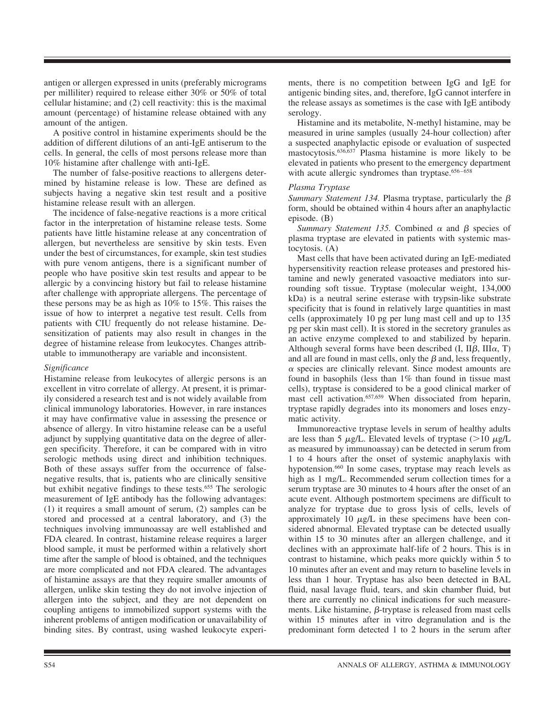antigen or allergen expressed in units (preferably micrograms per milliliter) required to release either 30% or 50% of total cellular histamine; and (2) cell reactivity: this is the maximal amount (percentage) of histamine release obtained with any amount of the antigen.

A positive control in histamine experiments should be the addition of different dilutions of an anti-IgE antiserum to the cells. In general, the cells of most persons release more than 10% histamine after challenge with anti-IgE.

The number of false-positive reactions to allergens determined by histamine release is low. These are defined as subjects having a negative skin test result and a positive histamine release result with an allergen.

The incidence of false-negative reactions is a more critical factor in the interpretation of histamine release tests. Some patients have little histamine release at any concentration of allergen, but nevertheless are sensitive by skin tests. Even under the best of circumstances, for example, skin test studies with pure venom antigens, there is a significant number of people who have positive skin test results and appear to be allergic by a convincing history but fail to release histamine after challenge with appropriate allergens. The percentage of these persons may be as high as 10% to 15%. This raises the issue of how to interpret a negative test result. Cells from patients with CIU frequently do not release histamine. Desensitization of patients may also result in changes in the degree of histamine release from leukocytes. Changes attributable to immunotherapy are variable and inconsistent.

## *Significance*

Histamine release from leukocytes of allergic persons is an excellent in vitro correlate of allergy. At present, it is primarily considered a research test and is not widely available from clinical immunology laboratories. However, in rare instances it may have confirmative value in assessing the presence or absence of allergy. In vitro histamine release can be a useful adjunct by supplying quantitative data on the degree of allergen specificity. Therefore, it can be compared with in vitro serologic methods using direct and inhibition techniques. Both of these assays suffer from the occurrence of falsenegative results, that is, patients who are clinically sensitive but exhibit negative findings to these tests.<sup>655</sup> The serologic measurement of IgE antibody has the following advantages: (1) it requires a small amount of serum, (2) samples can be stored and processed at a central laboratory, and (3) the techniques involving immunoassay are well established and FDA cleared. In contrast, histamine release requires a larger blood sample, it must be performed within a relatively short time after the sample of blood is obtained, and the techniques are more complicated and not FDA cleared. The advantages of histamine assays are that they require smaller amounts of allergen, unlike skin testing they do not involve injection of allergen into the subject, and they are not dependent on coupling antigens to immobilized support systems with the inherent problems of antigen modification or unavailability of binding sites. By contrast, using washed leukocyte experiments, there is no competition between IgG and IgE for antigenic binding sites, and, therefore, IgG cannot interfere in the release assays as sometimes is the case with IgE antibody serology.

Histamine and its metabolite, N-methyl histamine, may be measured in urine samples (usually 24-hour collection) after a suspected anaphylactic episode or evaluation of suspected mastocytosis.636,637 Plasma histamine is more likely to be elevated in patients who present to the emergency department with acute allergic syndromes than tryptase.<sup>656-658</sup>

## *Plasma Tryptase*

*Summary Statement 134.* Plasma tryptase, particularly the  $\beta$ form, should be obtained within 4 hours after an anaphylactic episode. (B)

*Summary Statement 135.* Combined  $\alpha$  and  $\beta$  species of plasma tryptase are elevated in patients with systemic mastocytosis. (A)

Mast cells that have been activated during an IgE-mediated hypersensitivity reaction release proteases and prestored histamine and newly generated vasoactive mediators into surrounding soft tissue. Tryptase (molecular weight, 134,000 kDa) is a neutral serine esterase with trypsin-like substrate specificity that is found in relatively large quantities in mast cells (approximately 10 pg per lung mast cell and up to 135 pg per skin mast cell). It is stored in the secretory granules as an active enzyme complexed to and stabilized by heparin. Although several forms have been described  $(I, II\beta, III\alpha, T)$ and all are found in mast cells, only the  $\beta$  and, less frequently,  $\alpha$  species are clinically relevant. Since modest amounts are found in basophils (less than 1% than found in tissue mast cells), tryptase is considered to be a good clinical marker of mast cell activation.657,659 When dissociated from heparin, tryptase rapidly degrades into its monomers and loses enzymatic activity.

Immunoreactive tryptase levels in serum of healthy adults are less than 5  $\mu$ g/L. Elevated levels of tryptase (>10  $\mu$ g/L as measured by immunoassay) can be detected in serum from 1 to 4 hours after the onset of systemic anaphylaxis with hypotension.660 In some cases, tryptase may reach levels as high as 1 mg/L. Recommended serum collection times for a serum tryptase are 30 minutes to 4 hours after the onset of an acute event. Although postmortem specimens are difficult to analyze for tryptase due to gross lysis of cells, levels of approximately 10  $\mu$ g/L in these specimens have been considered abnormal. Elevated tryptase can be detected usually within 15 to 30 minutes after an allergen challenge, and it declines with an approximate half-life of 2 hours. This is in contrast to histamine, which peaks more quickly within 5 to 10 minutes after an event and may return to baseline levels in less than 1 hour. Tryptase has also been detected in BAL fluid, nasal lavage fluid, tears, and skin chamber fluid, but there are currently no clinical indications for such measurements. Like histamine,  $\beta$ -tryptase is released from mast cells within 15 minutes after in vitro degranulation and is the predominant form detected 1 to 2 hours in the serum after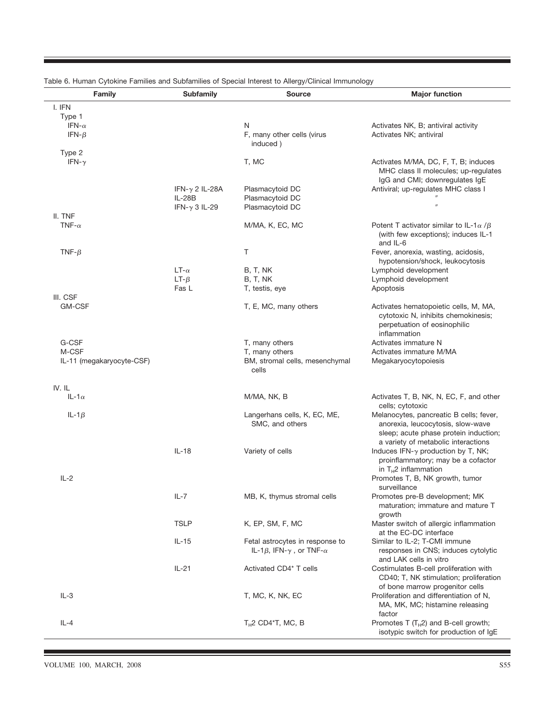| <b>Family</b>                      | <b>Subfamily</b>                 | <b>Source</b>                                                                      | <b>Major function</b>                                                                                                                                        |
|------------------------------------|----------------------------------|------------------------------------------------------------------------------------|--------------------------------------------------------------------------------------------------------------------------------------------------------------|
| I. IFN                             |                                  |                                                                                    |                                                                                                                                                              |
| Type 1<br>IFN- $\alpha$            |                                  | N                                                                                  | Activates NK, B; antiviral activity                                                                                                                          |
| IFN- $\beta$                       |                                  | F, many other cells (virus<br>induced)                                             | Activates NK; antiviral                                                                                                                                      |
| Type 2                             |                                  |                                                                                    |                                                                                                                                                              |
| IFN- $\gamma$                      |                                  | T, MC                                                                              | Activates M/MA, DC, F, T, B; induces<br>MHC class II molecules; up-regulates<br>IgG and CMI; downregulates IgE                                               |
|                                    | IFN- $\gamma$ 2 IL-28A<br>IL-28B | Plasmacytoid DC<br>Plasmacytoid DC                                                 | Antiviral; up-regulates MHC class I<br>$\prime\prime$                                                                                                        |
| II. TNF                            | IFN- $\gamma$ 3 IL-29            | Plasmacytoid DC                                                                    |                                                                                                                                                              |
| TNF- $\alpha$                      |                                  | M/MA, K, EC, MC                                                                    | Potent T activator similar to IL-1 $\alpha$ / $\beta$<br>(with few exceptions); induces IL-1<br>and IL-6                                                     |
| TNF- $\beta$                       |                                  | Τ                                                                                  | Fever, anorexia, wasting, acidosis,<br>hypotension/shock, leukocytosis                                                                                       |
|                                    | LT- $\alpha$                     | B, T, NK                                                                           | Lymphoid development                                                                                                                                         |
|                                    | $LT - \beta$                     | B, T, NK                                                                           | Lymphoid development                                                                                                                                         |
| III. CSF                           | Fas L                            | T, testis, eye                                                                     | Apoptosis                                                                                                                                                    |
| <b>GM-CSF</b>                      |                                  | T, E, MC, many others                                                              | Activates hematopoietic cells, M, MA,<br>cytotoxic N, inhibits chemokinesis;<br>perpetuation of eosinophilic<br>inflammation                                 |
| G-CSF                              |                                  | T, many others                                                                     | Activates immature N                                                                                                                                         |
| M-CSF<br>IL-11 (megakaryocyte-CSF) |                                  | T, many others<br>BM, stromal cells, mesenchymal<br>cells                          | Activates immature M/MA<br>Megakaryocytopoiesis                                                                                                              |
|                                    |                                  |                                                                                    |                                                                                                                                                              |
| IV. IL<br>IL-1 $\alpha$            |                                  | M/MA, NK, B                                                                        | Activates T, B, NK, N, EC, F, and other<br>cells; cytotoxic                                                                                                  |
| IL-1 $\beta$                       |                                  | Langerhans cells, K, EC, ME,<br>SMC, and others                                    | Melanocytes, pancreatic B cells; fever,<br>anorexia, leucocytosis, slow-wave<br>sleep; acute phase protein induction;<br>a variety of metabolic interactions |
|                                    | $IL-18$                          | Variety of cells                                                                   | Induces IFN- $\gamma$ production by T, NK;<br>proinflammatory; may be a cofactor<br>in $T_H2$ inflammation                                                   |
| $IL-2$                             |                                  |                                                                                    | Promotes T, B, NK growth, tumor<br>surveillance                                                                                                              |
|                                    | $IL - 7$                         | MB, K, thymus stromal cells                                                        | Promotes pre-B development; MK<br>maturation; immature and mature T<br>growth                                                                                |
|                                    | <b>TSLP</b>                      | K, EP, SM, F, MC                                                                   | Master switch of allergic inflammation<br>at the EC-DC interface                                                                                             |
|                                    | $IL-15$                          | Fetal astrocytes in response to<br>IL-1 $\beta$ , IFN- $\gamma$ , or TNF- $\alpha$ | Similar to IL-2; T-CMI immune<br>responses in CNS; induces cytolytic<br>and LAK cells in vitro                                                               |
|                                    | $IL-21$                          | Activated CD4* T cells                                                             | Costimulates B-cell proliferation with<br>CD40; T, NK stimulation; proliferation                                                                             |
| $IL-3$                             |                                  | T, MC, K, NK, EC                                                                   | of bone marrow progenitor cells<br>Proliferation and differentiation of N,<br>MA, MK, MC; histamine releasing                                                |
| $IL-4$                             |                                  | $T_H$ 2 CD4*T, MC, B                                                               | factor<br>Promotes T $(T_H2)$ and B-cell growth;<br>isotypic switch for production of IgE                                                                    |

Table 6. Human Cytokine Families and Subfamilies of Special Interest to Allergy/Clinical Immunology

Ξ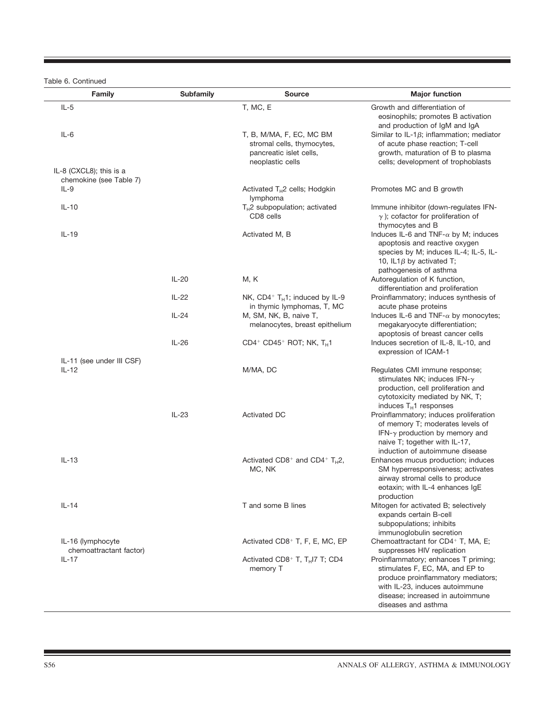Table 6. Continued

×

| <b>Family</b>                                      | <b>Subfamily</b> | <b>Source</b>                                                                                         | <b>Major function</b>                                                                                                                                                                                      |
|----------------------------------------------------|------------------|-------------------------------------------------------------------------------------------------------|------------------------------------------------------------------------------------------------------------------------------------------------------------------------------------------------------------|
| $IL-5$                                             |                  | T, MC, E                                                                                              | Growth and differentiation of<br>eosinophils; promotes B activation<br>and production of IgM and IgA                                                                                                       |
| $IL-6$                                             |                  | T, B, M/MA, F, EC, MC BM<br>stromal cells, thymocytes,<br>pancreatic islet cells,<br>neoplastic cells | Similar to IL-1 $\beta$ ; inflammation; mediator<br>of acute phase reaction; T-cell<br>growth, maturation of B to plasma<br>cells; development of trophoblasts                                             |
| IL-8 (CXCL8); this is a<br>chemokine (see Table 7) |                  |                                                                                                       |                                                                                                                                                                                                            |
| $IL-9$                                             |                  | Activated T <sub>H</sub> 2 cells; Hodgkin<br>lymphoma                                                 | Promotes MC and B growth                                                                                                                                                                                   |
| $IL-10$                                            |                  | $T_H$ 2 subpopulation; activated<br>CD8 cells                                                         | Immune inhibitor (down-regulates IFN-<br>$\gamma$ ); cofactor for proliferation of<br>thymocytes and B                                                                                                     |
| $IL-19$                                            |                  | Activated M, B                                                                                        | Induces IL-6 and TNF- $\alpha$ by M; induces<br>apoptosis and reactive oxygen<br>species by M; induces IL-4; IL-5, IL-<br>10, IL1 $\beta$ by activated T;<br>pathogenesis of asthma                        |
|                                                    | $IL-20$          | M, K                                                                                                  | Autoregulation of K function,<br>differentiation and proliferation                                                                                                                                         |
|                                                    | $IL-22$          | NK, $CD4^+$ T <sub>H</sub> 1; induced by IL-9<br>in thymic lymphomas, T, MC                           | Proinflammatory; induces synthesis of<br>acute phase proteins                                                                                                                                              |
|                                                    | $IL-24$          | M, SM, NK, B, naive T,<br>melanocytes, breast epithelium                                              | Induces IL-6 and TNF- $\alpha$ by monocytes;<br>megakaryocyte differentiation;<br>apoptosis of breast cancer cells                                                                                         |
|                                                    | $IL-26$          | CD4+ CD45+ ROT; NK, $T_H$ 1                                                                           | Induces secretion of IL-8, IL-10, and<br>expression of ICAM-1                                                                                                                                              |
| IL-11 (see under III CSF)<br>$IL-12$               |                  | M/MA, DC                                                                                              | Regulates CMI immune response;<br>stimulates NK; induces IFN- $\gamma$<br>production, cell proliferation and<br>cytotoxicity mediated by NK, T;<br>induces $T_H1$ responses                                |
|                                                    | $IL-23$          | <b>Activated DC</b>                                                                                   | Proinflammatory; induces proliferation<br>of memory T; moderates levels of<br>IFN- $\gamma$ production by memory and<br>naive T; together with IL-17,<br>induction of autoimmune disease                   |
| $IL-13$                                            |                  | Activated CD8 <sup>+</sup> and CD4 <sup>+</sup> $T_H2$ ,<br>MC, NK                                    | Enhances mucus production; induces<br>SM hyperresponsiveness; activates<br>airway stromal cells to produce<br>eotaxin; with IL-4 enhances IgE<br>production                                                |
| $IL-14$                                            |                  | T and some B lines                                                                                    | Mitogen for activated B; selectively<br>expands certain B-cell<br>subpopulations; inhibits<br>immunoglobulin secretion                                                                                     |
| IL-16 (lymphocyte<br>chemoattractant factor)       |                  | Activated CD8 <sup>+</sup> T, F, E, MC, EP                                                            | Chemoattractant for CD4 <sup>+</sup> T, MA, E;<br>suppresses HIV replication                                                                                                                               |
| $IL-17$                                            |                  | Activated CD8 <sup>+</sup> T, $T_H$ 17 T; CD4<br>memory T                                             | Proinflammatory; enhances T priming;<br>stimulates F, EC, MA, and EP to<br>produce proinflammatory mediators;<br>with IL-23, induces autoimmune<br>disease; increased in autoimmune<br>diseases and asthma |

 $\sim$ 

Ξ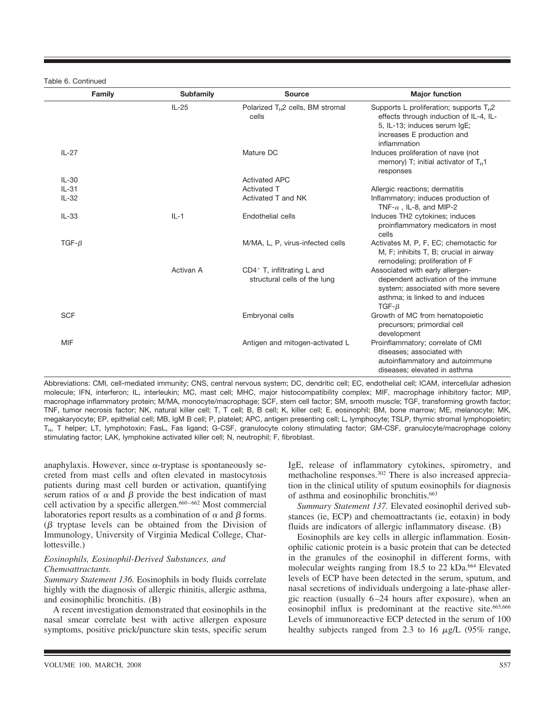Table 6. Continued

| Family       | <b>Subfamily</b> | <b>Source</b>                                                            | <b>Major function</b>                                                                                                                                             |
|--------------|------------------|--------------------------------------------------------------------------|-------------------------------------------------------------------------------------------------------------------------------------------------------------------|
|              | $IL-25$          | Polarized $T_H2$ cells, BM stromal<br>cells                              | Supports L proliferation; supports $T_H2$<br>effects through induction of IL-4, IL-<br>5, IL-13; induces serum IgE;<br>increases E production and<br>inflammation |
| $IL-27$      |                  | Mature DC                                                                | Induces proliferation of nave (not<br>memory) T; initial activator of $T_H1$<br>responses                                                                         |
| $IL-30$      |                  | <b>Activated APC</b>                                                     |                                                                                                                                                                   |
| $IL-31$      |                  | <b>Activated T</b>                                                       | Allergic reactions; dermatitis                                                                                                                                    |
| $IL-32$      |                  | Activated T and NK                                                       | Inflammatory; induces production of<br>TNF- $\alpha$ , IL-8, and MIP-2                                                                                            |
| $IL-33$      | $IL-1$           | Endothelial cells                                                        | Induces TH2 cytokines; induces<br>proinflammatory medicators in most<br>cells                                                                                     |
| TGF- $\beta$ |                  | M/MA, L, P, virus-infected cells                                         | Activates M, P, F, EC; chemotactic for<br>M, F; inhibits T, B; crucial in airway<br>remodeling; proliferation of F                                                |
|              | Activan A        | $CD4$ <sup>+</sup> T, infiltrating L and<br>structural cells of the lung | Associated with early allergen-<br>dependent activation of the immune<br>system; associated with more severe<br>asthma; is linked to and induces<br>$TGF - \beta$ |
| <b>SCF</b>   |                  | Embryonal cells                                                          | Growth of MC from hematopoietic<br>precursors; primordial cell<br>development                                                                                     |
| MIF          |                  | Antigen and mitogen-activated L                                          | Proinflammatory; correlate of CMI<br>diseases; associated with<br>autoinflammatory and autoimmune<br>diseases; elevated in asthma                                 |

Abbreviations: CMI, cell-mediated immunity; CNS, central nervous system; DC, dendritic cell; EC, endothelial cell; ICAM, intercellular adhesion molecule; IFN, interferon; IL, interleukin; MC, mast cell; MHC, major histocompatibility complex; MIF, macrophage inhibitory factor; MIP, macrophage inflammatory protein; M/MA, monocyte/macrophage; SCF, stem cell factor; SM, smooth muscle; TGF, transforming growth factor; TNF, tumor necrosis factor; NK, natural killer cell; T, T cell; B, B cell; K, killer cell; E, eosinophil; BM, bone marrow; ME, melanocyte; MK, megakaryocyte; EP, epithelial cell; MB, IgM B cell; P, platelet; APC, antigen presenting cell; L, lymphocyte; TSLP, thymic stromal lymphopoietin; T<sub>H</sub>, T helper; LT, lymphotoxin; FasL, Fas ligand; G-CSF, granulocyte colony stimulating factor; GM-CSF, granulocyte/macrophage colony stimulating factor; LAK, lymphokine activated killer cell; N, neutrophil; F, fibroblast.

anaphylaxis. However, since  $\alpha$ -tryptase is spontaneously secreted from mast cells and often elevated in mastocytosis patients during mast cell burden or activation, quantifying serum ratios of  $\alpha$  and  $\beta$  provide the best indication of mast cell activation by a specific allergen.<sup>660-662</sup> Most commercial laboratories report results as a combination of  $\alpha$  and  $\beta$  forms.  $(\beta$  tryptase levels can be obtained from the Division of Immunology, University of Virginia Medical College, Charlottesville.)

## *Eosinophils, Eosinophil-Derived Substances, and Chemoattractants.*

*Summary Statement 136.* Eosinophils in body fluids correlate highly with the diagnosis of allergic rhinitis, allergic asthma, and eosinophilic bronchitis. (B)

A recent investigation demonstrated that eosinophils in the nasal smear correlate best with active allergen exposure symptoms, positive prick/puncture skin tests, specific serum IgE, release of inflammatory cytokines, spirometry, and methacholine responses.302 There is also increased appreciation in the clinical utility of sputum eosinophils for diagnosis of asthma and eosinophilic bronchitis.663

*Summary Statement 137.* Elevated eosinophil derived substances (ie, ECP) and chemoattractants (ie, eotaxin) in body fluids are indicators of allergic inflammatory disease. (B)

Eosinophils are key cells in allergic inflammation. Eosinophilic cationic protein is a basic protein that can be detected in the granules of the eosinophil in different forms, with molecular weights ranging from 18.5 to 22 kDa.<sup>664</sup> Elevated levels of ECP have been detected in the serum, sputum, and nasal secretions of individuals undergoing a late-phase allergic reaction (usually 6 –24 hours after exposure), when an eosinophil influx is predominant at the reactive site.<sup>665,666</sup> Levels of immunoreactive ECP detected in the serum of 100 healthy subjects ranged from 2.3 to 16  $\mu$ g/L (95% range,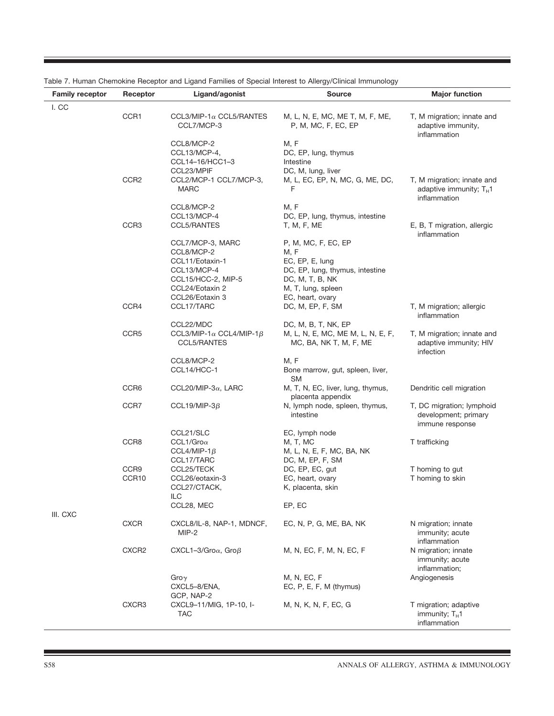| <b>Family receptor</b> | Receptor          | Ligand/agonist                                               | <b>Source</b>                                               | <b>Major function</b>                                                    |
|------------------------|-------------------|--------------------------------------------------------------|-------------------------------------------------------------|--------------------------------------------------------------------------|
| I. CC                  |                   |                                                              |                                                             |                                                                          |
|                        | CCR1              | CCL3/MIP-1 $\alpha$ CCL5/RANTES<br>CCL7/MCP-3                | M, L, N, E, MC, ME T, M, F, ME,<br>P, M, MC, F, EC, EP      | T, M migration; innate and<br>adaptive immunity,<br>inflammation         |
|                        |                   | CCL8/MCP-2<br>CCL13/MCP-4,<br>CCL14-16/HCC1-3                | M, F<br>DC, EP, lung, thymus<br>Intestine                   |                                                                          |
|                        |                   | CCL23/MPIF                                                   | DC, M, lung, liver                                          |                                                                          |
|                        | CCR <sub>2</sub>  | CCL2/MCP-1 CCL7/MCP-3,<br><b>MARC</b>                        | M, L, EC, EP, N, MC, G, ME, DC,<br>F                        | T, M migration; innate and<br>adaptive immunity; $T_H$ 1<br>inflammation |
|                        |                   | CCL8/MCP-2                                                   | M, F                                                        |                                                                          |
|                        |                   | CCL13/MCP-4                                                  | DC, EP, lung, thymus, intestine                             |                                                                          |
|                        | CCR <sub>3</sub>  | <b>CCL5/RANTES</b>                                           | T, M, F, ME                                                 | E, B, T migration, allergic<br>inflammation                              |
|                        |                   | CCL7/MCP-3, MARC<br>CCL8/MCP-2                               | P, M, MC, F, EC, EP<br>M, F                                 |                                                                          |
|                        |                   | CCL11/Eotaxin-1                                              | EC, EP, E, lung                                             |                                                                          |
|                        |                   | CCL13/MCP-4                                                  | DC, EP, lung, thymus, intestine                             |                                                                          |
|                        |                   | CCL15/HCC-2, MIP-5<br>CCL24/Eotaxin 2                        | DC, M, T, B, NK<br>M, T, lung, spleen                       |                                                                          |
|                        |                   | CCL26/Eotaxin 3                                              | EC, heart, ovary                                            |                                                                          |
|                        | CCR4              | CCL17/TARC                                                   | DC, M, EP, F, SM                                            | T, M migration; allergic<br>inflammation                                 |
|                        |                   | CCL22/MDC                                                    | DC, M, B, T, NK, EP                                         |                                                                          |
|                        | CCR <sub>5</sub>  | CCL3/MIP-1 $\alpha$ CCL4/MIP-1 $\beta$<br><b>CCL5/RANTES</b> | M, L, N, E, MC, ME M, L, N, E, F,<br>MC, BA, NK T, M, F, ME | T, M migration; innate and<br>adaptive immunity; HIV<br>infection        |
|                        |                   | CCL8/MCP-2                                                   | M.F                                                         |                                                                          |
|                        |                   | CCL14/HCC-1                                                  | Bone marrow, gut, spleen, liver,<br><b>SM</b>               |                                                                          |
|                        | CCR <sub>6</sub>  | CCL20/MIP-3 $\alpha$ , LARC                                  | M, T, N, EC, liver, lung, thymus,<br>placenta appendix      | Dendritic cell migration                                                 |
|                        | CCR7              | CCL19/MIP-3 $\beta$                                          | N, lymph node, spleen, thymus,<br>intestine                 | T, DC migration; lymphoid<br>development; primary<br>immune response     |
|                        |                   | CCL21/SLC                                                    | EC, lymph node                                              |                                                                          |
|                        | CCR8              | CCL1/Gro $\alpha$<br>CCL4/MIP-1 $\beta$                      | M, T, MC<br>M, L, N, E, F, MC, BA, NK                       | T trafficking                                                            |
|                        |                   | CCL17/TARC                                                   | DC, M, EP, F, SM                                            |                                                                          |
|                        | CCR9<br>CCR10     | CCL25/TECK<br>CCL26/eotaxin-3                                | DC, EP, EC, gut<br>EC, heart, ovary                         | T homing to gut<br>T homing to skin                                      |
|                        |                   | CCL27/CTACK,<br>ILC                                          | K, placenta, skin                                           |                                                                          |
| III. CXC               |                   | CCL28, MEC                                                   | EP, EC                                                      |                                                                          |
|                        | <b>CXCR</b>       | CXCL8/IL-8, NAP-1, MDNCF,<br>MIP-2                           | EC, N, P, G, ME, BA, NK                                     | N migration; innate<br>immunity; acute<br>inflammation                   |
|                        | CXCR <sub>2</sub> | CXCL1-3/Gro $\alpha$ , Gro $\beta$                           | M, N, EC, F, M, N, EC, F                                    | N migration; innate<br>immunity; acute<br>inflammation;                  |
|                        |                   | Gro $\gamma$                                                 | M, N, EC, F                                                 | Angiogenesis                                                             |
|                        |                   | CXCL5-8/ENA,<br>GCP, NAP-2                                   | EC, P, E, F, M (thymus)                                     |                                                                          |
|                        | CXCR3             | CXCL9-11/MIG, 1P-10, I-<br><b>TAC</b>                        | M, N, K, N, F, EC, G                                        | T migration; adaptive<br>immunity; $T_H$ 1<br>inflammation               |

Table 7. Human Chemokine Receptor and Ligand Families of Special Interest to Allergy/Clinical Immunology

a sa mga banya ng mga pag-ang pag-ang pag-ang pag-ang pag-ang pag-ang pag-ang pag-ang pag-ang pag-ang pag-ang

Ē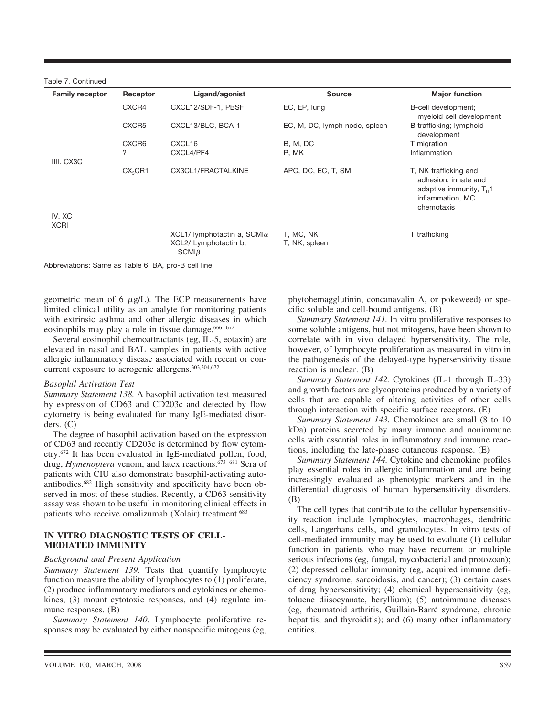Table 7. Continued

| <b>Family receptor</b> | Receptor            | Ligand/agonist                                                              | <b>Source</b>                 | <b>Major function</b>                                                                                       |
|------------------------|---------------------|-----------------------------------------------------------------------------|-------------------------------|-------------------------------------------------------------------------------------------------------------|
|                        | CXCR4               | CXCL12/SDF-1, PBSF                                                          | EC, EP, lung                  | B-cell development;<br>myeloid cell development                                                             |
|                        | CXCR <sub>5</sub>   | CXCL13/BLC, BCA-1                                                           | EC, M, DC, lymph node, spleen | B trafficking; lymphoid<br>development                                                                      |
|                        | CXCR <sub>6</sub>   | CXCL <sub>16</sub>                                                          | B, M, DC                      | T migration                                                                                                 |
| IIII. CX3C             | ?                   | CXCL4/PF4                                                                   | P, MK                         | Inflammation                                                                                                |
|                        | CX <sub>3</sub> CR1 | CX3CL1/FRACTALKINE                                                          | APC, DC, EC, T, SM            | T, NK trafficking and<br>adhesion; innate and<br>adaptive immunity, $TH1$<br>inflammation, MC<br>chemotaxis |
| IV. XC<br><b>XCRI</b>  |                     |                                                                             |                               |                                                                                                             |
|                        |                     | XCL1/ lymphotactin a, SCMl $\alpha$<br>XCL2/ Lymphotactin b,<br>$SCMI\beta$ | T, MC, NK<br>T, NK, spleen    | T trafficking                                                                                               |

Abbreviations: Same as Table 6; BA, pro-B cell line.

geometric mean of 6  $\mu$ g/L). The ECP measurements have limited clinical utility as an analyte for monitoring patients with extrinsic asthma and other allergic diseases in which eosinophils may play a role in tissue damage. $666 - 672$ 

Several eosinophil chemoattractants (eg, IL-5, eotaxin) are elevated in nasal and BAL samples in patients with active allergic inflammatory disease associated with recent or concurrent exposure to aerogenic allergens.<sup>303,304,672</sup>

#### *Basophil Activation Test*

*Summary Statement 138.* A basophil activation test measured by expression of CD63 and CD203c and detected by flow cytometry is being evaluated for many IgE-mediated disorders. (C)

The degree of basophil activation based on the expression of CD63 and recently CD203c is determined by flow cytometry.672 It has been evaluated in IgE-mediated pollen, food, drug, *Hymenoptera* venom, and latex reactions.<sup>673–681</sup> Sera of patients with CIU also demonstrate basophil-activating autoantibodies.682 High sensitivity and specificity have been observed in most of these studies. Recently, a CD63 sensitivity assay was shown to be useful in monitoring clinical effects in patients who receive omalizumab (Xolair) treatment.<sup>683</sup>

## **IN VITRO DIAGNOSTIC TESTS OF CELL-MEDIATED IMMUNITY**

## *Background and Present Application*

*Summary Statement 139.* Tests that quantify lymphocyte function measure the ability of lymphocytes to (1) proliferate, (2) produce inflammatory mediators and cytokines or chemokines, (3) mount cytotoxic responses, and (4) regulate immune responses. (B)

*Summary Statement 140.* Lymphocyte proliferative responses may be evaluated by either nonspecific mitogens (eg, phytohemagglutinin, concanavalin A, or pokeweed) or specific soluble and cell-bound antigens. (B)

*Summary Statement 141.* In vitro proliferative responses to some soluble antigens, but not mitogens, have been shown to correlate with in vivo delayed hypersensitivity. The role, however, of lymphocyte proliferation as measured in vitro in the pathogenesis of the delayed-type hypersensitivity tissue reaction is unclear. (B)

*Summary Statement 142.* Cytokines (IL-1 through IL-33) and growth factors are glycoproteins produced by a variety of cells that are capable of altering activities of other cells through interaction with specific surface receptors. (E)

*Summary Statement 143.* Chemokines are small (8 to 10 kDa) proteins secreted by many immune and nonimmune cells with essential roles in inflammatory and immune reactions, including the late-phase cutaneous response. (E)

*Summary Statement 144.* Cytokine and chemokine profiles play essential roles in allergic inflammation and are being increasingly evaluated as phenotypic markers and in the differential diagnosis of human hypersensitivity disorders. (B)

The cell types that contribute to the cellular hypersensitivity reaction include lymphocytes, macrophages, dendritic cells, Langerhans cells, and granulocytes. In vitro tests of cell-mediated immunity may be used to evaluate (1) cellular function in patients who may have recurrent or multiple serious infections (eg, fungal, mycobacterial and protozoan); (2) depressed cellular immunity (eg, acquired immune deficiency syndrome, sarcoidosis, and cancer); (3) certain cases of drug hypersensitivity; (4) chemical hypersensitivity (eg, toluene diisocyanate, beryllium); (5) autoimmune diseases (eg, rheumatoid arthritis, Guillain-Barre´ syndrome, chronic hepatitis, and thyroiditis); and (6) many other inflammatory entities.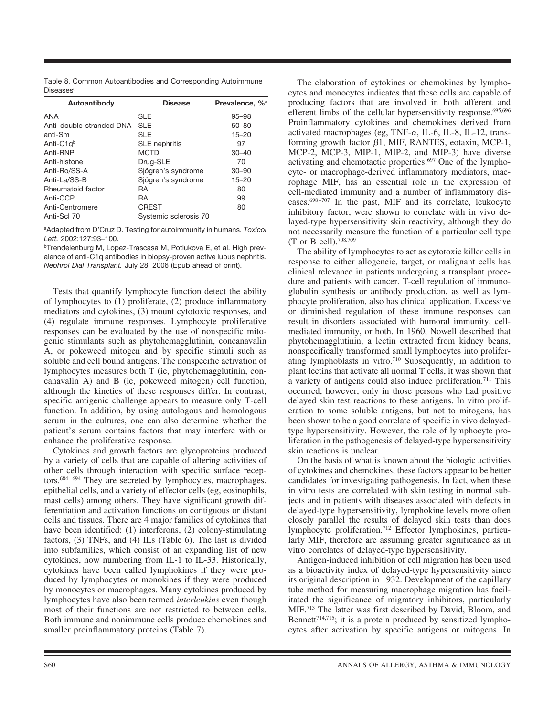Table 8. Common Autoantibodies and Corresponding Autoimmune **Diseases**<sup>a</sup>

| Autoantibody             | <b>Disease</b>        | Prevalence, % <sup>a</sup> |
|--------------------------|-----------------------|----------------------------|
| ANA                      | <b>SLE</b>            | $95 - 98$                  |
| Anti-double-stranded DNA | SLF                   | $50 - 80$                  |
| anti-Sm                  | <b>SLE</b>            | $15 - 20$                  |
| Anti-C1qb                | <b>SLE</b> nephritis  | 97                         |
| Anti-RNP                 | <b>MCTD</b>           | $30 - 40$                  |
| Anti-histone             | Drug-SLE              | 70                         |
| Anti-Ro/SS-A             | Sjögren's syndrome    | $30 - 90$                  |
| Anti-La/SS-B             | Sjögren's syndrome    | $15 - 20$                  |
| Rheumatoid factor        | RA                    | 80                         |
| Anti-CCP                 | <b>RA</b>             | 99                         |
| Anti-Centromere          | <b>CREST</b>          | 80                         |
| Anti-Scl 70              | Systemic sclerosis 70 |                            |

aAdapted from D'Cruz D. Testing for autoimmunity in humans. *Toxicol Lett.* 2002;127:93–100.

bTrendelenburg M, Lopez-Trascasa M, Potlukova E, et al. High prevalence of anti-C1q antibodies in biopsy-proven active lupus nephritis. *Nephrol Dial Transplant.* July 28, 2006 (Epub ahead of print).

Tests that quantify lymphocyte function detect the ability of lymphocytes to (1) proliferate, (2) produce inflammatory mediators and cytokines, (3) mount cytotoxic responses, and (4) regulate immune responses. Lymphocyte proliferative responses can be evaluated by the use of nonspecific mitogenic stimulants such as phytohemagglutinin, concanavalin A, or pokeweed mitogen and by specific stimuli such as soluble and cell bound antigens. The nonspecific activation of lymphocytes measures both T (ie, phytohemagglutinin, concanavalin A) and B (ie, pokeweed mitogen) cell function, although the kinetics of these responses differ. In contrast, specific antigenic challenge appears to measure only T-cell function. In addition, by using autologous and homologous serum in the cultures, one can also determine whether the patient's serum contains factors that may interfere with or enhance the proliferative response.

Cytokines and growth factors are glycoproteins produced by a variety of cells that are capable of altering activities of other cells through interaction with specific surface receptors.<sup>684-694</sup> They are secreted by lymphocytes, macrophages, epithelial cells, and a variety of effector cells (eg, eosinophils, mast cells) among others. They have significant growth differentiation and activation functions on contiguous or distant cells and tissues. There are 4 major families of cytokines that have been identified: (1) interferons, (2) colony-stimulating factors, (3) TNFs, and (4) ILs (Table 6). The last is divided into subfamilies, which consist of an expanding list of new cytokines, now numbering from IL-1 to IL-33. Historically, cytokines have been called lymphokines if they were produced by lymphocytes or monokines if they were produced by monocytes or macrophages. Many cytokines produced by lymphocytes have also been termed *interleukins* even though most of their functions are not restricted to between cells. Both immune and nonimmune cells produce chemokines and smaller proinflammatory proteins (Table 7).

The elaboration of cytokines or chemokines by lymphocytes and monocytes indicates that these cells are capable of producing factors that are involved in both afferent and efferent limbs of the cellular hypersensitivity response.<sup>695,696</sup> Proinflammatory cytokines and chemokines derived from activated macrophages (eg, TNF- $\alpha$ , IL-6, IL-8, IL-12, transforming growth factor  $\beta$ 1, MIF, RANTES, eotaxin, MCP-1, MCP-2, MCP-3, MIP-1, MIP-2, and MIP-3) have diverse activating and chemotactic properties.<sup>697</sup> One of the lymphocyte- or macrophage-derived inflammatory mediators, macrophage MIF, has an essential role in the expression of cell-mediated immunity and a number of inflammatory diseases.<sup>698-707</sup> In the past, MIF and its correlate, leukocyte inhibitory factor, were shown to correlate with in vivo delayed-type hypersensitivity skin reactivity, although they do not necessarily measure the function of a particular cell type (T or B cell).<sup>708,709</sup>

The ability of lymphocytes to act as cytotoxic killer cells in response to either allogeneic, target, or malignant cells has clinical relevance in patients undergoing a transplant procedure and patients with cancer. T-cell regulation of immunoglobulin synthesis or antibody production, as well as lymphocyte proliferation, also has clinical application. Excessive or diminished regulation of these immune responses can result in disorders associated with humoral immunity, cellmediated immunity, or both. In 1960, Nowell described that phytohemagglutinin, a lectin extracted from kidney beans, nonspecifically transformed small lymphocytes into proliferating lymphoblasts in vitro.<sup>710</sup> Subsequently, in addition to plant lectins that activate all normal T cells, it was shown that a variety of antigens could also induce proliferation.711 This occurred, however, only in those persons who had positive delayed skin test reactions to these antigens. In vitro proliferation to some soluble antigens, but not to mitogens, has been shown to be a good correlate of specific in vivo delayedtype hypersensitivity. However, the role of lymphocyte proliferation in the pathogenesis of delayed-type hypersensitivity skin reactions is unclear.

On the basis of what is known about the biologic activities of cytokines and chemokines, these factors appear to be better candidates for investigating pathogenesis. In fact, when these in vitro tests are correlated with skin testing in normal subjects and in patients with diseases associated with defects in delayed-type hypersensitivity, lymphokine levels more often closely parallel the results of delayed skin tests than does lymphocyte proliferation.712 Effector lymphokines, particularly MIF, therefore are assuming greater significance as in vitro correlates of delayed-type hypersensitivity.

Antigen-induced inhibition of cell migration has been used as a bioactivity index of delayed-type hypersensitivity since its original description in 1932. Development of the capillary tube method for measuring macrophage migration has facilitated the significance of migratory inhibitors, particularly MIF.713 The latter was first described by David, Bloom, and Bennett<sup>714,715</sup>; it is a protein produced by sensitized lymphocytes after activation by specific antigens or mitogens. In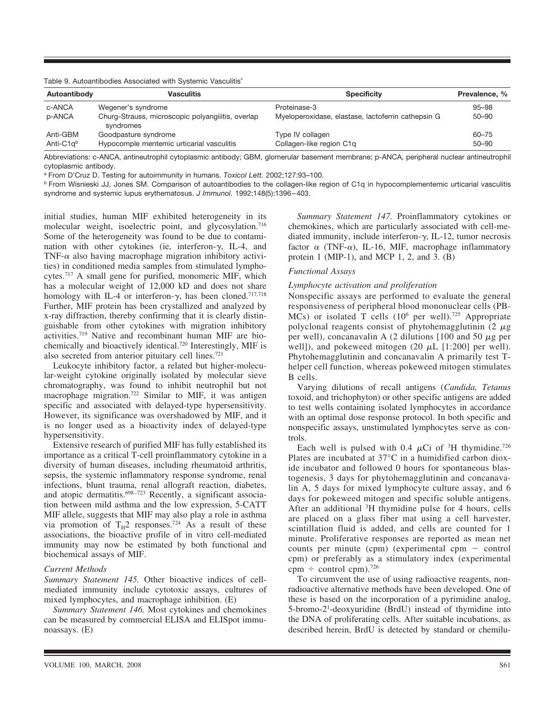Table 9. Autoantibodies Associated with Systemic Vasculitis<sup>a</sup>

| Autoantibody | Vasculitis                                                     | <b>Specificity</b>                                 | Prevalence, % |
|--------------|----------------------------------------------------------------|----------------------------------------------------|---------------|
| c-ANCA       | Wegener's syndrome                                             | Proteinase-3                                       | $95 - 98$     |
| p-ANCA       | Churg-Strauss, microscopic polyangiiitis, overlap<br>syndromes | Myeloperoxidase, elastase, lactoferrin cathepsin G | $50 - 90$     |
| Anti-GBM     | Goodpasture syndrome                                           | Type IV collagen                                   | $60 - 75$     |
| Anti-C1ab    | Hypocomple mentemic urticarial vasculitis                      | Collagen-like region C1g                           | $50 - 90$     |

Abbreviations: c-ANCA, antineutrophil cytoplasmic antibody; GBM, glomerular basement membrane; p-ANCA, peripheral nuclear antineutrophil cytoplasmic antibody.

<sup>a</sup> From D'Cruz D. Testing for autoimmunity in humans. *Toxicol Lett.* 2002;127:93–100.

**b From Wisnieski JJ, Jones SM. Comparison of autoantibodies to the collagen-like region of C1q in hypocomplementemic urticarial vasculitis** syndrome and systemic lupus erythematosus. *J Immunol.* 1992;148(5):1396 – 403.

initial studies, human MIF exhibited heterogeneity in its molecular weight, isoelectric point, and glycosylation.<sup>716</sup> Some of the heterogeneity was found to be due to contamination with other cytokines (ie, interferon- $\gamma$ , IL-4, and TNF- $\alpha$  also having macrophage migration inhibitory activities) in conditioned media samples from stimulated lymphocytes.717 A small gene for purified, monomeric MIF, which has a molecular weight of 12,000 kD and does not share homology with IL-4 or interferon- $\gamma$ , has been cloned.<sup>717,718</sup> Further, MIF protein has been crystallized and analyzed by x-ray diffraction, thereby confirming that it is clearly distinguishable from other cytokines with migration inhibitory activities.719 Native and recombinant human MIF are biochemically and bioactively identical.720 Interestingly, MIF is also secreted from anterior pituitary cell lines.721

Leukocyte inhibitory factor, a related but higher-molecular-weight cytokine originally isolated by molecular sieve chromatography, was found to inhibit neutrophil but not macrophage migration.<sup>722</sup> Similar to MIF, it was antigen specific and associated with delayed-type hypersensitivity. However, its significance was overshadowed by MIF, and it is no longer used as a bioactivity index of delayed-type hypersensitivity.

Extensive research of purified MIF has fully established its importance as a critical T-cell proinflammatory cytokine in a diversity of human diseases, including rheumatoid arthritis, sepsis, the systemic inflammatory response syndrome, renal infections, blunt trauma, renal allograft reaction, diabetes, and atopic dermatitis.<sup>698-723</sup> Recently, a significant association between mild asthma and the low expression, 5-CATT MIF allele, suggests that MIF may also play a role in asthma via promotion of  $T_H2$  responses.<sup>724</sup> As a result of these associations, the bioactive profile of in vitro cell-mediated immunity may now be estimated by both functional and biochemical assays of MIF.

## *Current Methods*

*Summary Statement 145.* Other bioactive indices of cellmediated immunity include cytotoxic assays, cultures of mixed lymphocytes, and macrophage inhibition. (E)

*Summary Statement 146.* Most cytokines and chemokines can be measured by commercial ELISA and ELISpot immunoassays. (E)

*Summary Statement 147.* Proinflammatory cytokines or chemokines, which are particularly associated with cell-mediated immunity, include interferon- $\gamma$ , IL-12, tumor necrosis factor  $\alpha$  (TNF- $\alpha$ ), IL-16, MIF, macrophage inflammatory protein 1 (MIP-1), and MCP 1, 2, and 3. (B)

#### *Functional Assays*

#### *Lymphocyte activation and proliferation*

Nonspecific assays are performed to evaluate the general responsiveness of peripheral blood mononuclear cells (PB-MCs) or isolated T cells  $(10^6 \text{ per well})$ .<sup>725</sup> Appropriate polyclonal reagents consist of phytohemagglutinin  $(2 \mu g)$ per well), concanavalin A (2 dilutions  $[100$  and 50  $\mu$ g per well]), and pokeweed mitogen (20  $\mu$ L [1:200] per well). Phytohemagglutinin and concanavalin A primarily test Thelper cell function, whereas pokeweed mitogen stimulates B cells.

Varying dilutions of recall antigens (*Candida, Tetanus* toxoid, and trichophyton) or other specific antigens are added to test wells containing isolated lymphocytes in accordance with an optimal dose response protocol. In both specific and nonspecific assays, unstimulated lymphocytes serve as controls.

Each well is pulsed with 0.4  $\mu$ Ci of <sup>3</sup>H thymidine.<sup>726</sup> Plates are incubated at 37°C in a humidified carbon dioxide incubator and followed 0 hours for spontaneous blastogenesis, 3 days for phytohemagglutinin and concanavalin A, 5 days for mixed lymphocyte culture assay, and 6 days for pokeweed mitogen and specific soluble antigens. After an additional <sup>3</sup>H thymidine pulse for 4 hours, cells are placed on a glass fiber mat using a cell harvester, scintillation fluid is added, and cells are counted for 1 minute. Proliferative responses are reported as mean net counts per minute (cpm) (experimental cpm  $-$  control cpm) or preferably as a stimulatory index (experimental cpm  $\div$  control cpm).<sup>726</sup>

To circumvent the use of using radioactive reagents, nonradioactive alternative methods have been developed. One of these is based on the incorporation of a pyrimidine analog, 5-bromo-2<sup>1</sup>-deoxyuridine (BrdU) instead of thymidine into the DNA of proliferating cells. After suitable incubations, as described herein, BrdU is detected by standard or chemilu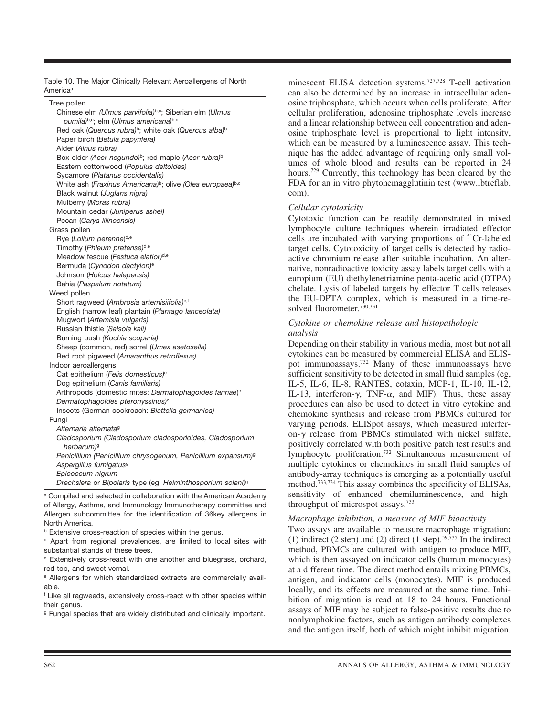Table 10. The Major Clinically Relevant Aeroallergens of North **America<sup>a</sup>** 

| Tree pollen                                                                        |
|------------------------------------------------------------------------------------|
| Chinese elm (Ulmus parvifolia) <sup>b,c</sup> ; Siberian elm (Ulmus                |
| pumila) <sup>b,c</sup> ; elm (Ulmus americana) <sup>b,c</sup>                      |
| Red oak (Quercus rubra) <sup>b</sup> ; white oak (Quercus alba) <sup>b</sup>       |
| Paper birch (Betula papyrifera)                                                    |
| Alder (Alnus rubra)                                                                |
| Box elder (Acer negundo) <sup>b</sup> ; red maple (Acer rubra) <sup>b</sup>        |
| Eastern cottonwood (Populus deltoides)                                             |
| Sycamore (Platanus occidentalis)                                                   |
| White ash (Fraxinus Americana) <sup>b</sup> ; olive (Olea europaea) <sup>b,c</sup> |
| Black walnut (Juglans nigra)                                                       |
| Mulberry (Moras rubra)                                                             |
| Mountain cedar (Juniperus ashei)                                                   |
| Pecan (Carya illinoensis)                                                          |
| Grass pollen                                                                       |
| Rye (Lolium perenne)d,e                                                            |
| Timothy (Phleum pretense)d,e                                                       |
| Meadow fescue (Festuca elatior)d,e                                                 |
| Bermuda (Cynodon dactylon) <sup>e</sup>                                            |
| Johnson (Holcus halepensis)                                                        |
| Bahia (Paspalum notatum)                                                           |
| Weed pollen                                                                        |
| Short ragweed (Ambrosia artemisiifolia) <sup>e,f</sup>                             |
|                                                                                    |
| English (narrow leaf) plantain (Plantago lanceolata)                               |
| Mugwort (Artemisia vulgaris)                                                       |
| Russian thistle (Salsola kali)                                                     |
| Burning bush (Kochia scoparia)                                                     |
| Sheep (common, red) sorrel (Umex asetosella)                                       |
| Red root pigweed (Amaranthus retroflexus)                                          |
| Indoor aeroallergens                                                               |
| Cat epithelium (Felis domesticus) <sup>e</sup>                                     |
| Dog epithelium (Canis familiaris)                                                  |
| Arthropods (domestic mites: Dermatophagoides farinae) <sup>e</sup>                 |
| Dermatophagoides pteronyssinus) <sup>e</sup>                                       |
| Insects (German cockroach: Blattella germanica)                                    |
| Fungi                                                                              |
| Alternaria alternata <sup>9</sup>                                                  |
| Cladosporium (Cladosporium cladosporioides, Cladosporium                           |
| herbarum) <sup>g</sup>                                                             |
| Penicillium (Penicillium chrysogenum, Penicillium expansum) <sup>9</sup>           |
| Aspergillus fumigatus <sup>9</sup>                                                 |
| Epicoccum nigrum                                                                   |
| Drechslera or Bipolaris type (eg, Heiminthosporium solani) <sup>9</sup>            |

a Compiled and selected in collaboration with the American Academy of Allergy, Asthma, and Immunology Immunotherapy committee and Allergen subcommittee for the identification of 36key allergens in North America.

**b** Extensive cross-reaction of species within the genus.

<sup>c</sup> Apart from regional prevalences, are limited to local sites with substantial stands of these trees.

<sup>d</sup> Extensively cross-react with one another and bluegrass, orchard, red top, and sweet vernal.

<sup>e</sup> Allergens for which standardized extracts are commercially available.

<sup>f</sup> Like all ragweeds, extensively cross-react with other species within their genus.

<sup>9</sup> Fungal species that are widely distributed and clinically important.

minescent ELISA detection systems.727,728 T-cell activation can also be determined by an increase in intracellular adenosine triphosphate, which occurs when cells proliferate. After cellular proliferation, adenosine triphosphate levels increase and a linear relationship between cell concentration and adenosine triphosphate level is proportional to light intensity, which can be measured by a luminescence assay. This technique has the added advantage of requiring only small volumes of whole blood and results can be reported in 24 hours.729 Currently, this technology has been cleared by the FDA for an in vitro phytohemagglutinin test (www.ibtreflab. com).

#### *Cellular cytotoxicity*

Cytotoxic function can be readily demonstrated in mixed lymphocyte culture techniques wherein irradiated effector cells are incubated with varying proportions of 51Cr-labeled target cells. Cytotoxicity of target cells is detected by radioactive chromium release after suitable incubation. An alternative, nonradioactive toxicity assay labels target cells with a europium (EU) diethylenetriamine penta-acetic acid (DTPA) chelate. Lysis of labeled targets by effector T cells releases the EU-DPTA complex, which is measured in a time-resolved fluorometer.730,731

#### *Cytokine or chemokine release and histopathologic analysis*

Depending on their stability in various media, most but not all cytokines can be measured by commercial ELISA and ELISpot immunoassays.732 Many of these immunoassays have sufficient sensitivity to be detected in small fluid samples (eg, IL-5, IL-6, IL-8, RANTES, eotaxin, MCP-1, IL-10, IL-12, IL-13, interferon- $\gamma$ , TNF- $\alpha$ , and MIF). Thus, these assay procedures can also be used to detect in vitro cytokine and chemokine synthesis and release from PBMCs cultured for varying periods. ELISpot assays, which measured interferon- $\gamma$  release from PBMCs stimulated with nickel sulfate, positively correlated with both positive patch test results and lymphocyte proliferation.732 Simultaneous measurement of multiple cytokines or chemokines in small fluid samples of antibody-array techniques is emerging as a potentially useful method.733,734 This assay combines the specificity of ELISAs, sensitivity of enhanced chemiluminescence, and highthroughput of microspot assays.733

#### *Macrophage inhibition, a measure of MIF bioactivity*

Two assays are available to measure macrophage migration: (1) indirect (2 step) and (2) direct (1 step).<sup>59,735</sup> In the indirect method, PBMCs are cultured with antigen to produce MIF, which is then assayed on indicator cells (human monocytes) at a different time. The direct method entails mixing PBMCs, antigen, and indicator cells (monocytes). MIF is produced locally, and its effects are measured at the same time. Inhibition of migration is read at 18 to 24 hours. Functional assays of MIF may be subject to false-positive results due to nonlymphokine factors, such as antigen antibody complexes and the antigen itself, both of which might inhibit migration.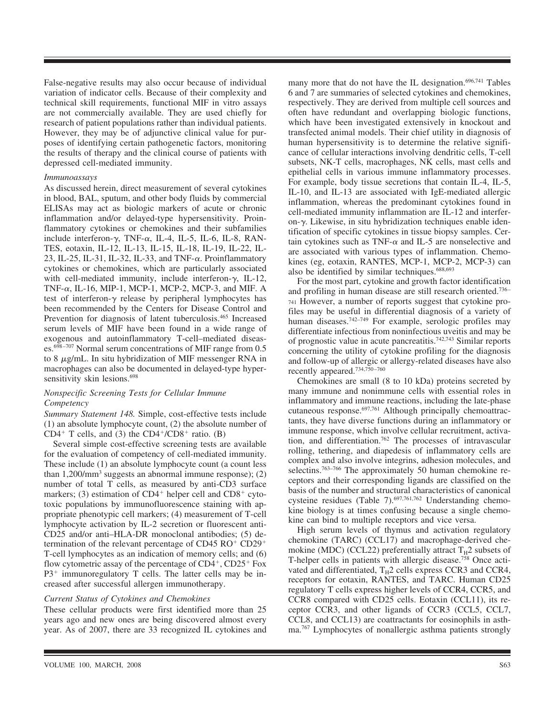False-negative results may also occur because of individual variation of indicator cells. Because of their complexity and technical skill requirements, functional MIF in vitro assays are not commercially available. They are used chiefly for research of patient populations rather than individual patients. However, they may be of adjunctive clinical value for purposes of identifying certain pathogenetic factors, monitoring the results of therapy and the clinical course of patients with depressed cell-mediated immunity.

#### *Immunoassays*

As discussed herein, direct measurement of several cytokines in blood, BAL, sputum, and other body fluids by commercial ELISAs may act as biologic markers of acute or chronic inflammation and/or delayed-type hypersensitivity. Proinflammatory cytokines or chemokines and their subfamilies include interferon- $\gamma$ , TNF- $\alpha$ , IL-4, IL-5, IL-6, IL-8, RAN-TES, eotaxin, IL-12, IL-13, IL-15, IL-18, IL-19, IL-22, IL-23, IL-25, IL-31, IL-32, IL-33, and TNF- $\alpha$ . Proinflammatory cytokines or chemokines, which are particularly associated with cell-mediated immunity, include interferon- $\gamma$ , IL-12, TNF- $\alpha$ , IL-16, MIP-1, MCP-1, MCP-2, MCP-3, and MIF. A test of interferon- $\gamma$  release by peripheral lymphocytes has been recommended by the Centers for Disease Control and Prevention for diagnosis of latent tuberculosis.465 Increased serum levels of MIF have been found in a wide range of exogenous and autoinflammatory T-cell–mediated diseases.698 –707 Normal serum concentrations of MIF range from 0.5 to 8  $\mu$ g/mL. In situ hybridization of MIF messenger RNA in macrophages can also be documented in delayed-type hypersensitivity skin lesions.<sup>698</sup>

## *Nonspecific Screening Tests for Cellular Immune Competency*

*Summary Statement 148.* Simple, cost-effective tests include (1) an absolute lymphocyte count, (2) the absolute number of  $CD4^+$  T cells, and (3) the  $CD4^+/CD8^+$  ratio. (B)

Several simple cost-effective screening tests are available for the evaluation of competency of cell-mediated immunity. These include (1) an absolute lymphocyte count (a count less than  $1,200/\text{mm}^3$  suggests an abnormal immune response); (2) number of total T cells, as measured by anti-CD3 surface markers; (3) estimation of  $CD4<sup>+</sup>$  helper cell and  $CD8<sup>+</sup>$  cytotoxic populations by immunofluorescence staining with appropriate phenotypic cell markers; (4) measurement of T-cell lymphocyte activation by IL-2 secretion or fluorescent anti-CD25 and/or anti–HLA-DR monoclonal antibodies; (5) determination of the relevant percentage of  $CD45 \, \text{RO}^+$   $CD29^+$ T-cell lymphocytes as an indication of memory cells; and (6) flow cytometric assay of the percentage of  $CD4^+$ ,  $CD25^+$  Fox  $P3$ <sup>+</sup> immunoregulatory T cells. The latter cells may be increased after successful allergen immunotherapy.

## *Current Status of Cytokines and Chemokines*

These cellular products were first identified more than 25 years ago and new ones are being discovered almost every year. As of 2007, there are 33 recognized IL cytokines and many more that do not have the IL designation.<sup>696,741</sup> Tables 6 and 7 are summaries of selected cytokines and chemokines, respectively. They are derived from multiple cell sources and often have redundant and overlapping biologic functions, which have been investigated extensively in knockout and transfected animal models. Their chief utility in diagnosis of human hypersensitivity is to determine the relative significance of cellular interactions involving dendritic cells, T-cell subsets, NK-T cells, macrophages, NK cells, mast cells and epithelial cells in various immune inflammatory processes. For example, body tissue secretions that contain IL-4, IL-5, IL-10, and IL-13 are associated with IgE-mediated allergic inflammation, whereas the predominant cytokines found in cell-mediated immunity inflammation are IL-12 and interferon- $\gamma$ . Likewise, in situ hybridization techniques enable identification of specific cytokines in tissue biopsy samples. Certain cytokines such as TNF- $\alpha$  and IL-5 are nonselective and are associated with various types of inflammation. Chemokines (eg, eotaxin, RANTES, MCP-1, MCP-2, MCP-3) can also be identified by similar techniques.<sup>688,693</sup>

For the most part, cytokine and growth factor identification and profiling in human disease are still research oriented.<sup>736–</sup> <sup>741</sup> However, a number of reports suggest that cytokine profiles may be useful in differential diagnosis of a variety of human diseases.<sup>742-749</sup> For example, serologic profiles may differentiate infectious from noninfectious uveitis and may be of prognostic value in acute pancreatitis.742,743 Similar reports concerning the utility of cytokine profiling for the diagnosis and follow-up of allergic or allergy-related diseases have also recently appeared.<sup>734,750-760</sup>

Chemokines are small (8 to 10 kDa) proteins secreted by many immune and nonimmune cells with essential roles in inflammatory and immune reactions, including the late-phase cutaneous response.697,761 Although principally chemoattractants, they have diverse functions during an inflammatory or immune response, which involve cellular recruitment, activation, and differentiation.762 The processes of intravascular rolling, tethering, and diapedesis of inflammatory cells are complex and also involve integrins, adhesion molecules, and selectins.<sup>763–766</sup> The approximately 50 human chemokine receptors and their corresponding ligands are classified on the basis of the number and structural characteristics of canonical cysteine residues (Table 7).<sup>697,761,762</sup> Understanding chemokine biology is at times confusing because a single chemokine can bind to multiple receptors and vice versa.

High serum levels of thymus and activation regulatory chemokine (TARC) (CCL17) and macrophage-derived chemokine (MDC) (CCL22) preferentially attract  $T_H2$  subsets of T-helper cells in patients with allergic disease.758 Once activated and differentiated,  $T_H2$  cells express CCR3 and CCR4, receptors for eotaxin, RANTES, and TARC. Human CD25 regulatory T cells express higher levels of CCR4, CCR5, and CCR8 compared with CD25 cells. Eotaxin (CCL11), its receptor CCR3, and other ligands of CCR3 (CCL5, CCL7, CCL8, and CCL13) are coattractants for eosinophils in asthma.767 Lymphocytes of nonallergic asthma patients strongly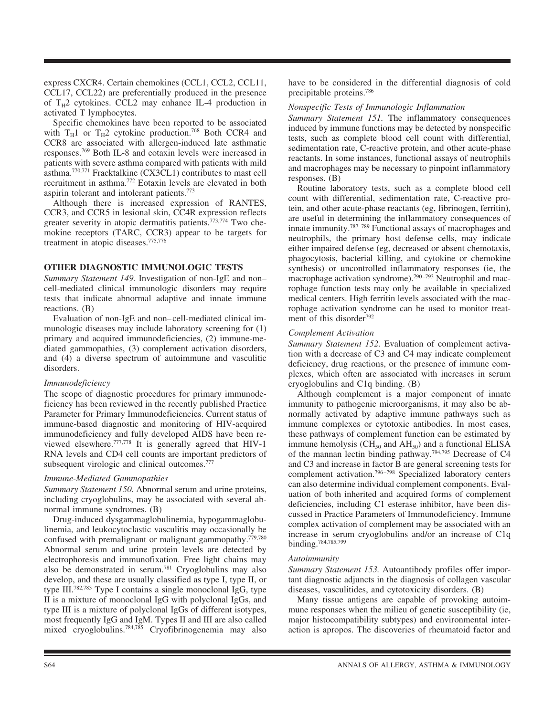express CXCR4. Certain chemokines (CCL1, CCL2, CCL11, CCL17, CCL22) are preferentially produced in the presence of  $T_H2$  cytokines. CCL2 may enhance IL-4 production in activated T lymphocytes.

Specific chemokines have been reported to be associated with  $T_H1$  or  $T_H2$  cytokine production.<sup>768</sup> Both CCR4 and CCR8 are associated with allergen-induced late asthmatic responses.769 Both IL-8 and eotaxin levels were increased in patients with severe asthma compared with patients with mild asthma.770,771 Fracktalkine (CX3CL1) contributes to mast cell recruitment in asthma.772 Eotaxin levels are elevated in both aspirin tolerant and intolerant patients.773

Although there is increased expression of RANTES, CCR3, and CCR5 in lesional skin, CC4R expression reflects greater severity in atopic dermatitis patients.<sup>773,774</sup> Two chemokine receptors (TARC, CCR3) appear to be targets for treatment in atopic diseases.775,776

## **OTHER DIAGNOSTIC IMMUNOLOGIC TESTS**

*Summary Statement 149.* Investigation of non-IgE and non– cell-mediated clinical immunologic disorders may require tests that indicate abnormal adaptive and innate immune reactions. (B)

Evaluation of non-IgE and non– cell-mediated clinical immunologic diseases may include laboratory screening for (1) primary and acquired immunodeficiencies, (2) immune-mediated gammopathies, (3) complement activation disorders, and (4) a diverse spectrum of autoimmune and vasculitic disorders.

## *Immunodeficiency*

The scope of diagnostic procedures for primary immunodeficiency has been reviewed in the recently published Practice Parameter for Primary Immunodeficiencies. Current status of immune-based diagnostic and monitoring of HIV-acquired immunodeficiency and fully developed AIDS have been reviewed elsewhere.777,778 It is generally agreed that HIV-1 RNA levels and CD4 cell counts are important predictors of subsequent virologic and clinical outcomes.<sup>777</sup>

## *Immune-Mediated Gammopathies*

*Summary Statement 150.* Abnormal serum and urine proteins, including cryoglobulins, may be associated with several abnormal immune syndromes. (B)

Drug-induced dysgammaglobulinemia, hypogammaglobulinemia, and leukocytoclastic vasculitis may occasionally be confused with premalignant or malignant gammopathy.<sup>779,780</sup> Abnormal serum and urine protein levels are detected by electrophoresis and immunofixation. Free light chains may also be demonstrated in serum.781 Cryoglobulins may also develop, and these are usually classified as type I, type II, or type III.<sup>782,783</sup> Type I contains a single monoclonal IgG, type II is a mixture of monoclonal IgG with polyclonal IgGs, and type III is a mixture of polyclonal IgGs of different isotypes, most frequently IgG and IgM. Types II and III are also called mixed cryoglobulins.784,785 Cryofibrinogenemia may also

have to be considered in the differential diagnosis of cold precipitable proteins.786

## *Nonspecific Tests of Immunologic Inflammation*

*Summary Statement 151.* The inflammatory consequences induced by immune functions may be detected by nonspecific tests, such as complete blood cell count with differential, sedimentation rate, C-reactive protein, and other acute-phase reactants. In some instances, functional assays of neutrophils and macrophages may be necessary to pinpoint inflammatory responses. (B)

Routine laboratory tests, such as a complete blood cell count with differential, sedimentation rate, C-reactive protein, and other acute-phase reactants (eg, fibrinogen, ferritin), are useful in determining the inflammatory consequences of innate immunity.787–789 Functional assays of macrophages and neutrophils, the primary host defense cells, may indicate either impaired defense (eg, decreased or absent chemotaxis, phagocytosis, bacterial killing, and cytokine or chemokine synthesis) or uncontrolled inflammatory responses (ie, the macrophage activation syndrome).<sup>790-793</sup> Neutrophil and macrophage function tests may only be available in specialized medical centers. High ferritin levels associated with the macrophage activation syndrome can be used to monitor treatment of this disorder<sup>792</sup>

## *Complement Activation*

*Summary Statement 152.* Evaluation of complement activation with a decrease of C3 and C4 may indicate complement deficiency, drug reactions, or the presence of immune complexes, which often are associated with increases in serum cryoglobulins and C1q binding. (B)

Although complement is a major component of innate immunity to pathogenic microorganisms, it may also be abnormally activated by adaptive immune pathways such as immune complexes or cytotoxic antibodies. In most cases, these pathways of complement function can be estimated by immune hemolysis ( $CH_{50}$  and  $AH_{50}$ ) and a functional ELISA of the mannan lectin binding pathway.794,795 Decrease of C4 and C3 and increase in factor B are general screening tests for complement activation.<sup>796-798</sup> Specialized laboratory centers can also determine individual complement components. Evaluation of both inherited and acquired forms of complement deficiencies, including C1 esterase inhibitor, have been discussed in Practice Parameters of Immunodeficiency. Immune complex activation of complement may be associated with an increase in serum cryoglobulins and/or an increase of C1q binding.784,785,799

## *Autoimmunity*

*Summary Statement 153.* Autoantibody profiles offer important diagnostic adjuncts in the diagnosis of collagen vascular diseases, vasculitides, and cytotoxicity disorders. (B)

Many tissue antigens are capable of provoking autoimmune responses when the milieu of genetic susceptibility (ie, major histocompatibility subtypes) and environmental interaction is apropos. The discoveries of rheumatoid factor and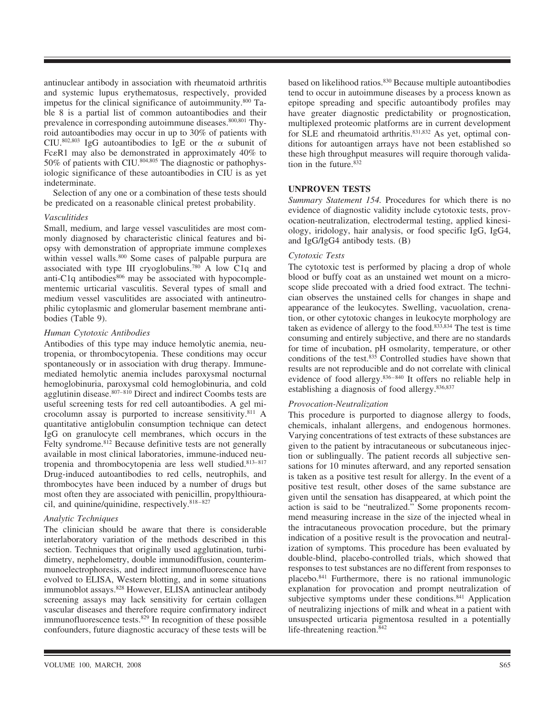antinuclear antibody in association with rheumatoid arthritis and systemic lupus erythematosus, respectively, provided impetus for the clinical significance of autoimmunity.800 Table 8 is a partial list of common autoantibodies and their prevalence in corresponding autoimmune diseases.<sup>800,801</sup> Thyroid autoantibodies may occur in up to 30% of patients with CIU.<sup>802,803</sup> IgG autoantibodies to IgE or the  $\alpha$  subunit of Fc $\varepsilon$ R1 may also be demonstrated in approximately 40% to 50% of patients with CIU.<sup>804,805</sup> The diagnostic or pathophysiologic significance of these autoantibodies in CIU is as yet indeterminate.

Selection of any one or a combination of these tests should be predicated on a reasonable clinical pretest probability.

## *Vasculitides*

Small, medium, and large vessel vasculitides are most commonly diagnosed by characteristic clinical features and biopsy with demonstration of appropriate immune complexes within vessel walls.<sup>800</sup> Some cases of palpable purpura are associated with type III cryoglobulins.<sup>780</sup> A low C1q and anti-C1q antibodies<sup>806</sup> may be associated with hypocomplementemic urticarial vasculitis. Several types of small and medium vessel vasculitides are associated with antineutrophilic cytoplasmic and glomerular basement membrane antibodies (Table 9).

## *Human Cytotoxic Antibodies*

Antibodies of this type may induce hemolytic anemia, neutropenia, or thrombocytopenia. These conditions may occur spontaneously or in association with drug therapy. Immunemediated hemolytic anemia includes paroxysmal nocturnal hemoglobinuria, paroxysmal cold hemoglobinuria, and cold agglutinin disease.<sup>807–810</sup> Direct and indirect Coombs tests are useful screening tests for red cell autoantibodies. A gel microcolumn assay is purported to increase sensitivity.811 A quantitative antiglobulin consumption technique can detect IgG on granulocyte cell membranes, which occurs in the Felty syndrome.<sup>812</sup> Because definitive tests are not generally available in most clinical laboratories, immune-induced neutropenia and thrombocytopenia are less well studied.<sup>813-817</sup> Drug-induced autoantibodies to red cells, neutrophils, and thrombocytes have been induced by a number of drugs but most often they are associated with penicillin, propylthiouracil, and quinine/quinidine, respectively. $818-827$ 

## *Analytic Techniques*

The clinician should be aware that there is considerable interlaboratory variation of the methods described in this section. Techniques that originally used agglutination, turbidimetry, nephelometry, double immunodiffusion, counterimmunoelectrophoresis, and indirect immunofluorescence have evolved to ELISA, Western blotting, and in some situations immunoblot assays.<sup>828</sup> However, ELISA antinuclear antibody screening assays may lack sensitivity for certain collagen vascular diseases and therefore require confirmatory indirect immunofluorescence tests.<sup>829</sup> In recognition of these possible confounders, future diagnostic accuracy of these tests will be based on likelihood ratios.<sup>830</sup> Because multiple autoantibodies tend to occur in autoimmune diseases by a process known as epitope spreading and specific autoantibody profiles may have greater diagnostic predictability or prognostication, multiplexed proteomic platforms are in current development for SLE and rheumatoid arthritis.<sup>831,832</sup> As yet, optimal conditions for autoantigen arrays have not been established so these high throughput measures will require thorough validation in the future.832

## **UNPROVEN TESTS**

*Summary Statement 154.* Procedures for which there is no evidence of diagnostic validity include cytotoxic tests, provocation-neutralization, electrodermal testing, applied kinesiology, iridology, hair analysis, or food specific IgG, IgG4, and IgG/IgG4 antibody tests. (B)

## *Cytotoxic Tests*

The cytotoxic test is performed by placing a drop of whole blood or buffy coat as an unstained wet mount on a microscope slide precoated with a dried food extract. The technician observes the unstained cells for changes in shape and appearance of the leukocytes. Swelling, vacuolation, crenation, or other cytotoxic changes in leukocyte morphology are taken as evidence of allergy to the food.833,834 The test is time consuming and entirely subjective, and there are no standards for time of incubation, pH osmolarity, temperature, or other conditions of the test.<sup>835</sup> Controlled studies have shown that results are not reproducible and do not correlate with clinical evidence of food allergy.  $836 - 840$  It offers no reliable help in establishing a diagnosis of food allergy.836,837

## *Provocation-Neutralization*

This procedure is purported to diagnose allergy to foods, chemicals, inhalant allergens, and endogenous hormones. Varying concentrations of test extracts of these substances are given to the patient by intracutaneous or subcutaneous injection or sublingually. The patient records all subjective sensations for 10 minutes afterward, and any reported sensation is taken as a positive test result for allergy. In the event of a positive test result, other doses of the same substance are given until the sensation has disappeared, at which point the action is said to be "neutralized." Some proponents recommend measuring increase in the size of the injected wheal in the intracutaneous provocation procedure, but the primary indication of a positive result is the provocation and neutralization of symptoms. This procedure has been evaluated by double-blind, placebo-controlled trials, which showed that responses to test substances are no different from responses to placebo.841 Furthermore, there is no rational immunologic explanation for provocation and prompt neutralization of subjective symptoms under these conditions.<sup>841</sup> Application of neutralizing injections of milk and wheat in a patient with unsuspected urticaria pigmentosa resulted in a potentially life-threatening reaction.<sup>842</sup>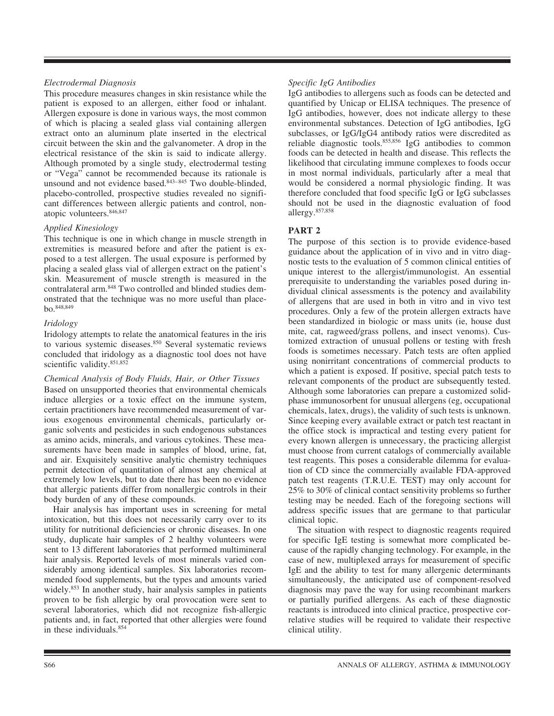## *Electrodermal Diagnosis*

This procedure measures changes in skin resistance while the patient is exposed to an allergen, either food or inhalant. Allergen exposure is done in various ways, the most common of which is placing a sealed glass vial containing allergen extract onto an aluminum plate inserted in the electrical circuit between the skin and the galvanometer. A drop in the electrical resistance of the skin is said to indicate allergy. Although promoted by a single study, electrodermal testing or "Vega" cannot be recommended because its rationale is unsound and not evidence based.<sup>843-845</sup> Two double-blinded, placebo-controlled, prospective studies revealed no significant differences between allergic patients and control, nonatopic volunteers.846,847

## *Applied Kinesiology*

This technique is one in which change in muscle strength in extremities is measured before and after the patient is exposed to a test allergen. The usual exposure is performed by placing a sealed glass vial of allergen extract on the patient's skin. Measurement of muscle strength is measured in the contralateral arm.<sup>848</sup> Two controlled and blinded studies demonstrated that the technique was no more useful than placebo.848,849

## *Iridology*

Iridology attempts to relate the anatomical features in the iris to various systemic diseases.<sup>850</sup> Several systematic reviews concluded that iridology as a diagnostic tool does not have scientific validity.<sup>851,852</sup>

#### *Chemical Analysis of Body Fluids, Hair, or Other Tissues* Based on unsupported theories that environmental chemicals induce allergies or a toxic effect on the immune system, certain practitioners have recommended measurement of various exogenous environmental chemicals, particularly or-

ganic solvents and pesticides in such endogenous substances as amino acids, minerals, and various cytokines. These measurements have been made in samples of blood, urine, fat, and air. Exquisitely sensitive analytic chemistry techniques permit detection of quantitation of almost any chemical at extremely low levels, but to date there has been no evidence that allergic patients differ from nonallergic controls in their body burden of any of these compounds.

Hair analysis has important uses in screening for metal intoxication, but this does not necessarily carry over to its utility for nutritional deficiencies or chronic diseases. In one study, duplicate hair samples of 2 healthy volunteers were sent to 13 different laboratories that performed multimineral hair analysis. Reported levels of most minerals varied considerably among identical samples. Six laboratories recommended food supplements, but the types and amounts varied widely.<sup>853</sup> In another study, hair analysis samples in patients proven to be fish allergic by oral provocation were sent to several laboratories, which did not recognize fish-allergic patients and, in fact, reported that other allergies were found in these individuals.854

# *Specific IgG Antibodies*

IgG antibodies to allergens such as foods can be detected and quantified by Unicap or ELISA techniques. The presence of IgG antibodies, however, does not indicate allergy to these environmental substances. Detection of IgG antibodies, IgG subclasses, or IgG/IgG4 antibody ratios were discredited as reliable diagnostic tools.855,856 IgG antibodies to common foods can be detected in health and disease. This reflects the likelihood that circulating immune complexes to foods occur in most normal individuals, particularly after a meal that would be considered a normal physiologic finding. It was therefore concluded that food specific IgG or IgG subclasses should not be used in the diagnostic evaluation of food allergy.857,858

# **PART 2**

The purpose of this section is to provide evidence-based guidance about the application of in vivo and in vitro diagnostic tests to the evaluation of 5 common clinical entities of unique interest to the allergist/immunologist. An essential prerequisite to understanding the variables posed during individual clinical assessments is the potency and availability of allergens that are used in both in vitro and in vivo test procedures. Only a few of the protein allergen extracts have been standardized in biologic or mass units (ie, house dust mite, cat, ragweed/grass pollens, and insect venoms). Customized extraction of unusual pollens or testing with fresh foods is sometimes necessary. Patch tests are often applied using nonirritant concentrations of commercial products to which a patient is exposed. If positive, special patch tests to relevant components of the product are subsequently tested. Although some laboratories can prepare a customized solidphase immunosorbent for unusual allergens (eg, occupational chemicals, latex, drugs), the validity of such tests is unknown. Since keeping every available extract or patch test reactant in the office stock is impractical and testing every patient for every known allergen is unnecessary, the practicing allergist must choose from current catalogs of commercially available test reagents. This poses a considerable dilemma for evaluation of CD since the commercially available FDA-approved patch test reagents (T.R.U.E. TEST) may only account for 25% to 30% of clinical contact sensitivity problems so further testing may be needed. Each of the foregoing sections will address specific issues that are germane to that particular clinical topic.

The situation with respect to diagnostic reagents required for specific IgE testing is somewhat more complicated because of the rapidly changing technology. For example, in the case of new, multiplexed arrays for measurement of specific IgE and the ability to test for many allergenic determinants simultaneously, the anticipated use of component-resolved diagnosis may pave the way for using recombinant markers or partially purified allergens. As each of these diagnostic reactants is introduced into clinical practice, prospective correlative studies will be required to validate their respective clinical utility.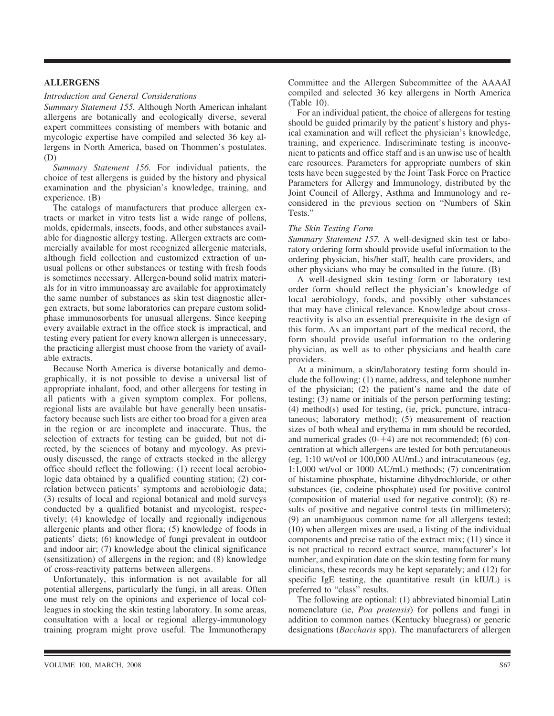## **ALLERGENS**

#### *Introduction and General Considerations*

*Summary Statement 155.* Although North American inhalant allergens are botanically and ecologically diverse, several expert committees consisting of members with botanic and mycologic expertise have compiled and selected 36 key allergens in North America, based on Thommen's postulates. (D)

*Summary Statement 156.* For individual patients, the choice of test allergens is guided by the history and physical examination and the physician's knowledge, training, and experience. (B)

The catalogs of manufacturers that produce allergen extracts or market in vitro tests list a wide range of pollens, molds, epidermals, insects, foods, and other substances available for diagnostic allergy testing. Allergen extracts are commercially available for most recognized allergenic materials, although field collection and customized extraction of unusual pollens or other substances or testing with fresh foods is sometimes necessary. Allergen-bound solid matrix materials for in vitro immunoassay are available for approximately the same number of substances as skin test diagnostic allergen extracts, but some laboratories can prepare custom solidphase immunosorbents for unusual allergens. Since keeping every available extract in the office stock is impractical, and testing every patient for every known allergen is unnecessary, the practicing allergist must choose from the variety of available extracts.

Because North America is diverse botanically and demographically, it is not possible to devise a universal list of appropriate inhalant, food, and other allergens for testing in all patients with a given symptom complex. For pollens, regional lists are available but have generally been unsatisfactory because such lists are either too broad for a given area in the region or are incomplete and inaccurate. Thus, the selection of extracts for testing can be guided, but not directed, by the sciences of botany and mycology. As previously discussed, the range of extracts stocked in the allergy office should reflect the following: (1) recent local aerobiologic data obtained by a qualified counting station; (2) correlation between patients' symptoms and aerobiologic data; (3) results of local and regional botanical and mold surveys conducted by a qualified botanist and mycologist, respectively; (4) knowledge of locally and regionally indigenous allergenic plants and other flora; (5) knowledge of foods in patients' diets; (6) knowledge of fungi prevalent in outdoor and indoor air; (7) knowledge about the clinical significance (sensitization) of allergens in the region; and (8) knowledge of cross-reactivity patterns between allergens.

Unfortunately, this information is not available for all potential allergens, particularly the fungi, in all areas. Often one must rely on the opinions and experience of local colleagues in stocking the skin testing laboratory. In some areas, consultation with a local or regional allergy-immunology training program might prove useful. The Immunotherapy Committee and the Allergen Subcommittee of the AAAAI compiled and selected 36 key allergens in North America (Table 10).

For an individual patient, the choice of allergens for testing should be guided primarily by the patient's history and physical examination and will reflect the physician's knowledge, training, and experience. Indiscriminate testing is inconvenient to patients and office staff and is an unwise use of health care resources. Parameters for appropriate numbers of skin tests have been suggested by the Joint Task Force on Practice Parameters for Allergy and Immunology, distributed by the Joint Council of Allergy, Asthma and Immunology and reconsidered in the previous section on "Numbers of Skin Tests."

## *The Skin Testing Form*

*Summary Statement 157.* A well-designed skin test or laboratory ordering form should provide useful information to the ordering physician, his/her staff, health care providers, and other physicians who may be consulted in the future. (B)

A well-designed skin testing form or laboratory test order form should reflect the physician's knowledge of local aerobiology, foods, and possibly other substances that may have clinical relevance. Knowledge about crossreactivity is also an essential prerequisite in the design of this form. As an important part of the medical record, the form should provide useful information to the ordering physician, as well as to other physicians and health care providers.

At a minimum, a skin/laboratory testing form should include the following: (1) name, address, and telephone number of the physician; (2) the patient's name and the date of testing; (3) name or initials of the person performing testing; (4) method(s) used for testing, (ie, prick, puncture, intracutaneous; laboratory method); (5) measurement of reaction sizes of both wheal and erythema in mm should be recorded, and numerical grades  $(0-+4)$  are not recommended; (6) concentration at which allergens are tested for both percutaneous (eg, 1:10 wt/vol or 100,000 AU/mL) and intracutaneous (eg, 1:1,000 wt/vol or 1000 AU/mL) methods; (7) concentration of histamine phosphate, histamine dihydrochloride, or other substances (ie, codeine phosphate) used for positive control (composition of material used for negative control); (8) results of positive and negative control tests (in millimeters); (9) an unambiguous common name for all allergens tested; (10) when allergen mixes are used, a listing of the individual components and precise ratio of the extract mix; (11) since it is not practical to record extract source, manufacturer's lot number, and expiration date on the skin testing form for many clinicians, these records may be kept separately; and (12) for specific IgE testing, the quantitative result (in kIU/L) is preferred to "class" results.

The following are optional: (1) abbreviated binomial Latin nomenclature (ie, *Poa pratensis*) for pollens and fungi in addition to common names (Kentucky bluegrass) or generic designations (*Baccharis* spp). The manufacturers of allergen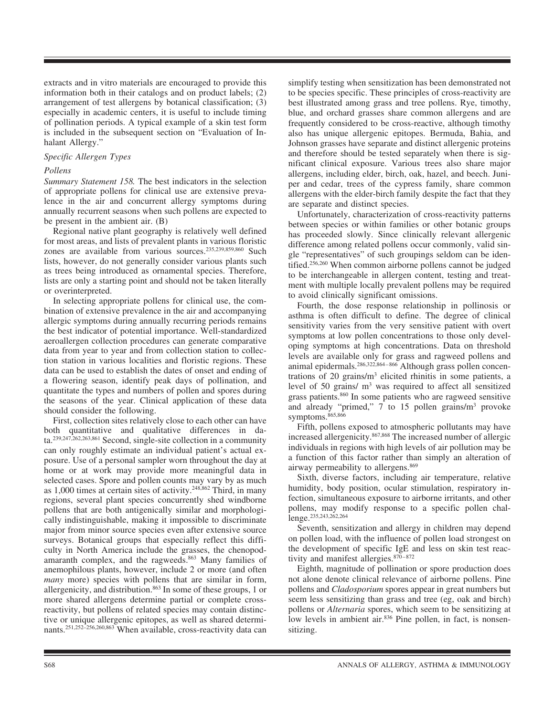extracts and in vitro materials are encouraged to provide this information both in their catalogs and on product labels; (2) arrangement of test allergens by botanical classification; (3) especially in academic centers, it is useful to include timing of pollination periods. A typical example of a skin test form is included in the subsequent section on "Evaluation of Inhalant Allergy."

## *Specific Allergen Types*

## *Pollens*

*Summary Statement 158.* The best indicators in the selection of appropriate pollens for clinical use are extensive prevalence in the air and concurrent allergy symptoms during annually recurrent seasons when such pollens are expected to be present in the ambient air. (B)

Regional native plant geography is relatively well defined for most areas, and lists of prevalent plants in various floristic zones are available from various sources.235,239,859,860 Such lists, however, do not generally consider various plants such as trees being introduced as ornamental species. Therefore, lists are only a starting point and should not be taken literally or overinterpreted.

In selecting appropriate pollens for clinical use, the combination of extensive prevalence in the air and accompanying allergic symptoms during annually recurring periods remains the best indicator of potential importance. Well-standardized aeroallergen collection procedures can generate comparative data from year to year and from collection station to collection station in various localities and floristic regions. These data can be used to establish the dates of onset and ending of a flowering season, identify peak days of pollination, and quantitate the types and numbers of pollen and spores during the seasons of the year. Clinical application of these data should consider the following.

First, collection sites relatively close to each other can have both quantitative and qualitative differences in data.239,247,262,263,861 Second, single-site collection in a community can only roughly estimate an individual patient's actual exposure. Use of a personal sampler worn throughout the day at home or at work may provide more meaningful data in selected cases. Spore and pollen counts may vary by as much as 1,000 times at certain sites of activity.248,862 Third, in many regions, several plant species concurrently shed windborne pollens that are both antigenically similar and morphologically indistinguishable, making it impossible to discriminate major from minor source species even after extensive source surveys. Botanical groups that especially reflect this difficulty in North America include the grasses, the chenopodamaranth complex, and the ragweeds.<sup>863</sup> Many families of anemophilous plants, however, include 2 or more (and often *many* more) species with pollens that are similar in form, allergenicity, and distribution.863 In some of these groups, 1 or more shared allergens determine partial or complete crossreactivity, but pollens of related species may contain distinctive or unique allergenic epitopes, as well as shared determinants.251,252–256,260,863 When available, cross-reactivity data can simplify testing when sensitization has been demonstrated not to be species specific. These principles of cross-reactivity are best illustrated among grass and tree pollens. Rye, timothy, blue, and orchard grasses share common allergens and are frequently considered to be cross-reactive, although timothy also has unique allergenic epitopes. Bermuda, Bahia, and Johnson grasses have separate and distinct allergenic proteins and therefore should be tested separately when there is significant clinical exposure. Various trees also share major allergens, including elder, birch, oak, hazel, and beech. Juniper and cedar, trees of the cypress family, share common allergens with the elder-birch family despite the fact that they are separate and distinct species.

Unfortunately, characterization of cross-reactivity patterns between species or within families or other botanic groups has proceeded slowly. Since clinically relevant allergenic difference among related pollens occur commonly, valid single "representatives" of such groupings seldom can be identified.256,260 When common airborne pollens cannot be judged to be interchangeable in allergen content, testing and treatment with multiple locally prevalent pollens may be required to avoid clinically significant omissions.

Fourth, the dose response relationship in pollinosis or asthma is often difficult to define. The degree of clinical sensitivity varies from the very sensitive patient with overt symptoms at low pollen concentrations to those only developing symptoms at high concentrations. Data on threshold levels are available only for grass and ragweed pollens and animal epidermals.286,322,864 – 866 Although grass pollen concentrations of 20 grains/m3 elicited rhinitis in some patients, a level of 50 grains/ $m<sup>3</sup>$  was required to affect all sensitized grass patients.860 In some patients who are ragweed sensitive and already "primed," 7 to 15 pollen grains/m3 provoke symptoms. 865,866

Fifth, pollens exposed to atmospheric pollutants may have increased allergenicity.867,868 The increased number of allergic individuals in regions with high levels of air pollution may be a function of this factor rather than simply an alteration of airway permeability to allergens.869

Sixth, diverse factors, including air temperature, relative humidity, body position, ocular stimulation, respiratory infection, simultaneous exposure to airborne irritants, and other pollens, may modify response to a specific pollen challenge.235,243,262,264

Seventh, sensitization and allergy in children may depend on pollen load, with the influence of pollen load strongest on the development of specific IgE and less on skin test reactivity and manifest allergies. $870 - 872$ 

Eighth, magnitude of pollination or spore production does not alone denote clinical relevance of airborne pollens. Pine pollens and *Cladosporium* spores appear in great numbers but seem less sensitizing than grass and tree (eg, oak and birch) pollens or *Alternaria* spores, which seem to be sensitizing at low levels in ambient air.<sup>836</sup> Pine pollen, in fact, is nonsensitizing.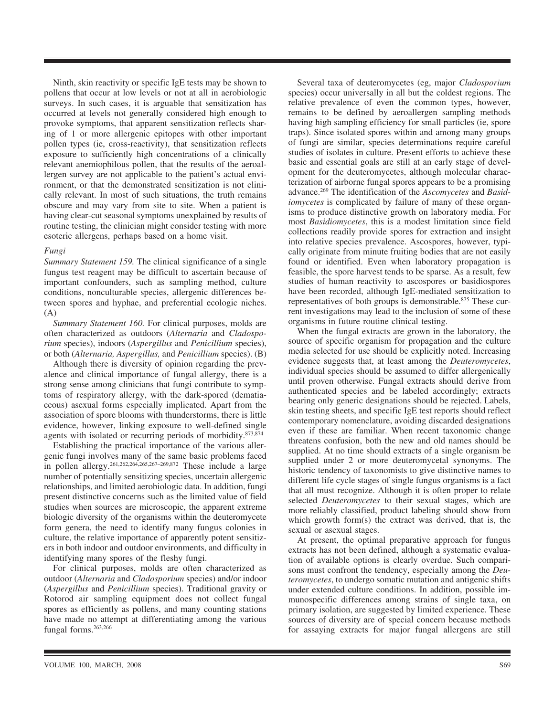Ninth, skin reactivity or specific IgE tests may be shown to pollens that occur at low levels or not at all in aerobiologic surveys. In such cases, it is arguable that sensitization has occurred at levels not generally considered high enough to provoke symptoms, that apparent sensitization reflects sharing of 1 or more allergenic epitopes with other important pollen types (ie, cross-reactivity), that sensitization reflects exposure to sufficiently high concentrations of a clinically relevant anemiophilous pollen, that the results of the aeroallergen survey are not applicable to the patient's actual environment, or that the demonstrated sensitization is not clinically relevant. In most of such situations, the truth remains obscure and may vary from site to site. When a patient is having clear-cut seasonal symptoms unexplained by results of routine testing, the clinician might consider testing with more esoteric allergens, perhaps based on a home visit.

## *Fungi*

*Summary Statement 159.* The clinical significance of a single fungus test reagent may be difficult to ascertain because of important confounders, such as sampling method, culture conditions, nonculturable species, allergenic differences between spores and hyphae, and preferential ecologic niches. (A)

*Summary Statement 160.* For clinical purposes, molds are often characterized as outdoors (*Alternaria* and *Cladosporium* species), indoors (*Aspergillus* and *Penicillium* species), or both (*Alternaria, Aspergillus,* and *Penicillium* species). (B)

Although there is diversity of opinion regarding the prevalence and clinical importance of fungal allergy, there is a strong sense among clinicians that fungi contribute to symptoms of respiratory allergy, with the dark-spored (dematiaceous) asexual forms especially implicated. Apart from the association of spore blooms with thunderstorms, there is little evidence, however, linking exposure to well-defined single agents with isolated or recurring periods of morbidity.873,874

Establishing the practical importance of the various allergenic fungi involves many of the same basic problems faced in pollen allergy.261,262,264,265,267–269,872 These include a large number of potentially sensitizing species, uncertain allergenic relationships, and limited aerobiologic data. In addition, fungi present distinctive concerns such as the limited value of field studies when sources are microscopic, the apparent extreme biologic diversity of the organisms within the deuteromycete form genera, the need to identify many fungus colonies in culture, the relative importance of apparently potent sensitizers in both indoor and outdoor environments, and difficulty in identifying many spores of the fleshy fungi.

For clinical purposes, molds are often characterized as outdoor (*Alternaria* and *Cladosporium* species) and/or indoor (*Aspergillus* and *Penicillium* species). Traditional gravity or Rotorod air sampling equipment does not collect fungal spores as efficiently as pollens, and many counting stations have made no attempt at differentiating among the various fungal forms.<sup>263,266</sup>

Several taxa of deuteromycetes (eg, major *Cladosporium* species) occur universally in all but the coldest regions. The relative prevalence of even the common types, however, remains to be defined by aeroallergen sampling methods having high sampling efficiency for small particles (ie, spore traps). Since isolated spores within and among many groups of fungi are similar, species determinations require careful studies of isolates in culture. Present efforts to achieve these basic and essential goals are still at an early stage of development for the deuteromycetes, although molecular characterization of airborne fungal spores appears to be a promising advance.269 The identification of the *Ascomycetes* and *Basidiomycetes* is complicated by failure of many of these organisms to produce distinctive growth on laboratory media. For most *Basidiomycetes*, this is a modest limitation since field collections readily provide spores for extraction and insight into relative species prevalence. Ascospores, however, typically originate from minute fruiting bodies that are not easily found or identified. Even when laboratory propagation is feasible, the spore harvest tends to be sparse. As a result, few studies of human reactivity to ascospores or basidiospores have been recorded, although IgE-mediated sensitization to representatives of both groups is demonstrable.<sup>875</sup> These current investigations may lead to the inclusion of some of these organisms in future routine clinical testing.

When the fungal extracts are grown in the laboratory, the source of specific organism for propagation and the culture media selected for use should be explicitly noted. Increasing evidence suggests that, at least among the *Deuteromycetes*, individual species should be assumed to differ allergenically until proven otherwise. Fungal extracts should derive from authenticated species and be labeled accordingly; extracts bearing only generic designations should be rejected. Labels, skin testing sheets, and specific IgE test reports should reflect contemporary nomenclature, avoiding discarded designations even if these are familiar. When recent taxonomic change threatens confusion, both the new and old names should be supplied. At no time should extracts of a single organism be supplied under 2 or more deuteromycetal synonyms. The historic tendency of taxonomists to give distinctive names to different life cycle stages of single fungus organisms is a fact that all must recognize. Although it is often proper to relate selected *Deuteromycetes* to their sexual stages, which are more reliably classified, product labeling should show from which growth form(s) the extract was derived, that is, the sexual or asexual stages.

At present, the optimal preparative approach for fungus extracts has not been defined, although a systematic evaluation of available options is clearly overdue. Such comparisons must confront the tendency, especially among the *Deuteromycetes*, to undergo somatic mutation and antigenic shifts under extended culture conditions. In addition, possible immunospecific differences among strains of single taxa, on primary isolation, are suggested by limited experience. These sources of diversity are of special concern because methods for assaying extracts for major fungal allergens are still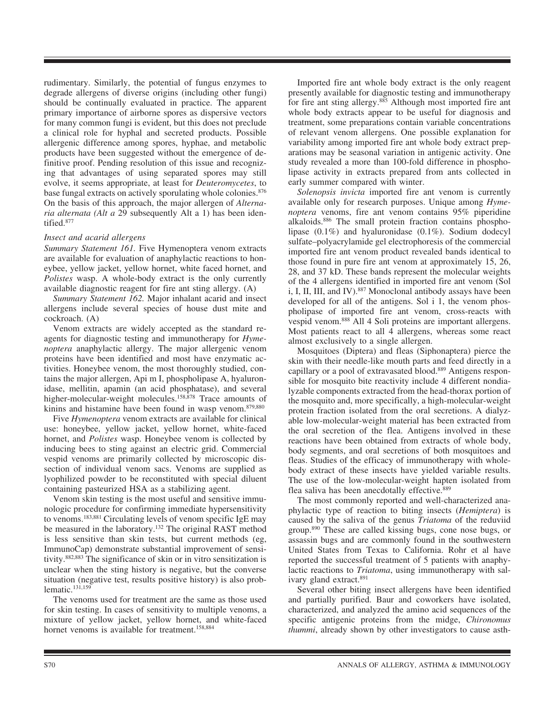rudimentary. Similarly, the potential of fungus enzymes to degrade allergens of diverse origins (including other fungi) should be continually evaluated in practice. The apparent primary importance of airborne spores as dispersive vectors for many common fungi is evident, but this does not preclude a clinical role for hyphal and secreted products. Possible allergenic difference among spores, hyphae, and metabolic products have been suggested without the emergence of definitive proof. Pending resolution of this issue and recognizing that advantages of using separated spores may still evolve, it seems appropriate, at least for *Deuteromycetes*, to base fungal extracts on actively sporulating whole colonies.<sup>876</sup> On the basis of this approach, the major allergen of *Alternaria alternata (Alt a* 29 subsequently Alt a 1) has been identified.877

## *Insect and acarid allergens*

*Summary Statement 161.* Five Hymenoptera venom extracts are available for evaluation of anaphylactic reactions to honeybee, yellow jacket, yellow hornet, white faced hornet, and *Polistes* wasp. A whole-body extract is the only currently available diagnostic reagent for fire ant sting allergy. (A)

*Summary Statement 162.* Major inhalant acarid and insect allergens include several species of house dust mite and cockroach. (A)

Venom extracts are widely accepted as the standard reagents for diagnostic testing and immunotherapy for *Hymenoptera* anaphylactic allergy. The major allergenic venom proteins have been identified and most have enzymatic activities. Honeybee venom, the most thoroughly studied, contains the major allergen, Api m I, phospholipase A, hyaluronidase, mellitin, apamin (an acid phosphatase), and several higher-molecular-weight molecules.158,878 Trace amounts of kinins and histamine have been found in wasp venom.<sup>879,880</sup>

Five *Hymenoptera* venom extracts are available for clinical use: honeybee, yellow jacket, yellow hornet, white-faced hornet, and *Polistes* wasp. Honeybee venom is collected by inducing bees to sting against an electric grid. Commercial vespid venoms are primarily collected by microscopic dissection of individual venom sacs. Venoms are supplied as lyophilized powder to be reconstituted with special diluent containing pasteurized HSA as a stabilizing agent.

Venom skin testing is the most useful and sensitive immunologic procedure for confirming immediate hypersensitivity to venoms.183,881 Circulating levels of venom specific IgE may be measured in the laboratory.132 The original RAST method is less sensitive than skin tests, but current methods (eg, ImmunoCap) demonstrate substantial improvement of sensitivity.882,883 The significance of skin or in vitro sensitization is unclear when the sting history is negative, but the converse situation (negative test, results positive history) is also problematic. $131,159$ 

The venoms used for treatment are the same as those used for skin testing. In cases of sensitivity to multiple venoms, a mixture of yellow jacket, yellow hornet, and white-faced hornet venoms is available for treatment.<sup>158,884</sup>

Imported fire ant whole body extract is the only reagent presently available for diagnostic testing and immunotherapy for fire ant sting allergy.885 Although most imported fire ant whole body extracts appear to be useful for diagnosis and treatment, some preparations contain variable concentrations of relevant venom allergens. One possible explanation for variability among imported fire ant whole body extract preparations may be seasonal variation in antigenic activity. One study revealed a more than 100-fold difference in phospholipase activity in extracts prepared from ants collected in early summer compared with winter.

*Solenopsis invicta* imported fire ant venom is currently available only for research purposes. Unique among *Hymenoptera* venoms, fire ant venom contains 95% piperidine alkaloids.886 The small protein fraction contains phospholipase (0.1%) and hyaluronidase (0.1%). Sodium dodecyl sulfate–polyacrylamide gel electrophoresis of the commercial imported fire ant venom product revealed bands identical to those found in pure fire ant venom at approximately 15, 26, 28, and 37 kD. These bands represent the molecular weights of the 4 allergens identified in imported fire ant venom (Sol i, I, II, III, and IV).<sup>887</sup> Monoclonal antibody assays have been developed for all of the antigens. Sol i 1, the venom phospholipase of imported fire ant venom, cross-reacts with vespid venom.888 All 4 Soli proteins are important allergens. Most patients react to all 4 allergens, whereas some react almost exclusively to a single allergen.

Mosquitoes (Diptera) and fleas (Siphonaptera) pierce the skin with their needle-like mouth parts and feed directly in a capillary or a pool of extravasated blood.<sup>889</sup> Antigens responsible for mosquito bite reactivity include 4 different nondialyzable components extracted from the head-thorax portion of the mosquito and, more specifically, a high-molecular-weight protein fraction isolated from the oral secretions. A dialyzable low-molecular-weight material has been extracted from the oral secretion of the flea. Antigens involved in these reactions have been obtained from extracts of whole body, body segments, and oral secretions of both mosquitoes and fleas. Studies of the efficacy of immunotherapy with wholebody extract of these insects have yielded variable results. The use of the low-molecular-weight hapten isolated from flea saliva has been anecdotally effective.<sup>889</sup>

The most commonly reported and well-characterized anaphylactic type of reaction to biting insects (*Hemiptera*) is caused by the saliva of the genus *Triatoma* of the reduviid group.890 These are called kissing bugs, cone nose bugs, or assassin bugs and are commonly found in the southwestern United States from Texas to California. Rohr et al have reported the successful treatment of 5 patients with anaphylactic reactions to *Triatoma*, using immunotherapy with salivary gland extract.<sup>891</sup>

Several other biting insect allergens have been identified and partially purified. Baur and coworkers have isolated, characterized, and analyzed the amino acid sequences of the specific antigenic proteins from the midge, *Chironomus thummi*, already shown by other investigators to cause asth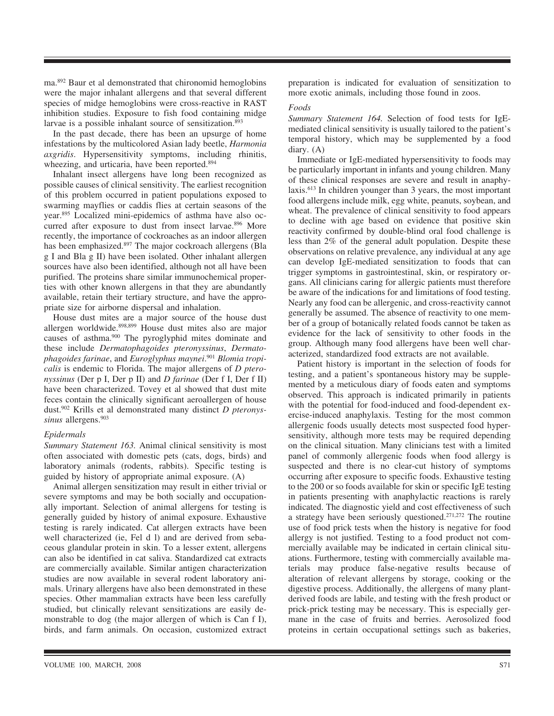ma.892 Baur et al demonstrated that chironomid hemoglobins were the major inhalant allergens and that several different species of midge hemoglobins were cross-reactive in RAST inhibition studies. Exposure to fish food containing midge larvae is a possible inhalant source of sensitization.<sup>893</sup>

In the past decade, there has been an upsurge of home infestations by the multicolored Asian lady beetle, *Harmonia axgridis*. Hypersensitivity symptoms, including rhinitis, wheezing, and urticaria, have been reported.<sup>894</sup>

Inhalant insect allergens have long been recognized as possible causes of clinical sensitivity. The earliest recognition of this problem occurred in patient populations exposed to swarming mayflies or caddis flies at certain seasons of the year.895 Localized mini-epidemics of asthma have also occurred after exposure to dust from insect larvae.<sup>896</sup> More recently, the importance of cockroaches as an indoor allergen has been emphasized.<sup>897</sup> The major cockroach allergens (Bla g I and Bla g II) have been isolated. Other inhalant allergen sources have also been identified, although not all have been purified. The proteins share similar immunochemical properties with other known allergens in that they are abundantly available, retain their tertiary structure, and have the appropriate size for airborne dispersal and inhalation.

House dust mites are a major source of the house dust allergen worldwide.898,899 House dust mites also are major causes of asthma.900 The pyroglyphid mites dominate and these include *Dermatophagoides pteronyssinus*, *Dermatophagoides farinae*, and *Euroglyphus maynei*. <sup>901</sup> *Blomia tropicalis* is endemic to Florida. The major allergens of *D pteronyssinus* (Der p I, Der p II) and *D farinae* (Der f I, Der f II) have been characterized. Tovey et al showed that dust mite feces contain the clinically significant aeroallergen of house dust.902 Krills et al demonstrated many distinct *D pteronyssinus* allergens.903

## *Epidermals*

*Summary Statement 163.* Animal clinical sensitivity is most often associated with domestic pets (cats, dogs, birds) and laboratory animals (rodents, rabbits). Specific testing is guided by history of appropriate animal exposure. (A)

Animal allergen sensitization may result in either trivial or severe symptoms and may be both socially and occupationally important. Selection of animal allergens for testing is generally guided by history of animal exposure. Exhaustive testing is rarely indicated. Cat allergen extracts have been well characterized (ie, Fel d l) and are derived from sebaceous glandular protein in skin. To a lesser extent, allergens can also be identified in cat saliva. Standardized cat extracts are commercially available. Similar antigen characterization studies are now available in several rodent laboratory animals. Urinary allergens have also been demonstrated in these species. Other mammalian extracts have been less carefully studied, but clinically relevant sensitizations are easily demonstrable to dog (the major allergen of which is Can f I), birds, and farm animals. On occasion, customized extract

preparation is indicated for evaluation of sensitization to more exotic animals, including those found in zoos.

## *Foods*

*Summary Statement 164.* Selection of food tests for IgEmediated clinical sensitivity is usually tailored to the patient's temporal history, which may be supplemented by a food diary. (A)

Immediate or IgE-mediated hypersensitivity to foods may be particularly important in infants and young children. Many of these clinical responses are severe and result in anaphylaxis.613 In children younger than 3 years, the most important food allergens include milk, egg white, peanuts, soybean, and wheat. The prevalence of clinical sensitivity to food appears to decline with age based on evidence that positive skin reactivity confirmed by double-blind oral food challenge is less than 2% of the general adult population. Despite these observations on relative prevalence, any individual at any age can develop IgE-mediated sensitization to foods that can trigger symptoms in gastrointestinal, skin, or respiratory organs. All clinicians caring for allergic patients must therefore be aware of the indications for and limitations of food testing. Nearly any food can be allergenic, and cross-reactivity cannot generally be assumed. The absence of reactivity to one member of a group of botanically related foods cannot be taken as evidence for the lack of sensitivity to other foods in the group. Although many food allergens have been well characterized, standardized food extracts are not available.

Patient history is important in the selection of foods for testing, and a patient's spontaneous history may be supplemented by a meticulous diary of foods eaten and symptoms observed. This approach is indicated primarily in patients with the potential for food-induced and food-dependent exercise-induced anaphylaxis. Testing for the most common allergenic foods usually detects most suspected food hypersensitivity, although more tests may be required depending on the clinical situation. Many clinicians test with a limited panel of commonly allergenic foods when food allergy is suspected and there is no clear-cut history of symptoms occurring after exposure to specific foods. Exhaustive testing to the 200 or so foods available for skin or specific IgE testing in patients presenting with anaphylactic reactions is rarely indicated. The diagnostic yield and cost effectiveness of such a strategy have been seriously questioned.271,272 The routine use of food prick tests when the history is negative for food allergy is not justified. Testing to a food product not commercially available may be indicated in certain clinical situations. Furthermore, testing with commercially available materials may produce false-negative results because of alteration of relevant allergens by storage, cooking or the digestive process. Additionally, the allergens of many plantderived foods are labile, and testing with the fresh product or prick-prick testing may be necessary. This is especially germane in the case of fruits and berries. Aerosolized food proteins in certain occupational settings such as bakeries,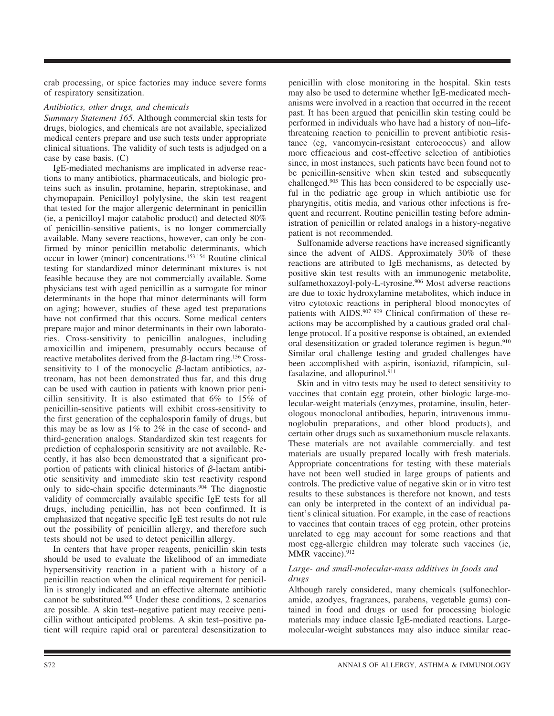crab processing, or spice factories may induce severe forms of respiratory sensitization.

#### *Antibiotics, other drugs, and chemicals*

*Summary Statement 165.* Although commercial skin tests for drugs, biologics, and chemicals are not available, specialized medical centers prepare and use such tests under appropriate clinical situations. The validity of such tests is adjudged on a case by case basis. (C)

IgE-mediated mechanisms are implicated in adverse reactions to many antibiotics, pharmaceuticals, and biologic proteins such as insulin, protamine, heparin, streptokinase, and chymopapain. Penicilloyl polylysine, the skin test reagent that tested for the major allergenic determinant in penicillin (ie, a penicilloyl major catabolic product) and detected 80% of penicillin-sensitive patients, is no longer commercially available. Many severe reactions, however, can only be confirmed by minor penicillin metabolic determinants, which occur in lower (minor) concentrations.153,154 Routine clinical testing for standardized minor determinant mixtures is not feasible because they are not commercially available. Some physicians test with aged penicillin as a surrogate for minor determinants in the hope that minor determinants will form on aging; however, studies of these aged test preparations have not confirmed that this occurs. Some medical centers prepare major and minor determinants in their own laboratories. Cross-sensitivity to penicillin analogues, including amoxicillin and imipenem, presumably occurs because of reactive metabolites derived from the  $\beta$ -lactam ring.<sup>156</sup> Crosssensitivity to 1 of the monocyclic  $\beta$ -lactam antibiotics, aztreonam, has not been demonstrated thus far, and this drug can be used with caution in patients with known prior penicillin sensitivity. It is also estimated that 6% to 15% of penicillin-sensitive patients will exhibit cross-sensitivity to the first generation of the cephalosporin family of drugs, but this may be as low as 1% to 2% in the case of second- and third-generation analogs. Standardized skin test reagents for prediction of cephalosporin sensitivity are not available. Recently, it has also been demonstrated that a significant proportion of patients with clinical histories of  $\beta$ -lactam antibiotic sensitivity and immediate skin test reactivity respond only to side-chain specific determinants.904 The diagnostic validity of commercially available specific IgE tests for all drugs, including penicillin, has not been confirmed. It is emphasized that negative specific IgE test results do not rule out the possibility of penicillin allergy, and therefore such tests should not be used to detect penicillin allergy.

In centers that have proper reagents, penicillin skin tests should be used to evaluate the likelihood of an immediate hypersensitivity reaction in a patient with a history of a penicillin reaction when the clinical requirement for penicillin is strongly indicated and an effective alternate antibiotic cannot be substituted.905 Under these conditions, 2 scenarios are possible. A skin test–negative patient may receive penicillin without anticipated problems. A skin test–positive patient will require rapid oral or parenteral desensitization to penicillin with close monitoring in the hospital. Skin tests may also be used to determine whether IgE-medicated mechanisms were involved in a reaction that occurred in the recent past. It has been argued that penicillin skin testing could be performed in individuals who have had a history of non–lifethreatening reaction to penicillin to prevent antibiotic resistance (eg, vancomycin-resistant enterococcus) and allow more efficacious and cost-effective selection of antibiotics since, in most instances, such patients have been found not to be penicillin-sensitive when skin tested and subsequently challenged.905 This has been considered to be especially useful in the pediatric age group in which antibiotic use for pharyngitis, otitis media, and various other infections is frequent and recurrent. Routine penicillin testing before administration of penicillin or related analogs in a history-negative patient is not recommended.

Sulfonamide adverse reactions have increased significantly since the advent of AIDS. Approximately 30% of these reactions are attributed to IgE mechanisms, as detected by positive skin test results with an immunogenic metabolite, sulfamethoxazoyl-poly-L-tyrosine.<sup>906</sup> Most adverse reactions are due to toxic hydroxylamine metabolites, which induce in vitro cytotoxic reactions in peripheral blood monocytes of patients with AIDS.907–909 Clinical confirmation of these reactions may be accomplished by a cautious graded oral challenge protocol. If a positive response is obtained, an extended oral desensitization or graded tolerance regimen is begun.<sup>910</sup> Similar oral challenge testing and graded challenges have been accomplished with aspirin, isoniazid, rifampicin, sulfasalazine, and allopurinol. $911$ 

Skin and in vitro tests may be used to detect sensitivity to vaccines that contain egg protein, other biologic large-molecular-weight materials (enzymes, protamine, insulin, heterologous monoclonal antibodies, heparin, intravenous immunoglobulin preparations, and other blood products), and certain other drugs such as suxamethonium muscle relaxants. These materials are not available commercially. and test materials are usually prepared locally with fresh materials. Appropriate concentrations for testing with these materials have not been well studied in large groups of patients and controls. The predictive value of negative skin or in vitro test results to these substances is therefore not known, and tests can only be interpreted in the context of an individual patient's clinical situation. For example, in the case of reactions to vaccines that contain traces of egg protein, other proteins unrelated to egg may account for some reactions and that most egg-allergic children may tolerate such vaccines (ie, MMR vaccine).<sup>912</sup>

## *Large- and small-molecular-mass additives in foods and drugs*

Although rarely considered, many chemicals (sulfonechloramide, azodyes, fragrances, parabens, vegetable gums) contained in food and drugs or used for processing biologic materials may induce classic IgE-mediated reactions. Largemolecular-weight substances may also induce similar reac-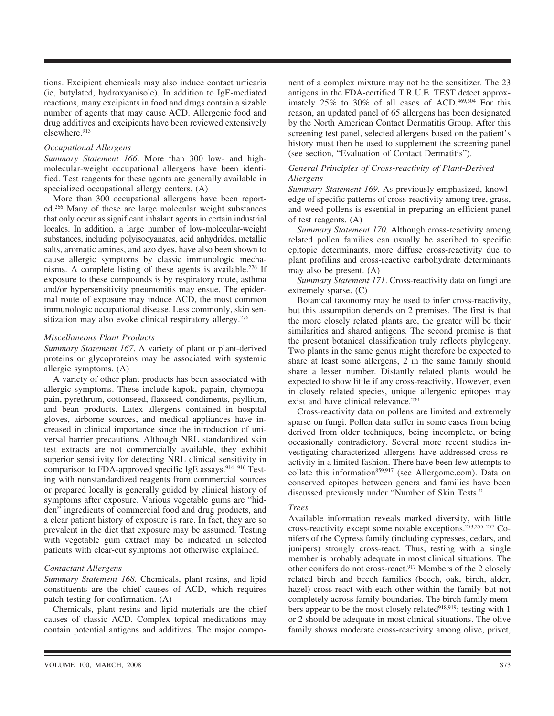tions. Excipient chemicals may also induce contact urticaria (ie, butylated, hydroxyanisole). In addition to IgE-mediated reactions, many excipients in food and drugs contain a sizable number of agents that may cause ACD. Allergenic food and drug additives and excipients have been reviewed extensively elsewhere.<sup>913</sup>

## *Occupational Allergens*

*Summary Statement 166*. More than 300 low- and highmolecular-weight occupational allergens have been identified. Test reagents for these agents are generally available in specialized occupational allergy centers. (A)

More than 300 occupational allergens have been reported.266 Many of these are large molecular weight substances that only occur as significant inhalant agents in certain industrial locales. In addition, a large number of low-molecular-weight substances, including polyisocyanates, acid anhydrides, metallic salts, aromatic amines, and azo dyes, have also been shown to cause allergic symptoms by classic immunologic mechanisms. A complete listing of these agents is available.<sup>276</sup> If exposure to these compounds is by respiratory route, asthma and/or hypersensitivity pneumonitis may ensue. The epidermal route of exposure may induce ACD, the most common immunologic occupational disease. Less commonly, skin sensitization may also evoke clinical respiratory allergy.<sup>276</sup>

### *Miscellaneous Plant Products*

*Summary Statement 167*. A variety of plant or plant-derived proteins or glycoproteins may be associated with systemic allergic symptoms. (A)

A variety of other plant products has been associated with allergic symptoms. These include kapok, papain, chymopapain, pyrethrum, cottonseed, flaxseed, condiments, psyllium, and bean products. Latex allergens contained in hospital gloves, airborne sources, and medical appliances have increased in clinical importance since the introduction of universal barrier precautions. Although NRL standardized skin test extracts are not commercially available, they exhibit superior sensitivity for detecting NRL clinical sensitivity in comparison to FDA-approved specific IgE assays.<sup>914-916</sup> Testing with nonstandardized reagents from commercial sources or prepared locally is generally guided by clinical history of symptoms after exposure. Various vegetable gums are "hidden" ingredients of commercial food and drug products, and a clear patient history of exposure is rare. In fact, they are so prevalent in the diet that exposure may be assumed. Testing with vegetable gum extract may be indicated in selected patients with clear-cut symptoms not otherwise explained.

## *Contactant Allergens*

*Summary Statement 168.* Chemicals, plant resins, and lipid constituents are the chief causes of ACD, which requires patch testing for confirmation. (A)

Chemicals, plant resins and lipid materials are the chief causes of classic ACD. Complex topical medications may contain potential antigens and additives. The major component of a complex mixture may not be the sensitizer. The 23 antigens in the FDA-certified T.R.U.E. TEST detect approximately  $25\%$  to  $30\%$  of all cases of ACD.<sup>469,504</sup> For this reason, an updated panel of 65 allergens has been designated by the North American Contact Dermatitis Group. After this screening test panel, selected allergens based on the patient's history must then be used to supplement the screening panel (see section, "Evaluation of Contact Dermatitis").

#### *General Principles of Cross-reactivity of Plant-Derived Allergens*

*Summary Statement 169.* As previously emphasized, knowledge of specific patterns of cross-reactivity among tree, grass, and weed pollens is essential in preparing an efficient panel of test reagents. (A)

*Summary Statement 170.* Although cross-reactivity among related pollen families can usually be ascribed to specific epitopic determinants, more diffuse cross-reactivity due to plant profilins and cross-reactive carbohydrate determinants may also be present. (A)

*Summary Statement 171*. Cross-reactivity data on fungi are extremely sparse. (C)

Botanical taxonomy may be used to infer cross-reactivity, but this assumption depends on 2 premises. The first is that the more closely related plants are, the greater will be their similarities and shared antigens. The second premise is that the present botanical classification truly reflects phylogeny. Two plants in the same genus might therefore be expected to share at least some allergens, 2 in the same family should share a lesser number. Distantly related plants would be expected to show little if any cross-reactivity. However, even in closely related species, unique allergenic epitopes may exist and have clinical relevance.<sup>239</sup>

Cross-reactivity data on pollens are limited and extremely sparse on fungi. Pollen data suffer in some cases from being derived from older techniques, being incomplete, or being occasionally contradictory. Several more recent studies investigating characterized allergens have addressed cross-reactivity in a limited fashion. There have been few attempts to collate this information<sup>859,917</sup> (see Allergome.com). Data on conserved epitopes between genera and families have been discussed previously under "Number of Skin Tests."

#### *Trees*

Available information reveals marked diversity, with little cross-reactivity except some notable exceptions.253,255–257 Conifers of the Cypress family (including cypresses, cedars, and junipers) strongly cross-react. Thus, testing with a single member is probably adequate in most clinical situations. The other conifers do not cross-react.917 Members of the 2 closely related birch and beech families (beech, oak, birch, alder, hazel) cross-react with each other within the family but not completely across family boundaries. The birch family members appear to be the most closely related $918,919$ ; testing with 1 or 2 should be adequate in most clinical situations. The olive family shows moderate cross-reactivity among olive, privet,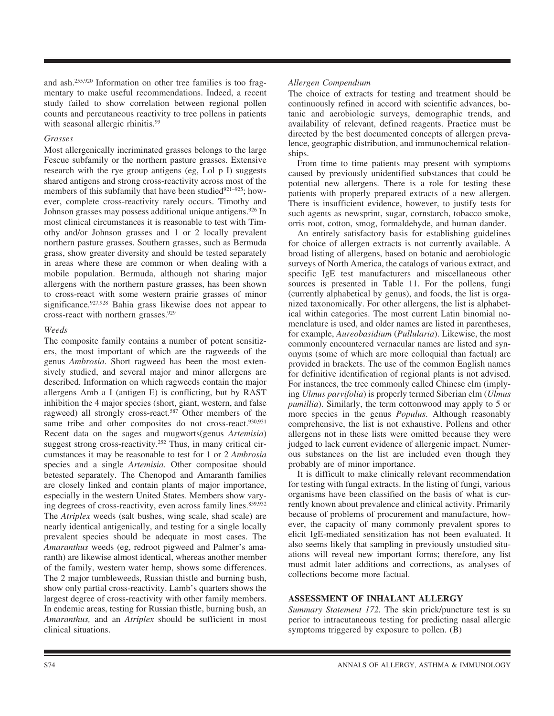and ash.255,920 Information on other tree families is too fragmentary to make useful recommendations. Indeed, a recent study failed to show correlation between regional pollen counts and percutaneous reactivity to tree pollens in patients with seasonal allergic rhinitis.<sup>99</sup>

## *Grasses*

Most allergenically incriminated grasses belongs to the large Fescue subfamily or the northern pasture grasses. Extensive research with the rye group antigens (eg, Lol p I) suggests shared antigens and strong cross-reactivity across most of the members of this subfamily that have been studied $921-925$ ; however, complete cross-reactivity rarely occurs. Timothy and Johnson grasses may possess additional unique antigens.926 In most clinical circumstances it is reasonable to test with Timothy and/or Johnson grasses and 1 or 2 locally prevalent northern pasture grasses. Southern grasses, such as Bermuda grass, show greater diversity and should be tested separately in areas where these are common or when dealing with a mobile population. Bermuda, although not sharing major allergens with the northern pasture grasses, has been shown to cross-react with some western prairie grasses of minor significance.927,928 Bahia grass likewise does not appear to cross-react with northern grasses.929

## *Weeds*

The composite family contains a number of potent sensitizers, the most important of which are the ragweeds of the genus *Ambrosia*. Short ragweed has been the most extensively studied, and several major and minor allergens are described. Information on which ragweeds contain the major allergens Amb a I (antigen E) is conflicting, but by RAST inhibition the 4 major species (short, giant, western, and false ragweed) all strongly cross-react.587 Other members of the same tribe and other composites do not cross-react.<sup>930,931</sup> Recent data on the sages and mugworts(genus *Artemisia*) suggest strong cross-reactivity.<sup>252</sup> Thus, in many critical circumstances it may be reasonable to test for 1 or 2 *Ambrosia* species and a single *Artemisia*. Other compositae should betested separately. The Chenopod and Amaranth families are closely linked and contain plants of major importance, especially in the western United States. Members show varying degrees of cross-reactivity, even across family lines.<sup>859,932</sup> The *Atriplex* weeds (salt bushes, wing scale, shad scale) are nearly identical antigenically, and testing for a single locally prevalent species should be adequate in most cases. The *Amaranthus* weeds (eg, redroot pigweed and Palmer's amaranth) are likewise almost identical, whereas another member of the family, western water hemp, shows some differences. The 2 major tumbleweeds, Russian thistle and burning bush, show only partial cross-reactivity. Lamb's quarters shows the largest degree of cross-reactivity with other family members. In endemic areas, testing for Russian thistle, burning bush, an *Amaranthus,* and an *Atriplex* should be sufficient in most clinical situations.

# *Allergen Compendium*

The choice of extracts for testing and treatment should be continuously refined in accord with scientific advances, botanic and aerobiologic surveys, demographic trends, and availability of relevant, defined reagents. Practice must be directed by the best documented concepts of allergen prevalence, geographic distribution, and immunochemical relationships.

From time to time patients may present with symptoms caused by previously unidentified substances that could be potential new allergens. There is a role for testing these patients with properly prepared extracts of a new allergen. There is insufficient evidence, however, to justify tests for such agents as newsprint, sugar, cornstarch, tobacco smoke, orris root, cotton, smog, formaldehyde, and human dander.

An entirely satisfactory basis for establishing guidelines for choice of allergen extracts is not currently available. A broad listing of allergens, based on botanic and aerobiologic surveys of North America, the catalogs of various extract, and specific IgE test manufacturers and miscellaneous other sources is presented in Table 11. For the pollens, fungi (currently alphabetical by genus), and foods, the list is organized taxonomically. For other allergens, the list is alphabetical within categories. The most current Latin binomial nomenclature is used, and older names are listed in parentheses, for example, *Aureobasidium* (*Pullularia*). Likewise, the most commonly encountered vernacular names are listed and synonyms (some of which are more colloquial than factual) are provided in brackets. The use of the common English names for definitive identification of regional plants is not advised. For instances, the tree commonly called Chinese elm (implying *Ulmus parvifolia*) is properly termed Siberian elm (*Ulmus pumillia*). Similarly, the term cottonwood may apply to 5 or more species in the genus *Populus*. Although reasonably comprehensive, the list is not exhaustive. Pollens and other allergens not in these lists were omitted because they were judged to lack current evidence of allergenic impact. Numerous substances on the list are included even though they probably are of minor importance.

It is difficult to make clinically relevant recommendation for testing with fungal extracts. In the listing of fungi, various organisms have been classified on the basis of what is currently known about prevalence and clinical activity. Primarily because of problems of procurement and manufacture, however, the capacity of many commonly prevalent spores to elicit IgE-mediated sensitization has not been evaluated. It also seems likely that sampling in previously unstudied situations will reveal new important forms; therefore, any list must admit later additions and corrections, as analyses of collections become more factual.

# **ASSESSMENT OF INHALANT ALLERGY**

*Summary Statement 172.* The skin prick/puncture test is su perior to intracutaneous testing for predicting nasal allergic symptoms triggered by exposure to pollen. (B)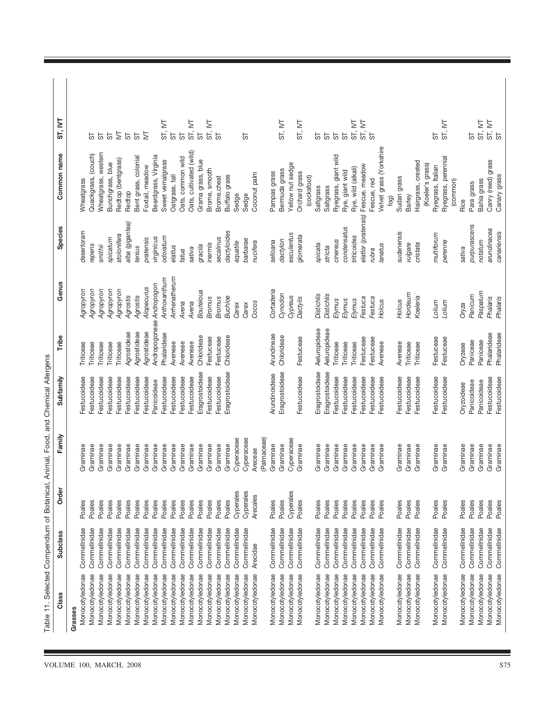Table 11. Selected Compendium of Botanical, Animal, Food, and Chemical Allergens Table 11. Selected Compendium of Botanical, Animal, Food, and Chemical Allergens

 $\overline{\phantom{a}}$ 

| Class           | <b>Subclass</b> | Order         | Family      | Subfamily      | Tribe                    | Genus             | Species             | Common name             | ST, IVT                     |
|-----------------|-----------------|---------------|-------------|----------------|--------------------------|-------------------|---------------------|-------------------------|-----------------------------|
| Grasses         |                 |               |             |                |                          |                   |                     |                         |                             |
| Monocotyledonae | Commellnidae    | Poales        | Graminae    | Festucoideae   | Triticeae                | Agropyron         | desertoram          | Wheatgrass              |                             |
| Monocotyledonae | Commellnidae    | Poales        | Graminae    | Festucoideae   | Triticeae                | Agropyron         | repens              | Quackgrass, (couch)     | 55                          |
| Monocotyledonae | Commellnidae    | Poales        | Graminae    | Festucoideae   | Triticeae                | Agropyron         | smithii             | Wheatgrass, western     | 능                           |
| Monocotyledonae | Commellnidae    | Poales        | Graminae    | Festucoideae   | Triticeae                | Agropyron         | spicatum            | Bunchgrass, blue        | 57                          |
| Monocotyledonae | Commellnidae    | Poales        | Graminae    | Festucoideae   | Triticeae                | Agropyron         | stolonifera         | Redtop (bentgrass)      |                             |
| Monocotyledonae | Commellnidae    | Poales        | Graminae    | Festucoideae   | Agrostideae              | Agrostis          | alba (gigantea)     | Redtop                  |                             |
| Monocotyledonae | Commellnidae    | Poales        | Graminae    | Festucoideae   | Agrostideae              | Agrostis          | tenius              | Bent grass, colonial    | $\leq$ $\frac{1}{5}$ $\leq$ |
| Monocotyledonae | Commellnidae    | Poales        | Graminae    | Festucoideae   | Agrostideae              | Alopecurus        | pratensis           | Foxtail, meadow         |                             |
| Monocotyledonae | Commellnidae    | Poales        | Graminae    | Panicoideae    | Andropogoneae Andropogon |                   | virginicus          | Beardgrass, Virginia    |                             |
| Monocotyledonae | Commellnidae    | Poales        | Graminae    | Festucoideae   | Phalarideae              | Anthoxanthum      | odoratum            | Sweet vernalgrass       | ST, IVT                     |
| Monocotyledonae | Commellnidae    | Poales        | Graminae    | Festucoideae   | Aveneae                  | Arrhenatherum     | elatlus             | Oatgrass, tall          | 57                          |
| Monocotyledonae | Commellnidae    | Poales        | Graminae    | Festucoideae   | Aveneae                  | Avena             | fatua               | Oats, common wild       | 57                          |
| Monocotyledonae | Commellnidae    | Poales        | Graminae    | Festucoideae   | Aveneae                  | Avena             | sativa              | Oats, cultivated (wild) | ST, IVT                     |
| Monocotyledonae | Commellnidae    | Poales        | Graminae    | Eragrostoideae | Chlorideae               | Bouteloua         | gracila             | Grama grass, blue       | 57                          |
| Monocotyledonae | Commellnidae    | Poales        | Graminae    | Festucoideae   | Festuceae                | <b>Bromus</b>     | inermis             | Brome, smooth           | ST, IVT<br>ST               |
| Monocotyledonae | Commellnidae    | Poales        | Graminae    | Festucoideae   | Festuceae                | <b>Bromus</b>     | secalinus           | Brome, cheat            |                             |
| Monocotyledonae | Commellnidae    | Poales        | Graminae    | Eragrostoideae | Chlorideae               | Buchloe           | dactyloides         | Buffalo grass           |                             |
| Monocotyledonae | Commellnidae    | 8<br>Cyperale | Cyperaceae  |                |                          | Carex             | aquatile            | Sedge                   |                             |
| Monocotyledonae | Commellnidae    | Cyperales     | Cyperaceae  |                |                          | Carex             | <b>barbarae</b>     | Sedge                   | 55                          |
| Monocotyledonae | Arecidae        | Arecales      | Areceae     |                |                          | Cocos             | nucifera            | Coconut palm            |                             |
|                 |                 |               | (Palmaceae) |                |                          |                   |                     |                         |                             |
| Monocotyledonae | Commellnidae    | Poales        | Graminae    | Arundinoideae  | Arundineae               | Cortaderia        | selloana            | Pampas grass            |                             |
| Monocotyledonae | Commellnidae    | Poales        | Graminae    | Eragrostoideae | Chlorideae               | Cynodon           | dactylon            | Bermuda grass           | ST, IVT                     |
| Monocotyledonae | Commellnidae    | 8<br>Cyperale | Cyperaceae  |                |                          | Cypreus           | esculentus          | Yellow nut sedge        |                             |
| Monocotyledonae | Commellnidae    | Poales        | Graminae    | Festucoideae   | Festuceae                | Dactylis          | glomerata           | Orchard grass           | ST, IVT                     |
|                 |                 |               |             |                |                          |                   |                     | (cocksfoot)             |                             |
| Monocotyledonae | Commellnidae    | Poales        | Graminae    | Eragrostoideae | Aeluropideae             | <b>Distichlis</b> | spicata             | <b>Saltgrass</b>        | 5                           |
| Monocotyledonae | Commellnidae    | Poales        | Graminae    | Eragrostoideae | Aeluropideae             | Distichlis        | stricta             | Saltgrass               | 57                          |
| Monocotyledonae | Commellnidae    | Poales        | Graminae    | Festucoideae   | Triticeae                | Elymus            | cinereus            | Ryegrass, giant wild    | 57                          |
| Monocotyledonae | Commellnidae    | Poales        | Graminae    | Festucoideae   | Triticeae                | Elymus            | condensatus         | Rye, giant wild         | 55                          |
| Monocotyledonae | Commellnidae    | Poales        | Graminae    | Festucoideae   | Triticeae                | Elymus            | triticoides         | Rye, wild (alkali)      |                             |
| Monocotyledonae | Commellnidae    | Poales        | Graminae    | Festucoideae   | Festuceae                | Festuca           | elatlor (pratensis) | Fescue, meadow          | ST, IVT<br>ST, IVT<br>ST    |
| Monocotyledonae | Commellnidae    | Poales        | Graminae    | Festucoideae   | Festuceae                | Festuca           | rubra               | Fescue, red             |                             |
| Monocotyledonae | Commellnidae    | Poales        | Graminae    | Festucoideae   | Aveneae                  | Holcus            | lanatus             | Velvet grass (Yorkshire |                             |
|                 |                 |               |             |                |                          |                   |                     | fog)                    |                             |
| Monocotyledonae | Commellnidae    | Poales        | Graminae    | Festucoideae   | Aveneae                  | Holcus            | sudanensis          | Sudan grass             |                             |
| Monocotyledonae | Commellnidae    | Poales        | Graminae    | Festucoideae   | <b>Triticeae</b>         | Hordeum           | vulgare             | Barley                  |                             |
| Monocotyledonae | Commellnidae    | Poales        | Graminae    | Festucoideae   | Triticeae                | Koeleria          | cristata            | Hairgrass, crested      |                             |
|                 |                 |               |             |                |                          |                   |                     | (Koeler's grass)        |                             |
| Monocotyledonae | Commellnidae    | Poales        | Graminae    | Festucoideae   | Festuceae                | Lolium            | multiforum          | Ryegrass, Italian       | 55                          |
| Monocotyledonae | Commellnidae    | Poales        | Graminae    | Festucoideae   | Festuceae                | Lolium            | perenne             | Ryegrass, perennial     | ST, IVT                     |
|                 |                 |               |             |                |                          |                   |                     | (common)                |                             |
| Monocotyledonae | Commellnidae    | Poales        | Graminae    | Oryzoideae     | Oryzeae                  | Oryza             | sativa              | Rice                    |                             |
| Monocotyledonae | Commellnidae    | Poales        | Graminae    | Panicoideae    | Paniceae                 | Panicum           | purpurascens        | Para grass              | 57                          |
| Monocotyledonae | Commellnidae    | Poales        | Graminae    | Panicoideae    | Paniceae                 | Paspalum          | notatum             | Bahia grass             | ST, IVT<br>ST, IVT<br>ST    |
| Monocotyledonae | Commellnidae    | Poales        | Graminae    | Festucoideae   | Phalarideae              | Phalaris          | arundinacea         | Canry (reed) grass      |                             |
| Monocotyledonae | Commellnidae    | Poales        | Graminae    | Festucoideae   | Phalarideae              | Phalaris          | canariensis         | Canary grass            |                             |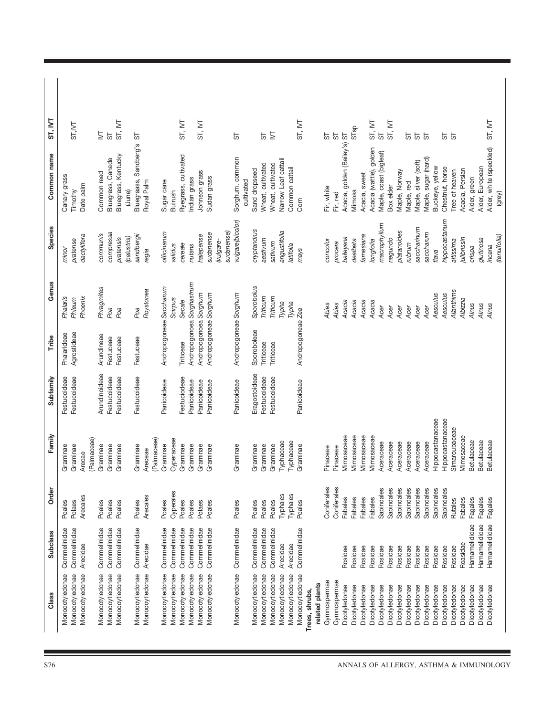| Class                                                                                                          | <b>Subclass</b>                                                                      | Order                                                        | Family                                                                        | Subfamily                                                    | Tribe                                                          | Genus                                                | Species                                                                             | Common name                                                                                                                       | ST, IVT                     |
|----------------------------------------------------------------------------------------------------------------|--------------------------------------------------------------------------------------|--------------------------------------------------------------|-------------------------------------------------------------------------------|--------------------------------------------------------------|----------------------------------------------------------------|------------------------------------------------------|-------------------------------------------------------------------------------------|-----------------------------------------------------------------------------------------------------------------------------------|-----------------------------|
| Monocotyledonae<br>Monocotyledonae<br>Monocotyledonae                                                          | Commellnidae<br>Commellnidae<br>Arecidae                                             | Arecales<br>Polaes<br>Poales                                 | Palmaceae)<br>Graminae<br>Graminae<br>Arecae                                  | Festucoideae<br>Festucoideae                                 | Agrostideae<br>Phalarideae                                     | Phoenix<br>Phalaris<br>Phleum                        | dactylifera<br>pratense<br>minor                                                    | Canary grass<br>Date palm<br>Timothy                                                                                              | ST,IVT                      |
| Monocotyledonae<br>Monocoytledonae<br>Monocoytledonae                                                          | Commellnidae<br>Commellnidae<br>Commellnidae                                         | Poales<br>Poales<br>Poales                                   | Graminae<br>Graminae<br>Graminae                                              | Arundinoideae<br>Festucoideae<br>Festucoideae                | Arundineae<br>Festuceae<br>Festuceae                           | Phragmites<br>Poa<br>Poa                             | compressa<br>communis<br>(palustris)<br>pratensis                                   | Bluegrass, Kentucky<br>Bluegrass, Canada<br>Common reed<br>(June)                                                                 | ST, IVT<br>Σ<br>57          |
| Monocoytledonae<br>Monocoytledonae<br>Monocoytledonae                                                          | Commellnidae<br>Commellnidae<br>Arecidae                                             | Arecales<br>Poales<br>Poales                                 | (Palmaceae)<br>Graminae<br>Graminae<br>Areceae                                | Festucoideae<br>Panicoideae                                  | Andropogoneae Saccharum<br>Festuceae                           | Roystonea<br>Poa                                     | officinarum<br>sandbergii<br>regia                                                  | Bluegraass, Sandberg's<br>Sugar cane<br>Royal Palm                                                                                | 5                           |
| Monocotyledonae<br>Monocoytledonae<br>Monocotyledonae                                                          | Commellnidae<br>Commellnidae<br>Commellnidae                                         | Cyperales<br>Poales<br>Poales                                | Cyperaceae<br>Graminae<br>Graminae                                            | Festuciodeae<br>Panicoideae                                  | Triticeae                                                      | Andropogonoea Sorghastrum<br>Scirpus<br>Secale       | cereale<br>validus<br>nutans                                                        | Ryegrass, cultivated<br>ndian grass<br>Bulrush                                                                                    | ST, IVT                     |
| Monocotyledonae<br>Monocotyledonae                                                                             | Commellnidae<br>Commellnidae                                                         | Polaes<br>Poales                                             | Graminae<br>Graminae                                                          | Panicoideae<br>Panicoideae                                   | Andropogonoea Sorghum<br>Andropogoneae Sorghum                 |                                                      | sudanense)<br>sudanense<br>halepense<br>(vulgare-                                   | Johnson grass<br>Sudan grass                                                                                                      | ST, IVT                     |
| Monocotyledonae<br>Monocoytledonae<br>Monocoytledonae<br>Monocoytledonae<br>Monocoytledonae<br>Monocoytledonae | Commellnidae<br>Commellnidae<br>Commellnidae<br>Commellnidae<br>Arecidae<br>Arecidae | Typhales<br>Typhales<br>Poales<br>Poales<br>Poales<br>Poales | Typhaceae<br><b>Typhaceae</b><br>Graminae<br>Graminae<br>Graminae<br>Graminae | Eragostoideae<br>Festucoideae<br>Festucoideae<br>Panicoideae | Andropogoneae Sorghum<br>Sporoboleae<br>Triticeae<br>Triticeae | Sporobolus<br>Triticum<br>Triticum<br>Typha<br>Typha | vuigare(bicolor)<br>cryptandrus<br>angustifolla<br>aestivum<br>sativum<br>latifolla | Sorghum, common<br>Narrow Leaf cattail<br>Wheat, cultivated<br>Wheat, cultivated<br>Common cattail<br>Sand dropseed<br>cultivated | $\geq$<br>55<br>5           |
| Monocoytledonae<br>Trees, shrubs,                                                                              | Commellnidae                                                                         | Poales                                                       | Graminae                                                                      | Panicoideae                                                  | Andropogoneae Zea                                              |                                                      | mays                                                                                | Corn                                                                                                                              | ST, IVT                     |
| Gymnospermae<br>Gymnospermae<br>related plants<br>Dicotyledonae                                                | Rosidae                                                                              | Coniferales<br>Coniferales<br>Fabales                        | Mimosaceae<br>Pinaceae<br>Pinaceae                                            |                                                              |                                                                | Acacia<br>Abies<br>Abies                             | baileyana<br>concolor<br>procera                                                    | Acacia, golden (Bailey's)<br>Fir, white<br>Fir, red                                                                               | 57<br>5<br>55               |
| Dicotyledonae<br>Dicotyledonae<br>Dicotyledonae                                                                | Rosidae<br>Rosidae<br>Rosidae                                                        | Fabales<br>Fabales<br>Fabales                                | Mimosaceae<br>Mimosaceae<br>Mimosaceae                                        |                                                              |                                                                | Acacia<br>Acacia<br>Acacia                           | farnesiana<br>dealbata<br>longfolia                                                 | Acacia (wattle), golden<br>Acacia, sweet<br>Mimosa                                                                                | ST, IVT<br>ST <sub>sp</sub> |
| Dicotyledonae<br>Dicotyledonae<br>Dicotyledonae<br>Dicotyledonae                                               | Rosidae<br>Rosidae<br>Rosidae<br>Rosidae                                             | Sapindales<br>Sapindales<br>Sapindales<br>Sapindales         | Aceraceae<br>Aceraceae<br>Aceraceae<br>Aceraceae                              |                                                              |                                                                | Acer<br>Acer<br>Acer<br>Acer                         | macrophyllum<br>platanoides<br>negundo<br>rubrum                                    | Maple, coast (bigleaf)<br>Maple, Norway<br>Maple, red<br>Box elder                                                                | ST, IVT<br>57<br>57         |
| Dicotyledonae<br>Dicotyledonae<br>Dicotyledonae<br>Dicotyledonae                                               | Rosidae<br>Rosidae<br>Rosidae<br>Rosidae                                             | Sapindales<br>Sapindales<br>Sapindales<br>Sapindales         | Hippocastanaceae<br>Hippocastanaceae<br>Aceraceae<br>Aceraceae                |                                                              |                                                                | Aesculus<br>Aesculus<br>Acer<br>Acer                 | hippocastanum<br>saccharinum<br>saccharum<br>flava                                  | Maple, sugar (hard)<br>Maple, silver (soft)<br>Buckeye, yellow<br>Chestnut, horse                                                 | 5<br>55                     |
| Dicotyledonae<br>Dicotyledonae<br>Dicotyledonae<br>Dicotyledonae<br>Dicotyledonae                              | Hamamelldidae<br>HamamelIdidae<br>HamamelIdidae<br>Roasidae<br>Rosidae               | Fabales<br>Fagales<br>Fagales<br>Fagales<br>Rutales          | Simaroubaceae<br>Mimosaceae<br>Betulaceae<br>Betulaceae<br>Betulaceae         |                                                              |                                                                | Allanthims<br>Albizzia<br>Alnus<br>Alnus<br>Alnus    | (tenuifolia)<br>julibrissin<br>glutinosa<br>altissima<br>incana<br>crispa           | Alder, white (speckled)<br>Alder, European<br>Acacia, Persian<br>Tree of heaven<br>Alder, green                                   | ST, IVT<br>19<br>19         |
|                                                                                                                |                                                                                      |                                                              |                                                                               |                                                              |                                                                |                                                      |                                                                                     | (grey)                                                                                                                            |                             |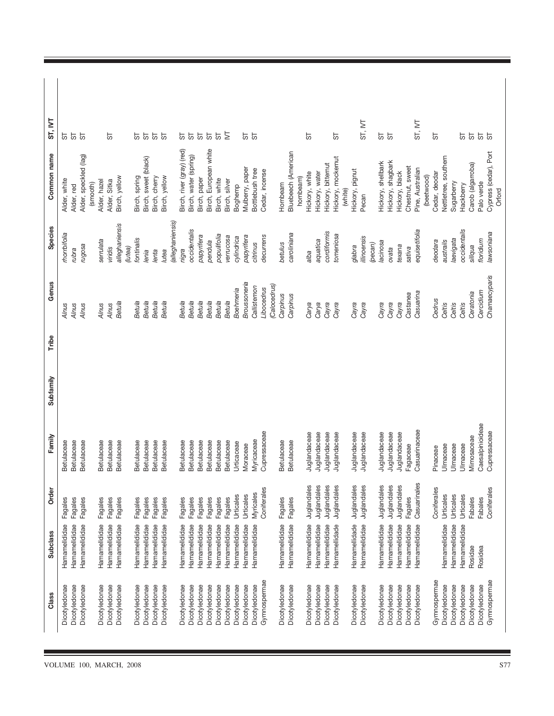| ST, IVT         | 55            | 55            | 57                    |          |               | 57            |                |        | 5             | 57                   | 5             | 55            |                  | 55                        | 57                    | 57            | $5\overline{0}$       | 57            | $\geq$        |               |                 | 75<br>76        |                |             |               |                     |           | 55             |                |                    | 57                 |         |                 | ST, IVT       |                  | 19                 | 55                |                |                 | ST, IVT          |            | 57            |                      |               | 55            | 57                | 75<br>76         |                                 |
|-----------------|---------------|---------------|-----------------------|----------|---------------|---------------|----------------|--------|---------------|----------------------|---------------|---------------|------------------|---------------------------|-----------------------|---------------|-----------------------|---------------|---------------|---------------|-----------------|-----------------|----------------|-------------|---------------|---------------------|-----------|----------------|----------------|--------------------|--------------------|---------|-----------------|---------------|------------------|--------------------|-------------------|----------------|-----------------|------------------|------------|---------------|----------------------|---------------|---------------|-------------------|------------------|---------------------------------|
| Common name     | Alder, white  | Alder, red    | Alder, speckled (lag) | (smooth) | Alder, hazel  | Alder, Sitka  | Birch, yellow  |        | Birch, spring | Birch, sweet (black) | Birch, cherry | Birch, yellow |                  | Birch, river (gray) (red) | Birch, water (spring) | Birch, paper  | Birch, European white | Birch, white  | Birch, silver | Boghemp       | Mulberry, paper | Bottlebush tree | Cedar, incense |             | Hornbeam      | Bluebeech (American | hornbeam) | Hickory, white | Hickory, water | Hickory, bitternut | Hickory, mockernut | (white) | Hickory, pignut | Pecan         |                  | Hickory, shellbark | Hickory, shagbark | Hickory, black | Chestnut, sweet | Pine, Australian | (beetwood) | Cedar, deodar | Nettletree, southern | Sugarberry    | Hackberry     | Carob (algarroba) | Palo verde       | Cypress (cedar), Port<br>Orford |
| Species         | rhorrbifolia  | rubra         | rugosa                |          | serrulata     | viridis       | alleghaniensis | (utea) | fontinalis    | lenia                | lenta         | lutea         | (alleghaniensis) | nigra                     | occidentalis          | papyrifera    | pendula               | populifolia   | verrucosa     | cylindrica    | papyrifera      | citrinus        | decurrens      |             | betulus       | caroliniana         |           | alba           | aquatica       | cordiformis        | tomeniosa          |         | glabra          | illinoensis   | $(\rho$ ecan $)$ | lacinosa           | ovata             | texana         | sativa          | equisetifolia    |            | deodara       | austrails            | laevigata     | occidentails  | sillqua           | floridium        | lawsoniana                      |
| Genus           | Alnus         | Alnus         | Alnus                 |          | Alnus         | Alnus         | <b>Betula</b>  |        | <b>Betula</b> | <b>Betula</b>        | <b>Betula</b> | <b>Betula</b> |                  | <b>Betula</b>             | <b>Betula</b>         | Betula        | <b>Betula</b>         | <b>Betula</b> | <b>Betula</b> | Boehmeria     | Broussoneria    | Callistemon     | Libocedrus     | Calocedrus) | Carpinus      | Carpinus            |           | Carya          | Carya          | Cayra              | Cayra              |         | Cayra           | Cayra         |                  | Cayra              | Cayra             | Cayra          | Castanea        | Casuarina        |            | Cedrus        | Celtis               | Celtis        | Celtis        | Ceratonia         | Cercidium        | Chamaecyparis                   |
| Tribe           |               |               |                       |          |               |               |                |        |               |                      |               |               |                  |                           |                       |               |                       |               |               |               |                 |                 |                |             |               |                     |           |                |                |                    |                    |         |                 |               |                  |                    |                   |                |                 |                  |            |               |                      |               |               |                   |                  |                                 |
| Subfamily       |               |               |                       |          |               |               |                |        |               |                      |               |               |                  |                           |                       |               |                       |               |               |               |                 |                 |                |             |               |                     |           |                |                |                    |                    |         |                 |               |                  |                    |                   |                |                 |                  |            |               |                      |               |               |                   |                  |                                 |
| Family          | Betulaceae    | Betulaceae    | Betulaceae            |          | Betulaceae    | Betulaceae    | Betulaceae     |        | Betulaceae    | Betulaceae           | Betulaceae    | Betulaceae    |                  | Betulaceae                | Betulaceae            | Betulaceae    | Betulaceae            | Betulaceae    | Betulaceae    | Urticaceae    | Moraceae        | Myricaceae      | Cupressaceae   |             | Betulaceae    | Betulaceae          |           | Juglandaceae   | Juglandaceae   | Juglandaceae       | Juglandaceae       |         | Juglandaceae    | Juglandaceae  |                  | Juglandaceae       | Juglandaceae      | Juglandaceae   | Fagaceae        | Casuarinaceae    |            | Pinaceae      | Ulmaceae             | Ulmaceae      | Ulmaceae      | Mimosaceae        | Caesalpinioideae | Cupressaceae                    |
| Order           | Fagales       | Fagales       | Fagales               |          | Fagales       | Fagales       | Fagales        |        | Fagales       | Fagales              | Fagales       | Fagales       |                  | Fagales                   | Fagales               | Fagales       | Fagales               | Fagales       | Fagales       | Urticales     | Urticales       | Myricales       | Coniferales    |             | Fagales       | Fagales             |           | Juglandales    | Juglandales    | Juglandales        | Juglandales        |         | Juglandales     | Juglandales   |                  | Juglandales        | Juglandales       | Juglandales    | Fagales         | Casuarinales     |            | Coniferales   | Urticales            | Urticales     | Urticales     | Fabales           | Fabales          | Coniferales                     |
| <b>Subclass</b> | HamamelIdidae | HamamelIdidae | HamamelIdidae         |          | HamamelIdidae | HamamelIdidae | HamamelIdidae  |        | HamamelIdidae | HamamelIdidae        | HamamelIdidae | HamamelIdidae |                  | HamamelIdidae             | Hamamelldidae         | HamamelIdidae | Hamamelldidae         | Hamamelldidae | HamamelIdidae | Hamamelldidae | HamamelIdidae   | HamamelIdidae   |                |             | HamamelIdidae | HamamelIdidae       |           | Hamamelldidae  | HamamelIdidae  | HamamelIdidae      | Hamamellidade      |         | Hamamellidade   | Hamamelldidae |                  | HamamelIdidae      | HamamelIdidae     | HamamelIdidae  | HamamelIdidae   | HamamelIdidae    |            |               | HamamelIdidae        | Hamamelldidae | HamamelIdidae | Rosidae           | Rosidea          |                                 |
| Class           | Dicotyledonae | Dicotyledonae | Dicotyledonae         |          | Dicotyledonae | Dicotyledonae | Dicotyledonae  |        | Dicotyledonae | Dicotyledonae        | Dicotyledonae | Dicotyledonae |                  | Dicotyledonae             | Dicotyledonae         | Dicotyledonae | Dicotyledonae         | Dicotyledonae | Dicotyledonae | Dicotyledonae | Dicotyledonae   | Dicotyledonae   | Gymnospermae   |             | Dicotyledonae | Dicotyledonae       |           | Dicotyledonae  | Dicotyledonae  | Dicotyledonae      | Dicotyledonae      |         | Dicotyledonae   | Dicotyledonae |                  | Dicotyledonae      | Dicotyledonae     | Dicotyledonae  | Dicotyledonae   | Dicotyledonae    |            | Gymnospermae  | Dicotyledonae        | Dicotyledonae | Dicotyledonae | Dicotyledonae     | Dicotyledonae    | Gymnospermae                    |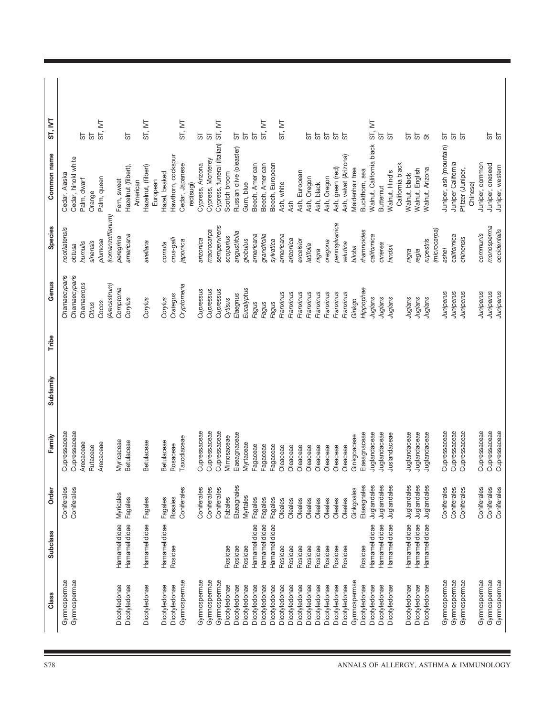| ST, IVT         |               |                     | 55          | 57       | ST, IVT     |                  |               | 57                  |          | ST, IVT             |          |               |                    | ST, IVT            |           | 55               | 55                |                                    |               | 55                       | 55            | 55              | ST, IVT         |                 | ST, IVT       |               |               | 55            | 55            | 57            | 57               | 5                     |                 |                | ST, IVT                  | 55               | 57             |                  | ᡖ             | 55              | க்              |              | 5                       | 75<br>76           |                   |          |                 | $\frac{1}{9}$    |                  |
|-----------------|---------------|---------------------|-------------|----------|-------------|------------------|---------------|---------------------|----------|---------------------|----------|---------------|--------------------|--------------------|-----------|------------------|-------------------|------------------------------------|---------------|--------------------------|---------------|-----------------|-----------------|-----------------|---------------|---------------|---------------|---------------|---------------|---------------|------------------|-----------------------|-----------------|----------------|--------------------------|------------------|----------------|------------------|---------------|-----------------|-----------------|--------------|-------------------------|--------------------|-------------------|----------|-----------------|------------------|------------------|
| Common name     | Cedar, Alaska | Cedar, hinokl white | Palm, dwarf | Orange   | Palm, queen |                  | Fern, sweet   | Hazelnut (filbert), | American | Hazelnut, (filbert) | European | Hazel, beaked | Hawthorn, cockspur | Cedar, Japanese    | red(sugi) | Cypress, Arizona | Cypress, Monterey | Cypress, funeral (Italian) ST, IVT | Scotch broom  | Russian olive (oleaster) | Gum, blue     | Beech, American | Beech, American | Beech, European | Ash, white    | Ash           | Ash, European | Ash, Oregon   | Ash, black    | Ash, Oregon   | Ash, green (red) | Ash, velvet (Arizona) | Maidenhair tree | Buckthorn, sea | Walnut, California black | <b>Butternut</b> | Walnut, Hind's | California black | Walnut, black | Walnut, English | Walnut, Arizona |              | Juniper, ash (mountain) | Juniper California | Pfitzer (Juniper, | Chinese) | Juniper, common | Juniper, oneseed | Juniper, western |
| Species         | nootkatensis  | obtusa              | humulis     | sinensis | plumosa     | (romanzoffianum) | peregrina     | americana           |          | avellana            |          | comuta        | crus-galli         | japonica           |           | arizonica        | macrocarpa        | sempervirens                       | scoparius     | angustifolia             | globulus      | americana       | grandifolia     | sylvatica       | americana     | arizonica     | excelsior     | latifolia     | nigra         | oregona       | pennsylvanica    | velutina              | biloba          | rhamnoides     | californica              | cinerea          | hindsii        |                  | nigra         | regia           | rupestris       | (microcarpa) | ashel                   | californica        | chinensis         |          | communis        | monosperma       | occidentails     |
| Genus           | Chamaecyparis | Chamaecyparis       | Chamaerops  | Citrus   | Cocos       | (Arecastrum)     | Comptonia     | Corylus             |          | Corylus             |          | Corylus       | Crategus           | Cryptomeria        |           | Cupressus        | Cupressus         | Cupressus                          | Cytisus       | Elaegnus                 | Eucalyptus    | Fagus           | Fagus           | Fagus           | Franxinus     | Franxinus     | Franxinus     | Franxinus     | Franxinus     | Franxinus     | Franxinus        | Franxinus             | Ginkgo          | Hippophae      | Juglans                  | Juglans          | Juglans        |                  | Juglans       | Juglans         | Juglans         |              | Juniperus               | Juniperus          | Juniperus         |          | Juniperus       | Juniperus        | Juniperus        |
| Tribe           |               |                     |             |          |             |                  |               |                     |          |                     |          |               |                    |                    |           |                  |                   |                                    |               |                          |               |                 |                 |                 |               |               |               |               |               |               |                  |                       |                 |                |                          |                  |                |                  |               |                 |                 |              |                         |                    |                   |          |                 |                  |                  |
| Subfamily       |               |                     |             |          |             |                  |               |                     |          |                     |          |               |                    |                    |           |                  |                   |                                    |               |                          |               |                 |                 |                 |               |               |               |               |               |               |                  |                       |                 |                |                          |                  |                |                  |               |                 |                 |              |                         |                    |                   |          |                 |                  |                  |
| Family          | Cupressaceae  | Cupressaceae        | Arecaceae   | Rutaceae | Arecaceae   |                  | Myricaceae    | Betulaceae          |          | Betulaceae          |          | Betulaceae    | Rosaceae           | <b>Taxodiaceae</b> |           | Cupressaceae     | Cupressaceae      | Cupressaceae                       | Mimosaceae    | Elaeagnaceae             | Myrtaceae     | Fagaceae        | Fagaceae        | Fagaceae        | Oleaceae      | Oleaceae      | Oleaceae      | Oleaceae      | Oleaceae      | Oleaceae      | Oleaceae         | Oleaceae              | Ginkgoaceae     | Elaeagnaceae   | Juglandaceae             | Juglandaceae     | Juslandaceae   |                  | Juglandaceae  | Juglandaceae    | Juglandaceae    |              | Cupressaceae            | Cupressaceae       | Cupressaceae      |          | Cupressaceae    | Cupressaceae     | Cupressaceae     |
| Order           | Coniferales   | Coniferales         |             |          |             |                  | Myricales     | Fagales             |          | Fagales             |          | Fagales       | Rosales            | Coniferales        |           | Coniferales      | Coniferales       | Coniferales                        | Fabales       | Elaeagnaies              | Myrtales      | Fagales         | Fagales         | Fagales         | Oleales       | Oleales       | Oleales       | Oleales       | Oleales       | Oleales       | Oleales          | Oleales               | Ginkgoales      | Elaeagnales    | Juglandales              | Juglandales      | Juglandales    |                  | Juglandales   | Juglandales     | Juglandales     |              | Coniferales             | Coniferales        | Coniferales       |          | Coniferales     | Coniferales      | Coniferales      |
| <b>Subclass</b> |               |                     |             |          |             |                  | Hamamelldidae | HamamelIdidae       |          | HamamelIdidae       |          | HamamelIdidae | Rosidae            |                    |           |                  |                   |                                    | Rosidae       | Rosidae                  | Rosidae       | Hamamelldidae   | Hamamelldidae   | HamamelIdidae   | Rosidae       | Rosidae       | Rosidae       | Rosidae       | Rosidae       | Rosidae       | Rosidae          | Rosidae               |                 | Rosidae        | HamamelIdidae            | HamamelIdidae    | HamamelIdidae  |                  | HamamelIdidae | HamamelIdidae   | HamamelIdidae   |              |                         |                    |                   |          |                 |                  |                  |
| Class           | Gymnospermae  | Gymnospermae        |             |          |             |                  | Dicotyledonae | Dicotyledonae       |          | Dicotyledonae       |          | Dicotyledonae | Dicotyledonae      | Gymnospermae       |           | Gymnospermae     | Gymnospermae      | Gymnospermae                       | Dicotyledonae | Dicotyledonae            | Dicotyledonae | Dicotyledonae   | Dicotyledonae   | Dicotyledonae   | Dicotyledonae | Dicotyledonae | Dicotyledonae | Dicotyledonae | Dicotyledonae | Dicotyledonae | Dicotyledonae    | Dicotyledonae         | Gymnospermae    | Dicotyledonae  | Dicotyledonae            | Dicotyledonae    | Dicotyledonae  |                  | Dicotyledonae | Dicotyledonae   | Dicotyledonae   |              | Gymnospermae            | Gymnospermae       | Gymnospermae      |          | Gymnospermae    | Gymnospermae     | Gymnospermae     |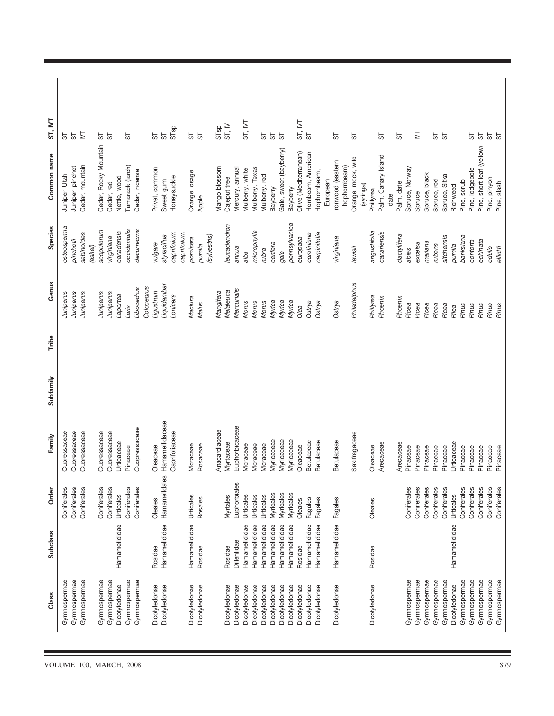| Class         | <b>Subclass</b> | Order              | Family          | Subfamily | Tribe | Genus        | Species       | Common name                       | ST, IVT          |
|---------------|-----------------|--------------------|-----------------|-----------|-------|--------------|---------------|-----------------------------------|------------------|
| Gymnospermae  |                 | Coniferales        | Cupressaceae    |           |       | Juniperus    | osteosperma   | Juniper, Utah                     |                  |
| Gymnospermae  |                 | Coniferales        | Cupressaceae    |           |       | Juniperus    | pinchotii     | Juniper, pinchot                  | 75<br>76         |
| Gymnospermae  |                 | Coniferales        | Cupressaceae    |           |       | Juniperus    | sabinoides    | Cedar, mountain                   | $\geq$           |
|               |                 |                    |                 |           |       |              | (ashel)       |                                   |                  |
| Gymnospermae  |                 | Coniferales        | Cupressaceae    |           |       | Juniperus    | scopulorum    | Cedar, Rocky Mountain             | 5                |
| Gymnospermae  |                 | Coniferales        | Cupressaceae    |           |       | Juniperus    | virginiana    | Cedar, red                        | 55               |
| Dicotyledonae | Hamamelldidae   | Urticales          | Urticaceae      |           |       | Laportea     | canadensis    | Nettle, wood                      |                  |
| Gymnospermae  |                 | Coniferales        | Pinaceae        |           |       | Larix        | occidentalis  | [amarack (larch)                  | 55               |
| Gymnospermae  |                 | Coniferales        | Cuppressaceae   |           |       | Libocedrus   | decurrecms    | Cedar, incense                    |                  |
|               |                 |                    |                 |           |       | Colocedrus   |               |                                   |                  |
| Dicotyledonae | Rosidae         | Oleales            | Oleaceae        |           |       | Ligustrum    | vulgare       | Privet, common                    | 55               |
| Dicotyledonae | HamamelIdidae   | õ,<br>Hamamelldale | Hamamellidaceae |           |       | Liquidambar  | styraciflua   | Sweet gum                         | 57               |
|               |                 |                    | Caprifoliaceae  |           |       | Lonicera     | caprifolium   | Honeysuckle                       | STsp             |
|               |                 |                    |                 |           |       |              | caprifolium   |                                   |                  |
| Dicotyledonae | HamamelIdidae   | Urticales          | Moraceae        |           |       | Maclura      | pomisera      | Orange, osage                     | 57               |
| Dicotyledonae | Rosidae         | Rosales            | Rosaceae        |           |       | Malus        | pumila        | Apple                             | 57               |
|               |                 |                    |                 |           |       |              | (sylvestris)  |                                   |                  |
|               |                 |                    | Anacardiaceae   |           |       | Mangifera    |               | Mango blossom                     | ST <sub>Sp</sub> |
| Dicotyledonae | Rosidae         | Myrtales           | Myrtaceae       |           |       | Melaleuca    | leucadendron  | Cajeput tree                      | ST, IV           |
| Dicotyledonae | Dillenlidae     | Euphorbiales       | Euphorbicaceae  |           |       | Mercurialis  | annua         | Mercury, annual                   |                  |
| Dicotyledonae | HamamelIdidae   | Urticales          | Moraceae        |           |       | <b>Morus</b> | alba          | Mulberry, white                   | ST, IVT          |
| Dicotyledonae | Hamamelldidae   | Urticales          | Moraceae        |           |       | <b>Morus</b> | microphylia   | Mulberry, Texas                   |                  |
| Dicotyledonae | HamamelIdidae   | Urticales          | Moraceae        |           |       | <b>Morus</b> | rubra         | Mulberry, red                     |                  |
| Dicotyledonae | HamamelIdidae   | Myricales          | Myricaceae      |           |       | Myrica       | cerifera      | Bayberry                          | $\frac{1}{5}$    |
| Dicotyledonae | Hamamelldidae   | Myricales          | Myricaceae      |           |       | Myrica       | gale          | Gale, sweet (bayberry)            | 57               |
| Dicotyledonae | HamamelIdidae   | Myricales          | Myricaceae      |           |       | Myrica       | pennsylvanica | Bayberry                          |                  |
| Dicotyledonae | Rosidae         | Oleales            | Oleaceae        |           |       | Olea         | europaea      | Olive (Mediterranean)             | ST, IVT          |
| Dicotyledonae | HamamelIdidae   | Fagales            | Betulaceae      |           |       | Ostrya       | caroliniana   | Hornbeam, American                | 55               |
| Dicotyledonae | HamamelIdidae   | Fagales            | Betulaceae      |           |       | Ostrya       | carpinifolia  | Hophornbeam,                      |                  |
|               |                 |                    |                 |           |       |              |               | European                          |                  |
| Dicotyledonae | HamamelIdidae   | Fagales            | Betulaceae      |           |       | Ostrya       | virginiana    | Ironwood (eastern<br>hophornbeam) | ᡃᢒ               |
|               |                 |                    | Saxifragaceae   |           |       | Philadelphus | lewisii       | Orange, mock, wild                | ᡃᢒ               |
|               |                 |                    |                 |           |       |              |               | (syringa)                         |                  |
| Dicotyledonae | Rosidae         | Oleales            | Oleaceae        |           |       | Phillyrea    | angustifolia  | Phillyrea                         |                  |
|               |                 |                    | Arecaceae       |           |       | Phoenix      | canariensis   | Palm, Canary Island<br>date       | ᡃᢒ               |
|               |                 |                    | Arecaceae       |           |       | Phoenix      | dactylifera   | Palm, date                        | 5                |
| Gymnospermae  |                 | Coniferales        | Pinaceae        |           |       | Picea        | abies         | Spruce, Norway                    |                  |
| Gymnospermae  |                 | Coniferales        | Pinaceae        |           |       | Picea        | excelsa       | Spruce                            | ⅀                |
| Gymnospermae  |                 | Coniferales        | Pinaceae        |           |       | Picea        | mariana       | Spruce, black                     |                  |
| Gymnospermae  |                 | Coniferales        | Pinaceae        |           |       | Picea        | rubens        | Spruce, red                       | 57               |
| Gymnospermae  |                 | Coniferales        | Pinaceae        |           |       | Picea        | sitchensis    | Spruce, Sitka                     | 57               |
| Dicotyledonae | HamamelIdidae   | Urticales          | Urticaceae      |           |       | Pilea        | pumila        | Richweed                          |                  |
| Gymnospermae  |                 | Coniferales        | Pinaceae        |           |       | Pinus        | banksiana     | Pine, scrub                       |                  |
| Gymnospermae  |                 | Coniferales        | Pinaceae        |           |       | Pinus        | contorta      | Pine, lodgepole                   | 57               |
| Gymnospermae  |                 | Coniferales        | Pinaceae        |           |       | Pinus        | echinata      | Pine, short leaf (yellow)         | 5                |
| Gymnospermae  |                 | Coniferales        | Pinaceae        |           |       | Pinus        | edulis        | Pine, pinyon                      | 75<br>76         |
| Gymnospermae  |                 | Coniferales        | Pinaceae        |           |       | Pinus        | elliotti      | Pine, slash                       |                  |

⋾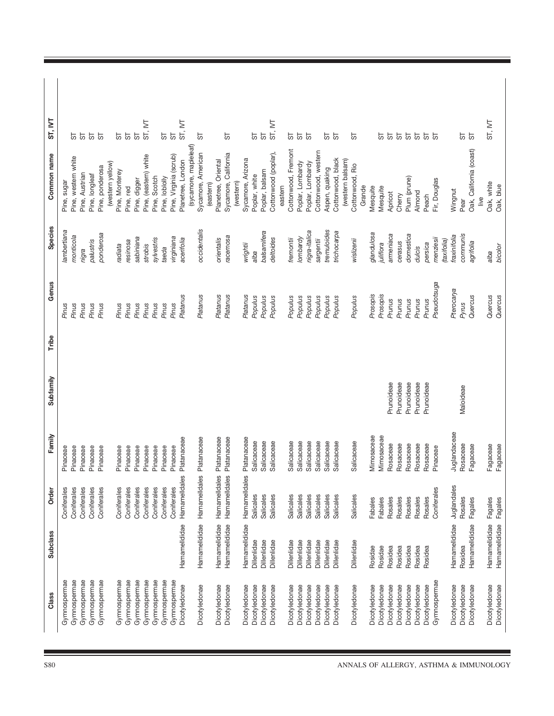| Class         | <b>Subclass</b> | Order                     | Family       | Subfamily  | Tribe | Genus       | Species       | Common name             | ST, IVT  |
|---------------|-----------------|---------------------------|--------------|------------|-------|-------------|---------------|-------------------------|----------|
| Gymnospermae  |                 | Coniferales               | Pinaceae     |            |       | Pinus       | lambertiana   | Pine, sugar             |          |
| Gymnospermae  |                 | Coniferales               | Pinaceae     |            |       | Pinus       | monticola     | Pine, western white     | 5        |
| Gymnospermae  |                 | Coniferales               | Pinaceae     |            |       | Pinus       | nigra         | Pine, Austrian          | 5        |
| Gymnospermae  |                 | Coniferales               | Pinaceae     |            |       | Pinus       | palustris     | Pine, longleaf          | 5        |
| Gymnospermae  |                 | Coniferales               | Pinaceae     |            |       | Pinus       | ponderosa     | Pine, ponderosa         | 57       |
|               |                 |                           |              |            |       |             |               | (western yellow)        |          |
| Gymnospermae  |                 | Coniferales               | Pinaceae     |            |       | Pinus       | radiata       | Pine, Monterey          | 5        |
| Gymnospermae  |                 | Coniferales               | Pinaceae     |            |       | Pinus       | resinosa      | Pine, red               | 5        |
| Gymnospermae  |                 | Coniferales               | Pinaceae     |            |       | Pinus       | sabiniana     | Pine, digger            | 57       |
| Gymnospermae  |                 | Coniferales               | Pinaceae     |            |       | Pinus       | strobis       | Pine, (eastern) white   | ST, IVT  |
| Gymnospermae  |                 | Coniferales               | Pinaceae     |            |       | Pinus       | sylvestris    | Scotch<br>Pine,         |          |
| Gymnospermae  |                 | Coniferales               | Pinaceae     |            |       | Pinus       | taeda         | Pine, loblolly          | 57       |
| Gymnospermae  |                 | Coniferales               | Pinaceae     |            |       | Pinus       | virginiana    | Pine, Virginia (scrub)  | 57       |
| Dicotyledonae | HamamelIdidae   | HamamelIdales             | Platanaceae  |            |       | Platanus    | acerifolia    | Planetree, London       | ST, IVT  |
|               |                 |                           |              |            |       |             |               | (sycamore, mapleleaf)   |          |
| Dicotyledonae | HamamelIdidae   | HamamelIdales Platanaceae |              |            |       | Platanus    | occidentalis  | Sycamore, American      | 5        |
|               |                 |                           |              |            |       |             |               | (eastern)               |          |
| Dicotyledonae | HamamelIdidae   | HamamelIdales             | Platanaceae  |            |       | Platanus    | orientalis    | Planetree, Oriental     |          |
| Dicotyledonae | HamamelIdidae   | HamamelIdales             | Platanaceae  |            |       | Platanus    | racemosa      | Sycamore, California    | 55       |
|               |                 |                           |              |            |       |             |               | (western)               |          |
| Dicotyledonae | HamamelIdidae   | HamamelIdales             | Platanaceae  |            |       | Platanus    | wrightii      | Sycamore, Arizona       |          |
| Dicotyledonae | Dillenlidae     | Salicales                 | Salicaceae   |            |       | Populus     | alba          | Poplar, white           | 57       |
| Dicotyledonae | Dillenlidae     | Salicales                 | Salicaceae   |            |       | Populus     | balsamifera   | Poplar, balsam          | 5        |
| Dicotyledonae | Dillenlidae     | Salicales                 | Salicaceae   |            |       | Populus     | deltoides     | Cottonwood (poplar),    | ST, IVT  |
|               |                 |                           |              |            |       |             |               | eastern                 |          |
| Dicotyledonae | Dillenlidae     | Salicales                 | Salicaceae   |            |       | Populus     | fremontii     | Cottonwood, Fremont     | 55       |
| Dicotyledonae | Dillenlidae     | Salicales                 | Salicaceae   |            |       | Populus     | lombardy      | Poplar, Lombardy        | 5        |
| Dicotyledonae | Dillenlidae     | Salicales                 | Salicaceae   |            |       | Populus     | nigra-italica | Poplar, Lombardy        | 57       |
| Dicotyledonae | Dillenlidae     | Salicales                 | Salicaceae   |            |       | Populus     | sargentii     | Cottonwood, western     |          |
| Dicotyledonae | Dillenlidae     | Salicales                 | Salicaceae   |            |       | Populus     | tremuloides   | Aspen, quaking          |          |
| Dicotyledonae | Dillenlidae     | Salicales                 | Salicaceae   |            |       | Populus     | trichocarpa   | Cottonwood, black       | 75<br>75 |
|               |                 |                           |              |            |       |             |               | (western balsam)        |          |
| Dicotyledonae | Dillenlidae     | Salicales                 | Salicaceae   |            |       | Populus     | wislizenii    | Cottonwood, Rio         | 5        |
|               |                 |                           |              |            |       |             |               | Grande                  |          |
| Dicotyledonae | Rosidae         | Fabales                   | Mimosaceae   |            |       | Prosopis    | glandulosa    | Mesquite                |          |
| Dicotyledonae | Rosidae         | Fabales                   | Mimosaceae   |            |       | Prosopis    | juliflora     | Mesquite                | ᇮ        |
| Dicotyledonae | Rosidea         | Rosales                   | Rosaceae     | Prunoideae |       | Prunus      | armeniaca     | Apricot                 | 5        |
| Dicotyledonae | Rosidea         | Rosales                   | Rosaceae     | Prunoideae |       | Prunus      | cerasus       | Cherry                  | 5        |
| Dicotyledonae | Rosidea         | Rosales                   | Rosaceae     | Prunoideae |       | Prunus      | domestica     | Plum (prune)            | 55       |
| Dicotyledonae | Rosidea         | Rosales                   | Rosaceae     | Prunoideae |       | Prunus      | dulcis        | Almond                  | 55       |
| Dicotyledonae | Rosidea         | Rosales                   | Rosaceae     | Prunoideae |       | Prunus      | persica       | Peach                   |          |
| Gymnospermae  |                 | es<br>Conifera            | Pinaceae     |            |       | Pseudotsuga | menziesii     | Fir, Douglas            | 75<br>76 |
|               |                 |                           |              |            |       |             | (taxifolia)   |                         |          |
| Dicotyledonae | Hamamelldidae   | Juglandales               | Juglandaceae |            |       | Pterocarya  | fraxinifolia  | Wingnut                 |          |
| Dicotyledonae | Rosidea         | Rosales                   | Rosaceae     | Maloideae  |       | Pyrus       | communis      | Pear                    | 57       |
| Dicotyledonae | Hamamelldidae   | Fagales                   | Fagaceae     |            |       | Quercus     | agrifolia     | Oak, California (coast) | 5        |
|               |                 |                           |              |            |       |             |               | live                    |          |
| Dicotyledonae | HamamelIdidae   | Fagales                   | Fagaceae     |            |       | Quercus     | alba          | Oak, white              | ST, IVT  |
| Dicotyledonae | HamamelIdidae   | Fagales                   | Fagaceae     |            |       | Quercus     | bicolor       | Oak, blue               |          |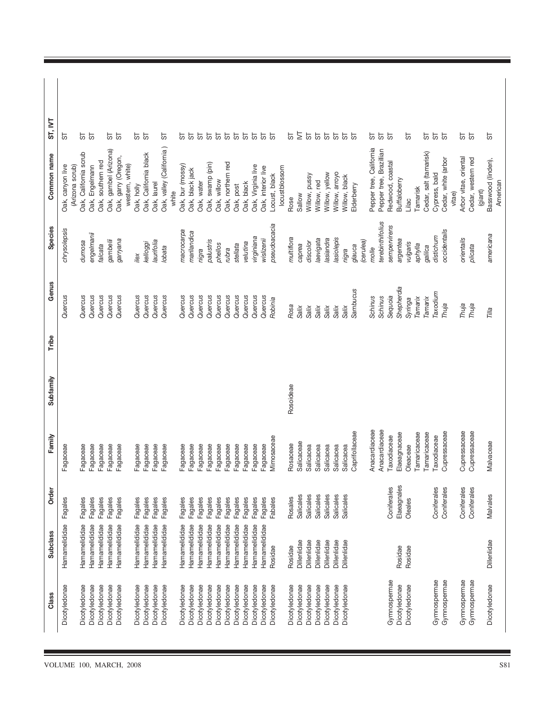| ST, IVT         | 55               |                 | 5<br>5                |                                     |                       | 75<br>75            |                 | 75<br>75   |                       |               | 5                                 | 5                | 능               | ত             | 5                | 55            | 5                 | 5             | 5             | 75<br>75           |                    |               |               | 55            | Σ             | 5             | ত             | 57             | 55             | 5             | 5              |           | 5                       | 5                       | 5                  |               | 5             |              | 5                      | 55            | 5                   |        |                        | 75<br>75           |         | 55                 |          |
|-----------------|------------------|-----------------|-----------------------|-------------------------------------|-----------------------|---------------------|-----------------|------------|-----------------------|---------------|-----------------------------------|------------------|-----------------|---------------|------------------|---------------|-------------------|---------------|---------------|--------------------|--------------------|---------------|---------------|---------------|---------------|---------------|---------------|----------------|----------------|---------------|----------------|-----------|-------------------------|-------------------------|--------------------|---------------|---------------|--------------|------------------------|---------------|---------------------|--------|------------------------|--------------------|---------|--------------------|----------|
| Common name     | Oak, canyon live | (Arizona scrub) | Oak, California scrub | Oak, southern red<br>Oak, Engelmann | Oak, gambel (Arizona) | Oak, garry (Oregon, | western, white) | Oak, holly | Oak, California black | Oak, laurel   | Oak, valley (California)<br>white | Oak, bur (mossy) | Oak, black jack | Oak, water    | Oak, swamp (pin) | Oak, willow   | Oak, northern red | Oak, post     | Oak, black    | Oak, Virginia live | Oak, interior live | Locust, black | locustblossom | Rose          | Sallow        | Willow, pussy | Willow, red   | Willow, yellow | Willow, arroyo | Willow, black | Elderberry     |           | Pepper tree, California | Pepper tree, Brazillian | Redwood, coastal   | Buffaloberry  | Lilac         | Tamarisk     | Cedar, salt (tamarisk) | Cypress, bald | Cedar, white (arbor | vitae) | Arbor vitae, oriental  | Cedar, western red | (giant) | Basswood (linden), | American |
| Species         | chrysolepsis     |                 | dumosa                | engelmanii<br>falcata               | gambelii              | garryana            |                 | ilex       | kelloggi              | laurifolia    | lobata                            | macrocarpa       | marilandica     | nigra         | palustris        | phellos       | rubra             | stellata      | velutina      | virginiana         | wislizenii         | pseudoacacia  |               | multiflora    | caprea        | discolor      | laevigata     | lasiandra      | lasiolepis     | nigra         | glauca         | (cerulea) | molle                   | terebinthifolius        | sempervirens       | argentea      | vulgaris      | aphylla      | galilca                | distichum     | occidentails        |        | orientails             | plicata            |         | americana          |          |
| Genus           | Quercus          |                 | Quercus               | Quercus<br>Quercus                  | Quercus               | Quercus             |                 | Quercus    | Quercus               | Quercus       | Quercus                           | Quercus          | Quercus         | Quercus       | Quercus          | Quercus       | Quercus           | Quercus       | Quercus       | Quercus            | Quercus            | Robinia       |               | Rosa          | Salix         | Salix         | Salix         | Salix          | Salix          | Salix         | Sambucus       |           | Schinus                 | Schinus                 | Sequoia            | Shepherdia    | Syringa       | Tamarix      | Tamarix                | Taxodium      | Thuja               |        | Thuja                  | Thuja              |         | Tilla              |          |
| Tribe           |                  |                 |                       |                                     |                       |                     |                 |            |                       |               |                                   |                  |                 |               |                  |               |                   |               |               |                    |                    |               |               |               |               |               |               |                |                |               |                |           |                         |                         |                    |               |               |              |                        |               |                     |        |                        |                    |         |                    |          |
| Subfamily       |                  |                 |                       |                                     |                       |                     |                 |            |                       |               |                                   |                  |                 |               |                  |               |                   |               |               |                    |                    |               |               | Rosoideae     |               |               |               |                |                |               |                |           |                         |                         |                    |               |               |              |                        |               |                     |        |                        |                    |         |                    |          |
| Family          | Fagaceae         |                 | Fagaceae              | Fagaceae<br>Fagaceae                | Fagaceae              | Fagaceae            |                 | Fagaceae   | Fagaceae              | Fagaceae      | Fagaceae                          | Fagaceae         | Fagaceae        | Fagaceae      | Fagaceae         | Fagaceae      | Fagaceae          | Fagaceae      | Fagaceae      | Fagaceae           | Fagaceae           | Mimosaceae    |               | Rosaceae      | Salicaceae    | Salicacea     | Salicacea     | Salicacea      | Salicacea      | Salicacea     | Caprifollaceae |           | Anacardiaceae           | Anacardiaceae           | <b>Taxodiaceae</b> | Elaeagnaceae  | Oleaceae      | Tamaricaceae | Tamaricaceae           | Taxodiaceae   | Cupressaceae        |        | Cupressaceae           | Cupressaceae       |         | Malvaceae          |          |
| 흐<br><b>P</b> o | Fagales          |                 | Fagales               | Fagales                             | Fagales<br>Fagales    | Fagales             |                 | Fagales    | Fagales               | Fagales       | Fagales                           | Fagales          | Fagales         | Fagales       | Fagales          | Fagales       | Fagales           | Fagales       | Fagales       | Fagales            | Fagales            | Fabales       |               | Rosales       | Salicales     | Salicales     | Salicales     | Salicales      | Salicales      | Salicales     |                |           |                         |                         | Coniferales        | Elaeagnales   | Oleales       |              |                        | Coniferales   | les<br>Coniferal    |        | <u>es</u><br>Coniferal | Coniferales        |         | Malvales           |          |
| <b>Subclass</b> | HamamelIdidae    |                 | Hamamelldidae         | HamamelIdidae<br>Hamamelldidae      | Hamamelldidae         | Hamamelldidae       | Hamamelldidae   |            | HamamelIdidae         | HamamelIdidae | HamamelIdidae                     | HamamelIdidae    | Hamamelldidae   | HamamelIdidae | Hamamelldidae    | HamamelIdidae | Hamamelldidae     | HamamelIdidae | Hamamelldidae | Hamamelldidae      | HamamelIdidae      | Rosidae       |               | Rosidae       | Dillenlidae   | Dillenlidae   | Dillenlidae   | Dillenlidae    | Dillenlidae    | Dillenlidae   |                |           |                         |                         |                    | Rosidae       | Rosidae       |              |                        |               |                     |        |                        |                    |         | Dillenlidae        |          |
| Class           | Dicotyledonae    |                 | Dicotyledonae         | Dicotyledonae<br>Dicotyledonae      | Dicotyledonae         | Dicotyledonae       | Dicotyledonae   |            | Dicotyledonae         | Dicotyledonae | Dicotyledonae                     | Dicotyledonae    | Dicotyledonae   | Dicotyledonae | Dicotyledonae    | Dicotyledonae | Dicotyledonae     | Dicotyledonae | Dicotyledonae | Dicotyledonae      | Dicotyledonae      | Dicotyledonae |               | Dicotyledonae | Dicotyledonae | Dicotyledonae | Dicotyledonae | Dicotyledonae  | Dicotyledonae  | Dicotyledonae |                |           |                         |                         | Gymnospermae       | Dicotyledonae | Dicotyledonae |              |                        | Gymnospermae  | Gymnospermae        |        | Gymnospermae           | Gymnospermae       |         | Dicotyledonae      |          |

 $\overline{\phantom{a}}$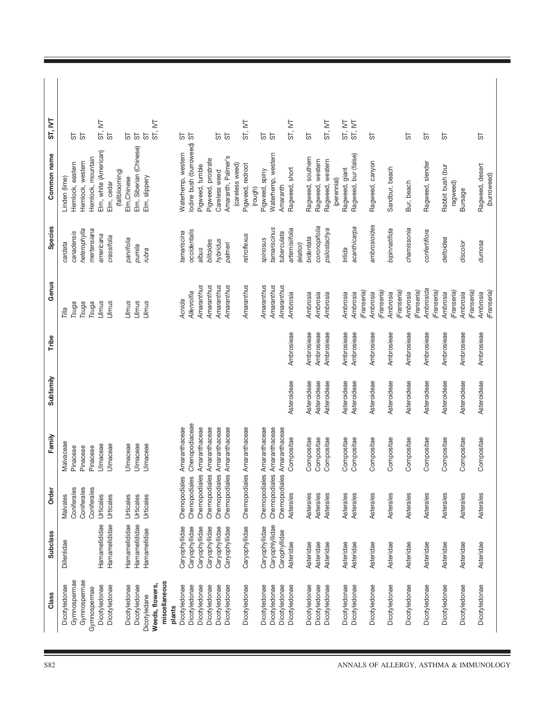| ST, IVT         |               | 5                | 5                |                   | ST, IVT               | 57                           | 5             | 5                       | 57            | ST, IVT         |               |        | 19                 | 57                      |                              |                             | 75<br>70                    |                             |                 | ST, IVT                     |         | 5                           | 5                  |               | ST, IVT        |           | 57                |                        | ST, IVT          |             | ST, IVT                | ST, IVT              | ದ                      |            |                |            | 55            | 55                      |            | 55               |            |               | ᡃᢒ                     |             |
|-----------------|---------------|------------------|------------------|-------------------|-----------------------|------------------------------|---------------|-------------------------|---------------|-----------------|---------------|--------|--------------------|-------------------------|------------------------------|-----------------------------|-----------------------------|-----------------------------|-----------------|-----------------------------|---------|-----------------------------|--------------------|---------------|----------------|-----------|-------------------|------------------------|------------------|-------------|------------------------|----------------------|------------------------|------------|----------------|------------|---------------|-------------------------|------------|------------------|------------|---------------|------------------------|-------------|
| Common name     | Linden (lime) | Hemlock, eastern | Hemlock, western | Hemlock, mountain | Elm, white (American) | (fallblooming)<br>Elm, cedar | Elm, Chinese  | Elm, Siberian (Chinese) | Elm, slippery |                 |               |        | Waterhemp, western | lodine bush (burroweed) | Pigweed, tumble              | Pigweed, prostrate          | Careless weed               | w<br>Amaranth, Palmer'      | (careless weed) | Pigweed, redroot            | (rough) | Pigweed, spiny              | Waterhemp, western | Amaranth      | Ragweed, short |           | Ragweed, southern | Ragweed, western       | Ragweed, western | (perennial) | Ragweed, giant         | Ragweed, bur (false) | Ragweed, canyon        |            | Sandbur, beach |            | Bur, beach    | Ragweed, slender        |            | Rabbit bush (bur | ragweed)   | Bursage       | Ragweed, desert        | (burroweed) |
| Species         | cardata       | canadensis       | heterophylla     | mertensiana       | americana             | crassifolia                  | parvifolia    | pumila                  | rubra         |                 |               |        | tamariscina        | occidentalis            | albus                        | blitoides                   | hybridus                    | palmeri                     |                 | retroflexus                 |         | spinosus                    | tamariscinus       | tuberculata   | artemisiifolia | (elatior) | bidentata         | coronopifolia          | psilostachya     |             | trilida                | acanthicarpa         | ambrosioides           |            | bipinnatifida  |            | chamissonia   | confertiflora           |            | deltoidea        |            | discolor      | dumosa                 |             |
| Genus           | Tilla         | Tsuga            | Tsuga            | Tsuga             | Ulmus                 | <b>Ulmus</b>                 | Ulmus         | Ulmus                   | <b>Ulmus</b>  |                 |               |        | Acnida             | Allenrolfia             | Amaranthus                   | Amaranthus                  | Amaranthus                  | Amaranthus                  |                 | Amaranthus                  |         | Amaranthus                  | Amaranthus         | Amaranthus    | Ambrosia       |           | Ambrosia          | Ambrosia               | Ambrosia         |             | Ambrosia               | Ambrosia             | Franseria)<br>Ambrosia | Franseria) | Ambrosia       | Franseria) | Ambrosia      | Ambrosida<br>Franseria) | Franseria) | Ambrosia         | Franseria) | Ambrosia      | Franseria)<br>Ambrosia | (Franseria) |
| Tribe           |               |                  |                  |                   |                       |                              |               |                         |               |                 |               |        |                    |                         |                              |                             |                             |                             |                 |                             |         |                             |                    |               | Ambrosieae     |           | Ambrosieae        | Ambrosieae             | Ambrosieae       |             | Ambrosieae             | Ambrosieae           | Ambrosieae             |            | Ambrosieae     |            | Ambrosieae    | Ambrosieae              |            | Ambrosieae       |            | Ambrosieae    | Ambrosieae             |             |
| Subfamily       |               |                  |                  |                   |                       |                              |               |                         |               |                 |               |        |                    |                         |                              |                             |                             |                             |                 |                             |         |                             |                    |               | Asteroideae    |           | Asteroideae       | Asteroideae            | Asteroideae      |             | Asteroideae            | Asteroideae          | Asteroideae            |            | Asteroideae    |            | Asteroideae   | Asteroideae             |            | Asteroideae      |            | Asteroideae   | Asteroideae            |             |
| Family          | Malvaceae     | Pinaceae         | Pinaceae         | Pinaceae          | Ulmaceae              | Ulmaceae                     | Ulmaceae      | Ulmaceae                | Ulmaceae      |                 |               |        | Amaranthaceae      | Chenopodiaceae          | Chernopodiales Amaranthaceae | Chemopodiales Amaranthaceae | Chemopodiales Amaranthaceae | Chemopodiales Amaranthaceae |                 | Chemopodiales Amaranthaceae |         | Chemopodiales Amaranthaceae | Amaranthaceae      | Amaranthaceae | Compositae     |           | Compositae        | Compositae             | Compositae       |             | Compositae             | Compositae           | Compositae             |            | Compositae     |            | Compositae    | Compositae              |            | Compositae       |            | Compositae    | Compositae             |             |
| Order           | Malvales      | Coniferales      | Coniferales      | Coniferales       | Urticales             | Urticales                    | Urticales     | Urticales               | Urticales     |                 |               |        | Chenopodiales      | Chenopodiales           |                              |                             |                             |                             |                 |                             |         |                             | Chemopodiales      | Chemopodiales | Asterales      |           | Asterales         | Asterales<br>Asterales |                  |             | Asterales<br>Asterales |                      | Asterales              |            | Asterales      |            | Asterales     | Asterales               |            | Asterales        |            | Asterales     | Asterales              |             |
| <b>Subclass</b> | Dillenlidae   |                  |                  |                   | HamamelIdidae         | Hamamelldidae                | HamamelIdidae | HamamelIdidae           | Hamamelldiae  |                 |               |        | Caryophyllidae     | Caryophyllidae          | Caryophyllidae               | Caryophyllidae              | Caryophyllidae              | Caryophyllidae              |                 | Caryophyllidae              |         | Caryophyllidae              | Caryophlyllidae    | Carophyllidae | Asteridae      |           | Asteridae         | Asteridae              | Asteridae        |             | Asteridae              | Asteridae            | Asteridae              |            | Asteridae      |            | Asteridae     | Asteridae               |            | Asteridae        |            | Asteridae     | Asteridae              |             |
| Class           | Dicotyledonae | Gymnospermae     | Gymnospermae     | Gymnospermae      | Dicotyledonae         | Dicotyledonae                | Dicotyledonae | Dicotyledonae           | Dicotyledane  | Weeds, flowers, | miscellaneous | plants | Dicotyledonae      | Dicotyledonae           | Dicotyledonae                | Dicotyledonae               | Dicotyledonae               | Dicotyledonae               |                 | Dicotyledonae               |         | Dicotyledonae               | Dicotyledonae      | Dicotyledonae | Dicotyledonae  |           | Dicotyledonae     | Dicotyledonae          | Dicotyledonae    |             | Dicotyledonae          | Dicotyledonae        | Dicotyledonae          |            | Dicotyledonae  |            | Dicotyledonae | Dicotyledonae           |            | Dicotyledonae    |            | Dicotyledonae | Dicotyledonae          |             |

۳

 $\overline{\phantom{a}}$ 

 $\overline{\phantom{a}}$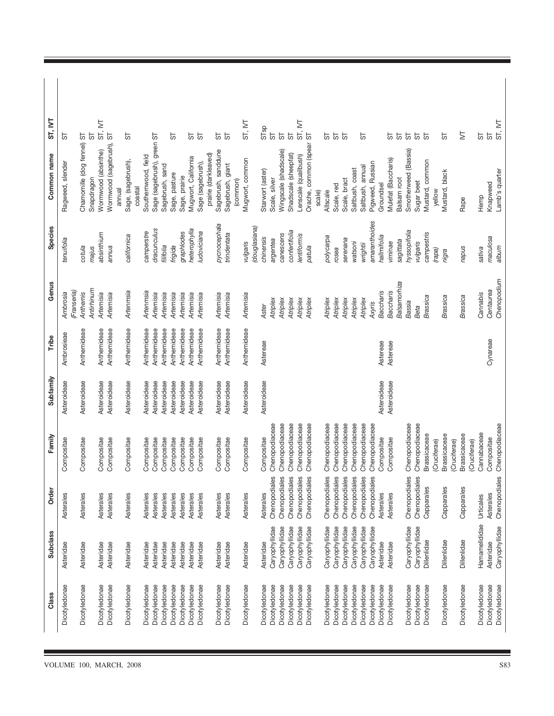| Class                          | <b>Subclass</b>                  | Order                              | Family                              | Subfamily                  | Tribe                      | Genus                                 | Species                   | Common name                                            | ST, IVT          |
|--------------------------------|----------------------------------|------------------------------------|-------------------------------------|----------------------------|----------------------------|---------------------------------------|---------------------------|--------------------------------------------------------|------------------|
| Dicotyledonae                  | Asteridae                        | Asterales                          | Compositae                          | Asteroideae                | Ambrosieae                 | Ambrosia                              | tenuifolia                | Ragweed, slender                                       | 5                |
| Dicotyledonae                  | Asteridae                        | Asterales                          | Compositae                          | Asteroideae                | Anthemideae                | Antirhinum<br>(Franseria)<br>Anthemis | cotula<br>majus           | Chamomille (dog fennel)<br>Snapdragon                  | 5<br>5           |
| Dicotyledonae<br>Dicotyledonae | Asteridae<br>Asteridae           | Asterales<br>Asterales             | Compositae<br>Compositae            | Asteroideae<br>Asteroideae | Anthemideae<br>Anthemideae | Artemisia<br>Artemisia                | absinthium<br>annua       | Wormwood (sagebrush),<br>Wormwood (absinthe)<br>annual | ST, IVT<br>55    |
| Dicotyledonae                  | Asteridae                        | Asterales                          | Compositae                          | Asteroideae                | Anthemideae                | Artenmsia                             | californica               | Sage, (sagebrush),<br>coastal                          | ᡃᢒ               |
| Dicotyledonae                  | Asteridae                        | Asterales                          | Compositae                          | Asteroideae                | Anthemideae                | Artenmsia                             | camperstre                | Southernwood, field                                    |                  |
| Dicotyledonae                  | Asteridae                        | Asterales                          | Compositae                          | Asteroideae                | Anthemideae                | Artemisia                             | dracunculus               | Sage (sagebrush), green ST                             |                  |
| Dicotyledonae                  | Asteridae                        | Asterales                          | Compositae                          | Asteroideae                | Anthemideae                | Artemisia                             | filifolia                 | Sagebrush, sand                                        | 55               |
| Dicotyledonae<br>Dicotyledonae | Asteridae<br>Asteridae           | Asterales<br>Asterales             | Compositae<br>Compositae            | Asteroideae<br>Asteroideae | Anthemideae<br>Anthemideae | Artemisia<br>Artemisia                | graphlodes<br>frigida     | Sage, pasture<br>Sage, prairie                         |                  |
| Dicotyledonae                  | Asteridae                        | Asterales                          | Compositae                          | Asteroideae                | Anthemideae                | Artemisia                             | heterophylla              | Mugwort, California                                    | 5                |
| Dicotyledonae                  | Asteridae                        | Asterales                          | Compositae                          | Asteroideae                | Anthemideae                | Artemisia                             | ludoviciana               | Sage (sagebrush),                                      | 57               |
|                                |                                  |                                    |                                     |                            |                            |                                       |                           | prairie (darkleaved)                                   |                  |
| Dicotyledonae                  | Asteridae                        | Asterales                          | Compositae                          | Asteroideae                | Anthemideae                | Artemisia                             | pycnocephala              | Sagebrush, sanddune                                    | 57               |
| Dicotyledonae                  | Asteridae                        | Asterales                          | Compositae                          | Asteroideae                | Anthemideae                | Artemisia                             | trindentata               | Sagebrush, giant<br>(common)                           | 57               |
| Dicotyledonae                  | Asteridae                        | Asterales                          | Compositae                          | Asteroideae                | Anthemideae                | Artemisia                             | (douglasiana)<br>vulgaris | Mugwort, common                                        | ST, IVT          |
| Dicotyledonae                  | Asteridae                        | Asterales                          | Compositae                          | Asteroideae                | Astereae                   | Aster                                 | chinensis                 | Starwort (aster)                                       | ST <sub>Sp</sub> |
| Dicotyledonae                  | Caryophyllidae                   | ဖ<br>Chenopodiale                  | Chenopodiaceae                      |                            |                            | Atriplex                              | argentea                  | Scale, silver                                          | 55               |
| Dicotyledonae                  | Caryophyllidae                   | ဖ<br>Chenopodiale                  | Chenopodiaceae                      |                            |                            | Atriplex                              | canescens                 | Wingscale (shadscale)                                  | 57               |
| Dicotyledonae                  | Caryophyllidae                   | ဖ<br>Chenopodiale                  | Chenopodiaceae                      |                            |                            | Atriplex                              | confertifolia             | Shadscale (sheepfat)                                   | 57               |
| Dicotyledonae                  | Caryophyllidae                   | w<br>Chenopodiale                  | Chenopodiaceae                      |                            |                            | Atriplex                              | lentiformis               | Lenscale (quailbush)                                   | ST, IVT          |
| Dicotyledonae                  | Caryophyllidae                   | ဖ<br>Chenopodiale                  | Chenopodiaceae                      |                            |                            | Atriplex                              | patula                    | Orache, common (spear                                  | 5                |
|                                |                                  |                                    |                                     |                            |                            |                                       |                           | scale)                                                 |                  |
| Dicotyledonae                  | Caryophyllidae                   | Chenopodiales                      | Chenopodiaceae                      |                            |                            | Atriplex                              | polycarpa                 | Allscale                                               | 5                |
| Dicotyledonae<br>Dicotyledonae | Caryophyllidae                   | Chenopodiales                      | Chenopodiaceae                      |                            |                            | Atriplex<br>Atriplex                  | rosea                     | Scale, bract<br>Scale, red                             | 55<br>5          |
| Dicotyledonae                  | Caryophyllidae                   | Chenopodiales                      | Chenopodiaceae<br>Chenopodiaceae    |                            |                            |                                       | serenana                  | Saltbush, coast                                        |                  |
| Dicotyledonae                  | Caryophyllidae<br>Caryophyllidae | Chenopodiales<br>S<br>Chenopodiale | Chenopodiaceae                      |                            |                            | Atriplex<br>Atriplex                  | watsoni<br>wrightii       | Saltbush, annual                                       | ᡖ                |
| Dicotyledonae                  | Caryophyllidae                   | ဖ<br>Chenopodiale                  | Chenopodiaceae                      |                            |                            | Axyris                                | amaranthoides             | Pigweed, Russian                                       |                  |
| Dicotyledonae                  | Asteridae                        | Asterales                          | Compositae                          | Asteroideae                | Astereae                   | Baccharis                             | hallmifolia               | Groundsel                                              |                  |
| Dicotyledonae                  | Asteridae                        | Asterales                          | Compositae                          | Asteroideae                | Astereae                   | <b>Baccharis</b>                      | viminae                   | Mulefat (Baccharis)                                    | 5                |
|                                |                                  |                                    |                                     |                            |                            | Balsamorhiza                          | sagittata                 | Balsam root                                            | 5                |
| Dicotyledonae                  | Caryophyllidae                   | Chenopodiales                      | Chenopodiaceae                      |                            |                            | Bassia                                | hyssopifolia              | Smotherweed (Bassia)                                   | 5                |
| Dicotyledonae                  | Caryophyllidae                   | ဖ<br>Chenopodiale                  | Chenopodiaceae                      |                            |                            | <b>Beta</b>                           | vulgaris                  | Sugar beet                                             | 55               |
| Dicotyledonae                  | Dillenlidae                      | Capparales                         | Brassicaceae                        |                            |                            | Brassica                              | campestris                | Mustard, common                                        | 5                |
|                                |                                  |                                    | (Cruciferae)                        |                            |                            |                                       | (rapa)                    | yellow                                                 |                  |
| Dicotyledonae                  | Dillenlidae                      | Capparales                         | <b>Brassicaceae</b><br>(Cruciferae) |                            |                            | Brassica                              | nigra                     | Mustard, black                                         | 5                |
| Dicotyledonae                  | Dillenlidae                      | Capparales                         | Brassicaceae                        |                            |                            | Brassica                              | napus                     | Rape                                                   | $\geq$           |
| Dicotyledonae                  | HamamelIdidae                    | Urticales                          | Cannabaceae<br>(Cruciferae)         |                            |                            | Cannabis                              | sativa                    | Hemp                                                   | 57               |
| Dicotyledonae                  | Asteridae                        | Asterales                          | Compositae                          |                            | Cynareae                   | Centaurea                             | maculosa                  | Knapweed                                               | 57               |
| Dicotyledonae                  | Caryophyllidae                   | ဖ<br>Chenopodiale                  | Chenopodiaceae                      |                            |                            | Chenopodium                           | album                     | Lamb's quarter                                         | ST, IVT          |
|                                |                                  |                                    |                                     |                            |                            |                                       |                           |                                                        |                  |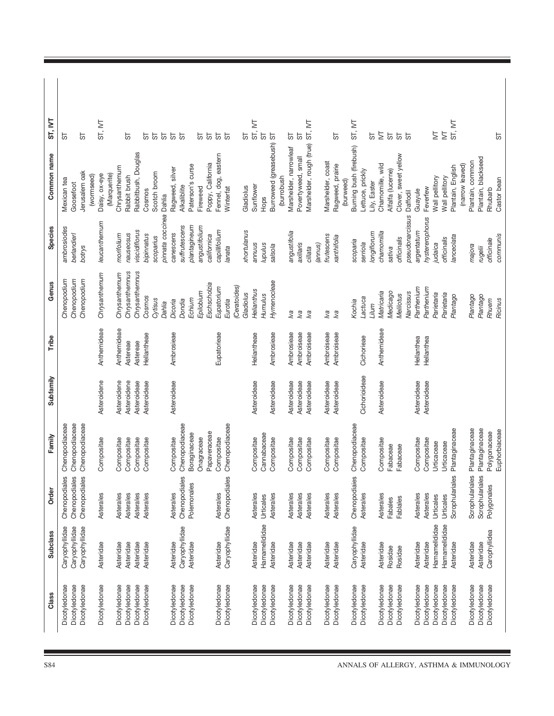| Class                          | <b>Subclass</b>                  | Order                                  | Family                           | Subfamily                  | Tribe                   | Genus                      | Species                     | Common name                   | ST, IVT         |
|--------------------------------|----------------------------------|----------------------------------------|----------------------------------|----------------------------|-------------------------|----------------------------|-----------------------------|-------------------------------|-----------------|
| Dicotyledonae<br>Dicotyledonae | Caryophyllidae<br>Caryophyllidae | ဖ<br>ဖ<br>Chenopodiale<br>Chenopodiale | Chenopodiaceae<br>Chenopodiaceae |                            |                         | Chenopodium<br>Chenopodium | ambrosiodes<br>berlandier!  | Mexican tea<br>Goosefoot      | 57              |
| Dicotyledonae                  | Caryophyllidae                   | Chenopodiales                          | Chenopodiaceae                   |                            |                         | Chenopodium                | botrys                      | Jerusalem oak                 | 55              |
| Dicotyledonae                  | Asteridae                        | Asterales                              | Compositae                       | Asteroidene                | Anthemideae             | Chrysanthemum              | leucanthemum                | Daisy, ox-eye<br>(wormseed)   | ST, IVT         |
|                                |                                  |                                        |                                  |                            |                         |                            |                             | (Marquerite)                  |                 |
| Dicotyledonae                  | Asteridae                        | Asterales                              | Compositae                       | Asteroidene                | Anthemideae             | Chrysanthemum              | morifolium                  | Chrysanthemum                 |                 |
| Dicotyledonae                  | Asteridae                        | Asterales                              | Compositae                       | Asteroidene                | Astereae                | Chrysanthemnus             | nauseosus                   | Rabbit brush                  | ᡃᢅ              |
| Dicotyledonae<br>Dicotyledonae | Asteridae<br>Asteridae           | Asterales<br>Asterales                 | Compositae<br>Compositae         | Asteroideae<br>Asteroideae | Hellantheae<br>Astereae | Chrysanthemnus<br>Cosmos   | viscidiflorus<br>bipinnatus | Rabbitbush, Douglas<br>Cosmos | 55              |
|                                |                                  |                                        |                                  |                            |                         | Cytisus                    | scoparius                   | Scotch broom                  | ত               |
|                                |                                  |                                        |                                  |                            |                         | Dahlia                     | pinnata coccinea            | Dahlia                        | 57              |
| Dicotyledonae                  | Asteridae                        | Asterales                              | Compositae                       | Asteroideae                | Ambrosieae              | Dicoria                    | canescens                   | Ragweed, silver               | 5               |
| Dicotyledonae                  | Caryophyllidae                   | ဖ<br>Chenopodiale                      | Chenopodiaceae                   |                            |                         | Dondia                     | suffrutescens               | Alkaliblite                   | 57              |
| Dicotyledonae                  | Asteridae                        | Polemonales                            | Boraginaceae                     |                            |                         | Echium                     | plantaqineum                | Paterson's curse              |                 |
|                                |                                  |                                        | Onagraceae                       |                            |                         | Epilobium                  | angustifolium               | Fireweed                      | 55              |
|                                |                                  |                                        | Papaveraceae                     |                            |                         | Eschscholzia               | californica                 | Poppy, California             | 57              |
| Dicotyledonae                  | Asteridae                        | Asterales                              | Compositae                       |                            | Eupatorieae             | Eupatorium                 | capillifolium               | Fennel, dog, eastern          | 57              |
| Dicotyledonae                  | Caryophyllidae                   | S<br>Chenopodiale                      | Chenopodiaceae                   |                            |                         | Eurotia                    | lanata                      | Winterfat                     | 57              |
|                                |                                  |                                        |                                  |                            |                         | (Ceratoides)               |                             |                               |                 |
|                                |                                  |                                        |                                  |                            |                         | Gladiolus                  | xhortulanus                 | Gladiolus                     | 5               |
| Dicotyledonae                  | Asteridae                        | Asterales                              | Compositae                       | Asteroideae                | Heliantheae             | Helianthus                 | annuus                      | Sunflower                     | ST, IVT         |
| Dicotyledonae                  | HamamelIdidae                    | Urticales                              | Cannabaceae                      |                            |                         | Humulus                    | lupulus                     | Hops                          | 57              |
| Dicotyledonae                  | Asteridae                        | Asterales                              | Compositae                       | Asteroideae                | Ambrosieae              | Hymenocleae                | salsola                     | Burroweed (greasebush) ST     |                 |
|                                |                                  |                                        |                                  |                            |                         |                            |                             | (burrobush                    |                 |
| Dicotyledonae                  | Asteridae                        | Asterales                              | Compositae                       | Asteroideae                | Ambrosieae              | lva                        | angustifolia                | Marshelder, narrowleaf        | ᡃᢒ              |
| Dicotyledonae                  | Asteridae                        | Asterales                              | Compositae                       | Asteroideae                | Ambroiseae              | lva                        | axillaris                   | Povertyweed, small            | 55              |
| Dicotyledonae                  | Asteridae                        | Asterales                              | Compositae                       | Asteroideae                | Ambroiseae              | lva                        | cillata                     | Marshelder, rough (true)      | ST, IVT         |
|                                |                                  |                                        |                                  |                            |                         |                            | (annus)                     |                               |                 |
| Dicotyledonae                  | Asteridae                        | Asterales                              | Compositae                       | Asteroideae                | Ambroiseae              | lva                        | frutescens                  | Marshelder, coast             |                 |
| Dicotyledonae                  | Asteridae                        | Asterales                              | Compositae                       | Asteroideae                | Ambroiseae              | lva                        | xanthifolia                 | Ragweed, prairie              | 55              |
|                                |                                  |                                        |                                  |                            |                         |                            |                             | (burweed)                     |                 |
| Dicotyledonae                  | Caryophyllidae                   | ဖ<br>Chenopodiaie                      | Chenopodiaceae                   |                            |                         | Kochia                     | scoparia                    | Burning bush (firebush)       | ST, IVT         |
| Dicotyledonae                  | Asteridae                        | Asterales                              | Compositae                       | Cichorioideae              | Cichorieae              | Lactuca                    | serriola                    | Lettuce, prickly              |                 |
|                                |                                  |                                        |                                  |                            |                         | Lilum                      | longiflorum                 | Lily, Easter                  | 55              |
| Dicotyledonae                  | Asteridae                        | Asterales                              | Compositae                       | Asteroideae                | Anthemideae             | Matricaria                 | chamomilla                  | Chamomille, wild              | Σ               |
| Dicotyledonae                  | Rosidae                          | Fabales                                | Fabaceae                         |                            |                         | Medicago                   | sativa                      | Alfalfa (lucerne)             | $5\overline{1}$ |
| Dicotyledonae                  | Rosidae                          | Fablales                               | Fabaceae                         |                            |                         | Melilotus                  | officinalis                 | Clover, sweet yellow          | 5<br>13         |
|                                |                                  |                                        |                                  |                            |                         | Narcissus                  | pseudonarcissus             | Daffodil                      |                 |
| Dicotyledonae                  | Asteridae                        | Asterales                              | Compositae                       | Asteroideae                | Hellanthea              | Parthenium                 | argentatum                  | Guayule                       |                 |
| Dicotyledonae                  | Asteridae                        | Asterales                              | Compositae                       | Asteroideae                | Hellanthea              | Parthenium                 | hystererophorus             | Feverfew                      |                 |
| Dicotyledonae                  | Hamamelldidae                    | Urticales                              | Urticaceae                       |                            |                         | Parietaria                 | judaica                     | Wall pellitory                | Σ               |
| Dicotyledonae                  | Hamamelldidae                    | Urticales                              | Urticaceae                       |                            |                         | Parietaria                 | officinalis                 | Wall pellitory                | $\geq$          |
| Dicotyledonae                  | Asteridae                        | ăś<br>Scrophulariale                   | Plantaginaceae                   |                            |                         | Plantago                   | lanceolata                  | Plantain, English             | ST, IVT         |
|                                |                                  |                                        |                                  |                            |                         |                            |                             | (narrow leaved)               |                 |
| Dicotyledonae                  | Asteridae                        | Scrophulariales                        | Plantaginaceae                   |                            |                         | Plantago                   | majora                      | Plantain, common              |                 |
| Dicotyledonae                  | Asteridae                        | ă,<br>Scrophulariale                   | Plantaginaceae                   |                            |                         | Plantago                   | rugelii                     | Plantain, blackseed           |                 |
| Dicotyledonae                  | Carophyllidea                    | Polygonales                            | Polygonaceae                     |                            |                         | Rhuem                      | officinale                  | Rhubarb                       |                 |
|                                |                                  |                                        | Euphorbiaceae                    |                            |                         | Ricinus                    | communis                    | Castor bean                   | 5               |

×,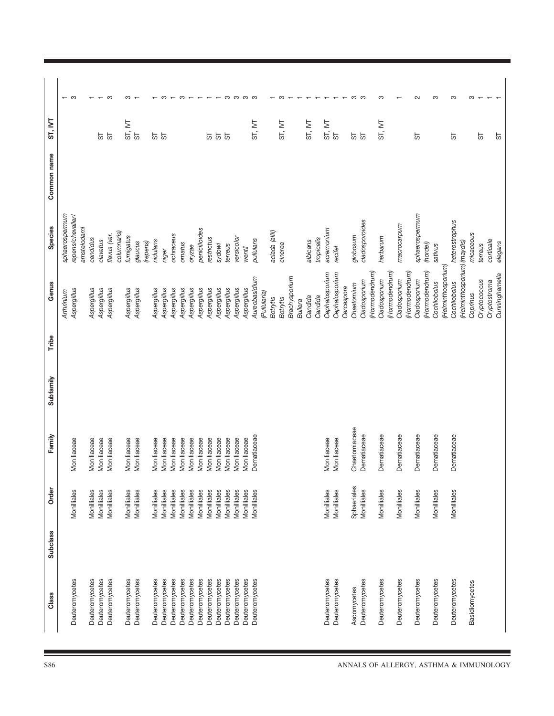| Class          | <b>Subclass</b> | Order       | Family        | Subfamily | Tribe | Genus                      | Species           | Common name | ST, IVT       |              |
|----------------|-----------------|-------------|---------------|-----------|-------|----------------------------|-------------------|-------------|---------------|--------------|
|                |                 |             |               |           |       | Arthrinium                 | sphaerospermum    |             |               |              |
| Deuteromycetes |                 | Monilliales | Moniliaceae   |           |       | Aspergillus                | repens/chevaller/ |             |               | co           |
|                |                 |             |               |           |       |                            | amstelodaml       |             |               |              |
| Deuteromycetes |                 | Monilliales | Moniliaceae   |           |       | Aspergillus                | candidus          |             |               |              |
| Deuteromycetes |                 | Monilliales | Moniliaceae   |           |       | Aspergillus                | clavatus          |             | 5             |              |
| Deuteromycetes |                 | Monilliales | Moniliaceae   |           |       | Aspergillus                | flavus (var.      |             | 57            | က            |
|                |                 |             |               |           |       |                            | columnaris        |             |               |              |
| Deuteromycetes |                 | Monilliales | Moniliaceae   |           |       | Aspergillus                | fumigatus         |             | ST, IVT       | ო            |
| Deuteromycetes |                 | Monilliales | Moniliaceae   |           |       | Aspergillus                | glaucus           |             | 57            |              |
|                |                 |             |               |           |       |                            | (repens)          |             |               |              |
| Deuteromycetes |                 | Monilliales | Moniliaceae   |           |       | Aspergillus                | nidulans          |             | $\frac{1}{6}$ |              |
| Deuteromycetes |                 | Monilliales | Moniliaceae   |           |       | Aspergillus                | niger             |             |               |              |
| Deuteromycetes |                 | Monilliales | Moniliaceae   |           |       | Aspergillus                | ochraceus         |             |               |              |
| Deuteromycetes |                 | Monilliales | Moniliaceae   |           |       | Aspergillus                | omatus            |             |               |              |
| Deuteromycetes |                 | Monilliales | Moniliaceae   |           |       | Aspergillus                | oryzae            |             |               |              |
| Deuteromycetes |                 | Monilliales | Moniliaceae   |           |       | Aspergillus                | penicilloides     |             |               |              |
| Deuteromycetes |                 | Monilliales | Moniliaceae   |           |       | Aspergillus                | restrictus        |             | 5             |              |
| Deuteromycetes |                 | Monilliales | Moniliaceae   |           |       | Aspergillus                | sydowi            |             | 57            |              |
| Deuteromycetes |                 | Monilliales | Moniliaceae   |           |       | Aspergillus                | terreus           |             | 57            | S            |
| Deuteromycetes |                 | Monilliales | Moniliaceae   |           |       | Aspergillus                | versicolor        |             |               | ო            |
| Deuteromycetes |                 | Monilliales | Moniliaceae   |           |       | Aspergillus                | wentii            |             |               | ო            |
| Deuteromycetes |                 | Monilliales | Dematiaceae   |           |       | Aureobasidium              | pullulans         |             | ST, IVT       | ന            |
|                |                 |             |               |           |       | Pullularia)                |                   |             |               |              |
|                |                 |             |               |           |       | Botrytis                   | aclada (allii)    |             |               |              |
|                |                 |             |               |           |       | <b>Botrytis</b>            | cinerea           |             | ST, IVT       |              |
|                |                 |             |               |           |       | Brachysporium              |                   |             |               |              |
|                |                 |             |               |           |       |                            |                   |             |               |              |
|                |                 |             |               |           |       | <b>Bullera</b>             |                   |             |               |              |
|                |                 |             |               |           |       | Candida                    | albicans          |             | ST, IVT       |              |
|                |                 |             |               |           |       | Candida                    | tropicalis        |             |               |              |
| Deuteromycetes |                 | Monilliales | Moniliaceae   |           |       | Cephalosporium             | acremonium        |             | ST, IVT       |              |
| Deuteromycetes |                 | Monilliales | Moniliaceae   |           |       | Cephalosporium             | recifel           |             | 55            |              |
|                |                 |             |               |           |       | Cercaspora                 |                   |             |               |              |
| Ascomycetes    |                 | Sphaeriales | Chaetomiaceae |           |       | Chaetomium                 | globosum          |             | 57            | ო            |
| Deuteromycetes |                 | Monilliales | Dematiaceae   |           |       | Cladosporium               | cladosporoides    |             | 57            | ∞            |
|                |                 |             |               |           |       | Hormodendrum)              |                   |             |               |              |
| Deuteromycetes |                 | Monilliales | Dematiaceae   |           |       | Cladosporium               | herbarum          |             | ST, IVT       | ო            |
|                |                 |             |               |           |       | Hormodendrum)              |                   |             |               |              |
| Deuteromycetes |                 | Monilliales | Dematiaceae   |           |       | Cladosporium               | macrocarpum       |             |               |              |
|                |                 |             |               |           |       | (Hormodendrum              |                   |             |               |              |
| Deuteromycetes |                 | Monilliales | Dematiaceae   |           |       | Cladosporium               | sphaerospermum    |             | 57            | $\mathbf{c}$ |
|                |                 |             |               |           |       | (Hormodendrum              | (hordei)          |             |               |              |
| Deuteromycetes |                 | Monilliales | Dematiaceae   |           |       | <b>Cochliobolus</b>        | sativus           |             |               | S            |
|                |                 |             |               |           |       | (Helminthosporium          |                   |             |               |              |
| Deuteromycetes |                 | Monilliales | Dematiaceae   |           |       | Cochliobolus               | heterostrophus    |             | ದ             | S            |
|                |                 |             |               |           |       | (Helminthosporium) (maydis |                   |             |               |              |
| Basidiomycetes |                 |             |               |           |       | Coprinus                   | micaceous         |             |               | က            |
|                |                 |             |               |           |       | Cryptococcus               | terreus           |             | 57            |              |
|                |                 |             |               |           |       | Cryptostroma               | corticale         |             |               |              |
|                |                 |             |               |           |       | Cunninghamella             | elegans           |             | 55            |              |

Ξ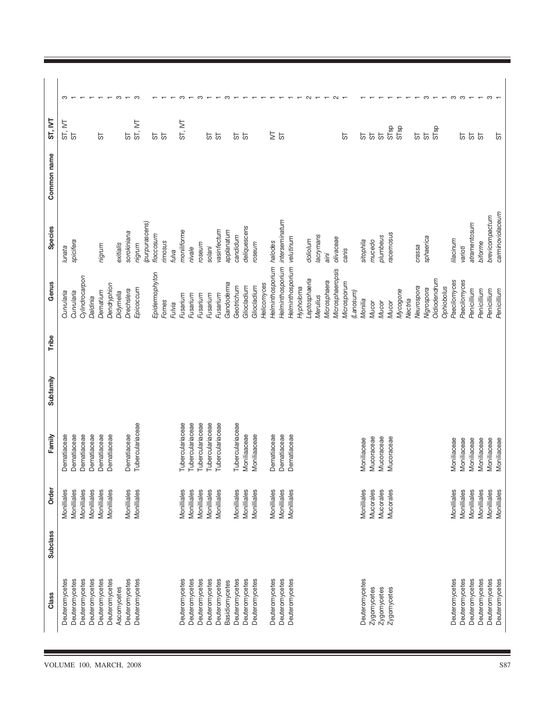| Class                 | <b>Subclass</b> | Order       | Family           | Tribe<br>Subfamily | Genus               | Species          | Common name | ST, IVT          |   |
|-----------------------|-----------------|-------------|------------------|--------------------|---------------------|------------------|-------------|------------------|---|
| Deuteromycetes        |                 | Monilliales | Dematiaceae      |                    | Curvularia          | lunata           |             |                  | ന |
| Deuteromycetes        |                 | Monilliales | Dematiaceae      |                    | Curvularia          | spicifera        |             | ST, IVT<br>ST    |   |
| Deuteromycetes        |                 | Monilliales | Dematiaceae      |                    | Cylindrocarpon      |                  |             |                  |   |
| Deuteromycetes        |                 | Monilliales | Dematiaceae      |                    | Daldinia            |                  |             |                  |   |
| Deuteromycetes        |                 | Monilliales | Dematiaceae      |                    | Dematium            | nigrum           |             | 55               |   |
| Deuteromycetes        |                 | Monilliales | Dematiaceae      |                    | Dendryphion         |                  |             |                  |   |
| Ascomycetes           |                 |             |                  |                    | Didymella           | exitialis        |             |                  |   |
| Deuteromycetes        |                 | Monilliales | Dematiaceae      |                    | Drechslera          | sorokiniana      |             | 57               |   |
| Deuteromycetes        |                 | Monilliales | Tuberculariaceae |                    | Epicoccum           | nigrum           |             | ST, IVT          | C |
|                       |                 |             |                  |                    |                     | (purpurascens)   |             |                  |   |
|                       |                 |             |                  |                    | Epidermophyton      | floccosum        |             | 57               |   |
|                       |                 |             |                  |                    | Fomes               | rimosus          |             | 57               |   |
|                       |                 |             |                  |                    | Fulvia              | fulva            |             |                  |   |
| Deuteromycetes        |                 | Monilliales | Tuberculariaceae |                    | Fusarium            | moniliforme      |             | ST, IVT          |   |
| Deuteromycetes        |                 | Monilliales | Tuberculariaceae |                    | Fusarium            | nivale           |             |                  |   |
| Deuteromycetes        |                 | Monilliales | Tuberculariaceae |                    | Fusarium            | roseum           |             |                  |   |
| Deuteromycetes        |                 | Monilliales | Tuberculariaceae |                    | Fusarium            | solani           |             | 55               |   |
| Deuteromycetes        |                 | Monilliales | Tuberculariaceae |                    | Fusarium            | asinfectum       |             | 57               |   |
| Basidiomycetes        |                 |             |                  |                    | Gandoderma          | applanatum       |             |                  |   |
| Deuteromycetes        |                 | Monilliales | Tuberculariaceae |                    | Geotrichum          | candidum         |             |                  |   |
| Deuteromycetes        |                 | Monilliales | Moniliaaceae     |                    | Gliocladium         | deliquescens     |             | 75<br>75         |   |
| Deuteromycetes        |                 | Monilliales | Moniliaaceae     |                    | Gliocladium         | runeso.          |             |                  |   |
|                       |                 |             |                  |                    | Helicomyces         |                  |             |                  |   |
| Deuteromycetes        |                 | Monilliales | Dematiaceae      |                    | Helminthosporium    | halodes          |             |                  |   |
| Deuteromycetes        |                 | Monilliales | Dematiaceae      |                    | Helminthosporium    | interseminatum   |             | 정                |   |
| Deuteromycetes        |                 | Monilliales | Dematiaceae      |                    | Helminthosporium    | velutinum        |             |                  |   |
|                       |                 |             |                  |                    | Hypholoma           |                  |             |                  |   |
|                       |                 |             |                  |                    | eptosphaeria        | doliolum         |             |                  |   |
|                       |                 |             |                  |                    | <b>Merulius</b>     | lacrymans        |             |                  |   |
|                       |                 |             |                  |                    | Microsphaera        | aini             |             |                  |   |
|                       |                 |             |                  |                    | Microsphaeropsis    | olivaceae        |             |                  |   |
|                       |                 |             |                  |                    | Microsporum         | canis            |             | 55               |   |
|                       |                 |             |                  |                    | (mnsoue)            |                  |             |                  |   |
| <b>Deuteromycetes</b> |                 | Monilliales | Moniliaceae      |                    | Monilia             | sitophila        |             | 55               |   |
| Zygomycetes           |                 | Mucorales   | Mucoraceae       |                    | <b>Mucor</b>        | mucedo           |             | 57               |   |
| Zygomycetes           |                 | Mucorales   | Mucoraceae       |                    | Mucor               | plumbeus         |             | 57               |   |
| Zygomycetes           |                 | Mucorales   | Mucoraceae       |                    | <b>Mucor</b>        | racemosus        |             | ST <sub>Sp</sub> |   |
|                       |                 |             |                  |                    | Mycogone            |                  |             | STsp             |   |
|                       |                 |             |                  |                    | Vectria             |                  |             |                  |   |
|                       |                 |             |                  |                    | Neurospora          | crassa           |             | 55               |   |
|                       |                 |             |                  |                    | Nigrospora          | sphaerica        |             | 57               |   |
|                       |                 |             |                  |                    | <b>Didiodendrum</b> |                  |             | ST <sub>Sp</sub> |   |
|                       |                 |             |                  |                    | Ophiobolus          |                  |             |                  |   |
| Deuteromycetes        |                 | Monilliales | Moniliaceae      |                    | Paecilomyces        | lilacinum        |             |                  |   |
| Deuteromycetes        |                 | Monilliales | Moniliaceae      |                    | Paecilomyces        | varioti          |             | 57               | ო |
| Deuteromycetes        |                 | Monilliales | Moniliaceae      |                    | Penicillium         | atramentosum     |             | 57               |   |
| Deuteromycetes        |                 | Monilliales | Moniliaceae      |                    | Penicillium         | biforme          |             | 5                |   |
| Deuteromycetes        |                 | Monilliales | Moniliaceae      |                    | Penicillium         | brevicompactum   |             |                  |   |
| Deuteromycetes        |                 | Monilliales | Moniliaceae      |                    | Penicillium         | carminoviolaceum |             | 55               |   |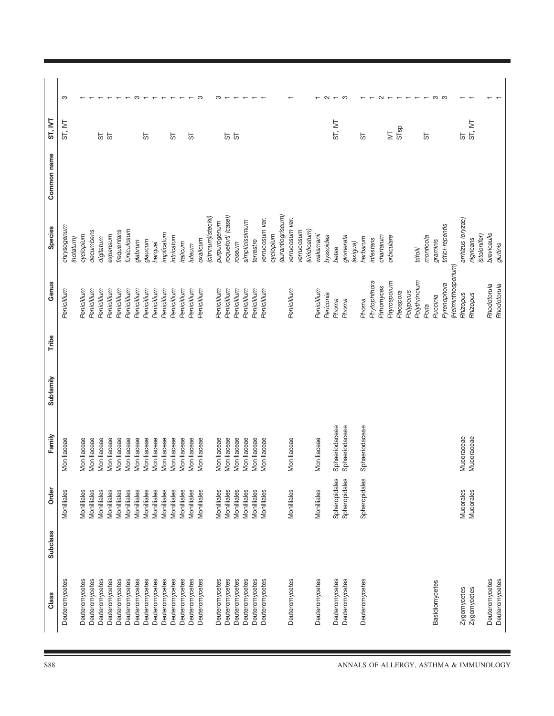| Class                 | <b>Subclass</b> | Order         | Family         | Subfamily | Tribe | Genus              | Species             | Common name | ST, IVT          |        |
|-----------------------|-----------------|---------------|----------------|-----------|-------|--------------------|---------------------|-------------|------------------|--------|
| Deuteromycetes        |                 | Monilliales   | Moniliaceae    |           |       | Penicillium        | chrysogenum         |             | ST, IVT          | က      |
|                       |                 |               |                |           |       |                    | (notatum)           |             |                  |        |
| Deuteromycetes        |                 | Monilliales   | Moniliaceae    |           |       | Penicillium        | cyclopium           |             |                  |        |
| Deuteromycetes        |                 | Monilliales   | Moniliaceae    |           |       | Penicillium        | decumbens           |             |                  |        |
| Deuteromycetes        |                 | Monilliales   | Moniliaceae    |           |       | Penicillium        | digitatum           |             | 5                |        |
| Deuteromycetes        |                 | Monilliales   | Moniliaceae    |           |       | Penicillium        | expansum            |             | 57               |        |
| Deuteromycetes        |                 | Monilliales   | Moniliaceae    |           |       | Penicillium        | frequentans         |             |                  |        |
| Deuteromycetes        |                 | Monilliales   | Moniliaceae    |           |       | Penicillium        | funiculosum         |             |                  |        |
| Deuteromycetes        |                 | Monilliales   | Moniliaceae    |           |       | Penicillium        | glabrum             |             |                  |        |
| Deuteromycetes        |                 | Monilliales   | Moniliaceae    |           |       | Penicillium        | glaucum             |             | 55               |        |
| Deuteromycetes        |                 | Monilliales   | Moniliaceae    |           |       | Penicillium        | herquei             |             |                  |        |
| Deuteromycetes        |                 | Monilliales   | Moniliaceae    |           |       | Penicillium        | implicatum          |             |                  |        |
| Deuteromycetes        |                 | Monilliales   | Moniliaceae    |           |       | Penicillium        | intricatum          |             | ᡃᢒ               |        |
| Deuteromycetes        |                 | Vlonilliales  | Moniliaceae    |           |       | Penicillium        | talicum             |             |                  |        |
| Deuteromycetes        |                 | Monilliales   | Moniliaceae    |           |       | Penicillium        | luteum              |             | 55               |        |
| Deuteromycetes        |                 | Vlonilliales  | Moniliaceae    |           |       | Penicillium        | oxallcum            |             |                  | ന      |
|                       |                 |               |                |           |       |                    | (citrinum)(steckii) |             |                  |        |
| Deuteromycetes        |                 | Monilliales   | Moniliaceae    |           |       | Penicillium        | purpurogenum        |             |                  | ო      |
| Deuteromycetes        |                 | Monilliales   | Moniliaceae    |           |       | Penicillium        | roqueforti (casel)  |             | 55               |        |
| Deuteromycetes        |                 | Monilliales   | Moniliaceae    |           |       | Penicillium        | roseum              |             | 5                |        |
| Deuteromycetes        |                 | Monilliales   | Moniliaceae    |           |       | Penicillium        | simplicissimum      |             |                  |        |
| Deuteromycetes        |                 | Monilliales   | Moniliaceae    |           |       | Penicillium        | terrestre           |             |                  |        |
| Deuteromycetes        |                 | Monilliales   | Moniliaceae    |           |       | Penicillium        | verrucosum var.     |             |                  |        |
|                       |                 |               |                |           |       |                    | cyclopium           |             |                  |        |
|                       |                 |               |                |           |       |                    | (aurantiogriseum)   |             |                  |        |
| Deuteromycetes        |                 | Monilliales   | Moniliaceae    |           |       | Penicillium        | verrucosum var.     |             |                  |        |
|                       |                 |               |                |           |       |                    | verrucosum          |             |                  |        |
|                       |                 |               |                |           |       |                    | (viridicatum)       |             |                  |        |
| Deuteromycetes        |                 | Monilliales   | Moniliaceae    |           |       | Penicillium        | waksmanii           |             |                  |        |
|                       |                 |               |                |           |       | Periconia          | byssoides           |             |                  | $\sim$ |
| Deuteromycetes        |                 | Spheropidales | Sphaeriodaceae |           |       | Phoma              | betae               |             | ST, IVT          |        |
| Deuteromycetes        |                 | Spheropidales | Sphaeriodaceae |           |       | Phoma              | glomerata           |             |                  | ന      |
|                       |                 |               |                |           |       |                    | (exigua)            |             |                  |        |
| Deuteromycetes        |                 | Spheropidales | Sphaeriodaceae |           |       | Phoma              | herbarum            |             | 57               |        |
|                       |                 |               |                |           |       | Phytophthora       | infestans           |             |                  |        |
|                       |                 |               |                |           |       | Pithomyces         | chartarum           |             |                  |        |
|                       |                 |               |                |           |       | Pityrosporum       | orbiculare          |             | Z                |        |
|                       |                 |               |                |           |       | Pleospora          |                     |             | ST <sub>Sp</sub> |        |
|                       |                 |               |                |           |       | Polyporus          |                     |             |                  |        |
|                       |                 |               |                |           |       | Polythrincium      | trifolii            |             |                  |        |
|                       |                 |               |                |           |       | Poria              | monticola           |             | ದ                |        |
| <b>Basidiomycetes</b> |                 |               |                |           |       | Puccinia           | graminis            |             |                  | S      |
|                       |                 |               |                |           |       | Pyrenophora        | tritici-repentis    |             |                  | ო      |
|                       |                 |               |                |           |       | (Helminthosporium) |                     |             |                  |        |
| Zygomycetes           |                 | Mucorales     | Mucoraceae     |           |       | Rhizopus           | arrhizus (oryzae)   |             | 57               |        |
| Zygomycetes           |                 | Mucorales     | Mucoraceae     |           |       | Rhizopus           | nigricans           |             | ST, IVT          |        |
|                       |                 |               |                |           |       |                    | (stolonifer)        |             |                  |        |
| Deuteromycetes        |                 |               |                |           |       | Rhodotorula        | brevicaulis         |             |                  |        |
| Deuteromycetes        |                 |               |                |           |       | Rhodotorula        | glutinis            |             |                  |        |

Ξ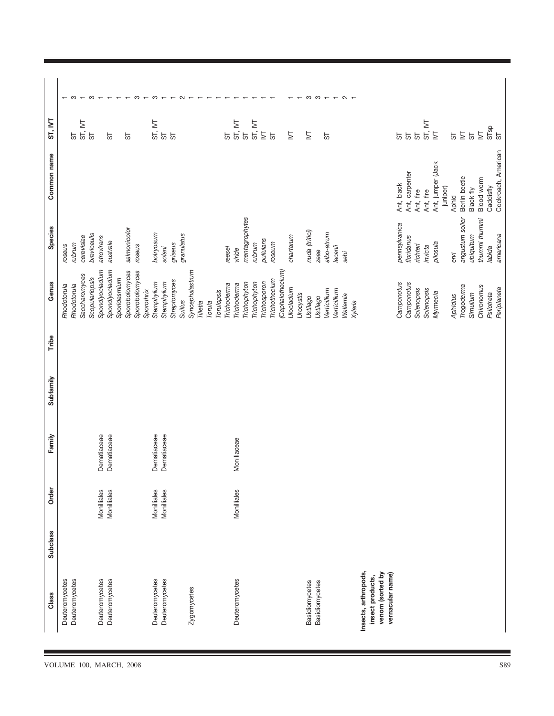|                 |                | ന              |               | S              |                 |                 |              |                | ന              |            | ന              |                |              | $\sim$     |                 |          |        |            |             |                |                |              |                     |               |                  |            |           |                       |                       | $\infty$ $\infty$ $\leftarrow$ | $\overline{ }$ |          | $\sim$ $-$ |                                          |                  |                  |               |                |                 |                |                   |          |          |                 |           |               |                  |                     |
|-----------------|----------------|----------------|---------------|----------------|-----------------|-----------------|--------------|----------------|----------------|------------|----------------|----------------|--------------|------------|-----------------|----------|--------|------------|-------------|----------------|----------------|--------------|---------------------|---------------|------------------|------------|-----------|-----------------------|-----------------------|--------------------------------|----------------|----------|------------|------------------------------------------|------------------|------------------|---------------|----------------|-----------------|----------------|-------------------|----------|----------|-----------------|-----------|---------------|------------------|---------------------|
| ST, IVT         |                | ST<br>ST, IVT  |               | 57             |                 | 57              |              | 57             |                |            | 하 2<br>인<br>인  |                |              |            |                 |          |        |            | 57          | ST, IVT<br>ST  |                |              | ST, IVT<br>ST<br>ST |               |                  | $\geq$     |           | Z                     |                       | 57                             |                |          |            |                                          |                  |                  | 55            | 57             | $5\overline{1}$ | ST, IVT<br>IVT |                   |          | 55       | $\bar{\Xi}$     |           | $\Xi$         | ST <sub>Sp</sub> | 55                  |
| Common name     |                |                |               |                |                 |                 |              |                |                |            |                |                |              |            |                 |          |        |            |             |                |                |              |                     |               |                  |            |           |                       |                       |                                |                |          |            |                                          |                  |                  | Ant, black    | Ant, carpenter | Ant, fire       | Ant, fire      | Ant, jumper (Jack | juniper) | Aphid    | Berlin beetle   | Black fly | Blood worm    | Caddisfly        | Cockroach, American |
| Species         | roseus         | rubrum         | cerevislae    | brevicaulis    | atrovirens      | australe        |              | salmonicolor   | roseus         |            | botryosum      | solani         | griseus      | granulatus |                 |          |        |            | reesel      | viride         | mentagrophytes | rubrum       | pullulans           | roseum        |                  | chartarum  |           | nuda (tritici)        | zeae                  | albo-atrum                     | lecanii        | sebi     |            |                                          |                  |                  | pennsylvanica | floridanus     | richteri        | invicta        | pilosula          |          | eni      | angustum solier | ubiquitum | thummi thummi | labida           | americana           |
| Genus           | Rhodotorula    | Rhodotorula    | Saccharomyces | Scopulariopsis | Spondlyocladium | Spondlyocladium | Sporidesmium | Sporobolomyces | Sporobolomyces | Sporothrix | Stemphylium    | Stemphylium    | Streptomyces | Suillus    | Syncephalastrum | Tilletia | Torula | Torulopsis | Trichoderma | Trichoderma    | Trichophyton   | Trichophyton | Trichosporon        | Trichothecium | (Cephalothecium) | Ulocladium | Urocystis | Ustilago              | Ustilago              | Verticillium                   | Verticillium   | Wallemia | Xylaria    |                                          |                  |                  | Camponotus    | Camponotus     | Solenopsis      | Solenopsis     | Myrmecia          |          | Aphidius | Trogoderma      | Simulium  | Chironomus    | Psilotreta       | Periplaneta         |
| Tribe           |                |                |               |                |                 |                 |              |                |                |            |                |                |              |            |                 |          |        |            |             |                |                |              |                     |               |                  |            |           |                       |                       |                                |                |          |            |                                          |                  |                  |               |                |                 |                |                   |          |          |                 |           |               |                  |                     |
| Subfamily       |                |                |               |                |                 |                 |              |                |                |            |                |                |              |            |                 |          |        |            |             |                |                |              |                     |               |                  |            |           |                       |                       |                                |                |          |            |                                          |                  |                  |               |                |                 |                |                   |          |          |                 |           |               |                  |                     |
| Family          |                |                |               |                | Dematiaceae     | Dematiaceae     |              |                |                |            | Dematiaceae    | Dematiaceae    |              |            |                 |          |        |            |             | Moniliaceae    |                |              |                     |               |                  |            |           |                       |                       |                                |                |          |            |                                          |                  |                  |               |                |                 |                |                   |          |          |                 |           |               |                  |                     |
| Order           |                |                |               |                | Monilliales     | Monilliales     |              |                |                |            | Monilliales    | Monilliales    |              |            |                 |          |        |            |             | Monilliales    |                |              |                     |               |                  |            |           |                       |                       |                                |                |          |            |                                          |                  |                  |               |                |                 |                |                   |          |          |                 |           |               |                  |                     |
| <b>Subclass</b> |                |                |               |                |                 |                 |              |                |                |            |                |                |              |            |                 |          |        |            |             |                |                |              |                     |               |                  |            |           |                       |                       |                                |                |          |            |                                          |                  |                  |               |                |                 |                |                   |          |          |                 |           |               |                  |                     |
| Class           | Deuteromycetes | Deuteromycetes |               |                | Deuteromycetes  | Deuteromycetes  |              |                |                |            | Deuteromycetes | Deuteromycetes |              |            | Zygomycetes     |          |        |            |             | Deuteromycetes |                |              |                     |               |                  |            |           | <b>Basidiomycetes</b> | <b>Basidiomycetes</b> |                                |                |          |            | Insects, arthropods,<br>insect products, | venom (sorted by | vernacular name) |               |                |                 |                |                   |          |          |                 |           |               |                  |                     |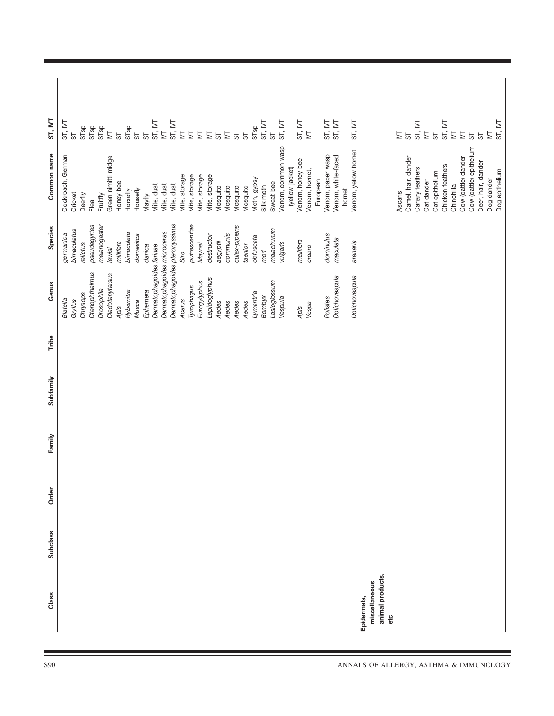| Class            | <b>Subclass</b> | Order | Family | Subfamily | Tribe | Genus                          | Species       | Common name                        | ST, IVT                        |
|------------------|-----------------|-------|--------|-----------|-------|--------------------------------|---------------|------------------------------------|--------------------------------|
|                  |                 |       |        |           |       |                                |               |                                    |                                |
|                  |                 |       |        |           |       | Blatella                       | germanica     | Cockroach, German                  | ST, IVT                        |
|                  |                 |       |        |           |       | Gryllus                        | bimaculatus   | Cricket                            | 5                              |
|                  |                 |       |        |           |       | Chrysops                       | relictus      | Deerfly                            | ST <sub>sp</sub>               |
|                  |                 |       |        |           |       | Ctenophthalmus                 | pseudagyrtes  | Flea                               | ST <sub>sp</sub>               |
|                  |                 |       |        |           |       | Drosophila                     | melanogaster  | Fruitfly                           | ST <sub>Sp</sub>               |
|                  |                 |       |        |           |       | Cladotanytarsus                | lewisi        | Green nimitti midge                | $\geq$                         |
|                  |                 |       |        |           |       | Apis                           | millifera     | Honey bee                          | 55                             |
|                  |                 |       |        |           |       | Hybomitra                      | bimaculata    | Horsefly                           | ST <sub>sp</sub>               |
|                  |                 |       |        |           |       | Musca                          | domesitca     | Housefly                           | 55                             |
|                  |                 |       |        |           |       | Ephemera                       | danica        | Mayfly                             | 57                             |
|                  |                 |       |        |           |       | Dermatophagoides farinae       |               | Vite, dust                         | ST, IVT                        |
|                  |                 |       |        |           |       | Dermatophagoides microceras    |               | Mite, dust                         | $\geq$                         |
|                  |                 |       |        |           |       | Dermatophagoides pteronyssinus |               | Mite, dust                         | ST, IVT                        |
|                  |                 |       |        |           |       | Acarus                         | Siro          | Mite, storage                      | $\geq$                         |
|                  |                 |       |        |           |       | Tyrophagus                     | putrescentiae | Mite, storage                      | $\bar{\Xi}$                    |
|                  |                 |       |        |           |       | Eurogylyphus                   | Maynei        | Mite, storage                      | $\overline{\Sigma}$            |
|                  |                 |       |        |           |       | Lepidoglyphus                  | destructor    | Mite, storage                      | $\geq$                         |
|                  |                 |       |        |           |       | Aedes                          | aegyptii      | Mosquito                           | 55                             |
|                  |                 |       |        |           |       | Aedes                          | communis      | Mosquito                           | Σ                              |
|                  |                 |       |        |           |       | Aedes                          | culex-pipiens | Mosquito                           | 57                             |
|                  |                 |       |        |           |       | Aedes                          | taenior       | Mosquito                           | 57                             |
|                  |                 |       |        |           |       | Lymantria                      | obfuscata     | Moth, gypsy                        | ST <sub>Sp</sub>               |
|                  |                 |       |        |           |       | <b>Bombyx</b>                  | mori          | Silk moth                          | ST, IVT                        |
|                  |                 |       |        |           |       | Lasioglossum                   | malachurum    | Sweat bee                          | $\frac{1}{2}$                  |
|                  |                 |       |        |           |       | Vespula                        | vulgaris      | Venom, common wasp                 | ST, IVT                        |
|                  |                 |       |        |           |       |                                |               | (yellow jacket)                    |                                |
|                  |                 |       |        |           |       | Apis                           | mellifera     | Venom, honey bee                   | ST, IVT                        |
|                  |                 |       |        |           |       | Vespa                          | crabro        | Venom, hornet,                     | $\overline{\Sigma}$            |
|                  |                 |       |        |           |       |                                |               | European                           |                                |
|                  |                 |       |        |           |       | Polistes                       | dominulus     | Venom, paper wasp                  | ST, IVT<br>ST, IVT             |
|                  |                 |       |        |           |       | Dolichovespula                 | maculata      | Venom, white-faced<br>hornet       |                                |
|                  |                 |       |        |           |       | Dolichovespula                 | arenaria      | Venom, yellow hornet               | ST, IVT                        |
| Epidermals,      |                 |       |        |           |       |                                |               |                                    |                                |
| miscellaneous    |                 |       |        |           |       |                                |               |                                    |                                |
| animal products, |                 |       |        |           |       |                                |               |                                    |                                |
| etc              |                 |       |        |           |       |                                |               |                                    |                                |
|                  |                 |       |        |           |       |                                |               | Ascaris                            | Σ                              |
|                  |                 |       |        |           |       |                                |               | Camel, hair, dander                | ST, IVT<br>57                  |
|                  |                 |       |        |           |       |                                |               | Canary feathers                    |                                |
|                  |                 |       |        |           |       |                                |               | Cat dander                         | $\gtrsim$ $\frac{1}{\sqrt{2}}$ |
|                  |                 |       |        |           |       |                                |               | Chicken feathers<br>Cat epithelium | ST, IVT                        |
|                  |                 |       |        |           |       |                                |               | Chinchilla                         | $\overline{\Sigma}$            |
|                  |                 |       |        |           |       |                                |               | Cow (cattle) dander                | $\geq$                         |
|                  |                 |       |        |           |       |                                |               | Cow (cattle) epithelium            | 57                             |
|                  |                 |       |        |           |       |                                |               | Deer, hair, dander                 | 55                             |
|                  |                 |       |        |           |       |                                |               | Dog dander                         | $\geq$                         |
|                  |                 |       |        |           |       |                                |               | Dog epithelium                     | ST, IVT                        |
|                  |                 |       |        |           |       |                                |               |                                    |                                |

×,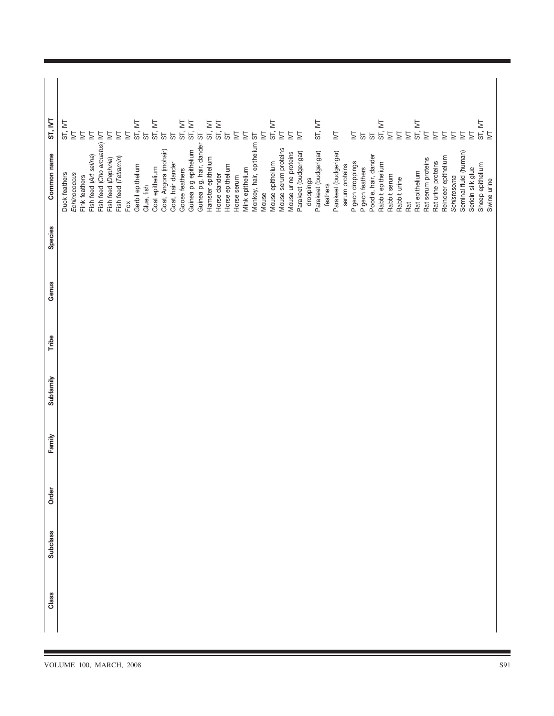| ST, IVT<br>ST, IVT<br>ST, IVT<br>ST, IVT<br>ST, IVT<br>ST, IVT<br>$\frac{1}{2}$ ST, IVT<br>IVT<br>ST, IVT<br>ST, IVT<br>ST, IVT<br>ST, IVT<br>ST, IVT<br>$\geq$<br>57<br>$\bar{\Xi}$<br>Fish feed (Cho arcuatus) IVT<br>$\geq$<br>$\geq$<br>$\bar{\Xi}$<br>$\geq$<br>$\geq$<br>$\Xi$ $\Xi$<br>$\bar{\Xi}$<br>$\geq$<br>$\geq$<br>$\geq$<br>$5\overline{6}$<br>$\geq$<br>$\geq$<br>$\geq$<br>$\geq$<br>$\overline{\Sigma}$<br>$\bar{\Xi}$<br>$\overline{\Sigma}$<br>$\bar{\Xi}$<br>$5\overline{6}$<br>57<br>57<br>$\geq$<br>Σ<br>Monkey, hair, epithelium ST<br>57<br>Guinea pig, hair, dander<br>Mouse serum proteins<br>Goat, Angora (mohair)<br>Guinea pig epithelium<br>Parakeet (budgerigar)<br>Parakeet (budgerigar)<br>Seminal fluid (human)<br>Parakeet (budgerigar)<br>Mouse urine proteins<br>Fish feed (Art salina)<br>Poodle, hair, dander<br>Reindeer epithelium<br>Fish feed (Tetramin)<br>Hamster epithelium<br>Fish feed (Daphnia)<br>Rat serum proteins<br>Rat urine proteins<br>Mouse epithelium<br>Pigeon droppings<br>Goat, hair dander<br>Rabbit epithelium<br>Sheep epithelium<br>Gerbil epithelium<br>serum proteins<br>Horse epithelium<br>Goat epithelium<br>Sericin silk glue<br>Pigeon feathers<br>Mink epithelium<br>Goose feathers<br>Rat epithelium<br>Echinococcus<br>Horse dander<br>Duck feathers<br>Rabbit serum<br>Fink feathers<br>Horse serum<br>Schistosoma<br>droppings<br>Rabbit urine<br>Swine urine<br>feathers<br>Glue, fish<br>Mouse<br>Fox<br>Rat | Class | <b>Subclass</b> | Order | Family | Subfamily | Tribe | Genus | Species | Common name | ST, IVT |  |
|-----------------------------------------------------------------------------------------------------------------------------------------------------------------------------------------------------------------------------------------------------------------------------------------------------------------------------------------------------------------------------------------------------------------------------------------------------------------------------------------------------------------------------------------------------------------------------------------------------------------------------------------------------------------------------------------------------------------------------------------------------------------------------------------------------------------------------------------------------------------------------------------------------------------------------------------------------------------------------------------------------------------------------------------------------------------------------------------------------------------------------------------------------------------------------------------------------------------------------------------------------------------------------------------------------------------------------------------------------------------------------------------------------------------------------------------------------------------------------------------------|-------|-----------------|-------|--------|-----------|-------|-------|---------|-------------|---------|--|
|                                                                                                                                                                                                                                                                                                                                                                                                                                                                                                                                                                                                                                                                                                                                                                                                                                                                                                                                                                                                                                                                                                                                                                                                                                                                                                                                                                                                                                                                                               |       |                 |       |        |           |       |       |         |             |         |  |
|                                                                                                                                                                                                                                                                                                                                                                                                                                                                                                                                                                                                                                                                                                                                                                                                                                                                                                                                                                                                                                                                                                                                                                                                                                                                                                                                                                                                                                                                                               |       |                 |       |        |           |       |       |         |             |         |  |
|                                                                                                                                                                                                                                                                                                                                                                                                                                                                                                                                                                                                                                                                                                                                                                                                                                                                                                                                                                                                                                                                                                                                                                                                                                                                                                                                                                                                                                                                                               |       |                 |       |        |           |       |       |         |             |         |  |
|                                                                                                                                                                                                                                                                                                                                                                                                                                                                                                                                                                                                                                                                                                                                                                                                                                                                                                                                                                                                                                                                                                                                                                                                                                                                                                                                                                                                                                                                                               |       |                 |       |        |           |       |       |         |             |         |  |
|                                                                                                                                                                                                                                                                                                                                                                                                                                                                                                                                                                                                                                                                                                                                                                                                                                                                                                                                                                                                                                                                                                                                                                                                                                                                                                                                                                                                                                                                                               |       |                 |       |        |           |       |       |         |             |         |  |
|                                                                                                                                                                                                                                                                                                                                                                                                                                                                                                                                                                                                                                                                                                                                                                                                                                                                                                                                                                                                                                                                                                                                                                                                                                                                                                                                                                                                                                                                                               |       |                 |       |        |           |       |       |         |             |         |  |
|                                                                                                                                                                                                                                                                                                                                                                                                                                                                                                                                                                                                                                                                                                                                                                                                                                                                                                                                                                                                                                                                                                                                                                                                                                                                                                                                                                                                                                                                                               |       |                 |       |        |           |       |       |         |             |         |  |
|                                                                                                                                                                                                                                                                                                                                                                                                                                                                                                                                                                                                                                                                                                                                                                                                                                                                                                                                                                                                                                                                                                                                                                                                                                                                                                                                                                                                                                                                                               |       |                 |       |        |           |       |       |         |             |         |  |
|                                                                                                                                                                                                                                                                                                                                                                                                                                                                                                                                                                                                                                                                                                                                                                                                                                                                                                                                                                                                                                                                                                                                                                                                                                                                                                                                                                                                                                                                                               |       |                 |       |        |           |       |       |         |             |         |  |
|                                                                                                                                                                                                                                                                                                                                                                                                                                                                                                                                                                                                                                                                                                                                                                                                                                                                                                                                                                                                                                                                                                                                                                                                                                                                                                                                                                                                                                                                                               |       |                 |       |        |           |       |       |         |             |         |  |
|                                                                                                                                                                                                                                                                                                                                                                                                                                                                                                                                                                                                                                                                                                                                                                                                                                                                                                                                                                                                                                                                                                                                                                                                                                                                                                                                                                                                                                                                                               |       |                 |       |        |           |       |       |         |             |         |  |
|                                                                                                                                                                                                                                                                                                                                                                                                                                                                                                                                                                                                                                                                                                                                                                                                                                                                                                                                                                                                                                                                                                                                                                                                                                                                                                                                                                                                                                                                                               |       |                 |       |        |           |       |       |         |             |         |  |
|                                                                                                                                                                                                                                                                                                                                                                                                                                                                                                                                                                                                                                                                                                                                                                                                                                                                                                                                                                                                                                                                                                                                                                                                                                                                                                                                                                                                                                                                                               |       |                 |       |        |           |       |       |         |             |         |  |
|                                                                                                                                                                                                                                                                                                                                                                                                                                                                                                                                                                                                                                                                                                                                                                                                                                                                                                                                                                                                                                                                                                                                                                                                                                                                                                                                                                                                                                                                                               |       |                 |       |        |           |       |       |         |             |         |  |
|                                                                                                                                                                                                                                                                                                                                                                                                                                                                                                                                                                                                                                                                                                                                                                                                                                                                                                                                                                                                                                                                                                                                                                                                                                                                                                                                                                                                                                                                                               |       |                 |       |        |           |       |       |         |             |         |  |
|                                                                                                                                                                                                                                                                                                                                                                                                                                                                                                                                                                                                                                                                                                                                                                                                                                                                                                                                                                                                                                                                                                                                                                                                                                                                                                                                                                                                                                                                                               |       |                 |       |        |           |       |       |         |             |         |  |
|                                                                                                                                                                                                                                                                                                                                                                                                                                                                                                                                                                                                                                                                                                                                                                                                                                                                                                                                                                                                                                                                                                                                                                                                                                                                                                                                                                                                                                                                                               |       |                 |       |        |           |       |       |         |             |         |  |
|                                                                                                                                                                                                                                                                                                                                                                                                                                                                                                                                                                                                                                                                                                                                                                                                                                                                                                                                                                                                                                                                                                                                                                                                                                                                                                                                                                                                                                                                                               |       |                 |       |        |           |       |       |         |             |         |  |
|                                                                                                                                                                                                                                                                                                                                                                                                                                                                                                                                                                                                                                                                                                                                                                                                                                                                                                                                                                                                                                                                                                                                                                                                                                                                                                                                                                                                                                                                                               |       |                 |       |        |           |       |       |         |             |         |  |
|                                                                                                                                                                                                                                                                                                                                                                                                                                                                                                                                                                                                                                                                                                                                                                                                                                                                                                                                                                                                                                                                                                                                                                                                                                                                                                                                                                                                                                                                                               |       |                 |       |        |           |       |       |         |             |         |  |
|                                                                                                                                                                                                                                                                                                                                                                                                                                                                                                                                                                                                                                                                                                                                                                                                                                                                                                                                                                                                                                                                                                                                                                                                                                                                                                                                                                                                                                                                                               |       |                 |       |        |           |       |       |         |             |         |  |
|                                                                                                                                                                                                                                                                                                                                                                                                                                                                                                                                                                                                                                                                                                                                                                                                                                                                                                                                                                                                                                                                                                                                                                                                                                                                                                                                                                                                                                                                                               |       |                 |       |        |           |       |       |         |             |         |  |
|                                                                                                                                                                                                                                                                                                                                                                                                                                                                                                                                                                                                                                                                                                                                                                                                                                                                                                                                                                                                                                                                                                                                                                                                                                                                                                                                                                                                                                                                                               |       |                 |       |        |           |       |       |         |             |         |  |
|                                                                                                                                                                                                                                                                                                                                                                                                                                                                                                                                                                                                                                                                                                                                                                                                                                                                                                                                                                                                                                                                                                                                                                                                                                                                                                                                                                                                                                                                                               |       |                 |       |        |           |       |       |         |             |         |  |
|                                                                                                                                                                                                                                                                                                                                                                                                                                                                                                                                                                                                                                                                                                                                                                                                                                                                                                                                                                                                                                                                                                                                                                                                                                                                                                                                                                                                                                                                                               |       |                 |       |        |           |       |       |         |             |         |  |
|                                                                                                                                                                                                                                                                                                                                                                                                                                                                                                                                                                                                                                                                                                                                                                                                                                                                                                                                                                                                                                                                                                                                                                                                                                                                                                                                                                                                                                                                                               |       |                 |       |        |           |       |       |         |             |         |  |
|                                                                                                                                                                                                                                                                                                                                                                                                                                                                                                                                                                                                                                                                                                                                                                                                                                                                                                                                                                                                                                                                                                                                                                                                                                                                                                                                                                                                                                                                                               |       |                 |       |        |           |       |       |         |             |         |  |
|                                                                                                                                                                                                                                                                                                                                                                                                                                                                                                                                                                                                                                                                                                                                                                                                                                                                                                                                                                                                                                                                                                                                                                                                                                                                                                                                                                                                                                                                                               |       |                 |       |        |           |       |       |         |             |         |  |
|                                                                                                                                                                                                                                                                                                                                                                                                                                                                                                                                                                                                                                                                                                                                                                                                                                                                                                                                                                                                                                                                                                                                                                                                                                                                                                                                                                                                                                                                                               |       |                 |       |        |           |       |       |         |             |         |  |
|                                                                                                                                                                                                                                                                                                                                                                                                                                                                                                                                                                                                                                                                                                                                                                                                                                                                                                                                                                                                                                                                                                                                                                                                                                                                                                                                                                                                                                                                                               |       |                 |       |        |           |       |       |         |             |         |  |
|                                                                                                                                                                                                                                                                                                                                                                                                                                                                                                                                                                                                                                                                                                                                                                                                                                                                                                                                                                                                                                                                                                                                                                                                                                                                                                                                                                                                                                                                                               |       |                 |       |        |           |       |       |         |             |         |  |
|                                                                                                                                                                                                                                                                                                                                                                                                                                                                                                                                                                                                                                                                                                                                                                                                                                                                                                                                                                                                                                                                                                                                                                                                                                                                                                                                                                                                                                                                                               |       |                 |       |        |           |       |       |         |             |         |  |
|                                                                                                                                                                                                                                                                                                                                                                                                                                                                                                                                                                                                                                                                                                                                                                                                                                                                                                                                                                                                                                                                                                                                                                                                                                                                                                                                                                                                                                                                                               |       |                 |       |        |           |       |       |         |             |         |  |
|                                                                                                                                                                                                                                                                                                                                                                                                                                                                                                                                                                                                                                                                                                                                                                                                                                                                                                                                                                                                                                                                                                                                                                                                                                                                                                                                                                                                                                                                                               |       |                 |       |        |           |       |       |         |             |         |  |
|                                                                                                                                                                                                                                                                                                                                                                                                                                                                                                                                                                                                                                                                                                                                                                                                                                                                                                                                                                                                                                                                                                                                                                                                                                                                                                                                                                                                                                                                                               |       |                 |       |        |           |       |       |         |             |         |  |
|                                                                                                                                                                                                                                                                                                                                                                                                                                                                                                                                                                                                                                                                                                                                                                                                                                                                                                                                                                                                                                                                                                                                                                                                                                                                                                                                                                                                                                                                                               |       |                 |       |        |           |       |       |         |             |         |  |
|                                                                                                                                                                                                                                                                                                                                                                                                                                                                                                                                                                                                                                                                                                                                                                                                                                                                                                                                                                                                                                                                                                                                                                                                                                                                                                                                                                                                                                                                                               |       |                 |       |        |           |       |       |         |             |         |  |
|                                                                                                                                                                                                                                                                                                                                                                                                                                                                                                                                                                                                                                                                                                                                                                                                                                                                                                                                                                                                                                                                                                                                                                                                                                                                                                                                                                                                                                                                                               |       |                 |       |        |           |       |       |         |             |         |  |
|                                                                                                                                                                                                                                                                                                                                                                                                                                                                                                                                                                                                                                                                                                                                                                                                                                                                                                                                                                                                                                                                                                                                                                                                                                                                                                                                                                                                                                                                                               |       |                 |       |        |           |       |       |         |             |         |  |
|                                                                                                                                                                                                                                                                                                                                                                                                                                                                                                                                                                                                                                                                                                                                                                                                                                                                                                                                                                                                                                                                                                                                                                                                                                                                                                                                                                                                                                                                                               |       |                 |       |        |           |       |       |         |             |         |  |
|                                                                                                                                                                                                                                                                                                                                                                                                                                                                                                                                                                                                                                                                                                                                                                                                                                                                                                                                                                                                                                                                                                                                                                                                                                                                                                                                                                                                                                                                                               |       |                 |       |        |           |       |       |         |             |         |  |
|                                                                                                                                                                                                                                                                                                                                                                                                                                                                                                                                                                                                                                                                                                                                                                                                                                                                                                                                                                                                                                                                                                                                                                                                                                                                                                                                                                                                                                                                                               |       |                 |       |        |           |       |       |         |             |         |  |
|                                                                                                                                                                                                                                                                                                                                                                                                                                                                                                                                                                                                                                                                                                                                                                                                                                                                                                                                                                                                                                                                                                                                                                                                                                                                                                                                                                                                                                                                                               |       |                 |       |        |           |       |       |         |             |         |  |
|                                                                                                                                                                                                                                                                                                                                                                                                                                                                                                                                                                                                                                                                                                                                                                                                                                                                                                                                                                                                                                                                                                                                                                                                                                                                                                                                                                                                                                                                                               |       |                 |       |        |           |       |       |         |             |         |  |
|                                                                                                                                                                                                                                                                                                                                                                                                                                                                                                                                                                                                                                                                                                                                                                                                                                                                                                                                                                                                                                                                                                                                                                                                                                                                                                                                                                                                                                                                                               |       |                 |       |        |           |       |       |         |             |         |  |
|                                                                                                                                                                                                                                                                                                                                                                                                                                                                                                                                                                                                                                                                                                                                                                                                                                                                                                                                                                                                                                                                                                                                                                                                                                                                                                                                                                                                                                                                                               |       |                 |       |        |           |       |       |         |             |         |  |
|                                                                                                                                                                                                                                                                                                                                                                                                                                                                                                                                                                                                                                                                                                                                                                                                                                                                                                                                                                                                                                                                                                                                                                                                                                                                                                                                                                                                                                                                                               |       |                 |       |        |           |       |       |         |             |         |  |
|                                                                                                                                                                                                                                                                                                                                                                                                                                                                                                                                                                                                                                                                                                                                                                                                                                                                                                                                                                                                                                                                                                                                                                                                                                                                                                                                                                                                                                                                                               |       |                 |       |        |           |       |       |         |             |         |  |
|                                                                                                                                                                                                                                                                                                                                                                                                                                                                                                                                                                                                                                                                                                                                                                                                                                                                                                                                                                                                                                                                                                                                                                                                                                                                                                                                                                                                                                                                                               |       |                 |       |        |           |       |       |         |             |         |  |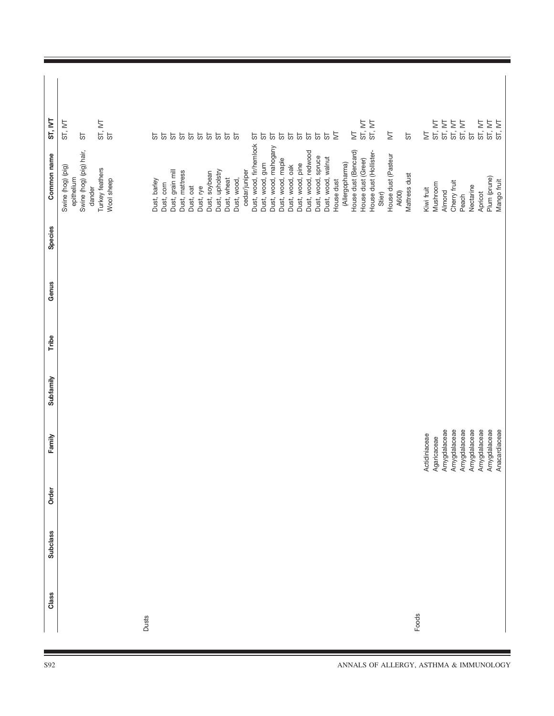| ST, IVT         | ST, IVT                         | $5\overline{1}$                   | ST, IVT<br>ST                 |       |              |                                | $a$ ដ ដ ដ ដ ដ ដ ដ ដ |           |           |               |                 |             |             |               | 5                       | 5               |                      |                   | ದ ದ ದ ದ ದ       |                  |                     | $\frac{1}{6}$      |                    | $\geq$     |                 | $\geq$               | ST, IVT<br>ST, IVT |                        |        | $\geq$              |       | 57            | $\geq$        | ST, IVT     | ST, IVT      | ST, IVT      |              | $5.555$<br>$5.555$ |              |              |               |
|-----------------|---------------------------------|-----------------------------------|-------------------------------|-------|--------------|--------------------------------|---------------------|-----------|-----------|---------------|-----------------|-------------|-------------|---------------|-------------------------|-----------------|----------------------|-------------------|-----------------|------------------|---------------------|--------------------|--------------------|------------|-----------------|----------------------|--------------------|------------------------|--------|---------------------|-------|---------------|---------------|-------------|--------------|--------------|--------------|--------------------|--------------|--------------|---------------|
| Common name     | Swine (hog) (pig)<br>epithelium | Swine (hog) (pig) hair,<br>dander | Turkey feathers<br>Wool sheep |       | Dust, barley | Dust, grain mill<br>Dust, corn | Dust, mattress      | Dust, oat | Dust, rye | Dust, soybean | Dust, upholstry | Dust, wheat | Dust, wood, | cedar/juniper | Dust, wood, fir/hemlock | Dust, wood, gum | Dust, wood, mahogany | Dust, wood, maple | Dust, wood, oak | Dust, wood, pine | Dust, wood, redwood | Dust, wood, spruce | Dust, wood, walnut | House dust | (Allergopharma) | House dust (Bencard) | House dust (Greer) | House dust (Hollister- | Stier) | House dust (Pasteur | A600) | Mattress dust | Kiwi fruit    | Mushroom    | Almond       | Cherry fruit | Peach        | Nectarine          | Apricot      | Plum (prune) | Mango fruit   |
| Species         |                                 |                                   |                               |       |              |                                |                     |           |           |               |                 |             |             |               |                         |                 |                      |                   |                 |                  |                     |                    |                    |            |                 |                      |                    |                        |        |                     |       |               |               |             |              |              |              |                    |              |              |               |
| Genus           |                                 |                                   |                               |       |              |                                |                     |           |           |               |                 |             |             |               |                         |                 |                      |                   |                 |                  |                     |                    |                    |            |                 |                      |                    |                        |        |                     |       |               |               |             |              |              |              |                    |              |              |               |
| Tribe           |                                 |                                   |                               |       |              |                                |                     |           |           |               |                 |             |             |               |                         |                 |                      |                   |                 |                  |                     |                    |                    |            |                 |                      |                    |                        |        |                     |       |               |               |             |              |              |              |                    |              |              |               |
| Subfamily       |                                 |                                   |                               |       |              |                                |                     |           |           |               |                 |             |             |               |                         |                 |                      |                   |                 |                  |                     |                    |                    |            |                 |                      |                    |                        |        |                     |       |               |               |             |              |              |              |                    |              |              |               |
| Family          |                                 |                                   |                               |       |              |                                |                     |           |           |               |                 |             |             |               |                         |                 |                      |                   |                 |                  |                     |                    |                    |            |                 |                      |                    |                        |        |                     |       |               | Actidiniaceae | Agaricaceae | Amygdalaceae | Amygdalaceae | Amygdalaceae | Amygdalaceae       | Amygdalaceae | Amygdalaceae | Anacardiaceae |
| Order           |                                 |                                   |                               |       |              |                                |                     |           |           |               |                 |             |             |               |                         |                 |                      |                   |                 |                  |                     |                    |                    |            |                 |                      |                    |                        |        |                     |       |               |               |             |              |              |              |                    |              |              |               |
| <b>Subclass</b> |                                 |                                   |                               |       |              |                                |                     |           |           |               |                 |             |             |               |                         |                 |                      |                   |                 |                  |                     |                    |                    |            |                 |                      |                    |                        |        |                     |       |               |               |             |              |              |              |                    |              |              |               |
| Class           |                                 |                                   |                               | Dusts |              |                                |                     |           |           |               |                 |             |             |               |                         |                 |                      |                   |                 |                  |                     |                    |                    |            |                 |                      |                    |                        |        |                     |       |               | Foods         |             |              |              |              |                    |              |              |               |

Ξ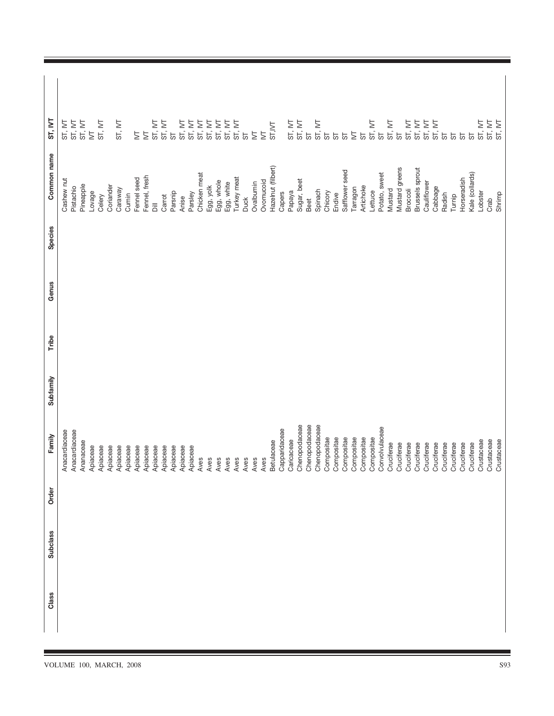| Class | <b>Subclass</b> | Order | Family                   | Subfamily | Tribe | Genus | Species | Common name               | ST, IVT                  |
|-------|-----------------|-------|--------------------------|-----------|-------|-------|---------|---------------------------|--------------------------|
|       |                 |       | Anacardiaceae            |           |       |       |         | Cashew nut                | ST, IVT                  |
|       |                 |       | Anacardiaceae            |           |       |       |         | Pistachio                 | ST, IVT                  |
|       |                 |       | Ananaceae                |           |       |       |         | Pineapple                 | ST, IVT                  |
|       |                 |       | Apiaceae                 |           |       |       |         | Lovage                    | $\geq$                   |
|       |                 |       | Apiaceae                 |           |       |       |         | Celery                    | ST, IVT                  |
|       |                 |       | Apiaceae                 |           |       |       |         | Coriander                 |                          |
|       |                 |       | Apiaceae                 |           |       |       |         | Caraway                   | ST, IVT                  |
|       |                 |       | Apiaceae                 |           |       |       |         | Cumin                     |                          |
|       |                 |       | Apiaceae                 |           |       |       |         | Fennel seed               | $\geq$                   |
|       |                 |       | Apiaceae                 |           |       |       |         | Fennel, fresh             | $\geq$                   |
|       |                 |       | Apiaceae                 |           |       |       |         | $\overline{\overline{a}}$ | ST, IVT                  |
|       |                 |       | Apiaceae                 |           |       |       |         | Carrot                    | ST, IVT                  |
|       |                 |       | Apiaceae                 |           |       |       |         | Parsnip                   | 57                       |
|       |                 |       | Apiaceae                 |           |       |       |         | Anise                     | ST, IVT                  |
|       |                 |       | Apiaceae                 |           |       |       |         | Parsley                   | ST, IVT                  |
|       |                 |       | Aves                     |           |       |       |         | Chicken meat              | ST, IVT                  |
|       |                 |       | Aves                     |           |       |       |         | Egg, yolk                 | ST, IVT                  |
|       |                 |       | Aves                     |           |       |       |         | Egg, whole                | ST, IVT                  |
|       |                 |       | Aves                     |           |       |       |         | Egg, white                | ST, IVT<br>ST, IVT<br>ST |
|       |                 |       | Aves                     |           |       |       |         | Turkey meat               |                          |
|       |                 |       | Aves<br>Aves             |           |       |       |         | Ovalbumin<br><b>Duck</b>  | $\geq$                   |
|       |                 |       | Aves                     |           |       |       |         | Ovomucoid                 | $\geq$                   |
|       |                 |       | Betulaceae               |           |       |       |         | Hazelnut (filbert)        | ST, IVT                  |
|       |                 |       | Capparidaceae            |           |       |       |         | Capers                    |                          |
|       |                 |       | Caricaceae               |           |       |       |         | Papaya                    | ST, IVT                  |
|       |                 |       | Chenopodaceae            |           |       |       |         | Sugar, beet               | ST, IVT                  |
|       |                 |       | Chenopodaceae            |           |       |       |         | Beet                      | 57                       |
|       |                 |       | Chenopodaceae            |           |       |       |         | Spinach                   | ST, IVT                  |
|       |                 |       | Compositae               |           |       |       |         | Chicory                   | 57                       |
|       |                 |       | Compositae               |           |       |       |         | Endive                    | 57                       |
|       |                 |       | Compositae               |           |       |       |         | Safflower seed            | 57                       |
|       |                 |       | Compositae               |           |       |       |         | Tarragon                  | Σ                        |
|       |                 |       | Compositae               |           |       |       |         | Artichoke                 | 57                       |
|       |                 |       | Compositae               |           |       |       |         | Lettuce                   | ST, IVT                  |
|       |                 |       | Convolvulaceae           |           |       |       |         | Potato, sweet<br>Mustard  | ST, IVT<br>57            |
|       |                 |       | Cruciferae<br>Cruciferae |           |       |       |         | Mustard greens            | 57                       |
|       |                 |       | Cruciferae               |           |       |       |         | Broccoli                  | ST, IVT                  |
|       |                 |       | Cruciferae               |           |       |       |         | Brussels sprout           | ST, IVT                  |
|       |                 |       | Cruciferae               |           |       |       |         | Cauliflower               | ST, IVT                  |
|       |                 |       | Cruciferae               |           |       |       |         | Cabbage                   | ST, IVT                  |
|       |                 |       | Cruciferae               |           |       |       |         | Radish                    | 57                       |
|       |                 |       | Cruciferae               |           |       |       |         | Turnip                    | 57                       |
|       |                 |       | Cruciferae               |           |       |       |         | Horseradish               | 57                       |
|       |                 |       | Cruciferae               |           |       |       |         | Kale (collards)           | 57                       |
|       |                 |       | Crustaceae               |           |       |       |         | Lobster                   | ST, IVT                  |
|       |                 |       | Crustaceae               |           |       |       |         | Crab                      | ST, IVT                  |
|       |                 |       | Crustaceae               |           |       |       |         | Shrimp                    | ST, IVT                  |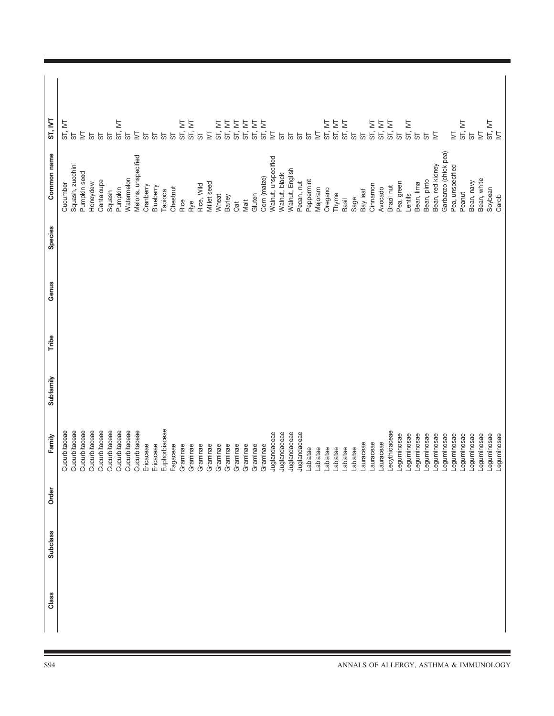| Class | <b>Subclass</b> | Order | Family        | Subfamily | Tribe | Genus | Species | Common name          | ST, IVT             |
|-------|-----------------|-------|---------------|-----------|-------|-------|---------|----------------------|---------------------|
|       |                 |       |               |           |       |       |         |                      |                     |
|       |                 |       | Cucurbitaceae |           |       |       |         | Cucumber             | ST, IVT             |
|       |                 |       | Cucurbitaceae |           |       |       |         | Squash, zucchini     | 57                  |
|       |                 |       | Cucurbitaceae |           |       |       |         | Pumpkin seed         | Σ                   |
|       |                 |       | Cucurbitaceae |           |       |       |         | Honeydew             | 57                  |
|       |                 |       | Cucurbitaceae |           |       |       |         | Cantaloupe           | 5                   |
|       |                 |       | Cucurbitaceae |           |       |       |         | Squash               | 57                  |
|       |                 |       | Cucurbitaceae |           |       |       |         | Pumpkin              | ST, IVT<br>ST       |
|       |                 |       | Cucurbitaceae |           |       |       |         | Watermelon           |                     |
|       |                 |       | Cucurbitaceae |           |       |       |         | Melons, unspecified  | $\overline{\Sigma}$ |
|       |                 |       | Ericaceae     |           |       |       |         | Cranberry            | 57                  |
|       |                 |       | Ericaceae     |           |       |       |         | Blueberry            | 57                  |
|       |                 |       | Euphorbiaceae |           |       |       |         | Tapioca              | 57                  |
|       |                 |       | Fagaceae      |           |       |       |         | Chestnut             | 57                  |
|       |                 |       | Graminae      |           |       |       |         | Rice                 | ST, IVT             |
|       |                 |       | Graminae      |           |       |       |         | Rye                  | ST, IVT             |
|       |                 |       | Graminae      |           |       |       |         | Rice, Wild           | 57                  |
|       |                 |       | Graminae      |           |       |       |         | Millet seed          | $\geq$              |
|       |                 |       | Graminae      |           |       |       |         | Wheat                | Σ<br>ST,            |
|       |                 |       | Graminae      |           |       |       |         | Barley               | ST, IVT             |
|       |                 |       | Graminae      |           |       |       |         | Jat                  | ST, IVT             |
|       |                 |       | Graminae      |           |       |       |         | Malt                 | ST, IVT<br>ST, IVT  |
|       |                 |       | Graminae      |           |       |       |         | Gluten               |                     |
|       |                 |       | Graminae      |           |       |       |         | Corn (maize)         | ST, IVT             |
|       |                 |       | Juglandaceae  |           |       |       |         | Walnut, unspecified  | $\geq$              |
|       |                 |       | Juglandaceae  |           |       |       |         | Walnut, black        | 57                  |
|       |                 |       | Juglandaceae  |           |       |       |         | Walnut, English      | 55                  |
|       |                 |       | Juglandaceae  |           |       |       |         | Pecan, nut           | 55                  |
|       |                 |       | Labiatae      |           |       |       |         | Peppermint           | 57                  |
|       |                 |       | Labiatae      |           |       |       |         | Majoram              | $\overline{\Sigma}$ |
|       |                 |       | Labiatae      |           |       |       |         | Oregano              | ST, IVT             |
|       |                 |       | abiatae       |           |       |       |         | Thyme                | ST, IVT             |
|       |                 |       | -abiatae      |           |       |       |         | Basil                | ST, IVT             |
|       |                 |       | -abiatae      |           |       |       |         | Sage                 | 57                  |
|       |                 |       | auraceae      |           |       |       |         | Bay leaf             | 57                  |
|       |                 |       | auraceae      |           |       |       |         | Cinnamon             | ST, IVT             |
|       |                 |       | auraceae      |           |       |       |         | Avocado              | ST, IVT             |
|       |                 |       | ecythidaceae  |           |       |       |         | Brazil nut           | ST, IVT             |
|       |                 |       | -eguminosae   |           |       |       |         | Pea, green           | $5\overline{5}$     |
|       |                 |       | -eguminosae   |           |       |       |         | Lentils              | ST, IVT             |
|       |                 |       | eguminosae    |           |       |       |         | Bean, lima           | 57                  |
|       |                 |       | -eguminosae   |           |       |       |         | Bean, pinto          | 57                  |
|       |                 |       | -eguminosae   |           |       |       |         | Bean, red kidney     | $\geq$              |
|       |                 |       | Leguminosae   |           |       |       |         | Garbanzo (chick pea) |                     |
|       |                 |       | -eguminosae   |           |       |       |         | Pea, unspecified     | ₹                   |
|       |                 |       | -eguminosae   |           |       |       |         | Peanut               | ST, IVT             |
|       |                 |       | -eguminosae   |           |       |       |         | Bean, navy           | 57                  |
|       |                 |       | -eguminosae   |           |       |       |         | Bean, white          | $\geq$              |
|       |                 |       | Leguminosae   |           |       |       |         | Soybean              | ST, IVT<br>IVT      |
|       |                 |       | Leguminosae   |           |       |       |         | Carob                |                     |
|       |                 |       |               |           |       |       |         |                      |                     |

Ξ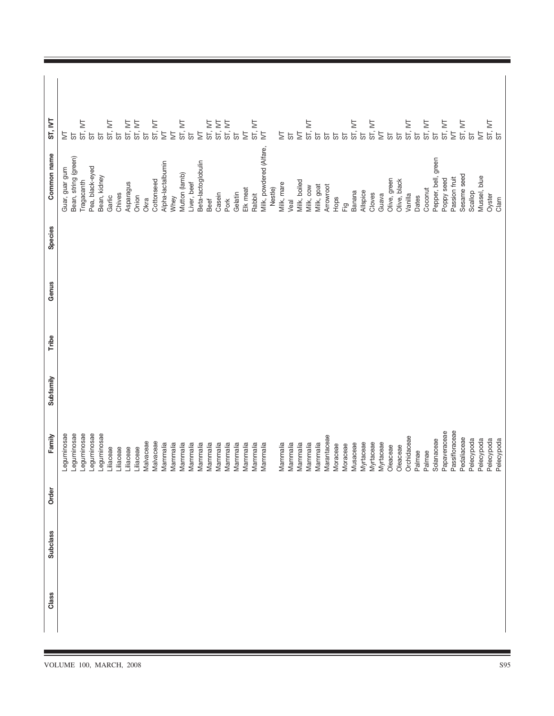| <b>Subclass</b> | Order | Family                     | Subfamily | Tribe | Genus | Species | Common name                            | ST, IVT                           |
|-----------------|-------|----------------------------|-----------|-------|-------|---------|----------------------------------------|-----------------------------------|
|                 |       | Leguminosae<br>Leguminosae |           |       |       |         | Bean, string (green)<br>Guar, guar gum | Σ<br>57                           |
|                 |       | Leguminosae                |           |       |       |         | Tragacanth                             | ST, IVT                           |
|                 |       | Leguminosae                |           |       |       |         | Pea, black-eyed                        | 57                                |
|                 |       | Leguminosae                |           |       |       |         | Bean, kidney                           | 57                                |
|                 |       | Liliaceae                  |           |       |       |         | Garlic                                 | ST, IVT<br>57                     |
|                 |       | Liliaceae                  |           |       |       |         | Chives                                 |                                   |
|                 |       | Liliaceae<br>Liliaceae     |           |       |       |         | Asparagus                              | ST, IVT                           |
|                 |       |                            |           |       |       |         | Onion                                  | ST, IVT<br>$5\overline{5}$        |
|                 |       | Malvaceae                  |           |       |       |         | Okra                                   |                                   |
|                 |       | Malvaceae                  |           |       |       |         | Cottonseed                             | ST, IVT                           |
|                 |       | Mammalia                   |           |       |       |         | Alpha-lactalbumin                      | $\overline{\Sigma}$               |
|                 |       | Mammalia                   |           |       |       |         | Whey                                   | $\bar{\Xi}$                       |
|                 |       | Mammalia                   |           |       |       |         | Mutton (lamb)                          | ST, IVT                           |
|                 |       | Mammalia                   |           |       |       |         | Liver, beef                            | 57                                |
|                 |       | Mammalia                   |           |       |       |         | Beta-lactoglobulin                     | $\geq$                            |
|                 |       | Mammalia                   |           |       |       |         | Beef                                   |                                   |
|                 |       | Mammalia                   |           |       |       |         | Casein                                 | $\frac{ST}{ST}$ , $\overline{MT}$ |
|                 |       | Mammalia                   |           |       |       |         | Pork                                   |                                   |
|                 |       | Mammalia                   |           |       |       |         | Gelatin                                | ST, IVT<br>ST                     |
|                 |       | Mammalia                   |           |       |       |         | Elk meat                               | $\geq$                            |
|                 |       | Mammalia                   |           |       |       |         | Rabbit                                 | ST, IVT                           |
|                 |       | Mammalia                   |           |       |       |         | Milk, powdered (Alfare,                | $\geq$                            |
|                 |       |                            |           |       |       |         | Nestle)                                |                                   |
|                 |       | Mammalia                   |           |       |       |         | Milk, mare                             | Σ                                 |
|                 |       | Mammalia                   |           |       |       |         | Veal                                   | 57                                |
|                 |       | Mammalia                   |           |       |       |         | Milk, boiled                           | $\geq$                            |
|                 |       | Mammalia                   |           |       |       |         | Milk, cow                              | ST, IVT                           |
|                 |       | Mammalia                   |           |       |       |         | Milk, goat                             | $\overline{5}$                    |
|                 |       | Marantaceae                |           |       |       |         | Arrowroot                              | 5                                 |
|                 |       |                            |           |       |       |         |                                        |                                   |
|                 |       | Moraceae                   |           |       |       |         | Hops                                   | 5                                 |
|                 |       | Moraceae                   |           |       |       |         | ιĕ                                     | 57                                |
|                 |       | Musaceae                   |           |       |       |         | Banana                                 |                                   |
|                 |       | Myrtaceae                  |           |       |       |         | Allspice                               |                                   |
|                 |       | Myrtaceae                  |           |       |       |         | Cloves                                 | ST, IVT<br>ST, IVT<br>ST, IVT     |
|                 |       | Myrtaceae                  |           |       |       |         | Guava                                  | $\overline{\Sigma}$               |
|                 |       | Oleaceae                   |           |       |       |         | Olive, green                           | 57                                |
|                 |       | Oleaceae                   |           |       |       |         | Olive, black                           | 57                                |
|                 |       | Orchidaceae                |           |       |       |         | Vanilla                                |                                   |
|                 |       | Palmae                     |           |       |       |         | Dates                                  | ST, IVT<br>ST                     |
|                 |       | Palmae                     |           |       |       |         | Coconut                                |                                   |
|                 |       | Solanaceae                 |           |       |       |         | Pepper, bell, green                    | ST, IVT<br>ST                     |
|                 |       |                            |           |       |       |         |                                        | ST, IVT                           |
|                 |       | Papaveraceae               |           |       |       |         | Poppy seed                             | $\geq$                            |
|                 |       | Passifloraceae             |           |       |       |         | Passion fruit                          |                                   |
|                 |       | Pedaliaceae                |           |       |       |         | Sesame seed                            | ST, IVT<br>ST                     |
|                 |       | Pelecypoda                 |           |       |       |         | Scallop                                |                                   |
|                 |       | Pelecypoda                 |           |       |       |         | Mussel, blue                           | $\overline{\Sigma}$               |
|                 |       | Pelecypoda                 |           |       |       |         | Oyster                                 |                                   |
|                 |       | Pelecypoda                 |           |       |       |         | Clam                                   | ST, IVT<br>ST                     |
|                 |       |                            |           |       |       |         |                                        |                                   |

 $\overline{1}$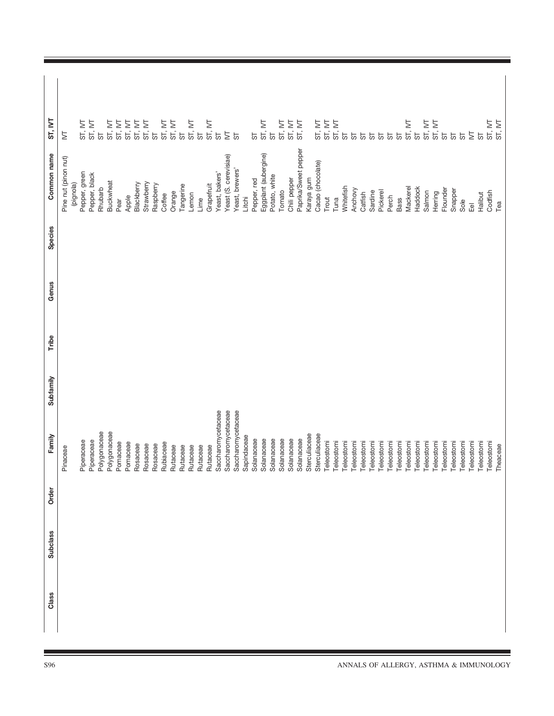|       |                 | Order | Family             | Subfamily | Tribe | Genus | Species | Common name           | ST, IVT                  |
|-------|-----------------|-------|--------------------|-----------|-------|-------|---------|-----------------------|--------------------------|
| Class | <b>Subclass</b> |       |                    |           |       |       |         |                       |                          |
|       |                 |       | Pinaceae           |           |       |       |         | Pine nut (pinon nut)  | Σ                        |
|       |                 |       |                    |           |       |       |         | (pignola)             |                          |
|       |                 |       | Piperaceae         |           |       |       |         | Pepper, green         | ST, IVT                  |
|       |                 |       | Piperaceae         |           |       |       |         | Pepper, black         | ST, IVT                  |
|       |                 |       | Polygonaceae       |           |       |       |         | Rhubarb               | 57                       |
|       |                 |       | Polygonaceae       |           |       |       |         | <b>Buckwheat</b>      | ST, IVT                  |
|       |                 |       | Pomaceae           |           |       |       |         | Pear                  | ST, IVT                  |
|       |                 |       | Pomaceae           |           |       |       |         | Apple                 | ST, INT                  |
|       |                 |       | Rosaceae           |           |       |       |         | Blackberry            | ST, IVT                  |
|       |                 |       | Rosaceae           |           |       |       |         | Strawberry            | ST, IVT<br>ST            |
|       |                 |       | Rosaceae           |           |       |       |         | Raspberry             |                          |
|       |                 |       | Rubiaceae          |           |       |       |         | Coffee                |                          |
|       |                 |       | Rutaceae           |           |       |       |         | Orange                | ST, IVT<br>ST, IVT<br>ST |
|       |                 |       | Rutaceae           |           |       |       |         | Tangerine             |                          |
|       |                 |       | Rutaceae           |           |       |       |         | Lemon                 |                          |
|       |                 |       | Rutaceae           |           |       |       |         | Lime                  | ST, IVT<br>ST            |
|       |                 |       | Rutaceae           |           |       |       |         | Grapefruit            |                          |
|       |                 |       | Saccharomycetaceae |           |       |       |         | Yeast, bakers'        | ST, IVT<br>ST            |
|       |                 |       | Saccharomycetaceae |           |       |       |         | Yeast (S. cerevisiae) | $\geq$                   |
|       |                 |       | Saccharomycetaceae |           |       |       |         | Yeast, brewers'       | 57                       |
|       |                 |       | Sapindaceae        |           |       |       |         | Litchi                |                          |
|       |                 |       | Solanaceae         |           |       |       |         | Pepper, red           | 57                       |
|       |                 |       | Solanaceae         |           |       |       |         | Eggplant (aubergine)  | ST, IVT                  |
|       |                 |       | Solanaceae         |           |       |       |         | Potato, white         | 57                       |
|       |                 |       | Solanaceae         |           |       |       |         | Tomato                | ST, IVT                  |
|       |                 |       |                    |           |       |       |         |                       | ST, IVT                  |
|       |                 |       | Solanaceae         |           |       |       |         | Chili pepper          |                          |
|       |                 |       | Solanaceae         |           |       |       |         | Paprika/Sweet pepper  | ST, IVT                  |
|       |                 |       | Sterculiaceae      |           |       |       |         | Karaya gum            |                          |
|       |                 |       | Sterculiaceae      |           |       |       |         | Cacao (chocolate)     | ST, IVT<br>ST, IVT       |
|       |                 |       | <b>Teleostomi</b>  |           |       |       |         | Trout                 |                          |
|       |                 |       | <b>Teleostomi</b>  |           |       |       |         | Tuna                  | ST, IVT<br>ST            |
|       |                 |       | <b>Teleostomi</b>  |           |       |       |         | Whitefish             |                          |
|       |                 |       | <b>Teleostomi</b>  |           |       |       |         | Anchovy               | 57                       |
|       |                 |       | eleostomi          |           |       |       |         | Catfish               | 57                       |
|       |                 |       | <b>Teleostomi</b>  |           |       |       |         | Sardine               | 57                       |
|       |                 |       | <b>Teleostomi</b>  |           |       |       |         | Pickerel              | 57                       |
|       |                 |       | <b>Teleostomi</b>  |           |       |       |         | Perch                 |                          |
|       |                 |       | Teleostomi         |           |       |       |         | <b>Bass</b>           | ង ≥<br>ដាច់<br>ដ         |
|       |                 |       | <b>Teleostomi</b>  |           |       |       |         | Mackerel              |                          |
|       |                 |       | Teleostomi         |           |       |       |         | <b>Haddock</b>        |                          |
|       |                 |       | <b>Teleostomi</b>  |           |       |       |         | Salmon                |                          |
|       |                 |       | <b>Teleostomi</b>  |           |       |       |         | Herring               | ST, IVT<br>ST, IVT<br>ST |
|       |                 |       | <b>Teleostomi</b>  |           |       |       |         | Flounder              |                          |
|       |                 |       | <b>Teleostomi</b>  |           |       |       |         | Snapper               | 5                        |
|       |                 |       | <b>Teleostomi</b>  |           |       |       |         | Sole                  | 57                       |
|       |                 |       | <b>Teleostomi</b>  |           |       |       |         | $\overline{E}$        | $\bar{\Xi}$              |
|       |                 |       | <b>Teleostomi</b>  |           |       |       |         | Halibut               | 57                       |
|       |                 |       | <b>Teleostomi</b>  |           |       |       |         | Codfish               |                          |
|       |                 |       | Theaceae           |           |       |       |         | Tea                   | ST, IVT<br>ST, IVT       |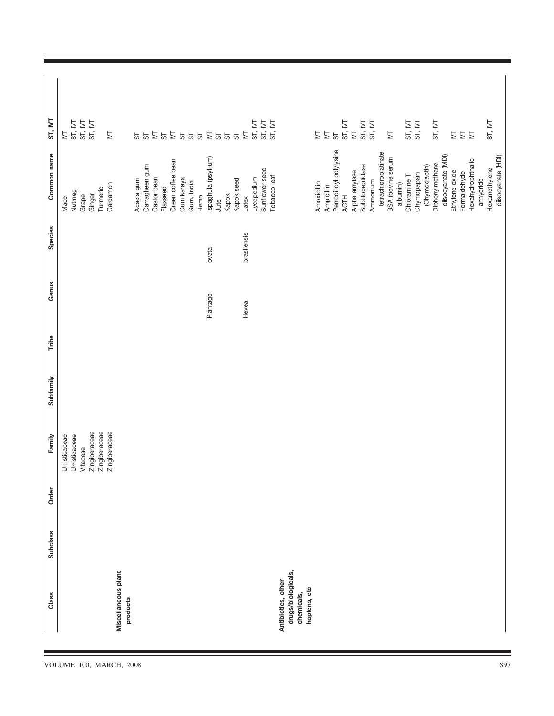| Class                                    | <b>Subclass</b> | Order | Family        | Subfamily | Tribe | Genus    | Species     | Common name                  | ST, IVT                                                                                                                                                                                           |
|------------------------------------------|-----------------|-------|---------------|-----------|-------|----------|-------------|------------------------------|---------------------------------------------------------------------------------------------------------------------------------------------------------------------------------------------------|
|                                          |                 |       | Urristicaceae |           |       |          |             | Mace                         | $\geq$                                                                                                                                                                                            |
|                                          |                 |       | Urristicaceae |           |       |          |             | Nutmeg                       | ST, IVT                                                                                                                                                                                           |
|                                          |                 |       | Vitaceae      |           |       |          |             | Grape                        | ST, IVT                                                                                                                                                                                           |
|                                          |                 |       | Zingiberaceae |           |       |          |             | Ginger                       | ST, IVT                                                                                                                                                                                           |
|                                          |                 |       | Zingiberaceae |           |       |          |             | Turmeric                     |                                                                                                                                                                                                   |
|                                          |                 |       | Zingiberaceae |           |       |          |             | Cardamon                     | $\geq$                                                                                                                                                                                            |
| Miscellaneous plant<br>products          |                 |       |               |           |       |          |             |                              |                                                                                                                                                                                                   |
|                                          |                 |       |               |           |       |          |             | Acacia gum                   |                                                                                                                                                                                                   |
|                                          |                 |       |               |           |       |          |             | Carragheen gum               | $\frac{1}{6}$                                                                                                                                                                                     |
|                                          |                 |       |               |           |       |          |             | Castor bean                  |                                                                                                                                                                                                   |
|                                          |                 |       |               |           |       |          |             | Flaxseed                     |                                                                                                                                                                                                   |
|                                          |                 |       |               |           |       |          |             | Green coffee bean            |                                                                                                                                                                                                   |
|                                          |                 |       |               |           |       |          |             | Gum karaya                   | $\overline{\mathbf{a}}$ ជ $\overline{\mathbf{a}}$ $\overline{\mathbf{c}}$ $\overline{\mathbf{a}}$ $\overline{\mathbf{c}}$ $\overline{\mathbf{a}}$ $\overline{\mathbf{c}}$ $\overline{\mathbf{c}}$ |
|                                          |                 |       |               |           |       |          |             | Gum, India                   |                                                                                                                                                                                                   |
|                                          |                 |       |               |           |       |          |             | Hemp                         |                                                                                                                                                                                                   |
|                                          |                 |       |               |           |       | Plantago | ovata       | Ispaghula (psyllium)         |                                                                                                                                                                                                   |
|                                          |                 |       |               |           |       |          |             | Jute                         |                                                                                                                                                                                                   |
|                                          |                 |       |               |           |       |          |             | Kapok                        |                                                                                                                                                                                                   |
|                                          |                 |       |               |           |       |          |             | Kapok seed                   | $\bar{\Xi}$                                                                                                                                                                                       |
|                                          |                 |       |               |           |       | Hevea    | brasliensis | Latex                        |                                                                                                                                                                                                   |
|                                          |                 |       |               |           |       |          |             | Sunflower seed<br>Lycopodium | $\begin{array}{c} {\mathsf{ST}}, {\mathsf{WT}}\\ {\mathsf{ST}}, {\mathsf{WT}}\\ {\mathsf{ST}}, {\mathsf{WT}} \end{array}$                                                                         |
|                                          |                 |       |               |           |       |          |             |                              |                                                                                                                                                                                                   |
|                                          |                 |       |               |           |       |          |             | Tobacco leaf                 |                                                                                                                                                                                                   |
| drugs/biologicals,<br>Antibiotics, other |                 |       |               |           |       |          |             |                              |                                                                                                                                                                                                   |
| chemicals,                               |                 |       |               |           |       |          |             |                              |                                                                                                                                                                                                   |
| haptens, etc                             |                 |       |               |           |       |          |             |                              |                                                                                                                                                                                                   |
|                                          |                 |       |               |           |       |          |             | Amoxicillin                  |                                                                                                                                                                                                   |
|                                          |                 |       |               |           |       |          |             | Ampicillin                   |                                                                                                                                                                                                   |
|                                          |                 |       |               |           |       |          |             | Penicoilloyl polylysine      | 555                                                                                                                                                                                               |
|                                          |                 |       |               |           |       |          |             | <b>ACTH</b>                  | ST, IVT                                                                                                                                                                                           |
|                                          |                 |       |               |           |       |          |             | Alpha amylase                | $\geq$                                                                                                                                                                                            |
|                                          |                 |       |               |           |       |          |             | Subtilopeptidase             | ST, IVT                                                                                                                                                                                           |
|                                          |                 |       |               |           |       |          |             | Ammonium                     | ST, IVT                                                                                                                                                                                           |
|                                          |                 |       |               |           |       |          |             | tetrachloroplatinate         |                                                                                                                                                                                                   |
|                                          |                 |       |               |           |       |          |             | BSA (bovine serum            | $\geq$                                                                                                                                                                                            |
|                                          |                 |       |               |           |       |          |             | albumin)                     |                                                                                                                                                                                                   |
|                                          |                 |       |               |           |       |          |             | Chloramine T                 |                                                                                                                                                                                                   |
|                                          |                 |       |               |           |       |          |             | Chymopapain                  | ST, IVT<br>ST, IVT                                                                                                                                                                                |
|                                          |                 |       |               |           |       |          |             | (Chymodiactin)               |                                                                                                                                                                                                   |
|                                          |                 |       |               |           |       |          |             | Diphenylmethane              | ST, IVT                                                                                                                                                                                           |
|                                          |                 |       |               |           |       |          |             | diisocyanate (MDI)           |                                                                                                                                                                                                   |
|                                          |                 |       |               |           |       |          |             | Ethylene oxide               | $\geq$                                                                                                                                                                                            |
|                                          |                 |       |               |           |       |          |             | Formaldehyde                 | $\geq$                                                                                                                                                                                            |
|                                          |                 |       |               |           |       |          |             | Hexahydrophthalic            | $\geq$                                                                                                                                                                                            |
|                                          |                 |       |               |           |       |          |             | anhydride                    |                                                                                                                                                                                                   |
|                                          |                 |       |               |           |       |          |             | Hexamethylene                | ST, IVT                                                                                                                                                                                           |
|                                          |                 |       |               |           |       |          |             | diisocyanate (HDI)           |                                                                                                                                                                                                   |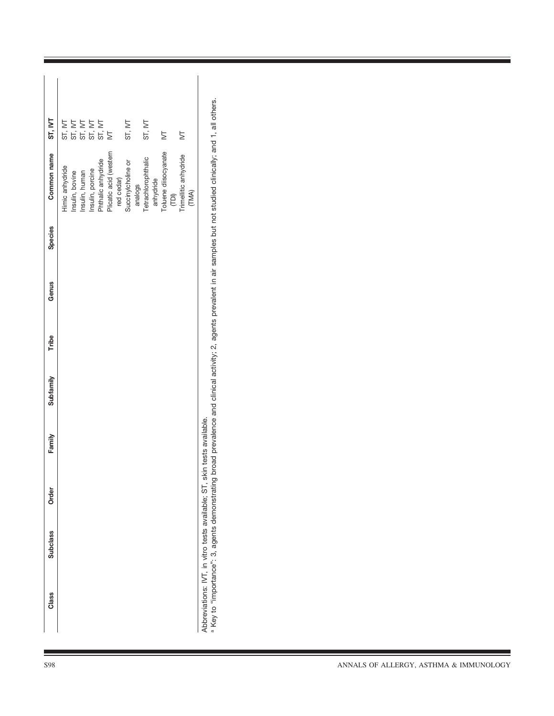| <b>Subclass</b> | Family | Tribe | Species | Common name            | ST, IVT |
|-----------------|--------|-------|---------|------------------------|---------|
|                 |        |       |         | Himic anhydride        | ST, IVT |
|                 |        |       |         | Insulin, bovine        | ST, IVT |
|                 |        |       |         | Insulin, human         | ST, IVT |
|                 |        |       |         | Insulin, porcine       | ST, IVT |
|                 |        |       |         | Phthalic anhydride     | ST, IVT |
|                 |        |       |         | Plicatic acid (western | 5       |
|                 |        |       |         | red cedar)             |         |
|                 |        |       |         | Succinylcholine or     | ST, IVT |
|                 |        |       |         | analogs                |         |
|                 |        |       |         | Tetrachlorophthalic    | ST, IVT |
|                 |        |       |         | anhydride              |         |
|                 |        |       |         | Toluene diisocyanate   | $\geq$  |
|                 |        |       |         | $\widehat{[0]}$        |         |
|                 |        |       |         | Trimellitic anhydride  | $\geq$  |
|                 |        |       |         | (TMA)                  |         |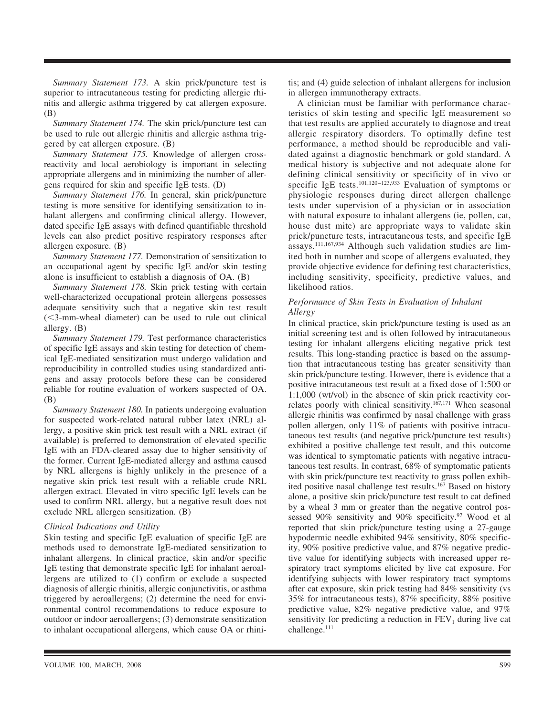*Summary Statement 173.* A skin prick/puncture test is superior to intracutaneous testing for predicting allergic rhinitis and allergic asthma triggered by cat allergen exposure. (B)

*Summary Statement 174.* The skin prick/puncture test can be used to rule out allergic rhinitis and allergic asthma triggered by cat allergen exposure. (B)

*Summary Statement 175.* Knowledge of allergen crossreactivity and local aerobiology is important in selecting appropriate allergens and in minimizing the number of allergens required for skin and specific IgE tests. (D)

*Summary Statement 176.* In general, skin prick/puncture testing is more sensitive for identifying sensitization to inhalant allergens and confirming clinical allergy. However, dated specific IgE assays with defined quantifiable threshold levels can also predict positive respiratory responses after allergen exposure. (B)

*Summary Statement 177.* Demonstration of sensitization to an occupational agent by specific IgE and/or skin testing alone is insufficient to establish a diagnosis of OA. (B)

*Summary Statement 178.* Skin prick testing with certain well-characterized occupational protein allergens possesses adequate sensitivity such that a negative skin test result (<3-mm-wheal diameter) can be used to rule out clinical allergy. (B)

*Summary Statement 179.* Test performance characteristics of specific IgE assays and skin testing for detection of chemical IgE-mediated sensitization must undergo validation and reproducibility in controlled studies using standardized antigens and assay protocols before these can be considered reliable for routine evaluation of workers suspected of OA. (B)

*Summary Statement 180.* In patients undergoing evaluation for suspected work-related natural rubber latex (NRL) allergy, a positive skin prick test result with a NRL extract (if available) is preferred to demonstration of elevated specific IgE with an FDA-cleared assay due to higher sensitivity of the former. Current IgE-mediated allergy and asthma caused by NRL allergens is highly unlikely in the presence of a negative skin prick test result with a reliable crude NRL allergen extract. Elevated in vitro specific IgE levels can be used to confirm NRL allergy, but a negative result does not exclude NRL allergen sensitization. (B)

#### *Clinical Indications and Utility*

Skin testing and specific IgE evaluation of specific IgE are methods used to demonstrate IgE-mediated sensitization to inhalant allergens. In clinical practice, skin and/or specific IgE testing that demonstrate specific IgE for inhalant aeroallergens are utilized to (1) confirm or exclude a suspected diagnosis of allergic rhinitis, allergic conjunctivitis, or asthma triggered by aeroallergens; (2) determine the need for environmental control recommendations to reduce exposure to outdoor or indoor aeroallergens; (3) demonstrate sensitization to inhalant occupational allergens, which cause OA or rhini-

A clinician must be familiar with performance characteristics of skin testing and specific IgE measurement so that test results are applied accurately to diagnose and treat allergic respiratory disorders. To optimally define test performance, a method should be reproducible and validated against a diagnostic benchmark or gold standard. A medical history is subjective and not adequate alone for defining clinical sensitivity or specificity of in vivo or specific IgE tests.<sup>101,120-123,933</sup> Evaluation of symptoms or physiologic responses during direct allergen challenge tests under supervision of a physician or in association with natural exposure to inhalant allergens (ie, pollen, cat, house dust mite) are appropriate ways to validate skin prick/puncture tests, intracutaneous tests, and specific IgE assays.111,167,934 Although such validation studies are limited both in number and scope of allergens evaluated, they provide objective evidence for defining test characteristics, including sensitivity, specificity, predictive values, and likelihood ratios.

# *Performance of Skin Tests in Evaluation of Inhalant Allergy*

In clinical practice, skin prick/puncture testing is used as an initial screening test and is often followed by intracutaneous testing for inhalant allergens eliciting negative prick test results. This long-standing practice is based on the assumption that intracutaneous testing has greater sensitivity than skin prick/puncture testing. However, there is evidence that a positive intracutaneous test result at a fixed dose of 1:500 or 1:1,000 (wt/vol) in the absence of skin prick reactivity correlates poorly with clinical sensitivity.<sup>167,171</sup> When seasonal allergic rhinitis was confirmed by nasal challenge with grass pollen allergen, only 11% of patients with positive intracutaneous test results (and negative prick/puncture test results) exhibited a positive challenge test result, and this outcome was identical to symptomatic patients with negative intracutaneous test results. In contrast, 68% of symptomatic patients with skin prick/puncture test reactivity to grass pollen exhibited positive nasal challenge test results.<sup>167</sup> Based on history alone, a positive skin prick/puncture test result to cat defined by a wheal 3 mm or greater than the negative control possessed 90% sensitivity and 90% specificity.<sup>97</sup> Wood et al reported that skin prick/puncture testing using a 27-gauge hypodermic needle exhibited 94% sensitivity, 80% specificity, 90% positive predictive value, and 87% negative predictive value for identifying subjects with increased upper respiratory tract symptoms elicited by live cat exposure. For identifying subjects with lower respiratory tract symptoms after cat exposure, skin prick testing had 84% sensitivity (vs 35% for intracutaneous tests), 87% specificity, 88% positive predictive value, 82% negative predictive value, and 97% sensitivity for predicting a reduction in  $FEV<sub>1</sub>$  during live cat challenge.<sup>111</sup>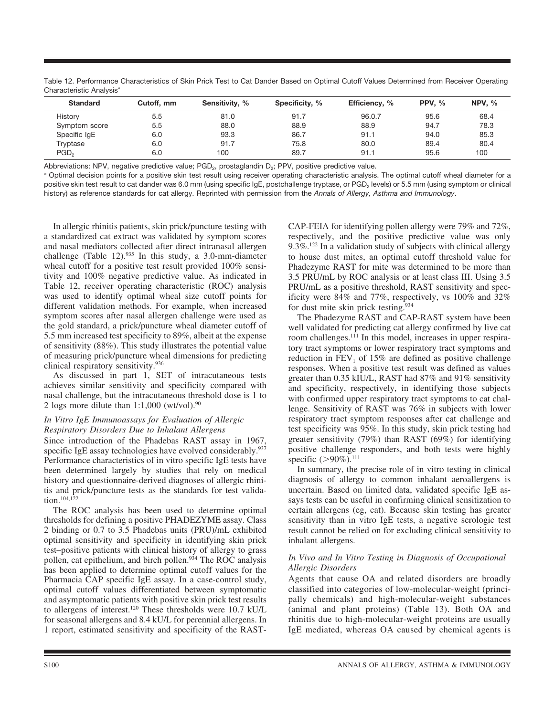Table 12. Performance Characteristics of Skin Prick Test to Cat Dander Based on Optimal Cutoff Values Determined from Receiver Operating Characteristic Analysis<sup>®</sup>

| Cutoff, mm | Sensitivity, % | Specificity, % | Efficiency, % | <b>PPV.</b> % | <b>NPV.</b> % |
|------------|----------------|----------------|---------------|---------------|---------------|
| 5.5        | 81.0           | 91.7           | 96.0.7        | 95.6          | 68.4          |
| 5.5        | 88.0           | 88.9           | 88.9          | 94.7          | 78.3          |
| 6.0        | 93.3           | 86.7           | 91.1          | 94.0          | 85.3          |
| 6.0        | 91.7           | 75.8           | 80.0          | 89.4          | 80.4          |
| 6.0        | 100            | 89.7           | 91.1          | 95.6          | 100           |
|            |                |                |               |               |               |

Abbreviations: NPV, negative predictive value; PGD<sub>2</sub>, prostaglandin D<sub>2</sub>; PPV, positive predictive value.

a Optimal decision points for a positive skin test result using receiver operating characteristic analysis. The optimal cutoff wheal diameter for a positive skin test result to cat dander was 6.0 mm (using specific IgE, postchallenge tryptase, or PGD<sub>2</sub> levels) or 5.5 mm (using symptom or clinical history) as reference standards for cat allergy. Reprinted with permission from the *Annals of Allergy, Asthma and Immunology*.

In allergic rhinitis patients, skin prick/puncture testing with a standardized cat extract was validated by symptom scores and nasal mediators collected after direct intranasal allergen challenge (Table 12).935 In this study, a 3.0-mm-diameter wheal cutoff for a positive test result provided 100% sensitivity and 100% negative predictive value. As indicated in Table 12, receiver operating characteristic (ROC) analysis was used to identify optimal wheal size cutoff points for different validation methods. For example, when increased symptom scores after nasal allergen challenge were used as the gold standard, a prick/puncture wheal diameter cutoff of 5.5 mm increased test specificity to 89%, albeit at the expense of sensitivity (88%). This study illustrates the potential value of measuring prick/puncture wheal dimensions for predicting clinical respiratory sensitivity.936

As discussed in part 1, SET of intracutaneous tests achieves similar sensitivity and specificity compared with nasal challenge, but the intracutaneous threshold dose is 1 to 2 logs more dilute than  $1:1,000$  (wt/vol).<sup>90</sup>

## *In Vitro IgE Immunoassays for Evaluation of Allergic Respiratory Disorders Due to Inhalant Allergens*

Since introduction of the Phadebas RAST assay in 1967, specific IgE assay technologies have evolved considerably.<sup>937</sup> Performance characteristics of in vitro specific IgE tests have been determined largely by studies that rely on medical history and questionnaire-derived diagnoses of allergic rhinitis and prick/puncture tests as the standards for test validation.104,122

The ROC analysis has been used to determine optimal thresholds for defining a positive PHADEZYME assay. Class 2 binding or 0.7 to 3.5 Phadebas units (PRU)/mL exhibited optimal sensitivity and specificity in identifying skin prick test–positive patients with clinical history of allergy to grass pollen, cat epithelium, and birch pollen.<sup>934</sup> The ROC analysis has been applied to determine optimal cutoff values for the Pharmacia CAP specific IgE assay. In a case-control study, optimal cutoff values differentiated between symptomatic and asymptomatic patients with positive skin prick test results to allergens of interest.120 These thresholds were 10.7 kU/L for seasonal allergens and 8.4 kU/L for perennial allergens. In 1 report, estimated sensitivity and specificity of the RAST-

CAP-FEIA for identifying pollen allergy were 79% and 72%, respectively, and the positive predictive value was only 9.3%.122 In a validation study of subjects with clinical allergy to house dust mites, an optimal cutoff threshold value for Phadezyme RAST for mite was determined to be more than 3.5 PRU/mL by ROC analysis or at least class III. Using 3.5 PRU/mL as a positive threshold, RAST sensitivity and specificity were 84% and 77%, respectively, vs 100% and 32% for dust mite skin prick testing.934

The Phadezyme RAST and CAP-RAST system have been well validated for predicting cat allergy confirmed by live cat room challenges.<sup>111</sup> In this model, increases in upper respiratory tract symptoms or lower respiratory tract symptoms and reduction in  $FEV_1$  of 15% are defined as positive challenge responses. When a positive test result was defined as values greater than 0.35 kIU/L, RAST had 87% and 91% sensitivity and specificity, respectively, in identifying those subjects with confirmed upper respiratory tract symptoms to cat challenge. Sensitivity of RAST was 76% in subjects with lower respiratory tract symptom responses after cat challenge and test specificity was 95%. In this study, skin prick testing had greater sensitivity (79%) than RAST (69%) for identifying positive challenge responders, and both tests were highly specific (>90%).<sup>111</sup>

In summary, the precise role of in vitro testing in clinical diagnosis of allergy to common inhalant aeroallergens is uncertain. Based on limited data, validated specific IgE assays tests can be useful in confirming clinical sensitization to certain allergens (eg, cat). Because skin testing has greater sensitivity than in vitro IgE tests, a negative serologic test result cannot be relied on for excluding clinical sensitivity to inhalant allergens.

## *In Vivo and In Vitro Testing in Diagnosis of Occupational Allergic Disorders*

Agents that cause OA and related disorders are broadly classified into categories of low-molecular-weight (principally chemicals) and high-molecular-weight substances (animal and plant proteins) (Table 13). Both OA and rhinitis due to high-molecular-weight proteins are usually IgE mediated, whereas OA caused by chemical agents is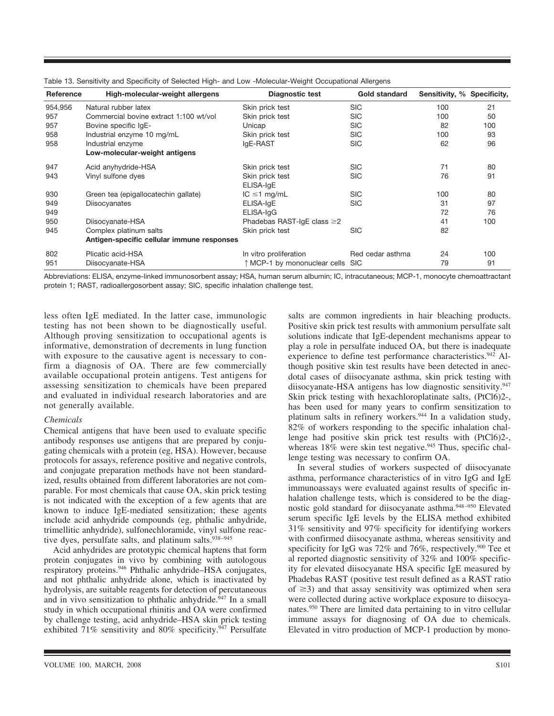| Reference | High-molecular-weight allergens            | <b>Diagnostic test</b>           | Gold standard    | Sensitivity, % Specificity, |     |
|-----------|--------------------------------------------|----------------------------------|------------------|-----------------------------|-----|
| 954,956   | Natural rubber latex                       | Skin prick test                  | <b>SIC</b>       | 100                         | 21  |
| 957       | Commercial bovine extract 1:100 wt/vol     | Skin prick test                  | <b>SIC</b>       | 100                         | 50  |
| 957       | Bovine specific IgE-                       | Unicap                           | <b>SIC</b>       | 82                          | 100 |
| 958       | Industrial enzyme 10 mg/mL                 | Skin prick test                  | <b>SIC</b>       | 100                         | 93  |
| 958       | Industrial enzyme                          | IgE-RAST                         | <b>SIC</b>       | 62                          | 96  |
|           | Low-molecular-weight antigens              |                                  |                  |                             |     |
| 947       | Acid anyhydride-HSA                        | Skin prick test                  | <b>SIC</b>       | 71                          | 80  |
| 943       | Vinyl sulfone dyes                         | Skin prick test                  | <b>SIC</b>       | 76                          | 91  |
|           |                                            | ELISA-IgE                        |                  |                             |     |
| 930       | Green tea (epigallocatechin gallate)       | $IC \leq 1$ mg/mL                | <b>SIC</b>       | 100                         | 80  |
| 949       | Diisocyanates                              | ELISA-IgE                        | <b>SIC</b>       | 31                          | 97  |
| 949       |                                            | ELISA-IgG                        |                  | 72                          | 76  |
| 950       | Diisocyanate-HSA                           | Phadebas RAST-IgE class $\geq$ 2 |                  | 41                          | 100 |
| 945       | Complex platinum salts                     | Skin prick test                  | <b>SIC</b>       | 82                          |     |
|           | Antigen-specific cellular immune responses |                                  |                  |                             |     |
| 802       | Plicatic acid-HSA                          | In vitro proliferation           | Red cedar asthma | 24                          | 100 |
| 951       | Diisocyanate-HSA                           | ↑ MCP-1 by mononuclear cells SIC |                  | 79                          | 91  |

|  | Table 13. Sensitivity and Specificity of Selected High- and Low -Molecular-Weight Occupational Allergens |  |
|--|----------------------------------------------------------------------------------------------------------|--|
|  |                                                                                                          |  |

Abbreviations: ELISA, enzyme-linked immunosorbent assay; HSA, human serum albumin; IC, intracutaneous; MCP-1, monocyte chemoattractant protein 1; RAST, radioallergosorbent assay; SIC, specific inhalation challenge test.

less often IgE mediated. In the latter case, immunologic testing has not been shown to be diagnostically useful. Although proving sensitization to occupational agents is informative, demonstration of decrements in lung function with exposure to the causative agent is necessary to confirm a diagnosis of OA. There are few commercially available occupational protein antigens. Test antigens for assessing sensitization to chemicals have been prepared and evaluated in individual research laboratories and are not generally available.

## *Chemicals*

Chemical antigens that have been used to evaluate specific antibody responses use antigens that are prepared by conjugating chemicals with a protein (eg, HSA). However, because protocols for assays, reference positive and negative controls, and conjugate preparation methods have not been standardized, results obtained from different laboratories are not comparable. For most chemicals that cause OA, skin prick testing is not indicated with the exception of a few agents that are known to induce IgE-mediated sensitization; these agents include acid anhydride compounds (eg, phthalic anhydride, trimellitic anhydride), sulfonechloramide, vinyl sulfone reactive dyes, persulfate salts, and platinum salts. $938-945$ 

Acid anhydrides are prototypic chemical haptens that form protein conjugates in vivo by combining with autologous respiratory proteins.946 Phthalic anhydride–HSA conjugates, and not phthalic anhydride alone, which is inactivated by hydrolysis, are suitable reagents for detection of percutaneous and in vivo sensitization to phthalic anhydride.<sup>947</sup> In a small study in which occupational rhinitis and OA were confirmed by challenge testing, acid anhydride–HSA skin prick testing exhibited 71% sensitivity and 80% specificity.<sup>947</sup> Persulfate salts are common ingredients in hair bleaching products. Positive skin prick test results with ammonium persulfate salt solutions indicate that IgE-dependent mechanisms appear to play a role in persulfate induced OA, but there is inadequate experience to define test performance characteristics.<sup>942</sup> Although positive skin test results have been detected in anecdotal cases of diisocyanate asthma, skin prick testing with diisocyanate-HSA antigens has low diagnostic sensitivity.947 Skin prick testing with hexachloroplatinate salts, (PtCl6)2-, has been used for many years to confirm sensitization to platinum salts in refinery workers.944 In a validation study, 82% of workers responding to the specific inhalation challenge had positive skin prick test results with (PtCl6)2-, whereas 18% were skin test negative.<sup>945</sup> Thus, specific challenge testing was necessary to confirm OA.

In several studies of workers suspected of diisocyanate asthma, performance characteristics of in vitro IgG and IgE immunoassays were evaluated against results of specific inhalation challenge tests, which is considered to be the diagnostic gold standard for diisocyanate asthma.948 –950 Elevated serum specific IgE levels by the ELISA method exhibited 31% sensitivity and 97% specificity for identifying workers with confirmed diisocyanate asthma, whereas sensitivity and specificity for IgG was  $72\%$  and  $76\%$ , respectively.<sup>900</sup> Tee et al reported diagnostic sensitivity of 32% and 100% specificity for elevated diisocyanate HSA specific IgE measured by Phadebas RAST (positive test result defined as a RAST ratio of  $\geq$ 3) and that assay sensitivity was optimized when sera were collected during active workplace exposure to diisocyanates.950 There are limited data pertaining to in vitro cellular immune assays for diagnosing of OA due to chemicals. Elevated in vitro production of MCP-1 production by mono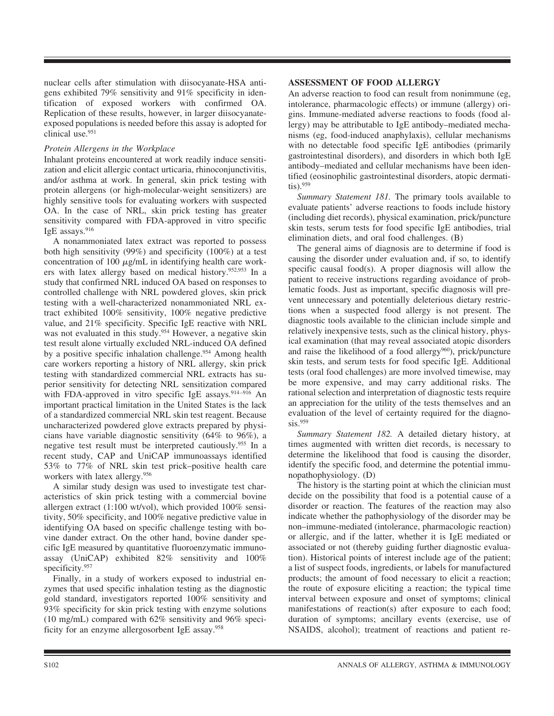nuclear cells after stimulation with diisocyanate-HSA antigens exhibited 79% sensitivity and 91% specificity in identification of exposed workers with confirmed OA. Replication of these results, however, in larger diisocyanateexposed populations is needed before this assay is adopted for clinical use.<sup>951</sup>

# *Protein Allergens in the Workplace*

Inhalant proteins encountered at work readily induce sensitization and elicit allergic contact urticaria, rhinoconjunctivitis, and/or asthma at work. In general, skin prick testing with protein allergens (or high-molecular-weight sensitizers) are highly sensitive tools for evaluating workers with suspected OA. In the case of NRL, skin prick testing has greater sensitivity compared with FDA-approved in vitro specific IgE assays.916

A nonammoniated latex extract was reported to possess both high sensitivity (99%) and specificity (100%) at a test concentration of 100  $\mu$ g/mL in identifying health care workers with latex allergy based on medical history.<sup>952,953</sup> In a study that confirmed NRL induced OA based on responses to controlled challenge with NRL powdered gloves, skin prick testing with a well-characterized nonammoniated NRL extract exhibited 100% sensitivity, 100% negative predictive value, and 21% specificity. Specific IgE reactive with NRL was not evaluated in this study.<sup>954</sup> However, a negative skin test result alone virtually excluded NRL-induced OA defined by a positive specific inhalation challenge.<sup>954</sup> Among health care workers reporting a history of NRL allergy, skin prick testing with standardized commercial NRL extracts has superior sensitivity for detecting NRL sensitization compared with FDA-approved in vitro specific IgE assays.<sup>914-916</sup> An important practical limitation in the United States is the lack of a standardized commercial NRL skin test reagent. Because uncharacterized powdered glove extracts prepared by physicians have variable diagnostic sensitivity (64% to 96%), a negative test result must be interpreted cautiously.955 In a recent study, CAP and UniCAP immunoassays identified 53% to 77% of NRL skin test prick–positive health care workers with latex allergy.<sup>956</sup>

A similar study design was used to investigate test characteristics of skin prick testing with a commercial bovine allergen extract (1:100 wt/vol), which provided 100% sensitivity, 50% specificity, and 100% negative predictive value in identifying OA based on specific challenge testing with bovine dander extract. On the other hand, bovine dander specific IgE measured by quantitative fluoroenzymatic immunoassay (UniCAP) exhibited 82% sensitivity and 100% specificity.<sup>957</sup>

Finally, in a study of workers exposed to industrial enzymes that used specific inhalation testing as the diagnostic gold standard, investigators reported 100% sensitivity and 93% specificity for skin prick testing with enzyme solutions (10 mg/mL) compared with 62% sensitivity and 96% specificity for an enzyme allergosorbent IgE assay.958

## **ASSESSMENT OF FOOD ALLERGY**

An adverse reaction to food can result from nonimmune (eg, intolerance, pharmacologic effects) or immune (allergy) origins. Immune-mediated adverse reactions to foods (food allergy) may be attributable to IgE antibody–mediated mechanisms (eg, food-induced anaphylaxis), cellular mechanisms with no detectable food specific IgE antibodies (primarily gastrointestinal disorders), and disorders in which both IgE antibody–mediated and cellular mechanisms have been identified (eosinophilic gastrointestinal disorders, atopic dermatitis) $.959$ 

*Summary Statement 181.* The primary tools available to evaluate patients' adverse reactions to foods include history (including diet records), physical examination, prick/puncture skin tests, serum tests for food specific IgE antibodies, trial elimination diets, and oral food challenges. (B)

The general aims of diagnosis are to determine if food is causing the disorder under evaluation and, if so, to identify specific causal food(s). A proper diagnosis will allow the patient to receive instructions regarding avoidance of problematic foods. Just as important, specific diagnosis will prevent unnecessary and potentially deleterious dietary restrictions when a suspected food allergy is not present. The diagnostic tools available to the clinician include simple and relatively inexpensive tests, such as the clinical history, physical examination (that may reveal associated atopic disorders and raise the likelihood of a food allergy<sup>960</sup>), prick/puncture skin tests, and serum tests for food specific IgE. Additional tests (oral food challenges) are more involved timewise, may be more expensive, and may carry additional risks. The rational selection and interpretation of diagnostic tests require an appreciation for the utility of the tests themselves and an evaluation of the level of certainty required for the diagno $sis.959$ 

*Summary Statement 182.* A detailed dietary history, at times augmented with written diet records, is necessary to determine the likelihood that food is causing the disorder, identify the specific food, and determine the potential immunopathophysiology. (D)

The history is the starting point at which the clinician must decide on the possibility that food is a potential cause of a disorder or reaction. The features of the reaction may also indicate whether the pathophysiology of the disorder may be non–immune-mediated (intolerance, pharmacologic reaction) or allergic, and if the latter, whether it is IgE mediated or associated or not (thereby guiding further diagnostic evaluation). Historical points of interest include age of the patient; a list of suspect foods, ingredients, or labels for manufactured products; the amount of food necessary to elicit a reaction; the route of exposure eliciting a reaction; the typical time interval between exposure and onset of symptoms; clinical manifestations of reaction(s) after exposure to each food; duration of symptoms; ancillary events (exercise, use of NSAIDS, alcohol); treatment of reactions and patient re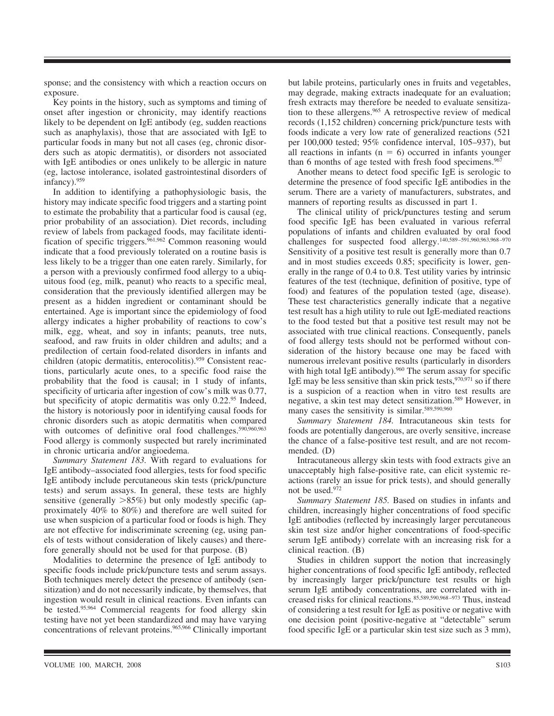sponse; and the consistency with which a reaction occurs on exposure.

Key points in the history, such as symptoms and timing of onset after ingestion or chronicity, may identify reactions likely to be dependent on IgE antibody (eg, sudden reactions such as anaphylaxis), those that are associated with IgE to particular foods in many but not all cases (eg, chronic disorders such as atopic dermatitis), or disorders not associated with IgE antibodies or ones unlikely to be allergic in nature (eg, lactose intolerance, isolated gastrointestinal disorders of infancy).<sup>959</sup>

In addition to identifying a pathophysiologic basis, the history may indicate specific food triggers and a starting point to estimate the probability that a particular food is causal (eg, prior probability of an association). Diet records, including review of labels from packaged foods, may facilitate identification of specific triggers.<sup>961,962</sup> Common reasoning would indicate that a food previously tolerated on a routine basis is less likely to be a trigger than one eaten rarely. Similarly, for a person with a previously confirmed food allergy to a ubiquitous food (eg, milk, peanut) who reacts to a specific meal, consideration that the previously identified allergen may be present as a hidden ingredient or contaminant should be entertained. Age is important since the epidemiology of food allergy indicates a higher probability of reactions to cow's milk, egg, wheat, and soy in infants; peanuts, tree nuts, seafood, and raw fruits in older children and adults; and a predilection of certain food-related disorders in infants and children (atopic dermatitis, enterocolitis).<sup>959</sup> Consistent reactions, particularly acute ones, to a specific food raise the probability that the food is causal; in 1 study of infants, specificity of urticaria after ingestion of cow's milk was 0.77, but specificity of atopic dermatitis was only 0.22.<sup>95</sup> Indeed, the history is notoriously poor in identifying causal foods for chronic disorders such as atopic dermatitis when compared with outcomes of definitive oral food challenges.<sup>590,960,963</sup> Food allergy is commonly suspected but rarely incriminated in chronic urticaria and/or angioedema.

*Summary Statement 183.* With regard to evaluations for IgE antibody–associated food allergies, tests for food specific IgE antibody include percutaneous skin tests (prick/puncture tests) and serum assays. In general, these tests are highly sensitive (generally  $>85\%$ ) but only modestly specific (approximately 40% to 80%) and therefore are well suited for use when suspicion of a particular food or foods is high. They are not effective for indiscriminate screening (eg, using panels of tests without consideration of likely causes) and therefore generally should not be used for that purpose. (B)

Modalities to determine the presence of IgE antibody to specific foods include prick/puncture tests and serum assays. Both techniques merely detect the presence of antibody (sensitization) and do not necessarily indicate, by themselves, that ingestion would result in clinical reactions. Even infants can be tested.95,964 Commercial reagents for food allergy skin testing have not yet been standardized and may have varying concentrations of relevant proteins.965,966 Clinically important but labile proteins, particularly ones in fruits and vegetables, may degrade, making extracts inadequate for an evaluation; fresh extracts may therefore be needed to evaluate sensitization to these allergens.965 A retrospective review of medical records (1,152 children) concerning prick/puncture tests with foods indicate a very low rate of generalized reactions (521 per 100,000 tested; 95% confidence interval, 105–937), but all reactions in infants ( $n = 6$ ) occurred in infants younger than 6 months of age tested with fresh food specimens.<sup>967</sup>

Another means to detect food specific IgE is serologic to determine the presence of food specific IgE antibodies in the serum. There are a variety of manufacturers, substrates, and manners of reporting results as discussed in part 1.

The clinical utility of prick/punctures testing and serum food specific IgE has been evaluated in various referral populations of infants and children evaluated by oral food challenges for suspected food allergy.140,589 –591,960,963,968 –970 Sensitivity of a positive test result is generally more than 0.7 and in most studies exceeds 0.85; specificity is lower, generally in the range of 0.4 to 0.8. Test utility varies by intrinsic features of the test (technique, definition of positive, type of food) and features of the population tested (age, disease). These test characteristics generally indicate that a negative test result has a high utility to rule out IgE-mediated reactions to the food tested but that a positive test result may not be associated with true clinical reactions. Consequently, panels of food allergy tests should not be performed without consideration of the history because one may be faced with numerous irrelevant positive results (particularly in disorders with high total IgE antibody).<sup>960</sup> The serum assay for specific IgE may be less sensitive than skin prick tests,  $970,971$  so if there is a suspicion of a reaction when in vitro test results are negative, a skin test may detect sensitization.589 However, in many cases the sensitivity is similar.<sup>589,590,960</sup>

*Summary Statement 184.* Intracutaneous skin tests for foods are potentially dangerous, are overly sensitive, increase the chance of a false-positive test result, and are not recommended. (D)

Intracutaneous allergy skin tests with food extracts give an unacceptably high false-positive rate, can elicit systemic reactions (rarely an issue for prick tests), and should generally not be used.972

*Summary Statement 185.* Based on studies in infants and children, increasingly higher concentrations of food specific IgE antibodies (reflected by increasingly larger percutaneous skin test size and/or higher concentrations of food-specific serum IgE antibody) correlate with an increasing risk for a clinical reaction. (B)

Studies in children support the notion that increasingly higher concentrations of food specific IgE antibody, reflected by increasingly larger prick/puncture test results or high serum IgE antibody concentrations, are correlated with increased risks for clinical reactions.85,589,590,968 –973 Thus, instead of considering a test result for IgE as positive or negative with one decision point (positive-negative at "detectable" serum food specific IgE or a particular skin test size such as 3 mm),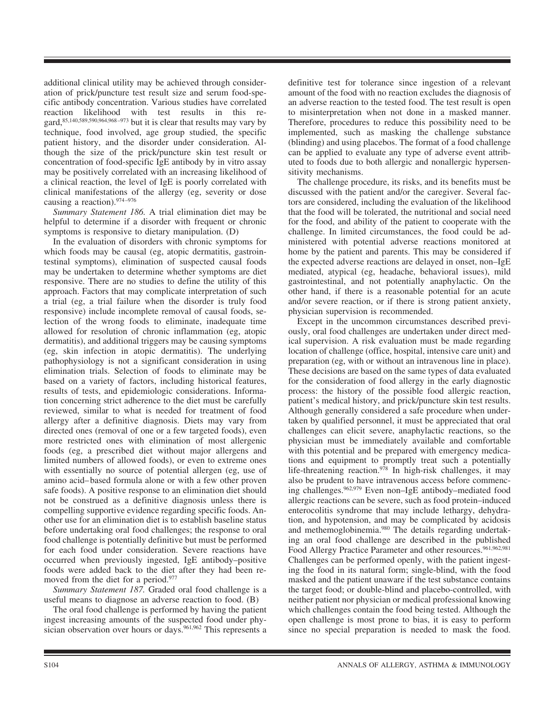additional clinical utility may be achieved through consideration of prick/puncture test result size and serum food-specific antibody concentration. Various studies have correlated reaction likelihood with test results in this regard,85,140,589,590,964,968 –973 but it is clear that results may vary by technique, food involved, age group studied, the specific patient history, and the disorder under consideration. Although the size of the prick/puncture skin test result or concentration of food-specific IgE antibody by in vitro assay may be positively correlated with an increasing likelihood of a clinical reaction, the level of IgE is poorly correlated with clinical manifestations of the allergy (eg, severity or dose causing a reaction).974 –976

*Summary Statement 186.* A trial elimination diet may be helpful to determine if a disorder with frequent or chronic symptoms is responsive to dietary manipulation. (D)

In the evaluation of disorders with chronic symptoms for which foods may be causal (eg, atopic dermatitis, gastrointestinal symptoms), elimination of suspected causal foods may be undertaken to determine whether symptoms are diet responsive. There are no studies to define the utility of this approach. Factors that may complicate interpretation of such a trial (eg, a trial failure when the disorder is truly food responsive) include incomplete removal of causal foods, selection of the wrong foods to eliminate, inadequate time allowed for resolution of chronic inflammation (eg, atopic dermatitis), and additional triggers may be causing symptoms (eg, skin infection in atopic dermatitis). The underlying pathophysiology is not a significant consideration in using elimination trials. Selection of foods to eliminate may be based on a variety of factors, including historical features, results of tests, and epidemiologic considerations. Information concerning strict adherence to the diet must be carefully reviewed, similar to what is needed for treatment of food allergy after a definitive diagnosis. Diets may vary from directed ones (removal of one or a few targeted foods), even more restricted ones with elimination of most allergenic foods (eg, a prescribed diet without major allergens and limited numbers of allowed foods), or even to extreme ones with essentially no source of potential allergen (eg, use of amino acid– based formula alone or with a few other proven safe foods). A positive response to an elimination diet should not be construed as a definitive diagnosis unless there is compelling supportive evidence regarding specific foods. Another use for an elimination diet is to establish baseline status before undertaking oral food challenges; the response to oral food challenge is potentially definitive but must be performed for each food under consideration. Severe reactions have occurred when previously ingested, IgE antibody–positive foods were added back to the diet after they had been removed from the diet for a period.<sup>977</sup>

*Summary Statement 187.* Graded oral food challenge is a useful means to diagnose an adverse reaction to food. (B)

The oral food challenge is performed by having the patient ingest increasing amounts of the suspected food under physician observation over hours or days.<sup>961,962</sup> This represents a definitive test for tolerance since ingestion of a relevant amount of the food with no reaction excludes the diagnosis of an adverse reaction to the tested food. The test result is open to misinterpretation when not done in a masked manner. Therefore, procedures to reduce this possibility need to be implemented, such as masking the challenge substance (blinding) and using placebos. The format of a food challenge can be applied to evaluate any type of adverse event attributed to foods due to both allergic and nonallergic hypersensitivity mechanisms.

The challenge procedure, its risks, and its benefits must be discussed with the patient and/or the caregiver. Several factors are considered, including the evaluation of the likelihood that the food will be tolerated, the nutritional and social need for the food, and ability of the patient to cooperate with the challenge. In limited circumstances, the food could be administered with potential adverse reactions monitored at home by the patient and parents. This may be considered if the expected adverse reactions are delayed in onset, non–IgE mediated, atypical (eg, headache, behavioral issues), mild gastrointestinal, and not potentially anaphylactic. On the other hand, if there is a reasonable potential for an acute and/or severe reaction, or if there is strong patient anxiety, physician supervision is recommended.

Except in the uncommon circumstances described previously, oral food challenges are undertaken under direct medical supervision. A risk evaluation must be made regarding location of challenge (office, hospital, intensive care unit) and preparation (eg, with or without an intravenous line in place). These decisions are based on the same types of data evaluated for the consideration of food allergy in the early diagnostic process: the history of the possible food allergic reaction, patient's medical history, and prick/puncture skin test results. Although generally considered a safe procedure when undertaken by qualified personnel, it must be appreciated that oral challenges can elicit severe, anaphylactic reactions, so the physician must be immediately available and comfortable with this potential and be prepared with emergency medications and equipment to promptly treat such a potentially life-threatening reaction.978 In high-risk challenges, it may also be prudent to have intravenous access before commencing challenges.962,979 Even non–IgE antibody–mediated food allergic reactions can be severe, such as food protein–induced enterocolitis syndrome that may include lethargy, dehydration, and hypotension, and may be complicated by acidosis and methemoglobinemia.980 The details regarding undertaking an oral food challenge are described in the published Food Allergy Practice Parameter and other resources.<sup>961,962,981</sup> Challenges can be performed openly, with the patient ingesting the food in its natural form; single-blind, with the food masked and the patient unaware if the test substance contains the target food; or double-blind and placebo-controlled, with neither patient nor physician or medical professional knowing which challenges contain the food being tested. Although the open challenge is most prone to bias, it is easy to perform since no special preparation is needed to mask the food.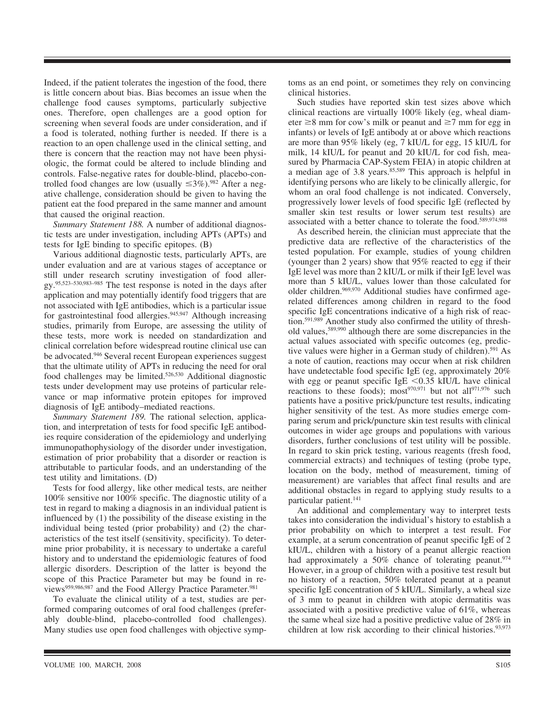Indeed, if the patient tolerates the ingestion of the food, there is little concern about bias. Bias becomes an issue when the challenge food causes symptoms, particularly subjective ones. Therefore, open challenges are a good option for screening when several foods are under consideration, and if a food is tolerated, nothing further is needed. If there is a reaction to an open challenge used in the clinical setting, and there is concern that the reaction may not have been physiologic, the format could be altered to include blinding and controls. False-negative rates for double-blind, placebo-controlled food changes are low (usually  $\leq 3\%$ ).<sup>982</sup> After a negative challenge, consideration should be given to having the patient eat the food prepared in the same manner and amount that caused the original reaction.

*Summary Statement 188.* A number of additional diagnostic tests are under investigation, including APTs (APTs) and tests for IgE binding to specific epitopes. (B)

Various additional diagnostic tests, particularly APTs, are under evaluation and are at various stages of acceptance or still under research scrutiny investigation of food allergy.95,523–530,983–985 The test response is noted in the days after application and may potentially identify food triggers that are not associated with IgE antibodies, which is a particular issue for gastrointestinal food allergies.<sup>945,947</sup> Although increasing studies, primarily from Europe, are assessing the utility of these tests, more work is needed on standardization and clinical correlation before widespread routine clinical use can be advocated.<sup>946</sup> Several recent European experiences suggest that the ultimate utility of APTs in reducing the need for oral food challenges may be limited.<sup>526,530</sup> Additional diagnostic tests under development may use proteins of particular relevance or map informative protein epitopes for improved diagnosis of IgE antibody–mediated reactions.

*Summary Statement 189.* The rational selection, application, and interpretation of tests for food specific IgE antibodies require consideration of the epidemiology and underlying immunopathophysiology of the disorder under investigation, estimation of prior probability that a disorder or reaction is attributable to particular foods, and an understanding of the test utility and limitations. (D)

Tests for food allergy, like other medical tests, are neither 100% sensitive nor 100% specific. The diagnostic utility of a test in regard to making a diagnosis in an individual patient is influenced by (1) the possibility of the disease existing in the individual being tested (prior probability) and (2) the characteristics of the test itself (sensitivity, specificity). To determine prior probability, it is necessary to undertake a careful history and to understand the epidemiologic features of food allergic disorders. Description of the latter is beyond the scope of this Practice Parameter but may be found in reviews<sup>959,986,987</sup> and the Food Allergy Practice Parameter.<sup>981</sup>

To evaluate the clinical utility of a test, studies are performed comparing outcomes of oral food challenges (preferably double-blind, placebo-controlled food challenges). Many studies use open food challenges with objective symptoms as an end point, or sometimes they rely on convincing clinical histories.

Such studies have reported skin test sizes above which clinical reactions are virtually 100% likely (eg, wheal diameter  $\geq$ 8 mm for cow's milk or peanut and  $\geq$ 7 mm for egg in infants) or levels of IgE antibody at or above which reactions are more than 95% likely (eg, 7 kIU/L for egg, 15 kIU/L for milk, 14 kIU/L for peanut and 20 kIU/L for cod fish, measured by Pharmacia CAP-System FEIA) in atopic children at a median age of 3.8 years.85,589 This approach is helpful in identifying persons who are likely to be clinically allergic, for whom an oral food challenge is not indicated. Conversely, progressively lower levels of food specific IgE (reflected by smaller skin test results or lower serum test results) are associated with a better chance to tolerate the food.589,974,988

As described herein, the clinician must appreciate that the predictive data are reflective of the characteristics of the tested population. For example, studies of young children (younger than 2 years) show that 95% reacted to egg if their IgE level was more than 2 kIU/L or milk if their IgE level was more than 5 kIU/L, values lower than those calculated for older children.969,970 Additional studies have confirmed agerelated differences among children in regard to the food specific IgE concentrations indicative of a high risk of reaction.591,989 Another study also confirmed the utility of threshold values,589,990 although there are some discrepancies in the actual values associated with specific outcomes (eg, predictive values were higher in a German study of children).<sup>591</sup> As a note of caution, reactions may occur when at risk children have undetectable food specific IgE (eg, approximately 20% with egg or peanut specific  $IgE \leq 0.35$  kIU/L have clinical reactions to these foods); most<sup>970,971</sup> but not all<sup>971,976</sup> such patients have a positive prick/puncture test results, indicating higher sensitivity of the test. As more studies emerge comparing serum and prick/puncture skin test results with clinical outcomes in wider age groups and populations with various disorders, further conclusions of test utility will be possible. In regard to skin prick testing, various reagents (fresh food, commercial extracts) and techniques of testing (probe type, location on the body, method of measurement, timing of measurement) are variables that affect final results and are additional obstacles in regard to applying study results to a particular patient.141

An additional and complementary way to interpret tests takes into consideration the individual's history to establish a prior probability on which to interpret a test result. For example, at a serum concentration of peanut specific IgE of 2 kIU/L, children with a history of a peanut allergic reaction had approximately a 50% chance of tolerating peanut.<sup>974</sup> However, in a group of children with a positive test result but no history of a reaction, 50% tolerated peanut at a peanut specific IgE concentration of 5 kIU/L. Similarly, a wheal size of 3 mm to peanut in children with atopic dermatitis was associated with a positive predictive value of 61%, whereas the same wheal size had a positive predictive value of 28% in children at low risk according to their clinical histories.<sup>93,973</sup>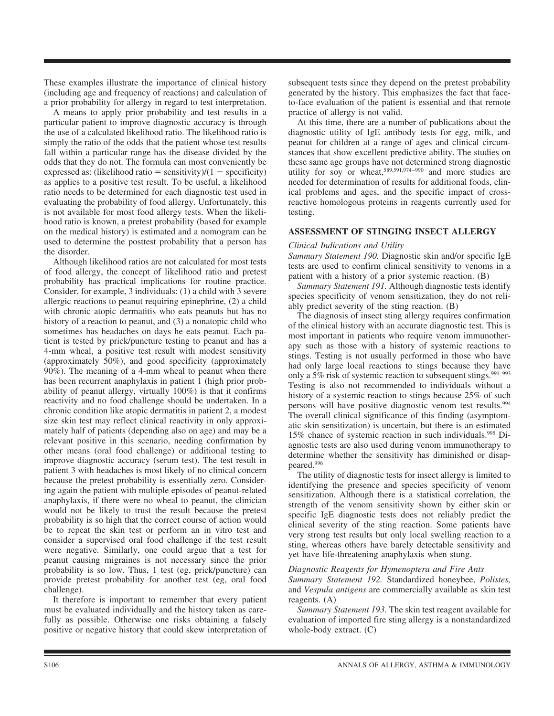These examples illustrate the importance of clinical history (including age and frequency of reactions) and calculation of a prior probability for allergy in regard to test interpretation.

A means to apply prior probability and test results in a particular patient to improve diagnostic accuracy is through the use of a calculated likelihood ratio. The likelihood ratio is simply the ratio of the odds that the patient whose test results fall within a particular range has the disease divided by the odds that they do not. The formula can most conveniently be expressed as: (likelihood ratio = sensitivity)/(1 - specificity) as applies to a positive test result. To be useful, a likelihood ratio needs to be determined for each diagnostic test used in evaluating the probability of food allergy. Unfortunately, this is not available for most food allergy tests. When the likelihood ratio is known, a pretest probability (based for example on the medical history) is estimated and a nomogram can be used to determine the posttest probability that a person has the disorder.

Although likelihood ratios are not calculated for most tests of food allergy, the concept of likelihood ratio and pretest probability has practical implications for routine practice. Consider, for example, 3 individuals: (1) a child with 3 severe allergic reactions to peanut requiring epinephrine, (2) a child with chronic atopic dermatitis who eats peanuts but has no history of a reaction to peanut, and (3) a nonatopic child who sometimes has headaches on days he eats peanut. Each patient is tested by prick/puncture testing to peanut and has a 4-mm wheal, a positive test result with modest sensitivity (approximately 50%), and good specificity (approximately 90%). The meaning of a 4-mm wheal to peanut when there has been recurrent anaphylaxis in patient 1 (high prior probability of peanut allergy, virtually 100%) is that it confirms reactivity and no food challenge should be undertaken. In a chronic condition like atopic dermatitis in patient 2, a modest size skin test may reflect clinical reactivity in only approximately half of patients (depending also on age) and may be a relevant positive in this scenario, needing confirmation by other means (oral food challenge) or additional testing to improve diagnostic accuracy (serum test). The test result in patient 3 with headaches is most likely of no clinical concern because the pretest probability is essentially zero. Considering again the patient with multiple episodes of peanut-related anaphylaxis, if there were no wheal to peanut, the clinician would not be likely to trust the result because the pretest probability is so high that the correct course of action would be to repeat the skin test or perform an in vitro test and consider a supervised oral food challenge if the test result were negative. Similarly, one could argue that a test for peanut causing migraines is not necessary since the prior probability is so low. Thus, 1 test (eg, prick/puncture) can provide pretest probability for another test (eg, oral food challenge).

It therefore is important to remember that every patient must be evaluated individually and the history taken as carefully as possible. Otherwise one risks obtaining a falsely positive or negative history that could skew interpretation of

subsequent tests since they depend on the pretest probability generated by the history. This emphasizes the fact that faceto-face evaluation of the patient is essential and that remote practice of allergy is not valid.

At this time, there are a number of publications about the diagnostic utility of IgE antibody tests for egg, milk, and peanut for children at a range of ages and clinical circumstances that show excellent predictive ability. The studies on these same age groups have not determined strong diagnostic utility for soy or wheat,589,591,974 –990 and more studies are needed for determination of results for additional foods, clinical problems and ages, and the specific impact of crossreactive homologous proteins in reagents currently used for testing.

## **ASSESSMENT OF STINGING INSECT ALLERGY**

#### *Clinical Indications and Utility*

*Summary Statement 190.* Diagnostic skin and/or specific IgE tests are used to confirm clinical sensitivity to venoms in a patient with a history of a prior systemic reaction. (B)

*Summary Statement 191.* Although diagnostic tests identify species specificity of venom sensitization, they do not reliably predict severity of the sting reaction. (B)

The diagnosis of insect sting allergy requires confirmation of the clinical history with an accurate diagnostic test. This is most important in patients who require venom immunotherapy such as those with a history of systemic reactions to stings. Testing is not usually performed in those who have had only large local reactions to stings because they have only a 5% risk of systemic reaction to subsequent stings. $991-993$ Testing is also not recommended to individuals without a history of a systemic reaction to stings because 25% of such persons will have positive diagnostic venom test results.994 The overall clinical significance of this finding (asymptomatic skin sensitization) is uncertain, but there is an estimated 15% chance of systemic reaction in such individuals.995 Diagnostic tests are also used during venom immunotherapy to determine whether the sensitivity has diminished or disappeared.996

The utility of diagnostic tests for insect allergy is limited to identifying the presence and species specificity of venom sensitization. Although there is a statistical correlation, the strength of the venom sensitivity shown by either skin or specific IgE diagnostic tests does not reliably predict the clinical severity of the sting reaction. Some patients have very strong test results but only local swelling reaction to a sting, whereas others have barely detectable sensitivity and yet have life-threatening anaphylaxis when stung.

## *Diagnostic Reagents for Hymenoptera and Fire Ants*

*Summary Statement 192.* Standardized honeybee, *Polistes,* and *Vespula antigens* are commercially available as skin test reagents. (A)

*Summary Statement 193.* The skin test reagent available for evaluation of imported fire sting allergy is a nonstandardized whole-body extract. (C)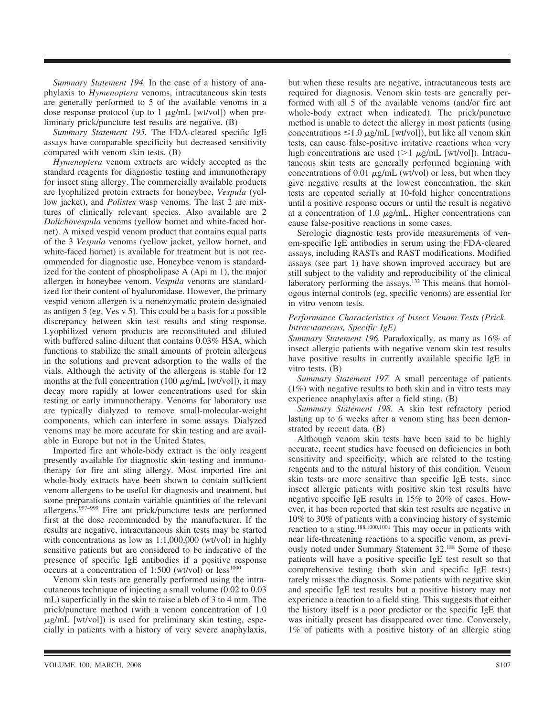*Summary Statement 194.* In the case of a history of anaphylaxis to *Hymenoptera* venoms, intracutaneous skin tests are generally performed to 5 of the available venoms in a dose response protocol (up to 1  $\mu$ g/mL [wt/vol]) when preliminary prick/puncture test results are negative. (B)

*Summary Statement 195.* The FDA-cleared specific IgE assays have comparable specificity but decreased sensitivity compared with venom skin tests. (B)

*Hymenoptera* venom extracts are widely accepted as the standard reagents for diagnostic testing and immunotherapy for insect sting allergy. The commercially available products are lyophilized protein extracts for honeybee, *Vespula* (yellow jacket), and *Polistes* wasp venoms. The last 2 are mixtures of clinically relevant species. Also available are 2 *Dolichovespula* venoms (yellow hornet and white-faced hornet). A mixed vespid venom product that contains equal parts of the 3 *Vespula* venoms (yellow jacket, yellow hornet, and white-faced hornet) is available for treatment but is not recommended for diagnostic use. Honeybee venom is standardized for the content of phospholipase A (Api m 1), the major allergen in honeybee venom. *Vespula* venoms are standardized for their content of hyaluronidase. However, the primary vespid venom allergen is a nonenzymatic protein designated as antigen 5 (eg, Ves v 5). This could be a basis for a possible discrepancy between skin test results and sting response. Lyophilized venom products are reconstituted and diluted with buffered saline diluent that contains 0.03% HSA, which functions to stabilize the small amounts of protein allergens in the solutions and prevent adsorption to the walls of the vials. Although the activity of the allergens is stable for 12 months at the full concentration (100  $\mu$ g/mL [wt/vol]), it may decay more rapidly at lower concentrations used for skin testing or early immunotherapy. Venoms for laboratory use are typically dialyzed to remove small-molecular-weight components, which can interfere in some assays. Dialyzed venoms may be more accurate for skin testing and are available in Europe but not in the United States.

Imported fire ant whole-body extract is the only reagent presently available for diagnostic skin testing and immunotherapy for fire ant sting allergy. Most imported fire ant whole-body extracts have been shown to contain sufficient venom allergens to be useful for diagnosis and treatment, but some preparations contain variable quantities of the relevant allergens.997–999 Fire ant prick/puncture tests are performed first at the dose recommended by the manufacturer. If the results are negative, intracutaneous skin tests may be started with concentrations as low as  $1:1,000,000$  (wt/vol) in highly sensitive patients but are considered to be indicative of the presence of specific IgE antibodies if a positive response occurs at a concentration of 1:500 (wt/vol) or  $less<sup>1000</sup>$ 

Venom skin tests are generally performed using the intracutaneous technique of injecting a small volume (0.02 to 0.03 mL) superficially in the skin to raise a bleb of 3 to 4 mm. The prick/puncture method (with a venom concentration of 1.0  $\mu$ g/mL [wt/vol]) is used for preliminary skin testing, especially in patients with a history of very severe anaphylaxis,

but when these results are negative, intracutaneous tests are required for diagnosis. Venom skin tests are generally performed with all 5 of the available venoms (and/or fire ant whole-body extract when indicated). The prick/puncture method is unable to detect the allergy in most patients (using concentrations  $\leq 1.0 \mu g/mL$  [wt/vol]), but like all venom skin tests, can cause false-positive irritative reactions when very high concentrations are used  $(>1 \mu g/mL$  [wt/vol]). Intracutaneous skin tests are generally performed beginning with concentrations of 0.01  $\mu$ g/mL (wt/vol) or less, but when they give negative results at the lowest concentration, the skin tests are repeated serially at 10-fold higher concentrations until a positive response occurs or until the result is negative at a concentration of 1.0  $\mu$ g/mL. Higher concentrations can cause false-positive reactions in some cases.

Serologic diagnostic tests provide measurements of venom-specific IgE antibodies in serum using the FDA-cleared assays, including RASTs and RAST modifications. Modified assays (see part 1) have shown improved accuracy but are still subject to the validity and reproducibility of the clinical laboratory performing the assays.<sup>132</sup> This means that homologous internal controls (eg, specific venoms) are essential for in vitro venom tests.

## *Performance Characteristics of Insect Venom Tests (Prick, Intracutaneous, Specific IgE)*

*Summary Statement 196.* Paradoxically, as many as 16% of insect allergic patients with negative venom skin test results have positive results in currently available specific IgE in vitro tests. (B)

*Summary Statement 197.* A small percentage of patients (1%) with negative results to both skin and in vitro tests may experience anaphylaxis after a field sting. (B)

*Summary Statement 198.* A skin test refractory period lasting up to 6 weeks after a venom sting has been demonstrated by recent data. (B)

Although venom skin tests have been said to be highly accurate, recent studies have focused on deficiencies in both sensitivity and specificity, which are related to the testing reagents and to the natural history of this condition. Venom skin tests are more sensitive than specific IgE tests, since insect allergic patients with positive skin test results have negative specific IgE results in 15% to 20% of cases. However, it has been reported that skin test results are negative in 10% to 30% of patients with a convincing history of systemic reaction to a sting.188,1000,1001 This may occur in patients with near life-threatening reactions to a specific venom, as previously noted under Summary Statement 32.188 Some of these patients will have a positive specific IgE test result so that comprehensive testing (both skin and specific IgE tests) rarely misses the diagnosis. Some patients with negative skin and specific IgE test results but a positive history may not experience a reaction to a field sting. This suggests that either the history itself is a poor predictor or the specific IgE that was initially present has disappeared over time. Conversely, 1% of patients with a positive history of an allergic sting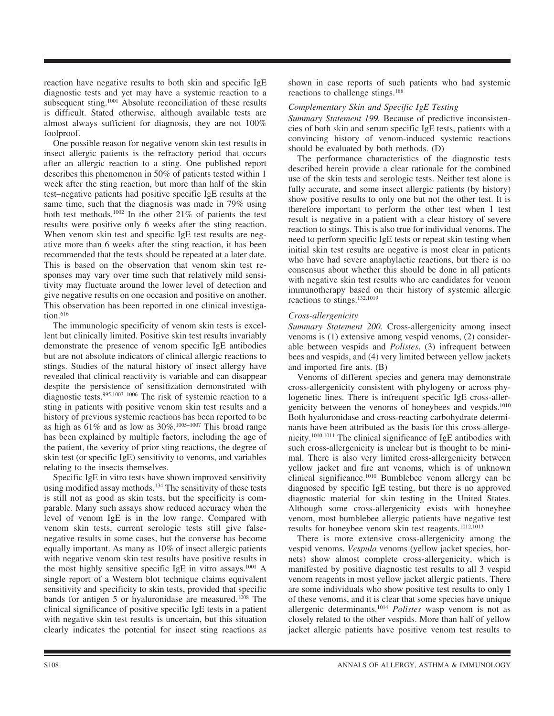reaction have negative results to both skin and specific IgE diagnostic tests and yet may have a systemic reaction to a subsequent sting.<sup>1001</sup> Absolute reconciliation of these results is difficult. Stated otherwise, although available tests are almost always sufficient for diagnosis, they are not 100% foolproof.

One possible reason for negative venom skin test results in insect allergic patients is the refractory period that occurs after an allergic reaction to a sting. One published report describes this phenomenon in 50% of patients tested within 1 week after the sting reaction, but more than half of the skin test–negative patients had positive specific IgE results at the same time, such that the diagnosis was made in 79% using both test methods.1002 In the other 21% of patients the test results were positive only 6 weeks after the sting reaction. When venom skin test and specific IgE test results are negative more than 6 weeks after the sting reaction, it has been recommended that the tests should be repeated at a later date. This is based on the observation that venom skin test responses may vary over time such that relatively mild sensitivity may fluctuate around the lower level of detection and give negative results on one occasion and positive on another. This observation has been reported in one clinical investiga $tion.<sup>616</sup>$ 

The immunologic specificity of venom skin tests is excellent but clinically limited. Positive skin test results invariably demonstrate the presence of venom specific IgE antibodies but are not absolute indicators of clinical allergic reactions to stings. Studies of the natural history of insect allergy have revealed that clinical reactivity is variable and can disappear despite the persistence of sensitization demonstrated with diagnostic tests.995,1003–1006 The risk of systemic reaction to a sting in patients with positive venom skin test results and a history of previous systemic reactions has been reported to be as high as  $61\%$  and as low as  $30\%$ .<sup>1005–1007</sup> This broad range has been explained by multiple factors, including the age of the patient, the severity of prior sting reactions, the degree of skin test (or specific IgE) sensitivity to venoms, and variables relating to the insects themselves.

Specific IgE in vitro tests have shown improved sensitivity using modified assay methods.<sup>134</sup> The sensitivity of these tests is still not as good as skin tests, but the specificity is comparable. Many such assays show reduced accuracy when the level of venom IgE is in the low range. Compared with venom skin tests, current serologic tests still give falsenegative results in some cases, but the converse has become equally important. As many as 10% of insect allergic patients with negative venom skin test results have positive results in the most highly sensitive specific IgE in vitro assays.<sup>1001</sup> A single report of a Western blot technique claims equivalent sensitivity and specificity to skin tests, provided that specific bands for antigen 5 or hyaluronidase are measured.<sup>1008</sup> The clinical significance of positive specific IgE tests in a patient with negative skin test results is uncertain, but this situation clearly indicates the potential for insect sting reactions as shown in case reports of such patients who had systemic reactions to challenge stings.<sup>188</sup>

## *Complementary Skin and Specific IgE Testing*

*Summary Statement 199.* Because of predictive inconsistencies of both skin and serum specific IgE tests, patients with a convincing history of venom-induced systemic reactions should be evaluated by both methods. (D)

The performance characteristics of the diagnostic tests described herein provide a clear rationale for the combined use of the skin tests and serologic tests. Neither test alone is fully accurate, and some insect allergic patients (by history) show positive results to only one but not the other test. It is therefore important to perform the other test when 1 test result is negative in a patient with a clear history of severe reaction to stings. This is also true for individual venoms. The need to perform specific IgE tests or repeat skin testing when initial skin test results are negative is most clear in patients who have had severe anaphylactic reactions, but there is no consensus about whether this should be done in all patients with negative skin test results who are candidates for venom immunotherapy based on their history of systemic allergic reactions to stings.132,1019

## *Cross-allergenicity*

*Summary Statement 200.* Cross-allergenicity among insect venoms is (1) extensive among vespid venoms, (2) considerable between vespids and *Polistes*, (3) infrequent between bees and vespids, and (4) very limited between yellow jackets and imported fire ants. (B)

Venoms of different species and genera may demonstrate cross-allergenicity consistent with phylogeny or across phylogenetic lines. There is infrequent specific IgE cross-allergenicity between the venoms of honeybees and vespids.1010 Both hyaluronidase and cross-reacting carbohydrate determinants have been attributed as the basis for this cross-allergenicity.1010,1011 The clinical significance of IgE antibodies with such cross-allergenicity is unclear but is thought to be minimal. There is also very limited cross-allergenicity between yellow jacket and fire ant venoms, which is of unknown clinical significance.1010 Bumblebee venom allergy can be diagnosed by specific IgE testing, but there is no approved diagnostic material for skin testing in the United States. Although some cross-allergenicity exists with honeybee venom, most bumblebee allergic patients have negative test results for honeybee venom skin test reagents.1012,1013

There is more extensive cross-allergenicity among the vespid venoms. *Vespula* venoms (yellow jacket species, hornets) show almost complete cross-allergenicity, which is manifested by positive diagnostic test results to all 3 vespid venom reagents in most yellow jacket allergic patients. There are some individuals who show positive test results to only 1 of these venoms, and it is clear that some species have unique allergenic determinants.1014 *Polistes* wasp venom is not as closely related to the other vespids. More than half of yellow jacket allergic patients have positive venom test results to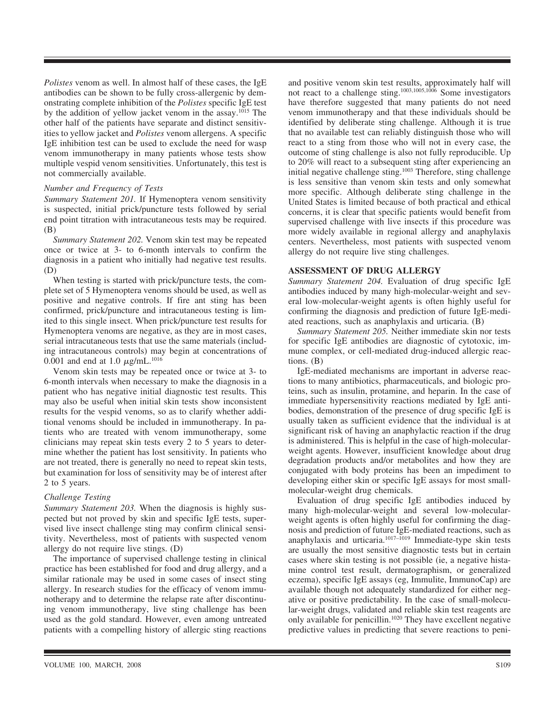*Polistes* venom as well. In almost half of these cases, the IgE antibodies can be shown to be fully cross-allergenic by demonstrating complete inhibition of the *Polistes* specific IgE test by the addition of yellow jacket venom in the assay.1015 The other half of the patients have separate and distinct sensitivities to yellow jacket and *Polistes* venom allergens. A specific IgE inhibition test can be used to exclude the need for wasp venom immunotherapy in many patients whose tests show multiple vespid venom sensitivities. Unfortunately, this test is not commercially available.

## *Number and Frequency of Tests*

*Summary Statement 201.* If Hymenoptera venom sensitivity is suspected, initial prick/puncture tests followed by serial end point titration with intracutaneous tests may be required. (B)

*Summary Statement 202.* Venom skin test may be repeated once or twice at 3- to 6-month intervals to confirm the diagnosis in a patient who initially had negative test results. (D)

When testing is started with prick/puncture tests, the complete set of 5 Hymenoptera venoms should be used, as well as positive and negative controls. If fire ant sting has been confirmed, prick/puncture and intracutaneous testing is limited to this single insect. When prick/puncture test results for Hymenoptera venoms are negative, as they are in most cases, serial intracutaneous tests that use the same materials (including intracutaneous controls) may begin at concentrations of 0.001 and end at 1.0  $\mu$ g/mL.<sup>1016</sup>

Venom skin tests may be repeated once or twice at 3- to 6-month intervals when necessary to make the diagnosis in a patient who has negative initial diagnostic test results. This may also be useful when initial skin tests show inconsistent results for the vespid venoms, so as to clarify whether additional venoms should be included in immunotherapy. In patients who are treated with venom immunotherapy, some clinicians may repeat skin tests every 2 to 5 years to determine whether the patient has lost sensitivity. In patients who are not treated, there is generally no need to repeat skin tests, but examination for loss of sensitivity may be of interest after 2 to 5 years.

## *Challenge Testing*

*Summary Statement 203.* When the diagnosis is highly suspected but not proved by skin and specific IgE tests, supervised live insect challenge sting may confirm clinical sensitivity. Nevertheless, most of patients with suspected venom allergy do not require live stings. (D)

The importance of supervised challenge testing in clinical practice has been established for food and drug allergy, and a similar rationale may be used in some cases of insect sting allergy. In research studies for the efficacy of venom immunotherapy and to determine the relapse rate after discontinuing venom immunotherapy, live sting challenge has been used as the gold standard. However, even among untreated patients with a compelling history of allergic sting reactions and positive venom skin test results, approximately half will not react to a challenge sting.1003,1005,1006 Some investigators have therefore suggested that many patients do not need venom immunotherapy and that these individuals should be identified by deliberate sting challenge. Although it is true that no available test can reliably distinguish those who will react to a sting from those who will not in every case, the outcome of sting challenge is also not fully reproducible. Up to 20% will react to a subsequent sting after experiencing an initial negative challenge sting.1003 Therefore, sting challenge is less sensitive than venom skin tests and only somewhat more specific. Although deliberate sting challenge in the United States is limited because of both practical and ethical concerns, it is clear that specific patients would benefit from supervised challenge with live insects if this procedure was more widely available in regional allergy and anaphylaxis centers. Nevertheless, most patients with suspected venom allergy do not require live sting challenges.

### **ASSESSMENT OF DRUG ALLERGY**

*Summary Statement 204.* Evaluation of drug specific IgE antibodies induced by many high-molecular-weight and several low-molecular-weight agents is often highly useful for confirming the diagnosis and prediction of future IgE-mediated reactions, such as anaphylaxis and urticaria. (B)

*Summary Statement 205.* Neither immediate skin nor tests for specific IgE antibodies are diagnostic of cytotoxic, immune complex, or cell-mediated drug-induced allergic reactions. (B)

IgE-mediated mechanisms are important in adverse reactions to many antibiotics, pharmaceuticals, and biologic proteins, such as insulin, protamine, and heparin. In the case of immediate hypersensitivity reactions mediated by IgE antibodies, demonstration of the presence of drug specific IgE is usually taken as sufficient evidence that the individual is at significant risk of having an anaphylactic reaction if the drug is administered. This is helpful in the case of high-molecularweight agents. However, insufficient knowledge about drug degradation products and/or metabolites and how they are conjugated with body proteins has been an impediment to developing either skin or specific IgE assays for most smallmolecular-weight drug chemicals.

Evaluation of drug specific IgE antibodies induced by many high-molecular-weight and several low-molecularweight agents is often highly useful for confirming the diagnosis and prediction of future IgE-mediated reactions, such as anaphylaxis and urticaria.<sup>1017-1019</sup> Immediate-type skin tests are usually the most sensitive diagnostic tests but in certain cases where skin testing is not possible (ie, a negative histamine control test result, dermatographism, or generalized eczema), specific IgE assays (eg, Immulite, ImmunoCap) are available though not adequately standardized for either negative or positive predictability. In the case of small-molecular-weight drugs, validated and reliable skin test reagents are only available for penicillin.1020 They have excellent negative predictive values in predicting that severe reactions to peni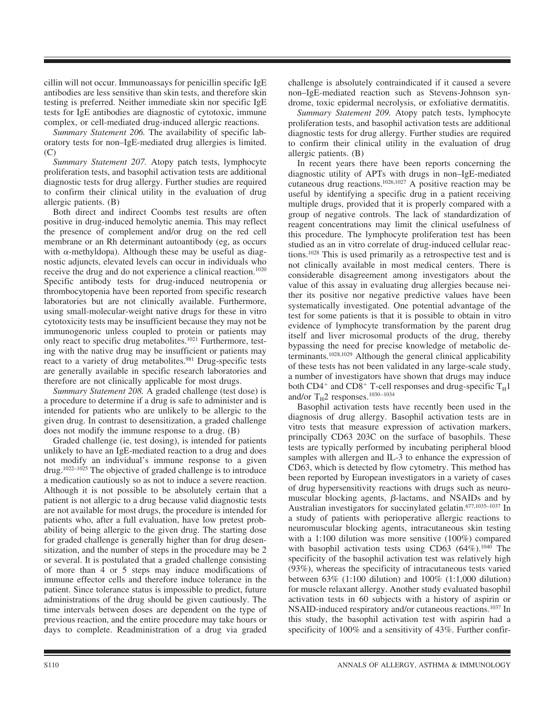cillin will not occur. Immunoassays for penicillin specific IgE antibodies are less sensitive than skin tests, and therefore skin testing is preferred. Neither immediate skin nor specific IgE tests for IgE antibodies are diagnostic of cytotoxic, immune complex, or cell-mediated drug-induced allergic reactions.

*Summary Statement 206.* The availability of specific laboratory tests for non–IgE-mediated drug allergies is limited.  $(C)$ 

*Summary Statement 207.* Atopy patch tests, lymphocyte proliferation tests, and basophil activation tests are additional diagnostic tests for drug allergy. Further studies are required to confirm their clinical utility in the evaluation of drug allergic patients. (B)

Both direct and indirect Coombs test results are often positive in drug-induced hemolytic anemia. This may reflect the presence of complement and/or drug on the red cell membrane or an Rh determinant autoantibody (eg, as occurs with  $\alpha$ -methyldopa). Although these may be useful as diagnostic adjuncts, elevated levels can occur in individuals who receive the drug and do not experience a clinical reaction.<sup>1020</sup> Specific antibody tests for drug-induced neutropenia or thrombocytopenia have been reported from specific research laboratories but are not clinically available. Furthermore, using small-molecular-weight native drugs for these in vitro cytotoxicity tests may be insufficient because they may not be immunogenoric unless coupled to protein or patients may only react to specific drug metabolites.1021 Furthermore, testing with the native drug may be insufficient or patients may react to a variety of drug metabolites.<sup>981</sup> Drug-specific tests are generally available in specific research laboratories and therefore are not clinically applicable for most drugs.

*Summary Statement 208.* A graded challenge (test dose) is a procedure to determine if a drug is safe to administer and is intended for patients who are unlikely to be allergic to the given drug. In contrast to desensitization, a graded challenge does not modify the immune response to a drug. (B)

Graded challenge (ie, test dosing), is intended for patients unlikely to have an IgE-mediated reaction to a drug and does not modify an individual's immune response to a given drug.1022–1025 The objective of graded challenge is to introduce a medication cautiously so as not to induce a severe reaction. Although it is not possible to be absolutely certain that a patient is not allergic to a drug because valid diagnostic tests are not available for most drugs, the procedure is intended for patients who, after a full evaluation, have low pretest probability of being allergic to the given drug. The starting dose for graded challenge is generally higher than for drug desensitization, and the number of steps in the procedure may be 2 or several. It is postulated that a graded challenge consisting of more than 4 or 5 steps may induce modifications of immune effector cells and therefore induce tolerance in the patient. Since tolerance status is impossible to predict, future administrations of the drug should be given cautiously. The time intervals between doses are dependent on the type of previous reaction, and the entire procedure may take hours or days to complete. Readministration of a drug via graded challenge is absolutely contraindicated if it caused a severe non–IgE-mediated reaction such as Stevens-Johnson syndrome, toxic epidermal necrolysis, or exfoliative dermatitis.

*Summary Statement 209.* Atopy patch tests, lymphocyte proliferation tests, and basophil activation tests are additional diagnostic tests for drug allergy. Further studies are required to confirm their clinical utility in the evaluation of drug allergic patients. (B)

In recent years there have been reports concerning the diagnostic utility of APTs with drugs in non–IgE-mediated cutaneous drug reactions.1026,1027 A positive reaction may be useful by identifying a specific drug in a patient receiving multiple drugs, provided that it is properly compared with a group of negative controls. The lack of standardization of reagent concentrations may limit the clinical usefulness of this procedure. The lymphocyte proliferation test has been studied as an in vitro correlate of drug-induced cellular reactions.1028 This is used primarily as a retrospective test and is not clinically available in most medical centers. There is considerable disagreement among investigators about the value of this assay in evaluating drug allergies because neither its positive nor negative predictive values have been systematically investigated. One potential advantage of the test for some patients is that it is possible to obtain in vitro evidence of lymphocyte transformation by the parent drug itself and liver microsomal products of the drug, thereby bypassing the need for precise knowledge of metabolic determinants.1028,1029 Although the general clinical applicability of these tests has not been validated in any large-scale study, a number of investigators have shown that drugs may induce both CD4<sup>+</sup> and CD8<sup>+</sup> T-cell responses and drug-specific  $T_H1$ and/or  $T_H2$  responses.<sup>1030-1034</sup>

Basophil activation tests have recently been used in the diagnosis of drug allergy. Basophil activation tests are in vitro tests that measure expression of activation markers, principally CD63 203C on the surface of basophils. These tests are typically performed by incubating peripheral blood samples with allergen and IL-3 to enhance the expression of CD63, which is detected by flow cytometry. This method has been reported by European investigators in a variety of cases of drug hypersensitivity reactions with drugs such as neuromuscular blocking agents,  $\beta$ -lactams, and NSAIDs and by Australian investigators for succinylated gelatin.677,1035–1037 In a study of patients with perioperative allergic reactions to neuromuscular blocking agents, intracutaneous skin testing with a 1:100 dilution was more sensitive (100%) compared with basophil activation tests using CD63 (64%).<sup>1040</sup> The specificity of the basophil activation test was relatively high (93%), whereas the specificity of intracutaneous tests varied between 63% (1:100 dilution) and 100% (1:1,000 dilution) for muscle relaxant allergy. Another study evaluated basophil activation tests in 60 subjects with a history of aspirin or NSAID-induced respiratory and/or cutaneous reactions.<sup>1037</sup> In this study, the basophil activation test with aspirin had a specificity of 100% and a sensitivity of 43%. Further confir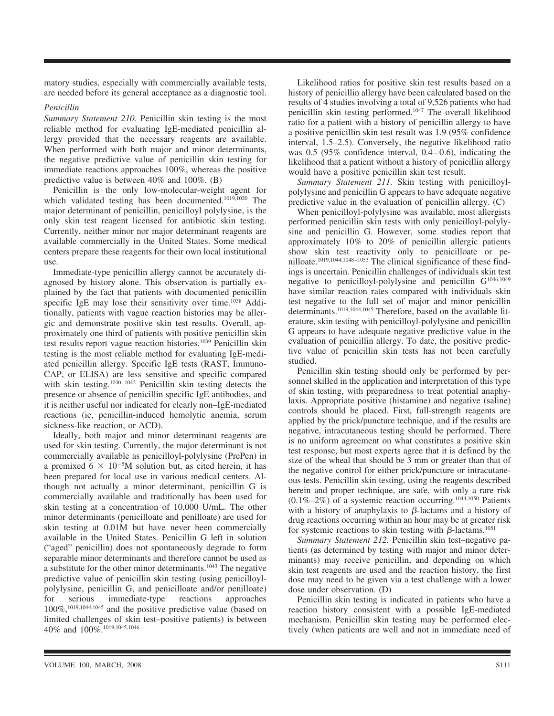matory studies, especially with commercially available tests, are needed before its general acceptance as a diagnostic tool.

### *Penicillin*

*Summary Statement 210.* Penicillin skin testing is the most reliable method for evaluating IgE-mediated penicillin allergy provided that the necessary reagents are available. When performed with both major and minor determinants, the negative predictive value of penicillin skin testing for immediate reactions approaches 100%, whereas the positive predictive value is between 40% and 100%. (B)

Penicillin is the only low-molecular-weight agent for which validated testing has been documented.<sup>1019,1020</sup> The major determinant of penicillin, penicilloyl polylysine, is the only skin test reagent licensed for antibiotic skin testing. Currently, neither minor nor major determinant reagents are available commercially in the United States. Some medical centers prepare these reagents for their own local institutional use.

Immediate-type penicillin allergy cannot be accurately diagnosed by history alone. This observation is partially explained by the fact that patients with documented penicillin specific IgE may lose their sensitivity over time.<sup>1038</sup> Additionally, patients with vague reaction histories may be allergic and demonstrate positive skin test results. Overall, approximately one third of patients with positive penicillin skin test results report vague reaction histories.<sup>1039</sup> Penicillin skin testing is the most reliable method for evaluating IgE-mediated penicillin allergy. Specific IgE tests (RAST, Immuno-CAP, or ELISA) are less sensitive and specific compared with skin testing.<sup>1040-1042</sup> Penicillin skin testing detects the presence or absence of penicillin specific IgE antibodies, and it is neither useful nor indicated for clearly non–IgE-mediated reactions (ie, penicillin-induced hemolytic anemia, serum sickness-like reaction, or ACD).

Ideally, both major and minor determinant reagents are used for skin testing. Currently, the major determinant is not commercially available as penicilloyl-polylysine (PrePen) in a premixed  $6 \times 10^{-5}$ M solution but, as cited herein, it has been prepared for local use in various medical centers. Although not actually a minor determinant, penicillin G is commercially available and traditionally has been used for skin testing at a concentration of 10,000 U/mL. The other minor determinants (penicilloate and penilloate) are used for skin testing at 0.01M but have never been commercially available in the United States. Penicillin G left in solution ("aged" penicillin) does not spontaneously degrade to form separable minor determinants and therefore cannot be used as a substitute for the other minor determinants.1043 The negative predictive value of penicillin skin testing (using penicilloylpolylysine, penicillin G, and penicilloate and/or penilloate) for serious immediate-type reactions approaches 100%,1019,1044,1045 and the positive predictive value (based on limited challenges of skin test–positive patients) is between 40% and 100%.1019,1045,1046

Likelihood ratios for positive skin test results based on a history of penicillin allergy have been calculated based on the results of 4 studies involving a total of 9,526 patients who had penicillin skin testing performed.1047 The overall likelihood ratio for a patient with a history of penicillin allergy to have a positive penicillin skin test result was 1.9 (95% confidence interval, 1.5–2.5). Conversely, the negative likelihood ratio was  $0.5$  (95% confidence interval,  $0.4 - 0.6$ ), indicating the likelihood that a patient without a history of penicillin allergy would have a positive penicillin skin test result.

*Summary Statement 211.* Skin testing with penicilloylpolylysine and penicillin G appears to have adequate negative predictive value in the evaluation of penicillin allergy. (C)

When penicilloyl-polylysine was available, most allergists performed penicillin skin tests with only penicilloyl-polylysine and penicillin G. However, some studies report that approximately 10% to 20% of penicillin allergic patients show skin test reactivity only to penicilloate or penilloate.1019,1044,1048 –1053 The clinical significance of these findings is uncertain. Penicillin challenges of individuals skin test negative to penicilloyl-polylysine and penicillin G1046,1049 have similar reaction rates compared with individuals skin test negative to the full set of major and minor penicillin determinants.<sup>1019,1044,1045</sup> Therefore, based on the available literature, skin testing with penicilloyl-polylysine and penicillin G appears to have adequate negative predictive value in the evaluation of penicillin allergy. To date, the positive predictive value of penicillin skin tests has not been carefully studied.

Penicillin skin testing should only be performed by personnel skilled in the application and interpretation of this type of skin testing, with preparedness to treat potential anaphylaxis. Appropriate positive (histamine) and negative (saline) controls should be placed. First, full-strength reagents are applied by the prick/puncture technique, and if the results are negative, intracutaneous testing should be performed. There is no uniform agreement on what constitutes a positive skin test response, but most experts agree that it is defined by the size of the wheal that should be 3 mm or greater than that of the negative control for either prick/puncture or intracutaneous tests. Penicillin skin testing, using the reagents described herein and proper technique, are safe, with only a rare risk (0.1%–2%) of a systemic reaction occurring.1044,1050 Patients with a history of anaphylaxis to  $\beta$ -lactams and a history of drug reactions occurring within an hour may be at greater risk for systemic reactions to skin testing with  $\beta$ -lactams.<sup>1051</sup>

*Summary Statement 212.* Penicillin skin test–negative patients (as determined by testing with major and minor determinants) may receive penicillin, and depending on which skin test reagents are used and the reaction history, the first dose may need to be given via a test challenge with a lower dose under observation. (D)

Penicillin skin testing is indicated in patients who have a reaction history consistent with a possible IgE-mediated mechanism. Penicillin skin testing may be performed electively (when patients are well and not in immediate need of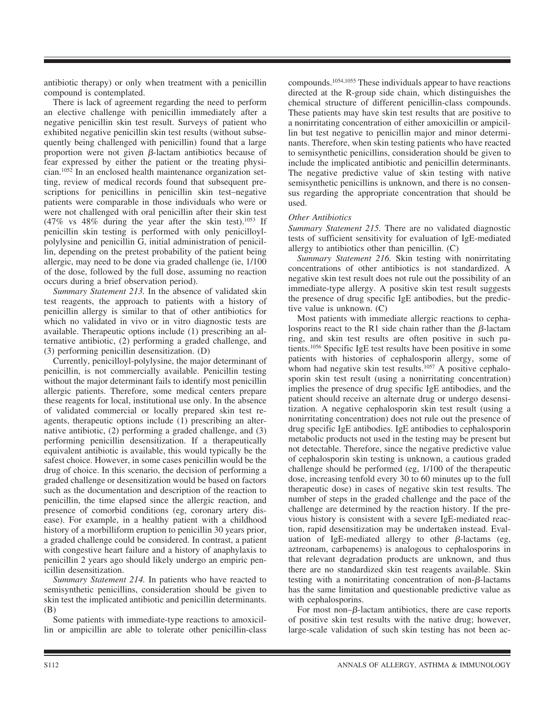antibiotic therapy) or only when treatment with a penicillin compound is contemplated.

There is lack of agreement regarding the need to perform an elective challenge with penicillin immediately after a negative penicillin skin test result. Surveys of patient who exhibited negative penicillin skin test results (without subsequently being challenged with penicillin) found that a large proportion were not given  $\beta$ -lactam antibiotics because of fear expressed by either the patient or the treating physician.1052 In an enclosed health maintenance organization setting, review of medical records found that subsequent prescriptions for penicillins in penicillin skin test–negative patients were comparable in those individuals who were or were not challenged with oral penicillin after their skin test  $(47\%$  vs  $48\%$  during the year after the skin test).<sup>1053</sup> If penicillin skin testing is performed with only penicilloylpolylysine and penicillin G, initial administration of penicillin, depending on the pretest probability of the patient being allergic, may need to be done via graded challenge (ie, 1/100 of the dose, followed by the full dose, assuming no reaction occurs during a brief observation period).

*Summary Statement 213.* In the absence of validated skin test reagents, the approach to patients with a history of penicillin allergy is similar to that of other antibiotics for which no validated in vivo or in vitro diagnostic tests are available. Therapeutic options include (1) prescribing an alternative antibiotic, (2) performing a graded challenge, and (3) performing penicillin desensitization. (D)

Currently, penicilloyl-polylysine, the major determinant of penicillin, is not commercially available. Penicillin testing without the major determinant fails to identify most penicillin allergic patients. Therefore, some medical centers prepare these reagents for local, institutional use only. In the absence of validated commercial or locally prepared skin test reagents, therapeutic options include (1) prescribing an alternative antibiotic, (2) performing a graded challenge, and (3) performing penicillin desensitization. If a therapeutically equivalent antibiotic is available, this would typically be the safest choice. However, in some cases penicillin would be the drug of choice. In this scenario, the decision of performing a graded challenge or desensitization would be based on factors such as the documentation and description of the reaction to penicillin, the time elapsed since the allergic reaction, and presence of comorbid conditions (eg, coronary artery disease). For example, in a healthy patient with a childhood history of a morbilliform eruption to penicillin 30 years prior, a graded challenge could be considered. In contrast, a patient with congestive heart failure and a history of anaphylaxis to penicillin 2 years ago should likely undergo an empiric penicillin desensitization.

*Summary Statement 214.* In patients who have reacted to semisynthetic penicillins, consideration should be given to skin test the implicated antibiotic and penicillin determinants. (B)

Some patients with immediate-type reactions to amoxicillin or ampicillin are able to tolerate other penicillin-class compounds.1054,1055 These individuals appear to have reactions directed at the R-group side chain, which distinguishes the chemical structure of different penicillin-class compounds. These patients may have skin test results that are positive to a nonirritating concentration of either amoxicillin or ampicillin but test negative to penicillin major and minor determinants. Therefore, when skin testing patients who have reacted to semisynthetic penicillins, consideration should be given to include the implicated antibiotic and penicillin determinants. The negative predictive value of skin testing with native semisynthetic penicillins is unknown, and there is no consensus regarding the appropriate concentration that should be used.

## *Other Antibiotics*

*Summary Statement 215.* There are no validated diagnostic tests of sufficient sensitivity for evaluation of IgE-mediated allergy to antibiotics other than penicillin. (C)

*Summary Statement 216.* Skin testing with nonirritating concentrations of other antibiotics is not standardized. A negative skin test result does not rule out the possibility of an immediate-type allergy. A positive skin test result suggests the presence of drug specific IgE antibodies, but the predictive value is unknown. (C)

Most patients with immediate allergic reactions to cephalosporins react to the R1 side chain rather than the  $\beta$ -lactam ring, and skin test results are often positive in such patients.1056 Specific IgE test results have been positive in some patients with histories of cephalosporin allergy, some of whom had negative skin test results.<sup>1057</sup> A positive cephalosporin skin test result (using a nonirritating concentration) implies the presence of drug specific IgE antibodies, and the patient should receive an alternate drug or undergo desensitization. A negative cephalosporin skin test result (using a nonirritating concentration) does not rule out the presence of drug specific IgE antibodies. IgE antibodies to cephalosporin metabolic products not used in the testing may be present but not detectable. Therefore, since the negative predictive value of cephalosporin skin testing is unknown, a cautious graded challenge should be performed (eg, 1/100 of the therapeutic dose, increasing tenfold every 30 to 60 minutes up to the full therapeutic dose) in cases of negative skin test results. The number of steps in the graded challenge and the pace of the challenge are determined by the reaction history. If the previous history is consistent with a severe IgE-mediated reaction, rapid desensitization may be undertaken instead. Evaluation of IgE-mediated allergy to other  $\beta$ -lactams (eg, aztreonam, carbapenems) is analogous to cephalosporins in that relevant degradation products are unknown, and thus there are no standardized skin test reagents available. Skin testing with a nonirritating concentration of non- $\beta$ -lactams has the same limitation and questionable predictive value as with cephalosporins.

For most non $-\beta$ -lactam antibiotics, there are case reports of positive skin test results with the native drug; however, large-scale validation of such skin testing has not been ac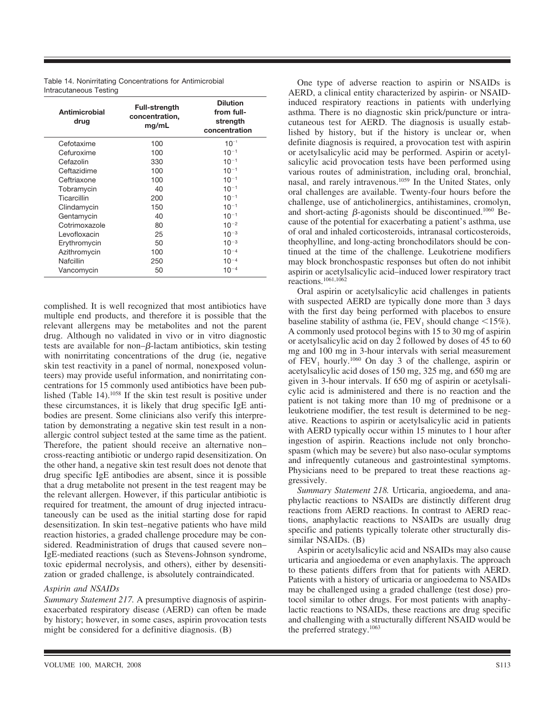Table 14. Nonirritating Concentrations for Antimicrobial Intracutaneous Testing

| Antimicrobial<br>drug | <b>Full-strength</b><br>concentration,<br>mg/mL | <b>Dilution</b><br>from full-<br>strength<br>concentration |
|-----------------------|-------------------------------------------------|------------------------------------------------------------|
| Cefotaxime            | 100                                             | $10^{-1}$                                                  |
| Cefuroxime            | 100                                             | $10^{-1}$                                                  |
| Cefazolin             | 330                                             | $10^{-1}$                                                  |
| Ceftazidime           | 100                                             | $10^{-1}$                                                  |
| Ceftriaxone           | 100                                             | $10^{-1}$                                                  |
| Tobramycin            | 40                                              | $10^{-1}$                                                  |
| Ticarcillin           | 200                                             | $10^{-1}$                                                  |
| Clindamycin           | 150                                             | $10^{-1}$                                                  |
| Gentamycin            | 40                                              | $10^{-1}$                                                  |
| Cotrimoxazole         | 80                                              | $10^{-2}$                                                  |
| Levofloxacin          | 25                                              | $10^{-3}$                                                  |
| Erythromycin          | 50                                              | $10^{-3}$                                                  |
| Azithromycin          | 100                                             | $10^{-4}$                                                  |
| Nafcillin             | 250                                             | $10^{-4}$                                                  |
| Vancomycin            | 50                                              | $10^{-4}$                                                  |

complished. It is well recognized that most antibiotics have multiple end products, and therefore it is possible that the relevant allergens may be metabolites and not the parent drug. Although no validated in vivo or in vitro diagnostic tests are available for non– $\beta$ -lactam antibiotics, skin testing with nonirritating concentrations of the drug (ie, negative skin test reactivity in a panel of normal, nonexposed volunteers) may provide useful information, and nonirritating concentrations for 15 commonly used antibiotics have been published (Table 14).1058 If the skin test result is positive under these circumstances, it is likely that drug specific IgE antibodies are present. Some clinicians also verify this interpretation by demonstrating a negative skin test result in a nonallergic control subject tested at the same time as the patient. Therefore, the patient should receive an alternative non– cross-reacting antibiotic or undergo rapid desensitization. On the other hand, a negative skin test result does not denote that drug specific IgE antibodies are absent, since it is possible that a drug metabolite not present in the test reagent may be the relevant allergen. However, if this particular antibiotic is required for treatment, the amount of drug injected intracutaneously can be used as the initial starting dose for rapid desensitization. In skin test–negative patients who have mild reaction histories, a graded challenge procedure may be considered. Readministration of drugs that caused severe non– IgE-mediated reactions (such as Stevens-Johnson syndrome, toxic epidermal necrolysis, and others), either by desensitization or graded challenge, is absolutely contraindicated.

## *Aspirin and NSAIDs*

*Summary Statement 217.* A presumptive diagnosis of aspirinexacerbated respiratory disease (AERD) can often be made by history; however, in some cases, aspirin provocation tests might be considered for a definitive diagnosis. (B)

One type of adverse reaction to aspirin or NSAIDs is AERD, a clinical entity characterized by aspirin- or NSAIDinduced respiratory reactions in patients with underlying asthma. There is no diagnostic skin prick/puncture or intracutaneous test for AERD. The diagnosis is usually established by history, but if the history is unclear or, when definite diagnosis is required, a provocation test with aspirin or acetylsalicylic acid may be performed. Aspirin or acetylsalicylic acid provocation tests have been performed using various routes of administration, including oral, bronchial, nasal, and rarely intravenous.1059 In the United States, only oral challenges are available. Twenty-four hours before the challenge, use of anticholinergics, antihistamines, cromolyn, and short-acting  $\beta$ -agonists should be discontinued.<sup>1060</sup> Because of the potential for exacerbating a patient's asthma, use of oral and inhaled corticosteroids, intranasal corticosteroids, theophylline, and long-acting bronchodilators should be continued at the time of the challenge. Leukotriene modifiers may block bronchospastic responses but often do not inhibit aspirin or acetylsalicylic acid–induced lower respiratory tract reactions.1061,1062

Oral aspirin or acetylsalicylic acid challenges in patients with suspected AERD are typically done more than 3 days with the first day being performed with placebos to ensure baseline stability of asthma (ie,  $FEV_1$  should change  $\leq 15\%$ ). A commonly used protocol begins with 15 to 30 mg of aspirin or acetylsalicylic acid on day 2 followed by doses of 45 to 60 mg and 100 mg in 3-hour intervals with serial measurement of  $FEV<sub>1</sub>$  hourly.<sup>1060</sup> On day 3 of the challenge, aspirin or acetylsalicylic acid doses of 150 mg, 325 mg, and 650 mg are given in 3-hour intervals. If 650 mg of aspirin or acetylsalicylic acid is administered and there is no reaction and the patient is not taking more than 10 mg of prednisone or a leukotriene modifier, the test result is determined to be negative. Reactions to aspirin or acetylsalicylic acid in patients with AERD typically occur within 15 minutes to 1 hour after ingestion of aspirin. Reactions include not only bronchospasm (which may be severe) but also naso-ocular symptoms and infrequently cutaneous and gastrointestinal symptoms. Physicians need to be prepared to treat these reactions aggressively.

*Summary Statement 218.* Urticaria, angioedema, and anaphylactic reactions to NSAIDs are distinctly different drug reactions from AERD reactions. In contrast to AERD reactions, anaphylactic reactions to NSAIDs are usually drug specific and patients typically tolerate other structurally dissimilar NSAIDs. (B)

Aspirin or acetylsalicylic acid and NSAIDs may also cause urticaria and angioedema or even anaphylaxis. The approach to these patients differs from that for patients with AERD. Patients with a history of urticaria or angioedema to NSAIDs may be challenged using a graded challenge (test dose) protocol similar to other drugs. For most patients with anaphylactic reactions to NSAIDs, these reactions are drug specific and challenging with a structurally different NSAID would be the preferred strategy.1063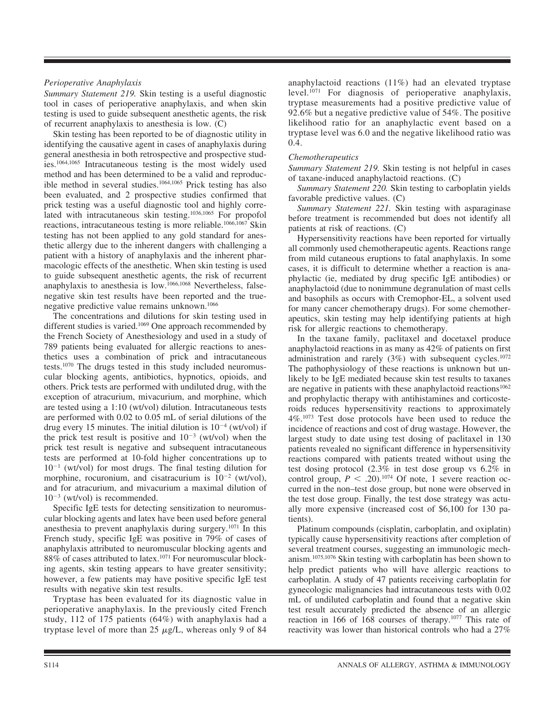# *Perioperative Anaphylaxis*

*Summary Statement 219.* Skin testing is a useful diagnostic tool in cases of perioperative anaphylaxis, and when skin testing is used to guide subsequent anesthetic agents, the risk of recurrent anaphylaxis to anesthesia is low. (C)

Skin testing has been reported to be of diagnostic utility in identifying the causative agent in cases of anaphylaxis during general anesthesia in both retrospective and prospective studies.1064,1065 Intracutaneous testing is the most widely used method and has been determined to be a valid and reproducible method in several studies.1064,1065 Prick testing has also been evaluated, and 2 prospective studies confirmed that prick testing was a useful diagnostic tool and highly correlated with intracutaneous skin testing.<sup>1036,1065</sup> For propofol reactions, intracutaneous testing is more reliable.<sup>1066,1067</sup> Skin testing has not been applied to any gold standard for anesthetic allergy due to the inherent dangers with challenging a patient with a history of anaphylaxis and the inherent pharmacologic effects of the anesthetic. When skin testing is used to guide subsequent anesthetic agents, the risk of recurrent anaphylaxis to anesthesia is low.1066,1068 Nevertheless, falsenegative skin test results have been reported and the truenegative predictive value remains unknown.1066

The concentrations and dilutions for skin testing used in different studies is varied.<sup>1069</sup> One approach recommended by the French Society of Anesthesiology and used in a study of 789 patients being evaluated for allergic reactions to anesthetics uses a combination of prick and intracutaneous tests.1070 The drugs tested in this study included neuromuscular blocking agents, antibiotics, hypnotics, opioids, and others. Prick tests are performed with undiluted drug, with the exception of atracurium, mivacurium, and morphine, which are tested using a 1:10 (wt/vol) dilution. Intracutaneous tests are performed with 0.02 to 0.05 mL of serial dilutions of the drug every 15 minutes. The initial dilution is  $10^{-4}$  (wt/vol) if the prick test result is positive and  $10^{-3}$  (wt/vol) when the prick test result is negative and subsequent intracutaneous tests are performed at 10-fold higher concentrations up to  $10^{-1}$  (wt/vol) for most drugs. The final testing dilution for morphine, rocuronium, and cisatracurium is  $10^{-2}$  (wt/vol), and for atracurium, and mivacurium a maximal dilution of  $10^{-3}$  (wt/vol) is recommended.

Specific IgE tests for detecting sensitization to neuromuscular blocking agents and latex have been used before general anesthesia to prevent anaphylaxis during surgery.1071 In this French study, specific IgE was positive in 79% of cases of anaphylaxis attributed to neuromuscular blocking agents and 88% of cases attributed to latex.<sup>1071</sup> For neuromuscular blocking agents, skin testing appears to have greater sensitivity; however, a few patients may have positive specific IgE test results with negative skin test results.

Tryptase has been evaluated for its diagnostic value in perioperative anaphylaxis. In the previously cited French study, 112 of 175 patients (64%) with anaphylaxis had a tryptase level of more than 25  $\mu$ g/L, whereas only 9 of 84

anaphylactoid reactions (11%) had an elevated tryptase level.<sup>1071</sup> For diagnosis of perioperative anaphylaxis, tryptase measurements had a positive predictive value of 92.6% but a negative predictive value of 54%. The positive likelihood ratio for an anaphylactic event based on a tryptase level was 6.0 and the negative likelihood ratio was 0.4.

## *Chemotherapeutics*

*Summary Statement 219.* Skin testing is not helpful in cases of taxane-induced anaphylactoid reactions. (C)

*Summary Statement 220.* Skin testing to carboplatin yields favorable predictive values. (C)

*Summary Statement 221.* Skin testing with asparaginase before treatment is recommended but does not identify all patients at risk of reactions. (C)

Hypersensitivity reactions have been reported for virtually all commonly used chemotherapeutic agents. Reactions range from mild cutaneous eruptions to fatal anaphylaxis. In some cases, it is difficult to determine whether a reaction is anaphylactic (ie, mediated by drug specific IgE antibodies) or anaphylactoid (due to nonimmune degranulation of mast cells and basophils as occurs with Cremophor-EL, a solvent used for many cancer chemotherapy drugs). For some chemotherapeutics, skin testing may help identifying patients at high risk for allergic reactions to chemotherapy.

In the taxane family, paclitaxel and docetaxel produce anaphylactoid reactions in as many as 42% of patients on first administration and rarely  $(3%)$  with subsequent cycles.<sup>1072</sup> The pathophysiology of these reactions is unknown but unlikely to be IgE mediated because skin test results to taxanes are negative in patients with these anaphylactoid reactions $1062$ and prophylactic therapy with antihistamines and corticosteroids reduces hypersensitivity reactions to approximately 4%.1073 Test dose protocols have been used to reduce the incidence of reactions and cost of drug wastage. However, the largest study to date using test dosing of paclitaxel in 130 patients revealed no significant difference in hypersensitivity reactions compared with patients treated without using the test dosing protocol (2.3% in test dose group vs 6.2% in control group,  $P < .20$ .<sup>1074</sup> Of note, 1 severe reaction occurred in the non–test dose group, but none were observed in the test dose group. Finally, the test dose strategy was actually more expensive (increased cost of \$6,100 for 130 patients).

Platinum compounds (cisplatin, carboplatin, and oxiplatin) typically cause hypersensitivity reactions after completion of several treatment courses, suggesting an immunologic mechanism.1075,1076 Skin testing with carboplatin has been shown to help predict patients who will have allergic reactions to carboplatin. A study of 47 patients receiving carboplatin for gynecologic malignancies had intracutaneous tests with 0.02 mL of undiluted carboplatin and found that a negative skin test result accurately predicted the absence of an allergic reaction in 166 of 168 courses of therapy.1077 This rate of reactivity was lower than historical controls who had a 27%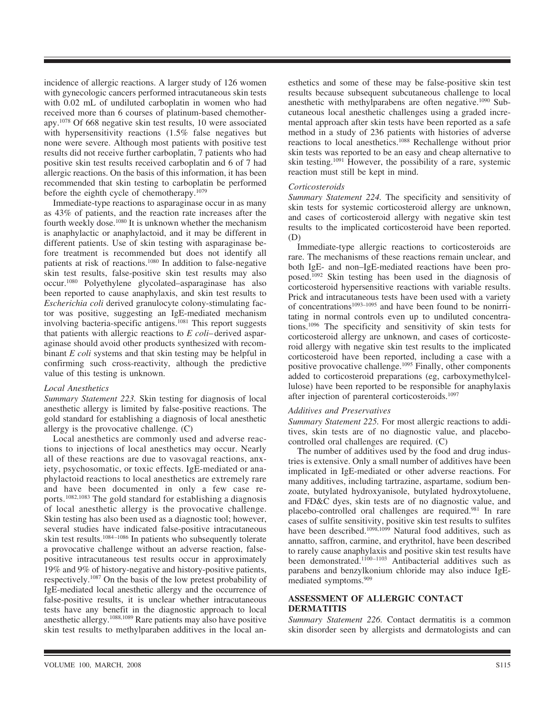incidence of allergic reactions. A larger study of 126 women with gynecologic cancers performed intracutaneous skin tests with 0.02 mL of undiluted carboplatin in women who had received more than 6 courses of platinum-based chemotherapy.1078 Of 668 negative skin test results, 10 were associated with hypersensitivity reactions (1.5% false negatives but none were severe. Although most patients with positive test results did not receive further carboplatin, 7 patients who had positive skin test results received carboplatin and 6 of 7 had allergic reactions. On the basis of this information, it has been recommended that skin testing to carboplatin be performed before the eighth cycle of chemotherapy.1079

Immediate-type reactions to asparaginase occur in as many as 43% of patients, and the reaction rate increases after the fourth weekly dose.<sup>1080</sup> It is unknown whether the mechanism is anaphylactic or anaphylactoid, and it may be different in different patients. Use of skin testing with asparaginase before treatment is recommended but does not identify all patients at risk of reactions.1080 In addition to false-negative skin test results, false-positive skin test results may also occur.1080 Polyethylene glycolated–asparaginase has also been reported to cause anaphylaxis, and skin test results to *Escherichia coli* derived granulocyte colony-stimulating factor was positive, suggesting an IgE-mediated mechanism involving bacteria-specific antigens.1081 This report suggests that patients with allergic reactions to *E coli*– derived asparaginase should avoid other products synthesized with recombinant *E coli* systems and that skin testing may be helpful in confirming such cross-reactivity, although the predictive value of this testing is unknown.

### *Local Anesthetics*

*Summary Statement 223.* Skin testing for diagnosis of local anesthetic allergy is limited by false-positive reactions. The gold standard for establishing a diagnosis of local anesthetic allergy is the provocative challenge. (C)

Local anesthetics are commonly used and adverse reactions to injections of local anesthetics may occur. Nearly all of these reactions are due to vasovagal reactions, anxiety, psychosomatic, or toxic effects. IgE-mediated or anaphylactoid reactions to local anesthetics are extremely rare and have been documented in only a few case reports.1082,1083 The gold standard for establishing a diagnosis of local anesthetic allergy is the provocative challenge. Skin testing has also been used as a diagnostic tool; however, several studies have indicated false-positive intracutaneous skin test results.1084 –1086 In patients who subsequently tolerate a provocative challenge without an adverse reaction, falsepositive intracutaneous test results occur in approximately 19% and 9% of history-negative and history-positive patients, respectively.1087 On the basis of the low pretest probability of IgE-mediated local anesthetic allergy and the occurrence of false-positive results, it is unclear whether intracutaneous tests have any benefit in the diagnostic approach to local anesthetic allergy.1088,1089 Rare patients may also have positive skin test results to methylparaben additives in the local anesthetics and some of these may be false-positive skin test results because subsequent subcutaneous challenge to local anesthetic with methylparabens are often negative.<sup>1090</sup> Subcutaneous local anesthetic challenges using a graded incremental approach after skin tests have been reported as a safe method in a study of 236 patients with histories of adverse reactions to local anesthetics.1088 Rechallenge without prior skin tests was reported to be an easy and cheap alternative to skin testing.1091 However, the possibility of a rare, systemic reaction must still be kept in mind.

### *Corticosteroids*

*Summary Statement 224.* The specificity and sensitivity of skin tests for systemic corticosteroid allergy are unknown, and cases of corticosteroid allergy with negative skin test results to the implicated corticosteroid have been reported. (D)

Immediate-type allergic reactions to corticosteroids are rare. The mechanisms of these reactions remain unclear, and both IgE- and non–IgE-mediated reactions have been proposed.1092 Skin testing has been used in the diagnosis of corticosteroid hypersensitive reactions with variable results. Prick and intracutaneous tests have been used with a variety of concentrations<sup>1093–1095</sup> and have been found to be nonirritating in normal controls even up to undiluted concentrations.1096 The specificity and sensitivity of skin tests for corticosteroid allergy are unknown, and cases of corticosteroid allergy with negative skin test results to the implicated corticosteroid have been reported, including a case with a positive provocative challenge.<sup>1095</sup> Finally, other components added to corticosteroid preparations (eg, carboxymethylcellulose) have been reported to be responsible for anaphylaxis after injection of parenteral corticosteroids.1097

### *Additives and Preservatives*

*Summary Statement 225.* For most allergic reactions to additives, skin tests are of no diagnostic value, and placebocontrolled oral challenges are required. (C)

The number of additives used by the food and drug industries is extensive. Only a small number of additives have been implicated in IgE-mediated or other adverse reactions. For many additives, including tartrazine, aspartame, sodium benzoate, butylated hydroxyanisole, butylated hydroxytoluene, and FD&C dyes, skin tests are of no diagnostic value, and placebo-controlled oral challenges are required.981 In rare cases of sulfite sensitivity, positive skin test results to sulfites have been described.<sup>1098,1099</sup> Natural food additives, such as annatto, saffron, carmine, and erythritol, have been described to rarely cause anaphylaxis and positive skin test results have been demonstrated.<sup>1100-1103</sup> Antibacterial additives such as parabens and benzylkonium chloride may also induce IgEmediated symptoms.909

## **ASSESSMENT OF ALLERGIC CONTACT DERMATITIS**

*Summary Statement 226.* Contact dermatitis is a common skin disorder seen by allergists and dermatologists and can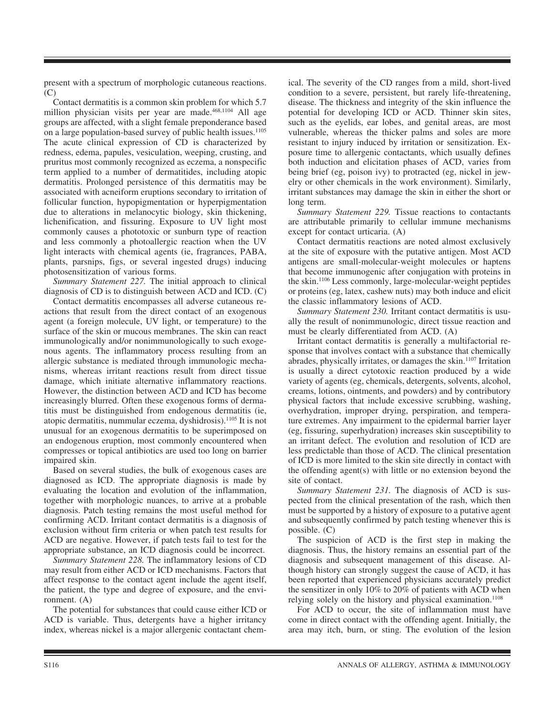present with a spectrum of morphologic cutaneous reactions.  $(C)$ 

Contact dermatitis is a common skin problem for which 5.7 million physician visits per year are made.<sup>468,1104</sup> All age groups are affected, with a slight female preponderance based on a large population-based survey of public health issues.<sup>1105</sup> The acute clinical expression of CD is characterized by redness, edema, papules, vesiculation, weeping, crusting, and pruritus most commonly recognized as eczema, a nonspecific term applied to a number of dermatitides, including atopic dermatitis. Prolonged persistence of this dermatitis may be associated with acneiform eruptions secondary to irritation of follicular function, hypopigmentation or hyperpigmentation due to alterations in melanocytic biology, skin thickening, lichenification, and fissuring. Exposure to UV light most commonly causes a phototoxic or sunburn type of reaction and less commonly a photoallergic reaction when the UV light interacts with chemical agents (ie, fragrances, PABA, plants, parsnips, figs, or several ingested drugs) inducing photosensitization of various forms.

*Summary Statement 227.* The initial approach to clinical diagnosis of CD is to distinguish between ACD and ICD. (C)

Contact dermatitis encompasses all adverse cutaneous reactions that result from the direct contact of an exogenous agent (a foreign molecule, UV light, or temperature) to the surface of the skin or mucous membranes. The skin can react immunologically and/or nonimmunologically to such exogenous agents. The inflammatory process resulting from an allergic substance is mediated through immunologic mechanisms, whereas irritant reactions result from direct tissue damage, which initiate alternative inflammatory reactions. However, the distinction between ACD and ICD has become increasingly blurred. Often these exogenous forms of dermatitis must be distinguished from endogenous dermatitis (ie, atopic dermatitis, nummular eczema, dyshidrosis).1105 It is not unusual for an exogenous dermatitis to be superimposed on an endogenous eruption, most commonly encountered when compresses or topical antibiotics are used too long on barrier impaired skin.

Based on several studies, the bulk of exogenous cases are diagnosed as ICD. The appropriate diagnosis is made by evaluating the location and evolution of the inflammation, together with morphologic nuances, to arrive at a probable diagnosis. Patch testing remains the most useful method for confirming ACD. Irritant contact dermatitis is a diagnosis of exclusion without firm criteria or when patch test results for ACD are negative. However, if patch tests fail to test for the appropriate substance, an ICD diagnosis could be incorrect.

*Summary Statement 228.* The inflammatory lesions of CD may result from either ACD or ICD mechanisms. Factors that affect response to the contact agent include the agent itself, the patient, the type and degree of exposure, and the environment. (A)

The potential for substances that could cause either ICD or ACD is variable. Thus, detergents have a higher irritancy index, whereas nickel is a major allergenic contactant chemical. The severity of the CD ranges from a mild, short-lived condition to a severe, persistent, but rarely life-threatening, disease. The thickness and integrity of the skin influence the potential for developing ICD or ACD. Thinner skin sites, such as the eyelids, ear lobes, and genital areas, are most vulnerable, whereas the thicker palms and soles are more resistant to injury induced by irritation or sensitization. Exposure time to allergenic contactants, which usually defines both induction and elicitation phases of ACD, varies from being brief (eg, poison ivy) to protracted (eg, nickel in jewelry or other chemicals in the work environment). Similarly, irritant substances may damage the skin in either the short or long term.

*Summary Statement 229.* Tissue reactions to contactants are attributable primarily to cellular immune mechanisms except for contact urticaria. (A)

Contact dermatitis reactions are noted almost exclusively at the site of exposure with the putative antigen. Most ACD antigens are small-molecular-weight molecules or haptens that become immunogenic after conjugation with proteins in the skin.1106 Less commonly, large-molecular-weight peptides or proteins (eg, latex, cashew nuts) may both induce and elicit the classic inflammatory lesions of ACD.

*Summary Statement 230.* Irritant contact dermatitis is usually the result of nonimmunologic, direct tissue reaction and must be clearly differentiated from ACD. (A)

Irritant contact dermatitis is generally a multifactorial response that involves contact with a substance that chemically abrades, physically irritates, or damages the skin.1107 Irritation is usually a direct cytotoxic reaction produced by a wide variety of agents (eg, chemicals, detergents, solvents, alcohol, creams, lotions, ointments, and powders) and by contributory physical factors that include excessive scrubbing, washing, overhydration, improper drying, perspiration, and temperature extremes. Any impairment to the epidermal barrier layer (eg, fissuring, superhydration) increases skin susceptibility to an irritant defect. The evolution and resolution of ICD are less predictable than those of ACD. The clinical presentation of ICD is more limited to the skin site directly in contact with the offending agent(s) with little or no extension beyond the site of contact.

*Summary Statement 231.* The diagnosis of ACD is suspected from the clinical presentation of the rash, which then must be supported by a history of exposure to a putative agent and subsequently confirmed by patch testing whenever this is possible. (C)

The suspicion of ACD is the first step in making the diagnosis. Thus, the history remains an essential part of the diagnosis and subsequent management of this disease. Although history can strongly suggest the cause of ACD, it has been reported that experienced physicians accurately predict the sensitizer in only 10% to 20% of patients with ACD when relying solely on the history and physical examination.<sup>1108</sup>

For ACD to occur, the site of inflammation must have come in direct contact with the offending agent. Initially, the area may itch, burn, or sting. The evolution of the lesion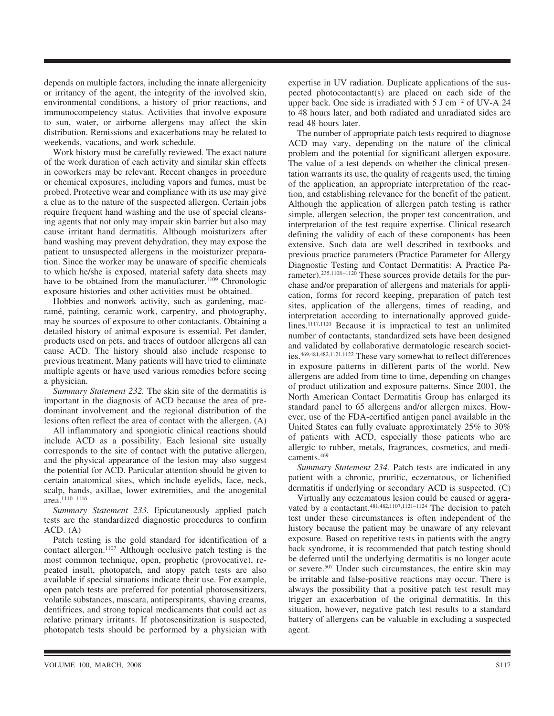depends on multiple factors, including the innate allergenicity or irritancy of the agent, the integrity of the involved skin, environmental conditions, a history of prior reactions, and immunocompetency status. Activities that involve exposure to sun, water, or airborne allergens may affect the skin distribution. Remissions and exacerbations may be related to weekends, vacations, and work schedule.

Work history must be carefully reviewed. The exact nature of the work duration of each activity and similar skin effects in coworkers may be relevant. Recent changes in procedure or chemical exposures, including vapors and fumes, must be probed. Protective wear and compliance with its use may give a clue as to the nature of the suspected allergen. Certain jobs require frequent hand washing and the use of special cleansing agents that not only may impair skin barrier but also may cause irritant hand dermatitis. Although moisturizers after hand washing may prevent dehydration, they may expose the patient to unsuspected allergens in the moisturizer preparation. Since the worker may be unaware of specific chemicals to which he/she is exposed, material safety data sheets may have to be obtained from the manufacturer.<sup>1109</sup> Chronologic exposure histories and other activities must be obtained.

Hobbies and nonwork activity, such as gardening, macramé, painting, ceramic work, carpentry, and photography, may be sources of exposure to other contactants. Obtaining a detailed history of animal exposure is essential. Pet dander, products used on pets, and traces of outdoor allergens all can cause ACD. The history should also include response to previous treatment. Many patients will have tried to eliminate multiple agents or have used various remedies before seeing a physician.

*Summary Statement 232.* The skin site of the dermatitis is important in the diagnosis of ACD because the area of predominant involvement and the regional distribution of the lesions often reflect the area of contact with the allergen. (A)

All inflammatory and spongiotic clinical reactions should include ACD as a possibility. Each lesional site usually corresponds to the site of contact with the putative allergen, and the physical appearance of the lesion may also suggest the potential for ACD. Particular attention should be given to certain anatomical sites, which include eyelids, face, neck, scalp, hands, axillae, lower extremities, and the anogenital area.1110 –1116

*Summary Statement 233.* Epicutaneously applied patch tests are the standardized diagnostic procedures to confirm ACD. (A)

Patch testing is the gold standard for identification of a contact allergen.1107 Although occlusive patch testing is the most common technique, open, prophetic (provocative), repeated insult, photopatch, and atopy patch tests are also available if special situations indicate their use. For example, open patch tests are preferred for potential photosensitizers, volatile substances, mascara, antiperspirants, shaving creams, dentifrices, and strong topical medicaments that could act as relative primary irritants. If photosensitization is suspected, photopatch tests should be performed by a physician with expertise in UV radiation. Duplicate applications of the suspected photocontactant(s) are placed on each side of the upper back. One side is irradiated with  $5 \text{ J cm}^{-2}$  of UV-A 24 to 48 hours later, and both radiated and unradiated sides are read 48 hours later.

The number of appropriate patch tests required to diagnose ACD may vary, depending on the nature of the clinical problem and the potential for significant allergen exposure. The value of a test depends on whether the clinical presentation warrants its use, the quality of reagents used, the timing of the application, an appropriate interpretation of the reaction, and establishing relevance for the benefit of the patient. Although the application of allergen patch testing is rather simple, allergen selection, the proper test concentration, and interpretation of the test require expertise. Clinical research defining the validity of each of these components has been extensive. Such data are well described in textbooks and previous practice parameters (Practice Parameter for Allergy Diagnostic Testing and Contact Dermatitis: A Practice Parameter).<sup>235,1108-1120</sup> These sources provide details for the purchase and/or preparation of allergens and materials for application, forms for record keeping, preparation of patch test sites, application of the allergens, times of reading, and interpretation according to internationally approved guidelines.1117,1120 Because it is impractical to test an unlimited number of contactants, standardized sets have been designed and validated by collaborative dermatologic research societies.469,481,482,1121,1122 These vary somewhat to reflect differences in exposure patterns in different parts of the world. New allergens are added from time to time, depending on changes of product utilization and exposure patterns. Since 2001, the North American Contact Dermatitis Group has enlarged its standard panel to 65 allergens and/or allergen mixes. However, use of the FDA-certified antigen panel available in the United States can fully evaluate approximately 25% to 30% of patients with ACD, especially those patients who are allergic to rubber, metals, fragrances, cosmetics, and medicaments.469

*Summary Statement 234.* Patch tests are indicated in any patient with a chronic, pruritic, eczematous, or lichenified dermatitis if underlying or secondary ACD is suspected. (C)

Virtually any eczematous lesion could be caused or aggravated by a contactant.<sup>481,482,1107,1121–1124</sup> The decision to patch test under these circumstances is often independent of the history because the patient may be unaware of any relevant exposure. Based on repetitive tests in patients with the angry back syndrome, it is recommended that patch testing should be deferred until the underlying dermatitis is no longer acute or severe.507 Under such circumstances, the entire skin may be irritable and false-positive reactions may occur. There is always the possibility that a positive patch test result may trigger an exacerbation of the original dermatitis. In this situation, however, negative patch test results to a standard battery of allergens can be valuable in excluding a suspected agent.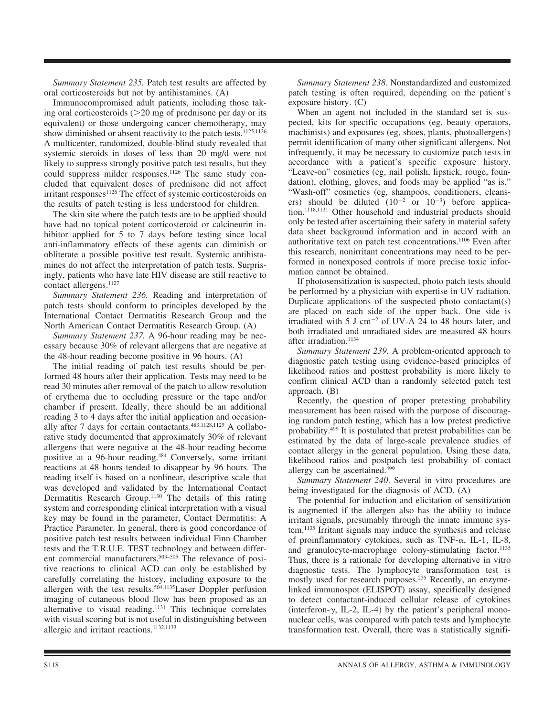*Summary Statement 235.* Patch test results are affected by oral corticosteroids but not by antihistamines. (A)

Immunocompromised adult patients, including those taking oral corticosteroids  $(>=20 \text{ mg of prednisone per day or its})$ equivalent) or those undergoing cancer chemotherapy, may show diminished or absent reactivity to the patch tests.<sup>1125,1126</sup> A multicenter, randomized, double-blind study revealed that systemic steroids in doses of less than 20 mg/d were not likely to suppress strongly positive patch test results, but they could suppress milder responses.<sup>1126</sup> The same study concluded that equivalent doses of prednisone did not affect irritant responses<sup>1126</sup> The effect of systemic corticosteroids on the results of patch testing is less understood for children.

The skin site where the patch tests are to be applied should have had no topical potent corticosteroid or calcineurin inhibitor applied for 5 to 7 days before testing since local anti-inflammatory effects of these agents can diminish or obliterate a possible positive test result. Systemic antihistamines do not affect the interpretation of patch tests. Surprisingly, patients who have late HIV disease are still reactive to contact allergens.<sup>1127</sup>

*Summary Statement 236.* Reading and interpretation of patch tests should conform to principles developed by the International Contact Dermatitis Research Group and the North American Contact Dermatitis Research Group. (A)

*Summary Statement 237.* A 96-hour reading may be necessary because 30% of relevant allergens that are negative at the 48-hour reading become positive in 96 hours. (A)

The initial reading of patch test results should be performed 48 hours after their application. Tests may need to be read 30 minutes after removal of the patch to allow resolution of erythema due to occluding pressure or the tape and/or chamber if present. Ideally, there should be an additional reading 3 to 4 days after the initial application and occasionally after 7 days for certain contactants.483,1128,1129 A collaborative study documented that approximately 30% of relevant allergens that were negative at the 48-hour reading become positive at a 96-hour reading.<sup>484</sup> Conversely, some irritant reactions at 48 hours tended to disappear by 96 hours. The reading itself is based on a nonlinear, descriptive scale that was developed and validated by the International Contact Dermatitis Research Group.<sup>1130</sup> The details of this rating system and corresponding clinical interpretation with a visual key may be found in the parameter, Contact Dermatitis: A Practice Parameter. In general, there is good concordance of positive patch test results between individual Finn Chamber tests and the T.R.U.E. TEST technology and between different commercial manufacturers.503–505 The relevance of positive reactions to clinical ACD can only be established by carefully correlating the history, including exposure to the allergen with the test results.<sup>504,1135</sup>Laser Doppler perfusion imaging of cutaneous blood flow has been proposed as an alternative to visual reading.1131 This technique correlates with visual scoring but is not useful in distinguishing between allergic and irritant reactions.1132,1133

*Summary Statement 238.* Nonstandardized and customized patch testing is often required, depending on the patient's exposure history. (C)

When an agent not included in the standard set is suspected, kits for specific occupations (eg, beauty operators, machinists) and exposures (eg, shoes, plants, photoallergens) permit identification of many other significant allergens. Not infrequently, it may be necessary to customize patch tests in accordance with a patient's specific exposure history. "Leave-on" cosmetics (eg, nail polish, lipstick, rouge, foundation), clothing, gloves, and foods may be applied "as is." "Wash-off" cosmetics (eg, shampoos, conditioners, cleansers) should be diluted  $(10^{-2}$  or  $10^{-3})$  before application.<sup>1118,1131</sup> Other household and industrial products should only be tested after ascertaining their safety in material safety data sheet background information and in accord with an authoritative text on patch test concentrations.1106 Even after this research, nonirritant concentrations may need to be performed in nonexposed controls if more precise toxic information cannot be obtained.

If photosensitization is suspected, photo patch tests should be performed by a physician with expertise in UV radiation. Duplicate applications of the suspected photo contactant(s) are placed on each side of the upper back. One side is irradiated with  $5 \text{ J cm}^{-2}$  of UV-A 24 to 48 hours later, and both irradiated and unradiated sides are measured 48 hours after irradiation.1134

*Summary Statement 239.* A problem-oriented approach to diagnostic patch testing using evidence-based principles of likelihood ratios and posttest probability is more likely to confirm clinical ACD than a randomly selected patch test approach. (B)

Recently, the question of proper pretesting probability measurement has been raised with the purpose of discouraging random patch testing, which has a low pretest predictive probability.499 It is postulated that pretest probabilities can be estimated by the data of large-scale prevalence studies of contact allergy in the general population. Using these data, likelihood ratios and postpatch test probability of contact allergy can be ascertained. $499$ 

*Summary Statement 240*. Several in vitro procedures are being investigated for the diagnosis of ACD. (A)

The potential for induction and elicitation of sensitization is augmented if the allergen also has the ability to induce irritant signals, presumably through the innate immune system.1135 Irritant signals may induce the synthesis and release of proinflammatory cytokines, such as TNF- $\alpha$ , IL-1, IL-8, and granulocyte-macrophage colony-stimulating factor.<sup>1135</sup> Thus, there is a rationale for developing alternative in vitro diagnostic tests. The lymphocyte transformation test is mostly used for research purposes.<sup>235</sup> Recently, an enzymelinked immunospot (ELISPOT) assay, specifically designed to detect contactant-induced cellular release of cytokines (interferon- $\gamma$ , IL-2, IL-4) by the patient's peripheral mononuclear cells, was compared with patch tests and lymphocyte transformation test. Overall, there was a statistically signifi-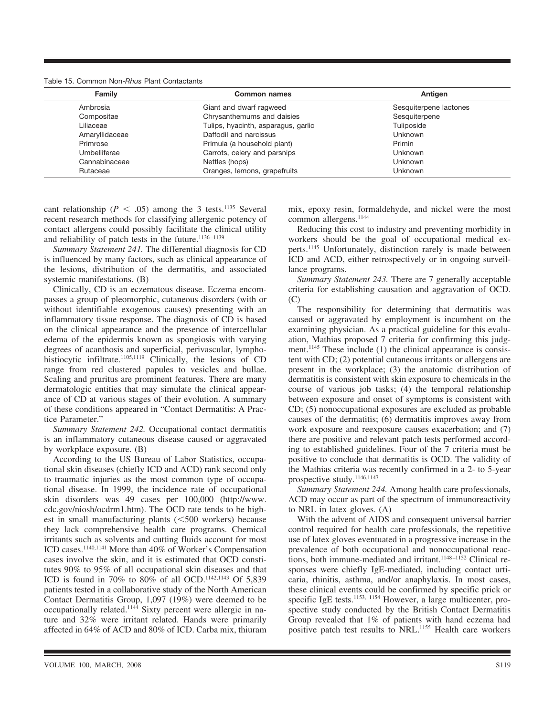| Table 15, Common Non-Rhus Plant Contactants |  |  |  |
|---------------------------------------------|--|--|--|
|---------------------------------------------|--|--|--|

| Family         | <b>Common names</b>                 | Antigen                |
|----------------|-------------------------------------|------------------------|
| Ambrosia       | Giant and dwarf ragweed             | Sesquiterpene lactones |
| Compositae     | Chrysanthemums and daisies          | Sesquiterpene          |
| Liliaceae      | Tulips, hyacinth, asparagus, garlic | Tuliposide             |
| Amaryllidaceae | Daffodil and narcissus              | <b>Unknown</b>         |
| Primrose       | Primula (a household plant)         | Primin                 |
| Umbelliferae   | Carrots, celery and parsnips        | <b>Unknown</b>         |
| Cannabinaceae  | Nettles (hops)                      | <b>Unknown</b>         |
| Rutaceae       | Oranges, lemons, grapefruits        | <b>Unknown</b>         |

cant relationship ( $P < .05$ ) among the 3 tests.<sup>1135</sup> Several recent research methods for classifying allergenic potency of contact allergens could possibly facilitate the clinical utility and reliability of patch tests in the future.<sup>1136-1139</sup>

*Summary Statement 241.* The differential diagnosis for CD is influenced by many factors, such as clinical appearance of the lesions, distribution of the dermatitis, and associated systemic manifestations. (B)

Clinically, CD is an eczematous disease. Eczema encompasses a group of pleomorphic, cutaneous disorders (with or without identifiable exogenous causes) presenting with an inflammatory tissue response. The diagnosis of CD is based on the clinical appearance and the presence of intercellular edema of the epidermis known as spongiosis with varying degrees of acanthosis and superficial, perivascular, lymphohistiocytic infiltrate.<sup>1105,1119</sup> Clinically, the lesions of CD range from red clustered papules to vesicles and bullae. Scaling and pruritus are prominent features. There are many dermatologic entities that may simulate the clinical appearance of CD at various stages of their evolution. A summary of these conditions appeared in "Contact Dermatitis: A Practice Parameter."

*Summary Statement 242.* Occupational contact dermatitis is an inflammatory cutaneous disease caused or aggravated by workplace exposure. (B)

According to the US Bureau of Labor Statistics, occupational skin diseases (chiefly ICD and ACD) rank second only to traumatic injuries as the most common type of occupational disease. In 1999, the incidence rate of occupational skin disorders was 49 cases per 100,000 (http://www. cdc.gov/niosh/ocdrm1.htm). The OCD rate tends to be highest in small manufacturing plants  $(<500$  workers) because they lack comprehensive health care programs. Chemical irritants such as solvents and cutting fluids account for most ICD cases.1140,1141 More than 40% of Worker's Compensation cases involve the skin, and it is estimated that OCD constitutes 90% to 95% of all occupational skin diseases and that ICD is found in 70% to 80% of all OCD.<sup>1142,1143</sup> Of 5,839 patients tested in a collaborative study of the North American Contact Dermatitis Group, 1,097 (19%) were deemed to be occupationally related.<sup>1144</sup> Sixty percent were allergic in nature and 32% were irritant related. Hands were primarily affected in 64% of ACD and 80% of ICD. Carba mix, thiuram mix, epoxy resin, formaldehyde, and nickel were the most common allergens.<sup>1144</sup>

Reducing this cost to industry and preventing morbidity in workers should be the goal of occupational medical experts.1145 Unfortunately, distinction rarely is made between ICD and ACD, either retrospectively or in ongoing surveillance programs.

*Summary Statement 243.* There are 7 generally acceptable criteria for establishing causation and aggravation of OCD.  $(C)$ 

The responsibility for determining that dermatitis was caused or aggravated by employment is incumbent on the examining physician. As a practical guideline for this evaluation, Mathias proposed 7 criteria for confirming this judgment.<sup>1145</sup> These include (1) the clinical appearance is consistent with CD; (2) potential cutaneous irritants or allergens are present in the workplace; (3) the anatomic distribution of dermatitis is consistent with skin exposure to chemicals in the course of various job tasks; (4) the temporal relationship between exposure and onset of symptoms is consistent with CD; (5) nonoccupational exposures are excluded as probable causes of the dermatitis; (6) dermatitis improves away from work exposure and reexposure causes exacerbation; and (7) there are positive and relevant patch tests performed according to established guidelines. Four of the 7 criteria must be positive to conclude that dermatitis is OCD. The validity of the Mathias criteria was recently confirmed in a 2- to 5-year prospective study.1146,1147

*Summary Statement 244.* Among health care professionals, ACD may occur as part of the spectrum of immunoreactivity to NRL in latex gloves. (A)

With the advent of AIDS and consequent universal barrier control required for health care professionals, the repetitive use of latex gloves eventuated in a progressive increase in the prevalence of both occupational and nonoccupational reactions, both immune-mediated and irritant.<sup>1148-1152</sup> Clinical responses were chiefly IgE-mediated, including contact urticaria, rhinitis, asthma, and/or anaphylaxis. In most cases, these clinical events could be confirmed by specific prick or specific IgE tests.<sup>1153, 1154</sup> However, a large multicenter, prospective study conducted by the British Contact Dermatitis Group revealed that 1% of patients with hand eczema had positive patch test results to NRL.1155 Health care workers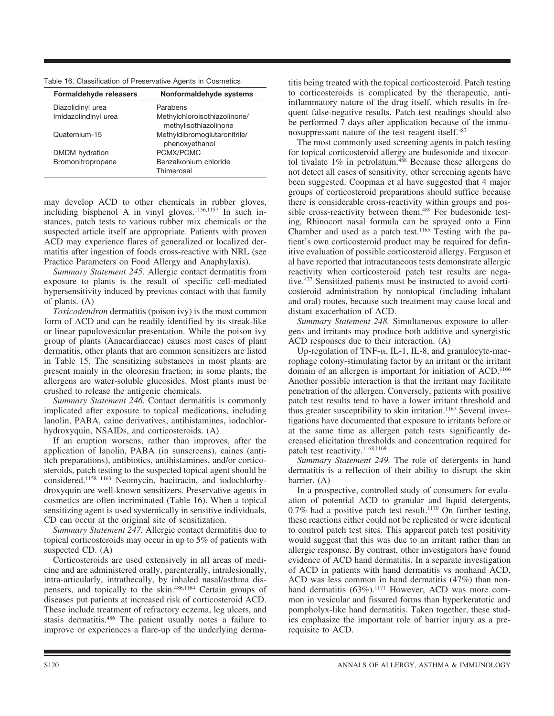| Formaldehyde releasers | Nonformaldehyde systems                               |
|------------------------|-------------------------------------------------------|
| Diazolidinyl urea      | Parabens                                              |
| Imidazolindinyl urea   | Methylchloroisothiazolinone/<br>methylisothiazolinone |
| Quaternium-15          | Methyldibromoglutaronitrile/<br>phenoxyethanol        |
| <b>DMDM</b> hydration  | PCMX/PCMC                                             |
| Bromonitropropane      | Benzalkonium chloride                                 |
|                        | Thimerosal                                            |

may develop ACD to other chemicals in rubber gloves, including bisphenol A in vinyl gloves.<sup>1156,1157</sup> In such instances, patch tests to various rubber mix chemicals or the suspected article itself are appropriate. Patients with proven ACD may experience flares of generalized or localized dermatitis after ingestion of foods cross-reactive with NRL (see Practice Parameters on Food Allergy and Anaphylaxis).

*Summary Statement 245.* Allergic contact dermatitis from exposure to plants is the result of specific cell-mediated hypersensitivity induced by previous contact with that family of plants. (A)

*Toxicodendron* dermatitis (poison ivy) is the most common form of ACD and can be readily identified by its streak-like or linear papulovesicular presentation. While the poison ivy group of plants (Anacardiaceae) causes most cases of plant dermatitis, other plants that are common sensitizers are listed in Table 15. The sensitizing substances in most plants are present mainly in the oleoresin fraction; in some plants, the allergens are water-soluble glucosides. Most plants must be crushed to release the antigenic chemicals.

*Summary Statement 246.* Contact dermatitis is commonly implicated after exposure to topical medications, including lanolin, PABA, caine derivatives, antihistamines, iodochlorhydroxyquin, NSAIDs, and corticosteroids. (A)

If an eruption worsens, rather than improves, after the application of lanolin, PABA (in sunscreens), caines (antiitch preparations), antibiotics, antihistamines, and/or corticosteroids, patch testing to the suspected topical agent should be considered.<sup>1158-1163</sup> Neomycin, bacitracin, and iodochlorhydroxyquin are well-known sensitizers. Preservative agents in cosmetics are often incriminated (Table 16). When a topical sensitizing agent is used systemically in sensitive individuals, CD can occur at the original site of sensitization.

*Summary Statement 247.* Allergic contact dermatitis due to topical corticosteroids may occur in up to 5% of patients with suspected CD. (A)

Corticosteroids are used extensively in all areas of medicine and are administered orally, parenterally, intralesionally, intra-articularly, intrathecally, by inhaled nasal/asthma dispensers, and topically to the skin.486,1164 Certain groups of diseases put patients at increased risk of corticosteroid ACD. These include treatment of refractory eczema, leg ulcers, and stasis dermatitis.486 The patient usually notes a failure to improve or experiences a flare-up of the underlying dermatitis being treated with the topical corticosteroid. Patch testing to corticosteroids is complicated by the therapeutic, antiinflammatory nature of the drug itself, which results in frequent false-negative results. Patch test readings should also be performed 7 days after application because of the immunosuppressant nature of the test reagent itself.<sup>487</sup>

The most commonly used screening agents in patch testing for topical corticosteroid allergy are budesonide and tixocortol tivalate  $1\%$  in petrolatum.<sup>488</sup> Because these allergens do not detect all cases of sensitivity, other screening agents have been suggested. Coopman et al have suggested that 4 major groups of corticosteroid preparations should suffice because there is considerable cross-reactivity within groups and possible cross-reactivity between them.<sup>489</sup> For budesonide testing, Rhinocort nasal formula can be sprayed onto a Finn Chamber and used as a patch test.1165 Testing with the patient's own corticosteroid product may be required for definitive evaluation of possible corticosteroid allergy. Ferguson et al have reported that intracutaneous tests demonstrate allergic reactivity when corticosteroid patch test results are negative.477 Sensitized patients must be instructed to avoid corticosteroid administration by nontopical (including inhalant and oral) routes, because such treatment may cause local and distant exacerbation of ACD.

*Summary Statement 248.* Simultaneous exposure to allergens and irritants may produce both additive and synergistic ACD responses due to their interaction. (A)

Up-regulation of TNF- $\alpha$ , IL-1, IL-8, and granulocyte-macrophage colony-stimulating factor by an irritant or the irritant domain of an allergen is important for initiation of ACD.<sup>1166</sup> Another possible interaction is that the irritant may facilitate penetration of the allergen. Conversely, patients with positive patch test results tend to have a lower irritant threshold and thus greater susceptibility to skin irritation.<sup>1167</sup> Several investigations have documented that exposure to irritants before or at the same time as allergen patch tests significantly decreased elicitation thresholds and concentration required for patch test reactivity.<sup>1168,1169</sup>

*Summary Statement 249.* The role of detergents in hand dermatitis is a reflection of their ability to disrupt the skin barrier. (A)

In a prospective, controlled study of consumers for evaluation of potential ACD to granular and liquid detergents,  $0.7\%$  had a positive patch test result.<sup>1170</sup> On further testing, these reactions either could not be replicated or were identical to control patch test sites. This apparent patch test positivity would suggest that this was due to an irritant rather than an allergic response. By contrast, other investigators have found evidence of ACD hand dermatitis. In a separate investigation of ACD in patients with hand dermatitis vs nonhand ACD, ACD was less common in hand dermatitis (47%) than nonhand dermatitis  $(63\%)$ .<sup>1171</sup> However, ACD was more common in vesicular and fissured forms than hyperkeratotic and pompholyx-like hand dermatitis. Taken together, these studies emphasize the important role of barrier injury as a prerequisite to ACD.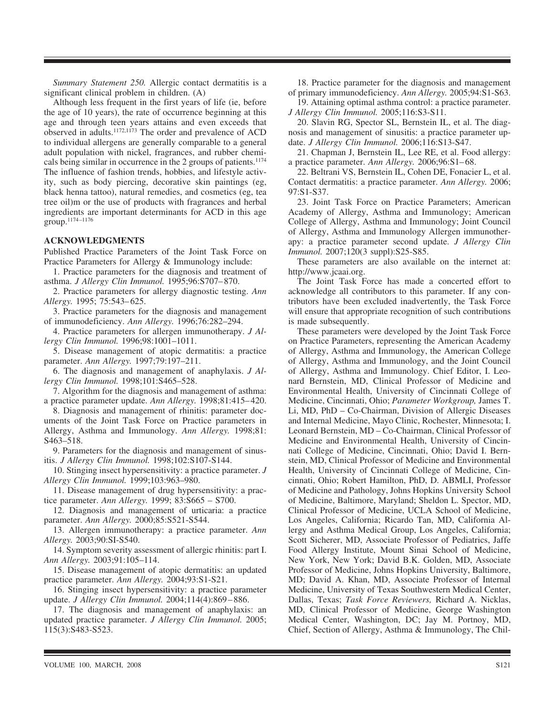*Summary Statement 250.* Allergic contact dermatitis is a significant clinical problem in children. (A)

Although less frequent in the first years of life (ie, before the age of 10 years), the rate of occurrence beginning at this age and through teen years attains and even exceeds that observed in adults.1172,1173 The order and prevalence of ACD to individual allergens are generally comparable to a general adult population with nickel, fragrances, and rubber chemicals being similar in occurrence in the 2 groups of patients.<sup>1174</sup> The influence of fashion trends, hobbies, and lifestyle activity, such as body piercing, decorative skin paintings (eg, black henna tattoo), natural remedies, and cosmetics (eg, tea tree oil)m or the use of products with fragrances and herbal ingredients are important determinants for ACD in this age group.1174 –1176

### **ACKNOWLEDGMENTS**

Published Practice Parameters of the Joint Task Force on Practice Parameters for Allergy & Immunology include:

1. Practice parameters for the diagnosis and treatment of asthma. *J Allergy Clin Immunol.* 1995;96:S707– 870.

2. Practice parameters for allergy diagnostic testing. *Ann Allergy.* 1995; 75:543– 625.

3. Practice parameters for the diagnosis and management of immunodeficiency. *Ann Allergy.* 1996;76:282–294.

4. Practice parameters for allergen immunotherapy. *J Allergy Clin Immunol.* 1996;98:1001–1011.

5. Disease management of atopic dermatitis: a practice parameter. *Ann Allergy.* 1997;79:197–211.

6. The diagnosis and management of anaphylaxis. *J Allergy Clin Immunol.* 1998;101:S465–528.

7. Algorithm for the diagnosis and management of asthma: a practice parameter update. *Ann Allergy.* 1998;81:415– 420.

8. Diagnosis and management of rhinitis: parameter documents of the Joint Task Force on Practice parameters in Allergy, Asthma and Immunology. *Ann Allergy.* 1998;81: S463–518.

9. Parameters for the diagnosis and management of sinusitis. *J Allergy Clin Immunol.* 1998;102:S107-S144.

10. Stinging insect hypersensitivity: a practice parameter. *J Allergy Clin Immunol.* 1999;103:963–980.

11. Disease management of drug hypersensitivity: a practice parameter. *Ann Allergy.* 1999; 83:S665 – S700.

12. Diagnosis and management of urticaria: a practice parameter. *Ann Allergy.* 2000;85:S521-S544.

13. Allergen immunotherapy: a practice parameter. *Ann Allergy.* 2003;90:SI-S540.

14. Symptom severity assessment of allergic rhinitis: part I. *Ann Allergy.* 2003;91:105–114.

15. Disease management of atopic dermatitis: an updated practice parameter. *Ann Allergy.* 2004;93:S1-S21.

16. Stinging insect hypersensitivity: a practice parameter update. *J Allergy Clin Immunol.* 2004;114(4):869 – 886.

17. The diagnosis and management of anaphylaxis: an updated practice parameter. *J Allergy Clin Immunol.* 2005; 115(3):S483-S523.

18. Practice parameter for the diagnosis and management of primary immunodeficiency. *Ann Allergy.* 2005;94:S1-S63.

19. Attaining optimal asthma control: a practice parameter. *J Allergy Clin Immunol.* 2005;116:S3-S11.

20. Slavin RG, Spector SL, Bernstein IL, et al. The diagnosis and management of sinusitis: a practice parameter update. *J Allergy Clin Immunol.* 2006;116:S13-S47.

21. Chapman J, Bernstein IL, Lee RE, et al. Food allergy: a practice parameter. *Ann Allergy.* 2006;96:S1-68.

22. Beltrani VS, Bernstein IL, Cohen DE, Fonacier L, et al. Contact dermatitis: a practice parameter. *Ann Allergy.* 2006; 97:S1-S37.

23. Joint Task Force on Practice Parameters; American Academy of Allergy, Asthma and Immunology; American College of Allergy, Asthma and Immunology; Joint Council of Allergy, Asthma and Immunology Allergen immunotherapy: a practice parameter second update. *J Allergy Clin Immunol.* 2007;120(3 suppl):S25-S85.

These parameters are also available on the internet at: http://www.jcaai.org.

The Joint Task Force has made a concerted effort to acknowledge all contributors to this parameter. If any contributors have been excluded inadvertently, the Task Force will ensure that appropriate recognition of such contributions is made subsequently.

These parameters were developed by the Joint Task Force on Practice Parameters, representing the American Academy of Allergy, Asthma and Immunology, the American College of Allergy, Asthma and Immunology, and the Joint Council of Allergy, Asthma and Immunology. Chief Editor, I. Leonard Bernstein, MD, Clinical Professor of Medicine and Environmental Health, University of Cincinnati College of Medicine, Cincinnati, Ohio; *Parameter Workgroup,* James T. Li, MD, PhD – Co-Chairman, Division of Allergic Diseases and Internal Medicine, Mayo Clinic, Rochester, Minnesota; I. Leonard Bernstein, MD – Co-Chairman, Clinical Professor of Medicine and Environmental Health, University of Cincinnati College of Medicine, Cincinnati, Ohio; David I. Bernstein, MD, Clinical Professor of Medicine and Environmental Health, University of Cincinnati College of Medicine, Cincinnati, Ohio; Robert Hamilton, PhD, D. ABMLI, Professor of Medicine and Pathology, Johns Hopkins University School of Medicine, Baltimore, Maryland; Sheldon L. Spector, MD, Clinical Professor of Medicine, UCLA School of Medicine, Los Angeles, California; Ricardo Tan, MD, California Allergy and Asthma Medical Group, Los Angeles, California; Scott Sicherer, MD, Associate Professor of Pediatrics, Jaffe Food Allergy Institute, Mount Sinai School of Medicine, New York, New York; David B.K. Golden, MD, Associate Professor of Medicine, Johns Hopkins University, Baltimore, MD; David A. Khan, MD, Associate Professor of Internal Medicine, University of Texas Southwestern Medical Center, Dallas, Texas; *Task Force Reviewers,* Richard A. Nicklas, MD, Clinical Professor of Medicine, George Washington Medical Center, Washington, DC; Jay M. Portnoy, MD, Chief, Section of Allergy, Asthma & Immunology, The Chil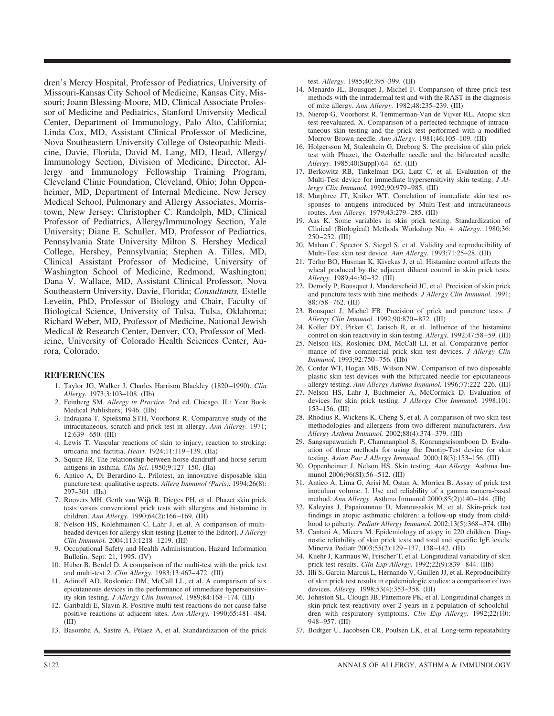dren's Mercy Hospital, Professor of Pediatrics, University of Missouri-Kansas City School of Medicine, Kansas City, Missouri; Joann Blessing-Moore, MD, Clinical Associate Professor of Medicine and Pediatrics, Stanford University Medical Center, Department of Immunology, Palo Alto, California; Linda Cox, MD, Assistant Clinical Professor of Medicine, Nova Southeastern University College of Osteopathic Medicine, Davie, Florida, David M. Lang, MD, Head, Allergy/ Immunology Section, Division of Medicine, Director, Allergy and Immunology Fellowship Training Program, Cleveland Clinic Foundation, Cleveland, Ohio; John Oppenheimer, MD, Department of Internal Medicine, New Jersey Medical School, Pulmonary and Allergy Associates, Morristown, New Jersey; Christopher C. Randolph, MD, Clinical Professor of Pediatrics, Allergy/Immunology Section, Yale University; Diane E. Schuller, MD, Professor of Pediatrics, Pennsylvania State University Milton S. Hershey Medical College, Hershey, Pennsylvania; Stephen A. Tilles, MD, Clinical Assistant Professor of Medicine, University of Washington School of Medicine, Redmond, Washington; Dana V. Wallace, MD, Assistant Clinical Professor, Nova Southeastern University, Davie, Florida; *Consultants,* Estelle Levetin, PhD, Professor of Biology and Chair, Faculty of Biological Science, University of Tulsa, Tulsa, Oklahoma; Richard Weber, MD, Professor of Medicine, National Jewish Medical & Research Center, Denver, CO, Professor of Medicine, University of Colorado Health Sciences Center, Aurora, Colorado.

### **REFERENCES**

- 1. Taylor JG, Walker J. Charles Harrison Blackley (1820 –1990). *Clin Allergy.* 1973;3:103–108. (IIb)
- 2. Feinberg SM. *Allergy in Practice.* 2nd ed. Chicago, IL: Year Book Medical Publishers; 1946. (IIb)
- 3. Indrajana T, Spieksma STH, Voorhorst R. Comparative study of the intracutaneous, scratch and prick test in allergy. *Ann Allergy.* 1971; 12:639 – 650. (III)
- 4. Lewis T. Vascular reactions of skin to injury; reaction to stroking: urticaria and factitia. *Heart.* 1924;11:119 –139. (IIa)
- 5. Squire JR. The relationship between horse dandruff and horse serum antigens in asthma. *Clin Sci.* 1950;9:127–150. (IIa)
- 6. Antico A, Di Berardino L. Prilotest, an innovative disposable skin puncture test: qualitative aspects. *Allerg Immunol (Paris).* 1994;26(8): 297–301. (IIa)
- 7. Roovers MH, Gerth van Wijk R, Dieges PH, et al. Phazet skin prick tests versus conventional prick tests with allergens and histamine in children. *Ann Allergy.* 1990;64(2):166 –169. (III)
- 8. Nelson HS, Kolehmainen C, Lahr J, et al. A comparison of multiheaded devices for allergy skin testing [Letter to the Editor]. *J Allergy Clin Immunol.* 2004;113:1218 –1219. (III)
- 9. Occupational Safety and Health Administration, Hazard Information Bulletin, Sept. 21, 1995. (IV)
- 10. Huber B, Berdel D. A comparison of the multi-test with the prick test and multi-test 2. *Clin Allergy.* 1983;13:467– 472. (III)
- 11. Adinoff AD, Rosloniec DM, McCall LL, et al. A comparison of six epicutaneous devices in the performance of immediate hypersensitivity skin testing. *J Allergy Clin Immunol.* 1989;84:168 –174. (III)
- 12. Garibaldi E, Slavin R. Positive multi-test reactions do not cause false positive reactions at adjacent sites. *Ann Allergy.* 1990;65:481– 484. (III)
- 13. Basomba A, Sastre A, Pelaez A, et al. Standardization of the prick

test. *Allergy.* 1985;40:395–399. (III)

- 14. Menardo JL, Bousquet J, Michel F. Comparison of three prick test methods with the intradermal test and with the RAST in the diagnosis of mite allergy. *Ann Allergy.* 1982;48:235–239. (III)
- 15. Nierop G, Voorhorst R, Temmerman-Van de Vijver RL. Atopic skin test reevaluated. X. Comparison of a perfected technique of intracutaneous skin testing and the prick test performed with a modified Morrow Brown needle. *Ann Allergy.* 1981;46:105–109. (III)
- 16. Holgersson M, Stalenhein G, Dreborg S. The precision of skin prick test with Phazet, the Osterballe needle and the bifurcated needle. *Allergy.* 1985;40(Suppl):64 – 65. (III)
- 17. Berkowitz RB, Tinkelman DG, Lutz C, et al. Evaluation of the Multi-Test device for immediate hypersensitivity skin testing. *J Allergy Clin Immunol.* 1992;90:979 –985. (III)
- 18. Murphree JT, Kniker WT. Correlation of immediate skin test responses to antigens introduced by Multi-Test and intracutaneous routes. *Ann Allergy.* 1979;43:279 –285. (III)
- 19. Aas K. Some variables in skin prick testing. Standardization of Clinical (Biological) Methods Workshop No. 4. *Allergy.* 1980;36: 250 –252. (III)
- 20. Mahan C, Spector S, Siegel S, et al. Validity and reproducibility of Multi-Test skin test device. *Ann Allergy.* 1993;71:25–28. (III)
- 21. Terho BO, Husman K, Kivekas J, et al. Histamine control affects the wheal produced by the adjacent diluent control in skin prick tests. *Allergy.* 1989;44:30 –32. (III)
- 22. Demoly P, Bousquet J, Manderscheid JC, et al. Precision of skin prick and puncture tests with nine methods. *J Allergy Clin Immunol.* 1991; 88:758 –762. (III)
- 23. Bousquet J, Michel FB. Precision of prick and puncture tests. *J Allergy Clin Immunol.* 1992;90:870 – 872. (III)
- 24. Koller DY, Pirker C, Jarisch R, et al. Influence of the histamine control on skin reactivity in skin testing. *Allergy.* 1992;47:58 –59. (III)
- 25. Nelson HS, Rosloniec DM, McCall LI, et al. Comparative performance of five commercial prick skin test devices. *J Allergy Clin Immunol.* 1993;92:750 –756. (IIb)
- 26. Corder WT, Hogan MB, Wilson NW. Comparison of two disposable plastic skin test devices with the bifurcated needle for epicutaneous allergy testing. *Ann Allergy Asthma Immunol.* 1996;77:222–226. (III)
- 27. Nelson HS, Lahr J, Buchmeier A, McCormick D. Evaluation of devices for skin prick testing. *J Allergy Clin Immunol.* 1998;101: 153–156. (III)
- 28. Rhodius R, Wickens K, Cheng S, et al. A comparison of two skin test methodologies and allergens from two different manufacturers. *Ann Allergy Asthma Immunol.* 2002;88(4):374 –379. (III)
- 29. Sangsupawanich P, Chamnanphol S, Konrungsrisomboon D. Evaluation of three methods for using the Duotip-Test device for skin testing. *Asian Pac J Allergy Immunol.* 2000;18(3):153–156. (III)
- 30. Oppenheimer J, Nelson HS. Skin testing. *Ann Allergy.* Asthma Immunol 2006;96(SI):56 –512. (III)
- 31. Antico A, Lima G, Arisi M, Ostan A, Morrica B. Assay of prick test inoculum volume. I. Use and reliability of a gamma camera-based method. *Ann Allergy.* Asthma Immunol 2000;85(2))140 –144. (IIb)
- 32. Kaleyias J, Papaioannou D, Manoussakis M, et al. Skin-prick test findings in atopic asthmatic children: a follow-up study from childhood to puberty. *Pediatr Allergy Immunol.* 2002;13(5):368 –374. (IIb)
- 33. Cantani A, Micera M. Epidemiology of atopy in 220 children. Diagnostic reliability of skin prick tests and total and specific IgE levels. Minerva Pediatr 2003;55(2):129 –137, 138 –142. (III)
- 34. Kuehr J, Karmaus W, Frischer T, et al. Longitudinal variability of skin prick test results. *Clin Exp Allergy.* 1992;22(9):839 – 844. (IIb)
- 35. Illi S, Garcia-Marcus L, Hernando V, Guillen JJ, et al. Reproducibility of skin prick test results in epidemiologic studies: a comparison of two devices. *Allergy.* 1998;53(4):353–358. (III)
- 36. Johnston SL, Clough JB, Pattemore PK, et al. Longitudinal changes in skin-prick test reactivity over 2 years in a population of schoolchildren with respiratory symptoms. *Clin Exp Allergy.* 1992;22(10): 948 –957. (III)
- 37. Bodtger U, Jacobsen CR, Poulsen LK, et al. Long-term repeatability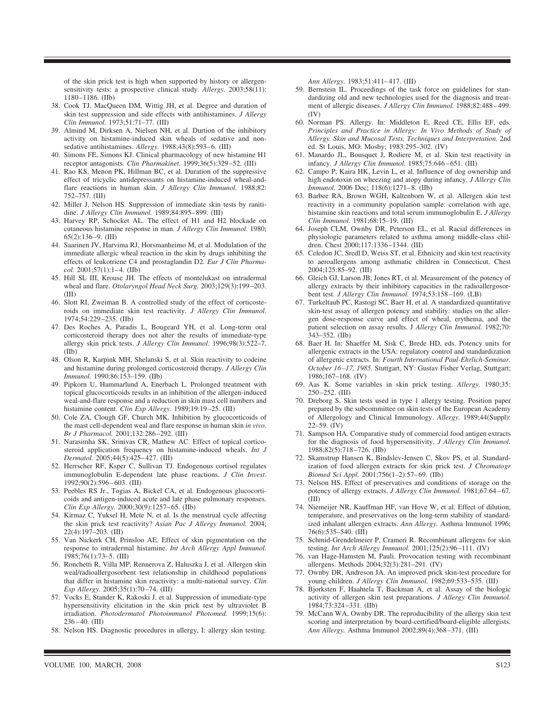of the skin prick test is high when supported by history or allergensensitivity tests: a prospective clinical study. *Allergy.* 2003;58(11): 1180 –1186. (IIb)

- 38. Cook TJ, MacQueen DM, Wittig JH, et al. Degree and duration of skin test suppression and side effects with antihistamines. *J Allergy Clin Immunol.* 1973;51:71–77. (III)
- 39. Almind M, Dirksen A, Nielsen NH, et al. Durtion of the inhibitory activity on histamine-induced skin wheals of sedative and nonsedative antihistamines. *Allergy*. 1988;43(8):593-6. (III)
- 40. Simons FE, Simons KJ. Clinical pharmacology of new histamine H1 receptor antagonists. *Clin Pharmakinet.* 1999;36(5):329 –52. (III)
- 41. Rao KS, Menon PK, Hillman BC, et al. Duration of the suppressive effect of tricyclic antidepressants on histamine-induced wheal-andflare reactions in human skin. *J Allergy Clin Immunol.* 1988;82: 752–757. (III)
- 42. Miller J, Nelson HS. Suppression of immediate skin tests by ranitidine. *J Allergy Clin Immunol.* 1989;84:895– 899. (III)
- 43. Harvey RP, Schocket AL. The effect of H1 and H2 blockade on cutaneous histamine response in man. *J Allergy Clin Immunol.* 1980;  $65(2):136-9$ . (III)
- 44. Saarinen JV, Harvima RJ, Horsmanheimo M, et al. Modulation of the immediate allergic wheal reaction in the skin by drugs inhibiting the effects of leukotriene C4 and prostaglandin D2. *Eur J Clin Pharmacol.* 2001;57(1):1– 4. (IIb)
- 45. Hill SL III, Krouse JH. The effects of montelukast on intradermal wheal and flare. *Otolaryngol Head Neck Surg.* 2003;129(3):199 –203. (III)
- 46. Slott RI, Zweiman B. A controlled study of the effect of corticosteroids on immediate skin test reactivity. *J Allergy Clin Immunol.* 1974;54:229 –235. (IIb)
- 47. Des Roches A, Paradis L, Bougeard YH, et al. Long-term oral corticosteroid therapy does not alter the results of immediate-type allergy skin prick tests. *J Allergy Clin Immunol.* 1996;98(3):522–7. (IIb)
- 48. Olson R, Karpink MH, Shelanski S, et al. Skin reactivity to codeine and histamine during prolonged corticosteroid therapy. *J Allergy Clin Immunol.* 1990;86:153–159. (IIb)
- 49. Pipkorn U, Hammarlund A, Enerbach L. Prolonged treatment with topical glucocorticoids results in an inhibition of the allergen-induced weal-and-flare response and a reduction in skin mast cell numbers and histamine content. *Clin Exp Allergy*. 1989;19:19-25. (III)
- 50. Cole ZA, Clough GF, Church MK. Inhibition by glucocorticoids of the mast cell-dependent weal and flare response in human skin *in vivo. Br J Pharmacol.* 2001;132:286 –292. (III)
- 51. Narasimha SK, Srinivas CR, Mathew AC. Effect of topical corticosteroid application frequency on histamine-induced wheals. *Int J Dermatol.* 2005;44(5):425– 427. (III)
- 52. Herrscher RF, Ksper C, Sullivan TJ. Endogenous cortisol regulates immunoglobulin E-dependent late phase reactions. *J Clin Invest.* 1992;90(2):596 – 603. (III)
- 53. Peebles RS Jr., Togias A, Bickel CA, et al. Endogenous glucocorticoids and antigen-induced acute and late phase pulmonary responses. *Clin Exp Allergy.* 2000;30(9):1257– 65. (IIb)
- 54. Kirmaz C, Yuksel H, Mete N, et al. Is the menstrual cycle affecting the skin prick test reactivity? *Asian Pac J Allergy Immunol.* 2004; 22(4):197–203. (III)
- 55. Van Nickerk CH, Prinsloo AE. Effect of skin pigmentation on the response to intradermal histamine. *Int Arch Allergy Appl Immunol.* 1985;76(1):73–5. (III)
- 56. Ronchetti R, Villa MP, Rennerova Z, Haluszka J, et al. Allergen skin weal/radioallergosorbent test relationship in childhood populations that differ in histamine skin reactivity: a multi-national survey. *Clin Exp Allergy.* 2005;35(1):70 –74. (III)
- 57. Vocks E, Stander K, Rakoski J, et al. Suppression of immediate-type hypersensitivity elicitation in the skin prick test by ultraviolet B irradiation. *Photodermatol Photoimmunol Photomed.* 1999;15(6): 236 – 40. (III)
- 58. Nelson HS. Diagnostic procedures in allergy, I: allergy skin testing.

*Ann Allergy.* 1983;51:411– 417. (III)

- 59. Bernstein IL. Proceedings of the task force on guidelines for standardizing old and new technologies used for the diagnosis and treatment of allergic diseases. *J Allergy Clin Immunol.* 1988;82:488 – 499. (IV)
- 60. Norman PS. Allergy. In: Middleton E, Reed CE, Ellis EF, eds. *Principles and Practice in Allergy: In Vivo Methods of Study of Allergy. Skin and Mucosal Tests, Techniques and Interpretation.* 2nd ed. St Louis, MO: Mosby; 1983:295–302. (IV)
- 61. Manardo JL, Bousquet J, Rodiere M, et al. Skin test reactivity in infancy. *J Allergy Clin Immunol.* 1985;75:646 – 651. (III)
- 62. Campo P, Kaira HK, Levin L, et al. Influence of dog ownership and high endotoxin on wheezing and atopy during infancy. *J Allergy Clin Immunol.* 2006 Dec; 118(6):1271-8. (IIb)
- 63. Barbee RA, Brown WGH, Kaltenborn W, et al. Allergen skin test reactivity in a community population sample: correlation with age, histamine skin reactions and total serum immunoglobulin E. *J Allergy Clin Immunol.* 1981;68:15–19. (III)
- 64. Joseph CLM, Ownby DR, Peterson EL, et al. Racial differences in physiologic parameters related to asthma among middle-class children. Chest 2000;117:1336 –1344. (III)
- 65. Celedon JC, Sredl D, Weiss ST, et al. Ethnicity and skin test reactivity to aeroallergens among asthmatic children in Connecticut. Chest 2004;125:85–92. (III)
- 66. Gleich GJ, Larson JB, Jones RT, et al. Measurement of the potency of allergy extracts by their inhibitory capacities in the radioallergosorbent test. *J Allergy Clin Immunol.* 1974;53:158 –169. (LB)
- 67. Turkeltaub PC, Rastogi SC, Baer H, et al. A standardized quantitative skin-test assay of allergen potency and stability: studies on the allergen dose-response curve and effect of wheal, erythema, and the patient selection on assay results. J *Allergy Clin Immunol.* 1982;70: 343–352. (IIb)
- 68. Baer H. In: Shaeffer M, Sisk C, Brede HD, eds. Potency units for allergenic extracts in the USA: regulatory control and standardization of allergenic extracts. In: *Fourth International Paul-Ehrlich-Seminar. October 16 –17, 1985.* Stuttgart, NY: Gustav Fisher Verlag, Stuttgart; 1986;167–168. (IV)
- 69. Aas K. Some variables in skin prick testing. *Allergy.* 1980;35: 250 –252. (III)
- 70. Dreborg S. Skin tests used in type 1 allergy testing. Position paper prepared by the subcommittee on skin tests of the European Academy of Allergology and Clinical Immunology. *Allergy.* 1989;44(Suppl): 22–59. (IV)
- 71. Sampson HA. Comparative study of commercial food antigen extracts for the diagnosis of food hypersensitivity. *J Allergy Clin Immunol.* 1988;82(5):718 –726. (IIb)
- 72. Skamstrup Hansen K, Bindslev-Jensen C, Skov PS, et al. Standardization of food allergen extracts for skin prick test. *J Chromatogr Biomed Sci Appl.* 2001;756(1-2):57-69. (IIb)
- 73. Nelson HS. Effect of preservatives and conditions of storage on the potency of allergy extracts. *J Allergy Clin Immunol*. 1981;67:64-67. (III)
- 74. Niemeijer NR, Kauffman HF, van Hove W, et al. Effect of dilution, temperature, and preservatives on the long-term stability of standardized inhalant allergen extracts. *Ann Allergy.* Asthma Immunol 1996; 76(6):535–540. (III)
- 75. Schmid-Grendelmeier P, Crameri R. Recombinant allergens for skin testing. *Int Arch Allergy Immunol.* 2001;125(2):96 –111. (IV)
- 76. van Hage-Hamsten M, Pauli. Provocation testing with recombinant allergens. Methods 2004;32(3):281–291. (IV)
- 77. Ownby DR, Andreson JA. An improved prick skin-test procedure for young children. *J Allergy Clin Immunol.* 1982;69:533–535. (III)
- 78. Bjorksten F, Haahtela T, Backman A, et al. Assay of the biologic activity of allergen skin test preparations. *J Allergy Clin Immunol.* 1984;73:324 –331. (IIb)
- 79. McCann WA, Ownby DR. The reproducibility of the allergy skin test scoring and interpretation by board-certified/board-eligible allergists. *Ann Allergy.* Asthma Immunol 2002;89(4):368 –371. (III)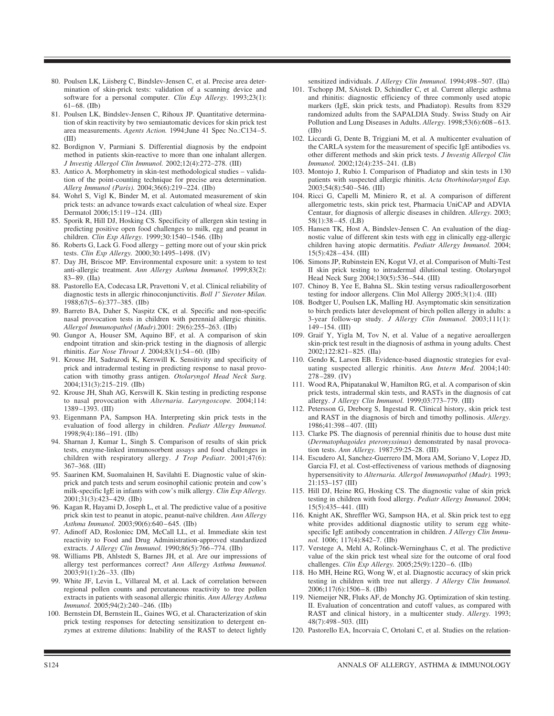- 80. Poulsen LK, Liisberg C, Bindslev-Jensen C, et al. Precise area determination of skin-prick tests: validation of a scanning device and software for a personal computer. *Clin Exp Allergy.* 1993;23(1):  $61-68$ . (IIb)
- 81. Poulsen LK, Bindslev-Jensen C, Rihoux JP. Quantitative determination of skin reactivity by two semiautomatic devices for skin prick test area measurements. *Agents Action.* 1994;June 41 Spec No.:C134 –5. (III)
- 82. Bordignon V, Parmiani S. Differential diagnosis by the endpoint method in patients skin-reactive to more than one inhalant allergen. *J Investig Allergol Clin Immunol.* 2002;12(4):272–278. (III)
- 83. Antico A. Morphometry in skin-test methodological studies validation of the point-counting technique for precise area determination. *Allerg Immunol (Paris).* 2004;36(6):219 –224. (IIb)
- 84. Wohrl S, Vigl K, Binder M, et al. Automated measurement of skin prick tests: an advance towards exact calculation of wheal size. Exper Dermatol 2006;15:119 –124. (III)
- 85. Sporik R, Hill DJ, Hosking CS. Specificity of allergen skin testing in predicting positive open food challenges to milk, egg and peanut in children. *Clin Exp Allergy.* 1999;30:1540 –1546. (IIb)
- 86. Roberts G, Lack G. Food allergy getting more out of your skin prick tests. *Clin Exp Allergy.* 2000;30:1495–1498. (IV)
- 87. Day JH, Briscoe MP. Environmental exposure unit: a system to test anti-allergic treatment. *Ann Allergy Asthma Immunol.* 1999;83(2): 83– 89. (IIa)
- 88. Pastorello EA, Codecasa LR, Pravettoni V, et al. Clinical reliability of diagnostic tests in allergic rhinoconjunctivitis. *Boll 1<sup>ª</sup> Sieroter Milan*. 1988;67(5– 6):377–385. (IIb)
- 89. Barreto BA, Daher S, Naspitz CK, et al. Specific and non-specific nasal provocation tests in children with perennial allergic rhinitis. *Allergol Immunopathol (Madr).*2001: 29(6):255–263. (IIb)
- 90. Gungor A, Houser SM, Aquino BF, et al. A comparison of skin endpoint titration and skin-prick testing in the diagnosis of allergic rhinitis. *Ear Nose Throat J.* 2004;83(1):54 – 60. (IIb)
- 91. Krouse JH, Sadrazodi K, Kerswill K. Sensitivity and specificity of prick and intradermal testing in predicting response to nasal provocation with timothy grass antigen. *Otolaryngol Head Neck Surg.* 2004;131(3):215–219. (IIb)
- 92. Krouse JH, Shah AG, Kerswill K. Skin testing in predicting response to nasal provocation with *Alternaria*. *Laryngoscope.* 2004;114: 1389 –1393. (III)
- 93. Eigenmann PA, Sampson HA. Interpreting skin prick tests in the evaluation of food allergy in children. *Pediatr Allergy Immunol.* 1998;9(4):186 –191. (IIb)
- 94. Sharnan J, Kumar L, Singh S. Comparison of results of skin prick tests, enzyme-linked immunosorbent assays and food challenges in children with respiratory allergy. *J Trop Pediatr.* 2001;47(6): 367–368. (III)
- 95. Saarinen KM, Suomalainen H, Savilahti E. Diagnostic value of skinprick and patch tests and serum eosinophil cationic protein and cow's milk-specific IgE in infants with cow's milk allergy. *Clin Exp Allergy.* 2001;31(3):423– 429. (IIb)
- 96. Kagan R, Hayami D, Joseph L, et al. The predictive value of a positive prick skin test to peanut in atopic, peanut-naïve children. *Ann Allergy Asthma Immunol.* 2003;90(6):640 – 645. (IIb)
- 97. Adinoff AD, Rosloniec DM, McCall LL, et al. Immediate skin test reactivity to Food and Drug Administration-approved standardized extracts. *J Allergy Clin Immunol.* 1990;86(5):766 –774. (IIb)
- 98. Williams PB, Ahlstedt S, Barnes JH, et al. Are our impressions of allergy test performances correct? *Ann Allergy Asthma Immunol.* 2003;91(1):26 –33. (IIb)
- 99. White JF, Levin L, Villareal M, et al. Lack of correlation between regional pollen counts and percutaneous reactivity to tree pollen extracts in patients with seasonal allergic rhinitis. *Ann Allergy Asthma Immunol.* 2005;94(2):240 –246. (IIb)
- 100. Bernstein DI, Bernstein IL, Gaines WG, et al. Characterization of skin prick testing responses for detecting sensitization to detergent enzymes at extreme dilutions: Inability of the RAST to detect lightly

sensitized individuals. *J Allergy Clin Immunol.* 1994;498 –507. (IIa)

- 101. Tschopp JM, SAistek D, Schindler C, et al. Current allergic asthma and rhinitis: diagnostic efficiency of three commonly used atopic markers (IgE, skin prick tests, and Phadiatop). Results from 8329 randomized adults from the SAPALDIA Study. Swiss Study on Air Pollution and Lung Diseases in Adults. *Allergy.* 1998;53(6):608 – 613. (IIb)
- 102. Liccardi G, Dente B, Triggiani M, et al. A multicenter evaluation of the CARLA system for the measurement of specific IgE antibodies vs. other different methods and skin prick tests. *J Investig Allergol Clin Immunol.* 2002;12(4):235–241. (LB)
- 103. Montojo J, Rubio I. Comparison of Phadiatop and skin tests in 130 patients with suspected allergic rhinitis. *Acta Otorhinolaryngol Esp.* 2003;54(8):540 –546. (III)
- 104. Ricci G, Capelli M, Miniero R, et al. A comparison of different allergometric tests, skin prick test, Pharmacia UniCAP and ADVIA Centaur, for diagnosis of allergic diseases in children. *Allergy.* 2003; 58(1):38 – 45. (LB)
- 105. Hansen TK, Host A, Bindslev-Jensen C. An evaluation of the diagnostic value of different skin tests with egg in clinically egg-allergic children having atopic dermatitis. *Pediatr Allergy Immunol.* 2004;  $15(5):428 - 434.$  (III)
- 106. Simons JP, Rubinstein EN, Kogut VJ, et al. Comparison of Multi-Test II skin prick testing to intradermal dilutional testing. Otolaryngol Head Neck Surg 2004;130(5):536 –544. (III)
- 107. Chinoy B, Yee E, Bahna SL. Skin testing versus radioallergosorbent testing for indoor allergens. Clin Mol Allergy 2005;3(1):4. (III)
- 108. Bodtger U, Poulsen LK, Malling HJ. Asymptomatic skin sensitization to birch predicts later development of birch pollen allergy in adults: a 3-year follow-up study. *J Allergy Clin Immunol.* 2003;111(1): 149 –154. (III)
- 109. Graif Y, Yigla M, Tov N, et al. Value of a negative aeroallergen skin-prick test result in the diagnosis of asthma in young adults. Chest 2002;122:821– 825. (IIa)
- 110. Gendo K, Larson EB. Evidence-based diagnostic strategies for evaluating suspected allergic rhinitis. *Ann Intern Med.* 2004;140: 278 –289. (IV)
- 111. Wood RA, Phipatanakul W, Hamilton RG, et al. A comparison of skin prick tests, intradermal skin tests, and RASTs in the diagnosis of cat allergy. *J Allergy Clin Immunol.* 1999;03:773–779. (III)
- 112. Petersson G, Dreborg S, Ingestad R. Clinical history, skin prick test and RAST in the diagnosis of birch and timothy pollinosis. *Allergy.* 1986;41:398 – 407. (III)
- 113. Clarke PS. The diagnosis of perennial rhinitis due to house dust mite (*Dermatophagoides pteronyssinus*) demonstrated by nasal provocation tests. *Ann Allergy.* 1987;59:25–28. (III)
- 114. Escudero AI, Sanchez-Guerrero IM, Mora AM, Soriano V, Lopez JD, Garcia FJ, et al. Cost-effectiveness of various methods of diagnosing hypersensitivity to *Alternaria. Allergol Immunopathol (Madr).* 1993; 21:153–157 (III)
- 115. Hill DJ, Heine RG, Hosking CS. The diagnostic value of skin prick testing in children with food allergy. *Pediatr Allergy Immunol.* 2004; 15(5):435– 441. (III)
- 116. Knight AK, Shreffler WG, Sampson HA, et al. Skin prick test to egg white provides additional diagnostic utility to serum egg whitespecific IgE antibody concentration in children. *J Allergy Clin Immunol.* 1006; 117(4):842–7. (IIb)
- 117. Verstege A, Mehl A, Rolinck-Werninghaus C, et al. The predictive value of the skin prick test wheal size for the outcome of oral food challenges. *Clin Exp Allergy*. 2005;25(9):1220-6. (IIb)
- 118. Ho MH, Heine RG, Wong W, et al. Diagnostic accuracy of skin prick testing in children with tree nut allergy. *J Allergy Clin Immunol.* 2006;117(6):1506 – 8. (IIb)
- 119. Niemeijer NR, Fluks AF, de Monchy JG. Optimization of skin testing. II. Evaluation of concentration and cutoff values, as compared with RAST and clinical history, in a multicenter study. *Allergy.* 1993; 48(7):498 –503. (III)
- 120. Pastorello EA, Incorvaia C, Ortolani C, et al. Studies on the relation-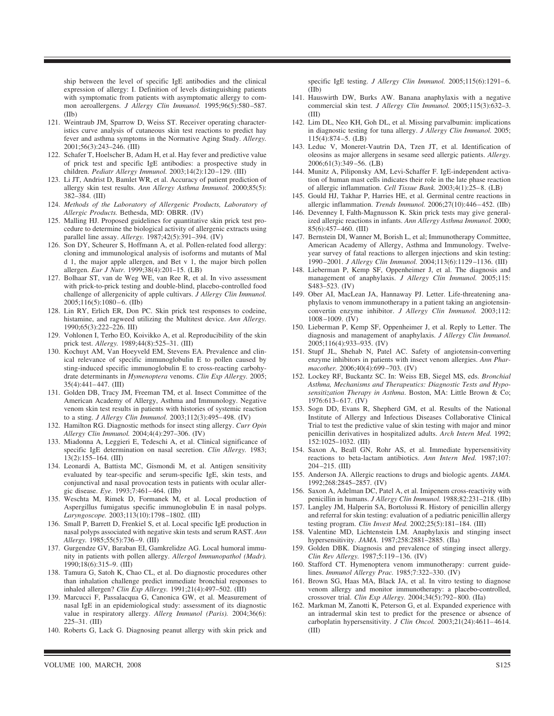ship between the level of specific IgE antibodies and the clinical expression of allergy: I. Definition of levels distinguishing patients with symptomatic from patients with asymptomatic allergy to common aeroallergens. *J Allergy Clin Immunol.* 1995;96(5):580 –587. (IIb)

- 121. Weintraub JM, Sparrow D, Weiss ST. Receiver operating characteristics curve analysis of cutaneous skin test reactions to predict hay fever and asthma symptoms in the Normative Aging Study. *Allergy.* 2001;56(3):243–246. (III)
- 122. Schafer T, Hoelscher B, Adam H, et al. Hay fever and predictive value of prick test and specific IgE antibodies: a prospective study in children. *Pediatr Allergy Immunol.* 2003;14(2):120 –129. (III)
- 123. Li JT, Andrist D, Bamlet WR, et al. Accuracy of patient prediction of allergy skin test results. *Ann Allergy Asthma Immunol.* 2000;85(5): 382–384. (III)
- 124. *Methods of the Laboratory of Allergenic Products, Laboratory of Allergic Products.* Bethesda, MD: OBRR. (IV)
- 125. Malling HJ. Proposed guidelines for quantitative skin prick test procedure to determine the biological activity of allergenic extracts using parallel line assay. *Allergy.* 1987;42(5):391–394. (IV)
- 126. Son DY, Scheurer S, Hoffmann A, et al. Pollen-related food allergy: cloning and immunological analysis of isoforms and mutants of Mal d 1, the major apple allergen, and Bet v 1, the major birch pollen allergen. *Eur J Nutr.* 1999;38(4):201–15. (LB)
- 127. Bolhaar ST, van de Weg WE, van Ree R, et al. In vivo assessment with prick-to-prick testing and double-blind, placebo-controlled food challenge of allergenicity of apple cultivars. *J Allergy Clin Immunol.* 2005;116(5):1080-6. (IIb)
- 128. Lin RY, Erlich ER, Don PC. Skin prick test responses to codeine, histamine, and ragweed utilizing the Multitest device. *Ann Allergy.* 1990;65(3):222–226. III)
- 129. Vohlonen I, Terho EO, Koivikko A, et al. Reproducibility of the skin prick test. *Allergy.* 1989;44(8):525–31. (III)
- 130. Kochuyt AM, Van Hoeyveld EM, Stevens EA. Prevalence and clinical relevance of specific immunoglobulin E to pollen caused by sting-induced specific immunoglobulin E to cross-reacting carbohydrate determinants in *Hymenoptera* venoms. *Clin Exp Allergy.* 2005; 35(4):441– 447. (III)
- 131. Golden DB, Tracy JM, Freeman TM, et al. Insect Committee of the American Academy of Allergy, Asthma and Immunology. Negative venom skin test results in patients with histories of systemic reaction to a sting. *J Allergy Clin Immunol.* 2003;112(3):495– 498. (IV)
- 132. Hamilton RG. Diagnostic methods for insect sting allergy. *Curr Opin Allergy Clin Immunol.* 2004;4(4):297–306. (IV)
- 133. Miadonna A, Leggieri E, Tedeschi A, et al. Clinical significance of specific IgE determination on nasal secretion. *Clin Allergy.* 1983; 13(2):155–164. (III)
- 134. Leonardi A, Battista MC, Gismondi M, et al. Antigen sensitivity evaluated by tear-specific and serum-specific IgE, skin tests, and conjunctival and nasal provocation tests in patients with ocular allergic disease. *Eye.* 1993;7:461– 464. (IIb)
- 135. Weschta M, Rimek D, Formanek M, et al. Local production of Aspergillus fumigatus specific immunoglobulin E in nasal polyps. *Laryngoscope.* 2003;113(10):1798 –1802. (III)
- 136. Small P, Barrett D, Frenkiel S, et al. Local specific IgE production in nasal polyps associated with negative skin tests and serum RAST. *Ann Allergy.* 1985;55(5):736 –9. (III)
- 137. Gurgendze GV, Baraban EI, Gamkrelidze AG. Local humoral immunity in patients with pollen allergy. *Allergol Immunopathol (Madr).* 1990;18(6):315–9. (III)
- 138. Tamura G, Satoh K, Chao CL, et al. Do diagnostic procedures other than inhalation challenge predict immediate bronchial responses to inhaled allergen? *Clin Exp Allergy.* 1991;21(4):497–502. (III)
- 139. Marcucci F, Passalacqua G, Canonica GW, et al. Measurement of nasal IgE in an epidemiological study: assessment of its diagnostic value in respiratory allergy. *Allerg Immunol (Paris).* 2004;36(6): 225–31. (III)
- 140. Roberts G, Lack G. Diagnosing peanut allergy with skin prick and

specific IgE testing. *J Allergy Clin Immunol.* 2005;115(6):1291-6. (IIb)

- 141. Hauswirth DW, Burks AW. Banana anaphylaxis with a negative commercial skin test. *J Allergy Clin Immunol.* 2005;115(3):632–3. (III)
- 142. Lim DL, Neo KH, Goh DL, et al. Missing parvalbumin: implications in diagnostic testing for tuna allergy. *J Allergy Clin Immunol.* 2005; 115(4):874 –5. (LB)
- 143. Leduc V, Moneret-Vautrin DA, Tzen JT, et al. Identification of oleosins as major allergens in sesame seed allergic patients. *Allergy.* 2006;61(3):349 –56. (LB)
- 144. Munitz A, Piliponsky AM, Levi-Schaffer F. IgE-independent activation of human mast cells indicates their role in the late phase reaction of allergic inflammation. *Cell Tissue Bank.* 2003;4(1):25– 8. (LB)
- 145. Gould HJ, Takhar P, Harries HE, et al. Germinal centre reactions in allergic inflammation. *Trends Immunol.* 2006;27(10):446 – 452. (IIb)
- 146. Devenney I, Falth-Magnusson K. Skin prick tests may give generalized allergic reactions in infants. *Ann Allergy Asthma Immunol.* 2000; 85(6):457– 460. (III)
- 147. Bernstein DI, Wanner M, Borish L, et al; Immunotherapy Committee, American Academy of Allergy, Asthma and Immunology. Twelveyear survey of fatal reactions to allergen injections and skin testing: 1990 –2001. *J Allergy Clin Immunol.* 2004;113(6):1129 –1136. (III)
- 148. Lieberman P, Kemp SF, Oppenheimer J, et al. The diagnosis and management of anaphylaxis. *J Allergy Clin Immunol.* 2005;115: S483–523. (IV)
- 149. Ober AI, MacLean JA, Hannaway PJ. Letter. Life-threatening anaphylaxis to venom immunotherapy in a patient taking an angiotensinconvertin enzyme inhibitor. *J Allergy Clin Immunol.* 2003;112: 1008 –1009. (IV)
- 150. Lieberman P, Kemp SF, Oppenheimer J, et al. Reply to Letter. The diagnosis and management of anaphylaxis. *J Allergy Clin Immunol.* 2005;116(4):933–935. (IV)
- 151. Stupf JL, Shehab N, Patel AC. Safety of angiotensin-converting enzyme inhibitors in patients with insect venom allergies. *Ann Pharmacother.* 2006;40(4):699 –703. (IV)
- 152. Lockey RF, Buckantz SC. In: Weiss EB, Siegel MS, eds. *Bronchial Asthma, Mechanisms and Therapeutics: Diagnostic Tests and Hyposensitization Therapy in Asthma*. Boston, MA: Little Brown & Co; 1976:613– 617. (IV)
- 153. Sogn DD, Evans R, Shepherd GM, et al. Results of the National Institute of Allergy and Infectious Diseases Collaborative Clinical Trial to test the predictive value of skin testing with major and minor penicillin derivatives in hospitalized adults. *Arch Intern Med.* 1992; 152:1025–1032. (III)
- 154. Saxon A, Beall GN, Rohr AS, et al. Immediate hypersensitivity reactions to beta-lactam antibiotics. *Ann Intern Med.* 1987;107: 204 –215. (III)
- 155. Anderson JA. Allergic reactions to drugs and biologic agents. *JAMA.* 1992;268:2845–2857. (IV)
- 156. Saxon A, Adelman DC, Patel A, et al. Imipenem cross-reactivity with penicillin in humans. *J Allergy Clin Immunol.* 1988;82:231–218. (IIb)
- 157. Langley JM, Halperin SA, Bortolussi R. History of penicillin allergy and referral for skin testing: evaluation of a pediatric penicillin allergy testing program. *Clin Invest Med.* 2002;25(5):181–184. (III)
- 158. Valentine MD, Lichtenstein LM. Anaphylaxis and stinging insect hypersensitivity. *JAMA.* 1987;258:2881–2885. (IIa)
- 159. Golden DBK. Diagnosis and prevalence of stinging insect allergy. *Clin Rev Allergy.* 1987;5:119 –136. (IV)
- 160. Stafford CT. Hymenoptera venom immunotherapy: current guidelines. *Immunol Allergy Prac.* 1985;7:322–330. (IV)
- 161. Brown SG, Haas MA, Black JA, et al. In vitro testing to diagnose venom allergy and monitor immunotherapy: a placebo-controlled, crossover trial. *Clin Exp Allergy.* 2004;34(5):792– 800. (IIa)
- 162. Markman M, Zanotti K, Peterson G, et al. Expanded experience with an intradermal skin test to predict for the presence or absence of carboplatin hypersensitivity. *J Clin Oncol.* 2003;21(24):4611– 4614. (III)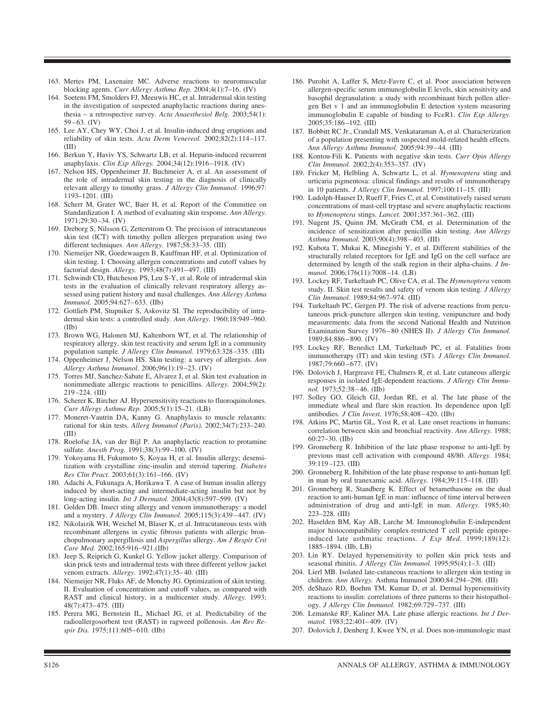- 163. Mertes PM, Laxenaire MC. Adverse reactions to neuromuscular blocking agents. *Curr Allergy Asthma Rep.* 2004;4(1):7–16. (IV)
- 164. Soetens FM, Smolders FJ, Meeuwis HC, et al. Intradermal skin testing in the investigation of suspected anaphylactic reactions during anesthesia – a retrospective survey. *Acta Anaesthesiol Belg.* 2003;54(1):  $59 - 63$ . (IV)
- 165. Lee AY, Chey WY, Choi J, et al. Insulin-induced drug eruptions and reliability of skin tests. *Acta Derm Venereol.* 2002;82(2):114-117. (III)
- 166. Berkun Y, Haviv YS, Schwartz LB, et al. Heparin-induced recurrent anaphylaxis. *Clin Exp Allergy.* 2004;34(12):1916 –1918. (IV)
- 167. Nelson HS, Oppenheimer JJ, Buchmeier A, et al. An assessment of the role of intradermal skin testing in the diagnosis of clinically relevant allergy to timothy grass. *J Allergy Clin Immunol.* 1996;97: 1193–1201. (III)
- 168. Scherr M, Grater WC, Baer H, et al. Report of the Committee on Standardization I. A method of evaluating skin response. *Ann Allergy.* 1971;29:30 –34. (IV)
- 169. Dreborg S, Nilsson G, Zetterstrom O. The precision of intracutaneous skin test (ICT) with timothy pollen allergen preparation using two different techniques. *Ann Allergy.* 1987;58:33–35. (III)
- 170. Niemeijer NR, Goedewaagen B, Kauffman HF, et al. Optimization of skin testing. I. Choosing allergen concentrations and cutoff values by factorial design. *Allergy.* 1993;48(7):491– 497. (III)
- 171. Schwindt CD, Hutcheson PS, Leu S-Y, et al. Role of intradermal skin tests in the evaluation of clinically relevant respiratory allergy assessed using patient history and nasal challenges. *Ann Allergy Asthma Immunol.* 2005;94:627– 633. (IIb)
- 172. Gottlieb PM, Stupniker S, Askovitz SI. The reproducibility of intradermal skin tests: a controlled study. *Ann Allergy.* 1960;18:949 –960. (IIb)
- 173. Brown WG, Halonen MJ, Kaltenborn WT, et al. The relationship of respiratory allergy, skin test reactivity and serum IgE in a community population sample. *J Allergy Clin Immunol.* 1979;63:328 –335. (III)
- 174. Oppenheimer J, Nelson HS. Skin testing: a survey of allergists. *Ann Allergy Asthma Immunol.* 2006;96(1):19 –23. (IV)
- 175. Torres MJ, Sanchez-Sabate E, Alvarez J, et al. Skin test evaluation in nonimmediate allergic reactions to penicillins. *Allergy.* 2004;59(2): 219 –224. (III)
- 176. Scherer K, Bircher AJ. Hypersensitivity reactions to fluoroquinolones. *Curr Allergy Asthma Rep.* 2005;5(1):15–21. (LB)
- 177. Moneret-Vautrin DA, Kanny G. Anaphylaxis to muscle relaxants: rational for skin tests. *Allerg Immunol (Paris).* 2002;34(7):233–240. (III)
- 178. Roelofse JA, van der Bijl P. An anaphylactic reaction to protamine sulfate. *Anesth Prog.* 1991;38(3):99 –100. (IV)
- 179. Yokoyama H, Fukumoto S, Koyaa H, et al. Insulin allergy; desensitization with crystalline zinc-insulin and steroid tapering. *Diabetes Res Clin Pract.* 2003;61(3):161–166. (IV)
- 180. Adachi A, Fukunaga A, Horikawa T. A case of human insulin allergy induced by short-acting and intermediate-acting insulin but not by long-acting insulin. *Int J Dermatol.* 2004;43(8):597–599. (IV)
- 181. Golden DB. Insect sting allergy and venom immunotherapy: a model and a mystery. *J Allergy Clin Immunol.* 2005;115(3):439 – 447. (IV)
- 182. Nikolaizik WH, Weichel M, Blaser K, et al. Intracutaneous tests with recombinant allergens in cystic fibrosis patients with allergic bronchopulmonary aspergillosis and *Aspergillus* allergy. *Am J Respir Crit Care Med.* 2002;165:916 –921.(IIb)
- 183. Jeep S, Reiprich G, Kunkel G. Yellow jacket allergy. Comparison of skin prick tests and intradermal tests with three different yellow jacket venom extracts. *Allergy.* 1992;47(1):35– 40. (III)
- 184. Niemeijer NR, Fluks AF, de Monchy JG. Optimization of skin testing. II. Evaluation of concentration and cutoff values, as compared with RAST and clinical history, in a multicenter study. *Allergy.* 1993; 48(7):473– 475. (III)
- 185. Perera MG, Bernstein IL, Michael JG, et al. Predictability of the radioallergosorbent test (RAST) in ragweed pollenosis. *Am Rev Respir Dis.* 1975;111:605– 610. (IIb)
- 186. Purohit A, Laffer S, Metz-Favre C, et al. Poor association between allergen-specific serum immunoglobulin E levels, skin sensitivity and basophil degranulation: a study with recombinant birch pollen allergen Bet v 1 and an immunoglobulin E detection system measuring immunoglobulin E capable of binding to FcR1. *Clin Exp Allergy.* 2005;35:186 –192. (III)
- 187. Bobbitt RC Jr., Crandall MS, Venkataraman A, et al. Characterization of a population presenting with suspected mold-related health effects. *Ann Allergy Asthma Immunol.* 2005;94:39 – 44. (III)
- 188. Kontou-Fili K. Patients with negative skin tests. *Curr Opin Allergy Clin Immunol.* 2002;2(4):353–357. (IV)
- 189. Fricker M, Helbling A, Schwartz L, et al. *Hymenoptera* sting and urticaria pigmentosa: clinical findings and results of immunotherapy in 10 patients. *J Allergy Clin Immunol.* 1997;100:11–15. (III)
- 190. Ludolph-Hauser D, Rueff F, Fries C, et al. Constitutively raised serum concentrations of mast-cell tryptase and severe anaphylactic reactions to *Hymenoptera* stings. *Lancet.* 2001;357:361–362. (III)
- 191. Nugent JS, Quinn JM, McGrath CM, et al. Determination of the incidence of sensitization after penicillin skin testing. *Ann Allergy Asthma Immunol.* 2003;90(4):398 – 403. (III)
- 192. Kubota T, Mukai K, Minegishi Y, et al. Different stabilities of the structurally related receptors for IgE and IgG on the cell surface are determined by length of the stalk region in their alpha-chains. *J Immunol.* 2006;176(11):7008 –14. (LB)
- 193. Lockey RF, Turkeltaub PC, Olive CA, et al. The *Hymenoptera* venom study. II. Skin test results and safety of venom skin testing. *J Allergy Clin Immunol.* 1989;84:967–974. (III)
- 194. Turkeltaub PC, Gergen PJ. The risk of adverse reactions from percutaneous prick-puncture allergen skin testing, venipuncture and body measurements: data from the second National Health and Nutrition Examination Survey 1976 – 80 (NHES II). *J Allergy Clin Immunol.* 1989;84:886 – 890. (IV)
- 195. Lockey RF, Benedict LM, Turkeltaub PC, et al. Fatalities from immunotherapy (IT) and skin testing (ST). *J Allergy Clin Immunol.* 1987;79:660 – 677. (IV)
- 196. Dolovich J, Hargreave FE, Chalmers R, et al. Late cutaneous allergic responses in isolated IgE-dependent reactions. *J Allergy Clin Immunol.* 1973;52:38 – 46. (IIb)
- 197. Solley GO, Gleich GJ, Jordan RE, et al. The late phase of the immediate wheal and flare skin reaction. Its dependence upon IgE antibodies. *J Clin Invest.* 1976;58:408 – 420. (IIb)
- 198. Atkins PC, Martin GL, Yost R, et al. Late onset reactions in humans: correlation between skin and bronchial reactivity. *Ann Allergy.* 1988; 60:27–30. (IIb)
- 199. Gronneberg R. Inhibition of the late phase response to anti-IgE by previous mast cell activation with compound 48/80. *Allergy.* 1984; 39:119 –123. (III)
- 200. Gronneberg R. Inhibition of the late phase response to anti-human IgE in man by oral tranexamic acid. *Allergy.* 1984;39:115–118. (III)
- 201. Gronneberg R, Standberg K. Effect of betamethasone on the dual reaction to anti-human IgE in man: influence of time interval between administration of drug and anti-IgE in man. *Allergy.* 1985;40: 223–228. (III)
- 202. Haselden BM, Kay AB, Larche M. Immunoglobulin E-independent major histocompatibility complex-restricted T cell peptide epitopeinduced late asthmatic reactions. *J Exp Med.* 1999;189(12): 1885–1894. (IIb, LB)
- 203. Lin RY. Delayed hypersensitivity to pollen skin prick tests and seasonal rhinitis. *J Allergy Clin Immunol.* 1995;95(4):1–3. (III)
- 204. Lierl MB. Isolated late-cutaneous reactions to allergen skin testing in children. *Ann Allergy.* Asthma Immunol 2000;84:294 –298. (III)
- 205. deShazo RD, Boehm TM, Kumar D, et al. Dermal hypersensitivity reactions to insulin: correlations of three patterns to their histopathology. *J Allergy Clin Immunol.* 1982;69:729 –737. (III)
- 206. Lemanske RF, Kaliner MA. Late phase allergic reactions. *Int J Dermatol.* 1983;22:401– 409. (IV)
- 207. Dolovich J, Denberg J, Kwee YN, et al. Does non-immunologic mast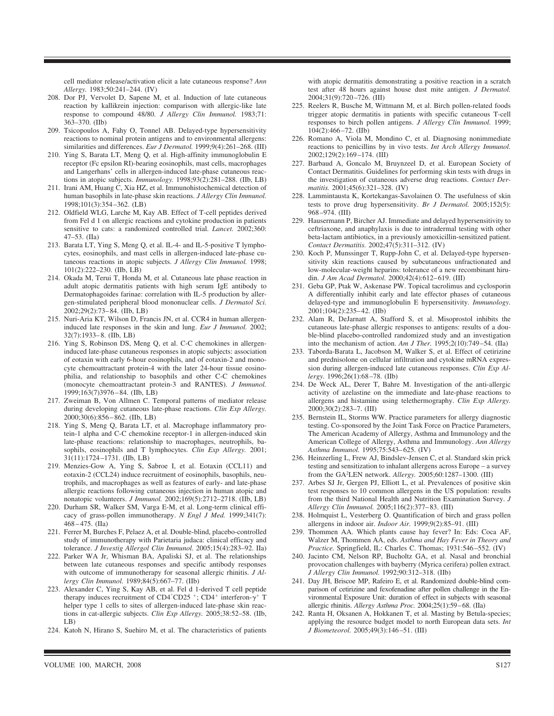cell mediator release/activation elicit a late cutaneous response? *Ann Allergy.* 1983;50:241–244. (IV)

- 208. Dor PJ, Vervolet D, Sapene M, et al. Induction of late cutaneous reaction by kallikrein injection: comparison with allergic-like late response to compound 48/80. *J Allergy Clin Immunol.* 1983;71: 363–370. (IIb)
- 209. Tsicopoulos A, Fahy O, Tonnel AB. Delayed-type hypersensitivity reactions to nominal protein antigens and to environmental allergens: similarities and differences. *Eur J Dermatol.* 1999;9(4):261–268. (III)
- 210. Ying S, Barata LT, Meng Q, et al. High-affinity immunoglobulin E receptor (Fc epsilon RI)-bearing eosinophils, mast cells, macrophages and Langerhans' cells in allergen-induced late-phase cutaneous reactions in atopic subjects. *Immunology.* 1998;93(2):281–288. (IIb, LB)
- 211. Irani AM, Huang C, Xia HZ, et al. Immunohistochemical detection of human basophils in late-phase skin reactions. *J Allergy Clin Immunol.* 1998;101(3):354 –362. (LB)
- 212. Oldfield WLG, Larche M, Kay AB. Effect of T-cell peptides derived from Fel d 1 on allergic reactions and cytokine production in patients sensitive to cats: a randomized controlled trial. *Lancet.* 2002;360: 47–53. (IIa)
- 213. Barata LT, Ying S, Meng Q, et al. IL-4- and IL-5-positive T lymphocytes, eosinophils, and mast cells in allergen-induced late-phase cutaneous reactions in atopic subjects. *J Allergy Clin Immunol.* 1998; 101(2):222–230. (IIb, LB)
- 214. Okada M, Terui T, Honda M, et al. Cutaneous late phase reaction in adult atopic dermatitis patients with high serum IgE antibody to Dermatophagoides farinae: correlation with IL-5 production by allergen-stimulated peripheral blood mononuclear cells. *J Dermatol Sci.* 2002;29(2):73– 84. (IIb, LB)
- 215. Nuri-Aria KT, Wilson D, Francis JN, et al. CCR4 in human allergeninduced late responses in the skin and lung. *Eur J Immunol.* 2002; 32(7):1933– 8. (IIb, LB)
- 216. Ying S, Robinson DS, Meng Q, et al. C-C chemokines in allergeninduced late-phase cutaneous responses in atopic subjects: association of eotaxin with early 6-hour eosinophils, and of eotaxin-2 and monocyte chemoattractant protein-4 with the later 24-hour tissue eosinophilia, and relationship to basophils and other C-C chemokines (monocyte chemoattractant protein-3 and RANTES). *J Immunol.* 1999;163(7)3976 – 84. (IIb, LB)
- 217. Zweiman B, Von Allmen C. Temporal patterns of mediator release during developing cutaneous late-phase reactions. *Clin Exp Allergy.* 2000;30(6):856 – 862. (IIb, LB)
- 218. Ying S, Meng Q, Barata LT, et al. Macrophage inflammatory protein-1 alpha and C-C chemokine receptor-1 in allergen-induced skin late-phase reactions: relationship to macrophages, neutrophils, basophils, eosinophils and T lymphocytes. *Clin Exp Allergy.* 2001; 31(11):1724 –1731. (IIb, LB)
- 219. Menzies-Gow A, Ying S, Sabroe I, et al. Eotaxin (CCL11) and eotaxin-2 (CCL24) induce recruitment of eosinophils, basophils, neutrophils, and macrophages as well as features of early- and late-phase allergic reactions following cutaneous injection in human atopic and nonatopic volunteers. *J Immunol.* 2002;169(5):2712–2718. (IIb, LB)
- 220. Durham SR, Walker SM, Varga E-M, et al. Long-term clinical efficacy of grass-pollen immunotherapy. *N Engl J Med.* 1999;341(7):  $468 - 475$ . (IIa)
- 221. Ferrer M, Burches F, Pelaez A, et al. Double-blind, placebo-controlled study of immunotherapy with Parietaria judaca: clinical efficacy and tolerance. *J Investig Allergol Clin Immunol.* 2005;15(4):283–92. IIa)
- 222. Parker WA Jr, Whisman BA, Apaliski SJ, et al. The relationships between late cutaneous responses and specific antibody responses with outcome of immunotherapy for seasonal allergic rhinitis. *J Allergy Clin Immunol.* 1989;84(5):667–77. (IIb)
- 223. Alexander C, Ying S, Kay AB, et al. Fel d 1-derived T cell peptide therapy induces recruitment of CD4<sup>+</sup>CD25<sup>+</sup>; CD4<sup>+</sup> interferon- $\gamma$ <sup>+</sup> T helper type 1 cells to sites of allergen-induced late-phase skin reactions in cat-allergic subjects. *Clin Exp Allergy.* 2005;38:52–58. (IIb, LB)
- 224. Katoh N, Hirano S, Suehiro M, et al. The characteristics of patients

with atopic dermatitis demonstrating a positive reaction in a scratch test after 48 hours against house dust mite antigen. *J Dermatol.* 2004;31(9):720 –726. (III)

- 225. Reelers R, Busche M, Wittmann M, et al. Birch pollen-related foods trigger atopic dermatitis in patients with specific cutaneous T-cell responses to birch pollen antigens. *J Allergy Clin Immunol.* 1999; 104(2):466 –72. (IIb)
- 226. Romano A, Viola M, Mondino C, et al. Diagnosing nonimmediate reactions to penicillins by in vivo tests. *Int Arch Allergy Immunol.* 2002;129(2):169 –174. (III)
- 227. Barbaud A, Goncalo M, Bruynzeel D, et al. European Society of Contact Dermatitis. Guidelines for performing skin tests with drugs in the investigation of cutaneous adverse drug reactions. *Contact Dermatitis.* 2001;45(6):321–328. (IV)
- 228. Lammintausta K, Kortekangas-Savolainen O. The usefulness of skin tests to prove drug hypersensitivity. *Br J Dermatol.* 2005;152(5): 968 –974. (III)
- 229. Hausermann P, Bircher AJ. Immediate and delayed hypersensitivity to ceftriaxone, and anaphylaxis is due to intradermal testing with other beta-lactam antibiotics, in a previously amoxicillin-sensitized patient. *Contact Dermatitis.* 2002;47(5):311–312. (IV)
- 230. Koch P, Munssinger T, Rupp-John C, et al. Delayed-type hypersensitivity skin reactions caused by subcutaneous unfractionated and low-molecular-weight heparins: tolerance of a new recombinant hirudin. *J Am Acad Dermatol.* 2000;42(4):612– 619. (III)
- 231. Geba GP, Ptak W, Askenase PW. Topical tacrolimus and cyclosporin A differentially inhibit early and late effector phases of cutaneous delayed-type and immunoglobulin E hypersensitivity. *Immunology.* 2001;104(2):235– 42. (IIb)
- 232. Alam R, DeJarnatt A, Stafford S, et al. Misoprostol inhibits the cutaneous late-phase allergic responses to antigens: results of a double-blind placebo-controlled randomized study and an investigation into the mechanism of action. *Am J Ther.* 1995;2(10):749 –54. (IIa)
- 233. Taborda-Barata L, Jacobson M, Walker S, et al. Effect of cetirizine and prednisolone on cellular infiltration and cytokine mRNA expression during allergen-induced late cutaneous responses. *Clin Exp Allergy.* 1996;26(1):68 –78. (IIb)
- 234. De Weck AL, Derer T, Bahre M. Investigation of the anti-allergic activity of azelastine on the immediate and late-phase reactions to allergens and histamine using telethermography. *Clin Exp Allergy.* 2000;30(2):283–7. (III)
- 235. Bernstein IL, Storms WW. Practice parameters for allergy diagnostic testing. Co-sponsored by the Joint Task Force on Practice Parameters, The American Academy of Allergy, Asthma and Immunology and the American College of Allergy, Asthma and Immunology. *Ann Allergy Asthma Immunol.* 1995;75:543– 625. (IV)
- 236. Heinzerling L, Frew AJ, Bindslev-Jensen C, et al. Standard skin prick testing and sensitization to inhalant allergens across Europe – a survey from the GA2 LEN network. *Allergy.* 2005;60:1287–1300. (III)
- 237. Arbes SJ Jr, Gergen PJ, Elliott L, et al. Prevalences of positive skin test responses to 10 common allergens in the US population: results from the third National Health and Nutrition Examination Survey. *J Allergy Clin Immunol.* 2005;116(2):377– 83. (III)
- 238. Holmquist L, Vesterberg O. Quantification of birch and grass pollen allergens in indoor air. *Indoor Air.* 1999;9(2):85–91. (III)
- 239. Thommen AA. Which plants cause hay fever? In: Eds: Coca AF, Walzer M, Thommen AA, eds. *Asthma and Hay Fever in Theory and Practice.* Springfield, IL: Charles C. Thomas; 1931:546 –552. (IV)
- 240. Jacinto CM, Nelson RP, Bucholtz GA, et al. Nasal and bronchial provocation challenges with bayberry (Myrica cerifera) pollen extract. *J Allergy Clin Immunol.* 1992;90:312–318. (IIb)
- 241. Day JH, Briscoe MP, Rafeiro E, et al. Randomized double-blind comparison of cetirizine and fexofenadine after pollen challenge in the Environmental Exposure Unit: duration of effect in subjects with seasonal allergic rhinitis. *Allergy Asthma Proc.* 2004;25(1):59 – 68. (IIa)
- 242. Ranta H, Oksanen A, Hokkanen T, et al. Masting by Betula-species; applying the resource budget model to north European data sets. *Int J Biometeorol.* 2005;49(3):146 –51. (III)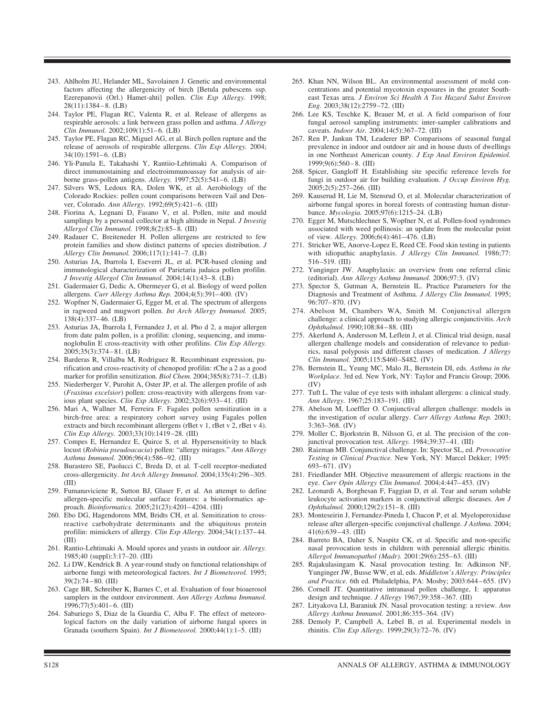- 243. Ahlholm JU, Helander ML, Savolainen J. Genetic and environmental factors affecting the allergenicity of birch [Betula pubescens ssp. Ezerepanovii (Orl.) Hamet-ahti] pollen. *Clin Exp Allergy.* 1998;  $28(11):1384-8.$  (LB)
- 244. Taylor PE, Flagan RC, Valenta R, et al. Release of allergens as respirable aerosols: a link between grass pollen and asthma. *J Allergy Clin Immunol.* 2002;109(1):51-6. (LB)
- 245. Taylor PE, Flagan RC, Miguel AG, et al. Birch pollen rupture and the release of aerosols of respirable allergens. *Clin Exp Allergy.* 2004; 34(10):1591-6. (LB)
- 246. Yli-Panula E, Takahashi Y, Rantiio-Lehtimaki A. Comparison of direct immunostaining and electroimmunoassay for analysis of airborne grass-pollen antigens. *Allergy*. 1997;52(5):541-6. (LB)
- 247. Silvers WS, Ledoux RA, Dolen WK, et al. Aerobiology of the Colorado Rockies: pollen count comparisons between Vail and Denver, Colorado. *Ann Allergy.* 1992;69(5):421– 6. (III)
- 248. Fiorina A, Legnani D, Fasano V, et al. Pollen, mite and mould samplings by a personal collector at high altitude in Nepal. *J Investig Allergol Clin Immunol.* 1998;8(2):85– 8. (III)
- 249. Radauer C, Breiteneder H. Pollen allergens are restricted to few protein families and show distinct patterns of species distribution. *J Allergy Clin Immunol.* 2006;117(1):141–7. (LB)
- 250. Asturias JA, Ibarrola I, Eseverri JL, et al. PCR-based cloning and immunological characterization of Parietaria judaica pollen profilin. *J Investig Allergol Clin Immunol.* 2004;14(1):43– 8. (LB)
- 251. Gadermaier G, Dedic A, Obermeyer G, et al. Biology of weed pollen allergens. *Curr Allergy Asthma Rep.* 2004;4(5):391– 400. (IV)
- 252. Wopfner N, Gadermaier G, Egger M, et al. The spectrum of allergens in ragweed and mugwort pollen. *Int Arch Allergy Immunol.* 2005; 138(4):337– 46. (LB)
- 253. Asturias JA, Ibarrola I, Fernandez J, et al. Pho d 2, a major allergen from date palm pollen, is a profilin: cloning, sequencing, and immunoglobulin E cross-reactivity with other profilins. *Clin Exp Allergy.* 2005;35(3):374 – 81. (LB)
- 254. Barderas R, Villalba M, Rodriguez R. Recombinant expression, purification and cross-reactivity of chenopod profilin: rChe a 2 as a good marker for profilin sensitization. *Biol Chem.* 2004;385(8):731–7. (LB)
- 255. Niederberger V, Purohit A, Oster JP, et al. The allergen profile of ash (*Fraxinus excelsior*) pollen: cross-reactivity with allergens from various plant species. *Clin Exp Allergy*. 2002;32(6):933-41. (III)
- 256. Mari A, Wallner M, Ferreira F. Fagales pollen sensitization in a birch-free area: a respiratory cohort survey using Fagales pollen extracts and birch recombinant allergens (rBet v 1, rBet v 2, rBet v 4). *Clin Exp Allergy.* 2003;33(10):1419 –28. (III)
- 257. Compes E, Hernandez E, Quirce S, et al. Hypersensitivity to black locust (*Robinia pseudoacacia*) pollen: "allergy mirages." *Ann Allergy Asthma Immunol.* 2006;96(4):586 –92. (III)
- 258. Burastero SE, Paolucci C, Breda D, et al. T-cell receptor-mediated cross-allergenicity. *Int Arch Allergy Immunol.* 2004;135(4):296 –305. (III)
- 259. Fumanaviciene R, Sutton BJ, Glaser F, et al. An attempt to define allergen-specific molecular surface features: a bioinformatics approach. *Bioinformatics.* 2005;21(23):4201– 4204. (III)
- 260. Ebo DG, Hagendorens MM, Bridts CH, et al. Sensitization to crossreactive carbohydrate determinants and the ubiquitous protein profilin: mimickers of allergy. *Clin Exp Allergy.* 2004;34(1):137– 44. (III)
- 261. Rantio-Lehtimaki A. Mould spores and yeasts in outdoor air. *Allergy.* 1985;40 (suppl):3:17–20. (III)
- 262. Li DW, Kendrick B. A year-round study on functional relationships of airborne fungi with meteorological factors. *Int J Biometeorol.* 1995; 39(2):74 – 80. (III)
- 263. Cage BR, Schreiber K, Barnes C, et al. Evaluation of four bioaerosol samplers in the outdoor environment. *Ann Allergy Asthma Immunol.* 1996;77(5):401– 6. (III)
- 264. Sabariego S, Diaz de la Guardia C, Alba F. The effect of meteorological factors on the daily variation of airborne fungal spores in Granada (southern Spain). *Int J Biometeorol.* 2000;44(1):1–5. (III)
- 265. Khan NN, Wilson BL. An environmental assessment of mold concentrations and potential mycotoxin exposures in the greater Southeast Texas area. *J Environ Sci Health A Tox Hazard Subst Environ Eng.* 2003;38(12):2759 –72. (III)
- 266. Lee KS, Teschke K, Brauer M, et al. A field comparison of four fungal aerosol sampling instruments: inter-sampler calibrations and caveats. *Indoor Air.* 2004;14(5):367–72. (III)
- 267. Ren P, Jankun TM, Leaderer BP. Comparisons of seasonal fungal prevalence in indoor and outdoor air and in house dusts of dwellings in one Northeast American county. *J Exp Anal Environ Epidemiol.*  $1999:9(6):560 - 8$ . (III)
- 268. Spicer, Gangloff H. Establishing site specific reference levels for fungi in outdoor air for building evaluation. *J Occup Environ Hyg.* 2005;2(5):257–266. (III)
- 269. Kauserud H, Lie M, Stensrud O, et al. Molecular characterization of airborne fungal spores in boreal forests of contrasting human disturbance. *Mycologia.* 2005;97(6):1215–24. (LB)
- 270. Egger M, Mutschlechner S, Wopfner N, et al. Pollen-food syndromes associated with weed pollinosis: an update from the molecular point of view. *Allergy.* 2006;6(4):461– 476. (LB)
- 271. Stricker WE, Anorve-Lopez E, Reed CE. Food skin testing in patients with idiopathic anaphylaxis. *J Allergy Clin Immunol.* 1986;77: 516 –519. (III)
- 272. Yunginger JW. Anaphylaxis: an overview from one referral clinic (editorial). *Ann Allergy Asthma Immunol.* 2006;97:3. (IV)
- 273. Spector S, Gutman A, Bernstein IL. Practice Parameters for the Diagnosis and Treatment of Asthma. *J Allergy Clin Immunol.* 1995; 96:707– 870. (IV)
- 274. Abelson M, Chambers WA, Smith M. Conjunctival allergen challenge: a clinical approach to studying allergic conjunctivitis. *Arch Ophthalmol.* 1990;108:84 – 88. (III)
- 275. Akerlund A, Andersson M, Leflein J, et al. Clinical trial design, nasal allergen challenge models and consideration of relevance to pediatrics, nasal polyposis and different classes of medication. *J Allergy Clin Immunol.* 2005;115:S460 –S482. (IV)
- 276. Bernstein IL, Yeung MC, Malo JL, Bernstein DI, eds. *Asthma in the Workplace*. 3rd ed. New York, NY: Taylor and Francis Group; 2006. (IV)
- 277. Tuft L. The value of eye tests with inhalant allergens: a clinical study. *Ann Allergy.* 1967;25:183–191. (III)
- 278. Abelson M, Loeffler O. Conjunctival allergen challenge: models in the investigation of ocular allergy. *Curr Allergy Asthma Rep.* 2003; 3:363–368. (IV)
- 279. Moller C, Bjorkstein B, Nilsson G, et al. The precision of the conjunctival provocation test. *Allergy*. 1984;39:37-41. (III)
- 280. Raizman MB. Conjunctival challenge. In: Spector SL, ed. *Provocative Testing in Clinical Practice.* New York, NY: Marcel Dekker; 1995: 693– 671. (IV)
- 281. Friedlander MH. Objective measurement of allergic reactions in the eye. *Curr Opin Allergy Clin Immunol.* 2004;4:447– 453. (IV)
- 282. Leonardi A, Borghesan F, Faggian D, et al. Tear and serum soluble leukocyte activation markers in conjunctival allergic diseases. *Am J Ophthalmol.* 2000;129(2):151– 8. (III)
- 283. Monteseirin J, Fernandez-Pineda I, Chacon P, et al. Myeloperoxidase release after allergen-specific conjunctival challenge. *J Asthma.* 2004;  $41(6):639-43.$  (III)
- 284. Barreto BA, Daher S, Naspitz CK, et al. Specific and non-specific nasal provocation tests in children with perennial allergic rhinitis. *Allergol Immunopathol (Madr).* 2001:29(6):255– 63. (III)
- 285. Rajakulasingam K. Nasal provocation testing. In: Adkinson NF, Yunginger JW, Busse WW, et al, eds. *Middleton's Allergy: Principles and Practice.* 6th ed. Philadelphia, PA: Mosby; 2003:644 – 655. (IV)
- 286. Cornell JT. Quantitative intranasal pollen challenge, I: apparatus design and technique. *J Allergy* 1967;39:358 –367. (III)
- 287. Lityakova LI, Baraniuk JN. Nasal provocation testing: a review. *Ann Allergy Asthma Immunol.* 2001;86:355–364. (IV)
- 288. Demoly P, Campbell A, Lebel B, et al. Experimental models in rhinitis. *Clin Exp Allergy.* 1999;29(3):72–76. (IV)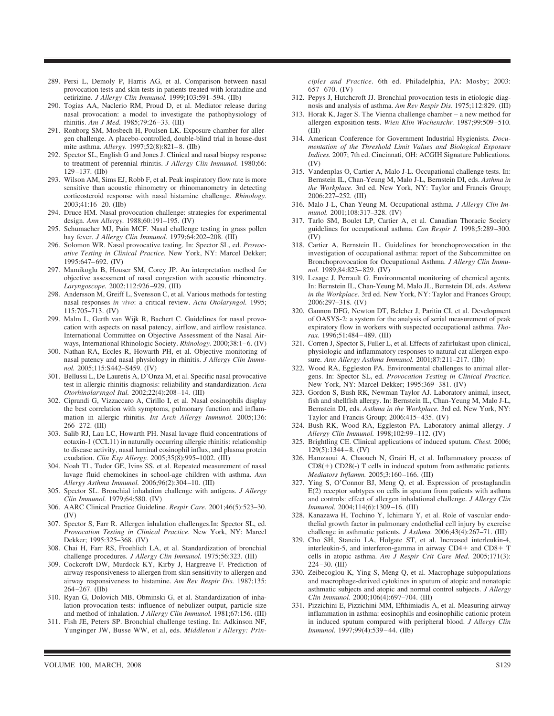- 289. Persi L, Demoly P, Harris AG, et al. Comparison between nasal provocation tests and skin tests in patients treated with loratadine and cetirizine. *J Allergy Clin Immunol.* 1999;103:591–594. (IIb)
- 290. Togias AA, Naclerio RM, Proud D, et al. Mediator release during nasal provocation: a model to investigate the pathophysiology of rhinitis. *Am J Med.* 1985;79:26 –33. (III)
- 291. Ronborg SM, Mosbech H, Poulsen LK. Exposure chamber for allergen challenge. A placebo-controlled, double-blind trial in house-dust mite asthma. *Allergy.* 1997;52(8):821– 8. (IIb)
- 292. Spector SL, English G and Jones J. Clinical and nasal biopsy response to treatment of perennial rhinitis. *J Allergy Clin Immunol.* 1980;66: 129 –137. (IIb)
- 293. Wilson AM, Sims EJ, Robb F, et al. Peak inspiratory flow rate is more sensitive than acoustic rhinometry or rhinomanometry in detecting corticosteroid response with nasal histamine challenge. *Rhinology.* 2003;41:16 –20. (IIb)
- 294. Druce HM. Nasal provocation challenge: strategies for experimental design. *Ann Allergy.* 1988;60:191–195. (IV)
- 295. Schumacher MJ, Pain MCF. Nasal challenge testing in grass pollen hay fever. *J Allergy Clin Immunol.* 1979;64:202–208. (III)
- 296. Solomon WR. Nasal provocative testing. In: Spector SL, ed. *Provocative Testing in Clinical Practice.* New York, NY: Marcel Dekker; 1995:647– 692. (IV)
- 297. Mamikoglu B, Houser SM, Corey JP. An interpretation method for objective assessment of nasal congestion with acoustic rhinometry. *Laryngoscope.* 2002;112:926 –929. (III)
- 298. Andersson M, Greiff L, Svensson C, et al. Various methods for testing nasal responses *in vivo*: a critical review. *Acta Otolaryngol.* 1995; 115:705–713. (IV)
- 299. Malm L, Gerth van Wijk R, Bachert C. Guidelines for nasal provocation with aspects on nasal patency, airflow, and airflow resistance. International Committee on Objective Assessment of the Nasal Airways, International Rhinologic Society. *Rhinology.* 2000;38:1– 6. (IV)
- 300. Nathan RA, Eccles R, Howarth PH, et al. Objective monitoring of nasal patency and nasal physiology in rhinitis. *J Allergy Clin Immunol.* 2005;115:S442–S459. (IV)
- 301. Bellussi L, De Lauretis A, D'Onza M, et al. Specific nasal provocative test in allergic rhinitis diagnosis: reliability and standardization. *Acta Otorhinolaryngol Ital.* 2002;22(4):208 –14. (III)
- 302. Ciprandi G, Vizzaccaro A, Cirillo I, et al. Nasal eosinophils display the best correlation with symptoms, pulmonary function and inflammation in allergic rhinitis. *Int Arch Allergy Immunol.* 2005;136: 266 –272. (III)
- 303. Salib RJ, Lau LC, Howarth PH. Nasal lavage fluid concentrations of eotaxin-1 (CCL11) in naturally occurring allergic rhinitis: relationship to disease activity, nasal luminal eosinophil influx, and plasma protein exudation. *Clin Exp Allergy.* 2005;35(8):995–1002. (III)
- 304. Noah TL, Tudor GE, Ivins SS, et al. Repeated measurement of nasal lavage fluid chemokines in school-age children with asthma. *Ann Allergy Asthma Immunol.* 2006;96(2):304 –10. (III)
- 305. Spector SL. Bronchial inhalation challenge with antigens. *J Allergy Clin Immunol.* 1979;64:580. (IV)
- 306. AARC Clinical Practice Guideline. *Respir Care.* 2001;46(5):523–30. (IV)
- 307. Spector S, Farr R. Allergen inhalation challenges.In: Spector SL, ed. *Provocation Testing in Clinical Practice*. New York, NY: Marcel Dekker; 1995:325–368. (IV)
- 308. Chai H, Farr RS, Froehlich LA, et al. Standardization of bronchial challenge procedures. *J Allergy Clin Immunol.* 1975;56:323. (III)
- 309. Cockcroft DW, Murdock KY, Kirby J, Hargreave F. Prediction of airway responsiveness to allergen from skin sensitivity to allergen and airway responsiveness to histamine. *Am Rev Respir Dis.* 1987;135: 264 –267. (IIb)
- 310. Ryan G, Dolovich MB, Obminski G, et al. Standardization of inhalation provocation tests: influence of nebulizer output, particle size and method of inhalation. *J Allergy Clin Immunol.* 1981;67:156. (III)
- 311. Fish JE, Peters SP. Bronchial challenge testing. In: Adkinson NF, Yunginger JW, Busse WW, et al, eds. *Middleton's Allergy: Prin-*

*ciples and Practice.* 6th ed. Philadelphia, PA: Mosby; 2003:  $657-670.$  (IV)

- 312. Pepys J, Hutchcroft JJ. Bronchial provocation tests in etiologic diagnosis and analysis of asthma. *Am Rev Respir Dis.* 1975;112:829. (III)
- 313. Horak K, Jager S. The Vienna challenge chamber a new method for allergen exposition tests. *Wien Klin Wochenschr.* 1987;99:509 –510. (III)
- 314. American Conference for Government Industrial Hygienists. *Documentation of the Threshold Limit Values and Biological Exposure Indices.* 2007; 7th ed. Cincinnati, OH: ACGIH Signature Publications. (IV)
- 315. Vandenplas O, Cartier A, Malo J-L. Occupational challenge tests. In: Bernstein IL, Chan-Yeung M, Malo J-L, Bernstein DI, eds. *Asthma in the Workplace.* 3rd ed. New York, NY: Taylor and Francis Group; 2006:227–252. (III)
- 316. Malo J-L, Chan-Yeung M. Occupational asthma. *J Allergy Clin Immunol.* 2001;108:317–328. (IV)
- 317. Tarlo SM, Boulet LP, Cartier A, et al. Canadian Thoracic Society guidelines for occupational asthma. *Can Respir J.* 1998;5:289 –300.  $(TV)$
- 318. Cartier A, Bernstein IL. Guidelines for bronchoprovocation in the investigation of occupational asthma: report of the Subcommittee on Bronchoprovocation for Occupational Asthma. *J Allergy Clin Immunol.* 1989;84:823– 829. (IV)
- 319. Lesage J, Perrault G. Environmental monitoring of chemical agents. In: Bernstein IL, Chan-Yeung M, Malo JL, Bernstein DI, eds. *Asthma in the Workplace.* 3rd ed. New York, NY: Taylor and Frances Group; 2006:297–318. (IV)
- 320. Gannon DFG, Newton DT, Belcher J, Paritin CI, et al. Development of OASYS-2: a system for the analysis of serial measurement of peak expiratory flow in workers with suspected occupational asthma. *Thorax.* 1996;51:484 – 489. (III)
- 321. Corren J, Spector S, Fuller L, et al. Effects of zafirlukast upon clinical, physiologic and inflammatory responses to natural cat allergen exposure. *Ann Allergy Asthma Immunol.* 2001;87:211–217. (IIb)
- 322. Wood RA, Eggleston PA. Environmental challenges to animal allergens. In: Spector SL, ed. *Provocation Testing in Clinical Practice*. New York, NY: Marcel Dekker; 1995:369 –381. (IV)
- 323. Gordon S, Bush RK, Newman Taylor AJ. Laboratory animal, insect, fish and shellfish allergy. In: Bernstein IL, Chan-Yeung M, Malo J-L, Bernstein DI, eds. *Asthma in the Workplace.* 3rd ed. New York, NY: Taylor and Francis Group; 2006:415– 435. (IV)
- 324. Bush RK, Wood RA, Eggleston PA. Laboratory animal allergy. *J Allergy Clin Immunol.* 1998;102:99 –112. (IV)
- 325. Brightling CE. Clinical applications of induced sputum. *Chest.* 2006;  $129(5):1344 - 8.$  (IV)
- 326. Hamzaoui A, Chaouch N, Grairi H, et al. Inflammatory process of  $CD8(+)$  CD28(-) T cells in induced sputum from asthmatic patients. *Mediators Inflamm.* 2005;3:160 –166. (III)
- 327. Ying S, O'Connor BJ, Meng Q, et al. Expression of prostaglandin E(2) receptor subtypes on cells in sputum from patients with asthma and controls: effect of allergen inhalational challenge. *J Allergy Clin Immunol.* 2004;114(6):1309 –16. (III)
- 328. Kanazawa H, Tochino Y, Ichimaru Y, et al. Role of vascular endothelial growth factor in pulmonary endothelial cell injury by exercise challenge in asthmatic patients. *J Asthma.* 2006;43(4):267–71. (III)
- 329. Cho SH, Stanciu LA, Holgate ST, et al. Increased interleukin-4, interleukin-5, and interferon-gamma in airway  $CD4+$  and  $CD8+$  T cells in atopic asthma. *Am J Respir Crit Care Med.* 2005;171(3): 224 –30. (III)
- 330. Zeibecoglou K, Ying S, Meng Q, et al. Macrophage subpopulations and macrophage-derived cytokines in sputum of atopic and nonatopic asthmatic subjects and atopic and normal control subjects. *J Allergy Clin Immunol.* 2000;106(4):697–704. (III)
- 331. Pizzichini E, Pizzichini MM, Efthimiadis A, et al. Measuring airway inflammation in asthma: eosinophils and eosinophilic cationic protein in induced sputum compared with peripheral blood. *J Allergy Clin Immunol.* 1997;99(4):539-44. (IIb)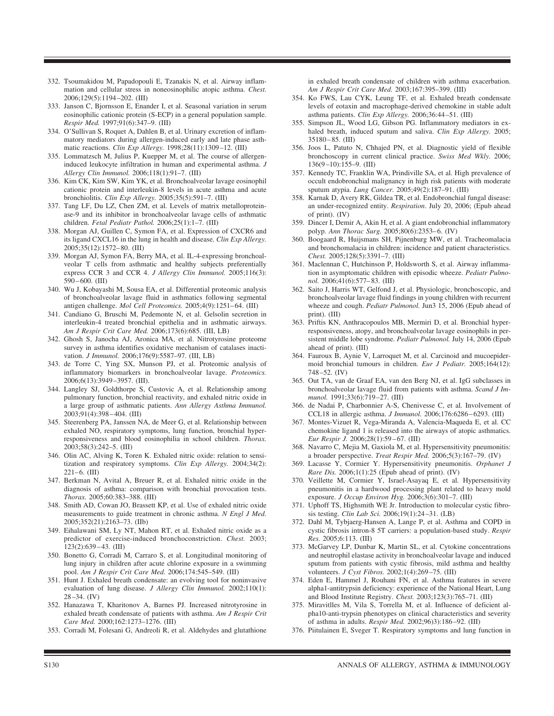- 332. Tsoumakidou M, Papadopouli E, Tzanakis N, et al. Airway inflammation and cellular stress in noneosinophilic atopic asthma. *Chest.* 2006;129(5):1194 –202. (III)
- 333. Janson C, Bjornsson E, Enander I, et al. Seasonal variation in serum eosinophilic cationic protein (S-ECP) in a general population sample. *Respir Med.* 1997;91(6):347–9. (III)
- 334. O'Sullivan S, Roquet A, Dahlen B, et al. Urinary excretion of inflammatory mediators during allergen-induced early and late phase asthmatic reactions. *Clin Exp Allergy.* 1998;28(11):1309 –12. (III)
- 335. Lommatzsch M, Julius P, Kuepper M, et al. The course of allergeninduced leukocyte infiltration in human and experimental asthma. *J Allergy Clin Immunol.* 2006;118(1):91–7. (III)
- 336. Kim CK, Kim SW, Kim YK, et al. Bronchoalveolar lavage eosinophil cationic protein and interleukin-8 levels in acute asthma and acute bronchiolitis. *Clin Exp Allergy.* 2005;35(5):591–7. (III)
- 337. Tang LF, Du LZ, Chen ZM, et al. Levels of matrix metalloproteinase-9 and its inhibitor in bronchoalveolar lavage cells of asthmatic children. *Fetal Pediatr Pathol.* 2006;25(1):1–7. (III)
- 338. Morgan AJ, Guillen C, Symon FA, et al. Expression of CXCR6 and its ligand CXCL16 in the lung in health and disease. *Clin Exp Allergy.* 2005;35(12):1572– 80. (III)
- 339. Morgan AJ, Symon FA, Berry MA, et al. IL-4-expressing bronchoalveolar T cells from asthmatic and healthy subjects preferentially express CCR 3 and CCR 4. *J Allergy Clin Immunol.* 2005;116(3): 590 – 600. (III)
- 340. Wu J, Kobayashi M, Sousa EA, et al. Differential proteomic analysis of bronchoalveolar lavage fluid in asthmatics following segmental antigen challenge. *Mol Cell Proteomics*. 2005;4(9):1251–64. (III)
- 341. Candiano G, Bruschi M, Pedemonte N, et al. Gelsolin secretion in interleukin-4 treated bronchial epithelia and in asthmatic airways. *Am J Respir Crit Care Med.* 2006;173(6):685. (III, LB)
- 342. Ghosh S, Janocha AJ, Aronica MA, et al. Nitrotyrosine proteome survey in asthma identifies oxidative mechanism of catalases inactivation. *J Immunol.* 2006;176(9):5587–97. (III, LB)
- 343. de Torre C, Ying SX, Munson PJ, et al. Proteomic analysis of inflammatory biomarkers in bronchoalveolar lavage. *Proteomics.* 2006;6(13):3949 –3957. (III).
- 344. Langley SJ, Goldthorpe S, Custovic A, et al. Relationship among pulmonary function, bronchial reactivity, and exhaled nitric oxide in a large group of asthmatic patients. *Ann Allergy Asthma Immunol.* 2003;91(4):398 – 404. (III)
- 345. Steerenberg PA, Janssen NA, de Meer G, et al. Relationship between exhaled NO, respiratory symptoms, lung function, bronchial hyperresponsiveness and blood eosinophilia in school children. *Thorax.* 2003;58(3):242–5. (III)
- 346. Olin AC, Alving K, Toren K. Exhaled nitric oxide: relation to sensitization and respiratory symptoms. *Clin Exp Allergy.* 2004;34(2):  $221-6.$  (III)
- 347. Berkman N, Avital A, Breuer R, et al. Exhaled nitric oxide in the diagnosis of asthma: comparison with bronchial provocation tests. *Thorax.* 2005;60:383–388. (III)
- 348. Smith AD, Cowan JO, Brassett KP, et al. Use of exhaled nitric oxide measurements to guide treatment in chronic asthma. *N Engl J Med.* 2005;352(21):2163–73. (IIb)
- 349. Eihalawani SM, Ly NT, Mahon RT, et al. Exhaled nitric oxide as a predictor of exercise-induced bronchoconstriction. *Chest.* 2003;  $123(2):639-43.$  (III)
- 350. Bonetto G, Corradi M, Carraro S, et al. Longitudinal monitoring of lung injury in children after acute chlorine exposure in a swimming pool. *Am J Respir Crit Care Med.* 2006;174:545–549. (III)
- 351. Hunt J. Exhaled breath condensate: an evolving tool for noninvasive evaluation of lung disease. *J Allergy Clin Immunol.* 2002;110(1): 28 –34. (IV)
- 352. Hanazawa T, Kharitonov A, Barnes PJ. Increased nitrotyrosine in exhaled breath condensate of patients with asthma. *Am J Respir Crit Care Med.* 2000;162:1273–1276. (III)
- 353. Corradi M, Folesani G, Andreoli R, et al. Aldehydes and glutathione

in exhaled breath condensate of children with asthma exacerbation. *Am J Respir Crit Care Med.* 2003;167:395–399. (III)

- 354. Ko FWS, Lau CYK, Leung TF, et al. Exhaled breath condensate levels of eotaxin and macrophage-derived chemokine in stable adult asthma patients. *Clin Exp Allergy.* 2006;36:44 –51. (III)
- 355. Simpson JL, Wood LG, Gibson PG. Inflammatory mediators in exhaled breath, induced sputum and saliva. *Clin Exp Allergy.* 2005;  $35180 - 85.$  (III)
- 356. Joos L, Patuto N, Chhajed PN, et al. Diagnostic yield of flexible bronchoscopy in current clinical practice. *Swiss Med Wkly.* 2006; 136(9 –10):155–9. (III)
- 357. Kennedy TC, Franklin WA, Prindiville SA, et al. High prevalence of occult endobronchial malignancy in high risk patients with moderate sputum atypia. *Lung Cancer.* 2005;49(2):187–91. (III)
- 358. Karnak D, Avery RK, Gildea TR, et al. Endobronchial fungal disease: an under-recognized entity. *Respiration*. July 20, 2006; (Epub ahead of print). (IV)
- 359. Dincer I, Demir A, Akin H, et al. A giant endobronchial inflammatory polyp. *Ann Thorac Surg.* 2005;80(6):2353-6. (IV)
- 360. Boogaard R, Huijsmans SH, Pijnenburg MW, et al. Tracheomalacia and bronchomalacia in children: incidence and patient characteristics. *Chest.* 2005;128(5):3391–7. (III)
- 361. Maclennan C, Hutchinson P, Holdsworth S, et al. Airway inflammation in asymptomatic children with episodic wheeze. *Pediatr Pulmonol.* 2006;41(6):577– 83. (III)
- 362. Saito J, Harris WT, Gelfond J, et al. Physiologic, bronchoscopic, and bronchoalveolar lavage fluid findings in young children with recurrent wheeze and cough. *Pediatr Pulmonol.* Jun3 15, 2006 (Epub ahead of print). (III)
- 363. Priftis KN, Anthracopoulos MB, Mermiri D, et al. Bronchial hyperresponsiveness, atopy, and bronchoalveolar lavage eosinophils in persistent middle lobe syndrome. *Pediatr Pulmonol.* July 14, 2006 (Epub ahead of print). (III)
- 364. Fauroux B, Aynie V, Larroquet M, et al. Carcinoid and mucoepidermoid bronchial tumours in children. *Eur J Pediatr.* 2005;164(12): 748 –52. (IV)
- 365. Out TA, van de Graaf EA, van den Berg NJ, et al. IgG subclasses in bronchoalveolar lavage fluid from patients with asthma. *Scand J Immunol.* 1991;33(6):719 –27. (III)
- 366. de Nadai P, Charbonnier A-S, Chenivesse C, et al. Involvement of CCL18 in allergic asthma. *J Immunol.* 2006;176:6286 – 6293. (III)
- 367. Montes-Vizuet R, Vega-Miranda A, Valencia-Maqueda E, et al. CC chemokine ligand 1 is released into the airways of atopic asthmatics. *Eur Respir J.* 2006;28(1):59-67. (III)
- 368. Navarro C, Mejia M, Gaxiola M, et al. Hypersensitivity pneumonitis: a broader perspective. *Treat Respir Med.* 2006;5(3):167–79. (IV)
- 369. Lacasse Y, Cormier Y. Hypersensitivity pneumonitis. *Orphanet J Rare Dis.* 2006;1(1):25 (Epub ahead of print). (IV)
- 370. Veillette M, Cormier Y, Israel-Asayaq E, et al. Hypersensitivity pneumonitis in a hardwood processing plant related to heavy mold exposure. *J Occup Environ Hyg.* 2006;3(6):301–7. (III)
- 371. Uphoff TS, Highsmith WE Jr. Introduction to molecular cystic fibrosis testing. *Clin Lab Sci.* 2006;19(1):24 –31. (LB)
- 372. Dahl M, Tybjaerg-Hansen A, Lange P, et al. Asthma and COPD in cystic fibrosis intron-8 5T carriers: a population-based study. *Respir Res.* 2005;6:113. (III)
- 373. McGarvey LP, Dunbar K, Martin SL, et al. Cytokine concentrations and neutrophil elastase activity in bronchoalveolar lavage and induced sputum from patients with cystic fibrosis, mild asthma and healthy volunteers. *J Cyst Fibros.* 2002;1(4):269 –75. (III)
- 374. Eden E, Hammel J, Rouhani FN, et al. Asthma features in severe alpha1-antitrypsin deficiency: experience of the National Heart, Lung and Blood Institute Registry. *Chest.* 2003;123(3):765–71. (III)
- 375. Miravitlles M, Vila S, Torrella M, et al. Influence of deficient alpha10-anti-trypsin phenotypes on clinical characteristics and severity of asthma in adults. *Respir Med.* 2002;96)3):186 –92. (III)
- 376. Piitulainen E, Sveger T. Respiratory symptoms and lung function in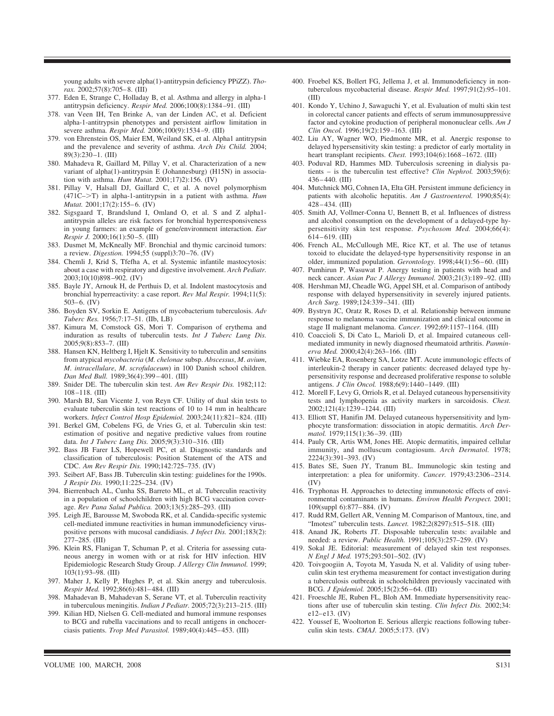young adults with severe alpha(1)-antitrypsin deficiency PPiZZ). *Thorax.* 2002;57(8):705– 8. (III)

- 377. Eden E, Strange C, Holladay B, et al. Asthma and allergy in alpha-1 antitrypsin deficiency. *Respir Med.* 2006;100(8):1384 –91. (III)
- 378. van Veen IH, Ten Brinke A, van der Linden AC, et al. Deficient alpha-1-antitrypsin phenotypes and persistent airflow limitation in severe asthma. *Respir Med.* 2006;100(9):1534 –9. (III)
- 379. von Ehrenstein OS, Maier EM, Weiland SK, et al. Alpha1 antitrypsin and the prevalence and severity of asthma. *Arch Dis Child.* 2004; 89(3):230 –1. (III)
- 380. Mahadeva R, Gaillard M, Pillay V, et al. Characterization of a new variant of alpha(1)-antitrypsin E (Johannesburg) (H15N) in association with asthma. *Hum Mutat.* 2001;17)2):156. (IV)
- 381. Pillay V, Halsall DJ, Gaillard C, et al. A novel polymorphism (471C–T) in alpha-1-antitrypsin in a patient with asthma. *Hum Mutat.* 2001;17(2):155-6. (IV)
- 382. Sigsgaard T, Brandslund I, Omland O, et al. S and Z alpha1 antitrypsin alleles are risk factors for bronchial hyperresponsiveness in young farmers: an example of gene/environment interaction. *Eur Respir J.* 2000;16(1):50 –5. (III)
- 383. Dusmet M, McKneally MF. Bronchial and thymic carcinoid tumors: a review. *Digestion.* 1994;55 (suppl)3:70 –76. (IV)
- 384. Chemli J, Krid S, Tfefha A, et al. Systemic infantile mastocytosis: about a case with respiratory and digestive involvement. *Arch Pediatr.* 2003;10(10)898 –902. (IV)
- 385. Bayle JY, Arnouk H, de Perthuis D, et al. Indolent mastocytosis and bronchial hyperreactivity: a case report. *Rev Mal Respir.* 1994;11(5):  $503-6.$  (IV)
- 386. Boyden SV, Sorkin E. Antigens of mycobacterium tuberculosis. *Adv Tuberc Res.* 1956;7:17–51. (IIb, LB)
- 387. Kimura M, Comstock GS, Mori T. Comparison of erythema and induration as results of tuberculin tests. *Int J Tuberc Lung Dis.* 2005;9(8):853–7. (III)
- 388. Hansen KN, Heltberg I, Hjelt K. Sensitivity to tuberculin and sensitins from atypical *mycobacteria* (*M. chelonae* subsp. *Abscessus*, *M*. *avium*, *M*. *intracellulare*, *M*. *scrofulaceum*) in 100 Danish school children. *Dan Med Bull.* 1989;36(4):399 – 401. (III)
- 389. Snider DE. The tuberculin skin test. *Am Rev Respir Dis.* 1982;112: 108 –118. (III)
- 390. Marsh BJ, San Vicente J, von Reyn CF. Utility of dual skin tests to evaluate tuberculin skin test reactions of 10 to 14 mm in healthcare workers. *Infect Control Hosp Epidemiol*. 2003;24(11):821-824. (III)
- 391. Berkel GM, Cobelens FG, de Vries G, et al. Tuberculin skin test: estimation of positive and negative predictive values from routine data. *Int J Tuberc Lung Dis.* 2005;9(3):310 –316. (III)
- 392. Bass JB Farer LS, Hopewell PC, et al. Diagnostic standards and classification of tuberculosis: Position Statement of the ATS and CDC. *Am Rev Respir Dis.* 1990;142:725–735. (IV)
- 393. Seibert AF, Bass JB. Tuberculin skin testing: guidelines for the 1990s. *J Respir Dis.* 1990;11:225–234. (IV)
- 394. Bierrenbach AL, Cunha SS, Barreto ML, et al. Tuberculin reactivity in a population of schoolchildren with high BCG vaccination coverage. *Rev Pana Salud Publica.* 2003;13(5):285–293. (III)
- 395. Leigh JE, Barousse M, Swoboda RK, et al. Candida-specific systemic cell-mediated immune reactivities in human immunodeficiency viruspositive persons with mucosal candidiasis. *J Infect Dis.* 2001;183(2): 277–285. (III)
- 396. Klein RS, Flanigan T, Schuman P, et al. Criteria for assessing cutaneous anergy in women with or at risk for HIV infection. HIV Epidemiologic Research Study Group. *J Allergy Clin Immunol.* 1999; 103(1):93–98. (III)
- 397. Maher J, Kelly P, Hughes P, et al. Skin anergy and tuberculosis. *Respir Med.* 1992;86(6):481– 484. (III)
- 398. Mahadevan B, Mahadevan S, Serane VT, et al. Tuberculin reactivity in tuberculous meningitis. *Indian J Pediatr.* 2005;72(3):213–215. (III)
- 399. Kilian HD, Nielsen G. Cell-mediated and humoral immune responses to BCG and rubella vaccinations and to recall antigens in onchocerciasis patients. *Trop Med Parasitol.* 1989;40(4):445– 453. (III)
- 400. Froebel KS, Bollert FG, Jellema J, et al. Immunodeficiency in nontuberculous mycobacterial disease. *Respir Med.* 1997;91(2):95–101. (III)
- 401. Kondo Y, Uchino J, Sawaguchi Y, et al. Evaluation of multi skin test in colorectal cancer patients and effects of serum immunosuppressive factor and cytokine production of peripheral mononuclear cells. *Am J Clin Oncol.* 1996;19(2):159 –163. (III)
- 402. Liu AY, Wagner WO, Piedmonte MR, et al. Anergic response to delayed hypersensitivity skin testing: a predictor of early mortality in heart transplant recipients. *Chest.* 1993;104(6):1668 –1672. (III)
- 403. Poduval RD, Hammes MD. Tuberculosis screening in dialysis patients – is the tuberculin test effective? *Clin Nephrol.* 2003;59(6):  $436 - 440.$  (III)
- 404. Mutchnick MG, Cohnen IA, Elta GH. Persistent immune deficiency in patients with alcoholic hepatitis. *Am J Gastroenterol.* 1990;85(4): 428 – 434. (III)
- 405. Smith AJ, Vollmer-Conna U, Bennett B, et al. Influences of distress and alcohol consumption on the development of a delayed-type hypersensitivity skin test response. *Psychosom Med.* 2004;66(4):  $614 - 619$  (III)
- 406. French AL, McCullough ME, Rice KT, et al. The use of tetanus toxoid to elucidate the delayed-type hypersensitivity response in an older, immunized population. *Gerontology.* 1998;44(1):56 – 60. (III)
- 407. Pumhirun P, Wasuwat P. Anergy testing in patients with head and neck cancer. *Asian Pac J Allergy Immunol.* 2003;21(3):189 –92. (III)
- 408. Hershman MJ, Cheadle WG, Appel SH, et al. Comparison of antibody response with delayed hypersensitivity in severely injured patients. *Arch Surg.* 1989;124:339 –341. (III)
- 409. Bystryn JC, Oratz R, Roses D, et al. Relationship between immune response to melanoma vaccine immunization and clinical outcome in stage II malignant melanoma. *Cancer.* 1992;69:1157–1164. (III)
- 410. Coaccioli S, Di Cato L, Marioli D, et al. Impaired cutaneous cellmediated immunity in newly diagnosed rheumatoid arthritis. *Panminerva Med.* 2000;42(4):263–166. (III)
- 411. Wiebke EA, Rosenberg SA, Lotze MT. Acute immunologic effects of interleukin-2 therapy in cancer patients: decreased delayed type hypersensitivity response and decreased proliferative response to soluble antigens. *J Clin Oncol.* 1988;6(9):1440 –1449. (III)
- 412. Morell F, Levy G, Orriols R, et al. Delayed cutaneous hypersensitivity tests and lymphopenia as activity markers in sarcoidosis. *Chest.* 2002;121(4):1239 –1244. (III)
- 413. Elliott ST, Hanifin JM. Delayed cutaneous hypersensitivity and lymphocyte transformation: dissociation in atopic dermatitis. *Arch Dermatol.* 1979;115(1):36 –39. (III)
- 414. Pauly CR, Artis WM, Jones HE. Atopic dermatitis, impaired cellular immunity, and molluscum contagiosum. *Arch Dermatol.* 1978; 2224(3):391–393. (IV)
- 415. Bates SE, Suen JY, Tranum BL. Immunologic skin testing and interpretation: a plea for uniformity. *Cancer.* 1979;43:2306 –2314. (IV)
- 416. Tryphonas H. Approaches to detecting immunotoxic effects of environmental contaminants in humans. *Environ Health Perspect.* 2001; 109(suppl 6):877– 884. (IV)
- 417. Rudd RM, Gellert AR, Venning M. Comparison of Mantoux, tine, and "Imotest" tuberculin tests. *Lancet.* 1982;2(8297):515–518. (III)
- 418. Anand JK, Roberts JT. Disposable tuberculin tests: available and needed: a review. *Public Health.* 1991;105(3):257–259. (IV)
- 419. Sokal JE. Editorial: measurement of delayed skin test responses. *N Engl J Med.* 1975;293:501–502. (IV)
- 420. Toivgoogiin A, Toyota M, Yasuda N, et al. Validity of using tuberculin skin test erythema measurement for contact investigation during a tuberculosis outbreak in schoolchildren previously vaccinated with BCG. *J Epidemiol.* 2005;15(2):56 – 64. (III)
- 421. Froeschle JE, Ruben FL, Bloh AM. Immediate hypersensitivity reactions after use of tuberculin skin testing. *Clin Infect Dis.* 2002;34:  $e12-e13. (IV)$
- 422. Youssef E, Wooltorton E. Serious allergic reactions following tuberculin skin tests. *CMAJ.* 2005;5:173. (IV)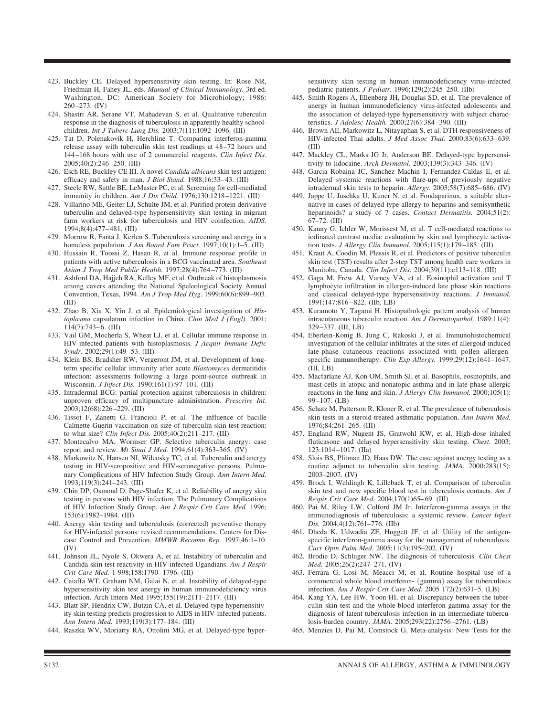- 423. Buckley CE. Delayed hypersensitivity skin testing. In: Rose NR, Friedman H, Fahey JL, eds. *Manual of Clinical Immunology.* 3rd ed. Washington, DC: American Society for Microbiology; 1986:  $260 - 273$ . (IV)
- 424. Shastri AR, Serane VT, Mahadevan S, et al. Qualitative tuberculin response in the diagnosis of tuberculosis in apparently healthy schoolchildren. *Int J Tuberc Lung Dis.* 2003;7(11):1092–1096. (III)
- 425. Tat D, Polenakovik H, Herchline T. Comparing interferon-gamma release assay with tuberculin skin test readings at 48 –72 hours and 144 –168 hours with use of 2 commercial reagents. *Clin Infect Dis.* 2005;40(2):246 –250. (III)
- 426. Esch RE, Buckley CE III. A novel *Candida albicans* skin test antigen: efficacy and safety in man. *J Biol Stand*. 1988;16:33-43. (III)
- 427. Steele RW, Suttle BE, LeMaster PC, et al. Screening for cell-mediated immunity in children. *Am J Dis Child.* 1976;130:1218 –1221. (III)
- 428. Villarino ME, Geiter LJ, Schulte JM, et al. Purified protein derivative tuberculin and delayed-type hypersensitivity skin testing in migrant farm workers at risk for tuberculosis and HIV coinfection. *AIDS.* 1994;8(4):477– 481. (III)
- 429. Morrow R, Fanta J, Kerlen S. Tuberculosis screening and anergy in a homeless population. *J Am Board Fam Pract.* 1997;10(1):1–5. (III)
- 430. Hussain R, Toossi Z, Hasan R, et al. Immune response profile in patients with active tuberculosis in a BCG vaccinated area. *Southeast Asian J Trop Med Public Health.* 1997;28(4):764 –773. (III)
- 431. Ashford DA, Hajjeh RA, Kelley MF, et al. Outbreak of histoplasmosis among cavers attending the National Speleological Society Annual Convention, Texas, 1994. *Am J Trop Med Hyg*. 1999;60(6):899 –903. (III)
- 432. Zhao B, Xia X, Yin J, et al. Epidemiological investigation of *Histoplasma* capsulatum infection in China. *Chin Med J (Engl).* 2001;  $114(7)$ :743–6. (III)
- 433. Vail GM, Mocherla S, Wheat LJ, et al. Cellular immune response in HIV-infected patients with histoplasmosis. *J Acquir Immune Defic Syndr.* 2002;29(1):49 –53. (III)
- 434. Klein BS, Bradsher RW, Vergeront JM, et al. Development of longterm specific cellular immunity after acute *Blastomyces* dermatitidis infection: assessments following a large point-source outbreak in Wisconsin. *J Infect Dis.* 1990;161(1):97–101. (III)
- 435. Intradermal BCG: partial protection against tuberculosis in children: unproven efficacy of multipuncture administration. *Prescrire Int.* 2003;12(68):226 –229. (III)
- 436. Tissot F, Zanetti G, Francioli P, et al. The influence of bacille Calmette-Guerin vaccination on size of tuberculin skin test reaction: to what size? *Clin Infect Dis.* 2005;40(2):211–217. (III)
- 437. Montecalvo MA, Wormser GP. Selective tuberculin anergy: case report and review. *Mt Sinai J Med.* 1994;61(4):363–365. (IV)
- 438. Markowitz N, Hansen NI, Wilcosky TC, et al. Tuberculin and anergy testing in HIV-seropositive and HIV-seronegative persons. Pulmonary Complications of HIV Infection Study Group. *Ann Intern Med.* 1993;119(3):241–243. (III)
- 439. Chin DP, Osmond D, Page-Shafer K, et al. Reliability of anergy skin testing in persons with HIV infection. The Pulmonary Complications of HIV Infection Study Group. *Am J Respir Crit Care Med.* 1996; 153(6):1982–1984. (III)
- 440. Anergy skin testing and tuberculosis (corrected) preventive therapy for HIV-infected persons: revised recommendations. Centers for Disease Control and Prevention. *MMWR Recomm Rep.* 1997;46:1–10. (IV)
- 441. Johnson JL, Nyole S, Okwera A, et al. Instability of tuberculin and Candida skin test reactivity in HIV-infected Ugandians. *Am J Respir Crit Care Med.* 1 998;158:1790 –1796. (III)
- 442. Caiaffa WT, Graham NM, Galai N, et al. Instability of delayed-type hypersensitivity skin test anergy in human immunodeficiency virus infection. Arch Intern Med 1995;155(19):2111–2117. (III)
- 443. Blatt SP, Hendrix CW, Butzin CA, et al. Delayed-type hypersensitivity skin testing predicts progression to AIDS in HIV-infected patients. *Ann Intern Med.* 1993;119(3):177–184. (III)
- 444. Raszka WV, Moriarty RA, Ottolini MG, et al. Delayed-type hyper-

sensitivity skin testing in human immunodeficiency virus-infected pediatric patients. *J Pediatr.* 1996;129(2):245–250. (IIb)

- 445. Smith Rogers A, Ellenberg JH, Douglas SD, et al. The prevalence of anergy in human immunodeficiency virus-infected adolescents and the association of delayed-type hypersensitivity with subject characteristics. *J Adolesc Health.* 2000;27(6):384 –390. (III)
- 446. Brown AE, Markowitz L, Nitayaphan S, et al. DTH responsiveness of HIV-infected Thai adults. *J Med Assoc Thai.* 2000;83(6):633– 639. (III)
- 447. Mackley CL, Marks JG Jr, Anderson BE. Delayed-type hypersensitivity to lidocaine. *Arch Dermatol.* 2003;139(3):343–346. (IV)
- 448. Garcia Robaina JC, Sanchez Machin I, Fernandez-Caldas E, et al. Delayed systemic reactions with flare-ups of previously negative intradermal skin tests to heparin. *Allergy.* 2003;58(7):685– 686. (IV)
- 449. Jappe U, Juschka U, Kuner N, et al. Fondaparinux, a suitable alternative in cases of delayed-type allergy to heparins and semisynthetic heparinoids? a study of 7 cases. *Contact Dermatitis.* 2004;51(2): 67–72. (III)
- 450. Kanny G, Ichler W, Morissest M, et al. T cell-mediated reactions to iodinated contrast media: evaluation by skin and lymphocyte activation tests. *J Allergy Clin Immunol.* 2005;115(1):179 –185. (III)
- 451. Kraut A, Coodin M, Plessis R, et al. Predictors of positive tuberculin skin test (TST) results after 2-step TST among health care workers in Manitoba, Canada. *Clin Infect Dis.* 2004;39(11):e113–118. (III)
- 452. Gaga M, Frew AJ, Varney VA, et al. Eosinophil activation and T lymphocyte infiltration in allergen-induced late phase skin reactions and classical delayed-type hypersensitivity reactions. *J Immunol.* 1991;147:816 – 822. (IIb, LB)
- 453. Kuramoto Y, Tagami H. Histopathologic pattern analysis of human intracutaneous tuberculin reaction. *Am J Dermatopathol.* 1989;11(4): 329 –337. (III, LB)
- 454. Eberlein-Konig B, Jung C, Rakoski J, et al. Immunohistochemical investigation of the cellular infiltrates at the sites of allergoid-induced late-phase cutaneous reactions associated with pollen allergenspecific immunotherapy. *Clin Exp Allergy.* 1999;29(12):1641–1647. (III, LB)
- 455. Macfarlane AJ, Kon OM, Smith SJ, et al. Basophils, eosinophils, and mast cells in atopic and nonatopic asthma and in late-phase allergic reactions in the lung and skin. *J Allergy Clin Immunol.* 2000;105(1): 99 –107. (LB)
- 456. Schatz M, Patterson R, Kloner R, et al. The prevalence of tuberculosis skin tests in a steroid-treated asthmatic population. *Ann Intern Med.* 1976;84:261–265. (III)
- 457. England RW, Nugent JS, Gratwohl KW, et al. High-dose inhaled fluticasone and delayed hypersensitivity skin testing. *Chest.* 2003; 123:1014 –1017. (IIa)
- 458. Slois BS, Plitman JD, Haas DW. The case against anergy testing as a routine adjunct to tuberculin skin testing. *JAMA.* 2000;283(15): 2003–2007. (IV)
- 459. Brock I, Weldingh K, Lillebaek T, et al. Comparison of tuberculin skin test and new specific blood test in tuberculosis contacts. *Am J Respir Crit Care Med.* 2004;170(1)65-69. (III)
- 460. Pai M, Riley LW, Colford JM Jr. Interferon-gamma assays in the immunodiagnosis of tuberculosis: a systemic review. *Lancet Infect Dis.* 2004;4(12):761–776. (IIb)
- 461. Dheda K, Udwadia ZF, Huggett JF, et al. Utility of the antigenspecific interferon-gamma assay for the management of tuberculosis. *Curr Opin Pulm Med.* 2005;11(3):195–202. (IV)
- 462. Brodie D, Schluger NW. The diagnosis of tuberculosis. *Clin Chest Med.* 2005;26(2):247–271. (IV)
- 463. Ferrara G, Losi M, Meacci M, et al. Routine hospital use of a commercial whole blood interferon- {gamma} assay for tuberculosis infection. *Am J Respir Crit Care Med.* 2005 172(2):631–5. (LB)
- 464. Kang YA, Lee HW, Yoon HI, et al. Discrepancy between the tuberculin skin test and the whole-blood interferon gamma assay for the diagnosis of latent tuberculosis infection in an intermediate tuberculosis-burden country. *JAMA.* 2005;293(22):2756 –2761. (LB)
- 465. Menzies D, Pai M, Comstock G. Meta-analysis: New Tests for the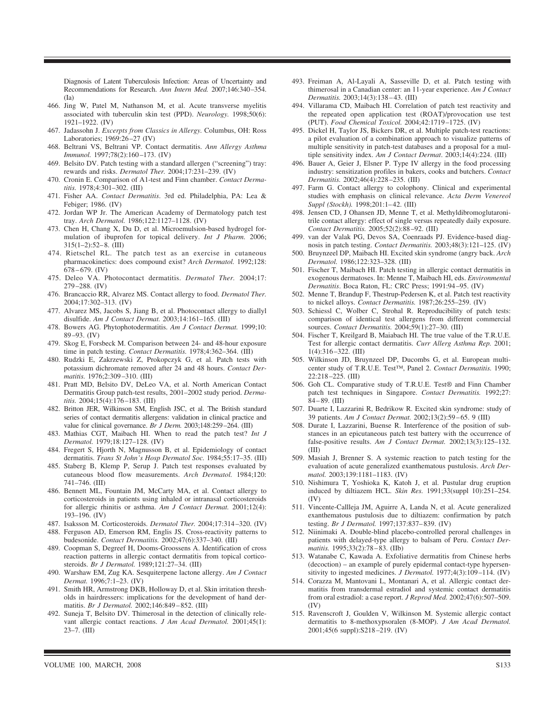Diagnosis of Latent Tuberculosis Infection: Areas of Uncertainty and Recommendations for Research. *Ann Intern Med.* 2007;146:340 –354. (Ia)

- 466. Jing W, Patel M, Nathanson M, et al. Acute transverse myelitis associated with tuberculin skin test (PPD). *Neurology.* 1998;50(6): 1921–1922. (IV)
- 467. Jadassohn J. *Excerpts from Classics in Allergy.* Columbus, OH: Ross Laboratories; 1969:26 –27 (IV)
- 468. Beltrani VS, Beltrani VP. Contact dermatitis. *Ann Allergy Asthma Immunol.* 1997;78(2):160-173. (IV)
- 469. Belsito DV. Patch testing with a standard allergen ("screening") tray: rewards and risks. *Dermatol Ther.* 2004;17:231–239. (IV)
- 470. Cronin E. Comparison of A1-test and Finn chamber. *Contact Dermatitis.* 1978;4:301–302. (III)
- 471. Fisher AA. *Contact Dermatitis*. 3rd ed. Philadelphia, PA: Lea & Febiger; 1986. (IV)
- 472. Jordan WP Jr. The American Academy of Dermatology patch test tray. *Arch Dermatol.* 1986;122:1127–1128. (IV)
- Chen H, Chang X, Du D, et al. Microemulsion-based hydrogel formulation of ibuprofen for topical delivery. *Int J Pharm.* 2006;  $315(1-2):52-8.$  (III)
- 474. Rietschel RL. The patch test as an exercise in cutaneous pharmacokinetics: does compound exist? *Arch Dermatol.* 1992;128: 678 – 679. (IV)
- 475. Deleo VA. Photocontact dermatitis. *Dermatol Ther.* 2004;17: 279 –288. (IV)
- 476. Brancaccio RR, Alvarez MS. Contact allergy to food. *Dermatol Ther.* 2004;17:302–313. (IV)
- 477. Alvarez MS, Jacobs S, Jiang B, et al. Photocontact allergy to diallyl disulfide. *Am J Contact Dermat.* 2003;14:161–165. (III)
- 478. Bowers AG. Phytophotodermatitis. *Am J Contact Dermat.* 1999;10: 89 –93. (IV)
- 479. Skog E, Forsbeck M. Comparison between 24- and 48-hour exposure time in patch testing. *Contact Dermatitis.* 1978;4:362–364. (III)
- 480. Rudzki E, Zakrzewski Z, Prokopczyk G, et al. Patch tests with potassium dichromate removed after 24 and 48 hours. *Contact Dermatitis.* 1976;2:309 –310. (III)
- 481. Pratt MD, Belsito DV, DeLeo VA, et al. North American Contact Dermatitis Group patch-test results, 2001–2002 study period. *Dermatitis.* 2004;15(4):176 –183. (III)
- 482. Britton JER, Wilkinson SM, English JSC, et al. The British standard series of contact dermatitis allergens: validation in clinical practice and value for clinical governance. *Br J Derm.* 2003;148:259-264. (III)
- 483. Mathias CGT, Maibach HI. When to read the patch test? *Int J Dermatol.* 1979;18:127–128. (IV)
- 484. Fregert S, Hjorth N, Magnusson B, et al. Epidemiology of contact dermatitis. *Trans St John's Hosp Dermatol Soc.* 1984;55:17–35. (III)
- 485. Staberg B, Klemp P, Serup J. Patch test responses evaluated by cutaneous blood flow measurements. *Arch Dermatol.* 1984;120: 741–746. (III)
- 486. Bennett ML, Fountain JM, McCarty MA, et al. Contact allergy to corticosteroids in patients using inhaled or intranasal corticosteroids for allergic rhinitis or asthma. *Am J Contact Dermat.* 2001;12(4): 193–196. (IV)
- 487. Isaksson M. Corticosteroids. *Dermatol Ther.* 2004;17:314 –320. (IV)
- 488. Ferguson AD, Emerson RM, Englis JS. Cross-reactivity patterns to budesonide. *Contact Dermatitis.* 2002;47(6):337–340. (III)
- 489. Coopman S, Degreef H, Dooms-Groossens A. Identification of cross reaction patterns in allergic contact dermatitis from topical corticosteroids. *Br J Dermatol.* 1989;121:27–34. (III)
- 490. Warshaw EM, Zug KA. Sesquiterpene lactone allergy. *Am J Contact Dermat.* 1996;7:1–23. (IV)
- 491. Smith HR, Armstrong DKB, Holloway D, et al. Skin irritation thresholds in hairdressers: implications for the development of hand dermatitis. *Br J Dermatol.* 2002;146:849 – 852. (III)
- 492. Suneja T, Belsito DV. Thimerosal in the detection of clinically relevant allergic contact reactions. *J Am Acad Dermatol.* 2001;45(1): 23–7. (III)
- 493. Freiman A, Al-Layali A, Sasseville D, et al. Patch testing with thimerosal in a Canadian center: an 11-year experience. *Am J Contact Dermatitis.* 2003;14(3):138 – 43. (III)
- 494. Villarama CD, Maibach HI. Correlation of patch test reactivity and the repeated open application test (ROAT)/provocation use test (PUT). *Food Chemical Toxicol.* 2004;42:1719 –1725. (IV)
- 495. Dickel H, Taylor JS, Bickers DR, et al. Multiple patch-test reactions: a pilot evaluation of a combination approach to visualize patterns of multiple sensitivity in patch-test databases and a proposal for a multiple sensitivity index. *Am J Contact Dermat*. 2003;14(4):224. (III)
- 496. Bauer A, Geier J, Elsner P. Type IV allergy in the food processing industry: sensitization profiles in bakers, cooks and butchers. *Contact Dermatitis.* 2002;46(4):228 –235. (III)
- 497. Farm G. Contact allergy to colophony. Clinical and experimental studies with emphasis on clinical relevance. *Acta Derm Venereol Suppl (Stockh).* 1998;201:1– 42. (III)
- 498. Jensen CD, J Ohansen JD, Menne T, et al. Methyldibromoglutaronitrile contact allergy: effect of single versus repeatedly daily exposure. *Contact Dermatitis.* 2005;52(2):88 –92. (III)
- 499. van der Valak PG, Devos SA, Coenraads PJ. Evidence-based diagnosis in patch testing. *Contact Dermatitis.* 2003;48(3):121–125. (IV)
- 500. Bruynzeel DP, Maibach HI. Excited skin syndrome (angry back. *Arch Dermatol.* 1986;122:323–328. (III)
- 501. Fischer T, Maibach HI. Patch testing in allergic contact dermatitis in exogenous dermatoses. In: Menne T, Maibach HI, eds. *Environmental Dermatitis*. Boca Raton, FL: CRC Press; 1991:94 –95. (IV)
- 502. Menne T, Brandup F, Thestrup-Pedersen K, et al. Patch test reactivity to nickel alloys. *Contact Dermatitis.* 1987;26:255–259. (IV)
- 503. Schiessl C, Wolber C, Strohal R. Reproducibility of patch tests: comparison of identical test allergens from different commercial sources. *Contact Dermatitis.* 2004;59(1):27–30. (III)
- 504. Fischer T, Kreilgard B, Maiabach HI. The true value of the T.R.U.E. Test for allergic contact dermatitis. *Curr Allerg Asthma Rep.* 2001; 1(4):316 –322. (III)
- 505. Wilkinson JD, Bruynzeel DP, Ducombs G, et al. European multicenter study of T.R.U.E. Test™, Panel 2. *Contact Dermatitis.* 1990; 22:218 –225. (III)
- 506. Goh CL. Comparative study of T.R.U.E. Test® and Finn Chamber patch test techniques in Singapore. *Contact Dermatitis.* 1992;27: 84 – 89. (III)
- 507. Duarte I, Lazzarini R, Bedrikow R. Excited skin syndrome: study of 39 patients. *Am J Contact Dermat.* 2002;13(2):59 – 65. 9 (III)
- 508. Durate I, Lazzarini, Buense R. Interference of the position of substances in an epicutaneous patch test battery with the occurrence of false-positive results. *Am J Contact Dermat.* 2002;13(3):125–132. (III)
- 509. Masiah J, Brenner S. A systemic reaction to patch testing for the evaluation of acute generalized exanthematous pustulosis. *Arch Dermatol.* 2003;139:1181–1183. (IV)
- 510. Nishimura T, Yoshioka K, Katoh J, et al. Pustular drug eruption induced by diltiazem HCL. *Skin Res.* 1991;33(suppl 10):251–254. (IV)
- 511. Vincente-Callleja JM, Aguirre A, Landa N, et al. Acute generalized exanthematous pustulosis due to diltiazem: confirmation by patch testing. *Br J Dermatol.* 1997;137:837– 839. (IV)
- 512. Niinimaki A. Double-blind placebo-controlled peroral challenges in patients with delayed-type allergy to balsam of Peru. *Contact Dermatitis.* 1995;33(2):78 – 83. (IIb)
- 513. Watanabe C, Kawada A. Exfoliative dermatitis from Chinese herbs (decoction) – an example of purely epidermal contact-type hypersensitivity to ingested medicines. *J Dermatol*. 1977;4(3):109-114. (IV)
- 514. Corazza M, Mantovani L, Montanari A, et al. Allergic contact dermatitis from transdermal estradiol and systemic contact dermatitis from oral estradiol: a case report. *J Reprod Med.* 2002;47(6):507–509. (IV)
- 515. Ravenscroft J, Goulden V, Wilkinson M. Systemic allergic contact dermatitis to 8-methoxypsoralen (8-MOP). *J Am Acad Dermatol.* 2001;45(6 suppl):S218 –219. (IV)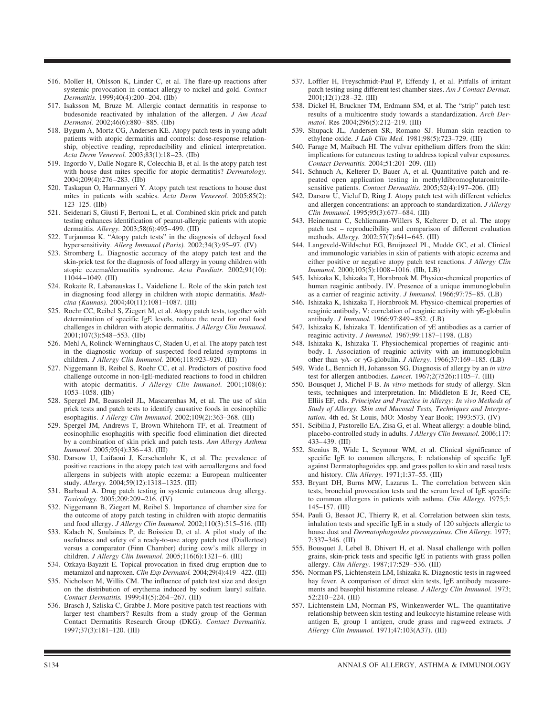- 516. Moller H, Ohlsson K, Linder C, et al. The flare-up reactions after systemic provocation in contact allergy to nickel and gold. *Contact Dermatitis.* 1999;40(4):200 –204. (IIb)
- 517. Isaksson M, Bruze M. Allergic contact dermatitis in response to budesonide reactivated by inhalation of the allergen. *J Am Acad Dermatol.* 2002;46(6):880-885. (IIb)
- 518. Bygum A, Mortz CG, Andersen KE. Atopy patch tests in young adult patients with atopic dermatitis and controls: dose-response relationship, objective reading, reproducibility and clinical interpretation. *Acta Derm Venereol.* 2003;83(1):18 –23. (IIb)
- 519. Ingordo V, Dalle Nogare R, Colecchia B, et al. Is the atopy patch test with house dust mites specific for atopic dermatitis? *Dermatology.* 2004;209(4):276 –283. (IIb)
- 520. Taskapan O, Harmanyeri Y. Atopy patch test reactions to house dust mites in patients with scabies. *Acta Derm Venereol.* 2005;85(2): 123–125. (IIb)
- 521. Seidenari S, Giusti F, Bertoni L, et al. Combined skin prick and patch testing enhances identification of peanut-allergic patients with atopic dermatitis. *Allergy.* 2003;58(6):495– 499. (III)
- 522. Turjanmaa K. "Atopy patch tests" in the diagnosis of delayed food hypersensitivity. *Allerg Immunol (Paris).* 2002;34(3):95–97. (IV)
- 523. Stromberg L. Diagnostic accuracy of the atopy patch test and the skin-prick test for the diagnosis of food allergy in young children with atopic eczema/dermatitis syndrome. *Acta Paediatr.* 2002;91(10): 11044 –1049. (III)
- 524. Rokaite R, Labanauskas L, Vaideliene L. Role of the skin patch test in diagnosing food allergy in children with atopic dermatitis. *Medicina (Kaunas).* 2004;40(11):1081–1087. (III)
- 525. Roehr CC, Reibel S, Ziegert M, et al. Atopy patch tests, together with determination of specific IgE levels, reduce the need for oral food challenges in children with atopic dermatitis. *J Allergy Clin Immunol.* 2001;107(3):548 –553. (IIb)
- 526. Mehl A, Rolinck-Werninghaus C, Staden U, et al. The atopy patch test in the diagnostic workup of suspected food-related symptoms in children. *J Allergy Clin Immunol.* 2006;118:923–929. (III)
- 527. Niggemann B, Reibel S, Roehr CC, et al. Predictors of positive food challenge outcome in non-IgE-mediated reactions to food in children with atopic dermatitis. *J Allergy Clin Immunol.* 2001;108(6): 1053–1058. (IIb)
- 528. Spergel JM, Beausoleil JL, Mascarenhas M, et al. The use of skin prick tests and patch tests to identify causative foods in eosinophilic esophagitis. *J Allergy Clin Immunol.* 2002;109(2):363–368. (III)
- 529. Spergel JM, Andrews T, Brown-Whitehorn TF, et al. Treatment of eosinophilic esophagitis with specific food elimination diet directed by a combination of skin prick and patch tests. *Ann Allergy Asthma Immunol.* 2005;95(4):336-43. (III)
- 530. Darsow U, Laifaoui J, Kerschenlohr K, et al. The prevalence of positive reactions in the atopy patch test with aeroallergens and food allergens in subjects with atopic eczema: a European multicenter study. *Allergy.* 2004;59(12):1318 –1325. (III)
- 531. Barbaud A. Drug patch testing in systemic cutaneous drug allergy. *Toxicology.* 2005;209:209 –216. (IV)
- 532. Niggemann B, Ziegert M, Reibel S. Importance of chamber size for the outcome of atopy patch testing in children with atopic dermatitis and food allergy. *J Allergy Clin Immunol.* 2002;110(3):515–516. (III)
- 533. Kalach N, Soulaines P, de Boissieu D, et al. A pilot study of the usefulness and safety of a ready-to-use atopy patch test (Diallertest) versus a comparator (Finn Chamber) during cow's milk allergy in children. *J Allergy Clin Immunol.* 2005;116(6):1321-6. (III)
- 534. Ozkaya-Bayazit E. Topical provocation in fixed drug eruption due to metamizol and naproxen. *Clin Exp Dermatol.* 2004;29(4):419 – 422. (III)
- 535. Nicholson M, Willis CM. The influence of patch test size and design on the distribution of erythema induced by sodium lauryl sulfate. *Contact Dermatitis.* 1999;41(5):264 –267. (III)
- 536. Brasch J, Szliska C, Grabbe J. More positive patch test reactions with larger test chambers? Results from a study group of the German Contact Dermatitis Research Group (DKG). *Contact Dermatitis.* 1997;37(3):181–120. (III)
- 537. Loffler H, Freyschmidt-Paul P, Effendy I, et al. Pitfalls of irritant patch testing using different test chamber sizes. *Am J Contact Dermat.* 2001;12(1):28 –32. (III)
- 538. Dickel H, Bruckner TM, Erdmann SM, et al. The "strip" patch test: results of a multicentre study towards a standardization. *Arch Dermatol.* Res 2004;296(5):212–219. (III)
- 539. Shupack JL, Andersen SR, Romano SJ. Human skin reaction to ethylene oxide. *J Lab Clin Med.* 1981;98(5):723–729. (III)
- 540. Farage M, Maibach HI. The vulvar epithelium differs from the skin: implications for cutaneous testing to address topical vulvar exposures. *Contact Dermatitis.* 2004;51:201–209. (III)
- 541. Schnuch A, Kelterer D, Bauer A, et al. Quantitative patch and repeated open application testing in methyldibromoglutaronitrilesensitive patients. *Contact Dermatitis.* 2005;52(4):197–206. (III)
- 542. Darsow U, Vieluf D, Ring J. Atopy patch test with different vehicles and allergen concentrations: an approach to standardization. *J Allergy Clin Immunol.* 1995;95(3):677– 684. (III)
- 543. Heinemann C, Schliemann-Willers S, Kelterer D, et al. The atopy patch test – reproducibility and comparison of different evaluation methods. *Allergy.* 2002;57(7):641– 645. (III)
- 544. Langeveld-Wildschut EG, Bruijnzeel PL, Mudde GC, et al. Clinical and immunologic variables in skin of patients with atopic eczema and either positive or negative atopy patch test reactions. *J Allergy Clin Immunol.* 2000;105(5):1008 –1016. (IIb, LB)
- 545. Ishizaka K, Ishizaka T, Hornbrook M. Physico-chemical properties of human reaginic antibody. IV. Presence of a unique immunoglobulin as a carrier of reaginic activity. *J Immunol.* 1966;97:75– 85. (LB)
- 546. Ishizaka K, Ishizaka T, Hornbrook M. Physico-chemical properties of reaginic antibody, V: correlation of reaginic activity with  $\gamma$ E-globulin antibody. *J Immunol.* 1966;97:849 – 852. (LB)
- 547. Ishizaka K, Ishizaka T. Identification of  $\gamma$ E antibodies as a carrier of reaginic activity. *J Immunol.* 1967;99:1187–1198. (LB)
- 548. Ishizaka K, Ishizaka T. Physiochemical properties of reaginic antibody. I. Association of reaginic activity with an immunoglobulin other than  $\gamma$ A- or  $\gamma$ G-globulin. *J Allergy*. 1966;37:169-185. (LB)
- 549. Wide L, Bennich H, Johansson SG. Diagnosis of allergy by an *in vitro* test for allergen antibodies. *Lancet.* 1967;2(7526):1105–7. (III)
- 550. Bousquet J, Michel F-B. *In vitro* methods for study of allergy. Skin tests, techniques and interpretation. In: Middleton E Jr, Reed CE, Elliis EF, eds. *Principles and Practice in Allergy: In vivo Methods of Study of Allergy. Skin and Mucosal Tests, Techniques and Interpretation.* 4th ed. St Louis, MO: Mosby Year Book; 1993:573. (IV)
- 551. Scibilia J, Pastorello EA, Zisa G, et al. Wheat allergy: a double-blind, placebo-controlled study in adults. *J Allergy Clin Immunol.* 2006;117: 433– 439. (III)
- 552. Stenius B, Wide L, Seymour WM, et al. Clinical significance of specific IgE to common allergens, I: relationship of specific IgE against Dermatophagoides spp. and grass pollen to skin and nasal tests and history. *Clin Allergy.* 1971;1:37–55. (III)
- 553. Bryant DH, Burns MW, Lazarus L. The correlation between skin tests, bronchial provocation tests and the serum level of IgE specific to common allergens in patients with asthma. *Clin Allergy.* 1975;5: 145–157. (III)
- 554. Pauli G, Bessot JC, Thierry R, et al. Correlation between skin tests, inhalation tests and specific IgE in a study of 120 subjects allergic to house dust and *Dermatophagoides pteronyssinus. Clin Allergy.* 1977; 7:337–346. (III)
- 555. Bousquet J, Lebel B, Dhivert H, et al. Nasal challenge with pollen grains, skin-prick tests and specific IgE in patients with grass pollen allergy. *Clin Allergy.* 1987;17:529 –536. (III)
- 556. Norman PS, Lichtenstein LM, Ishizaka K. Diagnostic tests in ragweed hay fever. A comparison of direct skin tests, IgE antibody measurements and basophil histamine release. *J Allergy Clin Immunol.* 1973; 52:210 –224. (III)
- 557. Lichtenstein LM, Norman PS, Winkenwerder WL. The quantitative relationship between skin testing and leukocyte histamine release with antigen E, group 1 antigen, crude grass and ragweed extracts. *J Allergy Clin Immunol.* 1971;47:103(A37). (III)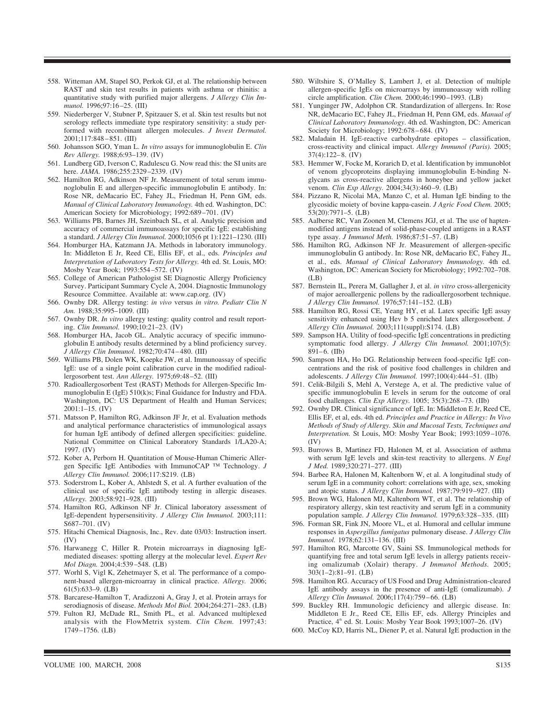- 558. Witteman AM, Stapel SO, Perkok GJ, et al. The relationship between RAST and skin test results in patients with asthma or rhinitis: a quantitative study with purified major allergens. *J Allergy Clin Immunol.* 1996;97:16 –25. (III)
- 559. Niederberger V, Stubner P, Spitzauer S, et al. Skin test results but not serology reflects immediate type respiratory sensitivity: a study performed with recombinant allergen molecules. *J Invest Dermatol.* 2001;117:848 – 851. (III)
- 560. Johansson SGO, Yman L. *In vitro* assays for immunoglobulin E. *Clin Rev Allergy.* 1988;6:93–139. (IV)
- 561. Lundberg GD, Iverson C, Radulescu G. Now read this: the SI units are here. *JAMA*. 1986;255:2329-2339. (IV)
- 562. Hamilton RG, Adkinson NF Jr. Measurement of total serum immunoglobulin E and allergen-specific immunoglobulin E antibody. In: Rose NR, deMacario EC, Fahey JL, Friedman H, Penn GM, eds. *Manual of Clinical Laboratory Immunology.* 4th ed. Washington, DC: American Society for Microbiology; 1992:689 –701. (IV)
- 563. Williams PB, Barnes JH, Szeinbach SL, et al. Analytic precision and accuracy of commercial immunoassays for specific IgE: establishing a standard. *J Allergy Clin Immunol.* 2000;105(6 pt 1):1221–1230. (III)
- 564. Homburger HA, Katzmann JA. Methods in laboratory immunology. In: Middleton E Jr, Reed CE, Ellis EF, et al., eds. *Principles and Interpretation of Laboratory Tests for Allergy.* 4th ed. St. Louis, MO: Mosby Year Book; 1993:554 –572. (IV)
- 565. College of American Pathologist SE Diagnostic Allergy Proficiency Survey. Participant Summary Cycle A, 2004. Diagnostic Immunology Resource Committee. Available at: www.cap.org. (IV)
- 566. Ownby DR. Allergy testing: *in vivo* versus *in vitro. Pediatr Clin N Am.* 1988;35:995–1009. (III)
- 567. Ownby DR. *In vitro* allergy testing: quality control and result reporting. *Clin Immunol.* 1990;10:21–23. (IV)
- 568. Homburger HA, Jacob GL. Analytic accuracy of specific immunoglobulin E antibody results determined by a blind proficiency survey. *J Allergy Clin Immunol.* 1982;70:474 – 480. (III)
- 569. Williams PB, Dolen WK, Koepke JW, et al. Immunoassay of specific IgE: use of a single point calibration curve in the modified radioallergosorbent test. *Ann Allergy.* 1975;69:48 –52. (III)
- 570. Radioallergosorbent Test (RAST) Methods for Allergen-Specific Immunoglobulin E (IgE) 510(k)s; Final Guidance for Industry and FDA. Washington, DC: US Department of Health and Human Services; 2001:1–15. (IV)
- 571. Matsson P, Hamilton RG, Adkinson JF Jr, et al. Evaluation methods and analytical performance characteristics of immunological assays for human IgE antibody of defined allergen specificities: guideline. National Committee on Clinical Laboratory Standards 1/LA20-A; 1997. (IV)
- 572. Kober A, Perborn H. Quantitation of Mouse-Human Chimeric Allergen Specific IgE Antibodies with ImmunoCAP ™ Technology. *J Allergy Clin Immunol.* 2006;117:S219. (LB)
- 573. Soderstrom L, Kober A, Ahlstedt S, et al. A further evaluation of the clinical use of specific IgE antibody testing in allergic diseases. *Allergy.* 2003;58:921–928. (III)
- 574. Hamilton RG, Adkinson NF Jr. Clinical laboratory assessment of IgE-dependent hypersensitivity. *J Allergy Clin Immunol.* 2003;111: S687–701. (IV)
- 575. Hitachi Chemical Diagnosis, Inc., Rev. date 03/03: Instruction insert. (IV)
- 576. Harwanegg C, Hiller R. Protein microarrays in diagnosing IgEmediated diseases: spotting allergy at the molecular level. *Expert Rev Mol Diagn.* 2004;4:539 –548. (LB)
- 577. Worhl S, Vigl K, Zehetmayer S, et al. The performance of a component-based allergen-microarray in clinical practice. *Allergy.* 2006; 61(5):633–9. (LB)
- 578. Barcarese-Hamilton T, Aradizzoni A, Gray J, et al. Protein arrays for serodiagnosis of disease. *Methods Mol Biol.* 2004;264:271–283. (LB)
- 579. Fulton RJ, McDade RL, Smith PL, et al. Advanced multiplexed analysis with the FlowMetrix system. *Clin Chem.* 1997;43: 1749 –1756. (LB)
- 580. Wiltshire S, O'Malley S, Lambert J, et al. Detection of multiple allergen-specific IgEs on microarrays by immunoassay with rolling circle amplification. *Clin Chem.* 2000;46:1990 –1993. (LB)
- 581. Yunginger JW, Adolphon CR. Standardization of allergens. In: Rose NR, deMacario EC, Fahey JL, Friedman H, Penn GM, eds. *Manual of Clinical Laboratory Immunology*. 4th ed. Washington, DC: American Society for Microbiology; 1992:678-684. (IV)
- 582. Maladain H. IgE-reactive carbohydrate epitopes classification, cross-reactivity and clinical impact. *Allergy Immunol (Paris).* 2005;  $37(4):122-8.$  (IV)
- 583. Hemmer W, Focke M, Korarich D, et al. Identification by immunoblot of venom glycoproteins displaying immunoglobulin E-binding Nglycans as cross-reactive allergens in honeybee and yellow jacket venom. *Clin Exp Allergy*. 2004;34(3):460-9. (LB)
- 584. Pizzano R, Nicolai MA, Manzo C, et al. Human IgE binding to the glycosidic moiety of bovine kappa-casein. *J Agric Food Chem.* 2005; 53(20):7971–5. (LB)
- 585. Aalberse RC, Van Zoonen M, Clemens JGJ, et al. The use of haptenmodified antigens instead of solid-phase-coupled antigens in a RAST type assay. *J Immunol Meth.* 1986;87:51–57. (LB)
- 586. Hamilton RG, Adkinson NF Jr. Measurement of allergen-specific immunoglobulin G antibody. In: Rose NR, deMacario EC, Fahey JL, et al., eds. *Manual of Clinical Laboratory Immunology.* 4th ed. Washington, DC: American Society for Microbiology; 1992:702–708.  $(LB)$
- 587. Bernstein IL, Perera M, Gallagher J, et al. *in vitro* cross-allergenicity of major aeroallergenic pollens by the radioallergosorbent technique. *J Allergy Clin Immunol.* 1976;57:141–152. (LB)
- 588. Hamilton RG, Rossi CE, Yeang HY, et al. Latex specific IgE assay sensitivity enhanced using Hev b 5 enriched latex allergosorbent. *J Allergy Clin Immunol.* 2003;111(suppl):S174. (LB)
- 589. Sampson HA. Utility of food-specific IgE concentrations in predicting symptomatic food allergy. *J Allergy Clin Immunol.* 2001;107(5):  $891–6$ . (IIb)
- 590. Sampson HA, Ho DG. Relationship between food-specific IgE concentrations and the risk of positive food challenges in children and adolescents. *J Allergy Clin Immunol.* 1997;100(4):444 –51. (IIb)
- 591. Celik-Bilgili S, Mehl A, Verstege A, et al. The predictive value of specific immunoglobulin E levels in serum for the outcome of oral food challenges. *Clin Exp Allergy.* 1005; 35(3):268 –73. (IIb)
- 592. Ownby DR. Clinical significance of IgE. In: Middleton E Jr, Reed CE, Ellis EF, et al, eds. 4th ed. *Principles and Practice in Allergy: In Vivo Methods of Study of Allergy. Skin and Mucosal Tests, Techniques and Interpretation.* St Louis, MO: Mosby Year Book; 1993:1059 –1076. (IV)
- 593. Burrows B, Martinez FD, Halonen M, et al. Association of asthma with serum IgE levels and skin-test reactivity to allergens. *N Engl J Med.* 1989;320:271–277. (III)
- 594. Barbee RA, Halonen M, Kaltenborn W, et al. A longitudinal study of serum IgE in a community cohort: correlations with age, sex, smoking and atopic status. *J Allergy Clin Immunol.* 1987;79:919 –927. (III)
- 595. Brown WG, Halonen MJ, Kaltenborn WT, et al. The relationship of respiratory allergy, skin test reactivity and serum IgE in a community population sample. *J Allergy Clin Immunol.* 1979;63:328 –335. (III)
- 596. Forman SR, Fink JN, Moore VL, et al. Humoral and cellular immune responses in *Aspergillus fumigatus* pulmonary disease. *J Allergy Clin Immunol.* 1978;62:131–136. (III)
- 597. Hamilton RG, Marcotte GV, Saini SS. Immunological methods for quantifying free and total serum IgE levels in allergy patients receiving omalizumab (Xolair) therapy. *J Immunol Methods.* 2005; 303(1–2):81–91. (LB)
- 598. Hamilton RG. Accuracy of US Food and Drug Administration-cleared IgE antibody assays in the presence of anti-IgE (omalizumab). *J Allergy Clin Immunol.* 2006;117(4):759 – 66. (LB)
- 599. Buckley RH. Immunologic deficiency and allergic disease. In: Middleton E Jr., Reed CE, Ellis EF, eds. Allergy Principles and Practice, 4<sup>th</sup> ed. St. Louis: Mosby Year Book 1993;1007–26. (IV)
- 600. McCoy KD, Harris NL, Diener P, et al. Natural IgE production in the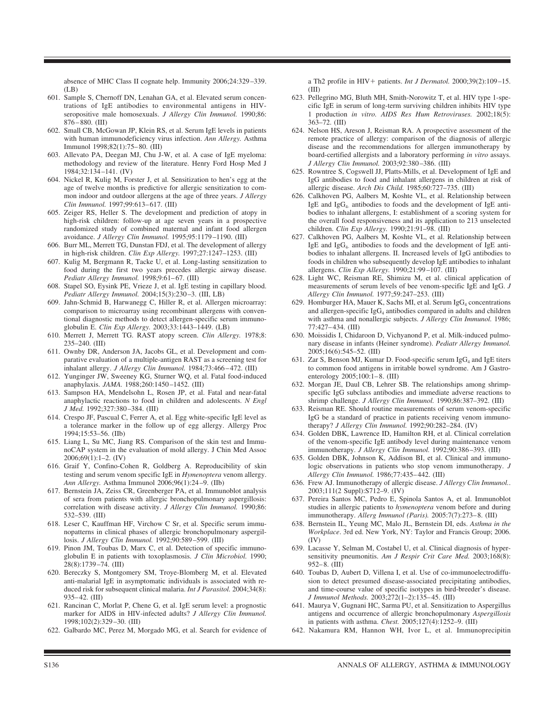absence of MHC Class II cognate help. Immunity 2006;24:329 –339.  $(LB)$ 

- 601. Sample S, Chernoff DN, Lenahan GA, et al. Elevated serum concentrations of IgE antibodies to environmental antigens in HIVseropositive male homosexuals. *J Allergy Clin Immunol.* 1990;86: 876 – 880. (III)
- 602. Small CB, McGowan JP, Klein RS, et al. Serum IgE levels in patients with human immunodeficiency virus infection. *Ann Allergy.* Asthma Immunol 1998;82(1):75– 80. (III)
- 603. Allevato PA, Deegan MJ, Chu J-W, et al. A case of IgE myeloma: methodology and review of the literature. Henry Ford Hosp Med J 1984;32:134 –141. (IV)
- 604. Nickel R, Kulig M, Forster J, et al. Sensitization to hen's egg at the age of twelve months is predictive for allergic sensitization to common indoor and outdoor allergens at the age of three years. *J Allergy Clin Immunol.* 1997;99:613– 617. (III)
- 605. Zeiger RS, Heller S. The development and prediction of atopy in high-risk children: follow-up at age seven years in a prospective randomized study of combined maternal and infant food allergen avoidance. *J Allergy Clin Immunol.* 1995;95:1179 –1190. (III)
- 606. Burr ML, Merrett TG, Dunstan FDJ, et al. The development of allergy in high-risk children. *Clin Exp Allergy.* 1997;27:1247–1253. (III)
- 607. Kulig M, Bergmann R, Tacke U, et al. Long-lasting sensitization to food during the first two years precedes allergic airway disease. Pediatr Allergy Immunol. 1998;9:61-67. (III)
- 608. Stapel SO, Eysink PE, Vrieze J, et al. IgE testing in capillary blood. *Pediatr Allergy Immunol.* 2004;15(3):230 –3. (III, LB)
- 609. Jahn-Schmid B, Harwanegg C, Hiller R, et al. Allergen microarray: comparison to microarray using recombinant allergens with conventional diagnostic methods to detect allergen-specific serum immunoglobulin E. *Clin Exp Allergy.* 2003;33:1443–1449. (LB)
- 610. Merrett J, Merrett TG. RAST atopy screen. *Clin Allergy.* 1978;8: 235–240. (III)
- 611. Ownby DR, Anderson JA, Jacobs GL, et al. Development and comparative evaluation of a multiple-antigen RAST as a screening test for inhalant allergy. *J Allergy Clin Immunol.* 1984;73:466 – 472. (III)
- 612. Yunginger JW, Sweeney KG, Sturner WQ, et al. Fatal food-induced anaphylaxis. *JAMA*. 1988;260:1450-1452. (III)
- 613. Sampson HA, Mendelsohn L, Rosen JP, et al. Fatal and near-fatal anaphylactic reactions to food in children and adolescents. *N Engl J Med.* 1992;327:380-384. (III)
- 614. Crespo JF, Pascual C, Ferrer A, et al. Egg white-specific IgE level as a tolerance marker in the follow up of egg allergy. Allergy Proc 1994;15:53–56. (IIb)
- 615. Liang L, Su MC, Jiang RS. Comparison of the skin test and ImmunoCAP system in the evaluation of mold allergy. J Chin Med Assoc 2006;69(1):1–2. (IV)
- 616. Graif Y, Confino-Cohen R, Goldberg A. Reproducibility of skin testing and serum venom specific IgE in *Hymenoptera* venom allergy. *Ann Allergy.* Asthma Immunol 2006;96(1):24 –9. (IIb)
- 617. Bernstein JA, Zeiss CR, Greenberger PA, et al. Immunoblot analysis of sera from patients with allergic bronchopulmonary aspergillosis: correlation with disease activity. *J Allergy Clin Immunol.* 1990;86: 532–539. (III)
- 618. Leser C, Kauffman HF, Virchow C Sr, et al. Specific serum immunopatterns in clinical phases of allergic bronchopulmonary aspergillosis. *J Allergy Clin Immunol.* 1992;90:589 –599. (III)
- 619. Pinon JM, Toubas D, Marx C, et al. Detection of specific immunoglobulin E in patients with toxoplasmosis. *J Clin Microbiol.* 1990; 28(8):1739 –74. (III)
- 620. Bereczky S, Montgomery SM, Troye-Blomberg M, et al. Elevated anti-malarial IgE in asymptomatic individuals is associated with reduced risk for subsequent clinical malaria. *Int J Parasitol.* 2004;34(8): 935– 42. (III)
- 621. Rancinan C, Morlat P, Chene G, et al. IgE serum level: a prognostic marker for AIDS in HIV-infected adults? *J Allergy Clin Immunol.* 1998;102(2):329 –30. (III)
- 622. Galbardo MC, Perez M, Morgado MG, et al. Search for evidence of

a Th2 profile in HIV + patients. *Int J Dermatol.* 2000;39(2):109-15. (III)

- 623. Pellegrino MG, Bluth MH, Smith-Norowitz T, et al. HIV type 1-specific IgE in serum of long-term surviving children inhibits HIV type 1 production *in vitro. AIDS Res Hum Retroviruses.* 2002;18(5): 363–72. (III)
- 624. Nelson HS, Areson J, Reisman RA. A prospective assessment of the remote practice of allergy: comparison of the diagnosis of allergic disease and the recommendations for allergen immunotherapy by board-certified allergists and a laboratory performing *in vitro* assays. *J Allergy Clin Immunol.* 2003;92:380 –386. (III)
- 625. Rowntree S, Cogswell JJ, Platts-Mills, et al. Development of IgE and IgG antibodies to food and inhalant allergens in children at risk of allergic disease. *Arch Dis Child.* 1985;60:727–735. (III)
- 626. Calkhoven PG, Aalbers M, Koshte VL, et al. Relationship between IgE and Ig $G_4$  antibodies to foods and the development of IgE antibodies to inhalant allergens, I: establishment of a scoring system for the overall food responsiveness and its application to 213 unselected children. *Clin Exp Allergy.* 1990;21:91–98. (III)
- 627. Calkhoven PG, Aalbers M, Koshte VL, et al. Relationship between IgE and Ig $G_4$  antibodies to foods and the development of IgE antibodies to inhalant allergens. II. Increased levels of IgG antibodies to foods in children who subsequently develop IgE antibodies to inhalant allergens. *Clin Exp Allergy.* 1990;21:99 –107. (III)
- 628. Light WC, Reisman RE, Shimizu M, et al. clinical application of measurements of serum levels of bee venom-specific IgE and IgG. *J Allergy Clin Immunol.* 1977;59:247–253. (III)
- 629. Homburger HA, Mauer K, Sachs MI, et al. Serum Ig $G_4$  concentrations and allergen-specific  $IgG_4$  antibodies compared in adults and children with asthma and nonallergic subjects. *J Allergy Clin Immunol.* 1986; 77:427– 434. (III)
- 630. Moissidis I, Chidaroon D, Vichyanond P, et al. Milk-induced pulmonary disease in infants (Heiner syndrome). *Pediatr Allergy Immunol.* 2005;16(6):545–52. (III)
- 631. Zar S, Benson MJ, Kumar D. Food-specific serum  $\lg G_4$  and  $\lg E$  titers to common food antigens in irritable bowel syndrome. Am J Gastroenterology 2005;100:1-8. (III)
- 632. Morgan JE, Daul CB, Lehrer SB. The relationships among shrimpspecific IgG subclass antibodies and immediate adverse reactions to shrimp challenge. *J Allergy Clin Immunol.* 1990;86:387–392. (III)
- 633. Reisman RE. Should routine measurements of serum venom-specific IgG be a standard of practice in patients receiving venom immunotherapy? *J Allergy Clin Immunol.* 1992;90:282–284. (IV)
- 634. Golden DBK, Lawrence ID, Hamilton RH, et al. Clinical correlation of the venom-specific IgE antibody level during maintenance venom immunotherapy. *J Allergy Clin Immunol.* 1992;90:386 –393. (III)
- 635. Golden DBK, Johnson K, Addison BI, et al. Clinical and immunologic observations in patients who stop venom immunotherapy. *J Allergy Clin Immunol.* 1986;77:435– 442. (III)
- 636. Frew AJ. Immunotherapy of allergic disease. *J Allergy Clin Immunol.*. 2003;111(2 Suppl):S712–9. (IV)
- 637. Pereira Santos MC, Pedro E, Spinola Santos A, et al. Immunoblot studies in allergic patients to *hymenoptera* venom before and during immunotherapy. *Allerg Immunol (Paris).* 2005:7(7):273– 8. (III)
- 638. Bernstein IL, Yeung MC, Malo JL, Bernstein DI, eds. *Asthma in the Workplace*. 3rd ed. New York, NY: Taylor and Francis Group; 2006. (IV)
- 639. Lacasse Y, Selman M, Costabel U, et al. Clinical diagnosis of hypersensitivity pneumonitis. *Am J Respir Crit Care Med.* 2003;168(8): 952– 8. (III)
- 640. Toubas D, Aubert D, Villena I, et al. Use of co-immunoelectrodiffusion to detect presumed disease-associated precipitating antibodies, and time-course value of specific isotypes in bird-breeder's disease. *J Immunol Methods.* 2003;272(1–2):135– 45. (III)
- 641. Maurya V, Gugnani HC, Sarma PU, et al. Sensitization to Aspergillus antigens and occurrence of allergic bronchopulmonary *Aspergillosis* in patients with asthma. *Chest.* 2005;127(4):1252–9. (III)
- 642. Nakamura RM, Hannon WH, Ivor L, et al. Immunoprecipitin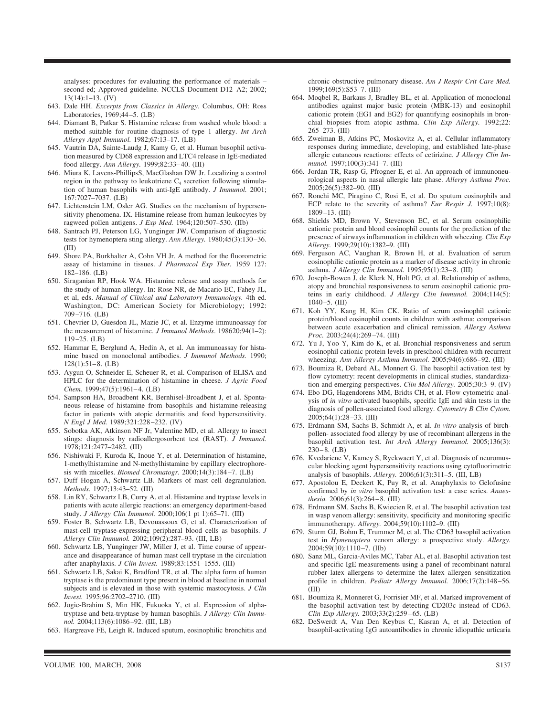analyses: procedures for evaluating the performance of materials – second ed; Approved guideline. NCCLS Document D12–A2; 2002;  $13(14):1-13.$  (IV)

- 643. Dale HH. *Excerpts from Classics in Allergy*. Columbus, OH: Ross Laboratories, 1969;44 –5. (LB)
- 644. Diamant B, Patkar S. Histamine release from washed whole blood: a method suitable for routine diagnosis of type 1 allergy. *Int Arch Allergy Appl Immunol.* 1982;67:13–17. (LB)
- 645. Vautrin DA, Sainte-Laudg J, Kamy G, et al. Human basophil activation measured by CD68 expression and LTC4 release in IgE-mediated food allergy. *Ann Allergy.* 1999;82:33– 40. (III)
- 646. Miura K, Lavens-PhillipsS, MacGlashan DW Jr. Localizing a control region in the pathway to leukotriene  $C_4$  secretion following stimulation of human basophils with anti-IgE antibody. *J Immunol.* 2001; 167:7027–7037. (LB)
- 647. Lichtenstein LM, Osler AG. Studies on the mechanism of hypersensitivity phenomena. IX. Histamine release from human leukocytes by ragweed pollen antigens. *J Exp Med.* 1964;120:507–530. (IIb)
- 648. Santrach PJ, Peterson LG, Yunginger JW. Comparison of diagnostic tests for hymenoptera sting allergy. *Ann Allergy.* 1980;45(3):130 –36. (III)
- 649. Shore PA, Burkhalter A, Cohn VH Jr. A method for the fluorometric assay of histamine in tissues. *J Pharmacol Exp Ther.* 1959 127: 182–186. (LB)
- 650. Siraganian RP, Hook WA. Histamine release and assay methods for the study of human allergy. In: Rose NR, de Macario EC, Fahey JL, et al, eds. *Manual of Clinical and Laboratory Immunology.* 4th ed. Washington, DC: American Society for Microbiology; 1992: 709 –716. (LB)
- 651. Chevrier D, Guesdon JL, Mazie JC, et al. Enzyme immunoassay for the measurement of histamine. *J Immunol Methods*. 198620;94(1–2): 119 –25. (LB)
- 652. Hammar E, Berglund A, Hedin A, et al. An immunoassay for histamine based on monoclonal antibodies. *J Immunol Methods.* 1990;  $128(1):51-8.$  (LB)
- 653. Aygun O, Schneider E, Scheuer R, et al. Comparison of ELISA and HPLC for the determination of histamine in cheese. *J Agric Food Chem.* 1999;47(5):1961-4. (LB)
- 654. Sampson HA, Broadbent KR, Bernhisel-Broadbent J, et al. Spontaneous release of histamine from basophils and histamine-releasing factor in patients with atopic dermatitis and food hypersensitivity. *N Engl J Med.* 1989;321:228 –232. (IV)
- 655. Sobotka AK, Atkinson NF Jr, Valentine MD, et al. Allergy to insect stings: diagnosis by radioallergosorbent test (RAST). *J Immunol.* 1978;121:2477–2482. (III)
- 656. Nishiwaki F, Kuroda K, Inoue Y, et al. Determination of histamine, 1-methylhistamine and N-methylhistamine by capillary electrophoresis with micelles. *Biomed Chromatogr.* 2000;14(3):184 –7. (LB)
- 657. Duff Hogan A, Schwartz LB. Markers of mast cell degranulation. *Methods.* 1997;13:43–52. (III)
- 658. Lin RY, Schwartz LB, Curry A, et al. Histamine and tryptase levels in patients with acute allergic reactions: an emergency department-based study. *J Allergy Clin Immunol.* 2000;106(1 pt 1):65–71. (III)
- 659. Foster B, Schwartz LB, Devouassoux G, et al. Characterization of mast-cell tryptase-expressing peripheral blood cells as basophils. *J Allergy Clin Immunol.* 2002;109(2):287–93. (III, LB)
- 660. Schwartz LB, Yunginger JW, Miller J, et al. Time course of appearance and disappearance of human mast cell tryptase in the circulation after anaphylaxis. *J Clin Invest.* 1989;83:1551–1555. (III)
- 661. Schwartz LB, Sakai K, Bradford TR, et al. The alpha form of human tryptase is the predominant type present in blood at baseline in normal subjects and is elevated in those with systemic mastocytosis. *J Clin Invest.* 1995;96:2702–2710. (III)
- 662. Jogie-Brahim S, Min HK, Fukuoka Y, et al. Expression of alphatryptase and beta-tryptase by human basophils. *J Allergy Clin Immunol.* 2004;113(6):1086 –92. (III, LB)
- 663. Hargreave FE, Leigh R. Induced sputum, eosinophilic bronchitis and

chronic obstructive pulmonary disease. *Am J Respir Crit Care Med.* 1999;169(5):S53–7. (III)

- 664. Moqbel R, Barkaus J, Bradley BL, et al. Application of monoclonal antibodies against major basic protein (MBK-13) and eosinophil cationic protein (EG1 and EG2) for quantifying eosinophils in bronchial biopsies from atopic asthma. *Clin Exp Allergy.* 1992;22: 265–273. (III)
- 665. Zweiman B, Atkins PC, Moskovitz A, et al. Cellular inflammatory responses during immediate, developing, and established late-phase allergic cutaneous reactions: effects of cetirizine. *J Allergy Clin Immunol.* 1997;100(3):341–7. (III)
- 666. Jordan TR, Rasp G, Pfrogner E, et al. An approach of immunoneurological aspects in nasal allergic late phase. *Allergy Asthma Proc.* 2005;26(5):382–90. (III)
- 667. Ronchi MC, Piragino C, Rosi E, et al. Do sputum eosinophils and ECP relate to the severity of asthma? *Eur Respir J.* 1997;10(8): 1809 –13. (III)
- 668. Shields MD, Brown V, Stevenson EC, et al. Serum eosinophilic cationic protein and blood eosinophil counts for the prediction of the presence of airways inflammation in children with wheezing. *Clin Exp Allergy.* 1999;29(10):1382–9. (III)
- 669. Ferguson AC, Vaughan R, Brown H, et al. Evaluation of serum eosinophilic cationic protein as a marker of disease activity in chronic asthma. *J Allergy Clin Immunol.* 1995;95(1):23– 8. (III)
- 670. Joseph-Bowen J, de Klerk N, Holt PG, et al. Relationship of asthma, atopy and bronchial responsiveness to serum eosinophil cationic proteins in early childhood. *J Allergy Clin Immunol.* 2004;114(5): 1040 –5. (III)
- 671. Koh YY, Kang H, Kim CK. Ratio of serum eosinophil cationic protein/blood eosinophil counts in children with asthma: comparison between acute exacerbation and clinical remission. *Allergy Asthma Proc.* 2003:24(4):269–74. (III)
- 672. Yu J, Yoo Y, Kim do K, et al. Bronchial responsiveness and serum eosinophil cationic protein levels in preschool children with recurrent wheezing. *Ann Allergy Asthma Immunol.* 2005;94(6):686 –92. (III)
- 673. Boumiza R, Debard AL, Monnert G. The basophil activation test by flow cytometry: recent developments in clinical studies, standardization and emerging perspectives. *Clin Mol Allergy.* 2005;30:3–9. (IV)
- 674. Ebo DG, Hagendorens MM, Bridts CH, et al. Flow cytometric analysis of *in vitro* activated basophils, specific IgE and skin tests in the diagnosis of pollen-associated food allergy. *Cytometry B Clin Cytom.* 2005;64(1):28 –33. (III)
- 675. Erdmann SM, Sachs B, Schmidt A, et al. *In vitro* analysis of birchpollen- associated food allergy by use of recombinant allergens in the basophil activation test. *Int Arch Allergy Immunol.* 2005;136(3):  $230 - 8$ . (LB)
- 676. Kvedariene V, Kamey S, Ryckwaert Y, et al. Diagnosis of neuromuscular blocking agent hypersensitivity reactions using cytofluorimetric analysis of basophils. *Allergy.* 2006;61(3):311–5. (III, LB)
- 677. Apostolou E, Deckert K, Puy R, et al. Anaphylaxis to Gelofusine confirmed by *in vitro* basophil activation test: a case series. *Anaesthesia.* 2006;61(3):264 – 8. (III)
- 678. Erdmann SM, Sachs B, Kwiecien R, et al. The basophil activation test in wasp venom allergy: sensitivity, specificity and monitoring specific immunotherapy. *Allergy.* 2004;59(10):1102–9. (III)
- 679. Sturm GJ, Bohm E, Trummer M, et al. The CD63 basophil activation test in *Hymenoptera* venom allergy: a prospective study. *Allergy.* 2004;59(10):1110 –7. (IIb)
- 680. Sanz ML, Garcia-Aviles MC, Tabar AL, et al. Basophil activation test and specific IgE measurements using a panel of recombinant natural rubber latex allergens to determine the latex allergen sensitization profile in children. *Pediatr Allergy Immunol.* 2006;17(2):148 –56. (III)
- 681. Boumiza R, Monneret G, Forrisier MF, et al. Marked improvement of the basophil activation test by detecting CD203c instead of CD63. *Clin Exp Allergy.* 2003;33(2):259 – 65. (LB)
- 682. DeSwerdt A, Van Den Keybus C, Kasran A, et al. Detection of basophil-activating IgG autoantibodies in chronic idiopathic urticaria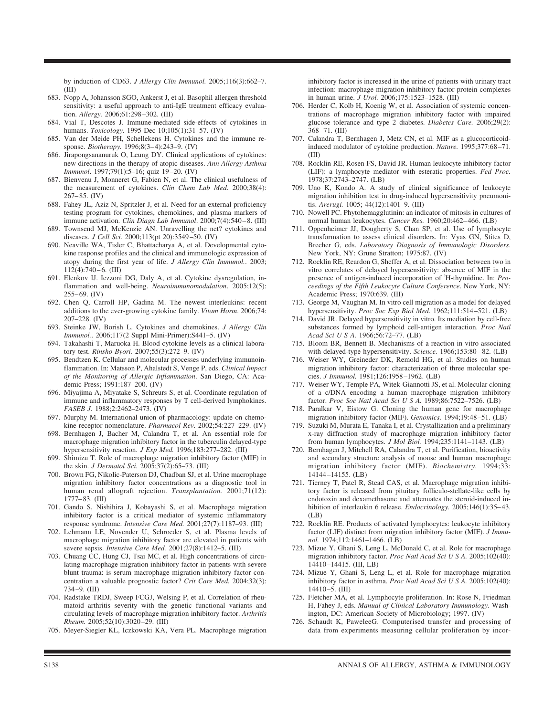by induction of CD63. *J Allergy Clin Immunol.* 2005;116(3):662–7. (III)

- 683. Nopp A, Johansson SGO, Ankerst J, et al. Basophil allergen threshold sensitivity: a useful approach to anti-IgE treatment efficacy evaluation. *Allergy.* 2006;61:298 –302. (III)
- 684. Vial T, Descotes J. Immune-mediated side-effects of cytokines in humans. *Toxicology.* 1995 Dec 10;105(1):31–57. (IV)
- 685. Van der Meide PH, Schellekens H. Cytokines and the immune response. *Biotherapy*. 1996;8(3-4):243-9. (IV)
- 686. Jirapongsananuruk O, Leung DY. Clinical applications of cytokines: new directions in the therapy of atopic diseases. *Ann Allergy Asthma Immunol*. 1997;79(1):5–16; quiz 19 –20. (IV)
- 687. Bienvenu J, Monneret G, Fabien N, et al. The clinical usefulness of the measurement of cytokines. *Clin Chem Lab Med*. 2000;38(4):  $267 - 85.$  (IV)
- 688. Fahey JL, Aziz N, Spritzler J, et al. Need for an external proficiency testing program for cytokines, chemokines, and plasma markers of immune activation. *Clin Diagn Lab Immunol*. 2000;7(4):540-8. (III)
- 689. Townsend MJ, McKenzie AN. Unravelling the net? cytokines and diseases. *J Cell Sci.* 2000;113(pt 20):3549 –50. (IV)
- 690. Neaville WA, Tisler C, Bhattacharya A, et al. Developmental cytokine response profiles and the clinical and immunologic expression of atopy during the first year of life. *J Allergy Clin Immunol.*. 2003;  $112(4):740-6.$  (III)
- 691. Elenkov IJ. Iezzoni DG, Daly A, et al. Cytokine dysregulation, inflammation and well-being. *Neuroimmunomodulation*. 2005;12(5):  $255-69.$  (IV)
- 692. Chen Q, Carroll HP, Gadina M. The newest interleukins: recent additions to the ever-growing cytokine family. *Vitam Horm*. 2006;74: 207–228. (IV)
- 693. Steinke JW, Borish L. Cytokines and chemokines. *J Allergy Clin Immunol.*. 2006;117(2 Suppl Mini-Primer):S441–5. (IV)
- 694. Takahashi T, Maruoka H. Blood cytokine levels as a clinical laboratory test. *Rinsho Byori.* 2007;55(3):272–9. (IV)
- 695. Bendtzen K. Cellular and molecular processes underlying immunoinflammation. In: Matsson P, Ahalstedt S, Venge P, eds. *Clinical Impact of the Monitoring of Allergic Inflammation*. San Diego, CA: Academic Press; 1991:187–200. (IV)
- 696. Miyajima A, Miyatake S, Schreurs S, et al. Coordinate regulation of immune and inflammatory responses by T cell-derived lymphokines. *FASEB J.* 1988;2:2462–2473. (IV)
- 697. Murphy M. International union of pharmacology: update on chemokine receptor nomenclature. *Pharmacol Rev.* 2002;54:227–229. (IV)
- 698. Bernhagen J, Bacher M, Calandra T, et al. An essential role for macrophage migration inhibitory factor in the tuberculin delayed-type hypersensitivity reaction. *J Exp Med.* 1996;183:277–282. (III)
- 699. Shimizu T. Role of macrophage migration inhibitory factor (MIF) in the skin. *J Dermatol Sci.* 2005;37(2):65–73. (III)
- 700. Brown FG, Nikolic-Paterson DJ, Chadban SJ, et al. Urine macrophage migration inhibitory factor concentrations as a diagnostic tool in human renal allograft rejection. *Transplantation.* 2001;71(12): 1777– 83. (III)
- 701. Gando S, Nishihira J, Kobayashi S, et al. Macrophage migration inhibitory factor is a critical mediator of systemic inflammatory response syndrome. *Intensive Care Med.* 2001;27(7):1187–93. (III)
- 702. Lehmann LE, Novender U, Schroeder S, et al. Plasma levels of macrophage migration inhibitory factor are elevated in patients with severe sepsis. *Intensive Care Med.* 2001;27(8):1412–5. (III)
- 703. Chuang CC, Hung CJ, Tsai MC, et al. High concentrations of circulating macrophage migration inhibitory factor in patients with severe blunt trauma: is serum macrophage migration inhibitory factor concentration a valuable prognostic factor? *Crit Care Med.* 2004;32(3): 734 –9. (III)
- 704. Radstake TRDJ, Sweep FCGJ, Welsing P, et al. Correlation of rheumatoid arthritis severity with the genetic functional variants and circulating levels of macrophage migration inhibitory factor. *Arthritis Rheum.* 2005;52(10):3020 –29. (III)
- 705. Meyer-Siegler KL, Iczkowski KA, Vera PL. Macrophage migration

inhibitory factor is increased in the urine of patients with urinary tract infection: macrophage migration inhibitory factor-protein complexes in human urine. *J Urol.* 2006;175:1523–1528. (III)

- 706. Herder C, Kolb H, Koenig W, et al. Association of systemic concentrations of macrophage migration inhibitory factor with impaired glucose tolerance and type 2 diabetes. *Diabetes Care.* 2006;29(2): 368 –71. (III)
- 707. Calandra T, Bernhagen J, Metz CN, et al. MIF as a glucocorticoidinduced modulator of cytokine production. *Nature.* 1995;377:68 –71. (III)
- 708. Rocklin RE, Rosen FS, David JR. Human leukocyte inhibitory factor (LIF): a lymphocyte mediator with esteratic properties. *Fed Proc.* 1978;37:2743–2747. (LB)
- 709. Uno K, Kondo A. A study of clinical significance of leukocyte migration inhibition test in drug-induced hypersensitivity pneumonitis. *Arerugi.* 1005; 44(12):1401–9. (III)
- 710. Nowell PC. Phytohemagglutinin: an indicator of mitosis in cultures of normal human leukocytes. *Cancer Res.* 1960;20:462– 466. (LB)
- 711. Oppenheimer JJ, Dougherty S, Chan SP, et al. Use of lymphocyte transformation to assess clinical disorders. In: Vyas GN, Stites D, Brecher G, eds. *Laboratory Diagnosis of Immunologic Disorders*. New York, NY: Grune Stratton; 1975:87. (IV)
- 712. Rocklin RE, Reardon G, Sheffer A, et al. Dissociation between two in vitro correlates of delayed hypersensitivity: absence of MIF in the presence of antigen-induced incorporation of <sup>3</sup> H-thymidine. In: *Proceedings of the Fifth Leukocyte Culture Conference*. New York, NY: Academic Press; 1970:639. (III)
- 713. George M, Vaughan M. In vitro cell migration as a model for delayed hypersensitivity. *Proc Soc Exp Biol Med.* 1962;111:514 –521. (LB)
- 714. David JR. Delayed hypersensitivity in vitro. Its mediation by cell-free substances formed by lymphoid cell-antigen interaction. *Proc Natl Acad Sci U S A.* 1966;56:72–77. (LB)
- 715. Bloom BR, Bennett B. Mechanisms of a reaction in vitro associated with delayed-type hypersensitivity. *Science*. 1966;153:80-82. (LB)
- 716. Weiser WY, Greineder DK, Remold HG, et al. Studies on human migration inhibitory factor: characterization of three molecular species. *J Immunol.* 1981;126:1958 –1962. (LB)
- 717. Weiser WY, Temple PA, Witek-Giannotti JS, et al. Molecular cloning of a c/DNA encoding a human macrophage migration inhibitory factor. *Proc Soc Natl Acad Sci U S A.* 1989;86:7522–7526. (LB)
- 718. Paralkar V, Eistow G. Cloning the human gene for macrophage migration inhibitory factor (MIF). *Genomics.* 1994;19:48 –51. (LB)
- 719. Suzuki M, Murata E, Tanaka I, et al. Crystallization and a preliminary x-ray diffraction study of macrophage migration inhibitory factor from human lymphocytes. *J Mol Biol.* 1994;235:1141–1143. (LB)
- 720. Bernhagen J, Mitchell RA, Calandra T, et al. Purification, bioactivity and secondary structure analysis of mouse and human macrophage migration inhibitory factor (MIF). *Biochemistry.* 1994;33: 14144 –14155. (LB)
- 721. Tierney T, Patel R, Stead CAS, et al. Macrophage migration inhibitory factor is released from pituitary folliculo-stellate-like cells by endotoxin and dexamethasone and attenuates the steroid-induced inhibition of interleukin 6 release. *Endocrinology*. 2005;146(1):35-43.  $(LB)$
- 722. Rocklin RE. Products of activated lymphocytes: leukocyte inhibitory factor (LIF) distinct from migration inhibitory factor (MIF). *J Immunol.* 1974;112:1461–1466. (LB)
- 723. Mizue Y, Ghani S, Leng L, McDonald C, et al. Role for macrophage migration inhibitory factor. *Proc Natl Acad Sci U S A.* 2005;102(40): 14410 –14415. (III, LB)
- 724. Mizue Y, Ghani S, Leng L, et al. Role for macrophage migration inhibitory factor in asthma. *Proc Natl Acad Sci U S A.* 2005;102(40):  $14410 - 5$ . (III)
- 725. Fletcher MA, et al. Lymphocyte proliferation. In: Rose N, Friedman H, Fahey J, eds. *Manual of Clinical Laboratory Immunology*. Washington, DC: American Society of Microbiology; 1997. (IV)
- 726. Schaudt K, PaweleeG. Computerised transfer and processing of data from experiments measuring cellular proliferation by incor-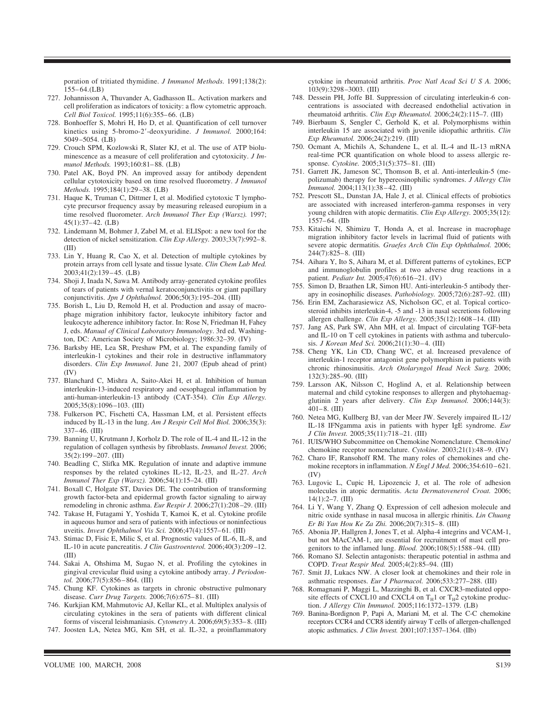poration of tritiated thymidine. *J Immunol Methods.* 1991;138(2): 155– 64.(LB)

- 727. Johannisson A, Thuvander A, Gadhasson IL. Activation markers and cell proliferation as indicators of toxicity: a flow cytometric approach. *Cell Biol Toxicol.* 1995;11(6):355– 66. (LB)
- 728. Bonhoeffer S, Mohri H, Ho D, et al. Quantification of cell turnover kinetics using 5-bromo-2 -deoxyuridine. *J Immunol.* 2000;164: 5049 –5054. (LB)
- 729. Crouch SPM, Kozlowski R, Slater KJ, et al. The use of ATP bioluminescence as a measure of cell proliferation and cytotoxicity. *J Immunol Methods.* 1993;160:81– 88. (LB)
- 730. Patel AK, Boyd PN. An improved assay for antibody dependent cellular cytotoxicity based on time resolved fluorometry. *J Immunol Methods.* 1995;184(1):29 –38. (LB)
- 731. Haque K, Truman C, Dittmer I, et al. Modified cytotoxic T lymphocyte precursor frequency assay by measuring released europium in a time resolved fluorometer. *Arch Immunol Ther Exp (Warsz).* 1997; 45(1):37– 42. (LB)
- 732. Lindemann M, Bohmer J, Zabel M, et al. ELISpot: a new tool for the detection of nickel sensitization. *Clin Exp Allergy.* 2003;33(7):992– 8. (III)
- 733. Lin Y, Huang R, Cao X, et al. Detection of multiple cytokines by protein arrays from cell lysate and tissue lysate. *Clin Chem Lab Med.* 2003;41(2):139 – 45. (LB)
- 734. Shoji J, Inada N, Sawa M. Antibody array-generated cytokine profiles of tears of patients with vernal keratoconjunctivitis or giant papillary conjunctivitis. *Jpn J Ophthalmol.* 2006;50(3):195–204. (III)
- 735. Borish L, Liu D, Remold H, et al. Production and assay of macrophage migration inhibitory factor, leukocyte inhibitory factor and leukocyte adherence inhibitory factor. In: Rose N, Friedman H, Fahey J, eds. *Manual of Clinical Laboratory Immunology*. 3rd ed. Washington, DC: American Society of Microbiology; 1986:32–39. (IV)
- 736. Barksby HE, Lea SR, Preshaw PM, et al. The expanding family of interleukin-1 cytokines and their role in destructive inflammatory disorders. *Clin Exp Immunol*. June 21, 2007 (Epub ahead of print) (IV)
- 737. Blanchard C, Mishra A, Saito-Akei H, et al. Inhibition of human interleukin-13-induced respiratory and oesophageal inflammation by anti-human-interleukin-13 antibody (CAT-354). *Clin Exp Allergy.* 2005;35(8):1096 –103. (III)
- 738. Fulkerson PC, Fischetti CA, Hassman LM, et al. Persistent effects induced by IL-13 in the lung. *Am J Respir Cell Mol Biol.* 2006;35(3): 337– 46. (III)
- 739. Banning U, Krutmann J, Korholz D. The role of IL-4 and IL-12 in the regulation of collagen synthesis by fibroblasts. *Immunol Invest.* 2006; 35(2):199 –207. (III)
- 740. Beadling C, Slifka MK. Regulation of innate and adaptive immune responses by the related cytokines IL-12, IL-23, and IL-27. *Arch Immunol Ther Exp (Warsz).* 2006;54(1):15–24. (III)
- 741. Boxall C, Holgate ST, Davies DE. The contribution of transforming growth factor-beta and epidermal growth factor signaling to airway remodeling in chronic asthma. *Eur Respir J.* 2006;27(1):208 –29. (III)
- 742. Takase H, Futagami Y, Yoshida T, Kamoi K, et al. Cytokine profile in aqueous humor and sera of patients with infectious or noninfectious uveitis. *Invest Ophthalmol Vis Sci.* 2006;47(4):1557-61. (III)
- 743. Stimac D, Fisic E, Milic S, et al. Prognostic values of IL-6, IL-8, and IL-10 in acute pancreatitis. *J Clin Gastroenterol.* 2006;40(3):209 –12. (III)
- 744. Sakai A, Ohshima M, Sugao N, et al. Profiling the cytokines in gingival crevicular fluid using a cytokine antibody array. *J Periodontol.* 2006;77(5):856 – 864. (III)
- 745. Chung KF. Cytokines as targets in chronic obstructive pulmonary disease. *Curr Drug Targets.* 2006;7(6):675– 81. (III)
- 746. Kurkjian KM, Mahmutovic AJ, Kellar KL, et al. Multiplex analysis of circulating cytokines in the sera of patients with different clinical forms of visceral leishmaniasis. *Cytometry A*. 2006;69(5):353– 8. (III)
- 747. Joosten LA, Netea MG, Km SH, et al. IL-32, a proinflammatory

cytokine in rheumatoid arthritis. *Proc Natl Acad Sci U S A.* 2006; 103(9):3298 –3003. (III)

- 748. Dessein PH, Joffe BI. Suppression of circulating interleukin-6 concentrations is associated with decreased endothelial activation in rheumatoid arthritis. *Clin Exp Rheumatol.* 2006;24(2):115–7. (III)
- 749. Bierbaum S, Sengler C, Gerhold K, et al. Polymorphisms within interleukin 15 are associated with juvenile idiopathic arthritis. *Clin Exp Rheumatol.* 2006;24(2):219. (III)
- 750. Ocmant A, Michils A, Schandene L, et al. IL-4 and IL-13 mRNA real-time PCR quantification on whole blood to assess allergic response. *Cytokine.* 2005;31(5):375– 81. (III)
- 751. Garrett JK, Jameson SC, Thomson B, et al. Anti-interleukin-5 (mepolizumab) therapy for hypereosinophilic syndromes. *J Allergy Clin Immunol.* 2004;113(1):38 – 42. (III)
- 752. Prescott SL, Dunstan JA, Hale J, et al. Clinical effects of probiotics are associated with increased interferon-gamma responses in very young children with atopic dermatitis. *Clin Exp Allergy.* 2005;35(12):  $1557-64.$  (IIb)
- 753. Kitaichi N, Shimizu T, Honda A, et al. Increase in macrophage migration inhibitory factor levels in lacrimal fluid of patients with severe atopic dermatitis*. Graefes Arch Clin Exp Ophthalmol.* 2006;  $244(7):825-8.$  (III)
- 754. Aihara Y, Ito S, Aihara M, et al. Different patterns of cytokines, ECP and immunoglobulin profiles at two adverse drug reactions in a patient. *Pediatr Int.* 2005;47(6):616 –21. (IV)
- 755. Simon D, Braathen LR, Simon HU. Anti-interleukin-5 antibody therapy in eosinophilic diseases. *Pathobiology.* 2005;72(6):287–92. (III)
- 756. Erin EM, Zacharasiewicz AS, Nicholson GC, et al. Topical corticosteroid inhibits interleukin-4, -5 and -13 in nasal secretions following allergen challenge. *Clin Exp Allergy.* 2005;35(12):1608 –14. (III)
- 757. Jang AS, Park SW, Ahn MH, et al. Impact of circulating TGF-beta and IL-10 on T cell cytokines in patients with asthma and tuberculosis. *J Korean Med Sci.* 2006;21(1):30 – 4. (III)
- 758. Cheng YK, Lin CD, Chang WC, et al. Increased prevalence of interleukin-1 receptor antagonist gene polymorphism in patients with chronic rhinosinusitis. *Arch Otolaryngol Head Neck Surg.* 2006; 132(3):285–90. (III)
- 759. Larsson AK, Nilsson C, Hoglind A, et al. Relationship between maternal and child cytokine responses to allergen and phytohaemagglutinin 2 years after delivery. *Clin Exp Immunol.* 2006;144(3):  $401-8.$  (III)
- 760. Netea MG, Kullberg BJ, van der Meer JW. Severely impaired IL-12/ IL-18 IFNgamma axis in patients with hyper IgE syndrome. *Eur J Clin Invest.* 2005;35(11):718 –21. (III)
- 761. IUIS/WHO Subcommittee on Chemokine Nomenclature. Chemokine/ chemokine receptor nomenclature. *Cytokine*. 2003;21(1):48 –9. (IV)
- 762. Charo IF, Ransohoff RM. The many roles of chemokines and chemokine receptors in inflammation. *N Engl J Med.* 2006;354:610-621. (IV)
- 763. Lugovic L, Cupic H, Lipozencic J, et al. The role of adhesion molecules in atopic dermatitis. *Acta Dermatovenerol Croat.* 2006;  $14(1):2-7.$  (III)
- 764. Li Y, Wang Y, Zhang Q. Expression of cell adhesion molecule and nitric oxide synthase in nasal mucosa in allergic rhinitis. *Lin Chuang Er Bi Yan Hou Ke Za Zhi.* 2006;20(7):315– 8. (III)
- 765. Abonia JP, Hallgren J, Jones T, et al. Alpha-4 integrins and VCAM-1, but not MAcCAM-1, are essential for recruitment of mast cell progenitors to the inflamed lung. *Blood.* 2006;108(5):1588 –94. (III)
- 766. Romano SJ. Selectin antagonists: therapeutic potential in asthma and COPD. *Treat Respir Med.* 2005;4(2):85–94. (III)
- 767. Smit JJ, Lukacs NW. A closer look at chemokines and their role in asthmatic responses. *Eur J Pharmacol.* 2006;533:277–288. (III)
- 768. Romagnani P, Maggi L, Mazzinghi B, et al. CXCR3-mediated opposite effects of CXCL10 and CXCL4 on  $T_H1$  or  $T_H2$  cytokine production. *J Allergy Clin Immunol.* 2005;116:1372–1379. (LB)
- 769. Banina-Bordignon P, Papi A, Mariani M, et al. The C-C chemokine receptors CCR4 and CCR8 identify airway T cells of allergen-challenged atopic asthmatics. *J Clin Invest.* 2001;107:1357–1364. (IIb)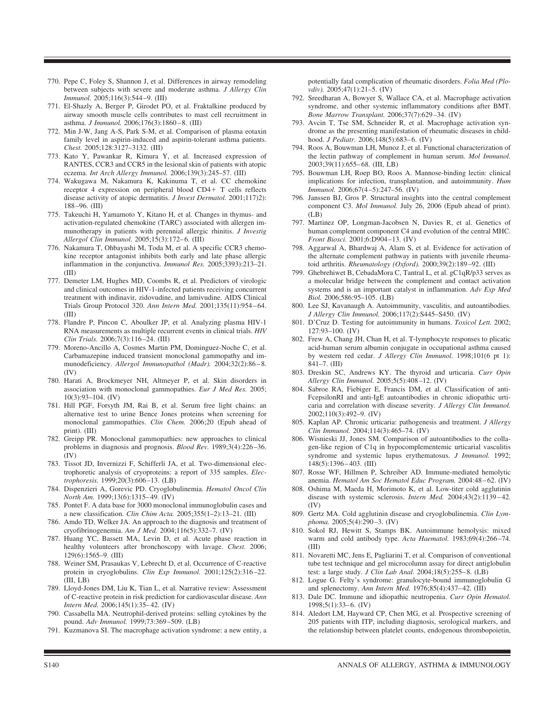- 770. Pepe C, Foley S, Shannon J, et al. Differences in airway remodeling between subjects with severe and moderate asthma. *J Allergy Clin Immunol.* 2005;116(3):544-9. (III)
- 771. El-Shazly A, Berger P, Girodet PO, et al. Fraktalkine produced by airway smooth muscle cells contributes to mast cell recruitment in asthma. *J Immunol.* 2006;176(3):1860-8. (III)
- 772. Min J-W, Jang A-S, Park S-M, et al. Comparison of plasma eotaxin family level in aspirin-induced and aspirin-tolerant asthma patients. *Chest.* 2005;128:3127–3132. (III)
- 773. Kato Y, Pawankar R, Kimura Y, et al. Increased expression of RANTES, CCR3 and CCR5 in the lesional skin of patients with atopic eczema. *Int Arch Allergy Immunol.* 2006;139(3):245–57. (III)
- 774. Wakugawa M, Nakamura K, Kakinuma T, et al. CC chemokine receptor 4 expression on peripheral blood CD4+ T cells reflects disease activity of atopic dermatitis. *J Invest Dermatol.* 2001;117)2): 188 –96. (III)
- 775. Takeuchi H, Yamamoto Y, Kitano H, et al. Changes in thymus- and activation-regulated chemokine (TARC) associated with allergen immunotherapy in patients with perennial allergic rhinitis. *J Investig Allergol Clin Immunol.* 2005;15(3):172– 6. (III)
- 776. Nakamura T, Ohbayashi M, Toda M, et al. A specific CCR3 chemokine receptor antagonist inhibits both early and late phase allergic inflammation in the conjunctiva. *Immunol Res.* 2005;3393):213–21. (III)
- 777. Demeter LM, Hughes MD, Coombs R, et al. Predictors of virologic and clinical outcomes in HIV-1-infected patients receiving concurrent treatment with indinavir, zidovudine, and lamivudine. AIDS Clinical Trials Group Protocol 320. *Ann Intern Med.* 2001;135(11):954 – 64. (III)
- 778. Flandre P, Pincon C, Aboulker JP, et al. Analyzing plasma HIV-1 RNA measurements as multiple recurrent events in clinical trials. *HIV Clin Trials.* 2006;7(3):116 –24. (III)
- 779. Moreno-Ancillo A, Cosmes Martin PM, Dominguez-Noche C, et al. Carbamazepine induced transient monoclonal gammopathy and immunodeficiency. *Allergol Immunopathol (Madr).* 2004;32(2):86 – 8. (IV)
- 780. Harati A, Brockmeyer NH, Altmeyer P, et al. Skin disorders in association with monoclonal gammopathies. *Eur J Med Res.* 2005; 10(3):93–104. (IV)
- 781. Hill PGF, Forsyth JM, Rai B, et al. Serum free light chains: an alternative test to urine Bence Jones proteins when screening for monoclonal gammopathies. *Clin Chem.* 2006;20 (Epub ahead of print). (III)
- 782. Greipp PR. Monoclonal gammopathies: new approaches to clinical problems in diagnosis and prognosis. *Blood Rev.* 1989;3(4):226 –36. (IV)
- 783. Tissot JD, Invernizzi F, Schifferli JA, et al. Two-dimensional electrophoretic analysis of cryoproteins: a report of 335 samples. *Electrophoresis.* 1999;20(3):606 –13. (LB)
- 784. Dispenzieri A, Gorevic PD. Cryoglobulinemia. *Hematol Oncol Clin North Am*. 1999;13(6):1315– 49. (IV)
- 785. Pontet F. A data base for 3000 monoclonal immunoglobulin cases and a new classification. *Clin Chim Acta.* 2005;355(1–2):13–21. (III)
- 786. Amdo TD, Welker JA. An approach to the diagnosis and treatment of cryofibrinogenemia. *Am J Med.* 2004;116(5):332–7. (IV)
- 787. Huang YC, Bassett MA, Levin D, et al. Acute phase reaction in healthy volunteers after bronchoscopy with lavage. *Chest.* 2006; 129(6):1565–9. (III)
- 788. Weiner SM, Prasaukas V, Lebrecht D, et al. Occurrence of C-reactive protein in cryoglobulins. *Clin Exp Immunol.* 2001;125(2):316 –22.  $(III, LB)$
- 789. Lloyd-Jones DM, Liu K, Tian L, et al. Narrative review: Assessment of C-reactive protein in risk prediction for cardiovascular disease. *Ann Intern Med.* 2006;145(1):35– 42. (IV)
- 790. Cassabella MA. Neutrophil-derived proteins: selling cytokines by the pound. *Adv Immunol.* 1999;73:369 –509. (LB)
- 791. Kuzmanova SI. The macrophage activation syndrome: a new entity, a

potentially fatal complication of rheumatic disorders. *Folia Med (Plovdiv).* 2005;47(1):21–5. (IV)

- 792. Sreedharan A, Bowyer S, Wallace CA, et al. Macrophage activation syndrome, and other systemic inflammatory conditions after BMT. *Bone Marrow Transplant.* 2006;37(7):629 –34. (IV)
- 793. Avcin T, Tse SM, Schneider R, et al. Macrophage activation syndrome as the presenting manifestation of rheumatic diseases in childhood. *J Pediatr.* 2006;148(5):683-6. (IV)
- 794. Roos A, Bouwman LH, Munoz J, et al. Functional characterization of the lectin pathway of complement in human serum. *Mol Immunol.* 2003;39(11):655– 68. (III, LB)
- 795. Bouwman LH, Roep BO, Roos A. Mannose-binding lectin: clinical implications for infection, transplantation, and autoimmunity. *Hum Immunol.* 2006;67(4 –5):247–56. (IV)
- 796. Janssen BJ, Gros P. Structural insights into the central complement component C3. *Mol Immunol.* July 26, 2006 (Epub ahead of print).  $(LB)$
- 797. Martinez OP, Longman-Jacobsen N, Davies R, et al. Genetics of human complement component C4 and evolution of the central MHC. *Front Biosci.* 2001;6:D904 –13. (IV)
- 798. Aggarwal A, Bhardwaj A, Alam S, et al. Evidence for activation of the alternate complement pathway in patients with juvenile rheumatoid arthritis. *Rheumatology (Oxford).* 2000;39(2):189 –92. (III)
- 799. Ghebrehiwet B, CebadaMora C, Tantral L, et al. gC1qR/p33 serves as a molecular bridge between the complement and contact activation systems and is an important catalyst in inflammation. *Adv Exp Med Biol.* 2006;586:95–105. (LB)
- 800. Lee SJ, Kavanaugh A. Autoimmunity, vasculitis, and autoantibodies. *J Allergy Clin Immunol.* 2006;117(2):S445–S450. (IV)
- 801. D'Cruz D. Testing for autoimmunity in humans. *Toxicol Lett.* 2002; 127:93–100. (IV)
- 802. Frew A, Chang JH, Chan H, et al. T-lymphocyte responses to plicatic acid-human serum albumin conjugate in occupational asthma caused by western red cedar. *J Allergy Clin Immunol.* 1998;101(6 pt 1): 841–7. (III)
- 803. Dreskin SC, Andrews KY. The thyroid and urticaria. *Curr Opin Allergy Clin Immunol.* 2005;5(5):408 –12. (IV)
- 804. Sabroe RA, Fiebiger E, Francis DM, et al. Classification of anti-FcepsilonRI and anti-IgE autoantibodies in chronic idiopathic urticaria and correlation with disease severity. *J Allergy Clin Immunol.* 2002;110(3):492–9. (IV)
- 805. Kaplan AP. Chronic urticaria: pathogenesis and treatment. *J Allergy Clin Immunol.* 2004;114(3):465–74. (IV)
- 806. Wisnieski JJ, Jones SM. Comparison of autoantibodies to the collagen-like region of C1q in hypocomplementemic urticarial vasculitis syndrome and systemic lupus erythematosus. *J Immunol.* 1992; 148(5):1396 – 403. (III)
- 807. Rosse WF, Hillmen P, Schreiber AD. Immune-mediated hemolytic anemia. *Hematol Am Soc Hematol Educ Program.* 2004:48-62. (IV)
- 808. Oshima M, Maeda H, Morimoto K, et al. Low-titer cold agglutinin disease with systemic sclerosis. *Intern Med.* 2004;43(2):1139 – 42. (IV)
- 809. Gertz MA. Cold agglutinin disease and cryoglobulinemia. *Clin Lymphoma.* 2005;5(4):290 –3. (IV)
- 810. Sokol RJ, Hewitt S, Stamps BK. Autoimmune hemolysis: mixed warm and cold antibody type. *Acta Haematol.* 1983;69(4):266 –74. (III)
- 811. Novaretti MC, Jens E, Pagliarini T, et al. Comparison of conventional tube test technique and gel microcolumn assay for direct antiglobulin test: a large study. *J Clin Lab Anal.* 2004;18(5):255– 8. (LB)
- 812. Logue G. Felty's syndrome: granulocyte-bound immunoglobulin G and splenectomy. *Ann Intern Med.* 1976;85(4):437– 42. (III)
- 813. Dale DC. Immune and idiopathic neutropenia. *Curr Opin Hematol.*  $1998:5(1):33-6.$  (IV)
- 814. Aledort LM, Hayward CP, Chen MG, et al. Prospective screening of 205 patients with ITP, including diagnosis, serological markers, and the relationship between platelet counts, endogenous thrombopoietin,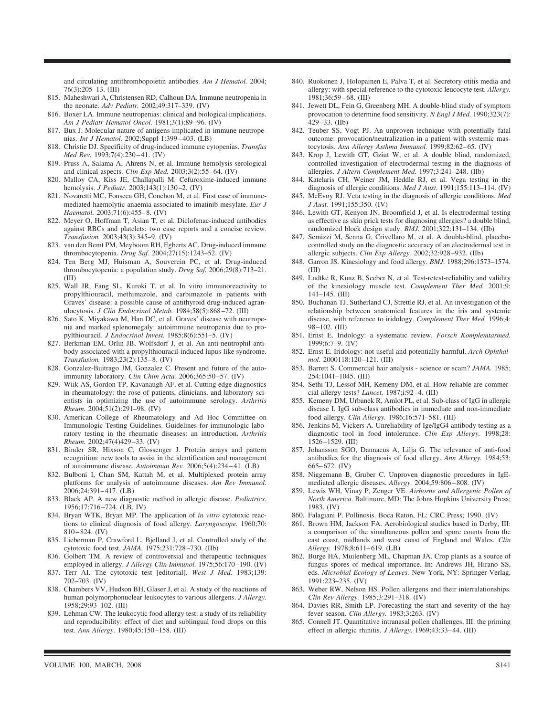and circulating antithrombopoietin antibodies. *Am J Hematol.* 2004; 76(3):205–13. (III)

- 815. Maheshwari A, Christensen RD, Calhoun DA. Immune neutropenia in the neonate. *Adv Pediatr.* 2002;49:317–339. (IV)
- 816. Boxer LA. Immune neutropenias: clinical and biological implications. *Am J Pediatr Hematol Oncol.* 1981;3(1):89 –96. (IV)
- 817. Bux J. Molecular nature of antigens implicated in immune neutropenias. *Int J Hematol.* 2002;Suppl 1:399 – 403. (LB)
- 818. Christie DJ. Specificity of drug-induced immune cytopenias. *Transfus Med Rev.* 1993;7(4):230-41. (IV)
- 819. Pruss A, Salama A, Ahrens N, et al. Immune hemolysis-serological and clinical aspects. *Clin Exp Med.* 2003;3(2):55-64. (IV)
- 820. Malloy CA, Kiss JE, Challapalli M. Cefuroxime-induced immune hemolysis. *J Pediatr.* 2003;143(1):130 –2. (IV)
- 821. Novaretti MC, Fonseca GH, Conchon M, et al. First case of immunemediated haemolytic anaemia associated to imatinib mesylate. *Eur J Haematol.* 2003;71(6):455– 8. (IV)
- 822. Meyer O, Hoffman T, Asian T, et al. Diclofenac-induced antibodies against RBCs and platelets: two case reports and a concise review. *Transfusion.* 2003;43(3):345–9. (IV)
- 823. van den Bemt PM, Meyboom RH, Egberts AC. Drug-induced immune thrombocytopenia. *Drug Saf.* 2004;27(15):1243–52. (IV)
- 824. Ten Berg MJ, Huisman A, Souverein PC, et al. Drug-induced thrombocytopenia: a population study. *Drug Saf.* 2006;29(8):713–21. (III)
- 825. Wall JR, Fang SL, Kuroki T, et al. In vitro immunoreactivity to propylthiouracil, methimazole, and carbimazole in patients with Graves' disease: a possible cause of antithyroid drug-induced agranulocytosis. *J Clin Endocrinol Metab.* 1984;58(5):868 –72. (III)
- 826. Sato K, Miyakawa M, Han DC, et al. Graves' disease with neutropenia and marked splenomegaly: autoimmune neutropenia due to propylthiouracil. *J Endocrinol Invest.* 1985;8(6):551–5. (IV)
- 827. Berkman EM, Orlin JB, Wolfsdorf J, et al. An anti-neutrophil antibody associated with a propylthiouracil-induced lupus-like syndrome. *Transfusion.* 1983;23(2):135– 8. (IV)
- 828. Gonzalez-Buitrago JM, Gonzalez C. Present and future of the autoimmunity laboratory. *Clin Chim Acta.* 2006;365:50 –57. (IV)
- 829. Wiik AS, Gordon TP, Kavanaugh AF, et al. Cutting edge diagnostics in rheumatology: the rose of patients, clinicians, and laboratory scientists in optimizing the use of autoimmune serology. *Arthritis Rheum.* 2004;51(2):291–98. (IV)
- 830. American College of Rheumatology and Ad Hoc Committee on Immunologic Testing Guidelines. Guidelines for immunologic laboratory testing in the rheumatic diseases: an introduction. *Arthritis Rheum.* 2002;47(4)429 –33. (IV)
- 831. Binder SR, Hixson C, Glossenger J. Protein arrays and pattern recognition: new tools to assist in the identification and management of autoimmune disease. *Autoimmun Rev.* 2006;5(4):234 – 41. (LB)
- 832. Bulboni I, Chan SM, Kattah M, et al. Multiplexed protein array platforms for analysis of autoimmune diseases. *Am Rev Immunol.* 2006;24:391– 417. (LB)
- 833. Black AP. A new diagnostic method in allergic disease. *Pediatrics.* 1956;17:716 –724. (LB, IV)
- 834. Bryan WTK, Bryan MP. The application of *in vitro* cytotoxic reactions to clinical diagnosis of food allergy. *Laryngoscope.* 1960;70: 810 – 824. (IV)
- 835. Lieberman P, Crawford L, Bjelland J, et al. Controlled study of the cytotoxic food test. *JAMA.* 1975;231:728 –730. (IIb)
- 836. Golbert TM. A review of controversial and therapeutic techniques employed in allergy. *J Allergy Clin Immunol*. 1975;56:170-190. (IV)
- 837. Terr AI. The cytotoxic test [editorial]. *West J Med.* 1983;139: 702–703. (IV)
- 838. Chambers VV, Hudson BH, Glaser J, et al. A study of the reactions of human polymorphonuclear leukocytes to various allergens. *J Allergy.* 1958;29:93–102. (III)
- 839. Lehman CW. The leukocytic food allergy test: a study of its reliability and reproducibility: effect of diet and sublingual food drops on this test. *Ann Allergy.* 1980;45:150 –158. (III)
- 840. Ruokonen J, Holopainen E, Palva T, et al. Secretory otitis media and allergy: with special reference to the cytotoxic leucocyte test. *Allergy.* 1981;36:59 – 68. (III)
- 841. Jewett DL, Fein G, Greenberg MH. A double-blind study of symptom provocation to determine food sensitivity. *N Engl J Med.* 1990;323(7): 429 –33. (IIb)
- 842. Teuber SS, Vogt PJ. An unproven technique with potentially fatal outcome: provocation/neutralization in a patient with systemic mastocytosis. Ann Allergy Asthma Immunol. 1999;82:62-65. (IV)
- 843. Krop J, Lewith GT, Gziut W, et al. A double blind, randomized, controlled investigation of electrodermal testing in the diagnosis of allergies. *J Altern Complement Med.* 1997;3:241–248. (IIb)
- 844. Katelaris CH, Weiner JM, Heddle RJ, et al. Vega testing in the diagnosis of allergic conditions. *Med J Aust.* 1991;155:113–114. (IV)
- 845. McEvoy RJ. Veta testing in the diagnosis of allergic conditions. *Med J Aust.* 1991;155:350. (IV)
- 846. Lewith GT, Kenyon JN, Broomfield J, et al. Is electrodermal testing as effective as skin prick tests for diagnosing allergies? a double blind, randomized block design study. *BMJ.* 2001;322:131–134. (IIb)
- 847. Semizzi M, Senna G, Crivellaro M, et al. A double-blind, placebocontrolled study on the diagnostic accuracy of an electrodermal test in allergic subjects. *Clin Exp Allergy.* 2002;32:928 –932. (IIb)
- 848. Garron JS. Kinesiology and food allergy. *BMJ.* 1988;296:1573–1574. (III)
- 849. Ludtke R, Kunz B, Seeber N, et al. Test-retest-reliability and validity of the kinesiology muscle test. *Complement Ther Med.* 2001;9: 141–145. (III)
- 850. Buchanan TJ, Sutherland CJ, Strettle RJ, et al. An investigation of the relationship between anatomical features in the iris and systemic disease, with reference to iridology. *Complement Ther Med.* 1996;4: 98 –102. (III)
- 851. Ernst E. Iridology: a systematic review. *Forsch Komplemtarmed.* 1999;6:7–9. (IV)
- 852. Ernst E. Iridology: not useful and potentially harmful. *Arch Ophthalmol.* 2000118:120 –121. (III)
- 853. Barrett S. Commercial hair analysis science or scam? *JAMA.* 1985; 254:1041–1045. (III)
- 854. Sethi TJ, Lessof MH, Kemeny DM, et al. How reliable are commercial allergy tests? *Lancet.* 1987;i:92– 4. (III)
- 855. Kemeny DM, Urbanek R, Amlot PL, et al. Sub-class of IgG in allergic disease I. IgG sub-class antibodies in immediate and non-immediate food allergy. *Clin Allergy.* 1986;16:571–581. (III)
- 856. Jenkins M, Vickers A. Unreliability of Ige/IgG4 antibody testing as a diagnostic tool in food intolerance. *Clin Exp Allergy.* 1998;28: 1526 –1529. (III)
- 857. Johansson SGO, Dannaeus A, Lilja G. The relevance of anti-food antibodies for the diagnosis of food allergy. *Ann Allergy.* 1984;53: 665– 672. (IV)
- 858. Niggemann B, Gruber C. Unproven diagnostic procedures in IgEmediated allergic diseases. *Allergy.* 2004;59:806 – 808. (IV)
- 859. Lewis WH, Vinay P, Zenger VE. *Airborne and Allergenic Pollen of North America*. Baltimore, MD: The Johns Hopkins University Press; 1983. (IV)
- 860. Falagiani P. Pollinosis. Boca Raton, FL: CRC Press; 1990. (IV)
- 861. Brown HM, Jackson FA. Aerobiological studies based in Derby, III: a comparison of the simultaneous pollen and spore counts from the east coast, midlands and west coast of England and Wales. *Clin Allergy.* 1978;8:611– 619. (LB)
- 862. Burge HA, Muilenberg ML, Chapman JA. Crop plants as a source of fungus spores of medical importance. In: Andrews JH, Hirano SS, eds. *Microbial Ecology of Leaves.* New York, NY: Springer-Verlag, 1991:223–235. (IV)
- 863. Weber RW, Nelson HS. Pollen allergens and their interralationships. *Clin Rev Allergy.* 1985;3:291–318. (IV)
- 864. Davies RR, Smith LP. Forecasting the start and severity of the hay fever season. *Clin Allergy.* 1983;3:263. (IV)
- 865. Connell JT. Quantitative intranasal pollen challenges, III: the priming effect in allergic rhinitis. *J Allergy.* 1969;43:33– 44. (III)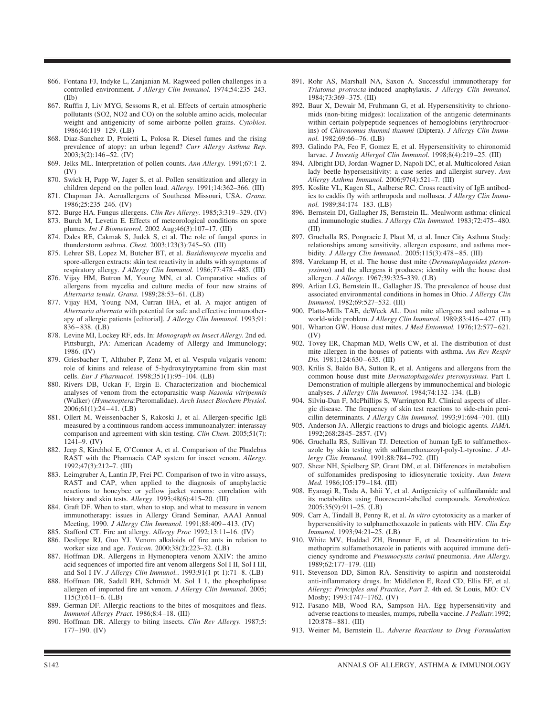- 866. Fontana FJ, Indyke L, Zanjanian M. Ragweed pollen challenges in a controlled environment. *J Allergy Clin Immunol.* 1974;54:235–243. (IIb)
- 867. Ruffin J, Liv MYG, Sessoms R, et al. Effects of certain atmospheric pollutants (SO2, NO2 and CO) on the soluble amino acids, molecular weight and antigenicity of some airborne pollen grains. *Cytobios.* 1986;46:119 –129. (LB)
- 868. Diaz-Sanchez D, Proietti L, Polosa R. Diesel fumes and the rising prevalence of atopy: an urban legend? *Curr Allergy Asthma Rep*. 2003;3(2):146 –52. (IV)
- 869. Jelks ML. Interpretation of pollen counts. *Ann Allergy.* 1991;67:1–2. (IV)
- 870. Swick H, Papp W, Jager S, et al. Pollen sensitization and allergy in children depend on the pollen load. *Allergy.* 1991;14:362–366. (III)
- 871. Chapman JA. Aeroallergens of Southeast Missouri, USA. *Grana*. 1986;25:235–246. (IV)
- 872. Burge HA. Fungus allergens. *Clin Rev Allergy.* 1985;3:319 –329. (IV)
- 873. Burch M, Levetin E. Effects of meteorological conditions on spore plumes. *Int J Biometeorol*. 2002 Aug;46(3):107–17. (III)
- 874. Dales RE, Cakmak S, Judek S, et al. The role of fungal spores in thunderstorm asthma. *Chest.* 2003;123(3):745–50. (III)
- 875. Lehrer SB, Lopez M, Butcher BT, et al. *Basidiomycete* mycelia and spore-allergen extracts: skin test reactivity in adults with symptoms of respiratory allergy. *J Allergy Clin Immunol.* 1986;77:478 – 485. (III)
- 876. Vijay HM, Butron M, Young MN, et al. Comparative studies of allergens from mycelia and culture media of four new strains of *Alternaria tenuis. Grana.* 1989;28:53– 61. (LB)
- 877. Vijay HM, Young NM, Curran IHA, et al. A major antigen of *Alternaria alternata* with potential for safe and effective immunotherapy of allergic patients [editorial]. *J Allergy Clin Immunol.* 1993;91: 836 – 838. (LB)
- 878. Levine MI, Lockey RF, eds. In: *Monograph on Insect Allergy*. 2nd ed. Pittsburgh, PA: American Academy of Allergy and Immunology; 1986. (IV)
- 879. Griesbacher T, Althuber P, Zenz M, et al. Vespula vulgaris venom: role of kinins and release of 5-hydroxytryptamine from skin mast cells. *Eur J Pharmacol.* 1998;351(1):95–104. (LB)
- 880. Rivers DB, Uckan F, Ergin E. Characterization and biochemical analyses of venom from the ectoparasitic wasp *Nasonia vitripennis* (Walker) (*Hymenoptera*:Pteromalidae). *Arch Insect Biochem Physiol*. 2006;61(1):24 – 41. (LB)
- 881. Ollert M, Weissenbacher S, Rakoski J, et al. Allergen-specific IgE measured by a continuous random-access immunoanalyzer: interassay comparison and agreement with skin testing. *Clin Chem.* 2005;51(7): 1241–9. (IV)
- 882. Jeep S, Kirchhol E, O'Connor A, et al. Comparison of the Phadebas RAST with the Pharmacia CAP system for insect venom. *Allergy*. 1992;47(3):212–7. (III)
- 883. Leimgruber A, Lantin JP, Frei PC. Comparison of two in vitro assays, RAST and CAP, when applied to the diagnosis of anaphylactic reactions to honeybee or yellow jacket venoms: correlation with history and skin tests*. Allergy*. 1993;48(6):415–20. (III)
- 884. Graft DF. When to start, when to stop, and what to measure in venom immunotherapy: issues in Allergy Grand Seminar, AAAI Annual Meeting, 1990. *J Allergy Clin Immunol.* 1991;88:409 – 413. (IV)
- 885. Stafford CT. Fire ant allergy. *Allergy Proc* 1992;13:11–16. (IV)
- 886. Deslippe RJ, Guo YJ. Venom alkaloids of fire ants in relation to worker size and age. *Toxicon*. 2000;38(2):223–32. (LB)
- 887. Hoffman DR. Allergens in Hymenoptera venom XXIV: the amino acid sequences of imported fire ant venom allergens Sol I II, Sol I III, and Sol I IV. *J Allergy Clin Immunol.*. 1993;91(1 pt 1):71-8. (LB)
- 888. Hoffman DR, Sadell RH, Schmidt M. Sol I 1, the phospholipase allergen of imported fire ant venom. *J Allergy Clin Immunol*. 2005;  $115(3):611-6.$  (LB)
- 889. German DF. Allergic reactions to the bites of mosquitoes and fleas. *Immunol Allergy Pract.* 1986;8:4 –18. (III)
- 890. Hoffman DR. Allergy to biting insects. *Clin Rev Allergy.* 1987;5: 177–190. (IV)
- 891. Rohr AS, Marshall NA, Saxon A. Successful immunotherapy for *Triatoma protracta*-induced anaphylaxis. *J Allergy Clin Immunol.* 1984;73:369 –375. (III)
- 892. Baur X, Dewair M, Fruhmann G, et al. Hypersensitivity to chrionomids (non-biting midges): localization of the antigenic determinants within certain polypeptide sequences of hemoglobins (erythrocruorins) of *Chironomus thummi thummi* (Diptera). *J Allergy Clin Immunol.* 1982;69:66 –76. (LB)
- 893. Galindo PA, Feo F, Gomez E, et al. Hypersensitivity to chironomid larvae. *J Investig Allergol Clin Immunol*. 1998;8(4):219 –25. (III)
- 894. Albright DD, Jordan-Wagner D, Napoli DC, et al. Multicolored Asian lady beetle hypersensitivity: a case series and allergist survey. *Ann Allergy Asthma Immunol.* 2006;97(4):521–7. (III)
- 895. Koslite VL, Kagen SL, Aalberse RC. Cross reactivity of IgE antibodies to caddis fly with arthropoda and mollusca. *J Allergy Clin Immunol.* 1989;84:174 –183. (LB)
- 896. Bernstein DI, Gallagher JS, Bernstein IL. Mealworm asthma: clinical and immunologic studies. *J Allergy Clin Immunol.* 1983;72:475– 480. (III)
- 897. Gruchalla RS, Pongracic J, Plaut M, et al. Inner City Asthma Study: relationships among sensitivity, allergen exposure, and asthma morbidity. *J Allergy Clin Immunol.*. 2005;115(3):478 – 85. (III)
- 898. Varekamp H, et al. The house dust mite (*Dermatophagoides pteronyssinus*) and the allergens it produces; identity with the house dust allergen. *J Allergy.* 1967;39:325–339. (LB)
- 899. Arlian LG, Bernstein IL, Gallagher JS. The prevalence of house dust associated environmental conditions in homes in Ohio. *J Allergy Clin Immunol.* 1982;69:527–532. (III)
- 900. Platts-Mills TAE, deWeck AL. Dust mite allergens and asthma a world-wide problem. *J Allergy Clin Immunol*. 1989;83:416-427. (III)
- 901. Wharton GW. House dust mites. *J Med Entonmol.* 1976;12:577– 621. (IV)
- 902. Tovey ER, Chapman MD, Wells CW, et al. The distribution of dust mite allergen in the houses of patients with asthma. *Am Rev Respir Dis.* 1981;124:630-635. (III)
- 903. Krilis S, Baldo BA, Sutton R, et al. Antigens and allergens from the common house dust mite *Dermatophagoides pteronyssinus.* Part I. Demonstration of multiple allergens by immunochemical and biologic analyses. *J Allergy Clin Immunol.* 1984;74:132–134. (LB)
- 904. Silviu-Dan F, McPhillips S, Warrington RJ. Clinical aspects of allergic disease. The frequency of skin test reactions to side-chain penicillin determinants. *J Allergy Clin Immunol.* 1993;91:694 –701. (III)
- 905. Anderson JA. Allergic reactions to drugs and biologic agents. *JAMA.* 1992;268:2845–2857. (IV)
- 906. Gruchalla RS, Sullivan TJ. Detection of human IgE to sulfamethoxazole by skin testing with sulfamethoxazoyl-poly-L-tyrosine. *J Allergy Clin Immunol.* 1991;88:784 –792. (III)
- 907. Shear NH, Spielberg SP, Grant DM, et al. Differences in metabolism of sulfonamides predisposing to idiosyncratic toxicity. *Ann Intern Med.* 1986;105:179 –184. (III)
- 908. Eyanagi R, Toda A, Ishii Y, et al. Antigenicity of sulfanilamide and its metabolites using fluorescent-labelled compounds. *Xenobiotica.* 2005;35(9):911–25. (LB)
- 909. Carr A, Tindall B, Penny R, et al. *In vitro* cytotoxicity as a marker of hypersensitivity to sulphamethoxazole in patients with HIV. *Clin Exp Immunol.* 1993;94:21–25. (LB)
- 910. White MV, Haddad ZH, Brunner E, et al. Desensitization to trimethoprim sulfamethoxazole in patients with acquired immune deficiency syndrome and *Pneumocystis carinii* pneumonia. *Ann Allergy.* 1989;62:177–179. (III)
- 911. Stevenson DD, Simon RA. Sensitivity to aspirin and nonsteroidal anti-inflammatory drugs. In: Middleton E, Reed CD, Ellis EF, et al. *Allergy: Principles and Practice*, *Part 2.* 4th ed. St Louis, MO: CV Mosby; 1993:1747–1762. (IV)
- 912. Fasano MB, Wood RA, Sampson HA. Egg hypersensitivity and adverse reactions to measles, mumps, rubella vaccine. *J Pediatr.*1992; 120:878 – 881. (III)
- 913. Weiner M, Bernstein IL. *Adverse Reactions to Drug Formulation*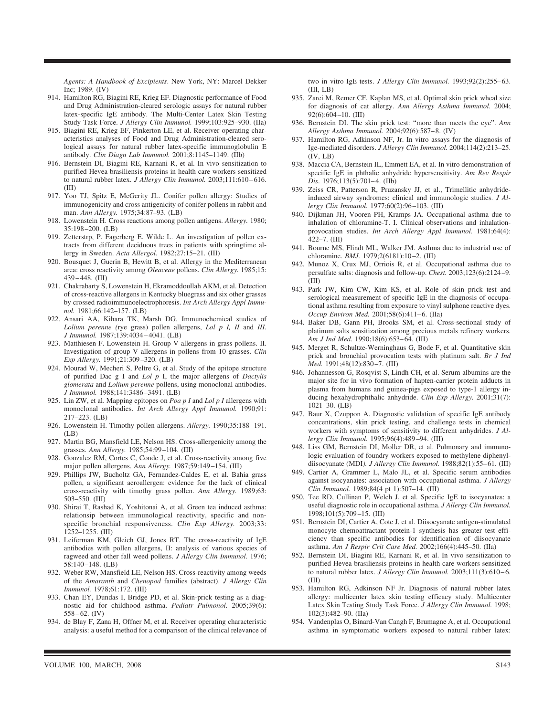*Agents: A Handbook of Excipients*. New York, NY: Marcel Dekker Inc; 1989. (IV)

- 914. Hamilton RG, Biagini RE, Krieg EF. Diagnostic performance of Food and Drug Administration-cleared serologic assays for natural rubber latex-specific IgE antibody. The Multi-Center Latex Skin Testing Study Task Force. *J Allergy Clin Immunol.* 1999;103:925–930. (IIa)
- 915. Biagini RE, Krieg EF, Pinkerton LE, et al. Receiver operating characteristics analyses of Food and Drug Administration-cleared serological assays for natural rubber latex-specific immunoglobulin E antibody. *Clin Diagn Lab Immunol.* 2001;8:1145–1149. (IIb)
- 916. Bernstein DI, Biagini RE, Karnani R, et al. In vivo sensitization to purified Hevea brasiliensis proteins in health care workers sensitized to natural rubber latex. *J Allergy Clin Immunol*. 2003;111:610-616. (III)
- 917. Yoo TJ, Spitz E, McGerity JL. Conifer pollen allergy: Studies of immunogenicity and cross antigenicity of conifer pollens in rabbit and man. *Ann Allergy.* 1975;34:87–93. (LB)
- 918. Lowenstein H. Cross reactions among pollen antigens. *Allergy.* 1980; 35:198 –200. (LB)
- 919. Zetterstrp, P. Fagerberg E. Wilde L. An investigation of pollen extracts from different deciduous trees in patients with springtime allergy in Sweden. *Acta Allergol.* 1982;27:15–21. (III)
- 920. Bousquet J, Guerin B, Hewitt B, et al. Allergy in the Mediterranean area: cross reactivity among *Oleaceae* pollens. *Clin Allergy.* 1985;15: 439 – 448. (III)
- 921. Chakrabarty S, Lowenstein H, Ekramoddoullah AKM, et al. Detection of cross-reactive allergens in Kentucky bluegrass and six other grasses by crossed radioimmunoelectrophoresis. *Int Arch Allergy Appl Immunol.* 1981;66:142–157. (LB)
- 922. Ansari AA, Kihara TK, Marsh DG. Immunochemical studies of *Lolium perenne (*rye grass) pollen allergens, *Lol p I, II* and *III. J Immunol.* 1987;139:4034 – 4041. (LB)
- 923. Matthiesen F. Lowenstein H. Group V allergens in grass pollens. II. Investigation of group V allergens in pollens from 10 grasses. *Clin Exp Allergy.* 1991;21:309 –320. (LB)
- 924. Mourad W, Mecheri S, Peltre G, et al. Study of the epitope structure of purified Dac g I and *Lol p* I, the major allergens of *Dactylis glomerata* and *Lolium perenne* pollens, using monoclonal antibodies. *J Immunol.* 1988;141:3486 –3491. (LB)
- 925. Lin ZW, et al. Mapping epitopes on *Poa p I* and *Lol p I* allergens with monoclonal antibodies. *Int Arch Allergy Appl Immunol.* 1990;91: 217–223. (LB)
- 926. Lowenstein H. Timothy pollen allergens. *Allergy.* 1990;35:188 –191. (LB)
- 927. Martin BG, Mansfield LE, Nelson HS. Cross-allergenicity among the grasses. *Ann Allergy.* 1985;54:99 –104. (III)
- 928. Gonzalez RM, Cortes C, Conde J, et al. Cross-reactivity among five major pollen allergens. *Ann Allergy.* 1987;59:149 –154. (III)
- 929. Phillips JW, Bucholtz GA, Fernandez-Caldes E, et al. Bahia grass pollen, a significant aeroallergen: evidence for the lack of clinical cross-reactivity with timothy grass pollen. *Ann Allergy.* 1989;63: 503–550. (III)
- 930. Shirai T, Rashad K, Yoshitonai A, et al. Green tea induced asthma: relationsip between immunological reactivity, specific and nonspecific bronchial responsiveness. *Clin Exp Allergy.* 2003;33: 1252–1255. (III)
- 931. Leiferman KM, Gleich GJ, Jones RT. The cross-reactivity of IgE antibodies with pollen allergens, II: analysis of various species of ragweed and other fall weed pollens. *J Allergy Clin Immunol.* 1976; 58:140 –148. (LB)
- 932. Weber RW, Mansfield LE, Nelson HS. Cross-reactivity among weeds of the *Amaranth* and *Chenopod* families (abstract). *J Allergy Clin Immunol.* 1978;61:172. (III)
- 933. Chan EY, Dundas I, Bridge PD, et al. Skin-prick testing as a diagnostic aid for childhood asthma. *Pediatr Pulmonol.* 2005;39(6):  $558 - 62$ . (IV)
- 934. de Blay F, Zana H, Offner M, et al. Receiver operating characteristic analysis: a useful method for a comparison of the clinical relevance of

two in vitro IgE tests. *J Allergy Clin Immunol.* 1993;92(2):255–63. (III, LB)

- 935. Zarei M, Remer CF, Kaplan MS, et al. Optimal skin prick wheal size for diagnosis of cat allergy. *Ann Allergy Asthma Immunol.* 2004; 92(6):604 –10. (III)
- 936. Bernstein DI. The skin prick test: "more than meets the eye". *Ann Allergy Asthma Immunol.* 2004;92(6):587– 8. (IV)
- 937. Hamilton RG, Adkinson NF, Jr. In vitro assays for the diagnosis of Ige-mediated disorders. *J Allergy Clin Immunol.* 2004;114(2):213–25.  $(IV, LB)$
- 938. Maccia CA, Bernstein IL, Emmett EA, et al. In vitro demonstration of specific IgE in phthalic anhydride hypersensitivity. *Am Rev Respir Dis.* 1976;113(5):701–4. (IIb)
- 939. Zeiss CR, Patterson R, Pruzansky JJ, et al., Trimellitic anhydrideinduced airway syndromes: clinical and immunologic studies. *J Allergy Clin Immunol.* 1977;60(2):96 –103. (III)
- 940. Dijkman JH, Vooren PH, Kramps JA. Occupational asthma due to inhalation of chloramine-T. I. Clinical observations and inhalationprovocation studies. *Int Arch Allergy Appl Immunol.* 1981;64(4): 422–7. (III)
- 941. Bourne MS, Flindt ML, Walker JM. Asthma due to industrial use of chloramine. *BMJ.* 1979;2(6181):10-2. (III)
- 942. Munoz X, Crux MJ, Orriois R, et al. Occupational asthma due to persulfate salts: diagnosis and follow-up. *Chest.* 2003;123(6):2124 –9. (III)
- 943. Park JW, Kim CW, Kim KS, et al. Role of skin prick test and serological measurement of specific IgE in the diagnosis of occupational asthma resulting from exposure to vinyl sulphone reactive dyes. *Occup Environ Med.* 2001;58(6):411-6. (IIa)
- 944. Baker DB, Gann PH, Brooks SM, et al. Cross-sectional study of platinum salts sensitization among precious metals refinery workers. *Am J Ind Med.* 1990;18(6):653– 64. (III)
- 945. Merget R, Schultze-Werninghaus G, Bode F, et al. Quantitative skin prick and bronchial provocation tests with platinum salt. *Br J Ind Med.* 1991;48(12):830-7. (III)
- 946. Johannesson G, Rosqvist S, Lindh CH, et al. Serum albumins are the major site for in vivo formation of hapten-carrier protein adducts in plasma from humans and guinea-pigs exposed to type-1 allergy inducing hexahydrophthalic anhydride. *Clin Exp Allergy.* 2001;31(7): 1021–30. (LB)
- 947. Baur X, Czuppon A. Diagnostic validation of specific IgE antibody concentrations, skin prick testing, and challenge tests in chemical workers with symptoms of sensitivity to different anhydrides. *J Allergy Clin Immunol.* 1995;96(4):489 –94. (III)
- 948. Liss GM, Bernstein DI, Moller DR, et al. Pulmonary and immunologic evaluation of foundry workers exposed to methylene diphenyldiisocyanate (MDI). J Allergy Clin Immunol. 1988;82(1):55-61. (III)
- 949. Cartier A, Grammer L, Malo JL, et al. Specific serum antibodies against isocyanates: association with occupational asthma. *J Allergy Clin Immunol.* 1989;84(4 pt 1):507–14. (III)
- 950. Tee RD, Cullinan P, Welch J, et al. Specific IgE to isocyanates: a useful diagnostic role in occupational asthma. *J Allergy Clin Immunol.* 1998;101(5):709 –15. (III)
- 951. Bernstein DI, Cartier A, Cote J, et al. Diisocyanate antigen-stimulated monocyte chemoattractant protein-1 synthesis has greater test efficiency than specific antibodies for identification of diisocyanate asthma. *Am J Respir Crit Care Med.* 2002;166(4):445–50. (IIa)
- 952. Bernstein DI, Biagini RE, Karnani R, et al. In vivo sensitization to purified Hevea brasiliensis proteins in health care workers sensitized to natural rubber latex. *J Allergy Clin Immunol*. 2003;111(3):610-6. (III)
- 953. Hamilton RG, Adkinson NF Jr. Diagnosis of natural rubber latex allergy: multicenter latex skin testing efficacy study. Multicenter Latex Skin Testing Study Task Force. *J Allergy Clin Immunol.* 1998; 102(3):482–90. (IIa)
- 954. Vandenplas O, Binard-Van Cangh F, Brumagne A, et al. Occupational asthma in symptomatic workers exposed to natural rubber latex: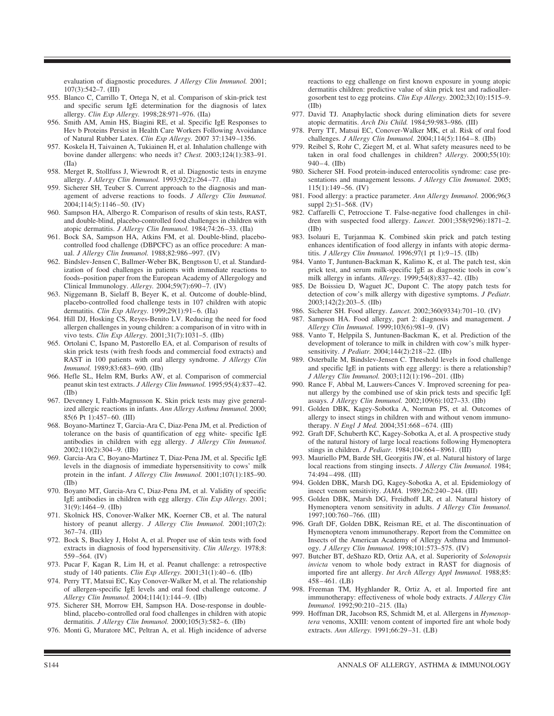evaluation of diagnostic procedures. *J Allergy Clin Immunol.* 2001; 107(3):542–7. (III)

- 955. Blanco C, Carrillo T, Ortega N, et al. Comparison of skin-prick test and specific serum IgE determination for the diagnosis of latex allergy. *Clin Exp Allergy.* 1998;28:971–976. (IIa)
- 956. Smith AM, Amin HS, Biagini RE, et al. Specific IgE Responses to Hev b Proteins Persist in Health Care Workers Following Avoidance of Natural Rubber Latex. *Clin Exp Allergy.* 2007 37:1349 –1356.
- 957. Koskela H, Taivainen A, Tukiainen H, et al. Inhalation challenge with bovine dander allergens: who needs it? *Chest.* 2003;124(1):383–91. (IIa)
- 958. Merget R, Stollfuss J, Wiewrodt R, et al. Diagnostic tests in enzyme allergy. *J Allergy Clin Immunol.* 1993;92(2):264 –77. (IIa)
- 959. Sicherer SH, Teuber S. Current approach to the diagnosis and management of adverse reactions to foods. *J Allergy Clin Immunol.* 2004;114(5):1146 –50. (IV)
- 960. Sampson HA, Albergo R. Comparison of results of skin tests, RAST, and double-blind, placebo-controlled food challenges in children with atopic dermatitis. *J Allergy Clin Immunol.* 1984;74:26 –33. (IIa)
- 961. Bock SA, Sampson HA, Atkins FM, et al. Double-blind, placebocontrolled food challenge (DBPCFC) as an office procedure: A manual. *J Allergy Clin Immunol.* 1988;82:986 –997. (IV)
- 962. Bindslev-Jensen C, Ballmer-Weber BK, Bengtsson U, et al. Standardization of food challenges in patients with immediate reactions to foods–position paper from the European Academy of Allergology and Clinical Immunology. *Allergy.* 2004;59(7):690 –7. (IV)
- 963. Niggemann B, Sielaff B, Beyer K, et al. Outcome of double-blind, placebo-controlled food challenge tests in 107 children with atopic dermatitis. *Clin Exp Allergy*. 1999;29(1):91–6. (IIa)
- 964. Hill DJ, Hosking CS, Reyes-Benito LV. Reducing the need for food allergen challenges in young children: a comparison of in vitro with in vivo tests. *Clin Exp Allergy.* 2001;31(7):1031–5. (IIb)
- 965. Ortolani C, Ispano M, Pastorello EA, et al. Comparison of results of skin prick tests (with fresh foods and commercial food extracts) and RAST in 100 patients with oral allergy syndrome. *J Allergy Clin Immunol.* 1989;83:683-690. (IIb)
- 966. Hefle SL, Helm RM, Burks AW, et al. Comparison of commercial peanut skin test extracts. *J Allergy Clin Immunol.* 1995;95(4):837– 42. (IIb)
- 967. Devenney I, Falth-Magnusson K. Skin prick tests may give generalized allergic reactions in infants. *Ann Allergy Asthma Immunol.* 2000; 85(6 Pt 1):457– 60. (III)
- 968. Boyano-Martinez T, Garcia-Ara C, Diaz-Pena JM, et al. Prediction of tolerance on the basis of quantification of egg white- specific IgE antibodies in children with egg allergy. *J Allergy Clin Immunol.* 2002;110(2):304 –9. (IIb)
- 969. Garcia-Ara C, Boyano-Martinez T, Diaz-Pena JM, et al. Specific IgE levels in the diagnosis of immediate hypersensitivity to cows' milk protein in the infant. *J Allergy Clin Immunol.* 2001;107(1):185–90. (IIb)
- 970. Boyano MT, Garcia-Ara C, Diaz-Pena JM, et al. Validity of specific IgE antibodies in children with egg allergy. *Clin Exp Allergy.* 2001; 31(9):1464 –9. (IIb)
- 971. Skolnick HS, Conover-Walker MK, Koerner CB, et al. The natural history of peanut allergy. *J Allergy Clin Immunol.* 2001;107(2): 367–74. (III)
- 972. Bock S, Buckley J, Holst A, et al. Proper use of skin tests with food extracts in diagnosis of food hypersensitivity. *Clin Allergy.* 1978;8: 559 –564. (IV)
- 973. Pucar F, Kagan R, Lim H, et al. Peanut challenge: a retrospective study of 140 patients. *Clin Exp Allergy*. 2001;31(1):40-6. (IIb)
- 974. Perry TT, Matsui EC, Kay Conover-Walker M, et al. The relationship of allergen-specific IgE levels and oral food challenge outcome. *J Allergy Clin Immunol.* 2004;114(1):144 –9. (IIb)
- 975. Sicherer SH, Morrow EH, Sampson HA. Dose-response in doubleblind, placebo-controlled oral food challenges in children with atopic dermatitis. *J Allergy Clin Immunol*. 2000;105(3):582-6. (IIb)
- 976. Monti G, Muratore MC, Peltran A, et al. High incidence of adverse

reactions to egg challenge on first known exposure in young atopic dermatitis children: predictive value of skin prick test and radioallergosorbent test to egg proteins. *Clin Exp Allergy.* 2002;32(10):1515–9. (IIb)

- 977. David TJ. Anaphylactic shock during elimination diets for severe atopic dermatitis. *Arch Dis Child.* 1984;59:983–986. (III)
- 978. Perry TT, Matsui EC, Conover-Walker MK, et al. Risk of oral food challenges. *J Allergy Clin Immunol.* 2004;114(5):1164-8. (IIb)
- 979. Reibel S, Rohr C, Ziegert M, et al. What safety measures need to be taken in oral food challenges in children? *Allergy.* 2000;55(10):  $940 - 4.$  (IIb)
- 980. Sicherer SH. Food protein-induced enterocolitis syndrome: case presentations and management lessons. *J Allergy Clin Immunol.* 2005; 115(1):149 –56. (IV)
- 981. Food allergy: a practice parameter. *Ann Allergy Immunol.* 2006;96(3 suppl 2):51–568. (IV)
- 982. Caffarelli C, Petroccione T. False-negative food challenges in children with suspected food allergy. *Lancet.* 2001;358(9296):1871–2. (IIb)
- 983. Isolauri E, Turjanmaa K. Combined skin prick and patch testing enhances identification of food allergy in infants with atopic dermatitis. *J Allergy Clin Immunol.* 1996;97(1 pt 1):9-15. (IIb)
- 984. Vanto T, Juntunen-Backman K, Kalimo K, et al. The patch test, skin prick test, and serum milk-specific IgE as diagnostic tools in cow's milk allergy in infants. *Allergy.* 1999;54(8):837– 42. (IIb)
- 985. De Boissieu D, Waguet JC, Dupont C. The atopy patch tests for detection of cow's milk allergy with digestive symptoms. *J Pediatr.* 2003;142(2):203–5. (IIb)
- 986. Sicherer SH. Food allergy. *Lancet.* 2002;360(9334):701–10. (IV)
- 987. Sampson HA. Food allergy, part 2: diagnosis and management. *J Allergy Clin Immunol.* 1999;103(6):981–9. (IV)
- 988. Vanto T, Helppila S, Juntunen-Backman K, et al. Prediction of the development of tolerance to milk in children with cow's milk hypersensitivity. *J Pediatr.* 2004;144(2):218 –22. (IIb)
- 989. Osterballe M, Bindslev-Jensen C. Threshold levels in food challenge and specific IgE in patients with egg allergy: is there a relationship? *J Allergy Clin Immunol.* 2003;112(1):196 –201. (IIb)
- 990. Rance F, Abbal M, Lauwers-Cances V. Improved screening for peanut allergy by the combined use of skin prick tests and specific IgE assays. *J Allergy Clin Immunol.* 2002;109(6):1027–33. (IIb)
- 991. Golden DBK, Kagey-Sobotka A, Norman PS, et al. Outcomes of allergy to insect stings in children with and without venom immunotherapy. *N Engl J Med.* 2004;351:668 – 674. (III)
- 992. Graft DF, Schuberth KC, Kagey-Sobotka A, et al. A prospective study of the natural history of large local reactions following Hymenoptera stings in children. *J Pediatr.* 1984;104:664 – 8961. (III)
- 993. Mauriello PM, Barde SH, Georgitis JW, et al. Natural history of large local reactions from stinging insects. *J Allergy Clin Immunol.* 1984; 74:494 – 498. (III)
- 994. Golden DBK, Marsh DG, Kagey-Sobotka A, et al. Epidemiology of insect venom sensitivity. *JAMA.* 1989;262:240 –244. (III)
- 995. Golden DBK, Marsh DG, Freidhoff LR, et al. Natural history of Hymenoptera venom sensitivity in adults. *J Allergy Clin Immunol.* 1997;100:760 –766. (III)
- 996. Graft DF, Golden DBK, Reisman RE, et al. The discontinuation of Hymenoptera venom immunotherapy. Report from the Committee on Insects of the American Academy of Allergy Asthma and Immunology. *J Allergy Clin Immunol.* 1998;101:573–575. (IV)
- 997. Butcher BT, deShazo RD, Ortiz AA, et al. Superiority of *Solenopsis invicta* venom to whole body extract in RAST for diagnosis of imported fire ant allergy. *Int Arch Allergy Appl Immunol.* 1988;85: 458 – 461. (LB)
- 998. Freeman TM, Hyghlander R, Ortiz A, et al. Imported fire ant immunotherapy: effectiveness of whole body extracts. *J Allergy Clin Immunol.* 1992;90:210 –215. (IIa)
- 999. Hoffman DR, Jacobson RS, Schmidt M, et al. Allergens in *Hymenoptera* venoms, XXIII: venom content of imported fire ant whole body extracts. *Ann Allergy.* 1991;66:29 –31. (LB)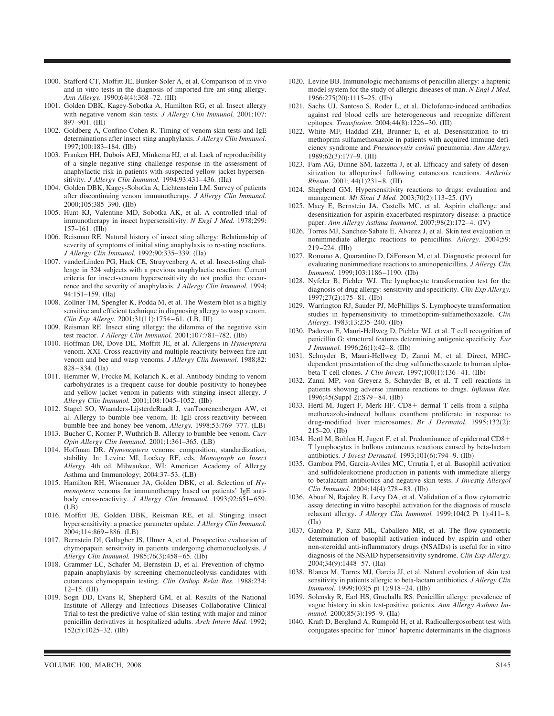- 1000. Stafford CT, Moffitt JE, Bunker-Soler A, et al. Comparison of in vivo and in vitro tests in the diagnosis of imported fire ant sting allergy. *Ann Allergy.* 1990;64(4):368 –72. (III)
- 1001. Golden DBK, Kagey-Sobotka A, Hamilton RG, et al. Insect allergy with negative venom skin tests. *J Allergy Clin Immunol.* 2001;107: 897–901. (III)
- 1002. Goldberg A, Confino-Cohen R. Timing of venom skin tests and IgE determinations after insect sting anaphylaxis. *J Allergy Clin Immunol.* 1997;100:183–184. (IIb)
- 1003. Franken HH, Dubois AEJ, Minkema HJ, et al. Lack of reproducibility of a single negative sting challenge response in the assessment of anaphylactic risk in patients with suspected yellow jacket hypersensitivity. *J Allergy Clin Immunol.* 1994;93:431– 436. (IIa)
- 1004. Golden DBK, Kagey-Sobotka A, Lichtenstein LM. Survey of patients after discontinuing venom immunotherapy. *J Allergy Clin Immunol.* 2000;105:385–390. (IIb)
- 1005. Hunt KJ, Valentine MD, Sobotka AK, et al. A controlled trial of immunotherapy in insect hypersensitivity. *N Engl J Med.* 1978;299: 157–161. (IIb)
- 1006. Reisman RE. Natural history of insect sting allergy: Relationship of severity of symptoms of initial sting anaphylaxis to re-sting reactions. *J Allergy Clin Immunol.* 1992;90:335–339. (IIa)
- 1007. vanderLinden PG, Hack CE, Struyvenberg A, et al. Insect-sting challenge in 324 subjects with a previous anaphylactic reaction: Current criteria for insect-venom hypersensitivity do not predict the occurrence and the severity of anaphylaxis. *J Allergy Clin Immunol.* 1994; 94:151–159. (IIa)
- 1008. Zollner TM, Spengler K, Podda M, et al. The Western blot is a highly sensitive and efficient technique in diagnosing allergy to wasp venom. *Clin Exp Allergy.* 2001;31(11):1754-61. (LB, III)
- 1009. Reisman RE. Insect sting allergy: the dilemma of the negative skin test reactor. *J Allergy Clin Immunol.* 2001;107:781–782. (IIb)
- 1010. Hoffman DR, Dove DE, Moffitt JE, et al. Allergens in *Hymenptera* venom. XXI. Cross-reactivity and multiple reactivity between fire ant venom and bee and wasp venoms. *J Allergy Clin Immunol.* 1988;82: 828 – 834. (IIa)
- 1011. Hemmer W, Frocke M, Kolarich K, et al. Antibody binding to venom carbohydrates is a frequent cause for double positivity to honeybee and yellow jacket venom in patients with stinging insect allergy. *J Allergy Clin Immunol.* 2001;108:1045–1052. (IIb)
- 1012. Stapel SO, Waanders-LijsterdeRaadt J, vanToorenenbergen AW, et al. Allergy to bumble bee venom, II: IgE cross-reactivity between bumble bee and honey bee venom. *Allergy.* 1998;53:769 –777. (LB)
- 1013. Bucher C, Korner P, Wuthrich B. Allergy to bumble bee venom. *Curr Opin Allergy Clin Immunol.* 2001;1:361–365. (LB)
- 1014. Hoffman DR. *Hymenoptera* venoms: composition, standardization, stability. In: Levine MI, Lockey RF, eds. *Monograph on Insect Allergy.* 4th ed. Milwaukee, WI: American Academy of Allergy Asthma and Immunology; 2004:37–53. (LB)
- 1015. Hamilton RH, Wisenauer JA, Golden DBK, et al. Selection of *Hymenoptera* venoms for immunotherapy based on patients' IgE antibody cross-reactivity. *J Allergy Clin Immunol.* 1993;92:651-659. (LB)
- 1016. Moffitt JE, Golden DBK, Reisman RE, et al. Stinging insect hypersensitivity: a practice parameter update. *J Allergy Clin Immunol.* 2004;114:869 – 886. (LB)
- 1017. Bernstein DI, Gallagher JS, Ulmer A, et al. Prospective evaluation of chymopapain sensitivity in patients undergoing chemonucleolysis. *J Allergy Clin Immunol.* 1985;76(3):458 – 65. (IIb)
- 1018. Grammer LC, Schafer M, Bernstein D, et al. Prevention of chymopapain anaphylaxis by screening chemonucleolysis candidates with cutaneous chymopapain testing. *Clin Orthop Relat Res.* 1988;234: 12–15. (III)
- 1019. Sogn DD, Evans R, Shepherd GM, et al. Results of the National Institute of Allergy and Infectious Diseases Collaborative Clinical Trial to test the predictive value of skin testing with major and minor penicillin derivatives in hospitalized adults. *Arch Intern Med.* 1992; 152(5):1025–32. (IIb)
- 1020. Levine BB. Immunologic mechanisms of penicillin allergy: a haptenic model system for the study of allergic diseases of man. *N Engl J Med.* 1966;275(20):1115–25. (IIb)
- 1021. Sachs UJ, Santoso S, Roder L, et al. Diclofenac-induced antibodies against red blood cells are heterogeneous and recognize different epitopes. *Transfusion.* 2004;44(8):1226 –30. (III)
- 1022. White MF, Haddad ZH, Brunner E, et al. Desensitization to trimethoprim sulfamethoxazole in patients with acquired immune deficiency syndrome and *Pneumocystis carinii* pneumonia. *Ann Allergy.* 1989;62(3):177–9. (III)
- 1023. Fam AG, Dunne SM, Iazzetta J, et al. Efficacy and safety of desensitization to allopurinol following cutaneous reactions. *Arthritis Rheum.* 2001; 44(1)231-8. (III)
- 1024. Shepherd GM. Hypersensitivity reactions to drugs: evaluation and management. *Mt Sinai J Med.* 2003;70(2):113–25. (IV)
- 1025. Macy E, Bernstein JA, Castells MC, et al. Aspirin challenge and desensitization for aspirin-exacerbated respiratory disease: a practice paper. *Ann Allergy Asthma Immunol.* 2007;98(2):172– 4. (IV)
- 1026. Torres MJ, Sanchez-Sabate E, Alvarez J, et al. Skin test evaluation in nonimmediate allergic reactions to penicillins. *Allergy.* 2004;59: 219 –224. (IIb)
- 1027. Romano A, Quarantino D, DiFonson M, et al. Diagnostic protocol for evaluating nonimmediate reactions to aminopenicillins. *J Allergy Clin Immunol.* 1999;103:1186 –1190. (IIb)
- 1028. Nyfeler B, Pichler WJ. The lymphocyte transformation test for the diagnosis of drug allergy: sensitivity and specificity. *Clin Exp Allergy.* 1997;27(2):175– 81. (IIb)
- 1029. Warrington RJ, Sauder PJ, McPhillips S. Lymphocyte transformation studies in hypersensitivity to trimethoprim-sulfamethoxazole. *Clin Allergy.* 1983;13:235–240. (IIb)
- 1030. Padovan E, Mauri-Hellweg D, Pichler WJ, et al. T cell recognition of penicillin G: structural features determining antigenic specificity. *Eur J Immunol.* 1996;26(1):42– 8. (IIb)
- 1031. Schnyder B, Mauri-Hellweg D, Zanni M, et al. Direct, MHCdependent presentation of the drug sulfamethoxazole to human alphabeta T cell clones. *J Clin Invest.* 1997;100(1):136 – 41. (IIb)
- 1032. Zanni MP, von Greyerz S, Schnyder B, et al. T cell reactions in patients showing adverse immune reactions to drugs. *Inflamm Res.* 1996;45(Suppl 2):S79 – 84. (IIb)
- 1033. Hertl M, Jugert F, Merk HF. CD8+ dermal T cells from a sulphamethoxazole-induced bullous exanthem proliferate in response to drug-modified liver microsomes. *Br J Dermatol.* 1995;132(2): 215–20. (IIb)
- 1034. Hertl M, Bohlen H, Jugert F, et al. Predominance of epidermal CD8 T lymphocytes in bullous cutaneous reactions caused by beta-lactam antibiotics. *J Invest Dermatol.* 1993;101(6):794 –9. (IIb)
- 1035. Gamboa PM, Garcia-Aviles MC, Urrutia I, et al. Basophil activation and sulfidoleukotriene production in patients with immediate allergy to betalactam antibiotics and negative skin tests. *J Investig Allergol Clin Immunol.* 2004;14(4):278 – 83. (IIb)
- 1036. Abuaf N, Rajoley B, Levy DA, et al. Validation of a flow cytometric assay detecting in vitro basophil activation for the diagnosis of muscle relaxant allergy. *J Allergy Clin Immunol*. 1999;104(2 Pt 1):411-8. (IIa)
- 1037. Gamboa P, Sanz ML, Caballero MR, et al. The flow-cytometric determination of basophil activation induced by aspirin and other non-steroidal anti-inflammatory drugs (NSAIDs) is useful for in vitro diagnosis of the NSAID hypersensitivity syndrome. *Clin Exp Allergy.* 2004;34(9):1448 –57. (IIa)
- 1038. Blanca M, Torres MJ, Garcia JJ, et al. Natural evolution of skin test sensitivity in patients allergic to beta-lactam antibiotics. *J Allergy Clin Immunol.* 1999;103(5 pt 1):918 –24. (IIb)
- 1039. Solensky R, Earl HS, Gruchalla RS. Penicillin allergy: prevalence of vague history in skin test-positive patients. *Ann Allergy Asthma Immunol.* 2000;85(3):195–9. (IIa)
- 1040. Kraft D, Berglund A, Rumpold H, et al. Radioallergosorbent test with conjugates specific for 'minor' haptenic determinants in the diagnosis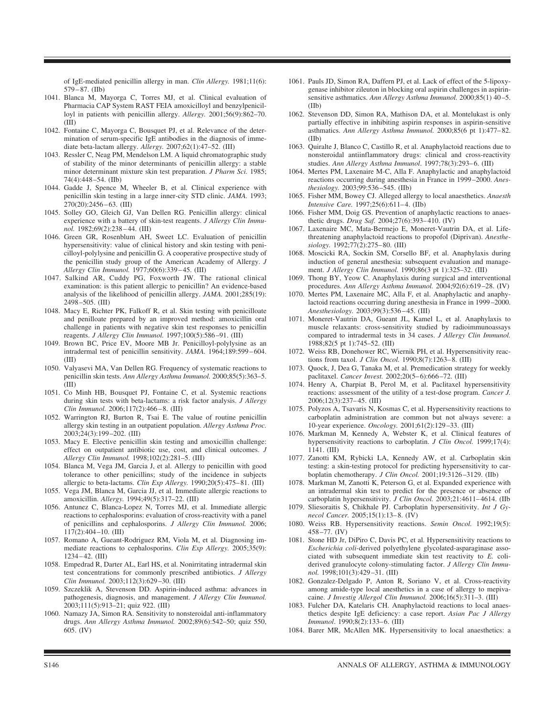of IgE-mediated penicillin allergy in man. *Clin Allergy.* 1981;11(6):  $579 - 87.$  (IIb)

- 1041. Blanca M, Mayorga C, Torres MJ, et al. Clinical evaluation of Pharmacia CAP System RAST FEIA amoxicilloyl and benzylpenicilloyl in patients with penicillin allergy. *Allergy.* 2001;56(9):862–70. (III)
- 1042. Fontaine C, Mayorga C, Bousquet PJ, et al. Relevance of the determination of serum-specific IgE antibodies in the diagnosis of immediate beta-lactam allergy. *Allergy.* 2007;62(1):47–52. (III)
- 1043. Ressler C, Neag PM, Mendelson LM. A liquid chromatographic study of stability of the minor determinants of penicillin allergy: a stable minor determinant mixture skin test preparation. *J Pharm Sci.* 1985; 74(4):448 –54. (IIb)
- 1044. Gadde J, Spence M, Wheeler B, et al. Clinical experience with penicillin skin testing in a large inner-city STD clinic. *JAMA.* 1993; 270(20):2456 – 63. (III)
- 1045. Solley GO, Gleich GJ, Van Dellen RG. Penicillin allergy: clinical experience with a battery of skin-test reagents. *J Allergy Clin Immunol.* 1982;69(2):238 – 44. (III)
- 1046. Green GR, Rosenblum AH, Sweet LC. Evaluation of penicillin hypersensitivity: value of clinical history and skin testing with penicilloyl-polylysine and penicillin G. A cooperative prospective study of the penicillin study group of the American Academy of Allergy. *J Allergy Clin Immunol.* 1977;60(6):339 – 45. (III)
- 1047. Salkind AR, Cuddy PG, Foxworth JW. The rational clinical examination: is this patient allergic to penicillin? An evidence-based analysis of the likelihood of penicillin allergy. *JAMA.* 2001;285(19): 2498 –505. (III)
- 1048. Macy E, Richter PK, Falkoff R, et al. Skin testing with penicilloate and penilloate prepared by an improved method: amoxicillin oral challenge in patients with negative skin test responses to penicillin reagents. *J Allergy Clin Immunol.* 1997;100(5):586 –91. (III)
- 1049. Brown BC, Price EV, Moore MB Jr. Penicilloyl-polylysine as an intradermal test of penicillin sensitivity. *JAMA.* 1964;189:599 – 604. (III)
- 1050. Valyasevi MA, Van Dellen RG. Frequency of systematic reactions to penicillin skin tests. *Ann Allergy Asthma Immunol.* 2000;85(5):363–5. (III)
- 1051. Co Minh HB, Bousquet PJ, Fontaine C, et al. Systemic reactions during skin tests with beta-lactams: a risk factor analysis. *J Allergy Clin Immunol.* 2006;117(2):466-8. (III)
- 1052. Warrington RJ, Burton R, Tsai E. The value of routine penicillin allergy skin testing in an outpatient population. *Allergy Asthma Proc.* 2003;24(3):199 –202. (III)
- 1053. Macy E. Elective penicillin skin testing and amoxicillin challenge: effect on outpatient antibiotic use, cost, and clinical outcomes. *J Allergy Clin Immunol.* 1998;102(2):281–5. (III)
- 1054. Blanca M, Vega JM, Garcia J, et al. Allergy to penicillin with good tolerance to other penicillins; study of the incidence in subjects allergic to beta-lactams. *Clin Exp Allergy.* 1990;20(5):475– 81. (III)
- 1055. Vega JM, Blanca M, Garcia JJ, et al. Immediate allergic reactions to amoxicillin. *Allergy.* 1994;49(5):317–22. (III)
- 1056. Antunez C, Blanca-Lopez N, Torres MJ, et al. Immediate allergic reactions to cephalosporins: evaluation of cross-reactivity with a panel of penicillins and cephalosporins. *J Allergy Clin Immunol.* 2006; 117(2):404 –10. (III)
- 1057. Romano A, Gueant-Rodriguez RM, Viola M, et al. Diagnosing immediate reactions to cephalosporins. *Clin Exp Allergy.* 2005;35(9): 1234 – 42. (III)
- 1058. Empedrad R, Darter AL, Earl HS, et al. Nonirritating intradermal skin test concentrations for commonly prescribed antibiotics. *J Allergy Clin Immunol.* 2003;112(3):629 –30. (III)
- 1059. Szczeklik A, Stevenson DD. Aspirin-induced asthma: advances in pathogenesis, diagnosis, and management. *J Allergy Clin Immunol.* 2003;111(5):913–21; quiz 922. (III)
- 1060. Namazy JA, Simon RA. Sensitivity to nonsteroidal anti-inflammatory drugs. *Ann Allergy Asthma Immunol.* 2002;89(6):542–50; quiz 550, 605. (IV)
- 1061. Pauls JD, Simon RA, Daffern PJ, et al. Lack of effect of the 5-lipoxygenase inhibitor zileuton in blocking oral aspirin challenges in aspirinsensitive asthmatics. Ann Allergy Asthma Immunol. 2000;85(1) 40-5. (IIb)
- 1062. Stevenson DD, Simon RA, Mathison DA, et al. Montelukast is only partially effective in inhibiting aspirin responses in aspirin-sensitive asthmatics. *Ann Allergy Asthma Immunol.* 2000;85(6 pt 1):477– 82. (IIb)
- 1063. Quiralte J, Blanco C, Castillo R, et al. Anaphylactoid reactions due to nonsteroidal antiinflammatory drugs: clinical and cross-reactivity studies. *Ann Allergy Asthma Immunol*. 1997;78(3):293-6. (III)
- 1064. Mertes PM, Laxenaire M-C, Alla F. Anaphylactic and anaphylactoid reactions occurring during anesthesia in France in 1999 –2000. *Anesthesiology.* 2003;99:536 –545. (IIb)
- 1065. Fisher MM, Bowey CJ. Alleged allergy to local anaesthetics. *Anaesth Intensive Care.* 1997;25(6):611– 4. (IIb)
- 1066. Fisher MM, Doig GS. Prevention of anaphylactic reactions to anaesthetic drugs. *Drug Saf.* 2004;27(6):393– 410. (IV)
- 1067. Laxenaire MC, Mata-Bermejo E, Moneret-Vautrin DA, et al. Lifethreatening anaphylactoid reactions to propofol (Diprivan). *Anesthesiology.* 1992;77(2):275– 80. (III)
- 1068. Moscicki RA, Sockin SM, Corsello BF, et al. Anaphylaxis during induction of general anesthesia: subsequent evaluation and management. *J Allergy Clin Immunol.* 1990;86(3 pt 1):325–32. (III)
- 1069. Thong BY, Yeow C. Anaphylaxis during surgical and interventional procedures. *Ann Allergy Asthma Immunol.* 2004;92(6):619 –28. (IV)
- 1070. Mertes PM, Laxenaire MC, Alla F, et al. Anaphylactic and anaphylactoid reactions occurring during anesthesia in France in 1999 –2000. *Anesthesiology.* 2003;99(3):536 – 45. (III)
- 1071. Moneret-Vautrin DA, Gueant JL, Kamel L, et al. Anaphylaxis to muscle relaxants: cross-sensitivity studied by radioimmunoassays compared to intradermal tests in 34 cases. *J Allergy Clin Immunol.* 1988;82(5 pt 1):745–52. (III)
- 1072. Weiss RB, Donehower RC, Wiernik PH, et al. Hypersensitivity reactions from taxol. *J Clin Oncol.* 1990;8(7):1263– 8. (III)
- 1073. Quock, J, Dea G, Tanaka M, et al. Premedication strategy for weekly paclitaxel. *Cancer Invest.* 2002;20(5-6):666-72. (III)
- 1074. Henry A, Charpiat B, Perol M, et al. Paclitaxel hypersensitivity reactions: assessment of the utility of a test-dose program. *Cancer J.* 2006;12(3):237– 45. (III)
- 1075. Polyzos A, Tsavaris N, Kosmas C, et al. Hypersensitivity reactions to carboplatin administration are common but not always severe: a 10-year experience. *Oncology.* 2001;61(2):129 –33. (III)
- 1076. Markman M, Kennedy A, Webster K, et al. Clinical features of hypersensitivity reactions to carboplatin. *J Clin Oncol.* 1999;17(4): 1141. (III)
- 1077. Zanotti KM, Rybicki LA, Kennedy AW, et al. Carboplatin skin testing: a skin-testing protocol for predicting hypersensitivity to carboplatin chemotherapy. *J Clin Oncol.* 2001;19:3126 –3129. (IIb)
- 1078. Markman M, Zanotti K, Peterson G, et al. Expanded experience with an intradermal skin test to predict for the presence or absence of carboplatin hypersensitivity. *J Clin Oncol.* 2003;21:4611– 4614. (IIb
- 1079. Sliesoraitis S, Chikhale PJ. Carboplatin hypersensitivity. *Int J Gynecol Cancer.* 2005;15(1):13– 8. (IV)
- 1080. Weiss RB. Hypersensitivity reactions. *Semin Oncol.* 1992;19(5): 458 –77. (IV)
- 1081. Stone HD Jr, DiPiro C, Davis PC, et al. Hypersensitivity reactions to *Escherichia coli-*derived polyethylene glycolated-asparaginase associated with subsequent immediate skin test reactivity to *E.* coliderived granulocyte colony-stimulating factor. *J Allergy Clin Immunol.* 1998;101(3):429 –31. (III)
- 1082. Gonzalez-Delgado P, Anton R, Soriano V, et al. Cross-reactivity among amide-type local anesthetics in a case of allergy to mepivacaine. *J Investig Allergol Clin Immunol.* 2006;16(5):311–3. (III)
- 1083. Fulcher DA, Katelaris CH. Anaphylactoid reactions to local anaesthetics despite IgE deficiency: a case report. *Asian Pac J Allergy Immunol.* 1990;8(2):133-6. (III)
- 1084. Barer MR, McAllen MK. Hypersensitivity to local anaesthetics: a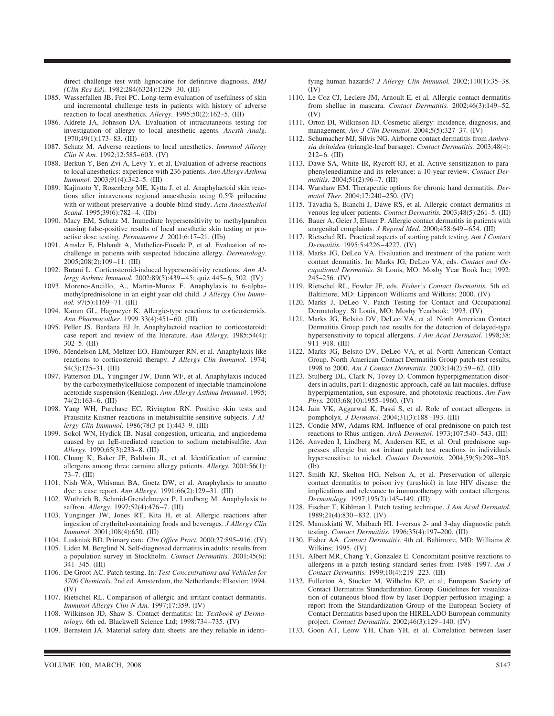direct challenge test with lignocaine for definitive diagnosis. *BMJ (Clin Res Ed).* 1982;284(6324):1229 –30. (III)

- 1085. Wasserfallen JB, Frei PC. Long-term evaluation of usefulness of skin and incremental challenge tests in patients with history of adverse reaction to local anesthetics. *Allergy.* 1995;50(2):162–5. (III)
- 1086. Aldrete JA, Johnson DA. Evaluation of intracutaneous testing for investigation of allergy to local anesthetic agents. *Anesth Analg.* 1970;49(1):173– 83. (III)
- 1087. Schatz M. Adverse reactions to local anesthetics. *Immunol Allergy Clin N Am.* 1992;12:585-603. (IV)
- 1088. Berkun Y, Ben-Zvi A, Levy Y, et al. Evaluation of adverse reactions to local anesthetics: experience with 236 patients. *Ann Allergy Asthma Immunol.* 2003;91(4):342–5. (III)
- 1089. Kajimoto Y, Rosenberg ME, Kytta J, et al. Anaphylactoid skin reactions after intravenous regional anaesthesia using 0.5% prilocaine with or without preservative–a double-blind study. *Acta Anaesthesiol Scand.* 1995;39(6):782– 4. (IIb)
- 1090. Macy EM, Schatz M. Immediate hypersensitivity to methylparaben causing false-positive results of local anesthetic skin testing or proactive dose testing. *Permanente J.* 2001;6:17–21. (IIb)
- 1091. Amsler E, Flahault A, Mathelier-Fusade P, et al. Evaluation of rechallenge in patients with suspected lidocaine allergy. *Dermatology.* 2005;208(2):109 –11. (III)
- 1092. Butani L. Corticosteroid-induced hypersensitivity reactions. *Ann Allergy Asthma Immunol.* 2002;89(5):439 – 45; quiz 445– 6, 502. (IV)
- 1093. Moreno-Ancillo, A., Martin-Muroz F. Anaphylaxis to 6-alphamethylprednisolone in an eight year old child. *J Allergy Clin Immunol.* 97(5):1169 –71. (III)
- 1094. Kamm GL, Hagmeyer K. Allergic-type reactions to corticosteroids. *Ann Pharmacother.* 1999 33(4):451– 60. (III)
- 1095. Peller JS, Bardana EJ Jr. Anaphylactoid reaction to corticosteroid: case report and review of the literature. *Ann Allergy.* 1985;54(4): 302–5. (III)
- 1096. Mendelson LM, Meltzer EO, Hamburger RN, et al. Anaphylaxis-like reactions to corticosteroid therapy. *J Allergy Clin Immunol.* 1974; 54(3):125–31. (III)
- 1097. Patterson DL, Yunginger JW, Dunn WF, et al. Anaphylaxis induced by the carboxymethylcellulose component of injectable triamcinolone acetonide suspension (Kenalog). *Ann Allergy Asthma Immunol*. 1995;  $74(2):163-6.$  (III)
- 1098. Yang WH, Purchase EC, Rivington RN. Positive skin tests and Prausnitz-Kustner reactions in metabisulfite-sensitive subjects. *J Allergy Clin Immunol.* 1986;78(3 pt 1):443–9. (III)
- 1099. Sokol WN, Hydick IB. Nasal congestion, urticaria, and angioedema caused by an IgE-mediated reaction to sodium metabisulfite. *Ann Allergy.* 1990;65(3):233– 8. (III)
- 1100. Chung K, Baker JF, Baldwin JL, et al. Identification of carmine allergens among three carmine allergy patients. *Allergy.* 2001;56(1): 73–7. (III)
- 1101. Nish WA, Whisman BA, Goetz DW, et al. Anaphylaxis to annatto dye: a case report. *Ann Allergy.* 1991;66(2):129 –31. (III)
- 1102. Wuthrich B, Schmid-Grendelmeyer P, Lundberg M. Anaphylaxis to saffron. *Allergy.* 1997;52(4):476 –7. (III)
- 1103. Yunginger JW, Jones RT, Kita H, et al. Allergic reactions after ingestion of erythritol-containing foods and beverages. *J Allergy Clin Immunol.* 2001;108(4):650. (III)
- 1104. Luskniak BD. Primary care. *Clin Office Pract.* 2000;27:895–916. (IV)
- 1105. Liden M, Berglind N. Self-diagnosed dermatitis in adults: results from a population survey in Stockholm. *Contact Dermatitis.* 2001;45(6): 341–345. (III)
- 1106. De Groot AC. Patch testing. In: *Test Concentrations and Vehicles for 3700 Chemicals*. 2nd ed. Amsterdam, the Netherlands: Elsevier; 1994. (IV)
- 1107. Rietschel RL. Comparison of allergic and irritant contact dermatitis. *Immunol Allergy Clin N Am.* 1997;17:359. (IV)
- 1108. Wilkinson JD, Shaw S. Contact dermatitis: In: *Textbook of Dermatology.* 6th ed. Blackwell Science Ltd; 1998:734 –735. (IV)
- 1109. Bernstein JA. Material safety data sheets: are they reliable in identi-

fying human hazards? *J Allergy Clin Immunol.* 2002;110(1):35–38. (IV)

- 1110. Le Coz CJ, Leclere JM, Arnoult E, et al. Allergic contact dermatitis from shellac in mascara. *Contact Dermatitis.* 2002;46(3):149 –52. (IV)
- 1111. Orton DI, Wilkinson JD. Cosmetic allergy: incidence, diagnosis, and management. *Am J Clin Dermatol.* 2004;5(5):327–37. (IV)
- 1112. Schumacher MJ, Silvis NG. Airborne contact dermatitis from *Ambrosia deltoidea* (triangle-leaf bursage). *Contact Dermatitis.* 2003;48(4):  $212-6.$  (III)
- 1113. Dawe SA, White IR, Rycroft RJ, et al. Active sensitization to paraphenylenediamine and its relevance: a 10-year review. *Contact Dermatitis.* 2004;51(2):96 –7. (III)
- 1114. Warshaw EM. Therapeutic options for chronic hand dermatitis. *Dermatol Ther.* 2004;17:240 –250. (IV)
- 1115. Tavadia S, Bianchi J, Dawe RS, et al. Allergic contact dermatitis in venous leg ulcer patients. *Contact Dermatitis.* 2003;48(5):261–5. (III)
- 1116. Bauer A, Geier J, Elsner P. Allergic contact dermatitis in patients with anogenital complaints. *J Reprod Med.* 2000;458:649 – 654. (III)
- 1117. Rietschel RL. Practical aspects of starting patch testing. *Am J Contact Dermatitis.* 1995;5:4226 – 4227. (IV)
- 1118. Marks JG, DeLeo VA. Evaluation and treatment of the patient with contact dermatitis. In: Marks JG, DeLeo VA, eds. *Contact and Occupational Dermatitis.* St Louis, MO: Mosby Year Book Inc; 1992: 245–256. (IV)
- 1119. Rietschel RL, Fowler JF, eds. *Fisher's Contact Dermatitis.* 5th ed. Baltimore, MD: Lippincott Williams and Wilkins; 2000. (IV)
- 1120. Marks J, DeLeo V. Patch Testing for Contact and Occupational Dermatology. St Louis, MO: Mosby Yearbook; 1993. (IV)
- 1121. Marks JG, Belsito DV, DeLeo VA, et al. North American Contact Dermatitis Group patch test results for the detection of delayed-type hypersensitivity to topical allergens. *J Am Acad Dermatol.* 1998;38: 911–918. (III)
- 1122. Marks JG, Belsito DV, DeLeo VA, et al. North American Contact Group. North American Contact Dermatitis Group patch-test results, 1998 to 2000. *Am J Contact Dermatitis.* 2003;14(2):59 – 62. (III)
- 1123. Stulberg DL, Clark N, Tovey D. Common hyperpigmentation disorders in adults, part I: diagnostic approach, café au lait macules, diffuse hyperpigmentation, sun exposure, and phototoxic reactions. *Am Fam Phys.* 2003;68(10):1955–1960. (IV)
- 1124. Jain VK, Aggarwal K, Passi S, et al. Role of contact allergens in pompholyx. *J Dermatol.* 2004;31(3):188 –193. (III)
- 1125. Condie MW, Adams RM. Influence of oral prednisone on patch test reactions to Rhus antigen. *Arch Dermatol*. 1973;107:540-543. (III)
- 1126. Anveden I, Lindberg M, Andersen KE, et al. Oral prednisone suppresses allergic but not irritant patch test reactions in individuals hypersensitive to nickel. *Contact Dermatitis.* 2004;59(5):298 –303. (Ib)
- 1127. Smith KJ, Skelton HG, Nelson A, et al. Preservation of allergic contact dermatitis to poison ivy (urushiol) in late HIV disease: the implications and relevance to immunotherapy with contact allergens. *Dermatology.* 1997;195(2):145–149. (III)
- 1128. Fischer T, Kihlman I. Patch testing technique. *J Am Acad Dermatol.* 1989;21(4):830 – 832. (IV)
- 1129. Manuskiatti W, Maibach HI. 1-versus 2- and 3-day diagnostic patch testing. *Contact Dermatitis.* 1996;35(4):197–200. (III)
- 1130. Fisher AA. *Contact Dermatitis.* 4th ed. Baltimore, MD: Williams & Wilkins; 1995. (IV)
- 1131. Albert MR, Chang Y, Gonzalez E. Concomitant positive reactions to allergens in a patch testing standard series from 1988 –1997. *Am J Contact Dermatitis.* 1999;10(4):219 –223. (III)
- 1132. Fullerton A, Stucker M, Wilhelm KP, et al; European Society of Contact Dermatitis Standardization Group. Guidelines for visualization of cutaneous blood flow by laser Doppler perfusion imaging: a report from the Standardization Group of the European Society of Contact Dermatitis based upon the HIRELADO European community project. *Contact Dermatitis.* 2002;46(3):129 –140. (IV)
- 1133. Goon AT, Leow YH, Chan YH, et al. Correlation between laser